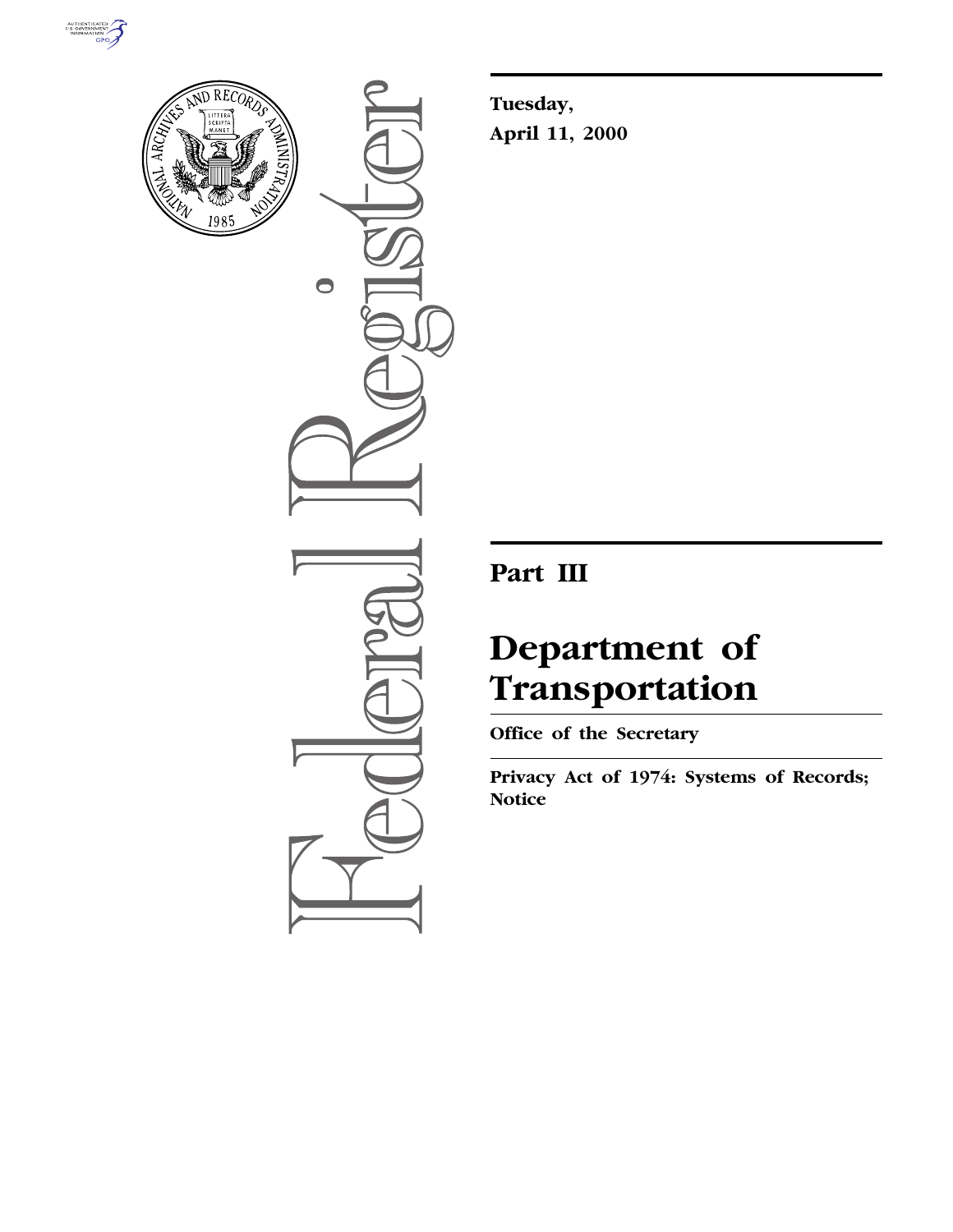



 $\bullet$ 

**Tuesday, April 11, 2000**

# **Part III**

# **Department of Transportation**

**Office of the Secretary**

**Privacy Act of 1974: Systems of Records; Notice**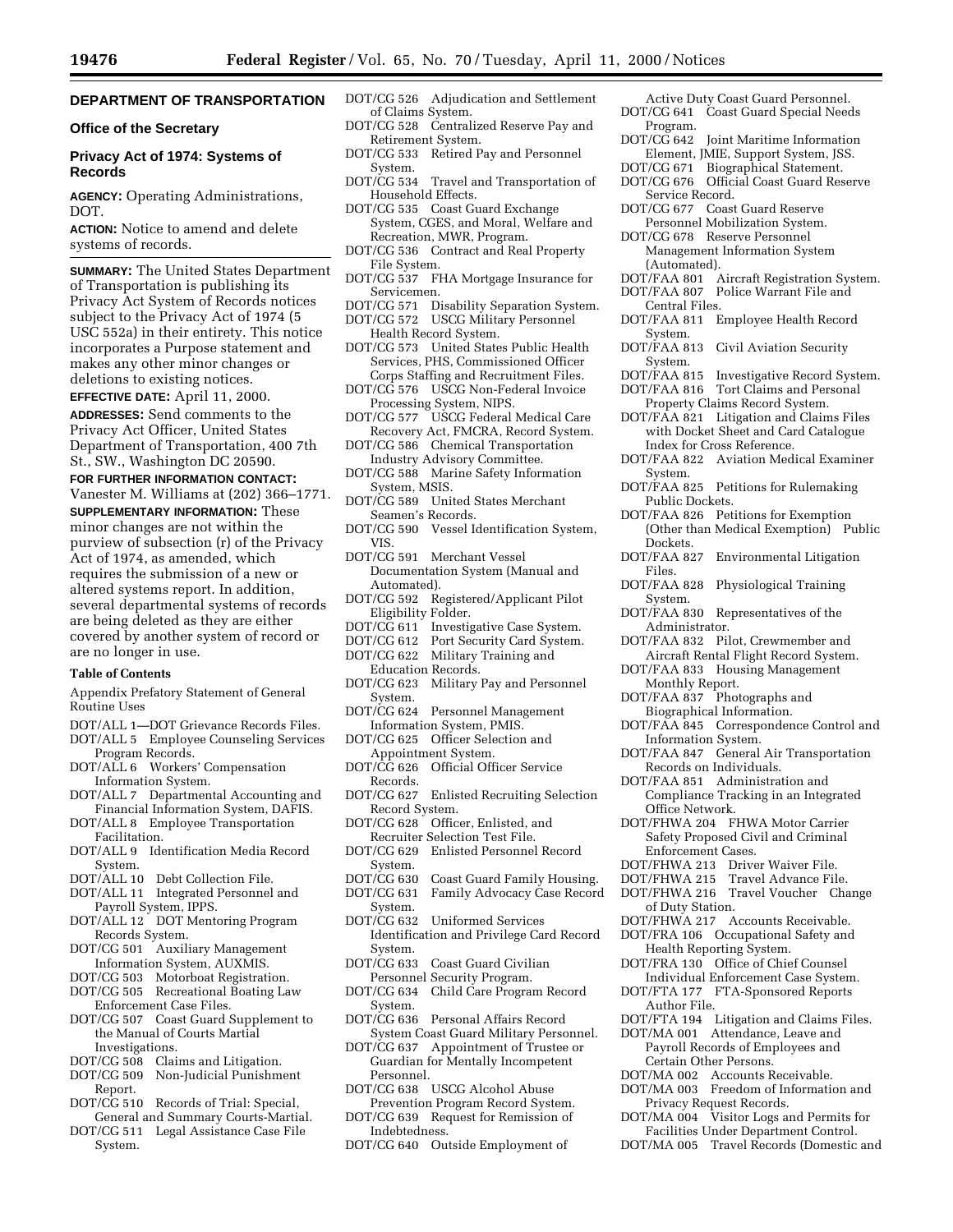# **DEPARTMENT OF TRANSPORTATION**

# **Office of the Secretary**

# **Privacy Act of 1974: Systems of Records**

**AGENCY:** Operating Administrations, DOT.

**ACTION:** Notice to amend and delete systems of records.

**SUMMARY:** The United States Department of Transportation is publishing its Privacy Act System of Records notices subject to the Privacy Act of 1974 (5 USC 552a) in their entirety. This notice incorporates a Purpose statement and makes any other minor changes or deletions to existing notices.

**EFFECTIVE DATE:** April 11, 2000.

**ADDRESSES:** Send comments to the Privacy Act Officer, United States Department of Transportation, 400 7th St., SW., Washington DC 20590.

# **FOR FURTHER INFORMATION CONTACT:**

Vanester M. Williams at (202) 366–1771. **SUPPLEMENTARY INFORMATION:** These minor changes are not within the purview of subsection (r) of the Privacy Act of 1974, as amended, which requires the submission of a new or altered systems report. In addition, several departmental systems of records are being deleted as they are either covered by another system of record or are no longer in use.

#### **Table of Contents**

- Appendix Prefatory Statement of General Routine Uses
- DOT/ALL 1—DOT Grievance Records Files.
- DOT/ALL 5 Employee Counseling Services Program Records.
- DOT/ALL 6 Workers' Compensation Information System.
- DOT/ALL 7 Departmental Accounting and Financial Information System, DAFIS.
- DOT/ALL 8 Employee Transportation Facilitation.
- DOT/ALL 9 Identification Media Record System.
- DOT/ALL 10 Debt Collection File.
- DOT/ALL 11 Integrated Personnel and
- Payroll System, IPPS. DOT/ALL 12 DOT Mentoring Program
- Records System. DOT/CG 501 Auxiliary Management
- Information System, AUXMIS.
- DOT/CG 503 Motorboat Registration. DOT/CG 505 Recreational Boating Law
- Enforcement Case Files.
- DOT/CG 507 Coast Guard Supplement to the Manual of Courts Martial Investigations.
- DOT/CG 508 Claims and Litigation.
- DOT/CG 509 Non-Judicial Punishment
- Report. DOT/CG 510 Records of Trial: Special,
- General and Summary Courts-Martial.
- DOT/CG 511 Legal Assistance Case File System.
- DOT/CG 526 Adjudication and Settlement of Claims System.
- DOT/CG 528 Centralized Reserve Pay and Retirement System.
- DOT/CG 533 Retired Pay and Personnel System.
- DOT/CG 534 Travel and Transportation of Household Effects.
- DOT/CG 535 Coast Guard Exchange System, CGES, and Moral, Welfare and Recreation, MWR, Program.
- DOT/CG 536 Contract and Real Property File System.
- DOT/CG 537 FHA Mortgage Insurance for Servicemen.
- DOT/CG 571 Disability Separation System.
- DOT/CG 572 USCG Military Personnel Health Record System.
- DOT/CG 573 United States Public Health Services, PHS, Commissioned Officer Corps Staffing and Recruitment Files.
- DOT/CG 576 USCG Non-Federal Invoice Processing System, NIPS.
- DOT/CG 577 USCG Federal Medical Care Recovery Act, FMCRA, Record System.
- DOT/CG 586 Chemical Transportation Industry Advisory Committee.
- DOT/CG 588 Marine Safety Information System, MSIS.
- DOT/CG 589 United States Merchant Seamen's Records.
- DOT/CG 590 Vessel Identification System, VIS.
- DOT/CG 591 Merchant Vessel Documentation System (Manual and Automated).
- DOT/CG 592 Registered/Applicant Pilot Eligibility Folder.
- DOT/CG 611 Investigative Case System.<br>DOT/CG 612 Port Security Card System.
- Port Security Card System.
- DOT/CG 622 Military Training and Education Records.
- DOT/CG 623 Military Pay and Personnel System.
- DOT/CG 624 Personnel Management Information System, PMIS.
- DOT/CG 625 Officer Selection and Appointment System.<br>DOT/CG 626 Official Off
- Official Officer Service Records.<br>DOT/CG 627
- Enlisted Recruiting Selection Record System.
- DOT/CG 628 Officer, Enlisted, and Recruiter Selection Test File.
- DOT/CG 629 Enlisted Personnel Record System.<br>DOT/CG 630
- DOT/CG 630 Coast Guard Family Housing.<br>DOT/CG 631 Family Advocacy Case Record
- Family Advocacy Case Record System.
- DOT/CG 632 Uniformed Services Identification and Privilege Card Record
- System.<br>DOT/CG 633 Coast Guard Civilian Personnel Security Program.
- DOT/CG 634 Child Care Program Record System.
- T/CG 636 Personal Affairs Record System Coast Guard Military Personnel.
- DOT/CG 637 Appointment of Trustee or Guardian for Mentally Incompetent Personnel.
- DOT/CG 638 USCG Alcohol Abuse Prevention Program Record System.
- T/CG 639 Request for Remission of Indebtedness.
- DOT/CG 640 Outside Employment of
- Active Duty Coast Guard Personnel. DOT/CG 641 Coast Guard Special Needs
- Program.<br>DOT/CG 642 Joint Maritime Information Element, JMIE, Support System, JSS.
- DOT/CG 671 Biographical Statement.
- DOT/CG 676 Official Coast Guard Reserve Service Record.
- DOT/CG 677 Coast Guard Reserve
- Personnel Mobilization System. DOT/CG 678 Reserve Personnel
- Management Information System (Automated).
- DOT/FAA 801 Aircraft Registration System.
- DOT/FAA 807 Police Warrant File and
- Central Files. DOT/FAA 811 Employee Health Record
- System.
- DOT/FAA 813 Civil Aviation Security System.<br>DOT/FAA 815
- Investigative Record System.
- DOT/FAA 816 Tort Claims and Personal Property Claims Record System.
- DOT/FAA 821 Litigation and Claims Files with Docket Sheet and Card Catalogue Index for Cross Reference.
- DOT/FAA 822 Aviation Medical Examiner System.
- DOT/FAA 825 Petitions for Rulemaking Public Dockets.
- DOT/FAA 826 Petitions for Exemption (Other than Medical Exemption) Public
- Dockets.<br>DOT/FAA 827 Environmental Litigation Files.
- DOT/FAA 828 Physiological Training System.
- DOT/FAA 830 Representatives of the Administrator.
- DOT/FAA 832 Pilot, Crewmember and Aircraft Rental Flight Record System.
- DOT/FAA 833 Housing Management Monthly Report.
- DOT/FAA 837 Photographs and
- Biographical Information.
- DOT/FAA 845 Correspondence Control and Information System.
- DOT/FAA 847 General Air Transportation Records on Individuals.
- 

Enforcement Cases.

of Duty Station.

Author File.

Certain Other Persons. DOT/MA 002 Accounts Receivable. DOT/MA 003 Freedom of Information and

Privacy Request Records.

DOT/FAA 851 Administration and Compliance Tracking in an Integrated Office Network. DOT/FHWA 204 FHWA Motor Carrier

Safety Proposed Civil and Criminal

DOT/FHWA 216 Travel Voucher Change

DOT/FTA 194 Litigation and Claims Files. DOT/MA 001 Attendance, Leave and Payroll Records of Employees and

T/MA 004 Visitor Logs and Permits for Facilities Under Department Control. DOT/MA 005 Travel Records (Domestic and

DOT/FHWA 217 Accounts Receivable. DOT/FRA 106 Occupational Safety and Health Reporting System. DOT/FRA 130 Office of Chief Counsel Individual Enforcement Case System. DOT/FTA 177 FTA-Sponsored Reports

Travel Advance File.

DOT/FHWA 213 Driver Waiver File.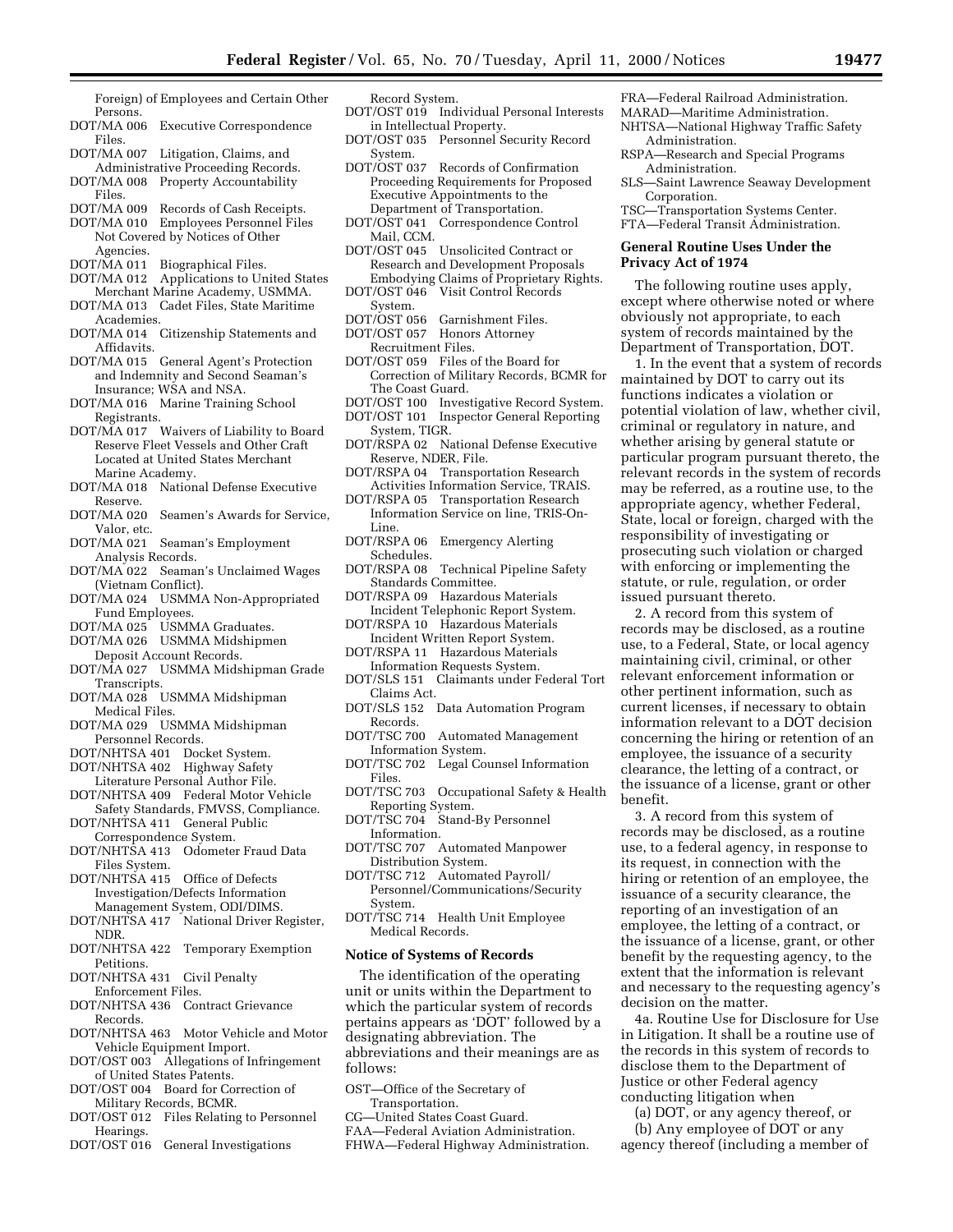Foreign) of Employees and Certain Other Persons.

- DOT/MA 006 Executive Correspondence Files.
- DOT/MA 007 Litigation, Claims, and Administrative Proceeding Records.
- DOT/MA 008 Property Accountability Files.
- DOT/MA 009 Records of Cash Receipts.
- DOT/MA 010 Employees Personnel Files Not Covered by Notices of Other
- Agencies.<br>DOT/MA 011 DOT/MA 011 Biographical Files.<br>DOT/MA 012 Applications to Un
- Applications to United States Merchant Marine Academy, USMMA.
- DOT/MA 013 Cadet Files, State Maritime Academies.
- DOT/MA 014 Citizenship Statements and Affidavits.
- DOT/MA 015 General Agent's Protection and Indemnity and Second Seaman's Insurance; WSA and NSA.
- DOT/MA 016 Marine Training School Registrants.
- DOT/MA 017 Waivers of Liability to Board Reserve Fleet Vessels and Other Craft Located at United States Merchant Marine Academy.
- DOT/MA 018 National Defense Executive Reserve.
- DOT/MA 020 Seamen's Awards for Service, Valor, etc.
- DOT/MA 021 Seaman's Employment Analysis Records.
- DOT/MA 022 Seaman's Unclaimed Wages (Vietnam Conflict).
- DOT/MA 024 USMMA Non-Appropriated Fund Employees.
- DOT/MA 025 USMMA Graduates.
- DOT/MA 026 USMMA Midshipmen Deposit Account Records.
- DOT/MA 027 USMMA Midshipman Grade Transcripts.
- DOT/MA 028 USMMA Midshipman Medical Files.
- DOT/MA 029 USMMA Midshipman Personnel Records.
- DOT/NHTSA 401 Docket System.
- DOT/NHTSA 402 Highway Safety
- Literature Personal Author File. DOT/NHTSA 409 Federal Motor Vehicle Safety Standards, FMVSS, Compliance.
- DOT/NHTSA 411 General Public Correspondence System.
- DOT/NHTSA 413 Odometer Fraud Data Files System.
- DOT/NHTSA 415 Office of Defects Investigation/Defects Information Management System, ODI/DIMS.
- DOT/NHTSA 417 National Driver Register, NDR.
- DOT/NHTSA 422 Temporary Exemption Petitions.
- DOT/NHTSA 431 Civil Penalty
- Enforcement Files.
- DOT/NHTSA 436 Contract Grievance Records.
- DOT/NHTSA 463 Motor Vehicle and Motor Vehicle Equipment Import.
- DOT/OST 003 Allegations of Infringement of United States Patents.
- DOT/OST 004 Board for Correction of Military Records, BCMR.
- T/OST 012 Files Relating to Personnel Hearings.
- DOT/OST 016 General Investigations

#### Record System. DOT/OST 019 Individual Personal Interests

- in Intellectual Property. DOT/OST 035 Personnel Security Record
- System.
- DOT/OST 037 Records of Confirmation Proceeding Requirements for Proposed Executive Appointments to the Department of Transportation.
- DOT/OST 041 Correspondence Control Mail, CCM.
- DOT/OST 045 Unsolicited Contract or Research and Development Proposals Embodying Claims of Proprietary Rights.
- DOT/OST 046 Visit Control Records
- System.<br>DOT/OST 056 Garnishment Files.
- DOT/OST 057 Honors Attorney
	- Recruitment Files.
- DOT/OST 059 Files of the Board for Correction of Military Records, BCMR for The Coast Guard.
- DOT/OST 100 Investigative Record System. DOT/OST 101 Inspector General Reporting System, TIGR.
- DOT/RSPA 02 National Defense Executive Reserve, NDER, File.
- DOT/RSPA 04 Transportation Research Activities Information Service, TRAIS.
- DOT/RSPA 05 Transportation Research Information Service on line, TRIS-On-Line.
- DOT/RSPA 06 Emergency Alerting Schedules.<br>DOT/RSPA 08
- Technical Pipeline Safety Standards Committee.
- DOT/RSPA 09 Hazardous Materials Incident Telephonic Report System.
- DOT/RSPA 10 Hazardous Materials Incident Written Report System.
- DOT/RSPA 11 Hazardous Materials Information Requests System.
- DOT/SLS 151 Claimants under Federal Tort Claims Act.
- DOT/SLS 152 Data Automation Program Records.
- DOT/TSC 700 Automated Management Information System.
- DOT/TSC 702 Legal Counsel Information Files.
- DOT/TSC 703 Occupational Safety & Health Reporting System.
- DOT/TSC 704 Stand-By Personnel Information.
- DOT/TSC 707 Automated Manpower Distribution System.
- DOT/TSC 712 Automated Payroll/ Personnel/Communications/Security System.
- DOT/TSC 714 Health Unit Employee Medical Records.

#### **Notice of Systems of Records**

The identification of the operating unit or units within the Department to which the particular system of records pertains appears as 'DOT' followed by a designating abbreviation. The abbreviations and their meanings are as follows:

- OST—Office of the Secretary of Transportation.
- CG—United States Coast Guard.
- FAA—Federal Aviation Administration. FHWA—Federal Highway Administration.

The following routine uses apply, except where otherwise noted or where obviously not appropriate, to each system of records maintained by the Department of Transportation, DOT.

1. In the event that a system of records maintained by DOT to carry out its functions indicates a violation or potential violation of law, whether civil, criminal or regulatory in nature, and whether arising by general statute or particular program pursuant thereto, the relevant records in the system of records may be referred, as a routine use, to the appropriate agency, whether Federal, State, local or foreign, charged with the responsibility of investigating or prosecuting such violation or charged with enforcing or implementing the statute, or rule, regulation, or order issued pursuant thereto.

2. A record from this system of records may be disclosed, as a routine use, to a Federal, State, or local agency maintaining civil, criminal, or other relevant enforcement information or other pertinent information, such as current licenses, if necessary to obtain information relevant to a DOT decision concerning the hiring or retention of an employee, the issuance of a security clearance, the letting of a contract, or the issuance of a license, grant or other benefit.

3. A record from this system of records may be disclosed, as a routine use, to a federal agency, in response to its request, in connection with the hiring or retention of an employee, the issuance of a security clearance, the reporting of an investigation of an employee, the letting of a contract, or the issuance of a license, grant, or other benefit by the requesting agency, to the extent that the information is relevant and necessary to the requesting agency's decision on the matter.

4a. Routine Use for Disclosure for Use in Litigation. It shall be a routine use of the records in this system of records to disclose them to the Department of Justice or other Federal agency conducting litigation when

(a) DOT, or any agency thereof, or (b) Any employee of DOT or any agency thereof (including a member of

- FRA—Federal Railroad Administration. MARAD—Maritime Administration.
	- NHTSA—National Highway Traffic Safety Administration.

RSPA—Research and Special Programs Administration.

SLS—Saint Lawrence Seaway Development Corporation.

TSC—Transportation Systems Center. FTA—Federal Transit Administration.

# **General Routine Uses Under the Privacy Act of 1974**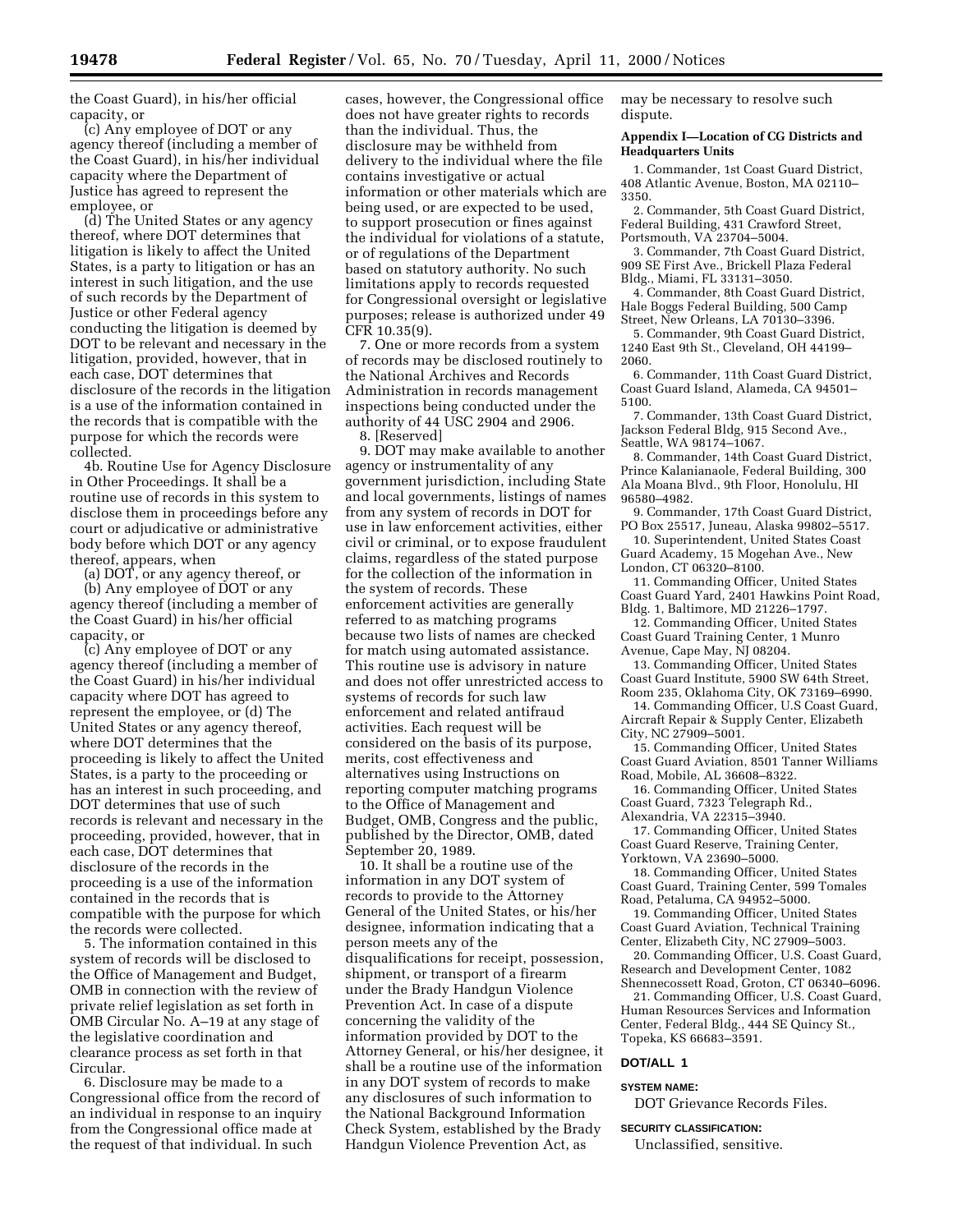the Coast Guard), in his/her official capacity, or

(c) Any employee of DOT or any agency thereof (including a member of the Coast Guard), in his/her individual capacity where the Department of Justice has agreed to represent the employee, or

(d) The United States or any agency thereof, where DOT determines that litigation is likely to affect the United States, is a party to litigation or has an interest in such litigation, and the use of such records by the Department of Justice or other Federal agency conducting the litigation is deemed by DOT to be relevant and necessary in the litigation, provided, however, that in each case, DOT determines that disclosure of the records in the litigation is a use of the information contained in the records that is compatible with the purpose for which the records were collected.

4b. Routine Use for Agency Disclosure in Other Proceedings. It shall be a routine use of records in this system to disclose them in proceedings before any court or adjudicative or administrative body before which DOT or any agency thereof, appears, when

(a) DOT, or any agency thereof, or

(b) Any employee of DOT or any agency thereof (including a member of the Coast Guard) in his/her official capacity, or

(c) Any employee of DOT or any agency thereof (including a member of the Coast Guard) in his/her individual capacity where DOT has agreed to represent the employee, or (d) The United States or any agency thereof, where DOT determines that the proceeding is likely to affect the United States, is a party to the proceeding or has an interest in such proceeding, and DOT determines that use of such records is relevant and necessary in the proceeding, provided, however, that in each case, DOT determines that disclosure of the records in the proceeding is a use of the information contained in the records that is compatible with the purpose for which the records were collected.

5. The information contained in this system of records will be disclosed to the Office of Management and Budget, OMB in connection with the review of private relief legislation as set forth in OMB Circular No. A–19 at any stage of the legislative coordination and clearance process as set forth in that Circular.

6. Disclosure may be made to a Congressional office from the record of an individual in response to an inquiry from the Congressional office made at the request of that individual. In such

cases, however, the Congressional office does not have greater rights to records than the individual. Thus, the disclosure may be withheld from delivery to the individual where the file contains investigative or actual information or other materials which are being used, or are expected to be used, to support prosecution or fines against the individual for violations of a statute, or of regulations of the Department based on statutory authority. No such limitations apply to records requested for Congressional oversight or legislative purposes; release is authorized under 49 CFR 10.35(9).

7. One or more records from a system of records may be disclosed routinely to the National Archives and Records Administration in records management inspections being conducted under the authority of 44 USC 2904 and 2906.

8. [Reserved]

9. DOT may make available to another agency or instrumentality of any government jurisdiction, including State and local governments, listings of names from any system of records in DOT for use in law enforcement activities, either civil or criminal, or to expose fraudulent claims, regardless of the stated purpose for the collection of the information in the system of records. These enforcement activities are generally referred to as matching programs because two lists of names are checked for match using automated assistance. This routine use is advisory in nature and does not offer unrestricted access to systems of records for such law enforcement and related antifraud activities. Each request will be considered on the basis of its purpose, merits, cost effectiveness and alternatives using Instructions on reporting computer matching programs to the Office of Management and Budget, OMB, Congress and the public, published by the Director, OMB, dated September 20, 1989.

10. It shall be a routine use of the information in any DOT system of records to provide to the Attorney General of the United States, or his/her designee, information indicating that a person meets any of the disqualifications for receipt, possession, shipment, or transport of a firearm under the Brady Handgun Violence Prevention Act. In case of a dispute concerning the validity of the information provided by DOT to the Attorney General, or his/her designee, it shall be a routine use of the information in any DOT system of records to make any disclosures of such information to the National Background Information Check System, established by the Brady Handgun Violence Prevention Act, as

may be necessary to resolve such dispute.

# **Appendix I—Location of CG Districts and Headquarters Units**

1. Commander, 1st Coast Guard District, 408 Atlantic Avenue, Boston, MA 02110– 3350.

2. Commander, 5th Coast Guard District, Federal Building, 431 Crawford Street, Portsmouth, VA 23704–5004.

3. Commander, 7th Coast Guard District, 909 SE First Ave., Brickell Plaza Federal Bldg., Miami, FL 33131–3050.

4. Commander, 8th Coast Guard District, Hale Boggs Federal Building, 500 Camp Street, New Orleans, LA 70130–3396.

5. Commander, 9th Coast Guard District, 1240 East 9th St., Cleveland, OH 44199– 2060.

6. Commander, 11th Coast Guard District, Coast Guard Island, Alameda, CA 94501– 5100.

7. Commander, 13th Coast Guard District, Jackson Federal Bldg, 915 Second Ave., Seattle, WA 98174–1067.

8. Commander, 14th Coast Guard District, Prince Kalanianaole, Federal Building, 300 Ala Moana Blvd., 9th Floor, Honolulu, HI 96580–4982.

9. Commander, 17th Coast Guard District, PO Box 25517, Juneau, Alaska 99802–5517.

10. Superintendent, United States Coast Guard Academy, 15 Mogehan Ave., New London, CT 06320–8100.

11. Commanding Officer, United States Coast Guard Yard, 2401 Hawkins Point Road, Bldg. 1, Baltimore, MD 21226–1797.

12. Commanding Officer, United States Coast Guard Training Center, 1 Munro Avenue, Cape May, NJ 08204.

13. Commanding Officer, United States Coast Guard Institute, 5900 SW 64th Street, Room 235, Oklahoma City, OK 73169–6990.

14. Commanding Officer, U.S Coast Guard, Aircraft Repair & Supply Center, Elizabeth

City, NC 27909–5001. 15. Commanding Officer, United States

Coast Guard Aviation, 8501 Tanner Williams Road, Mobile, AL 36608–8322.

16. Commanding Officer, United States Coast Guard, 7323 Telegraph Rd.,

Alexandria, VA 22315–3940.

17. Commanding Officer, United States Coast Guard Reserve, Training Center, Yorktown, VA 23690–5000.

18. Commanding Officer, United States Coast Guard, Training Center, 599 Tomales Road, Petaluma, CA 94952–5000.

19. Commanding Officer, United States Coast Guard Aviation, Technical Training Center, Elizabeth City, NC 27909–5003.

20. Commanding Officer, U.S. Coast Guard, Research and Development Center, 1082

Shennecossett Road, Groton, CT 06340–6096. 21. Commanding Officer, U.S. Coast Guard, Human Resources Services and Information Center, Federal Bldg., 444 SE Quincy St., Topeka, KS 66683–3591.

# **DOT/ALL 1**

# **SYSTEM NAME:**

DOT Grievance Records Files.

# **SECURITY CLASSIFICATION:**

Unclassified, sensitive.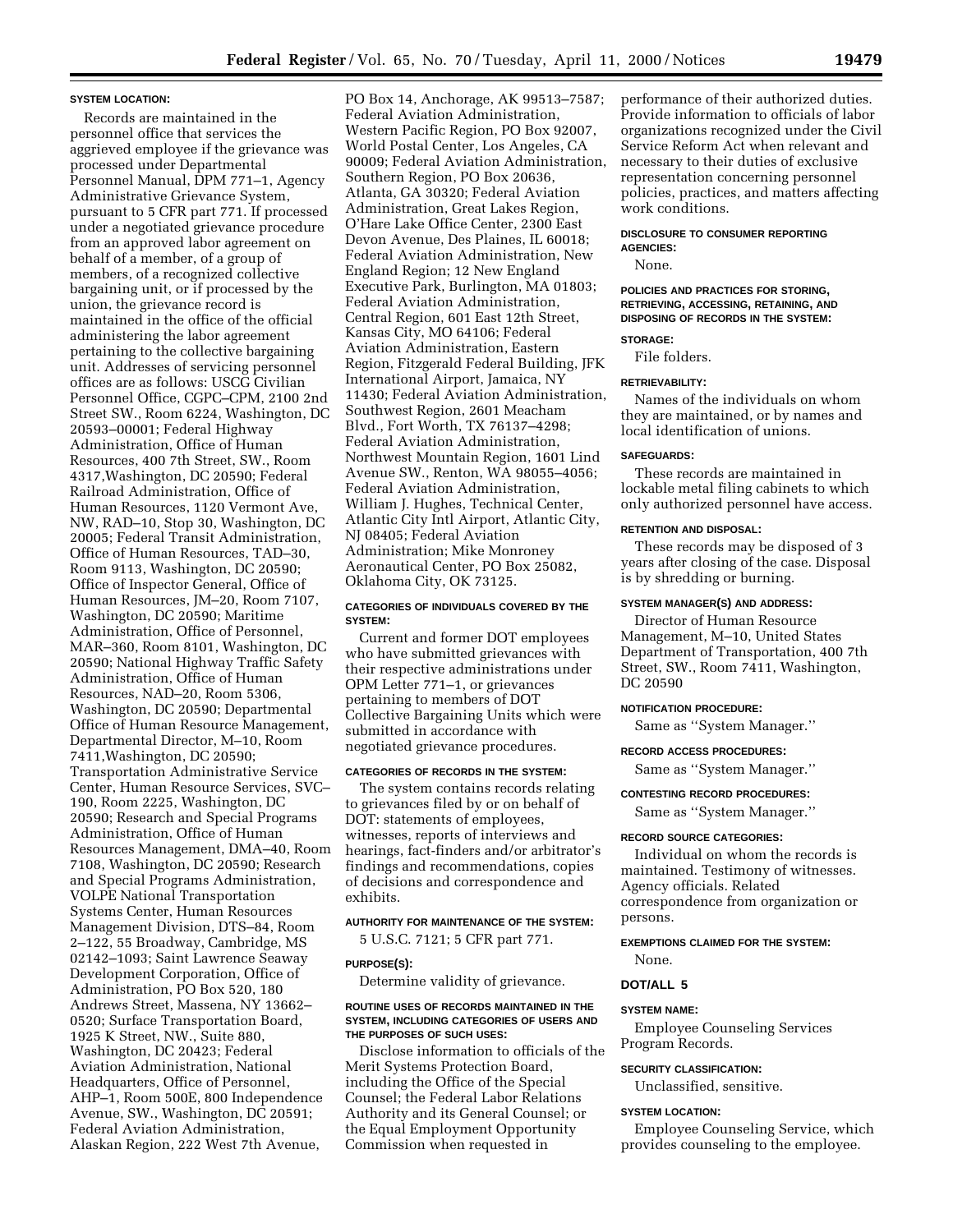#### **SYSTEM LOCATION:**

Records are maintained in the personnel office that services the aggrieved employee if the grievance was processed under Departmental Personnel Manual, DPM 771–1, Agency Administrative Grievance System, pursuant to 5 CFR part 771. If processed under a negotiated grievance procedure from an approved labor agreement on behalf of a member, of a group of members, of a recognized collective bargaining unit, or if processed by the union, the grievance record is maintained in the office of the official administering the labor agreement pertaining to the collective bargaining unit. Addresses of servicing personnel offices are as follows: USCG Civilian Personnel Office, CGPC–CPM, 2100 2nd Street SW., Room 6224, Washington, DC 20593–00001; Federal Highway Administration, Office of Human Resources, 400 7th Street, SW., Room 4317,Washington, DC 20590; Federal Railroad Administration, Office of Human Resources, 1120 Vermont Ave, NW, RAD–10, Stop 30, Washington, DC 20005; Federal Transit Administration, Office of Human Resources, TAD–30, Room 9113, Washington, DC 20590; Office of Inspector General, Office of Human Resources, JM–20, Room 7107, Washington, DC 20590; Maritime Administration, Office of Personnel, MAR–360, Room 8101, Washington, DC 20590; National Highway Traffic Safety Administration, Office of Human Resources, NAD–20, Room 5306, Washington, DC 20590; Departmental Office of Human Resource Management, Departmental Director, M–10, Room 7411,Washington, DC 20590; Transportation Administrative Service Center, Human Resource Services, SVC– 190, Room 2225, Washington, DC 20590; Research and Special Programs Administration, Office of Human Resources Management, DMA–40, Room 7108, Washington, DC 20590; Research and Special Programs Administration, VOLPE National Transportation Systems Center, Human Resources Management Division, DTS–84, Room 2–122, 55 Broadway, Cambridge, MS 02142–1093; Saint Lawrence Seaway Development Corporation, Office of Administration, PO Box 520, 180 Andrews Street, Massena, NY 13662– 0520; Surface Transportation Board, 1925 K Street, NW., Suite 880, Washington, DC 20423; Federal Aviation Administration, National Headquarters, Office of Personnel, AHP–1, Room 500E, 800 Independence Avenue, SW., Washington, DC 20591; Federal Aviation Administration, Alaskan Region, 222 West 7th Avenue,

PO Box 14, Anchorage, AK 99513–7587; Federal Aviation Administration, Western Pacific Region, PO Box 92007, World Postal Center, Los Angeles, CA 90009; Federal Aviation Administration, Southern Region, PO Box 20636, Atlanta, GA 30320; Federal Aviation Administration, Great Lakes Region, O'Hare Lake Office Center, 2300 East Devon Avenue, Des Plaines, IL 60018; Federal Aviation Administration, New England Region; 12 New England Executive Park, Burlington, MA 01803; Federal Aviation Administration, Central Region, 601 East 12th Street, Kansas City, MO 64106; Federal Aviation Administration, Eastern Region, Fitzgerald Federal Building, JFK International Airport, Jamaica, NY 11430; Federal Aviation Administration, Southwest Region, 2601 Meacham Blvd., Fort Worth, TX 76137–4298; Federal Aviation Administration, Northwest Mountain Region, 1601 Lind Avenue SW., Renton, WA 98055–4056; Federal Aviation Administration, William J. Hughes, Technical Center, Atlantic City Intl Airport, Atlantic City, NJ 08405; Federal Aviation Administration; Mike Monroney Aeronautical Center, PO Box 25082, Oklahoma City, OK 73125.

#### **CATEGORIES OF INDIVIDUALS COVERED BY THE SYSTEM:**

Current and former DOT employees who have submitted grievances with their respective administrations under OPM Letter 771–1, or grievances pertaining to members of DOT Collective Bargaining Units which were submitted in accordance with negotiated grievance procedures.

#### **CATEGORIES OF RECORDS IN THE SYSTEM:**

The system contains records relating to grievances filed by or on behalf of DOT: statements of employees, witnesses, reports of interviews and hearings, fact-finders and/or arbitrator's findings and recommendations, copies of decisions and correspondence and exhibits.

# **AUTHORITY FOR MAINTENANCE OF THE SYSTEM:**

5 U.S.C. 7121; 5 CFR part 771.

# **PURPOSE(S):**

Determine validity of grievance.

# **ROUTINE USES OF RECORDS MAINTAINED IN THE SYSTEM, INCLUDING CATEGORIES OF USERS AND THE PURPOSES OF SUCH USES:**

Disclose information to officials of the Merit Systems Protection Board, including the Office of the Special Counsel; the Federal Labor Relations Authority and its General Counsel; or the Equal Employment Opportunity Commission when requested in

performance of their authorized duties. Provide information to officials of labor organizations recognized under the Civil Service Reform Act when relevant and necessary to their duties of exclusive representation concerning personnel policies, practices, and matters affecting work conditions.

# **DISCLOSURE TO CONSUMER REPORTING AGENCIES:**

None.

# **POLICIES AND PRACTICES FOR STORING, RETRIEVING, ACCESSING, RETAINING, AND DISPOSING OF RECORDS IN THE SYSTEM:**

# **STORAGE:**

File folders.

# **RETRIEVABILITY:**

Names of the individuals on whom they are maintained, or by names and local identification of unions.

#### **SAFEGUARDS:**

These records are maintained in lockable metal filing cabinets to which only authorized personnel have access.

#### **RETENTION AND DISPOSAL:**

These records may be disposed of 3 years after closing of the case. Disposal is by shredding or burning.

#### **SYSTEM MANAGER(S) AND ADDRESS:**

Director of Human Resource Management, M–10, United States Department of Transportation, 400 7th Street, SW., Room 7411, Washington, DC 20590

#### **NOTIFICATION PROCEDURE:**

Same as ''System Manager.''

#### **RECORD ACCESS PROCEDURES:**

Same as ''System Manager.''

**CONTESTING RECORD PROCEDURES:**

Same as ''System Manager.''

#### **RECORD SOURCE CATEGORIES:**

Individual on whom the records is maintained. Testimony of witnesses. Agency officials. Related correspondence from organization or persons.

# **EXEMPTIONS CLAIMED FOR THE SYSTEM:**

None.

# **DOT/ALL 5**

# **SYSTEM NAME:**

Employee Counseling Services Program Records.

# **SECURITY CLASSIFICATION:**

Unclassified, sensitive.

# **SYSTEM LOCATION:**

Employee Counseling Service, which provides counseling to the employee.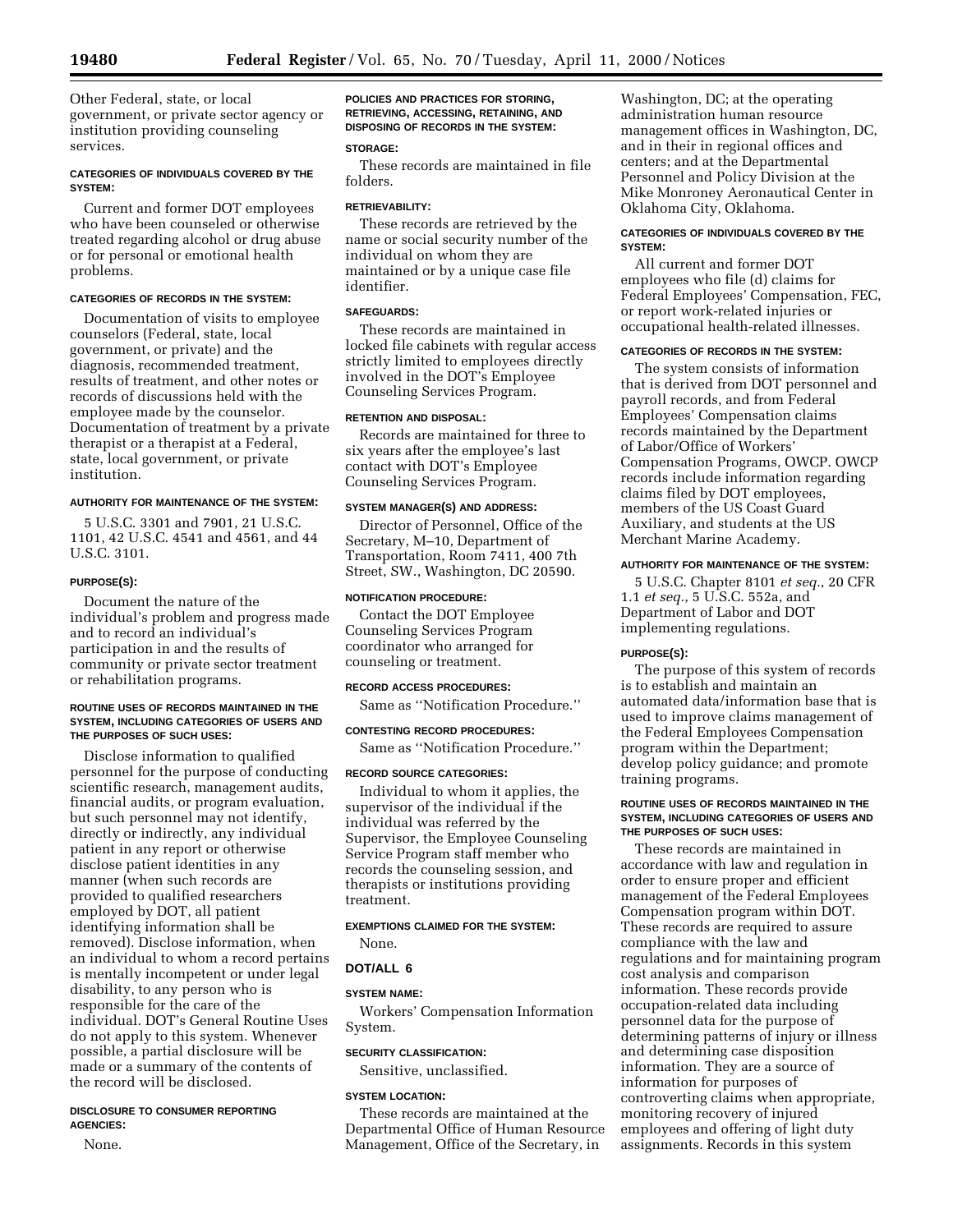Other Federal, state, or local government, or private sector agency or institution providing counseling services.

# **CATEGORIES OF INDIVIDUALS COVERED BY THE SYSTEM:**

Current and former DOT employees who have been counseled or otherwise treated regarding alcohol or drug abuse or for personal or emotional health problems.

# **CATEGORIES OF RECORDS IN THE SYSTEM:**

Documentation of visits to employee counselors (Federal, state, local government, or private) and the diagnosis, recommended treatment, results of treatment, and other notes or records of discussions held with the employee made by the counselor. Documentation of treatment by a private therapist or a therapist at a Federal, state, local government, or private institution.

# **AUTHORITY FOR MAINTENANCE OF THE SYSTEM:**

5 U.S.C. 3301 and 7901, 21 U.S.C. 1101, 42 U.S.C. 4541 and 4561, and 44 U.S.C. 3101.

# **PURPOSE(S):**

Document the nature of the individual's problem and progress made and to record an individual's participation in and the results of community or private sector treatment or rehabilitation programs.

#### **ROUTINE USES OF RECORDS MAINTAINED IN THE SYSTEM, INCLUDING CATEGORIES OF USERS AND THE PURPOSES OF SUCH USES:**

Disclose information to qualified personnel for the purpose of conducting scientific research, management audits, financial audits, or program evaluation, but such personnel may not identify, directly or indirectly, any individual patient in any report or otherwise disclose patient identities in any manner (when such records are provided to qualified researchers employed by DOT, all patient identifying information shall be removed). Disclose information, when an individual to whom a record pertains is mentally incompetent or under legal disability, to any person who is responsible for the care of the individual. DOT's General Routine Uses do not apply to this system. Whenever possible, a partial disclosure will be made or a summary of the contents of the record will be disclosed.

# **DISCLOSURE TO CONSUMER REPORTING AGENCIES:**

None.

**POLICIES AND PRACTICES FOR STORING, RETRIEVING, ACCESSING, RETAINING, AND DISPOSING OF RECORDS IN THE SYSTEM:**

# **STORAGE:**

These records are maintained in file folders.

# **RETRIEVABILITY:**

These records are retrieved by the name or social security number of the individual on whom they are maintained or by a unique case file identifier.

# **SAFEGUARDS:**

These records are maintained in locked file cabinets with regular access strictly limited to employees directly involved in the DOT's Employee Counseling Services Program.

# **RETENTION AND DISPOSAL:**

Records are maintained for three to six years after the employee's last contact with DOT's Employee Counseling Services Program.

# **SYSTEM MANAGER(S) AND ADDRESS:**

Director of Personnel, Office of the Secretary, M–10, Department of Transportation, Room 7411, 400 7th Street, SW., Washington, DC 20590.

# **NOTIFICATION PROCEDURE:**

Contact the DOT Employee Counseling Services Program coordinator who arranged for counseling or treatment.

# **RECORD ACCESS PROCEDURES:**

Same as ''Notification Procedure.''

# **CONTESTING RECORD PROCEDURES:**

Same as ''Notification Procedure.''

# **RECORD SOURCE CATEGORIES:**

Individual to whom it applies, the supervisor of the individual if the individual was referred by the Supervisor, the Employee Counseling Service Program staff member who records the counseling session, and therapists or institutions providing treatment.

# **EXEMPTIONS CLAIMED FOR THE SYSTEM:** None.

# **DOT/ALL 6**

# **SYSTEM NAME:**

Workers' Compensation Information System.

# **SECURITY CLASSIFICATION:**

Sensitive, unclassified.

# **SYSTEM LOCATION:**

These records are maintained at the Departmental Office of Human Resource Management, Office of the Secretary, in

Washington, DC; at the operating administration human resource management offices in Washington, DC, and in their in regional offices and centers; and at the Departmental Personnel and Policy Division at the Mike Monroney Aeronautical Center in Oklahoma City, Oklahoma.

# **CATEGORIES OF INDIVIDUALS COVERED BY THE SYSTEM:**

All current and former DOT employees who file (d) claims for Federal Employees' Compensation, FEC, or report work-related injuries or occupational health-related illnesses.

# **CATEGORIES OF RECORDS IN THE SYSTEM:**

The system consists of information that is derived from DOT personnel and payroll records, and from Federal Employees' Compensation claims records maintained by the Department of Labor/Office of Workers' Compensation Programs, OWCP. OWCP records include information regarding claims filed by DOT employees, members of the US Coast Guard Auxiliary, and students at the US Merchant Marine Academy.

# **AUTHORITY FOR MAINTENANCE OF THE SYSTEM:**

5 U.S.C. Chapter 8101 *et seq.*, 20 CFR 1.1 *et seq.*, 5 U.S.C. 552a, and Department of Labor and DOT implementing regulations.

# **PURPOSE(S):**

The purpose of this system of records is to establish and maintain an automated data/information base that is used to improve claims management of the Federal Employees Compensation program within the Department; develop policy guidance; and promote training programs.

#### **ROUTINE USES OF RECORDS MAINTAINED IN THE SYSTEM, INCLUDING CATEGORIES OF USERS AND THE PURPOSES OF SUCH USES:**

These records are maintained in accordance with law and regulation in order to ensure proper and efficient management of the Federal Employees Compensation program within DOT. These records are required to assure compliance with the law and regulations and for maintaining program cost analysis and comparison information. These records provide occupation-related data including personnel data for the purpose of determining patterns of injury or illness and determining case disposition information. They are a source of information for purposes of controverting claims when appropriate, monitoring recovery of injured employees and offering of light duty assignments. Records in this system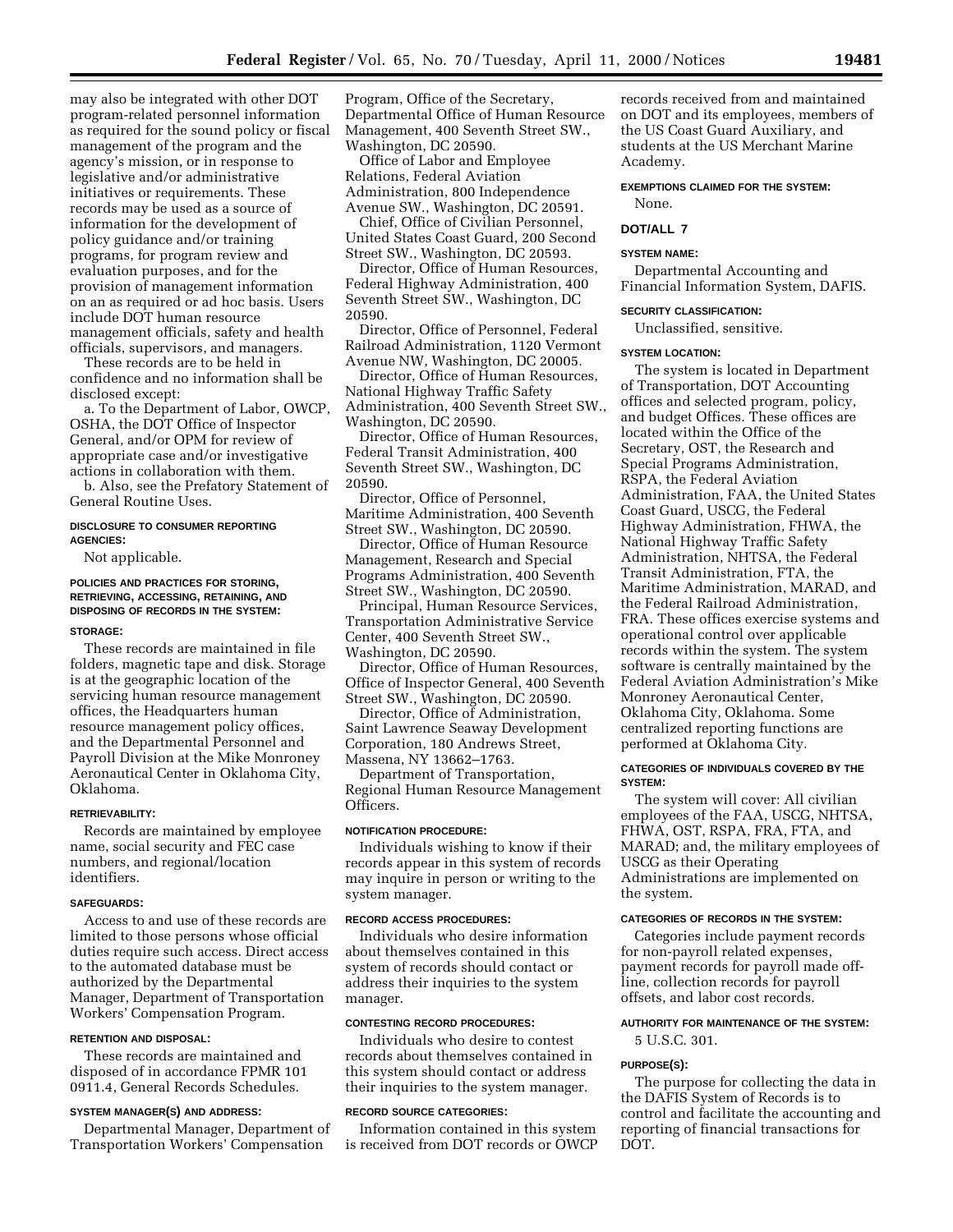may also be integrated with other DOT program-related personnel information as required for the sound policy or fiscal management of the program and the agency's mission, or in response to legislative and/or administrative initiatives or requirements. These records may be used as a source of information for the development of policy guidance and/or training programs, for program review and evaluation purposes, and for the provision of management information on an as required or ad hoc basis. Users include DOT human resource management officials, safety and health officials, supervisors, and managers.

These records are to be held in confidence and no information shall be disclosed except:

a. To the Department of Labor, OWCP, OSHA, the DOT Office of Inspector General, and/or OPM for review of appropriate case and/or investigative actions in collaboration with them.

b. Also, see the Prefatory Statement of General Routine Uses.

# **DISCLOSURE TO CONSUMER REPORTING AGENCIES:**

Not applicable.

# **POLICIES AND PRACTICES FOR STORING, RETRIEVING, ACCESSING, RETAINING, AND DISPOSING OF RECORDS IN THE SYSTEM:**

#### **STORAGE:**

These records are maintained in file folders, magnetic tape and disk. Storage is at the geographic location of the servicing human resource management offices, the Headquarters human resource management policy offices, and the Departmental Personnel and Payroll Division at the Mike Monroney Aeronautical Center in Oklahoma City, Oklahoma.

# **RETRIEVABILITY:**

Records are maintained by employee name, social security and FEC case numbers, and regional/location identifiers.

#### **SAFEGUARDS:**

Access to and use of these records are limited to those persons whose official duties require such access. Direct access to the automated database must be authorized by the Departmental Manager, Department of Transportation Workers' Compensation Program.

# **RETENTION AND DISPOSAL:**

These records are maintained and disposed of in accordance FPMR 101 0911.4, General Records Schedules.

#### **SYSTEM MANAGER(S) AND ADDRESS:**

Departmental Manager, Department of Transportation Workers' Compensation

Program, Office of the Secretary, Departmental Office of Human Resource Management, 400 Seventh Street SW., Washington, DC 20590.

Office of Labor and Employee Relations, Federal Aviation Administration, 800 Independence Avenue SW., Washington, DC 20591.

Chief, Office of Civilian Personnel, United States Coast Guard, 200 Second Street SW., Washington, DC 20593.

Director, Office of Human Resources, Federal Highway Administration, 400 Seventh Street SW., Washington, DC 20590.

Director, Office of Personnel, Federal Railroad Administration, 1120 Vermont Avenue NW, Washington, DC 20005.

Director, Office of Human Resources, National Highway Traffic Safety Administration, 400 Seventh Street SW., Washington, DC 20590.

Director, Office of Human Resources, Federal Transit Administration, 400 Seventh Street SW., Washington, DC 20590.

Director, Office of Personnel, Maritime Administration, 400 Seventh Street SW., Washington, DC 20590.

Director, Office of Human Resource Management, Research and Special Programs Administration, 400 Seventh Street SW., Washington, DC 20590.

Principal, Human Resource Services, Transportation Administrative Service Center, 400 Seventh Street SW., Washington, DC 20590.

Director, Office of Human Resources, Office of Inspector General, 400 Seventh Street SW., Washington, DC 20590.

Director, Office of Administration, Saint Lawrence Seaway Development Corporation, 180 Andrews Street, Massena, NY 13662–1763.

Department of Transportation, Regional Human Resource Management Officers.

#### **NOTIFICATION PROCEDURE:**

Individuals wishing to know if their records appear in this system of records may inquire in person or writing to the system manager.

#### **RECORD ACCESS PROCEDURES:**

Individuals who desire information about themselves contained in this system of records should contact or address their inquiries to the system manager.

# **CONTESTING RECORD PROCEDURES:**

Individuals who desire to contest records about themselves contained in this system should contact or address their inquiries to the system manager.

#### **RECORD SOURCE CATEGORIES:**

Information contained in this system is received from DOT records or OWCP

records received from and maintained on DOT and its employees, members of the US Coast Guard Auxiliary, and students at the US Merchant Marine Academy.

# **EXEMPTIONS CLAIMED FOR THE SYSTEM:**

None.

# **DOT/ALL 7**

# **SYSTEM NAME:**

Departmental Accounting and Financial Information System, DAFIS.

#### **SECURITY CLASSIFICATION:**

Unclassified, sensitive.

#### **SYSTEM LOCATION:**

The system is located in Department of Transportation, DOT Accounting offices and selected program, policy, and budget Offices. These offices are located within the Office of the Secretary, OST, the Research and Special Programs Administration, RSPA, the Federal Aviation Administration, FAA, the United States Coast Guard, USCG, the Federal Highway Administration, FHWA, the National Highway Traffic Safety Administration, NHTSA, the Federal Transit Administration, FTA, the Maritime Administration, MARAD, and the Federal Railroad Administration, FRA. These offices exercise systems and operational control over applicable records within the system. The system software is centrally maintained by the Federal Aviation Administration's Mike Monroney Aeronautical Center, Oklahoma City, Oklahoma. Some centralized reporting functions are performed at Oklahoma City.

#### **CATEGORIES OF INDIVIDUALS COVERED BY THE SYSTEM:**

The system will cover: All civilian employees of the FAA, USCG, NHTSA, FHWA, OST, RSPA, FRA, FTA, and MARAD; and, the military employees of USCG as their Operating Administrations are implemented on the system.

#### **CATEGORIES OF RECORDS IN THE SYSTEM:**

Categories include payment records for non-payroll related expenses, payment records for payroll made offline, collection records for payroll offsets, and labor cost records.

# **AUTHORITY FOR MAINTENANCE OF THE SYSTEM:**

5 U.S.C. 301.

#### **PURPOSE(S):**

The purpose for collecting the data in the DAFIS System of Records is to control and facilitate the accounting and reporting of financial transactions for DOT.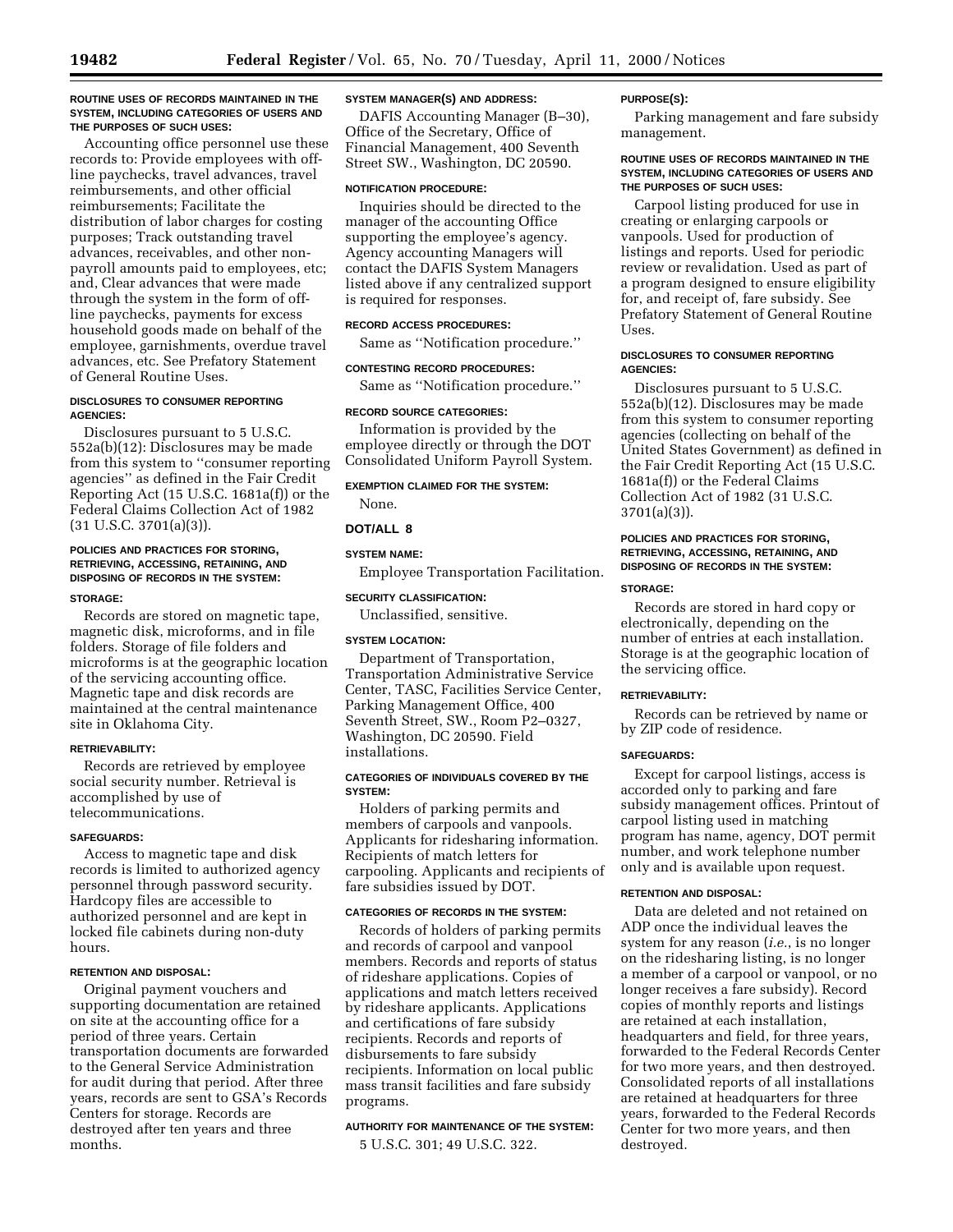#### **ROUTINE USES OF RECORDS MAINTAINED IN THE SYSTEM, INCLUDING CATEGORIES OF USERS AND THE PURPOSES OF SUCH USES:**

Accounting office personnel use these records to: Provide employees with offline paychecks, travel advances, travel reimbursements, and other official reimbursements; Facilitate the distribution of labor charges for costing purposes; Track outstanding travel advances, receivables, and other nonpayroll amounts paid to employees, etc; and, Clear advances that were made through the system in the form of offline paychecks, payments for excess household goods made on behalf of the employee, garnishments, overdue travel advances, etc. See Prefatory Statement of General Routine Uses.

# **DISCLOSURES TO CONSUMER REPORTING AGENCIES:**

Disclosures pursuant to 5 U.S.C. 552a(b)(12): Disclosures may be made from this system to ''consumer reporting agencies'' as defined in the Fair Credit Reporting Act (15 U.S.C. 1681a(f)) or the Federal Claims Collection Act of 1982  $(31 \text{ U.S.C. } 3701(a)(3))$ .

# **POLICIES AND PRACTICES FOR STORING, RETRIEVING, ACCESSING, RETAINING, AND DISPOSING OF RECORDS IN THE SYSTEM:**

#### **STORAGE:**

Records are stored on magnetic tape, magnetic disk, microforms, and in file folders. Storage of file folders and microforms is at the geographic location of the servicing accounting office. Magnetic tape and disk records are maintained at the central maintenance site in Oklahoma City.

# **RETRIEVABILITY:**

Records are retrieved by employee social security number. Retrieval is accomplished by use of telecommunications.

# **SAFEGUARDS:**

Access to magnetic tape and disk records is limited to authorized agency personnel through password security. Hardcopy files are accessible to authorized personnel and are kept in locked file cabinets during non-duty hours.

# **RETENTION AND DISPOSAL:**

Original payment vouchers and supporting documentation are retained on site at the accounting office for a period of three years. Certain transportation documents are forwarded to the General Service Administration for audit during that period. After three years, records are sent to GSA's Records Centers for storage. Records are destroyed after ten years and three months.

# **SYSTEM MANAGER(S) AND ADDRESS:**

DAFIS Accounting Manager (B–30), Office of the Secretary, Office of Financial Management, 400 Seventh Street SW., Washington, DC 20590.

# **NOTIFICATION PROCEDURE:**

Inquiries should be directed to the manager of the accounting Office supporting the employee's agency. Agency accounting Managers will contact the DAFIS System Managers listed above if any centralized support is required for responses.

# **RECORD ACCESS PROCEDURES:**

Same as ''Notification procedure.''

#### **CONTESTING RECORD PROCEDURES:**

Same as ''Notification procedure.''

#### **RECORD SOURCE CATEGORIES:**

Information is provided by the employee directly or through the DOT Consolidated Uniform Payroll System.

**EXEMPTION CLAIMED FOR THE SYSTEM:**

None.

# **DOT/ALL 8**

# **SYSTEM NAME:**

Employee Transportation Facilitation.

# **SECURITY CLASSIFICATION:**

Unclassified, sensitive.

# **SYSTEM LOCATION:**

Department of Transportation, Transportation Administrative Service Center, TASC, Facilities Service Center, Parking Management Office, 400 Seventh Street, SW., Room P2–0327, Washington, DC 20590. Field installations.

# **CATEGORIES OF INDIVIDUALS COVERED BY THE SYSTEM:**

Holders of parking permits and members of carpools and vanpools. Applicants for ridesharing information. Recipients of match letters for carpooling. Applicants and recipients of fare subsidies issued by DOT.

# **CATEGORIES OF RECORDS IN THE SYSTEM:**

Records of holders of parking permits and records of carpool and vanpool members. Records and reports of status of rideshare applications. Copies of applications and match letters received by rideshare applicants. Applications and certifications of fare subsidy recipients. Records and reports of disbursements to fare subsidy recipients. Information on local public mass transit facilities and fare subsidy programs.

# **AUTHORITY FOR MAINTENANCE OF THE SYSTEM:**

5 U.S.C. 301; 49 U.S.C. 322.

#### **PURPOSE(S):**

Parking management and fare subsidy management.

#### **ROUTINE USES OF RECORDS MAINTAINED IN THE SYSTEM, INCLUDING CATEGORIES OF USERS AND THE PURPOSES OF SUCH USES:**

Carpool listing produced for use in creating or enlarging carpools or vanpools. Used for production of listings and reports. Used for periodic review or revalidation. Used as part of a program designed to ensure eligibility for, and receipt of, fare subsidy. See Prefatory Statement of General Routine Uses.

#### **DISCLOSURES TO CONSUMER REPORTING AGENCIES:**

Disclosures pursuant to 5 U.S.C. 552a(b)(12). Disclosures may be made from this system to consumer reporting agencies (collecting on behalf of the United States Government) as defined in the Fair Credit Reporting Act (15 U.S.C. 1681a(f)) or the Federal Claims Collection Act of 1982 (31 U.S.C. 3701(a)(3)).

# **POLICIES AND PRACTICES FOR STORING, RETRIEVING, ACCESSING, RETAINING, AND DISPOSING OF RECORDS IN THE SYSTEM:**

#### **STORAGE:**

Records are stored in hard copy or electronically, depending on the number of entries at each installation. Storage is at the geographic location of the servicing office.

#### **RETRIEVABILITY:**

Records can be retrieved by name or by ZIP code of residence.

# **SAFEGUARDS:**

Except for carpool listings, access is accorded only to parking and fare subsidy management offices. Printout of carpool listing used in matching program has name, agency, DOT permit number, and work telephone number only and is available upon request.

#### **RETENTION AND DISPOSAL:**

Data are deleted and not retained on ADP once the individual leaves the system for any reason (*i.e.*, is no longer on the ridesharing listing, is no longer a member of a carpool or vanpool, or no longer receives a fare subsidy). Record copies of monthly reports and listings are retained at each installation, headquarters and field, for three years, forwarded to the Federal Records Center for two more years, and then destroyed. Consolidated reports of all installations are retained at headquarters for three years, forwarded to the Federal Records Center for two more years, and then destroyed.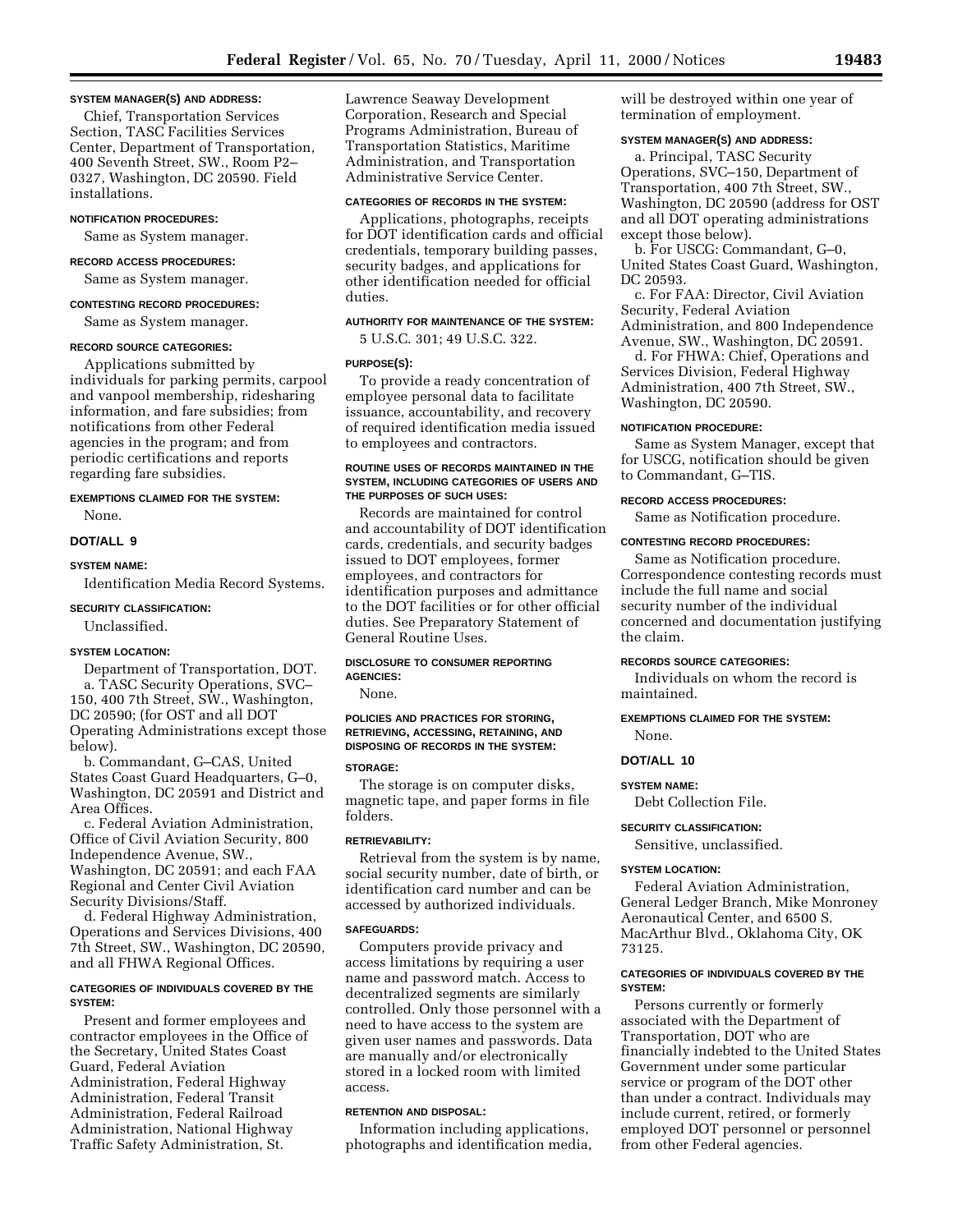#### **SYSTEM MANAGER(S) AND ADDRESS:**

Chief, Transportation Services Section, TASC Facilities Services Center, Department of Transportation, 400 Seventh Street, SW., Room P2– 0327, Washington, DC 20590. Field installations.

#### **NOTIFICATION PROCEDURES:**

Same as System manager.

#### **RECORD ACCESS PROCEDURES:**

Same as System manager.

**CONTESTING RECORD PROCEDURES:** Same as System manager.

# **RECORD SOURCE CATEGORIES:**

Applications submitted by individuals for parking permits, carpool and vanpool membership, ridesharing information, and fare subsidies; from notifications from other Federal agencies in the program; and from periodic certifications and reports regarding fare subsidies.

# **EXEMPTIONS CLAIMED FOR THE SYSTEM:** None.

#### **DOT/ALL 9**

#### **SYSTEM NAME:**

Identification Media Record Systems.

#### **SECURITY CLASSIFICATION:**

Unclassified.

#### **SYSTEM LOCATION:**

Department of Transportation, DOT. a. TASC Security Operations, SVC– 150, 400 7th Street, SW., Washington, DC 20590; (for OST and all DOT Operating Administrations except those below).

b. Commandant, G–CAS, United States Coast Guard Headquarters, G–0, Washington, DC 20591 and District and Area Offices.

c. Federal Aviation Administration, Office of Civil Aviation Security, 800 Independence Avenue, SW., Washington, DC 20591; and each FAA Regional and Center Civil Aviation Security Divisions/Staff.

d. Federal Highway Administration, Operations and Services Divisions, 400 7th Street, SW., Washington, DC 20590, and all FHWA Regional Offices.

#### **CATEGORIES OF INDIVIDUALS COVERED BY THE SYSTEM:**

Present and former employees and contractor employees in the Office of the Secretary, United States Coast Guard, Federal Aviation Administration, Federal Highway Administration, Federal Transit Administration, Federal Railroad Administration, National Highway Traffic Safety Administration, St.

Lawrence Seaway Development Corporation, Research and Special Programs Administration, Bureau of Transportation Statistics, Maritime Administration, and Transportation Administrative Service Center.

# **CATEGORIES OF RECORDS IN THE SYSTEM:**

Applications, photographs, receipts for DOT identification cards and official credentials, temporary building passes, security badges, and applications for other identification needed for official duties.

# **AUTHORITY FOR MAINTENANCE OF THE SYSTEM:**

5 U.S.C. 301; 49 U.S.C. 322.

#### **PURPOSE(S):**

To provide a ready concentration of employee personal data to facilitate issuance, accountability, and recovery of required identification media issued to employees and contractors.

#### **ROUTINE USES OF RECORDS MAINTAINED IN THE SYSTEM, INCLUDING CATEGORIES OF USERS AND THE PURPOSES OF SUCH USES:**

Records are maintained for control and accountability of DOT identification cards, credentials, and security badges issued to DOT employees, former employees, and contractors for identification purposes and admittance to the DOT facilities or for other official duties. See Preparatory Statement of General Routine Uses.

# **DISCLOSURE TO CONSUMER REPORTING AGENCIES:**

None.

# **POLICIES AND PRACTICES FOR STORING, RETRIEVING, ACCESSING, RETAINING, AND DISPOSING OF RECORDS IN THE SYSTEM:**

# **STORAGE:**

The storage is on computer disks, magnetic tape, and paper forms in file folders.

#### **RETRIEVABILITY:**

Retrieval from the system is by name, social security number, date of birth, or identification card number and can be accessed by authorized individuals.

#### **SAFEGUARDS:**

Computers provide privacy and access limitations by requiring a user name and password match. Access to decentralized segments are similarly controlled. Only those personnel with a need to have access to the system are given user names and passwords. Data are manually and/or electronically stored in a locked room with limited access.

#### **RETENTION AND DISPOSAL:**

Information including applications, photographs and identification media, will be destroyed within one year of termination of employment.

# **SYSTEM MANAGER(S) AND ADDRESS:**

a. Principal, TASC Security Operations, SVC–150, Department of Transportation, 400 7th Street, SW., Washington, DC 20590 (address for OST and all DOT operating administrations except those below).

b. For USCG: Commandant, G–0, United States Coast Guard, Washington, DC 20593.

c. For FAA: Director, Civil Aviation Security, Federal Aviation Administration, and 800 Independence Avenue, SW., Washington, DC 20591.

d. For FHWA: Chief, Operations and Services Division, Federal Highway Administration, 400 7th Street, SW., Washington, DC 20590.

## **NOTIFICATION PROCEDURE:**

Same as System Manager, except that for USCG, notification should be given to Commandant, G–TIS.

#### **RECORD ACCESS PROCEDURES:**

Same as Notification procedure.

#### **CONTESTING RECORD PROCEDURES:**

Same as Notification procedure. Correspondence contesting records must include the full name and social security number of the individual concerned and documentation justifying the claim.

# **RECORDS SOURCE CATEGORIES:**

Individuals on whom the record is maintained.

# **EXEMPTIONS CLAIMED FOR THE SYSTEM:**

# None. **DOT/ALL 10**

#### **SYSTEM NAME:**

Debt Collection File.

#### **SECURITY CLASSIFICATION:**

Sensitive, unclassified.

#### **SYSTEM LOCATION:**

Federal Aviation Administration, General Ledger Branch, Mike Monroney Aeronautical Center, and 6500 S. MacArthur Blvd., Oklahoma City, OK 73125.

#### **CATEGORIES OF INDIVIDUALS COVERED BY THE SYSTEM:**

Persons currently or formerly associated with the Department of Transportation, DOT who are financially indebted to the United States Government under some particular service or program of the DOT other than under a contract. Individuals may include current, retired, or formerly employed DOT personnel or personnel from other Federal agencies.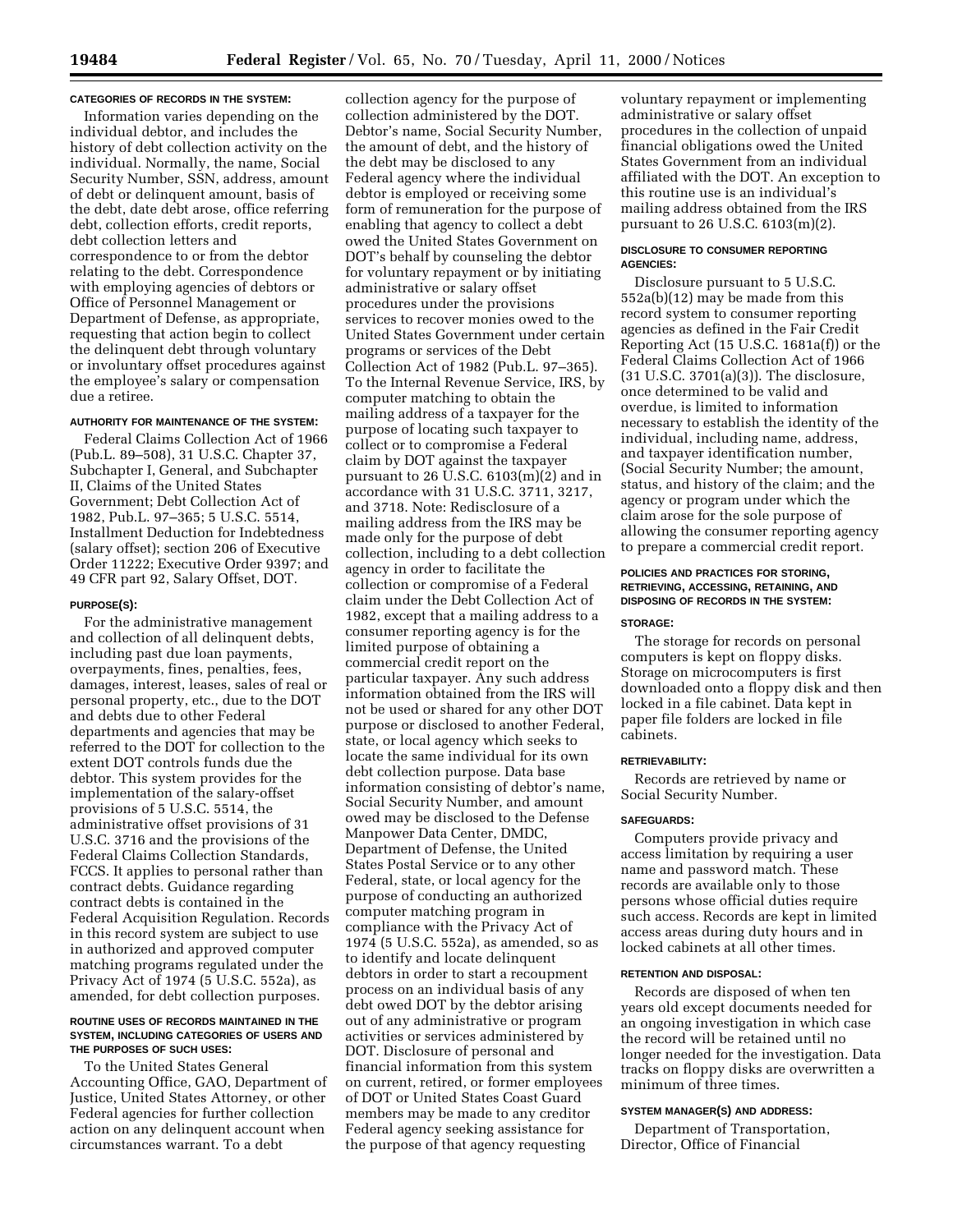#### **CATEGORIES OF RECORDS IN THE SYSTEM:**

Information varies depending on the individual debtor, and includes the history of debt collection activity on the individual. Normally, the name, Social Security Number, SSN, address, amount of debt or delinquent amount, basis of the debt, date debt arose, office referring debt, collection efforts, credit reports, debt collection letters and correspondence to or from the debtor relating to the debt. Correspondence with employing agencies of debtors or Office of Personnel Management or Department of Defense, as appropriate, requesting that action begin to collect the delinquent debt through voluntary or involuntary offset procedures against the employee's salary or compensation due a retiree.

#### **AUTHORITY FOR MAINTENANCE OF THE SYSTEM:**

Federal Claims Collection Act of 1966 (Pub.L. 89–508), 31 U.S.C. Chapter 37, Subchapter I, General, and Subchapter II, Claims of the United States Government; Debt Collection Act of 1982, Pub.L. 97–365; 5 U.S.C. 5514, Installment Deduction for Indebtedness (salary offset); section 206 of Executive Order 11222; Executive Order 9397; and 49 CFR part 92, Salary Offset, DOT.

#### **PURPOSE(S):**

For the administrative management and collection of all delinquent debts, including past due loan payments, overpayments, fines, penalties, fees, damages, interest, leases, sales of real or personal property, etc., due to the DOT and debts due to other Federal departments and agencies that may be referred to the DOT for collection to the extent DOT controls funds due the debtor. This system provides for the implementation of the salary-offset provisions of 5 U.S.C. 5514, the administrative offset provisions of 31 U.S.C. 3716 and the provisions of the Federal Claims Collection Standards, FCCS. It applies to personal rather than contract debts. Guidance regarding contract debts is contained in the Federal Acquisition Regulation. Records in this record system are subject to use in authorized and approved computer matching programs regulated under the Privacy Act of 1974 (5 U.S.C. 552a), as amended, for debt collection purposes.

#### **ROUTINE USES OF RECORDS MAINTAINED IN THE SYSTEM, INCLUDING CATEGORIES OF USERS AND THE PURPOSES OF SUCH USES:**

To the United States General Accounting Office, GAO, Department of Justice, United States Attorney, or other Federal agencies for further collection action on any delinquent account when circumstances warrant. To a debt

collection agency for the purpose of collection administered by the DOT. Debtor's name, Social Security Number, the amount of debt, and the history of the debt may be disclosed to any Federal agency where the individual debtor is employed or receiving some form of remuneration for the purpose of enabling that agency to collect a debt owed the United States Government on DOT's behalf by counseling the debtor for voluntary repayment or by initiating administrative or salary offset procedures under the provisions services to recover monies owed to the United States Government under certain programs or services of the Debt Collection Act of 1982 (Pub.L. 97–365). To the Internal Revenue Service, IRS, by computer matching to obtain the mailing address of a taxpayer for the purpose of locating such taxpayer to collect or to compromise a Federal claim by DOT against the taxpayer pursuant to 26 U.S.C. 6103(m)(2) and in accordance with 31 U.S.C. 3711, 3217, and 3718. Note: Redisclosure of a mailing address from the IRS may be made only for the purpose of debt collection, including to a debt collection agency in order to facilitate the collection or compromise of a Federal claim under the Debt Collection Act of 1982, except that a mailing address to a consumer reporting agency is for the limited purpose of obtaining a commercial credit report on the particular taxpayer. Any such address information obtained from the IRS will not be used or shared for any other DOT purpose or disclosed to another Federal, state, or local agency which seeks to locate the same individual for its own debt collection purpose. Data base information consisting of debtor's name, Social Security Number, and amount owed may be disclosed to the Defense Manpower Data Center, DMDC, Department of Defense, the United States Postal Service or to any other Federal, state, or local agency for the purpose of conducting an authorized computer matching program in compliance with the Privacy Act of 1974 (5 U.S.C. 552a), as amended, so as to identify and locate delinquent debtors in order to start a recoupment process on an individual basis of any debt owed DOT by the debtor arising out of any administrative or program activities or services administered by DOT. Disclosure of personal and financial information from this system on current, retired, or former employees of DOT or United States Coast Guard members may be made to any creditor Federal agency seeking assistance for the purpose of that agency requesting

voluntary repayment or implementing administrative or salary offset procedures in the collection of unpaid financial obligations owed the United States Government from an individual affiliated with the DOT. An exception to this routine use is an individual's mailing address obtained from the IRS pursuant to 26 U.S.C. 6103(m)(2).

#### **DISCLOSURE TO CONSUMER REPORTING AGENCIES:**

Disclosure pursuant to 5 U.S.C. 552a(b)(12) may be made from this record system to consumer reporting agencies as defined in the Fair Credit Reporting Act (15 U.S.C. 1681a(f)) or the Federal Claims Collection Act of 1966 (31 U.S.C. 3701(a)(3)). The disclosure, once determined to be valid and overdue, is limited to information necessary to establish the identity of the individual, including name, address, and taxpayer identification number, (Social Security Number; the amount, status, and history of the claim; and the agency or program under which the claim arose for the sole purpose of allowing the consumer reporting agency to prepare a commercial credit report.

# **POLICIES AND PRACTICES FOR STORING, RETRIEVING, ACCESSING, RETAINING, AND DISPOSING OF RECORDS IN THE SYSTEM:**

#### **STORAGE:**

The storage for records on personal computers is kept on floppy disks. Storage on microcomputers is first downloaded onto a floppy disk and then locked in a file cabinet. Data kept in paper file folders are locked in file cabinets.

# **RETRIEVABILITY:**

Records are retrieved by name or Social Security Number.

#### **SAFEGUARDS:**

Computers provide privacy and access limitation by requiring a user name and password match. These records are available only to those persons whose official duties require such access. Records are kept in limited access areas during duty hours and in locked cabinets at all other times.

#### **RETENTION AND DISPOSAL:**

Records are disposed of when ten years old except documents needed for an ongoing investigation in which case the record will be retained until no longer needed for the investigation. Data tracks on floppy disks are overwritten a minimum of three times.

#### **SYSTEM MANAGER(S) AND ADDRESS:**

Department of Transportation, Director, Office of Financial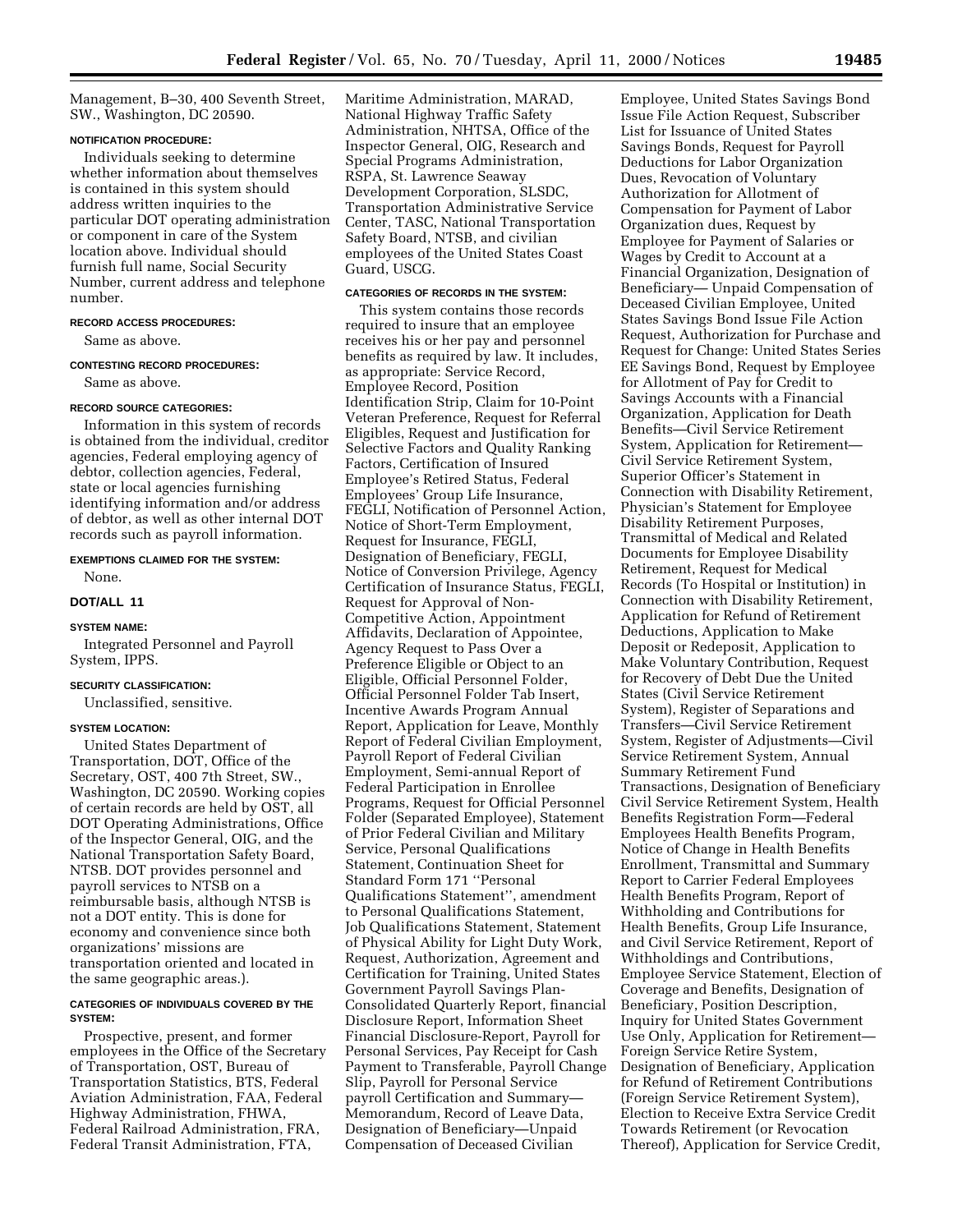Management, B–30, 400 Seventh Street, SW., Washington, DC 20590.

# **NOTIFICATION PROCEDURE:**

Individuals seeking to determine whether information about themselves is contained in this system should address written inquiries to the particular DOT operating administration or component in care of the System location above. Individual should furnish full name, Social Security Number, current address and telephone number.

# **RECORD ACCESS PROCEDURES:**

Same as above.

# **CONTESTING RECORD PROCEDURES:**

Same as above.

# **RECORD SOURCE CATEGORIES:**

Information in this system of records is obtained from the individual, creditor agencies, Federal employing agency of debtor, collection agencies, Federal, state or local agencies furnishing identifying information and/or address of debtor, as well as other internal DOT records such as payroll information.

#### **EXEMPTIONS CLAIMED FOR THE SYSTEM:**

None.

#### **DOT/ALL 11**

#### **SYSTEM NAME:**

Integrated Personnel and Payroll System, IPPS.

# **SECURITY CLASSIFICATION:**

Unclassified, sensitive.

# **SYSTEM LOCATION:**

United States Department of Transportation, DOT, Office of the Secretary, OST, 400 7th Street, SW., Washington, DC 20590. Working copies of certain records are held by OST, all DOT Operating Administrations, Office of the Inspector General, OIG, and the National Transportation Safety Board, NTSB. DOT provides personnel and payroll services to NTSB on a reimbursable basis, although NTSB is not a DOT entity. This is done for economy and convenience since both organizations' missions are transportation oriented and located in the same geographic areas.).

#### **CATEGORIES OF INDIVIDUALS COVERED BY THE SYSTEM:**

Prospective, present, and former employees in the Office of the Secretary of Transportation, OST, Bureau of Transportation Statistics, BTS, Federal Aviation Administration, FAA, Federal Highway Administration, FHWA, Federal Railroad Administration, FRA, Federal Transit Administration, FTA,

Maritime Administration, MARAD, National Highway Traffic Safety Administration, NHTSA, Office of the Inspector General, OIG, Research and Special Programs Administration, RSPA, St. Lawrence Seaway Development Corporation, SLSDC, Transportation Administrative Service Center, TASC, National Transportation Safety Board, NTSB, and civilian employees of the United States Coast Guard, USCG.

#### **CATEGORIES OF RECORDS IN THE SYSTEM:**

This system contains those records required to insure that an employee receives his or her pay and personnel benefits as required by law. It includes, as appropriate: Service Record, Employee Record, Position Identification Strip, Claim for 10-Point Veteran Preference, Request for Referral Eligibles, Request and Justification for Selective Factors and Quality Ranking Factors, Certification of Insured Employee's Retired Status, Federal Employees' Group Life Insurance, FEGLI, Notification of Personnel Action, Notice of Short-Term Employment, Request for Insurance, FEGLI, Designation of Beneficiary, FEGLI, Notice of Conversion Privilege, Agency Certification of Insurance Status, FEGLI, Request for Approval of Non-Competitive Action, Appointment Affidavits, Declaration of Appointee, Agency Request to Pass Over a Preference Eligible or Object to an Eligible, Official Personnel Folder, Official Personnel Folder Tab Insert, Incentive Awards Program Annual Report, Application for Leave, Monthly Report of Federal Civilian Employment, Payroll Report of Federal Civilian Employment, Semi-annual Report of Federal Participation in Enrollee Programs, Request for Official Personnel Folder (Separated Employee), Statement of Prior Federal Civilian and Military Service, Personal Qualifications Statement, Continuation Sheet for Standard Form 171 ''Personal Qualifications Statement'', amendment to Personal Qualifications Statement, Job Qualifications Statement, Statement of Physical Ability for Light Duty Work, Request, Authorization, Agreement and Certification for Training, United States Government Payroll Savings Plan-Consolidated Quarterly Report, financial Disclosure Report, Information Sheet Financial Disclosure-Report, Payroll for Personal Services, Pay Receipt for Cash Payment to Transferable, Payroll Change Slip, Payroll for Personal Service payroll Certification and Summary— Memorandum, Record of Leave Data, Designation of Beneficiary—Unpaid Compensation of Deceased Civilian

Employee, United States Savings Bond Issue File Action Request, Subscriber List for Issuance of United States Savings Bonds, Request for Payroll Deductions for Labor Organization Dues, Revocation of Voluntary Authorization for Allotment of Compensation for Payment of Labor Organization dues, Request by Employee for Payment of Salaries or Wages by Credit to Account at a Financial Organization, Designation of Beneficiary— Unpaid Compensation of Deceased Civilian Employee, United States Savings Bond Issue File Action Request, Authorization for Purchase and Request for Change: United States Series EE Savings Bond, Request by Employee for Allotment of Pay for Credit to Savings Accounts with a Financial Organization, Application for Death Benefits—Civil Service Retirement System, Application for Retirement— Civil Service Retirement System, Superior Officer's Statement in Connection with Disability Retirement, Physician's Statement for Employee Disability Retirement Purposes, Transmittal of Medical and Related Documents for Employee Disability Retirement, Request for Medical Records (To Hospital or Institution) in Connection with Disability Retirement, Application for Refund of Retirement Deductions, Application to Make Deposit or Redeposit, Application to Make Voluntary Contribution, Request for Recovery of Debt Due the United States (Civil Service Retirement System), Register of Separations and Transfers—Civil Service Retirement System, Register of Adjustments—Civil Service Retirement System, Annual Summary Retirement Fund Transactions, Designation of Beneficiary Civil Service Retirement System, Health Benefits Registration Form—Federal Employees Health Benefits Program, Notice of Change in Health Benefits Enrollment, Transmittal and Summary Report to Carrier Federal Employees Health Benefits Program, Report of Withholding and Contributions for Health Benefits, Group Life Insurance, and Civil Service Retirement, Report of Withholdings and Contributions, Employee Service Statement, Election of Coverage and Benefits, Designation of Beneficiary, Position Description, Inquiry for United States Government Use Only, Application for Retirement— Foreign Service Retire System, Designation of Beneficiary, Application for Refund of Retirement Contributions (Foreign Service Retirement System), Election to Receive Extra Service Credit Towards Retirement (or Revocation Thereof), Application for Service Credit,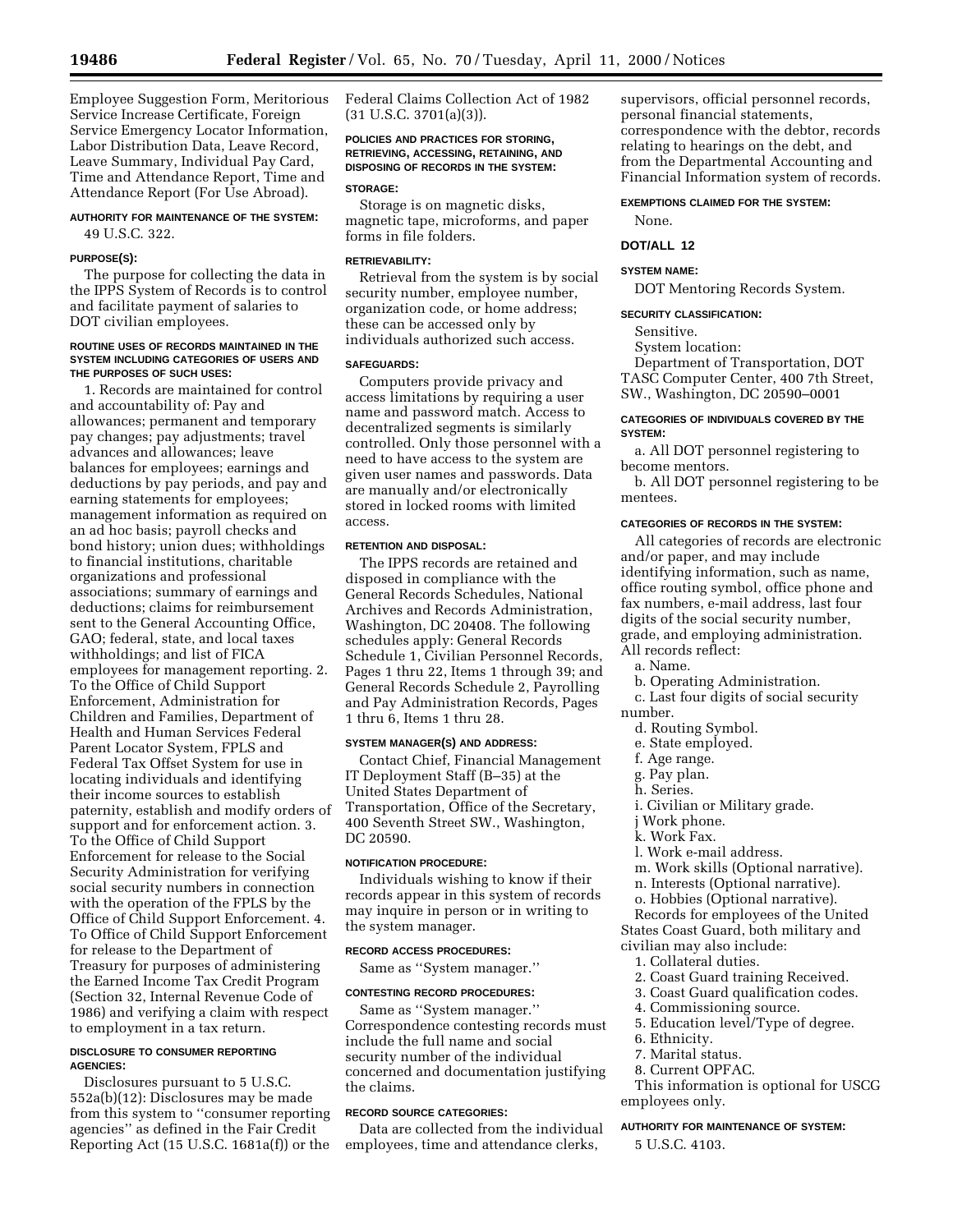Employee Suggestion Form, Meritorious Service Increase Certificate, Foreign Service Emergency Locator Information, Labor Distribution Data, Leave Record, Leave Summary, Individual Pay Card, Time and Attendance Report, Time and Attendance Report (For Use Abroad).

# **AUTHORITY FOR MAINTENANCE OF THE SYSTEM:** 49 U.S.C. 322.

#### **PURPOSE(S):**

The purpose for collecting the data in the IPPS System of Records is to control and facilitate payment of salaries to DOT civilian employees.

#### **ROUTINE USES OF RECORDS MAINTAINED IN THE SYSTEM INCLUDING CATEGORIES OF USERS AND THE PURPOSES OF SUCH USES:**

1. Records are maintained for control and accountability of: Pay and allowances; permanent and temporary pay changes; pay adjustments; travel advances and allowances; leave balances for employees; earnings and deductions by pay periods, and pay and earning statements for employees; management information as required on an ad hoc basis; payroll checks and bond history; union dues; withholdings to financial institutions, charitable organizations and professional associations; summary of earnings and deductions; claims for reimbursement sent to the General Accounting Office, GAO; federal, state, and local taxes withholdings; and list of FICA employees for management reporting. 2. To the Office of Child Support Enforcement, Administration for Children and Families, Department of Health and Human Services Federal Parent Locator System, FPLS and Federal Tax Offset System for use in locating individuals and identifying their income sources to establish paternity, establish and modify orders of support and for enforcement action. 3. To the Office of Child Support Enforcement for release to the Social Security Administration for verifying social security numbers in connection with the operation of the FPLS by the Office of Child Support Enforcement. 4. To Office of Child Support Enforcement for release to the Department of Treasury for purposes of administering the Earned Income Tax Credit Program (Section 32, Internal Revenue Code of 1986) and verifying a claim with respect to employment in a tax return.

#### **DISCLOSURE TO CONSUMER REPORTING AGENCIES:**

Disclosures pursuant to 5 U.S.C. 552a(b)(12): Disclosures may be made from this system to ''consumer reporting agencies'' as defined in the Fair Credit Reporting Act (15 U.S.C. 1681a(f)) or the

Federal Claims Collection Act of 1982  $(31 \text{ U.S.C. } 3701(a)(3))$ .

# **POLICIES AND PRACTICES FOR STORING, RETRIEVING, ACCESSING, RETAINING, AND DISPOSING OF RECORDS IN THE SYSTEM:**

#### **STORAGE:**

Storage is on magnetic disks, magnetic tape, microforms, and paper forms in file folders.

#### **RETRIEVABILITY:**

Retrieval from the system is by social security number, employee number, organization code, or home address; these can be accessed only by individuals authorized such access.

# **SAFEGUARDS:**

Computers provide privacy and access limitations by requiring a user name and password match. Access to decentralized segments is similarly controlled. Only those personnel with a need to have access to the system are given user names and passwords. Data are manually and/or electronically stored in locked rooms with limited access.

# **RETENTION AND DISPOSAL:**

The IPPS records are retained and disposed in compliance with the General Records Schedules, National Archives and Records Administration, Washington, DC 20408. The following schedules apply: General Records Schedule 1, Civilian Personnel Records, Pages 1 thru 22, Items 1 through 39; and General Records Schedule 2, Payrolling and Pay Administration Records, Pages 1 thru 6, Items 1 thru 28.

#### **SYSTEM MANAGER(S) AND ADDRESS:**

Contact Chief, Financial Management IT Deployment Staff (B–35) at the United States Department of Transportation, Office of the Secretary, 400 Seventh Street SW., Washington, DC 20590.

#### **NOTIFICATION PROCEDURE:**

Individuals wishing to know if their records appear in this system of records may inquire in person or in writing to the system manager.

#### **RECORD ACCESS PROCEDURES:**

Same as ''System manager.''

#### **CONTESTING RECORD PROCEDURES:**

Same as ''System manager.'' Correspondence contesting records must include the full name and social security number of the individual concerned and documentation justifying the claims.

# **RECORD SOURCE CATEGORIES:**

Data are collected from the individual employees, time and attendance clerks,

supervisors, official personnel records, personal financial statements, correspondence with the debtor, records relating to hearings on the debt, and from the Departmental Accounting and Financial Information system of records.

#### **EXEMPTIONS CLAIMED FOR THE SYSTEM:**

None.

# **DOT/ALL 12**

#### **SYSTEM NAME:**

DOT Mentoring Records System.

#### **SECURITY CLASSIFICATION:**

Sensitive.

System location:

Department of Transportation, DOT TASC Computer Center, 400 7th Street, SW., Washington, DC 20590–0001

# **CATEGORIES OF INDIVIDUALS COVERED BY THE SYSTEM:**

a. All DOT personnel registering to become mentors.

b. All DOT personnel registering to be mentees.

# **CATEGORIES OF RECORDS IN THE SYSTEM:**

All categories of records are electronic and/or paper, and may include identifying information, such as name, office routing symbol, office phone and fax numbers, e-mail address, last four digits of the social security number, grade, and employing administration. All records reflect:

a. Name.

- b. Operating Administration.
- c. Last four digits of social security number.
	- d. Routing Symbol.
	- e. State employed.
	- f. Age range.
	- g. Pay plan.
	- h. Series.
	- i. Civilian or Military grade.
	- j Work phone.
	- k. Work Fax.
	- l. Work e-mail address.
	- m. Work skills (Optional narrative).
	- n. Interests (Optional narrative).
	- o. Hobbies (Optional narrative).
	- Records for employees of the United

States Coast Guard, both military and

- civilian may also include:
	- 1. Collateral duties.
	- 2. Coast Guard training Received.
	- 3. Coast Guard qualification codes.
	- 4. Commissioning source.
	- 5. Education level/Type of degree.
	- 6. Ethnicity.
- 7. Marital status.
- 8. Current OPFAC.

This information is optional for USCG employees only.

#### **AUTHORITY FOR MAINTENANCE OF SYSTEM:**

5 U.S.C. 4103.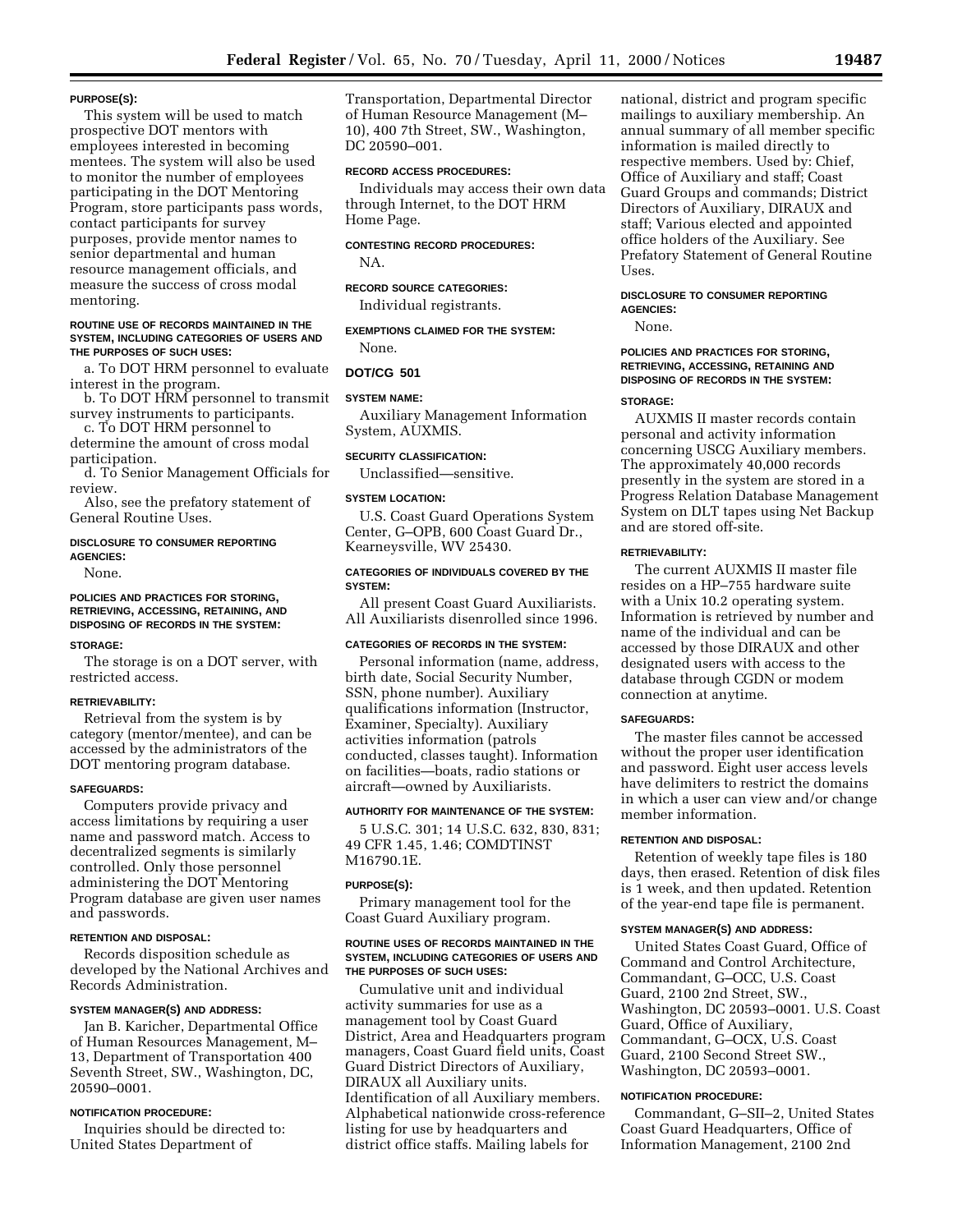#### **PURPOSE(S):**

This system will be used to match prospective DOT mentors with employees interested in becoming mentees. The system will also be used to monitor the number of employees participating in the DOT Mentoring Program, store participants pass words, contact participants for survey purposes, provide mentor names to senior departmental and human resource management officials, and measure the success of cross modal mentoring.

#### **ROUTINE USE OF RECORDS MAINTAINED IN THE SYSTEM, INCLUDING CATEGORIES OF USERS AND THE PURPOSES OF SUCH USES:**

a. To DOT HRM personnel to evaluate interest in the program.

b. To DOT HRM personnel to transmit survey instruments to participants.

c. To DOT HRM personnel to determine the amount of cross modal participation.

d. To Senior Management Officials for review.

Also, see the prefatory statement of General Routine Uses.

# **DISCLOSURE TO CONSUMER REPORTING AGENCIES:**

None.

# **POLICIES AND PRACTICES FOR STORING, RETRIEVING, ACCESSING, RETAINING, AND DISPOSING OF RECORDS IN THE SYSTEM:**

#### **STORAGE:**

The storage is on a DOT server, with restricted access.

#### **RETRIEVABILITY:**

Retrieval from the system is by category (mentor/mentee), and can be accessed by the administrators of the DOT mentoring program database.

#### **SAFEGUARDS:**

Computers provide privacy and access limitations by requiring a user name and password match. Access to decentralized segments is similarly controlled. Only those personnel administering the DOT Mentoring Program database are given user names and passwords.

#### **RETENTION AND DISPOSAL:**

Records disposition schedule as developed by the National Archives and Records Administration.

#### **SYSTEM MANAGER(S) AND ADDRESS:**

Jan B. Karicher, Departmental Office of Human Resources Management, M– 13, Department of Transportation 400 Seventh Street, SW., Washington, DC, 20590–0001.

#### **NOTIFICATION PROCEDURE:**

Inquiries should be directed to: United States Department of

Transportation, Departmental Director of Human Resource Management (M– 10), 400 7th Street, SW., Washington, DC 20590–001.

#### **RECORD ACCESS PROCEDURES:**

Individuals may access their own data through Internet, to the DOT HRM Home Page.

#### **CONTESTING RECORD PROCEDURES:**

NA.

# **RECORD SOURCE CATEGORIES:**

Individual registrants.

**EXEMPTIONS CLAIMED FOR THE SYSTEM:** None.

#### **DOT/CG 501**

#### **SYSTEM NAME:**

Auxiliary Management Information System, AUXMIS.

### **SECURITY CLASSIFICATION:**

Unclassified—sensitive.

# **SYSTEM LOCATION:**

U.S. Coast Guard Operations System Center, G–OPB, 600 Coast Guard Dr., Kearneysville, WV 25430.

#### **CATEGORIES OF INDIVIDUALS COVERED BY THE SYSTEM:**

All present Coast Guard Auxiliarists. All Auxiliarists disenrolled since 1996.

# **CATEGORIES OF RECORDS IN THE SYSTEM:**

Personal information (name, address, birth date, Social Security Number, SSN, phone number). Auxiliary qualifications information (Instructor, Examiner, Specialty). Auxiliary activities information (patrols conducted, classes taught). Information on facilities—boats, radio stations or aircraft—owned by Auxiliarists.

## **AUTHORITY FOR MAINTENANCE OF THE SYSTEM:**

5 U.S.C. 301; 14 U.S.C. 632, 830, 831; 49 CFR 1.45, 1.46; COMDTINST M16790.1E.

#### **PURPOSE(S):**

Primary management tool for the Coast Guard Auxiliary program.

#### **ROUTINE USES OF RECORDS MAINTAINED IN THE SYSTEM, INCLUDING CATEGORIES OF USERS AND THE PURPOSES OF SUCH USES:**

Cumulative unit and individual activity summaries for use as a management tool by Coast Guard District, Area and Headquarters program managers, Coast Guard field units, Coast Guard District Directors of Auxiliary, DIRAUX all Auxiliary units. Identification of all Auxiliary members. Alphabetical nationwide cross-reference listing for use by headquarters and district office staffs. Mailing labels for

national, district and program specific mailings to auxiliary membership. An annual summary of all member specific information is mailed directly to respective members. Used by: Chief, Office of Auxiliary and staff; Coast Guard Groups and commands; District Directors of Auxiliary, DIRAUX and staff; Various elected and appointed office holders of the Auxiliary. See Prefatory Statement of General Routine Uses.

#### **DISCLOSURE TO CONSUMER REPORTING AGENCIES:**

None.

## **POLICIES AND PRACTICES FOR STORING, RETRIEVING, ACCESSING, RETAINING AND DISPOSING OF RECORDS IN THE SYSTEM:**

#### **STORAGE:**

AUXMIS II master records contain personal and activity information concerning USCG Auxiliary members. The approximately 40,000 records presently in the system are stored in a Progress Relation Database Management System on DLT tapes using Net Backup and are stored off-site.

#### **RETRIEVABILITY:**

The current AUXMIS II master file resides on a HP–755 hardware suite with a Unix 10.2 operating system. Information is retrieved by number and name of the individual and can be accessed by those DIRAUX and other designated users with access to the database through CGDN or modem connection at anytime.

# **SAFEGUARDS:**

The master files cannot be accessed without the proper user identification and password. Eight user access levels have delimiters to restrict the domains in which a user can view and/or change member information.

# **RETENTION AND DISPOSAL:**

Retention of weekly tape files is 180 days, then erased. Retention of disk files is 1 week, and then updated. Retention of the year-end tape file is permanent.

#### **SYSTEM MANAGER(S) AND ADDRESS:**

United States Coast Guard, Office of Command and Control Architecture, Commandant, G–OCC, U.S. Coast Guard, 2100 2nd Street, SW., Washington, DC 20593–0001. U.S. Coast Guard, Office of Auxiliary, Commandant, G–OCX, U.S. Coast Guard, 2100 Second Street SW., Washington, DC 20593–0001.

#### **NOTIFICATION PROCEDURE:**

Commandant, G–SII–2, United States Coast Guard Headquarters, Office of Information Management, 2100 2nd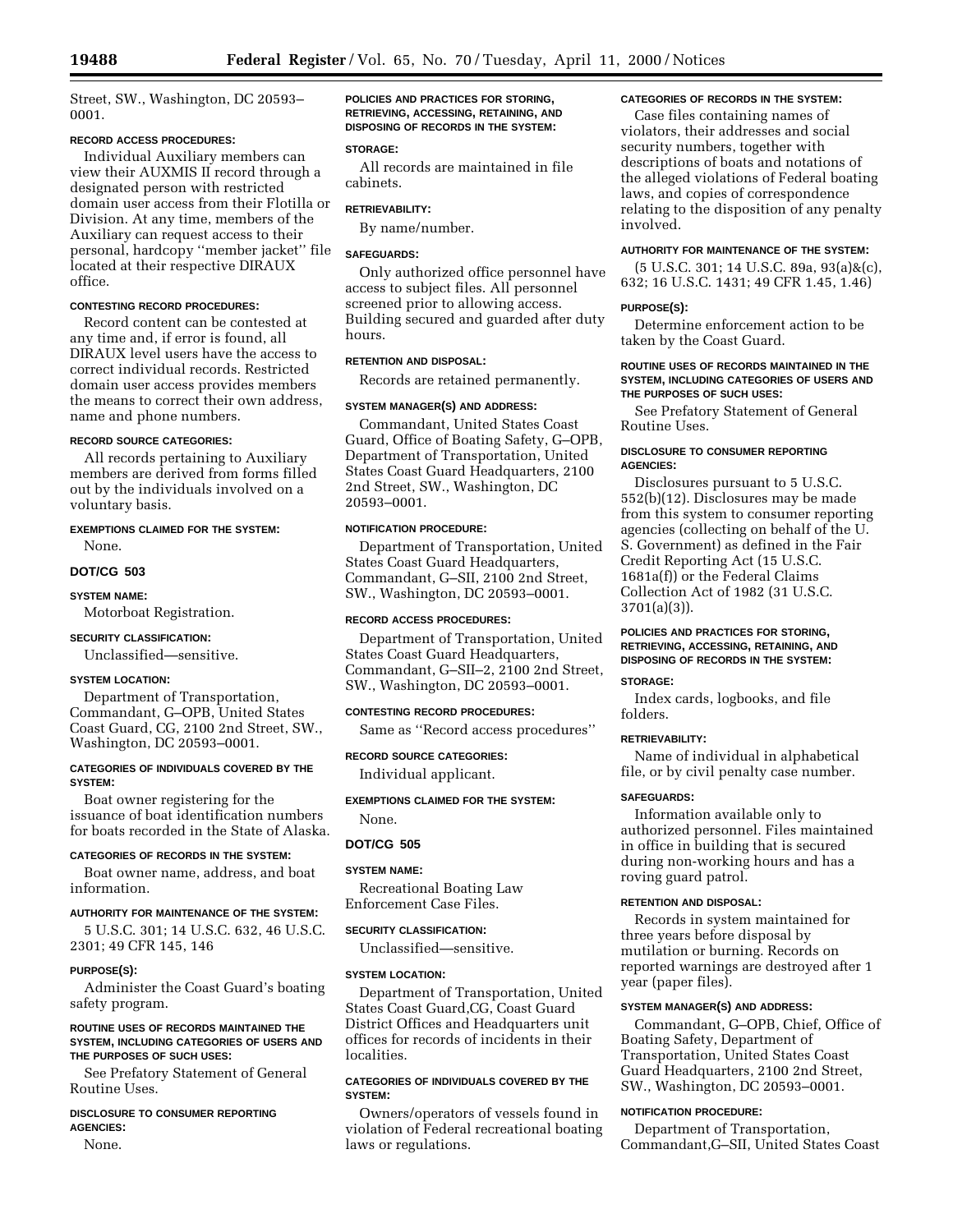Street, SW., Washington, DC 20593– 0001.

# **RECORD ACCESS PROCEDURES:**

Individual Auxiliary members can view their AUXMIS II record through a designated person with restricted domain user access from their Flotilla or Division. At any time, members of the Auxiliary can request access to their personal, hardcopy ''member jacket'' file located at their respective DIRAUX office.

#### **CONTESTING RECORD PROCEDURES:**

Record content can be contested at any time and, if error is found, all DIRAUX level users have the access to correct individual records. Restricted domain user access provides members the means to correct their own address, name and phone numbers.

# **RECORD SOURCE CATEGORIES:**

All records pertaining to Auxiliary members are derived from forms filled out by the individuals involved on a voluntary basis.

#### **EXEMPTIONS CLAIMED FOR THE SYSTEM:** None.

# **DOT/CG 503**

# **SYSTEM NAME:**

Motorboat Registration.

# **SECURITY CLASSIFICATION:**

Unclassified—sensitive.

# **SYSTEM LOCATION:**

Department of Transportation, Commandant, G–OPB, United States Coast Guard, CG, 2100 2nd Street, SW., Washington, DC 20593–0001.

#### **CATEGORIES OF INDIVIDUALS COVERED BY THE SYSTEM:**

Boat owner registering for the issuance of boat identification numbers for boats recorded in the State of Alaska.

# **CATEGORIES OF RECORDS IN THE SYSTEM:**

Boat owner name, address, and boat information.

# **AUTHORITY FOR MAINTENANCE OF THE SYSTEM:**

5 U.S.C. 301; 14 U.S.C. 632, 46 U.S.C. 2301; 49 CFR 145, 146

#### **PURPOSE(S):**

Administer the Coast Guard's boating safety program.

#### **ROUTINE USES OF RECORDS MAINTAINED THE SYSTEM, INCLUDING CATEGORIES OF USERS AND THE PURPOSES OF SUCH USES:**

See Prefatory Statement of General Routine Uses.

# **DISCLOSURE TO CONSUMER REPORTING AGENCIES:**

None.

**POLICIES AND PRACTICES FOR STORING, RETRIEVING, ACCESSING, RETAINING, AND DISPOSING OF RECORDS IN THE SYSTEM:**

#### **STORAGE:**

All records are maintained in file cabinets.

# **RETRIEVABILITY:**

By name/number.

# **SAFEGUARDS:**

Only authorized office personnel have access to subject files. All personnel screened prior to allowing access. Building secured and guarded after duty hours.

# **RETENTION AND DISPOSAL:**

Records are retained permanently.

#### **SYSTEM MANAGER(S) AND ADDRESS:**

Commandant, United States Coast Guard, Office of Boating Safety, G–OPB, Department of Transportation, United States Coast Guard Headquarters, 2100 2nd Street, SW., Washington, DC 20593–0001.

# **NOTIFICATION PROCEDURE:**

Department of Transportation, United States Coast Guard Headquarters, Commandant, G–SII, 2100 2nd Street, SW., Washington, DC 20593–0001.

#### **RECORD ACCESS PROCEDURES:**

Department of Transportation, United States Coast Guard Headquarters, Commandant, G–SII–2, 2100 2nd Street, SW., Washington, DC 20593–0001.

# **CONTESTING RECORD PROCEDURES:**

Same as ''Record access procedures''

# **RECORD SOURCE CATEGORIES:**

Individual applicant.

# **EXEMPTIONS CLAIMED FOR THE SYSTEM:**

# None.

# **DOT/CG 505**

# **SYSTEM NAME:**

Recreational Boating Law Enforcement Case Files.

#### **SECURITY CLASSIFICATION:**

Unclassified—sensitive.

#### **SYSTEM LOCATION:**

Department of Transportation, United States Coast Guard,CG, Coast Guard District Offices and Headquarters unit offices for records of incidents in their localities.

# **CATEGORIES OF INDIVIDUALS COVERED BY THE SYSTEM:**

Owners/operators of vessels found in violation of Federal recreational boating laws or regulations.

# **CATEGORIES OF RECORDS IN THE SYSTEM:**

Case files containing names of violators, their addresses and social security numbers, together with descriptions of boats and notations of the alleged violations of Federal boating laws, and copies of correspondence relating to the disposition of any penalty involved.

# **AUTHORITY FOR MAINTENANCE OF THE SYSTEM:**

(5 U.S.C. 301; 14 U.S.C. 89a, 93(a)&(c), 632; 16 U.S.C. 1431; 49 CFR 1.45, 1.46)

#### **PURPOSE(S):**

Determine enforcement action to be taken by the Coast Guard.

#### **ROUTINE USES OF RECORDS MAINTAINED IN THE SYSTEM, INCLUDING CATEGORIES OF USERS AND THE PURPOSES OF SUCH USES:**

See Prefatory Statement of General Routine Uses.

# **DISCLOSURE TO CONSUMER REPORTING AGENCIES:**

Disclosures pursuant to 5 U.S.C. 552(b)(12). Disclosures may be made from this system to consumer reporting agencies (collecting on behalf of the U. S. Government) as defined in the Fair Credit Reporting Act (15 U.S.C. 1681a(f)) or the Federal Claims Collection Act of 1982 (31 U.S.C. 3701(a)(3)).

# **POLICIES AND PRACTICES FOR STORING, RETRIEVING, ACCESSING, RETAINING, AND DISPOSING OF RECORDS IN THE SYSTEM:**

# **STORAGE:**

Index cards, logbooks, and file folders.

#### **RETRIEVABILITY:**

Name of individual in alphabetical file, or by civil penalty case number.

# **SAFEGUARDS:**

Information available only to authorized personnel. Files maintained in office in building that is secured during non-working hours and has a roving guard patrol.

#### **RETENTION AND DISPOSAL:**

Records in system maintained for three years before disposal by mutilation or burning. Records on reported warnings are destroyed after 1 year (paper files).

# **SYSTEM MANAGER(S) AND ADDRESS:**

Commandant, G–OPB, Chief, Office of Boating Safety, Department of Transportation, United States Coast Guard Headquarters, 2100 2nd Street, SW., Washington, DC 20593–0001.

#### **NOTIFICATION PROCEDURE:**

Department of Transportation, Commandant,G–SII, United States Coast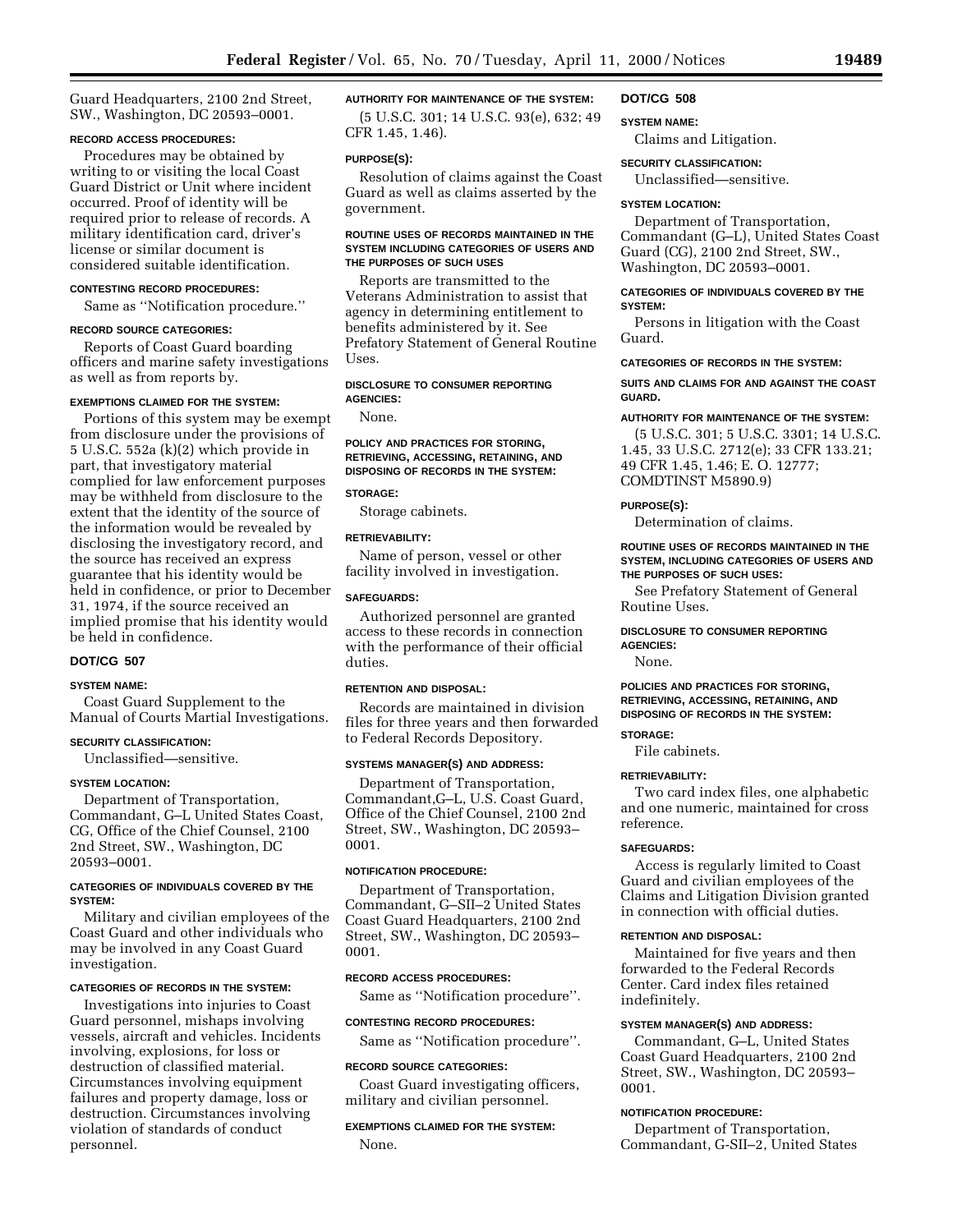Guard Headquarters, 2100 2nd Street, SW., Washington, DC 20593–0001.

# **RECORD ACCESS PROCEDURES:**

Procedures may be obtained by writing to or visiting the local Coast Guard District or Unit where incident occurred. Proof of identity will be required prior to release of records. A military identification card, driver's license or similar document is considered suitable identification.

# **CONTESTING RECORD PROCEDURES:**

Same as ''Notification procedure.''

#### **RECORD SOURCE CATEGORIES:**

Reports of Coast Guard boarding officers and marine safety investigations as well as from reports by.

# **EXEMPTIONS CLAIMED FOR THE SYSTEM:**

Portions of this system may be exempt from disclosure under the provisions of 5 U.S.C. 552a (k)(2) which provide in part, that investigatory material complied for law enforcement purposes may be withheld from disclosure to the extent that the identity of the source of the information would be revealed by disclosing the investigatory record, and the source has received an express guarantee that his identity would be held in confidence, or prior to December 31, 1974, if the source received an implied promise that his identity would be held in confidence.

# **DOT/CG 507**

#### **SYSTEM NAME:**

Coast Guard Supplement to the Manual of Courts Martial Investigations.

#### **SECURITY CLASSIFICATION:**

Unclassified—sensitive.

#### **SYSTEM LOCATION:**

Department of Transportation, Commandant, G–L United States Coast, CG, Office of the Chief Counsel, 2100 2nd Street, SW., Washington, DC 20593–0001.

#### **CATEGORIES OF INDIVIDUALS COVERED BY THE SYSTEM:**

Military and civilian employees of the Coast Guard and other individuals who may be involved in any Coast Guard investigation.

#### **CATEGORIES OF RECORDS IN THE SYSTEM:**

Investigations into injuries to Coast Guard personnel, mishaps involving vessels, aircraft and vehicles. Incidents involving, explosions, for loss or destruction of classified material. Circumstances involving equipment failures and property damage, loss or destruction. Circumstances involving violation of standards of conduct personnel.

# **AUTHORITY FOR MAINTENANCE OF THE SYSTEM:**

(5 U.S.C. 301; 14 U.S.C. 93(e), 632; 49 CFR 1.45, 1.46).

#### **PURPOSE(S):**

Resolution of claims against the Coast Guard as well as claims asserted by the government.

#### **ROUTINE USES OF RECORDS MAINTAINED IN THE SYSTEM INCLUDING CATEGORIES OF USERS AND THE PURPOSES OF SUCH USES**

Reports are transmitted to the Veterans Administration to assist that agency in determining entitlement to benefits administered by it. See Prefatory Statement of General Routine Uses.

# **DISCLOSURE TO CONSUMER REPORTING AGENCIES:**

None.

#### **POLICY AND PRACTICES FOR STORING, RETRIEVING, ACCESSING, RETAINING, AND DISPOSING OF RECORDS IN THE SYSTEM:**

#### **STORAGE:**

Storage cabinets.

# **RETRIEVABILITY:**

Name of person, vessel or other facility involved in investigation.

#### **SAFEGUARDS:**

Authorized personnel are granted access to these records in connection with the performance of their official duties.

#### **RETENTION AND DISPOSAL:**

Records are maintained in division files for three years and then forwarded to Federal Records Depository.

#### **SYSTEMS MANAGER(S) AND ADDRESS:**

Department of Transportation, Commandant,G–L, U.S. Coast Guard, Office of the Chief Counsel, 2100 2nd Street, SW., Washington, DC 20593– 0001.

# **NOTIFICATION PROCEDURE:**

Department of Transportation, Commandant, G–SII–2 United States Coast Guard Headquarters, 2100 2nd Street, SW., Washington, DC 20593– 0001.

# **RECORD ACCESS PROCEDURES:**

Same as ''Notification procedure''.

**CONTESTING RECORD PROCEDURES:** Same as ''Notification procedure''.

#### **RECORD SOURCE CATEGORIES:**

Coast Guard investigating officers, military and civilian personnel.

# **EXEMPTIONS CLAIMED FOR THE SYSTEM:** None.

**DOT/CG 508 SYSTEM NAME:**

Claims and Litigation.

#### **SECURITY CLASSIFICATION:**

Unclassified—sensitive.

#### **SYSTEM LOCATION:**

Department of Transportation, Commandant (G–L), United States Coast Guard (CG), 2100 2nd Street, SW., Washington, DC 20593–0001.

# **CATEGORIES OF INDIVIDUALS COVERED BY THE SYSTEM:**

Persons in litigation with the Coast Guard.

# **CATEGORIES OF RECORDS IN THE SYSTEM:**

#### **SUITS AND CLAIMS FOR AND AGAINST THE COAST GUARD.**

# **AUTHORITY FOR MAINTENANCE OF THE SYSTEM:**

(5 U.S.C. 301; 5 U.S.C. 3301; 14 U.S.C. 1.45, 33 U.S.C. 2712(e); 33 CFR 133.21; 49 CFR 1.45, 1.46; E. O. 12777; COMDTINST M5890.9)

# **PURPOSE(S):**

Determination of claims.

#### **ROUTINE USES OF RECORDS MAINTAINED IN THE SYSTEM, INCLUDING CATEGORIES OF USERS AND THE PURPOSES OF SUCH USES:**

See Prefatory Statement of General Routine Uses.

# **DISCLOSURE TO CONSUMER REPORTING AGENCIES:**

None.

# **POLICIES AND PRACTICES FOR STORING, RETRIEVING, ACCESSING, RETAINING, AND DISPOSING OF RECORDS IN THE SYSTEM:**

### **STORAGE:**

File cabinets.

# **RETRIEVABILITY:**

Two card index files, one alphabetic and one numeric, maintained for cross reference.

#### **SAFEGUARDS:**

Access is regularly limited to Coast Guard and civilian employees of the Claims and Litigation Division granted in connection with official duties.

#### **RETENTION AND DISPOSAL:**

Maintained for five years and then forwarded to the Federal Records Center. Card index files retained indefinitely.

# **SYSTEM MANAGER(S) AND ADDRESS:**

Commandant, G–L, United States Coast Guard Headquarters, 2100 2nd Street, SW., Washington, DC 20593– 0001.

#### **NOTIFICATION PROCEDURE:**

Department of Transportation, Commandant, G-SII–2, United States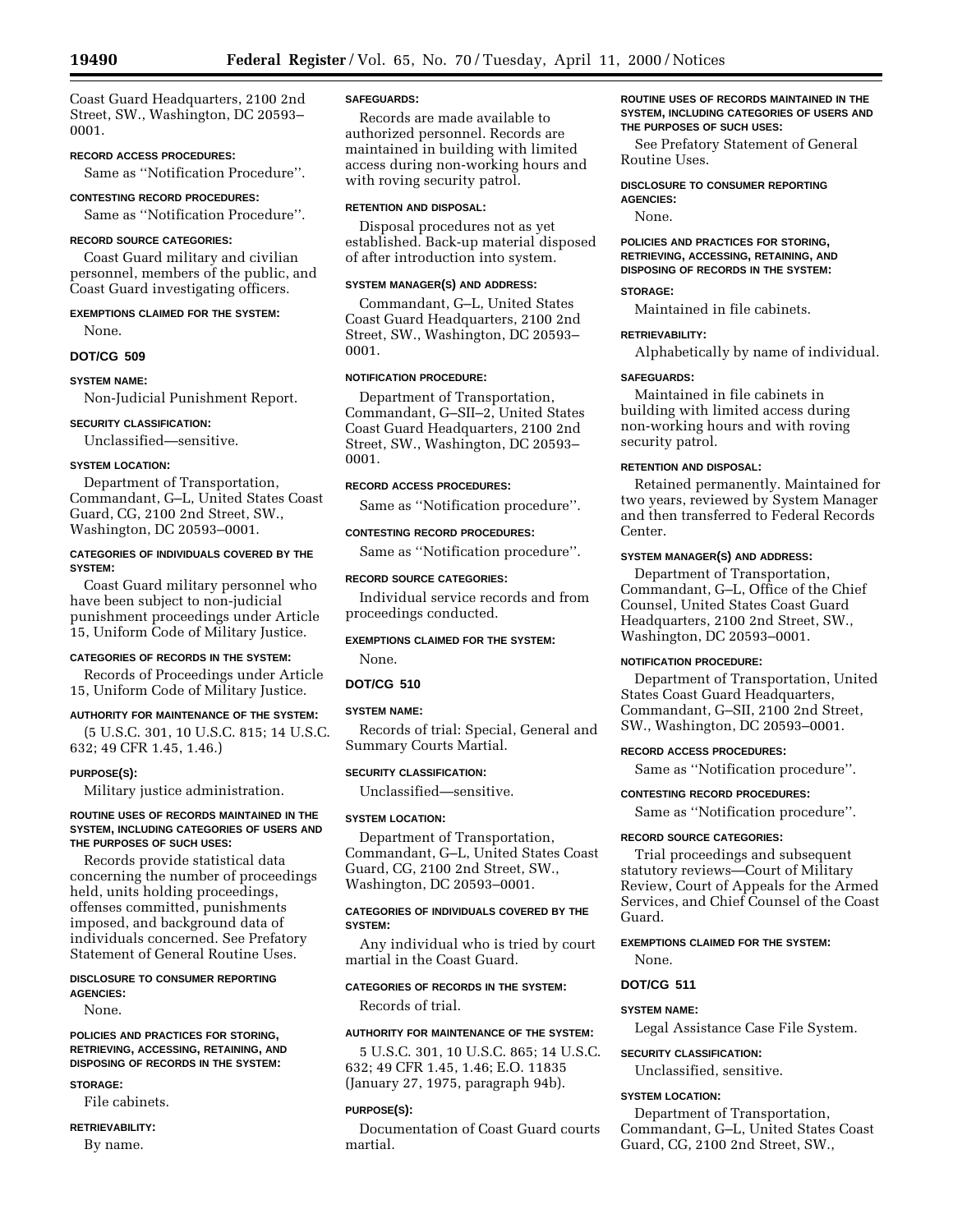Coast Guard Headquarters, 2100 2nd Street, SW., Washington, DC 20593– 0001.

**RECORD ACCESS PROCEDURES:**

Same as ''Notification Procedure''.

#### **CONTESTING RECORD PROCEDURES:**

Same as ''Notification Procedure''.

#### **RECORD SOURCE CATEGORIES:**

Coast Guard military and civilian personnel, members of the public, and Coast Guard investigating officers.

# **EXEMPTIONS CLAIMED FOR THE SYSTEM:** None.

**DOT/CG 509**

#### **SYSTEM NAME:**

Non-Judicial Punishment Report.

#### **SECURITY CLASSIFICATION:**

Unclassified—sensitive.

# **SYSTEM LOCATION:**

Department of Transportation, Commandant, G–L, United States Coast Guard, CG, 2100 2nd Street, SW., Washington, DC 20593–0001.

#### **CATEGORIES OF INDIVIDUALS COVERED BY THE SYSTEM:**

Coast Guard military personnel who have been subject to non-judicial punishment proceedings under Article 15, Uniform Code of Military Justice.

### **CATEGORIES OF RECORDS IN THE SYSTEM:**

Records of Proceedings under Article 15, Uniform Code of Military Justice.

# **AUTHORITY FOR MAINTENANCE OF THE SYSTEM:**

(5 U.S.C. 301, 10 U.S.C. 815; 14 U.S.C. 632; 49 CFR 1.45, 1.46.)

#### **PURPOSE(S):**

Military justice administration.

#### **ROUTINE USES OF RECORDS MAINTAINED IN THE SYSTEM, INCLUDING CATEGORIES OF USERS AND THE PURPOSES OF SUCH USES:**

Records provide statistical data concerning the number of proceedings held, units holding proceedings, offenses committed, punishments imposed, and background data of individuals concerned. See Prefatory Statement of General Routine Uses.

# **DISCLOSURE TO CONSUMER REPORTING AGENCIES:**

None.

#### **POLICIES AND PRACTICES FOR STORING, RETRIEVING, ACCESSING, RETAINING, AND DISPOSING OF RECORDS IN THE SYSTEM:**

#### **STORAGE:**

File cabinets. **RETRIEVABILITY:**

By name.

# **SAFEGUARDS:**

Records are made available to authorized personnel. Records are maintained in building with limited access during non-working hours and with roving security patrol.

#### **RETENTION AND DISPOSAL:**

Disposal procedures not as yet established. Back-up material disposed of after introduction into system.

#### **SYSTEM MANAGER(S) AND ADDRESS:**

Commandant, G–L, United States Coast Guard Headquarters, 2100 2nd Street, SW., Washington, DC 20593– 0001.

# **NOTIFICATION PROCEDURE:**

Department of Transportation, Commandant, G–SII–2, United States Coast Guard Headquarters, 2100 2nd Street, SW., Washington, DC 20593– 0001.

#### **RECORD ACCESS PROCEDURES:**

Same as ''Notification procedure''.

#### **CONTESTING RECORD PROCEDURES:**

Same as ''Notification procedure''.

#### **RECORD SOURCE CATEGORIES:**

Individual service records and from proceedings conducted.

# **EXEMPTIONS CLAIMED FOR THE SYSTEM:**

None.

# **DOT/CG 510**

#### **SYSTEM NAME:**

Records of trial: Special, General and Summary Courts Martial.

### **SECURITY CLASSIFICATION:**

Unclassified—sensitive.

# **SYSTEM LOCATION:**

Department of Transportation, Commandant, G–L, United States Coast Guard, CG, 2100 2nd Street, SW., Washington, DC 20593–0001.

# **CATEGORIES OF INDIVIDUALS COVERED BY THE SYSTEM:**

Any individual who is tried by court martial in the Coast Guard.

# **CATEGORIES OF RECORDS IN THE SYSTEM:**

Records of trial.

#### **AUTHORITY FOR MAINTENANCE OF THE SYSTEM:**

5 U.S.C. 301, 10 U.S.C. 865; 14 U.S.C. 632; 49 CFR 1.45, 1.46; E.O. 11835 (January 27, 1975, paragraph 94b).

#### **PURPOSE(S):**

Documentation of Coast Guard courts martial.

#### **ROUTINE USES OF RECORDS MAINTAINED IN THE SYSTEM, INCLUDING CATEGORIES OF USERS AND THE PURPOSES OF SUCH USES:**

See Prefatory Statement of General Routine Uses.

**DISCLOSURE TO CONSUMER REPORTING AGENCIES:**

None.

#### **POLICIES AND PRACTICES FOR STORING, RETRIEVING, ACCESSING, RETAINING, AND DISPOSING OF RECORDS IN THE SYSTEM:**

#### **STORAGE:**

Maintained in file cabinets.

# **RETRIEVABILITY:**

Alphabetically by name of individual.

#### **SAFEGUARDS:**

Maintained in file cabinets in building with limited access during non-working hours and with roving security patrol.

#### **RETENTION AND DISPOSAL:**

Retained permanently. Maintained for two years, reviewed by System Manager and then transferred to Federal Records Center.

#### **SYSTEM MANAGER(S) AND ADDRESS:**

Department of Transportation, Commandant, G–L, Office of the Chief Counsel, United States Coast Guard Headquarters, 2100 2nd Street, SW., Washington, DC 20593–0001.

#### **NOTIFICATION PROCEDURE:**

Department of Transportation, United States Coast Guard Headquarters, Commandant, G–SII, 2100 2nd Street, SW., Washington, DC 20593–0001.

#### **RECORD ACCESS PROCEDURES:**

Same as ''Notification procedure''.

# **CONTESTING RECORD PROCEDURES:**

Same as ''Notification procedure''.

#### **RECORD SOURCE CATEGORIES:**

Trial proceedings and subsequent statutory reviews—Court of Military Review, Court of Appeals for the Armed Services, and Chief Counsel of the Coast Guard.

# **EXEMPTIONS CLAIMED FOR THE SYSTEM:** None.

# **DOT/CG 511**

# **SYSTEM NAME:**

Legal Assistance Case File System.

# **SECURITY CLASSIFICATION:**

Unclassified, sensitive.

# **SYSTEM LOCATION:**

Department of Transportation, Commandant, G–L, United States Coast Guard, CG, 2100 2nd Street, SW.,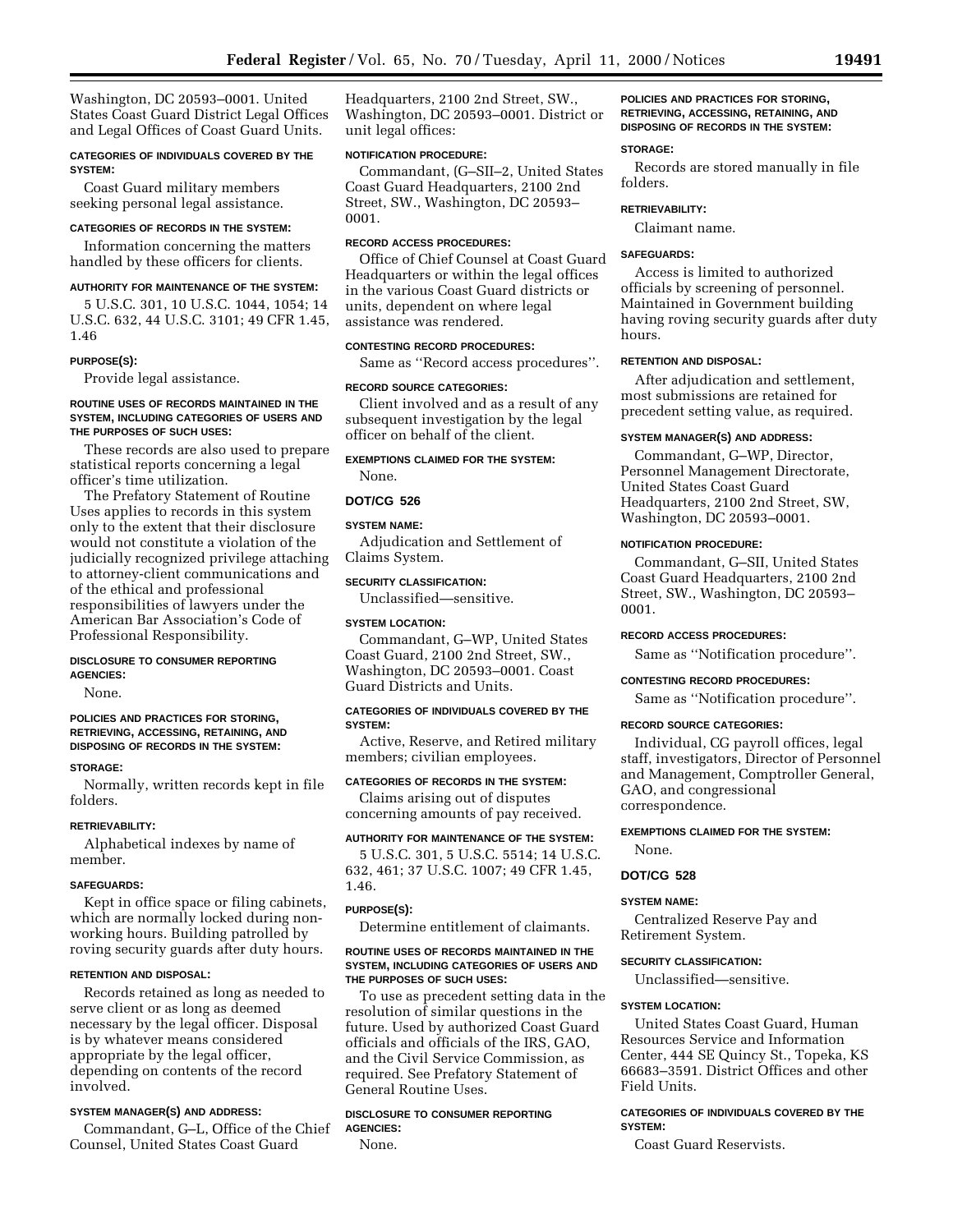Washington, DC 20593–0001. United States Coast Guard District Legal Offices and Legal Offices of Coast Guard Units.

### **CATEGORIES OF INDIVIDUALS COVERED BY THE SYSTEM:**

Coast Guard military members seeking personal legal assistance.

# **CATEGORIES OF RECORDS IN THE SYSTEM:**

Information concerning the matters handled by these officers for clients.

#### **AUTHORITY FOR MAINTENANCE OF THE SYSTEM:**

5 U.S.C. 301, 10 U.S.C. 1044, 1054; 14 U.S.C. 632, 44 U.S.C. 3101; 49 CFR 1.45, 1.46

#### **PURPOSE(S):**

Provide legal assistance.

#### **ROUTINE USES OF RECORDS MAINTAINED IN THE SYSTEM, INCLUDING CATEGORIES OF USERS AND THE PURPOSES OF SUCH USES:**

These records are also used to prepare statistical reports concerning a legal officer's time utilization.

The Prefatory Statement of Routine Uses applies to records in this system only to the extent that their disclosure would not constitute a violation of the judicially recognized privilege attaching to attorney-client communications and of the ethical and professional responsibilities of lawyers under the American Bar Association's Code of Professional Responsibility.

# **DISCLOSURE TO CONSUMER REPORTING AGENCIES:**

None.

# **POLICIES AND PRACTICES FOR STORING, RETRIEVING, ACCESSING, RETAINING, AND DISPOSING OF RECORDS IN THE SYSTEM:**

#### **STORAGE:**

Normally, written records kept in file folders.

#### **RETRIEVABILITY:**

Alphabetical indexes by name of member.

#### **SAFEGUARDS:**

Kept in office space or filing cabinets, which are normally locked during nonworking hours. Building patrolled by roving security guards after duty hours.

# **RETENTION AND DISPOSAL:**

Records retained as long as needed to serve client or as long as deemed necessary by the legal officer. Disposal is by whatever means considered appropriate by the legal officer, depending on contents of the record involved.

#### **SYSTEM MANAGER(S) AND ADDRESS:**

Commandant, G–L, Office of the Chief Counsel, United States Coast Guard

Headquarters, 2100 2nd Street, SW., Washington, DC 20593–0001. District or unit legal offices:

# **NOTIFICATION PROCEDURE:**

Commandant, (G–SII–2, United States Coast Guard Headquarters, 2100 2nd Street, SW., Washington, DC 20593– 0001.

#### **RECORD ACCESS PROCEDURES:**

Office of Chief Counsel at Coast Guard Headquarters or within the legal offices in the various Coast Guard districts or units, dependent on where legal assistance was rendered.

# **CONTESTING RECORD PROCEDURES:**

Same as ''Record access procedures''.

#### **RECORD SOURCE CATEGORIES:**

Client involved and as a result of any subsequent investigation by the legal officer on behalf of the client.

**EXEMPTIONS CLAIMED FOR THE SYSTEM:** None.

#### **DOT/CG 526**

# **SYSTEM NAME:**

Adjudication and Settlement of Claims System.

# **SECURITY CLASSIFICATION:**

Unclassified—sensitive.

#### **SYSTEM LOCATION:**

Commandant, G–WP, United States Coast Guard, 2100 2nd Street, SW., Washington, DC 20593–0001. Coast Guard Districts and Units.

#### **CATEGORIES OF INDIVIDUALS COVERED BY THE SYSTEM:**

Active, Reserve, and Retired military members; civilian employees.

# **CATEGORIES OF RECORDS IN THE SYSTEM:**

Claims arising out of disputes concerning amounts of pay received.

#### **AUTHORITY FOR MAINTENANCE OF THE SYSTEM:**

5 U.S.C. 301, 5 U.S.C. 5514; 14 U.S.C. 632, 461; 37 U.S.C. 1007; 49 CFR 1.45, 1.46.

#### **PURPOSE(S):**

Determine entitlement of claimants.

#### **ROUTINE USES OF RECORDS MAINTAINED IN THE SYSTEM, INCLUDING CATEGORIES OF USERS AND THE PURPOSES OF SUCH USES:**

To use as precedent setting data in the resolution of similar questions in the future. Used by authorized Coast Guard officials and officials of the IRS, GAO, and the Civil Service Commission, as required. See Prefatory Statement of General Routine Uses.

#### **DISCLOSURE TO CONSUMER REPORTING AGENCIES:**

None.

# **POLICIES AND PRACTICES FOR STORING, RETRIEVING, ACCESSING, RETAINING, AND DISPOSING OF RECORDS IN THE SYSTEM:**

#### **STORAGE:**

Records are stored manually in file folders.

#### **RETRIEVABILITY:**

Claimant name.

# **SAFEGUARDS:**

Access is limited to authorized officials by screening of personnel. Maintained in Government building having roving security guards after duty hours.

# **RETENTION AND DISPOSAL:**

After adjudication and settlement, most submissions are retained for precedent setting value, as required.

# **SYSTEM MANAGER(S) AND ADDRESS:**

Commandant, G–WP, Director, Personnel Management Directorate, United States Coast Guard Headquarters, 2100 2nd Street, SW, Washington, DC 20593–0001.

#### **NOTIFICATION PROCEDURE:**

Commandant, G–SII, United States Coast Guard Headquarters, 2100 2nd Street, SW., Washington, DC 20593– 0001.

#### **RECORD ACCESS PROCEDURES:**

Same as ''Notification procedure''.

#### **CONTESTING RECORD PROCEDURES:**

Same as ''Notification procedure''.

#### **RECORD SOURCE CATEGORIES:**

Individual, CG payroll offices, legal staff, investigators, Director of Personnel and Management, Comptroller General, GAO, and congressional correspondence.

#### **EXEMPTIONS CLAIMED FOR THE SYSTEM:**

None.

# **DOT/CG 528**

# **SYSTEM NAME:**

Centralized Reserve Pay and Retirement System.

# **SECURITY CLASSIFICATION:**

Unclassified—sensitive.

# **SYSTEM LOCATION:**

United States Coast Guard, Human Resources Service and Information Center, 444 SE Quincy St., Topeka, KS 66683–3591. District Offices and other Field Units.

# **CATEGORIES OF INDIVIDUALS COVERED BY THE SYSTEM:**

Coast Guard Reservists.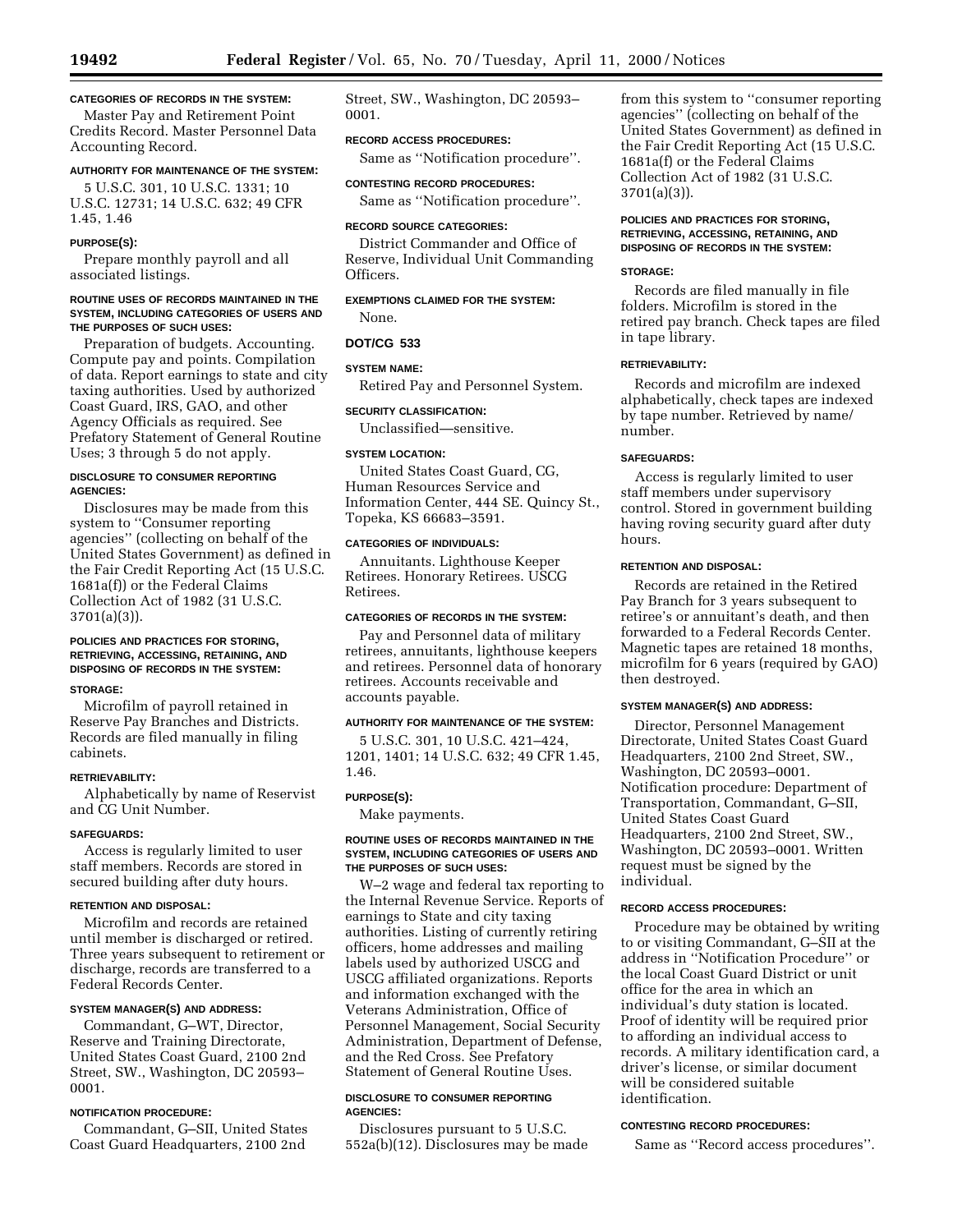# **CATEGORIES OF RECORDS IN THE SYSTEM:**

Master Pay and Retirement Point Credits Record. Master Personnel Data Accounting Record.

# **AUTHORITY FOR MAINTENANCE OF THE SYSTEM:**

5 U.S.C. 301, 10 U.S.C. 1331; 10 U.S.C. 12731; 14 U.S.C. 632; 49 CFR 1.45, 1.46

#### **PURPOSE(S):**

Prepare monthly payroll and all associated listings.

#### **ROUTINE USES OF RECORDS MAINTAINED IN THE SYSTEM, INCLUDING CATEGORIES OF USERS AND THE PURPOSES OF SUCH USES:**

Preparation of budgets. Accounting. Compute pay and points. Compilation of data. Report earnings to state and city taxing authorities. Used by authorized Coast Guard, IRS, GAO, and other Agency Officials as required. See Prefatory Statement of General Routine Uses; 3 through 5 do not apply.

# **DISCLOSURE TO CONSUMER REPORTING AGENCIES:**

Disclosures may be made from this system to ''Consumer reporting agencies'' (collecting on behalf of the United States Government) as defined in the Fair Credit Reporting Act (15 U.S.C. 1681a(f)) or the Federal Claims Collection Act of 1982 (31 U.S.C. 3701(a)(3)).

# **POLICIES AND PRACTICES FOR STORING, RETRIEVING, ACCESSING, RETAINING, AND DISPOSING OF RECORDS IN THE SYSTEM:**

# **STORAGE:**

Microfilm of payroll retained in Reserve Pay Branches and Districts. Records are filed manually in filing cabinets.

# **RETRIEVABILITY:**

Alphabetically by name of Reservist and CG Unit Number.

# **SAFEGUARDS:**

Access is regularly limited to user staff members. Records are stored in secured building after duty hours.

# **RETENTION AND DISPOSAL:**

Microfilm and records are retained until member is discharged or retired. Three years subsequent to retirement or discharge, records are transferred to a Federal Records Center.

# **SYSTEM MANAGER(S) AND ADDRESS:**

Commandant, G–WT, Director, Reserve and Training Directorate, United States Coast Guard, 2100 2nd Street, SW., Washington, DC 20593– 0001.

# **NOTIFICATION PROCEDURE:**

Commandant, G–SII, United States Coast Guard Headquarters, 2100 2nd

Street, SW., Washington, DC 20593– 0001.

# **RECORD ACCESS PROCEDURES:**

Same as ''Notification procedure''.

**CONTESTING RECORD PROCEDURES:** Same as ''Notification procedure''.

#### **RECORD SOURCE CATEGORIES:**

District Commander and Office of Reserve, Individual Unit Commanding Officers.

# **EXEMPTIONS CLAIMED FOR THE SYSTEM:**

None.

# **DOT/CG 533**

# **SYSTEM NAME:**

Retired Pay and Personnel System.

# **SECURITY CLASSIFICATION:**

Unclassified—sensitive.

#### **SYSTEM LOCATION:**

United States Coast Guard, CG, Human Resources Service and Information Center, 444 SE. Quincy St., Topeka, KS 66683–3591.

#### **CATEGORIES OF INDIVIDUALS:**

Annuitants. Lighthouse Keeper Retirees. Honorary Retirees. USCG Retirees.

#### **CATEGORIES OF RECORDS IN THE SYSTEM:**

Pay and Personnel data of military retirees, annuitants, lighthouse keepers and retirees. Personnel data of honorary retirees. Accounts receivable and accounts payable.

#### **AUTHORITY FOR MAINTENANCE OF THE SYSTEM:**

5 U.S.C. 301, 10 U.S.C. 421–424, 1201, 1401; 14 U.S.C. 632; 49 CFR 1.45, 1.46.

# **PURPOSE(S):**

Make payments.

#### **ROUTINE USES OF RECORDS MAINTAINED IN THE SYSTEM, INCLUDING CATEGORIES OF USERS AND THE PURPOSES OF SUCH USES:**

W–2 wage and federal tax reporting to the Internal Revenue Service. Reports of earnings to State and city taxing authorities. Listing of currently retiring officers, home addresses and mailing labels used by authorized USCG and USCG affiliated organizations. Reports and information exchanged with the Veterans Administration, Office of Personnel Management, Social Security Administration, Department of Defense, and the Red Cross. See Prefatory Statement of General Routine Uses.

## **DISCLOSURE TO CONSUMER REPORTING AGENCIES:**

Disclosures pursuant to 5 U.S.C. 552a(b)(12). Disclosures may be made from this system to ''consumer reporting agencies'' (collecting on behalf of the United States Government) as defined in the Fair Credit Reporting Act (15 U.S.C. 1681a(f) or the Federal Claims Collection Act of 1982 (31 U.S.C. 3701(a)(3)).

#### **POLICIES AND PRACTICES FOR STORING, RETRIEVING, ACCESSING, RETAINING, AND DISPOSING OF RECORDS IN THE SYSTEM:**

# **STORAGE:**

Records are filed manually in file folders. Microfilm is stored in the retired pay branch. Check tapes are filed in tape library.

#### **RETRIEVABILITY:**

Records and microfilm are indexed alphabetically, check tapes are indexed by tape number. Retrieved by name/ number.

# **SAFEGUARDS:**

Access is regularly limited to user staff members under supervisory control. Stored in government building having roving security guard after duty hours.

#### **RETENTION AND DISPOSAL:**

Records are retained in the Retired Pay Branch for 3 years subsequent to retiree's or annuitant's death, and then forwarded to a Federal Records Center. Magnetic tapes are retained 18 months, microfilm for 6 years (required by GAO) then destroyed.

#### **SYSTEM MANAGER(S) AND ADDRESS:**

Director, Personnel Management Directorate, United States Coast Guard Headquarters, 2100 2nd Street, SW., Washington, DC 20593–0001. Notification procedure: Department of Transportation, Commandant, G–SII, United States Coast Guard Headquarters, 2100 2nd Street, SW., Washington, DC 20593–0001. Written request must be signed by the individual.

# **RECORD ACCESS PROCEDURES:**

Procedure may be obtained by writing to or visiting Commandant, G–SII at the address in ''Notification Procedure'' or the local Coast Guard District or unit office for the area in which an individual's duty station is located. Proof of identity will be required prior to affording an individual access to records. A military identification card, a driver's license, or similar document will be considered suitable identification.

# **CONTESTING RECORD PROCEDURES:**

Same as ''Record access procedures''.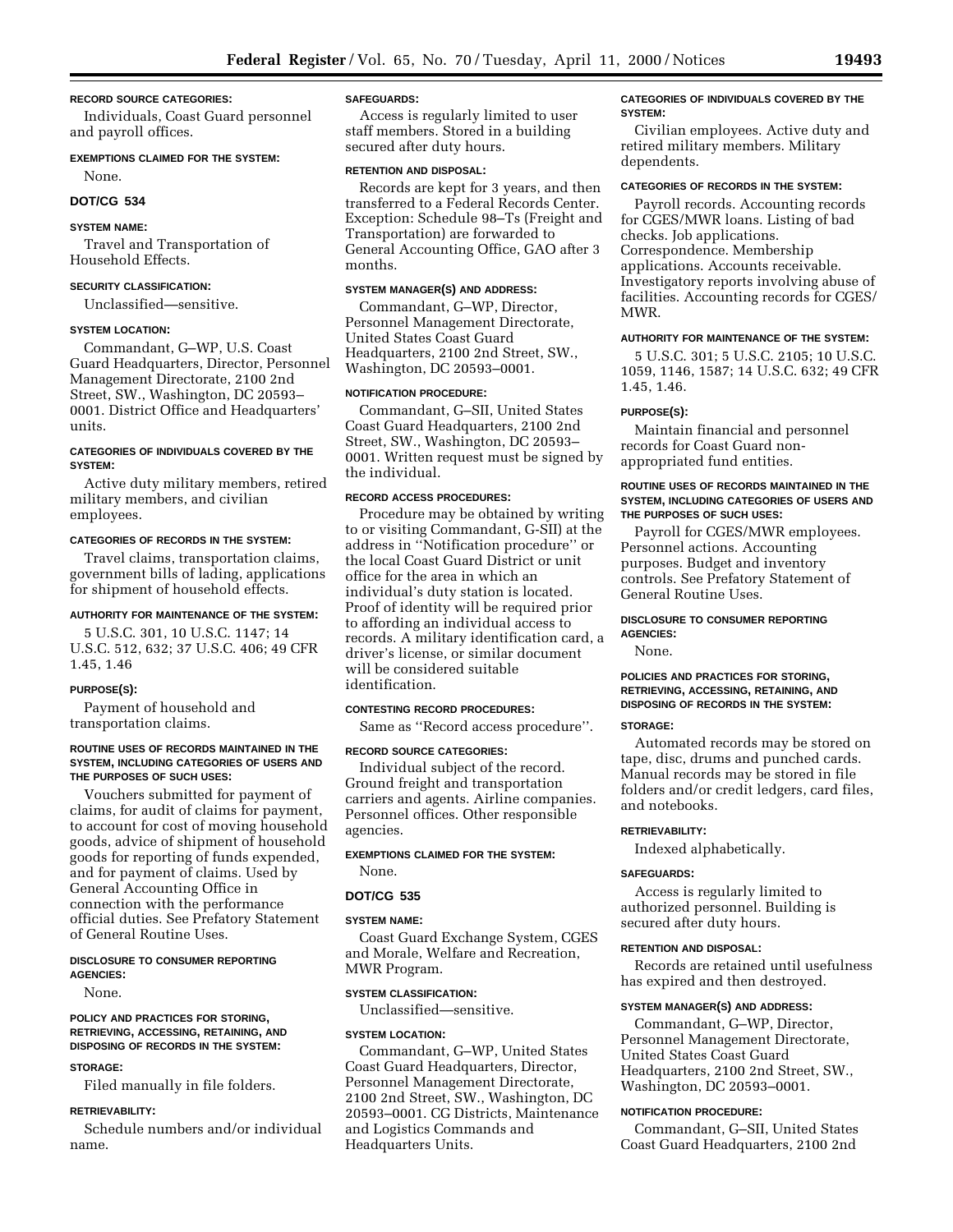#### **RECORD SOURCE CATEGORIES:**

Individuals, Coast Guard personnel and payroll offices.

#### **EXEMPTIONS CLAIMED FOR THE SYSTEM:**

None.

# **DOT/CG 534**

# **SYSTEM NAME:**

Travel and Transportation of Household Effects.

#### **SECURITY CLASSIFICATION:**

Unclassified—sensitive.

#### **SYSTEM LOCATION:**

Commandant, G–WP, U.S. Coast Guard Headquarters, Director, Personnel Management Directorate, 2100 2nd Street, SW., Washington, DC 20593– 0001. District Office and Headquarters' units.

# **CATEGORIES OF INDIVIDUALS COVERED BY THE SYSTEM:**

Active duty military members, retired military members, and civilian employees.

#### **CATEGORIES OF RECORDS IN THE SYSTEM:**

Travel claims, transportation claims, government bills of lading, applications for shipment of household effects.

# **AUTHORITY FOR MAINTENANCE OF THE SYSTEM:**

5 U.S.C. 301, 10 U.S.C. 1147; 14 U.S.C. 512, 632; 37 U.S.C. 406; 49 CFR 1.45, 1.46

# **PURPOSE(S):**

Payment of household and transportation claims.

#### **ROUTINE USES OF RECORDS MAINTAINED IN THE SYSTEM, INCLUDING CATEGORIES OF USERS AND THE PURPOSES OF SUCH USES:**

Vouchers submitted for payment of claims, for audit of claims for payment, to account for cost of moving household goods, advice of shipment of household goods for reporting of funds expended, and for payment of claims. Used by General Accounting Office in connection with the performance official duties. See Prefatory Statement of General Routine Uses.

#### **DISCLOSURE TO CONSUMER REPORTING AGENCIES:**

None.

#### **POLICY AND PRACTICES FOR STORING, RETRIEVING, ACCESSING, RETAINING, AND DISPOSING OF RECORDS IN THE SYSTEM:**

# **STORAGE:**

Filed manually in file folders.

#### **RETRIEVABILITY:**

Schedule numbers and/or individual name.

#### **SAFEGUARDS:**

Access is regularly limited to user staff members. Stored in a building secured after duty hours.

#### **RETENTION AND DISPOSAL:**

Records are kept for 3 years, and then transferred to a Federal Records Center. Exception: Schedule 98–Ts (Freight and Transportation) are forwarded to General Accounting Office, GAO after 3 months.

#### **SYSTEM MANAGER(S) AND ADDRESS:**

Commandant, G–WP, Director, Personnel Management Directorate, United States Coast Guard Headquarters, 2100 2nd Street, SW., Washington, DC 20593–0001.

#### **NOTIFICATION PROCEDURE:**

Commandant, G–SII, United States Coast Guard Headquarters, 2100 2nd Street, SW., Washington, DC 20593– 0001. Written request must be signed by the individual.

#### **RECORD ACCESS PROCEDURES:**

Procedure may be obtained by writing to or visiting Commandant, G-SII) at the address in ''Notification procedure'' or the local Coast Guard District or unit office for the area in which an individual's duty station is located. Proof of identity will be required prior to affording an individual access to records. A military identification card, a driver's license, or similar document will be considered suitable identification.

#### **CONTESTING RECORD PROCEDURES:**

Same as ''Record access procedure''.

# **RECORD SOURCE CATEGORIES:**

Individual subject of the record. Ground freight and transportation carriers and agents. Airline companies. Personnel offices. Other responsible agencies.

#### **EXEMPTIONS CLAIMED FOR THE SYSTEM:** None.

#### **DOT/CG 535**

#### **SYSTEM NAME:**

Coast Guard Exchange System, CGES and Morale, Welfare and Recreation, MWR Program.

#### **SYSTEM CLASSIFICATION:**

Unclassified—sensitive.

#### **SYSTEM LOCATION:**

Commandant, G–WP, United States Coast Guard Headquarters, Director, Personnel Management Directorate, 2100 2nd Street, SW., Washington, DC 20593–0001. CG Districts, Maintenance and Logistics Commands and Headquarters Units.

#### **CATEGORIES OF INDIVIDUALS COVERED BY THE SYSTEM:**

Civilian employees. Active duty and retired military members. Military dependents.

# **CATEGORIES OF RECORDS IN THE SYSTEM:**

Payroll records. Accounting records for CGES/MWR loans. Listing of bad checks. Job applications. Correspondence. Membership applications. Accounts receivable. Investigatory reports involving abuse of facilities. Accounting records for CGES/ MWR.

# **AUTHORITY FOR MAINTENANCE OF THE SYSTEM:**

5 U.S.C. 301; 5 U.S.C. 2105; 10 U.S.C. 1059, 1146, 1587; 14 U.S.C. 632; 49 CFR 1.45, 1.46.

#### **PURPOSE(S):**

Maintain financial and personnel records for Coast Guard nonappropriated fund entities.

#### **ROUTINE USES OF RECORDS MAINTAINED IN THE SYSTEM, INCLUDING CATEGORIES OF USERS AND THE PURPOSES OF SUCH USES:**

Payroll for CGES/MWR employees. Personnel actions. Accounting purposes. Budget and inventory controls. See Prefatory Statement of General Routine Uses.

#### **DISCLOSURE TO CONSUMER REPORTING AGENCIES:**

None.

#### **POLICIES AND PRACTICES FOR STORING, RETRIEVING, ACCESSING, RETAINING, AND DISPOSING OF RECORDS IN THE SYSTEM:**

#### **STORAGE:**

Automated records may be stored on tape, disc, drums and punched cards. Manual records may be stored in file folders and/or credit ledgers, card files, and notebooks.

# **RETRIEVABILITY:**

Indexed alphabetically.

#### **SAFEGUARDS:**

Access is regularly limited to authorized personnel. Building is secured after duty hours.

# **RETENTION AND DISPOSAL:**

Records are retained until usefulness has expired and then destroyed.

# **SYSTEM MANAGER(S) AND ADDRESS:**

Commandant, G–WP, Director, Personnel Management Directorate, United States Coast Guard Headquarters, 2100 2nd Street, SW., Washington, DC 20593–0001.

#### **NOTIFICATION PROCEDURE:**

Commandant, G–SII, United States Coast Guard Headquarters, 2100 2nd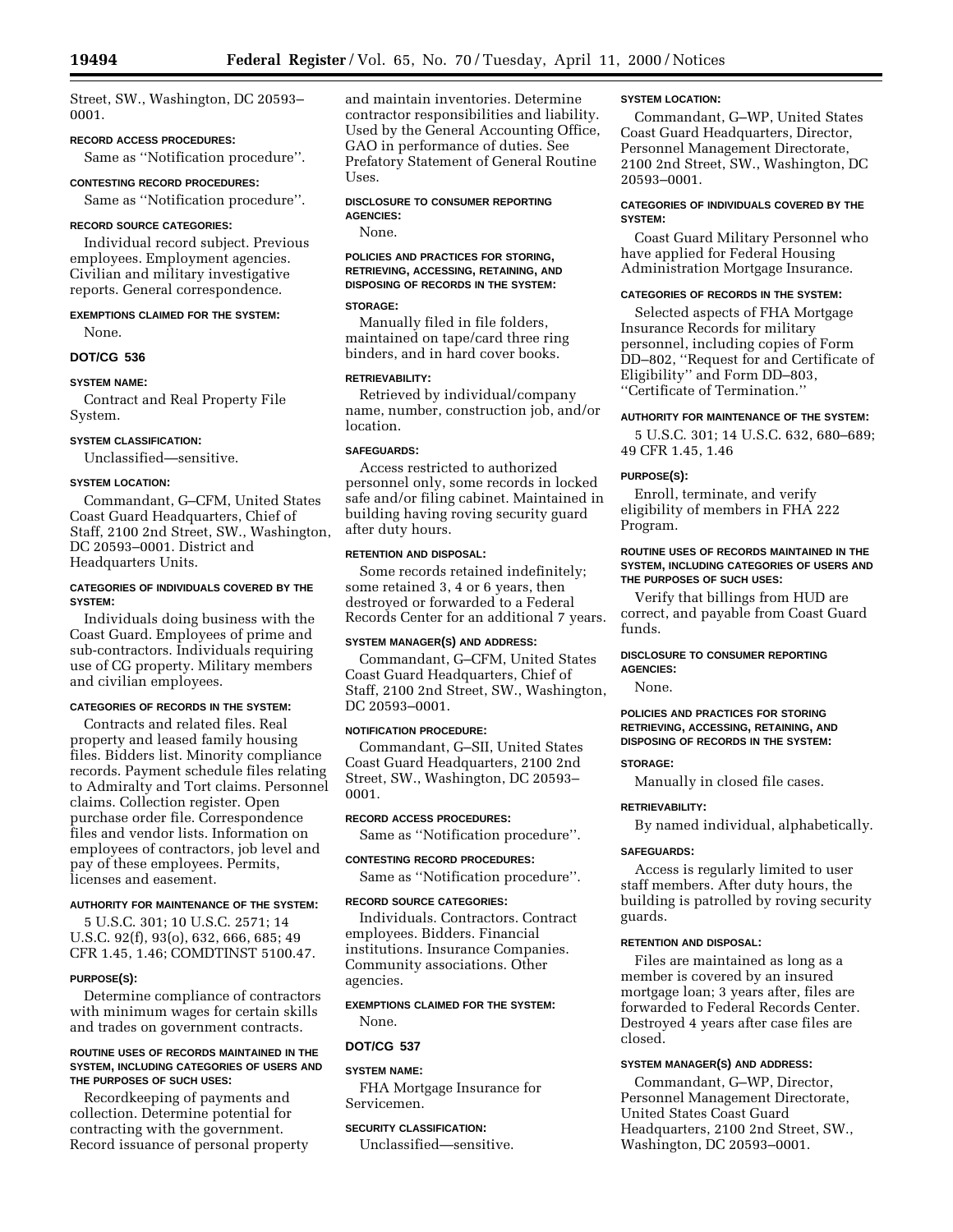Street, SW., Washington, DC 20593– 0001.

# **RECORD ACCESS PROCEDURES:**

Same as ''Notification procedure''.

#### **CONTESTING RECORD PROCEDURES:**

Same as ''Notification procedure''.

# **RECORD SOURCE CATEGORIES:**

Individual record subject. Previous employees. Employment agencies. Civilian and military investigative reports. General correspondence.

**EXEMPTIONS CLAIMED FOR THE SYSTEM:** None.

**DOT/CG 536**

# **SYSTEM NAME:**

Contract and Real Property File System.

#### **SYSTEM CLASSIFICATION:**

Unclassified—sensitive.

# **SYSTEM LOCATION:**

Commandant, G–CFM, United States Coast Guard Headquarters, Chief of Staff, 2100 2nd Street, SW., Washington, DC 20593–0001. District and Headquarters Units.

# **CATEGORIES OF INDIVIDUALS COVERED BY THE SYSTEM:**

Individuals doing business with the Coast Guard. Employees of prime and sub-contractors. Individuals requiring use of CG property. Military members and civilian employees.

#### **CATEGORIES OF RECORDS IN THE SYSTEM:**

Contracts and related files. Real property and leased family housing files. Bidders list. Minority compliance records. Payment schedule files relating to Admiralty and Tort claims. Personnel claims. Collection register. Open purchase order file. Correspondence files and vendor lists. Information on employees of contractors, job level and pay of these employees. Permits, licenses and easement.

#### **AUTHORITY FOR MAINTENANCE OF THE SYSTEM:**

5 U.S.C. 301; 10 U.S.C. 2571; 14 U.S.C. 92(f), 93(o), 632, 666, 685; 49 CFR 1.45, 1.46; COMDTINST 5100.47.

#### **PURPOSE(S):**

Determine compliance of contractors with minimum wages for certain skills and trades on government contracts.

#### **ROUTINE USES OF RECORDS MAINTAINED IN THE SYSTEM, INCLUDING CATEGORIES OF USERS AND THE PURPOSES OF SUCH USES:**

Recordkeeping of payments and collection. Determine potential for contracting with the government. Record issuance of personal property and maintain inventories. Determine contractor responsibilities and liability. Used by the General Accounting Office, GAO in performance of duties. See Prefatory Statement of General Routine Uses.

#### **DISCLOSURE TO CONSUMER REPORTING AGENCIES:**

None.

# **POLICIES AND PRACTICES FOR STORING, RETRIEVING, ACCESSING, RETAINING, AND DISPOSING OF RECORDS IN THE SYSTEM:**

# **STORAGE:**

Manually filed in file folders, maintained on tape/card three ring binders, and in hard cover books.

# **RETRIEVABILITY:**

Retrieved by individual/company name, number, construction job, and/or location.

# **SAFEGUARDS:**

Access restricted to authorized personnel only, some records in locked safe and/or filing cabinet. Maintained in building having roving security guard after duty hours.

# **RETENTION AND DISPOSAL:**

Some records retained indefinitely; some retained 3, 4 or 6 years, then destroyed or forwarded to a Federal Records Center for an additional 7 years.

#### **SYSTEM MANAGER(S) AND ADDRESS:**

Commandant, G–CFM, United States Coast Guard Headquarters, Chief of Staff, 2100 2nd Street, SW., Washington, DC 20593–0001.

#### **NOTIFICATION PROCEDURE:**

Commandant, G–SII, United States Coast Guard Headquarters, 2100 2nd Street, SW., Washington, DC 20593– 0001.

#### **RECORD ACCESS PROCEDURES:**

Same as ''Notification procedure''.

# **CONTESTING RECORD PROCEDURES:**

Same as ''Notification procedure''.

#### **RECORD SOURCE CATEGORIES:**

Individuals. Contractors. Contract employees. Bidders. Financial institutions. Insurance Companies. Community associations. Other agencies.

# **EXEMPTIONS CLAIMED FOR THE SYSTEM:**

# None.

# **DOT/CG 537**

# **SYSTEM NAME:**

FHA Mortgage Insurance for Servicemen.

# **SECURITY CLASSIFICATION:**

Unclassified—sensitive.

### **SYSTEM LOCATION:**

Commandant, G–WP, United States Coast Guard Headquarters, Director, Personnel Management Directorate, 2100 2nd Street, SW., Washington, DC 20593–0001.

# **CATEGORIES OF INDIVIDUALS COVERED BY THE SYSTEM:**

Coast Guard Military Personnel who have applied for Federal Housing Administration Mortgage Insurance.

#### **CATEGORIES OF RECORDS IN THE SYSTEM:**

Selected aspects of FHA Mortgage Insurance Records for military personnel, including copies of Form DD–802, ''Request for and Certificate of Eligibility'' and Form DD–803, ''Certificate of Termination.''

### **AUTHORITY FOR MAINTENANCE OF THE SYSTEM:**

5 U.S.C. 301; 14 U.S.C. 632, 680–689; 49 CFR 1.45, 1.46

# **PURPOSE(S):**

Enroll, terminate, and verify eligibility of members in FHA 222 Program.

# **ROUTINE USES OF RECORDS MAINTAINED IN THE SYSTEM, INCLUDING CATEGORIES OF USERS AND THE PURPOSES OF SUCH USES:**

Verify that billings from HUD are correct, and payable from Coast Guard funds.

#### **DISCLOSURE TO CONSUMER REPORTING AGENCIES:**

None.

# **POLICIES AND PRACTICES FOR STORING RETRIEVING, ACCESSING, RETAINING, AND DISPOSING OF RECORDS IN THE SYSTEM:**

# **STORAGE:**

Manually in closed file cases.

# **RETRIEVABILITY:**

By named individual, alphabetically.

# **SAFEGUARDS:**

Access is regularly limited to user staff members. After duty hours, the building is patrolled by roving security guards.

# **RETENTION AND DISPOSAL:**

Files are maintained as long as a member is covered by an insured mortgage loan; 3 years after, files are forwarded to Federal Records Center. Destroyed 4 years after case files are closed.

# **SYSTEM MANAGER(S) AND ADDRESS:**

Commandant, G–WP, Director, Personnel Management Directorate, United States Coast Guard Headquarters, 2100 2nd Street, SW., Washington, DC 20593–0001.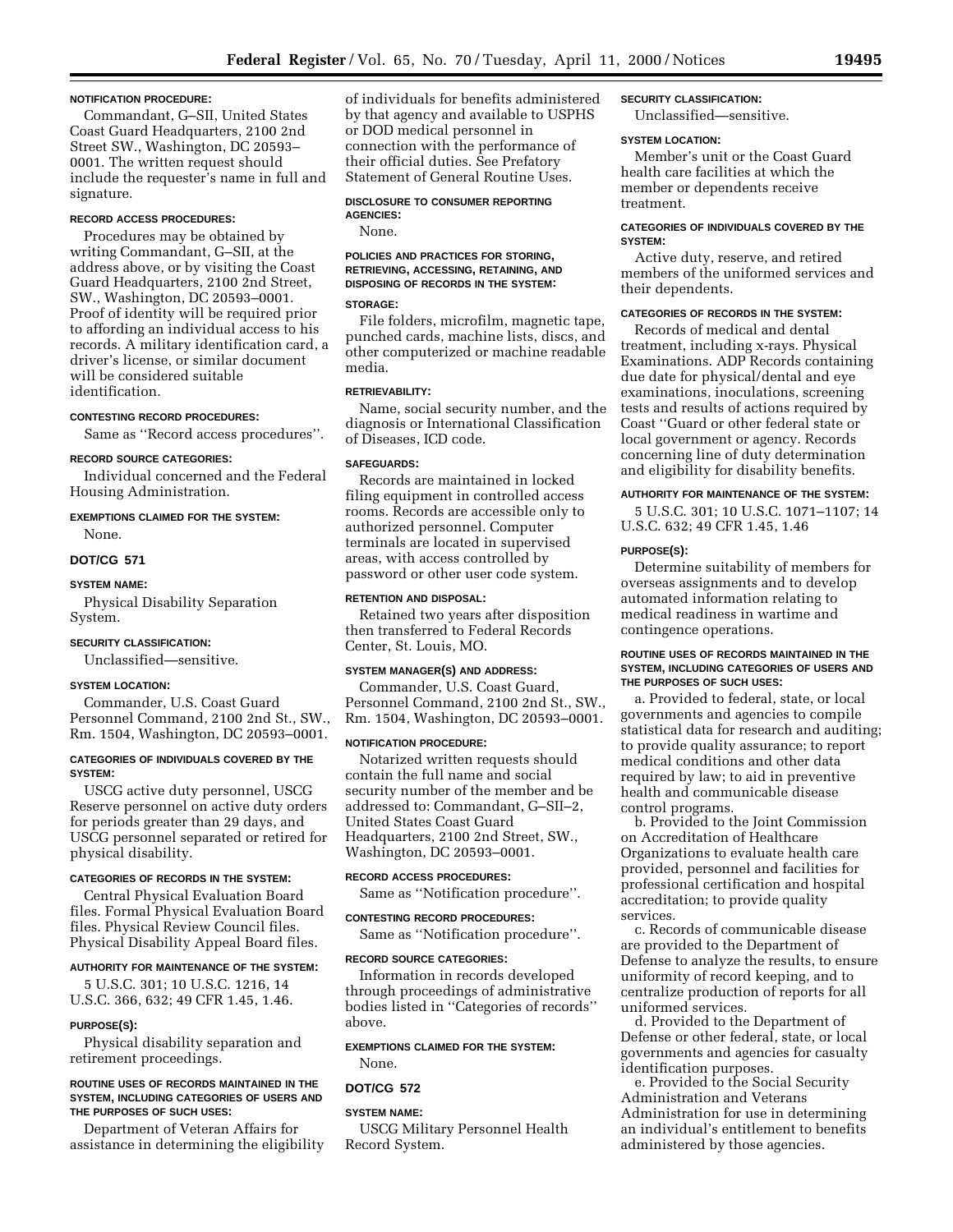#### **NOTIFICATION PROCEDURE:**

Commandant, G–SII, United States Coast Guard Headquarters, 2100 2nd Street SW., Washington, DC 20593– 0001. The written request should include the requester's name in full and signature.

# **RECORD ACCESS PROCEDURES:**

Procedures may be obtained by writing Commandant, G–SII, at the address above, or by visiting the Coast Guard Headquarters, 2100 2nd Street, SW., Washington, DC 20593–0001. Proof of identity will be required prior to affording an individual access to his records. A military identification card, a driver's license, or similar document will be considered suitable identification.

# **CONTESTING RECORD PROCEDURES:**

Same as ''Record access procedures''.

# **RECORD SOURCE CATEGORIES:**

Individual concerned and the Federal Housing Administration.

# **EXEMPTIONS CLAIMED FOR THE SYSTEM:** None.

# **DOT/CG 571**

#### **SYSTEM NAME:**

Physical Disability Separation System.

#### **SECURITY CLASSIFICATION:**

Unclassified—sensitive.

# **SYSTEM LOCATION:**

Commander, U.S. Coast Guard Personnel Command, 2100 2nd St., SW., Rm. 1504, Washington, DC 20593–0001.

#### **CATEGORIES OF INDIVIDUALS COVERED BY THE SYSTEM:**

USCG active duty personnel, USCG Reserve personnel on active duty orders for periods greater than 29 days, and USCG personnel separated or retired for physical disability.

#### **CATEGORIES OF RECORDS IN THE SYSTEM:**

Central Physical Evaluation Board files. Formal Physical Evaluation Board files. Physical Review Council files. Physical Disability Appeal Board files.

#### **AUTHORITY FOR MAINTENANCE OF THE SYSTEM:**

5 U.S.C. 301; 10 U.S.C. 1216, 14 U.S.C. 366, 632; 49 CFR 1.45, 1.46.

# **PURPOSE(S):**

Physical disability separation and retirement proceedings.

#### **ROUTINE USES OF RECORDS MAINTAINED IN THE SYSTEM, INCLUDING CATEGORIES OF USERS AND THE PURPOSES OF SUCH USES:**

Department of Veteran Affairs for assistance in determining the eligibility of individuals for benefits administered by that agency and available to USPHS or DOD medical personnel in connection with the performance of their official duties. See Prefatory Statement of General Routine Uses.

#### **DISCLOSURE TO CONSUMER REPORTING AGENCIES:**

None.

# **POLICIES AND PRACTICES FOR STORING, RETRIEVING, ACCESSING, RETAINING, AND DISPOSING OF RECORDS IN THE SYSTEM:**

# **STORAGE:**

File folders, microfilm, magnetic tape, punched cards, machine lists, discs, and other computerized or machine readable media.

# **RETRIEVABILITY:**

Name, social security number, and the diagnosis or International Classification of Diseases, ICD code.

#### **SAFEGUARDS:**

Records are maintained in locked filing equipment in controlled access rooms. Records are accessible only to authorized personnel. Computer terminals are located in supervised areas, with access controlled by password or other user code system.

#### **RETENTION AND DISPOSAL:**

Retained two years after disposition then transferred to Federal Records Center, St. Louis, MO.

#### **SYSTEM MANAGER(S) AND ADDRESS:**

Commander, U.S. Coast Guard, Personnel Command, 2100 2nd St., SW., Rm. 1504, Washington, DC 20593–0001.

#### **NOTIFICATION PROCEDURE:**

Notarized written requests should contain the full name and social security number of the member and be addressed to: Commandant, G–SII–2, United States Coast Guard Headquarters, 2100 2nd Street, SW., Washington, DC 20593–0001.

# **RECORD ACCESS PROCEDURES:**

Same as ''Notification procedure''.

# **CONTESTING RECORD PROCEDURES:**

Same as ''Notification procedure''.

#### **RECORD SOURCE CATEGORIES:**

Information in records developed through proceedings of administrative bodies listed in ''Categories of records'' above.

#### **EXEMPTIONS CLAIMED FOR THE SYSTEM:**

None.

#### **DOT/CG 572**

**SYSTEM NAME:**

USCG Military Personnel Health Record System.

# **SECURITY CLASSIFICATION:**

Unclassified—sensitive.

# **SYSTEM LOCATION:**

Member's unit or the Coast Guard health care facilities at which the member or dependents receive treatment.

#### **CATEGORIES OF INDIVIDUALS COVERED BY THE SYSTEM:**

Active duty, reserve, and retired members of the uniformed services and their dependents.

# **CATEGORIES OF RECORDS IN THE SYSTEM:**

Records of medical and dental treatment, including x-rays. Physical Examinations. ADP Records containing due date for physical/dental and eye examinations, inoculations, screening tests and results of actions required by Coast ''Guard or other federal state or local government or agency. Records concerning line of duty determination and eligibility for disability benefits.

#### **AUTHORITY FOR MAINTENANCE OF THE SYSTEM:**

5 U.S.C. 301; 10 U.S.C. 1071–1107; 14 U.S.C. 632; 49 CFR 1.45, 1.46

#### **PURPOSE(S):**

Determine suitability of members for overseas assignments and to develop automated information relating to medical readiness in wartime and contingence operations.

#### **ROUTINE USES OF RECORDS MAINTAINED IN THE SYSTEM, INCLUDING CATEGORIES OF USERS AND THE PURPOSES OF SUCH USES:**

a. Provided to federal, state, or local governments and agencies to compile statistical data for research and auditing; to provide quality assurance; to report medical conditions and other data required by law; to aid in preventive health and communicable disease control programs.

b. Provided to the Joint Commission on Accreditation of Healthcare Organizations to evaluate health care provided, personnel and facilities for professional certification and hospital accreditation; to provide quality services.

c. Records of communicable disease are provided to the Department of Defense to analyze the results, to ensure uniformity of record keeping, and to centralize production of reports for all uniformed services.

d. Provided to the Department of Defense or other federal, state, or local governments and agencies for casualty identification purposes.

e. Provided to the Social Security Administration and Veterans Administration for use in determining an individual's entitlement to benefits administered by those agencies.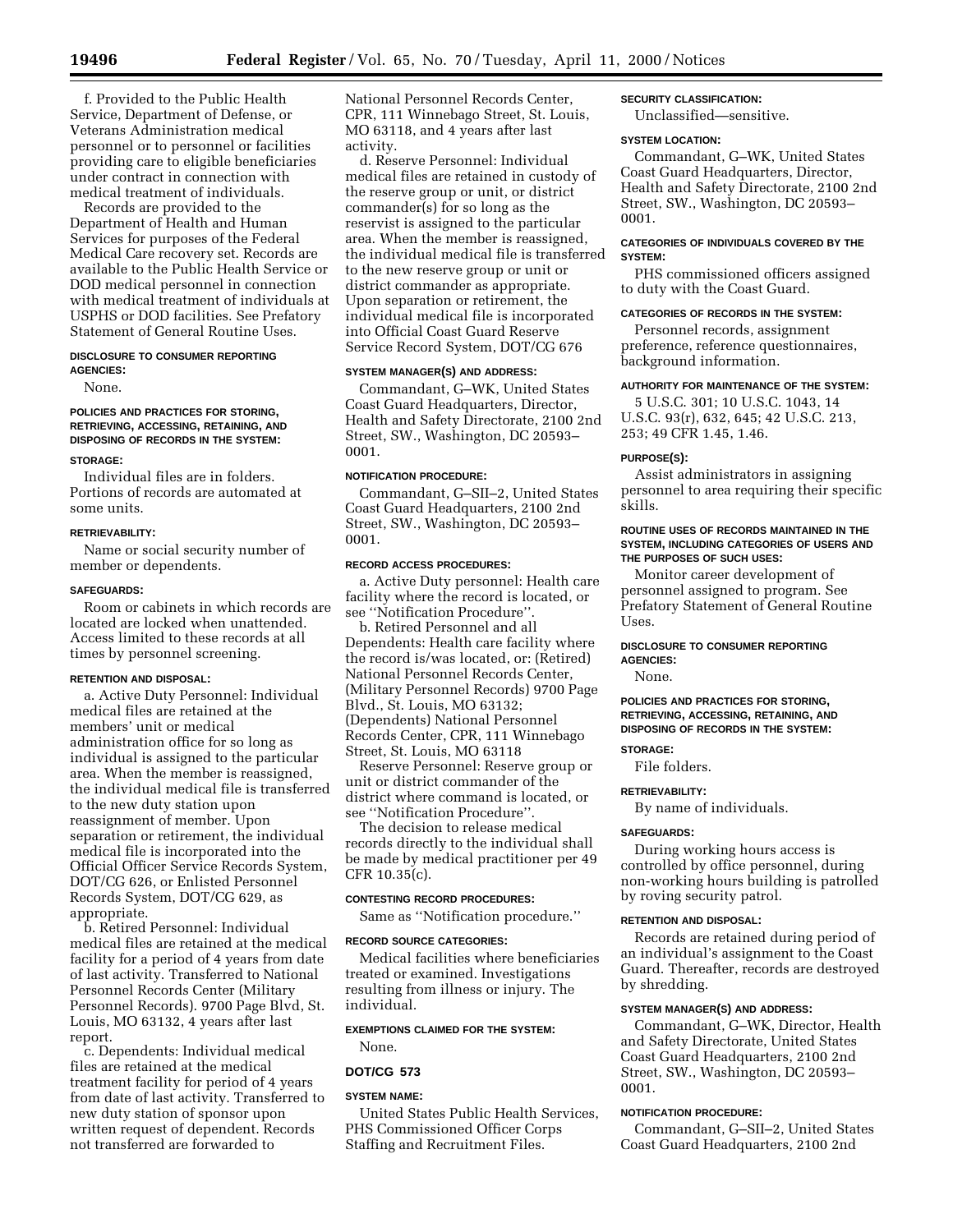f. Provided to the Public Health Service, Department of Defense, or Veterans Administration medical personnel or to personnel or facilities providing care to eligible beneficiaries under contract in connection with medical treatment of individuals.

Records are provided to the Department of Health and Human Services for purposes of the Federal Medical Care recovery set. Records are available to the Public Health Service or DOD medical personnel in connection with medical treatment of individuals at USPHS or DOD facilities. See Prefatory Statement of General Routine Uses.

# **DISCLOSURE TO CONSUMER REPORTING AGENCIES:**

None.

# **POLICIES AND PRACTICES FOR STORING, RETRIEVING, ACCESSING, RETAINING, AND DISPOSING OF RECORDS IN THE SYSTEM:**

# **STORAGE:**

Individual files are in folders. Portions of records are automated at some units.

#### **RETRIEVABILITY:**

Name or social security number of member or dependents.

#### **SAFEGUARDS:**

Room or cabinets in which records are located are locked when unattended. Access limited to these records at all times by personnel screening.

# **RETENTION AND DISPOSAL:**

a. Active Duty Personnel: Individual medical files are retained at the members' unit or medical administration office for so long as individual is assigned to the particular area. When the member is reassigned, the individual medical file is transferred to the new duty station upon reassignment of member. Upon separation or retirement, the individual medical file is incorporated into the Official Officer Service Records System, DOT/CG 626, or Enlisted Personnel Records System, DOT/CG 629, as appropriate.

b. Retired Personnel: Individual medical files are retained at the medical facility for a period of 4 years from date of last activity. Transferred to National Personnel Records Center (Military Personnel Records). 9700 Page Blvd, St. Louis, MO 63132, 4 years after last report.

c. Dependents: Individual medical files are retained at the medical treatment facility for period of 4 years from date of last activity. Transferred to new duty station of sponsor upon written request of dependent. Records not transferred are forwarded to

National Personnel Records Center, CPR, 111 Winnebago Street, St. Louis, MO 63118, and 4 years after last activity.

d. Reserve Personnel: Individual medical files are retained in custody of the reserve group or unit, or district commander(s) for so long as the reservist is assigned to the particular area. When the member is reassigned, the individual medical file is transferred to the new reserve group or unit or district commander as appropriate. Upon separation or retirement, the individual medical file is incorporated into Official Coast Guard Reserve Service Record System, DOT/CG 676

# **SYSTEM MANAGER(S) AND ADDRESS:**

Commandant, G–WK, United States Coast Guard Headquarters, Director, Health and Safety Directorate, 2100 2nd Street, SW., Washington, DC 20593– 0001.

#### **NOTIFICATION PROCEDURE:**

Commandant, G–SII–2, United States Coast Guard Headquarters, 2100 2nd Street, SW., Washington, DC 20593– 0001.

#### **RECORD ACCESS PROCEDURES:**

a. Active Duty personnel: Health care facility where the record is located, or see ''Notification Procedure''.

b. Retired Personnel and all Dependents: Health care facility where the record is/was located, or: (Retired) National Personnel Records Center, (Military Personnel Records) 9700 Page Blvd., St. Louis, MO 63132; (Dependents) National Personnel Records Center, CPR, 111 Winnebago Street, St. Louis, MO 63118

Reserve Personnel: Reserve group or unit or district commander of the district where command is located, or see ''Notification Procedure''.

The decision to release medical records directly to the individual shall be made by medical practitioner per 49 CFR 10.35(c).

# **CONTESTING RECORD PROCEDURES:**

Same as ''Notification procedure.''

# **RECORD SOURCE CATEGORIES:**

Medical facilities where beneficiaries treated or examined. Investigations resulting from illness or injury. The individual.

# **EXEMPTIONS CLAIMED FOR THE SYSTEM:**

# None. **DOT/CG 573**

# **SYSTEM NAME:**

United States Public Health Services, PHS Commissioned Officer Corps Staffing and Recruitment Files.

# **SECURITY CLASSIFICATION:**

Unclassified—sensitive.

# **SYSTEM LOCATION:**

Commandant, G–WK, United States Coast Guard Headquarters, Director, Health and Safety Directorate, 2100 2nd Street, SW., Washington, DC 20593– 0001.

# **CATEGORIES OF INDIVIDUALS COVERED BY THE SYSTEM:**

PHS commissioned officers assigned to duty with the Coast Guard.

# **CATEGORIES OF RECORDS IN THE SYSTEM:**

Personnel records, assignment preference, reference questionnaires, background information.

# **AUTHORITY FOR MAINTENANCE OF THE SYSTEM:**

5 U.S.C. 301; 10 U.S.C. 1043, 14 U.S.C. 93(r), 632, 645; 42 U.S.C. 213, 253; 49 CFR 1.45, 1.46.

#### **PURPOSE(S):**

Assist administrators in assigning personnel to area requiring their specific skills.

# **ROUTINE USES OF RECORDS MAINTAINED IN THE SYSTEM, INCLUDING CATEGORIES OF USERS AND THE PURPOSES OF SUCH USES:**

Monitor career development of personnel assigned to program. See Prefatory Statement of General Routine  $I$  $I$ ses

#### **DISCLOSURE TO CONSUMER REPORTING AGENCIES:**

None.

# **POLICIES AND PRACTICES FOR STORING, RETRIEVING, ACCESSING, RETAINING, AND DISPOSING OF RECORDS IN THE SYSTEM:**

**STORAGE:**

File folders.

# **RETRIEVABILITY:**

By name of individuals.

# **SAFEGUARDS:**

During working hours access is controlled by office personnel, during non-working hours building is patrolled by roving security patrol.

# **RETENTION AND DISPOSAL:**

Records are retained during period of an individual's assignment to the Coast Guard. Thereafter, records are destroyed by shredding.

# **SYSTEM MANAGER(S) AND ADDRESS:**

Commandant, G–WK, Director, Health and Safety Directorate, United States Coast Guard Headquarters, 2100 2nd Street, SW., Washington, DC 20593– 0001.

#### **NOTIFICATION PROCEDURE:**

Commandant, G–SII–2, United States Coast Guard Headquarters, 2100 2nd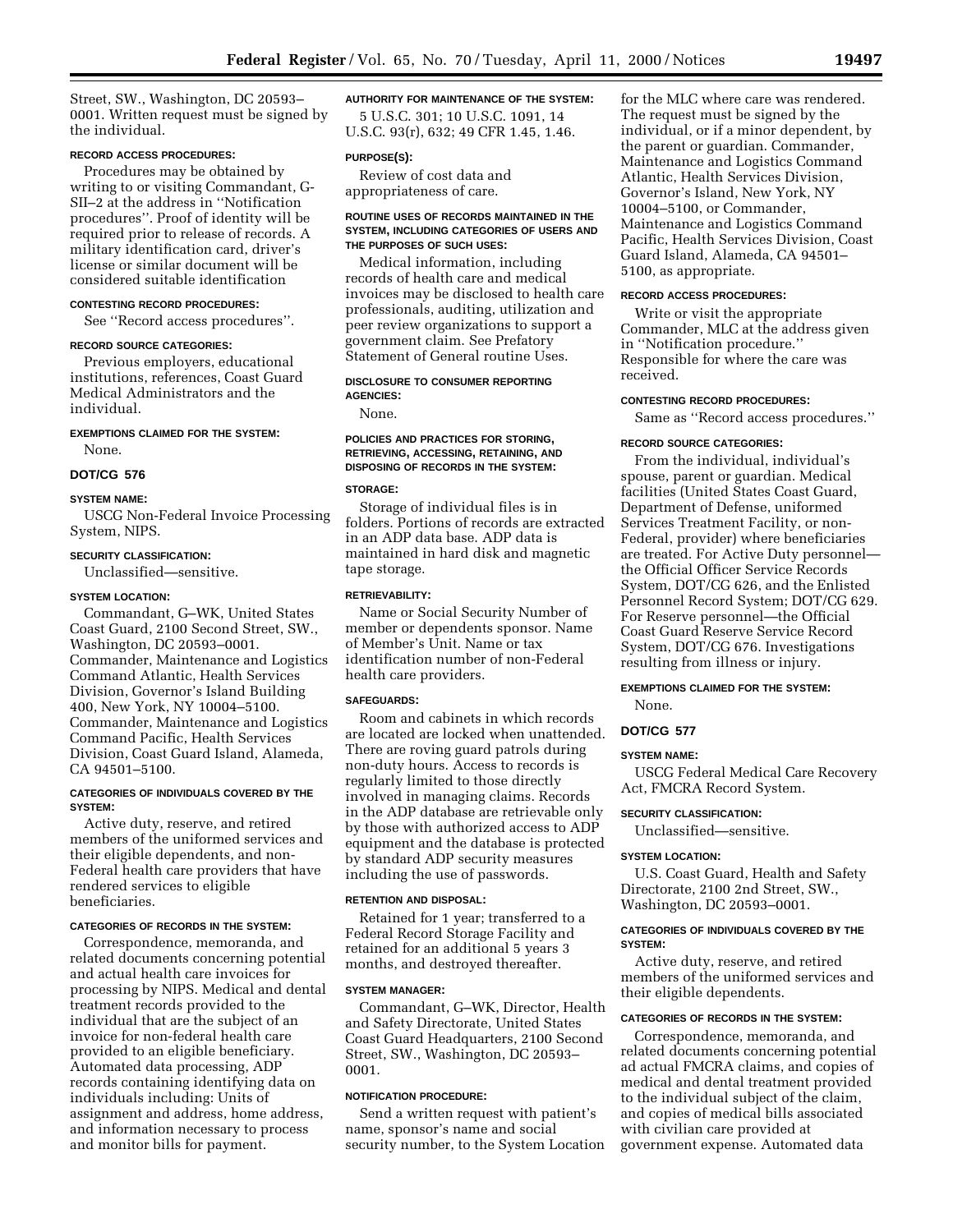Street, SW., Washington, DC 20593– 0001. Written request must be signed by the individual.

#### **RECORD ACCESS PROCEDURES:**

Procedures may be obtained by writing to or visiting Commandant, G-SII–2 at the address in ''Notification procedures''. Proof of identity will be required prior to release of records. A military identification card, driver's license or similar document will be considered suitable identification

#### **CONTESTING RECORD PROCEDURES:**

See ''Record access procedures''.

#### **RECORD SOURCE CATEGORIES:**

Previous employers, educational institutions, references, Coast Guard Medical Administrators and the individual.

# **EXEMPTIONS CLAIMED FOR THE SYSTEM:**

None.

# **DOT/CG 576**

#### **SYSTEM NAME:**

USCG Non-Federal Invoice Processing System, NIPS.

# **SECURITY CLASSIFICATION:**

Unclassified—sensitive.

#### **SYSTEM LOCATION:**

Commandant, G–WK, United States Coast Guard, 2100 Second Street, SW., Washington, DC 20593–0001. Commander, Maintenance and Logistics Command Atlantic, Health Services Division, Governor's Island Building 400, New York, NY 10004–5100. Commander, Maintenance and Logistics Command Pacific, Health Services Division, Coast Guard Island, Alameda, CA 94501–5100.

#### **CATEGORIES OF INDIVIDUALS COVERED BY THE SYSTEM:**

Active duty, reserve, and retired members of the uniformed services and their eligible dependents, and non-Federal health care providers that have rendered services to eligible beneficiaries.

#### **CATEGORIES OF RECORDS IN THE SYSTEM:**

Correspondence, memoranda, and related documents concerning potential and actual health care invoices for processing by NIPS. Medical and dental treatment records provided to the individual that are the subject of an invoice for non-federal health care provided to an eligible beneficiary. Automated data processing, ADP records containing identifying data on individuals including: Units of assignment and address, home address, and information necessary to process and monitor bills for payment.

# **AUTHORITY FOR MAINTENANCE OF THE SYSTEM:** 5 U.S.C. 301; 10 U.S.C. 1091, 14

U.S.C. 93(r), 632; 49 CFR 1.45, 1.46.

#### **PURPOSE(S):**

Review of cost data and appropriateness of care.

#### **ROUTINE USES OF RECORDS MAINTAINED IN THE SYSTEM, INCLUDING CATEGORIES OF USERS AND THE PURPOSES OF SUCH USES:**

Medical information, including records of health care and medical invoices may be disclosed to health care professionals, auditing, utilization and peer review organizations to support a government claim. See Prefatory Statement of General routine Uses.

# **DISCLOSURE TO CONSUMER REPORTING AGENCIES:**

None.

#### **POLICIES AND PRACTICES FOR STORING, RETRIEVING, ACCESSING, RETAINING, AND DISPOSING OF RECORDS IN THE SYSTEM:**

#### **STORAGE:**

Storage of individual files is in folders. Portions of records are extracted in an ADP data base. ADP data is maintained in hard disk and magnetic tape storage.

#### **RETRIEVABILITY:**

Name or Social Security Number of member or dependents sponsor. Name of Member's Unit. Name or tax identification number of non-Federal health care providers.

#### **SAFEGUARDS:**

Room and cabinets in which records are located are locked when unattended. There are roving guard patrols during non-duty hours. Access to records is regularly limited to those directly involved in managing claims. Records in the ADP database are retrievable only by those with authorized access to ADP equipment and the database is protected by standard ADP security measures including the use of passwords.

# **RETENTION AND DISPOSAL:**

Retained for 1 year; transferred to a Federal Record Storage Facility and retained for an additional 5 years 3 months, and destroyed thereafter.

# **SYSTEM MANAGER:**

Commandant, G–WK, Director, Health and Safety Directorate, United States Coast Guard Headquarters, 2100 Second Street, SW., Washington, DC 20593– 0001.

# **NOTIFICATION PROCEDURE:**

Send a written request with patient's name, sponsor's name and social security number, to the System Location for the MLC where care was rendered. The request must be signed by the individual, or if a minor dependent, by the parent or guardian. Commander, Maintenance and Logistics Command Atlantic, Health Services Division, Governor's Island, New York, NY 10004–5100, or Commander, Maintenance and Logistics Command Pacific, Health Services Division, Coast Guard Island, Alameda, CA 94501– 5100, as appropriate.

#### **RECORD ACCESS PROCEDURES:**

Write or visit the appropriate Commander, MLC at the address given in ''Notification procedure.'' Responsible for where the care was received.

#### **CONTESTING RECORD PROCEDURES:**

Same as ''Record access procedures.''

# **RECORD SOURCE CATEGORIES:**

From the individual, individual's spouse, parent or guardian. Medical facilities (United States Coast Guard, Department of Defense, uniformed Services Treatment Facility, or non-Federal, provider) where beneficiaries are treated. For Active Duty personnel the Official Officer Service Records System, DOT/CG 626, and the Enlisted Personnel Record System; DOT/CG 629. For Reserve personnel—the Official Coast Guard Reserve Service Record System, DOT/CG 676. Investigations resulting from illness or injury.

# **EXEMPTIONS CLAIMED FOR THE SYSTEM:**

None.

#### **DOT/CG 577**

#### **SYSTEM NAME:**

USCG Federal Medical Care Recovery Act, FMCRA Record System.

#### **SECURITY CLASSIFICATION:**

Unclassified—sensitive.

#### **SYSTEM LOCATION:**

U.S. Coast Guard, Health and Safety Directorate, 2100 2nd Street, SW., Washington, DC 20593–0001.

# **CATEGORIES OF INDIVIDUALS COVERED BY THE SYSTEM:**

Active duty, reserve, and retired members of the uniformed services and their eligible dependents.

#### **CATEGORIES OF RECORDS IN THE SYSTEM:**

Correspondence, memoranda, and related documents concerning potential ad actual FMCRA claims, and copies of medical and dental treatment provided to the individual subject of the claim, and copies of medical bills associated with civilian care provided at government expense. Automated data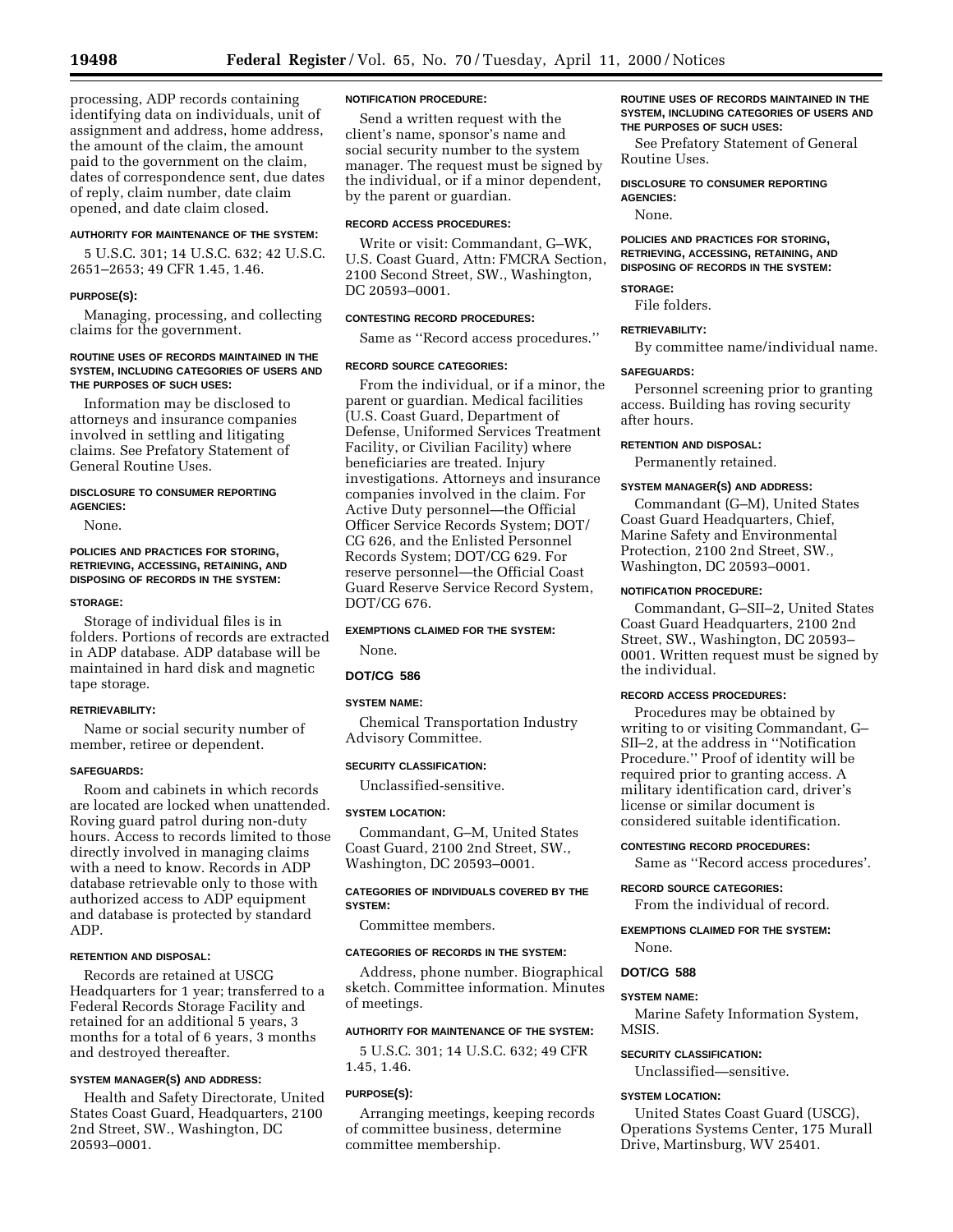processing, ADP records containing identifying data on individuals, unit of assignment and address, home address, the amount of the claim, the amount paid to the government on the claim, dates of correspondence sent, due dates of reply, claim number, date claim opened, and date claim closed.

# **AUTHORITY FOR MAINTENANCE OF THE SYSTEM:**

5 U.S.C. 301; 14 U.S.C. 632; 42 U.S.C. 2651–2653; 49 CFR 1.45, 1.46.

#### **PURPOSE(S):**

Managing, processing, and collecting claims for the government.

#### **ROUTINE USES OF RECORDS MAINTAINED IN THE SYSTEM, INCLUDING CATEGORIES OF USERS AND THE PURPOSES OF SUCH USES:**

Information may be disclosed to attorneys and insurance companies involved in settling and litigating claims. See Prefatory Statement of General Routine Uses.

#### **DISCLOSURE TO CONSUMER REPORTING AGENCIES:**

None.

#### **POLICIES AND PRACTICES FOR STORING, RETRIEVING, ACCESSING, RETAINING, AND DISPOSING OF RECORDS IN THE SYSTEM:**

#### **STORAGE:**

Storage of individual files is in folders. Portions of records are extracted in ADP database. ADP database will be maintained in hard disk and magnetic tape storage.

# **RETRIEVABILITY:**

Name or social security number of member, retiree or dependent.

#### **SAFEGUARDS:**

Room and cabinets in which records are located are locked when unattended. Roving guard patrol during non-duty hours. Access to records limited to those directly involved in managing claims with a need to know. Records in ADP database retrievable only to those with authorized access to ADP equipment and database is protected by standard ADP.

#### **RETENTION AND DISPOSAL:**

Records are retained at USCG Headquarters for 1 year; transferred to a Federal Records Storage Facility and retained for an additional 5 years, 3 months for a total of 6 years, 3 months and destroyed thereafter.

# **SYSTEM MANAGER(S) AND ADDRESS:**

Health and Safety Directorate, United States Coast Guard, Headquarters, 2100 2nd Street, SW., Washington, DC 20593–0001.

#### **NOTIFICATION PROCEDURE:**

Send a written request with the client's name, sponsor's name and social security number to the system manager. The request must be signed by the individual, or if a minor dependent, by the parent or guardian.

# **RECORD ACCESS PROCEDURES:**

Write or visit: Commandant, G–WK, U.S. Coast Guard, Attn: FMCRA Section, 2100 Second Street, SW., Washington, DC 20593–0001.

#### **CONTESTING RECORD PROCEDURES:**

Same as ''Record access procedures.''

# **RECORD SOURCE CATEGORIES:**

From the individual, or if a minor, the parent or guardian. Medical facilities (U.S. Coast Guard, Department of Defense, Uniformed Services Treatment Facility, or Civilian Facility) where beneficiaries are treated. Injury investigations. Attorneys and insurance companies involved in the claim. For Active Duty personnel—the Official Officer Service Records System; DOT/ CG 626, and the Enlisted Personnel Records System; DOT/CG 629. For reserve personnel—the Official Coast Guard Reserve Service Record System, DOT/CG 676.

# **EXEMPTIONS CLAIMED FOR THE SYSTEM:**

None.

# **DOT/CG 586**

# **SYSTEM NAME:**

Chemical Transportation Industry Advisory Committee.

#### **SECURITY CLASSIFICATION:**

Unclassified-sensitive.

#### **SYSTEM LOCATION:**

Commandant, G–M, United States Coast Guard, 2100 2nd Street, SW., Washington, DC 20593–0001.

# **CATEGORIES OF INDIVIDUALS COVERED BY THE SYSTEM:**

Committee members.

#### **CATEGORIES OF RECORDS IN THE SYSTEM:**

Address, phone number. Biographical sketch. Committee information. Minutes of meetings.

#### **AUTHORITY FOR MAINTENANCE OF THE SYSTEM:**

5 U.S.C. 301; 14 U.S.C. 632; 49 CFR 1.45, 1.46.

#### **PURPOSE(S):**

Arranging meetings, keeping records of committee business, determine committee membership.

#### **ROUTINE USES OF RECORDS MAINTAINED IN THE SYSTEM, INCLUDING CATEGORIES OF USERS AND THE PURPOSES OF SUCH USES:**

See Prefatory Statement of General Routine Uses.

**DISCLOSURE TO CONSUMER REPORTING AGENCIES:** None.

**POLICIES AND PRACTICES FOR STORING, RETRIEVING, ACCESSING, RETAINING, AND DISPOSING OF RECORDS IN THE SYSTEM:**

# **STORAGE:**

File folders.

#### **RETRIEVABILITY:**

By committee name/individual name.

#### **SAFEGUARDS:**

Personnel screening prior to granting access. Building has roving security after hours.

#### **RETENTION AND DISPOSAL:**

Permanently retained.

#### **SYSTEM MANAGER(S) AND ADDRESS:**

Commandant (G–M), United States Coast Guard Headquarters, Chief, Marine Safety and Environmental Protection, 2100 2nd Street, SW., Washington, DC 20593–0001.

#### **NOTIFICATION PROCEDURE:**

Commandant, G–SII–2, United States Coast Guard Headquarters, 2100 2nd Street, SW., Washington, DC 20593– 0001. Written request must be signed by the individual.

#### **RECORD ACCESS PROCEDURES:**

Procedures may be obtained by writing to or visiting Commandant, G– SII–2, at the address in ''Notification Procedure.'' Proof of identity will be required prior to granting access. A military identification card, driver's license or similar document is considered suitable identification.

#### **CONTESTING RECORD PROCEDURES:**

Same as ''Record access procedures'.

#### **RECORD SOURCE CATEGORIES:**

From the individual of record.

# **EXEMPTIONS CLAIMED FOR THE SYSTEM:** None.

#### **DOT/CG 588**

#### **SYSTEM NAME:**

Marine Safety Information System, MSIS.

# **SECURITY CLASSIFICATION:**

Unclassified—sensitive.

#### **SYSTEM LOCATION:**

United States Coast Guard (USCG), Operations Systems Center, 175 Murall Drive, Martinsburg, WV 25401.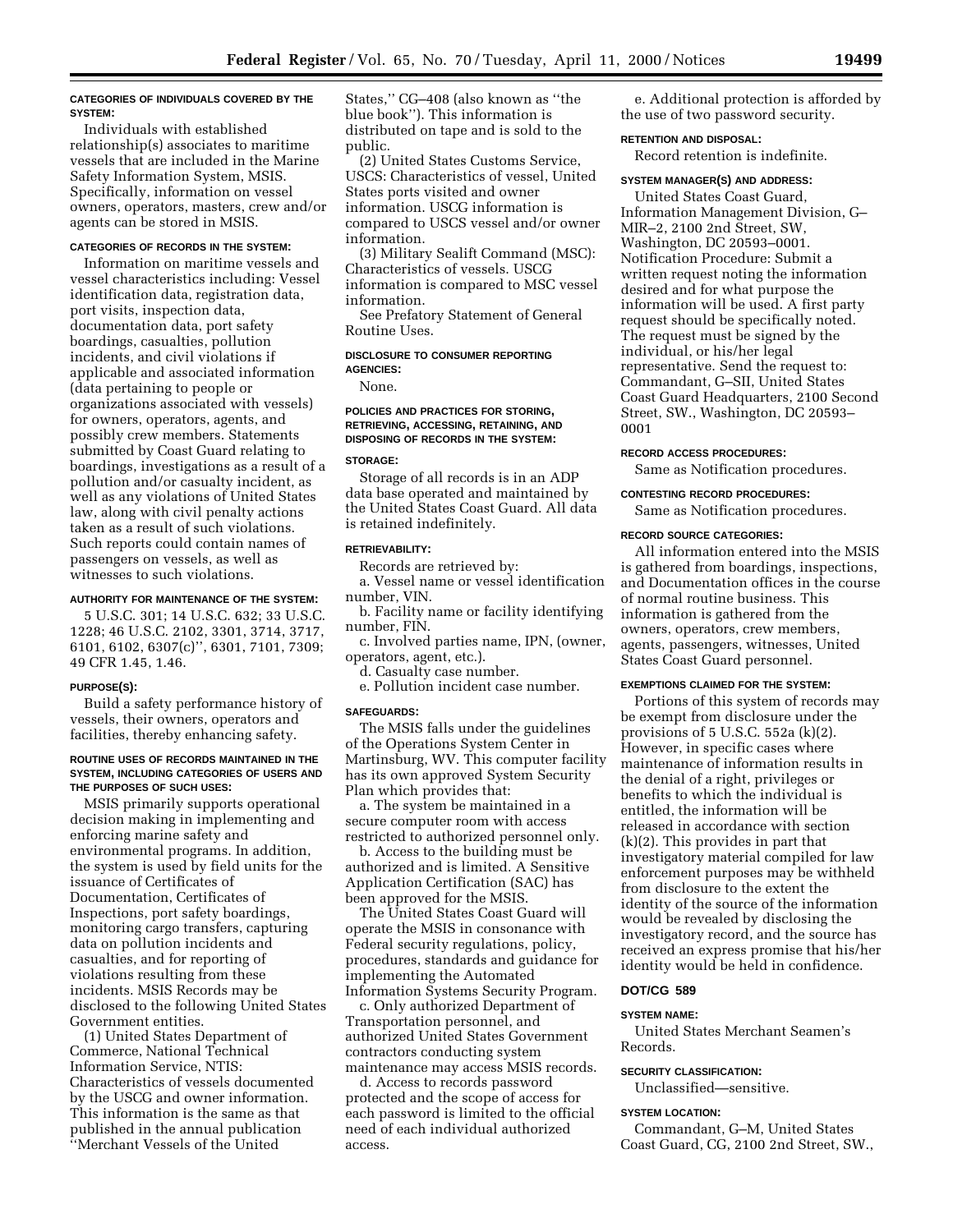#### **CATEGORIES OF INDIVIDUALS COVERED BY THE SYSTEM:**

Individuals with established relationship(s) associates to maritime vessels that are included in the Marine Safety Information System, MSIS. Specifically, information on vessel owners, operators, masters, crew and/or agents can be stored in MSIS.

# **CATEGORIES OF RECORDS IN THE SYSTEM:**

Information on maritime vessels and vessel characteristics including: Vessel identification data, registration data, port visits, inspection data, documentation data, port safety boardings, casualties, pollution incidents, and civil violations if applicable and associated information (data pertaining to people or organizations associated with vessels) for owners, operators, agents, and possibly crew members. Statements submitted by Coast Guard relating to boardings, investigations as a result of a pollution and/or casualty incident, as well as any violations of United States law, along with civil penalty actions taken as a result of such violations. Such reports could contain names of passengers on vessels, as well as witnesses to such violations.

#### **AUTHORITY FOR MAINTENANCE OF THE SYSTEM:**

5 U.S.C. 301; 14 U.S.C. 632; 33 U.S.C. 1228; 46 U.S.C. 2102, 3301, 3714, 3717, 6101, 6102, 6307(c)'', 6301, 7101, 7309; 49 CFR 1.45, 1.46.

#### **PURPOSE(S):**

Build a safety performance history of vessels, their owners, operators and facilities, thereby enhancing safety.

#### **ROUTINE USES OF RECORDS MAINTAINED IN THE SYSTEM, INCLUDING CATEGORIES OF USERS AND THE PURPOSES OF SUCH USES:**

MSIS primarily supports operational decision making in implementing and enforcing marine safety and environmental programs. In addition, the system is used by field units for the issuance of Certificates of Documentation, Certificates of Inspections, port safety boardings, monitoring cargo transfers, capturing data on pollution incidents and casualties, and for reporting of violations resulting from these incidents. MSIS Records may be disclosed to the following United States Government entities.

(1) United States Department of Commerce, National Technical Information Service, NTIS: Characteristics of vessels documented by the USCG and owner information. This information is the same as that published in the annual publication ''Merchant Vessels of the United

States,'' CG–408 (also known as ''the blue book''). This information is distributed on tape and is sold to the public.

(2) United States Customs Service, USCS: Characteristics of vessel, United States ports visited and owner information. USCG information is compared to USCS vessel and/or owner information.

(3) Military Sealift Command (MSC): Characteristics of vessels. USCG information is compared to MSC vessel information.

See Prefatory Statement of General Routine Uses.

# **DISCLOSURE TO CONSUMER REPORTING AGENCIES:**

None.

# **POLICIES AND PRACTICES FOR STORING, RETRIEVING, ACCESSING, RETAINING, AND DISPOSING OF RECORDS IN THE SYSTEM:**

# **STORAGE:**

Storage of all records is in an ADP data base operated and maintained by the United States Coast Guard. All data is retained indefinitely.

#### **RETRIEVABILITY:**

Records are retrieved by:

a. Vessel name or vessel identification number, VIN.

b. Facility name or facility identifying number, FIN.

c. Involved parties name, IPN, (owner, operators, agent, etc.).

d. Casualty case number.

e. Pollution incident case number.

#### **SAFEGUARDS:**

The MSIS falls under the guidelines of the Operations System Center in Martinsburg, WV. This computer facility has its own approved System Security Plan which provides that:

a. The system be maintained in a secure computer room with access restricted to authorized personnel only.

b. Access to the building must be authorized and is limited. A Sensitive Application Certification (SAC) has been approved for the MSIS.

The United States Coast Guard will operate the MSIS in consonance with Federal security regulations, policy, procedures, standards and guidance for implementing the Automated Information Systems Security Program.

c. Only authorized Department of Transportation personnel, and authorized United States Government contractors conducting system maintenance may access MSIS records.

d. Access to records password protected and the scope of access for each password is limited to the official need of each individual authorized access.

e. Additional protection is afforded by the use of two password security.

# **RETENTION AND DISPOSAL:**

Record retention is indefinite.

# **SYSTEM MANAGER(S) AND ADDRESS:**

United States Coast Guard, Information Management Division, G– MIR–2, 2100 2nd Street, SW, Washington, DC 20593–0001. Notification Procedure: Submit a written request noting the information desired and for what purpose the information will be used. A first party request should be specifically noted. The request must be signed by the individual, or his/her legal representative. Send the request to: Commandant, G–SII, United States Coast Guard Headquarters, 2100 Second Street, SW., Washington, DC 20593– 0001

#### **RECORD ACCESS PROCEDURES:**

Same as Notification procedures.

### **CONTESTING RECORD PROCEDURES:**

Same as Notification procedures.

#### **RECORD SOURCE CATEGORIES:**

All information entered into the MSIS is gathered from boardings, inspections, and Documentation offices in the course of normal routine business. This information is gathered from the owners, operators, crew members, agents, passengers, witnesses, United States Coast Guard personnel.

# **EXEMPTIONS CLAIMED FOR THE SYSTEM:**

Portions of this system of records may be exempt from disclosure under the provisions of 5 U.S.C. 552a (k)(2). However, in specific cases where maintenance of information results in the denial of a right, privileges or benefits to which the individual is entitled, the information will be released in accordance with section (k)(2). This provides in part that investigatory material compiled for law enforcement purposes may be withheld from disclosure to the extent the identity of the source of the information would be revealed by disclosing the investigatory record, and the source has received an express promise that his/her identity would be held in confidence.

# **DOT/CG 589**

#### **SYSTEM NAME:**

United States Merchant Seamen's Records.

#### **SECURITY CLASSIFICATION:**

Unclassified—sensitive.

# **SYSTEM LOCATION:**

Commandant, G–M, United States Coast Guard, CG, 2100 2nd Street, SW.,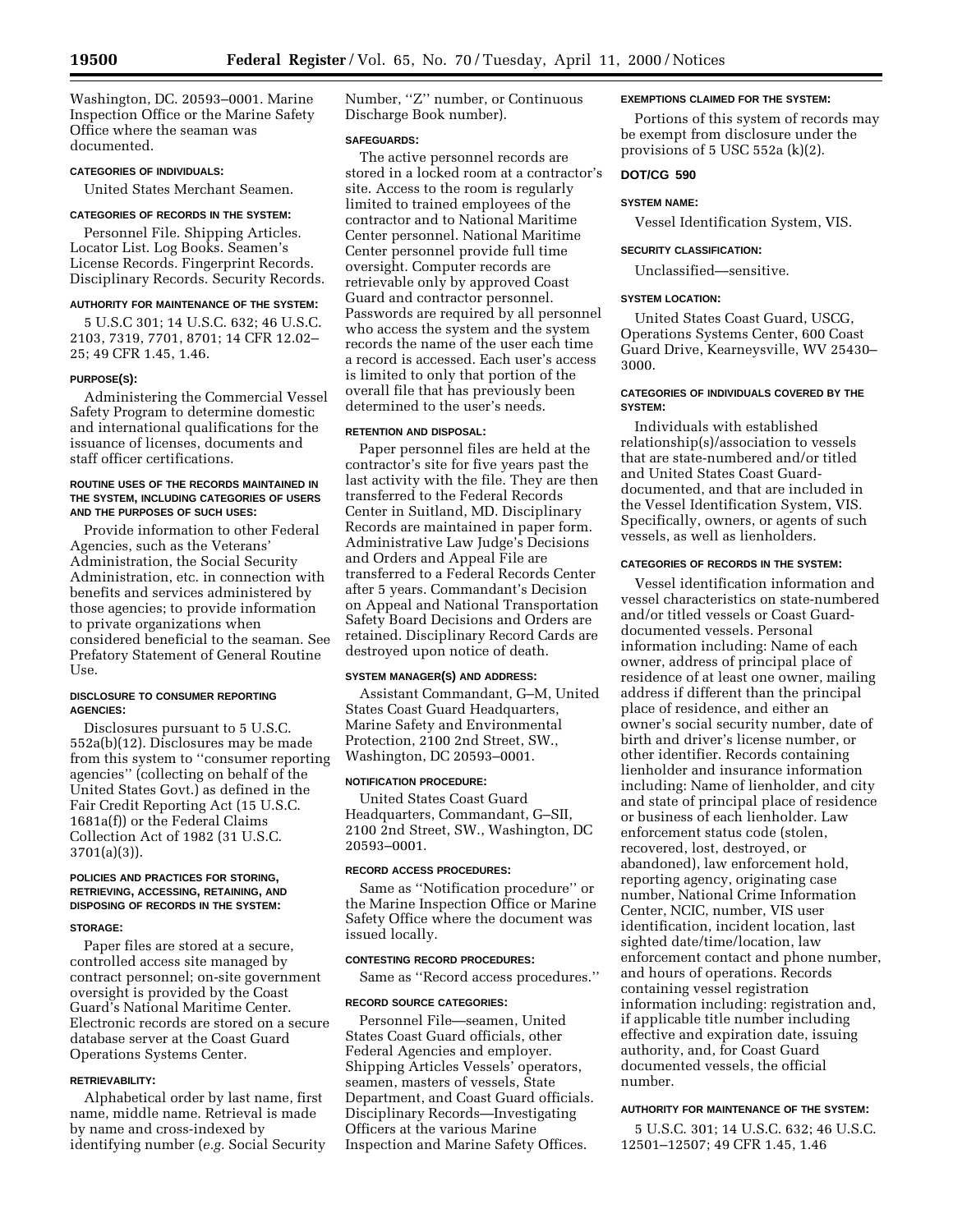Washington, DC. 20593–0001. Marine Inspection Office or the Marine Safety Office where the seaman was documented.

# **CATEGORIES OF INDIVIDUALS:**

United States Merchant Seamen.

# **CATEGORIES OF RECORDS IN THE SYSTEM:**

Personnel File. Shipping Articles. Locator List. Log Books. Seamen's License Records. Fingerprint Records. Disciplinary Records. Security Records.

#### **AUTHORITY FOR MAINTENANCE OF THE SYSTEM:**

5 U.S.C 301; 14 U.S.C. 632; 46 U.S.C. 2103, 7319, 7701, 8701; 14 CFR 12.02– 25; 49 CFR 1.45, 1.46.

# **PURPOSE(S):**

Administering the Commercial Vessel Safety Program to determine domestic and international qualifications for the issuance of licenses, documents and staff officer certifications.

#### **ROUTINE USES OF THE RECORDS MAINTAINED IN THE SYSTEM, INCLUDING CATEGORIES OF USERS AND THE PURPOSES OF SUCH USES:**

Provide information to other Federal Agencies, such as the Veterans' Administration, the Social Security Administration, etc. in connection with benefits and services administered by those agencies; to provide information to private organizations when considered beneficial to the seaman. See Prefatory Statement of General Routine Use.

#### **DISCLOSURE TO CONSUMER REPORTING AGENCIES:**

Disclosures pursuant to 5 U.S.C. 552a(b)(12). Disclosures may be made from this system to ''consumer reporting agencies'' (collecting on behalf of the United States Govt.) as defined in the Fair Credit Reporting Act (15 U.S.C. 1681a(f)) or the Federal Claims Collection Act of 1982 (31 U.S.C. 3701(a)(3)).

#### **POLICIES AND PRACTICES FOR STORING, RETRIEVING, ACCESSING, RETAINING, AND DISPOSING OF RECORDS IN THE SYSTEM:**

#### **STORAGE:**

Paper files are stored at a secure, controlled access site managed by contract personnel; on-site government oversight is provided by the Coast Guard's National Maritime Center. Electronic records are stored on a secure database server at the Coast Guard Operations Systems Center.

#### **RETRIEVABILITY:**

Alphabetical order by last name, first name, middle name. Retrieval is made by name and cross-indexed by identifying number (*e.g.* Social Security Number, ''Z'' number, or Continuous Discharge Book number).

#### **SAFEGUARDS:**

The active personnel records are stored in a locked room at a contractor's site. Access to the room is regularly limited to trained employees of the contractor and to National Maritime Center personnel. National Maritime Center personnel provide full time oversight. Computer records are retrievable only by approved Coast Guard and contractor personnel. Passwords are required by all personnel who access the system and the system records the name of the user each time a record is accessed. Each user's access is limited to only that portion of the overall file that has previously been determined to the user's needs.

# **RETENTION AND DISPOSAL:**

Paper personnel files are held at the contractor's site for five years past the last activity with the file. They are then transferred to the Federal Records Center in Suitland, MD. Disciplinary Records are maintained in paper form. Administrative Law Judge's Decisions and Orders and Appeal File are transferred to a Federal Records Center after 5 years. Commandant's Decision on Appeal and National Transportation Safety Board Decisions and Orders are retained. Disciplinary Record Cards are destroyed upon notice of death.

#### **SYSTEM MANAGER(S) AND ADDRESS:**

Assistant Commandant, G–M, United States Coast Guard Headquarters, Marine Safety and Environmental Protection, 2100 2nd Street, SW., Washington, DC 20593–0001.

# **NOTIFICATION PROCEDURE:**

United States Coast Guard Headquarters, Commandant, G–SII, 2100 2nd Street, SW., Washington, DC 20593–0001.

# **RECORD ACCESS PROCEDURES:**

Same as ''Notification procedure'' or the Marine Inspection Office or Marine Safety Office where the document was issued locally.

#### **CONTESTING RECORD PROCEDURES:**

Same as ''Record access procedures.''

#### **RECORD SOURCE CATEGORIES:**

Personnel File—seamen, United States Coast Guard officials, other Federal Agencies and employer. Shipping Articles Vessels' operators, seamen, masters of vessels, State Department, and Coast Guard officials. Disciplinary Records—Investigating Officers at the various Marine Inspection and Marine Safety Offices.

#### **EXEMPTIONS CLAIMED FOR THE SYSTEM:**

Portions of this system of records may be exempt from disclosure under the provisions of 5 USC 552a (k)(2).

#### **DOT/CG 590**

#### **SYSTEM NAME:**

Vessel Identification System, VIS.

#### **SECURITY CLASSIFICATION:**

Unclassified—sensitive.

#### **SYSTEM LOCATION:**

United States Coast Guard, USCG, Operations Systems Center, 600 Coast Guard Drive, Kearneysville, WV 25430– 3000.

# **CATEGORIES OF INDIVIDUALS COVERED BY THE SYSTEM:**

Individuals with established relationship(s)/association to vessels that are state-numbered and/or titled and United States Coast Guarddocumented, and that are included in the Vessel Identification System, VIS. Specifically, owners, or agents of such vessels, as well as lienholders.

# **CATEGORIES OF RECORDS IN THE SYSTEM:**

Vessel identification information and vessel characteristics on state-numbered and/or titled vessels or Coast Guarddocumented vessels. Personal information including: Name of each owner, address of principal place of residence of at least one owner, mailing address if different than the principal place of residence, and either an owner's social security number, date of birth and driver's license number, or other identifier. Records containing lienholder and insurance information including: Name of lienholder, and city and state of principal place of residence or business of each lienholder. Law enforcement status code (stolen, recovered, lost, destroyed, or abandoned), law enforcement hold, reporting agency, originating case number, National Crime Information Center, NCIC, number, VIS user identification, incident location, last sighted date/time/location, law enforcement contact and phone number, and hours of operations. Records containing vessel registration information including: registration and, if applicable title number including effective and expiration date, issuing authority, and, for Coast Guard documented vessels, the official number.

#### **AUTHORITY FOR MAINTENANCE OF THE SYSTEM:**

5 U.S.C. 301; 14 U.S.C. 632; 46 U.S.C. 12501–12507; 49 CFR 1.45, 1.46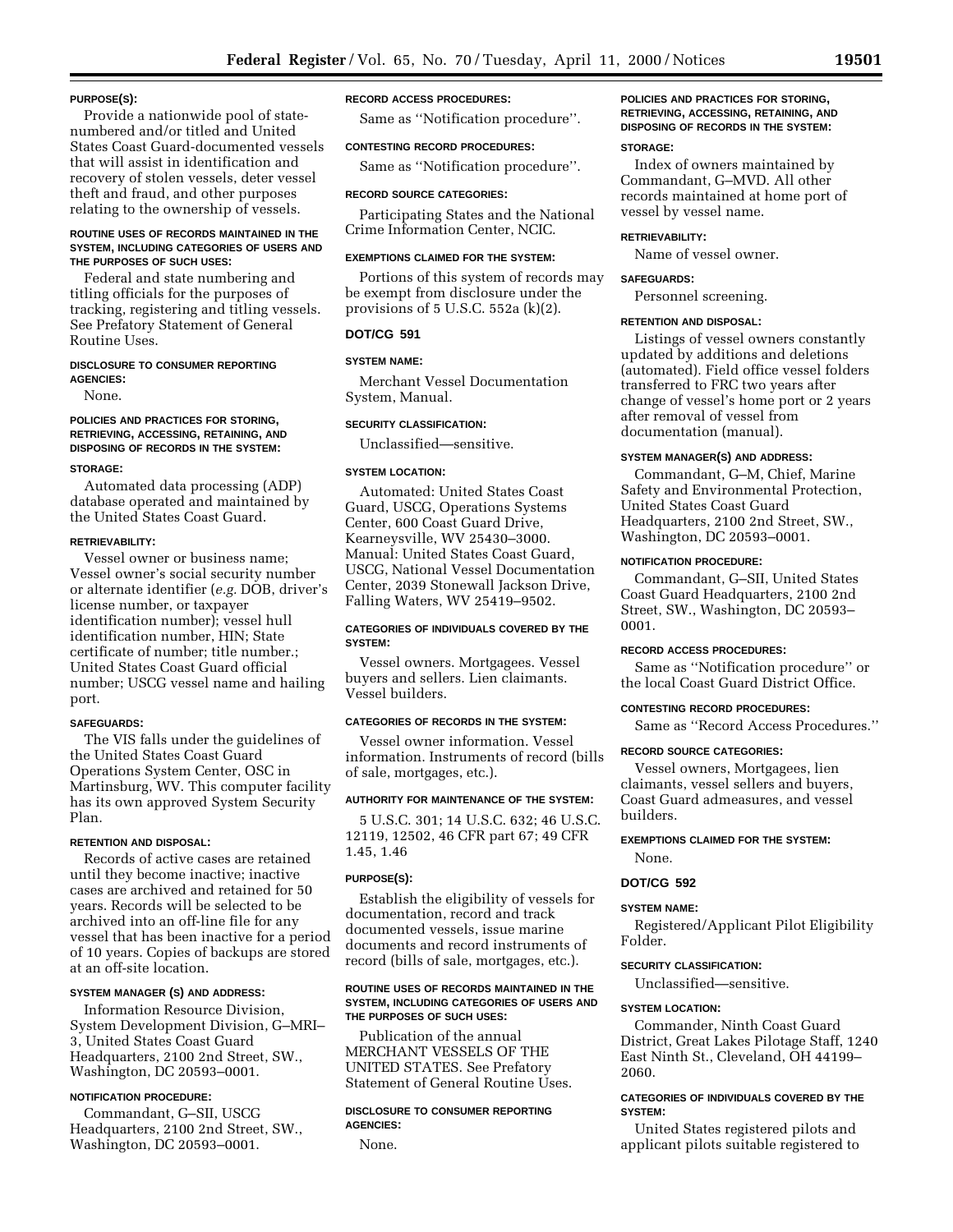#### **PURPOSE(S):**

Provide a nationwide pool of statenumbered and/or titled and United States Coast Guard-documented vessels that will assist in identification and recovery of stolen vessels, deter vessel theft and fraud, and other purposes relating to the ownership of vessels.

#### **ROUTINE USES OF RECORDS MAINTAINED IN THE SYSTEM, INCLUDING CATEGORIES OF USERS AND THE PURPOSES OF SUCH USES:**

Federal and state numbering and titling officials for the purposes of tracking, registering and titling vessels. See Prefatory Statement of General Routine Uses.

#### **DISCLOSURE TO CONSUMER REPORTING AGENCIES:**

None.

# **POLICIES AND PRACTICES FOR STORING, RETRIEVING, ACCESSING, RETAINING, AND DISPOSING OF RECORDS IN THE SYSTEM:**

#### **STORAGE:**

Automated data processing (ADP) database operated and maintained by the United States Coast Guard.

# **RETRIEVABILITY:**

Vessel owner or business name; Vessel owner's social security number or alternate identifier (*e.g.* DOB, driver's license number, or taxpayer identification number); vessel hull identification number, HIN; State certificate of number; title number.; United States Coast Guard official number; USCG vessel name and hailing port.

#### **SAFEGUARDS:**

The VIS falls under the guidelines of the United States Coast Guard Operations System Center, OSC in Martinsburg, WV. This computer facility has its own approved System Security Plan.

# **RETENTION AND DISPOSAL:**

Records of active cases are retained until they become inactive; inactive cases are archived and retained for 50 years. Records will be selected to be archived into an off-line file for any vessel that has been inactive for a period of 10 years. Copies of backups are stored at an off-site location.

# **SYSTEM MANAGER (S) AND ADDRESS:**

Information Resource Division, System Development Division, G–MRI– 3, United States Coast Guard Headquarters, 2100 2nd Street, SW., Washington, DC 20593–0001.

# **NOTIFICATION PROCEDURE:**

Commandant, G–SII, USCG Headquarters, 2100 2nd Street, SW., Washington, DC 20593–0001.

#### **RECORD ACCESS PROCEDURES:**

Same as ''Notification procedure''.

#### **CONTESTING RECORD PROCEDURES:**

Same as ''Notification procedure''.

#### **RECORD SOURCE CATEGORIES:**

Participating States and the National Crime Information Center, NCIC.

#### **EXEMPTIONS CLAIMED FOR THE SYSTEM:**

Portions of this system of records may be exempt from disclosure under the provisions of 5 U.S.C. 552a (k)(2).

# **DOT/CG 591**

# **SYSTEM NAME:**

Merchant Vessel Documentation System, Manual.

# **SECURITY CLASSIFICATION:**

Unclassified—sensitive.

#### **SYSTEM LOCATION:**

Automated: United States Coast Guard, USCG, Operations Systems Center, 600 Coast Guard Drive, Kearneysville, WV 25430–3000. Manual: United States Coast Guard, USCG, National Vessel Documentation Center, 2039 Stonewall Jackson Drive, Falling Waters, WV 25419–9502.

# **CATEGORIES OF INDIVIDUALS COVERED BY THE SYSTEM:**

Vessel owners. Mortgagees. Vessel buyers and sellers. Lien claimants. Vessel builders.

# **CATEGORIES OF RECORDS IN THE SYSTEM:**

Vessel owner information. Vessel information. Instruments of record (bills of sale, mortgages, etc.).

#### **AUTHORITY FOR MAINTENANCE OF THE SYSTEM:**

5 U.S.C. 301; 14 U.S.C. 632; 46 U.S.C. 12119, 12502, 46 CFR part 67; 49 CFR 1.45, 1.46

# **PURPOSE(S):**

Establish the eligibility of vessels for documentation, record and track documented vessels, issue marine documents and record instruments of record (bills of sale, mortgages, etc.).

#### **ROUTINE USES OF RECORDS MAINTAINED IN THE SYSTEM, INCLUDING CATEGORIES OF USERS AND THE PURPOSES OF SUCH USES:**

Publication of the annual MERCHANT VESSELS OF THE UNITED STATES. See Prefatory Statement of General Routine Uses.

#### **DISCLOSURE TO CONSUMER REPORTING AGENCIES:**

None.

# **POLICIES AND PRACTICES FOR STORING, RETRIEVING, ACCESSING, RETAINING, AND DISPOSING OF RECORDS IN THE SYSTEM:**

#### **STORAGE:**

Index of owners maintained by Commandant, G–MVD. All other records maintained at home port of vessel by vessel name.

#### **RETRIEVABILITY:**

Name of vessel owner.

# **SAFEGUARDS:**

Personnel screening.

#### **RETENTION AND DISPOSAL:**

Listings of vessel owners constantly updated by additions and deletions (automated). Field office vessel folders transferred to FRC two years after change of vessel's home port or 2 years after removal of vessel from documentation (manual).

# **SYSTEM MANAGER(S) AND ADDRESS:**

Commandant, G–M, Chief, Marine Safety and Environmental Protection, United States Coast Guard Headquarters, 2100 2nd Street, SW., Washington, DC 20593–0001.

# **NOTIFICATION PROCEDURE:**

Commandant, G–SII, United States Coast Guard Headquarters, 2100 2nd Street, SW., Washington, DC 20593– 0001.

#### **RECORD ACCESS PROCEDURES:**

Same as ''Notification procedure'' or the local Coast Guard District Office.

# **CONTESTING RECORD PROCEDURES:**

Same as ''Record Access Procedures.''

#### **RECORD SOURCE CATEGORIES:**

Vessel owners, Mortgagees, lien claimants, vessel sellers and buyers, Coast Guard admeasures, and vessel builders.

# **EXEMPTIONS CLAIMED FOR THE SYSTEM:** None.

# **DOT/CG 592**

# **SYSTEM NAME:**

Registered/Applicant Pilot Eligibility Folder.

# **SECURITY CLASSIFICATION:**

Unclassified—sensitive.

# **SYSTEM LOCATION:**

Commander, Ninth Coast Guard District, Great Lakes Pilotage Staff, 1240 East Ninth St., Cleveland, OH 44199– 2060.

# **CATEGORIES OF INDIVIDUALS COVERED BY THE SYSTEM:**

United States registered pilots and applicant pilots suitable registered to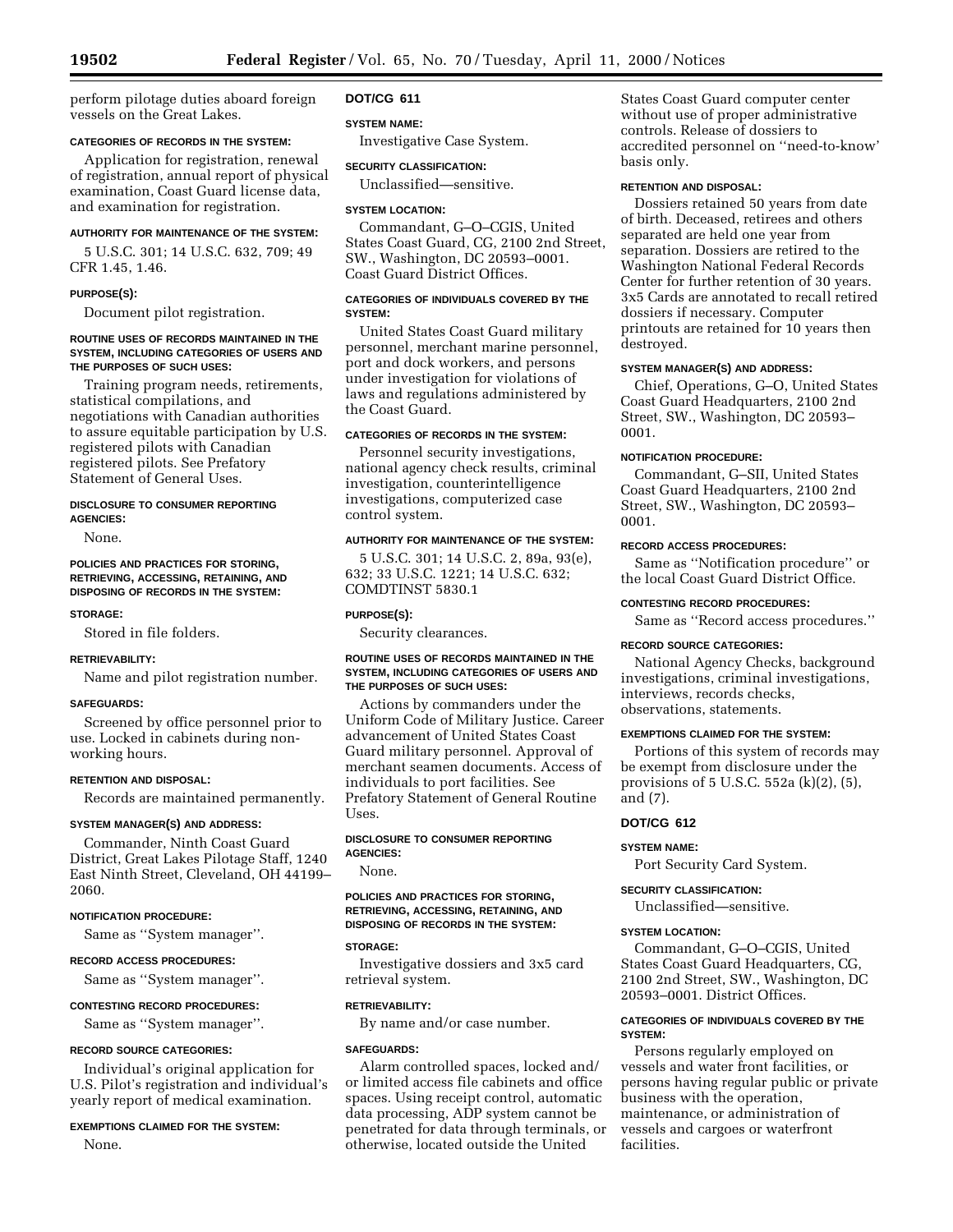perform pilotage duties aboard foreign vessels on the Great Lakes.

#### **CATEGORIES OF RECORDS IN THE SYSTEM:**

Application for registration, renewal of registration, annual report of physical examination, Coast Guard license data, and examination for registration.

#### **AUTHORITY FOR MAINTENANCE OF THE SYSTEM:**

5 U.S.C. 301; 14 U.S.C. 632, 709; 49 CFR 1.45, 1.46.

#### **PURPOSE(S):**

Document pilot registration.

#### **ROUTINE USES OF RECORDS MAINTAINED IN THE SYSTEM, INCLUDING CATEGORIES OF USERS AND THE PURPOSES OF SUCH USES:**

Training program needs, retirements, statistical compilations, and negotiations with Canadian authorities to assure equitable participation by U.S. registered pilots with Canadian registered pilots. See Prefatory Statement of General Uses.

#### **DISCLOSURE TO CONSUMER REPORTING AGENCIES:**

None.

## **POLICIES AND PRACTICES FOR STORING, RETRIEVING, ACCESSING, RETAINING, AND DISPOSING OF RECORDS IN THE SYSTEM:**

#### **STORAGE:**

Stored in file folders.

# **RETRIEVABILITY:**

Name and pilot registration number.

#### **SAFEGUARDS:**

Screened by office personnel prior to use. Locked in cabinets during nonworking hours.

#### **RETENTION AND DISPOSAL:**

Records are maintained permanently.

#### **SYSTEM MANAGER(S) AND ADDRESS:**

Commander, Ninth Coast Guard District, Great Lakes Pilotage Staff, 1240 East Ninth Street, Cleveland, OH 44199– 2060.

# **NOTIFICATION PROCEDURE:**

Same as ''System manager''.

#### **RECORD ACCESS PROCEDURES:**

Same as ''System manager''.

#### **CONTESTING RECORD PROCEDURES:**

Same as ''System manager''.

#### **RECORD SOURCE CATEGORIES:**

Individual's original application for U.S. Pilot's registration and individual's yearly report of medical examination.

#### **EXEMPTIONS CLAIMED FOR THE SYSTEM:**

None.

# **DOT/CG 611**

# **SYSTEM NAME:**

Investigative Case System.

# **SECURITY CLASSIFICATION:**

Unclassified—sensitive.

#### **SYSTEM LOCATION:**

Commandant, G–O–CGIS, United States Coast Guard, CG, 2100 2nd Street, SW., Washington, DC 20593–0001. Coast Guard District Offices.

# **CATEGORIES OF INDIVIDUALS COVERED BY THE SYSTEM:**

United States Coast Guard military personnel, merchant marine personnel, port and dock workers, and persons under investigation for violations of laws and regulations administered by the Coast Guard.

# **CATEGORIES OF RECORDS IN THE SYSTEM:**

Personnel security investigations, national agency check results, criminal investigation, counterintelligence investigations, computerized case control system.

### **AUTHORITY FOR MAINTENANCE OF THE SYSTEM:**

5 U.S.C. 301; 14 U.S.C. 2, 89a, 93(e), 632; 33 U.S.C. 1221; 14 U.S.C. 632; COMDTINST 5830.1

# **PURPOSE(S):**

Security clearances.

#### **ROUTINE USES OF RECORDS MAINTAINED IN THE SYSTEM, INCLUDING CATEGORIES OF USERS AND THE PURPOSES OF SUCH USES:**

Actions by commanders under the Uniform Code of Military Justice. Career advancement of United States Coast Guard military personnel. Approval of merchant seamen documents. Access of individuals to port facilities. See Prefatory Statement of General Routine Uses.

# **DISCLOSURE TO CONSUMER REPORTING AGENCIES:**

None.

# **POLICIES AND PRACTICES FOR STORING, RETRIEVING, ACCESSING, RETAINING, AND DISPOSING OF RECORDS IN THE SYSTEM:**

# **STORAGE:**

Investigative dossiers and 3x5 card retrieval system.

#### **RETRIEVABILITY:**

By name and/or case number.

# **SAFEGUARDS:**

Alarm controlled spaces, locked and/ or limited access file cabinets and office spaces. Using receipt control, automatic data processing, ADP system cannot be penetrated for data through terminals, or otherwise, located outside the United

States Coast Guard computer center without use of proper administrative controls. Release of dossiers to accredited personnel on ''need-to-know' basis only.

#### **RETENTION AND DISPOSAL:**

Dossiers retained 50 years from date of birth. Deceased, retirees and others separated are held one year from separation. Dossiers are retired to the Washington National Federal Records Center for further retention of 30 years. 3x5 Cards are annotated to recall retired dossiers if necessary. Computer printouts are retained for 10 years then destroyed.

#### **SYSTEM MANAGER(S) AND ADDRESS:**

Chief, Operations, G–O, United States Coast Guard Headquarters, 2100 2nd Street, SW., Washington, DC 20593– 0001.

# **NOTIFICATION PROCEDURE:**

Commandant, G–SII, United States Coast Guard Headquarters, 2100 2nd Street, SW., Washington, DC 20593– 0001.

#### **RECORD ACCESS PROCEDURES:**

Same as ''Notification procedure'' or the local Coast Guard District Office.

# **CONTESTING RECORD PROCEDURES:**

Same as ''Record access procedures.''

#### **RECORD SOURCE CATEGORIES:**

National Agency Checks, background investigations, criminal investigations, interviews, records checks, observations, statements.

# **EXEMPTIONS CLAIMED FOR THE SYSTEM:**

Portions of this system of records may be exempt from disclosure under the provisions of 5 U.S.C. 552a (k)(2), (5), and (7).

# **DOT/CG 612**

#### **SYSTEM NAME:**

Port Security Card System.

## **SECURITY CLASSIFICATION:**

Unclassified—sensitive.

#### **SYSTEM LOCATION:**

Commandant, G–O–CGIS, United States Coast Guard Headquarters, CG, 2100 2nd Street, SW., Washington, DC 20593–0001. District Offices.

# **CATEGORIES OF INDIVIDUALS COVERED BY THE SYSTEM:**

Persons regularly employed on vessels and water front facilities, or persons having regular public or private business with the operation, maintenance, or administration of vessels and cargoes or waterfront facilities.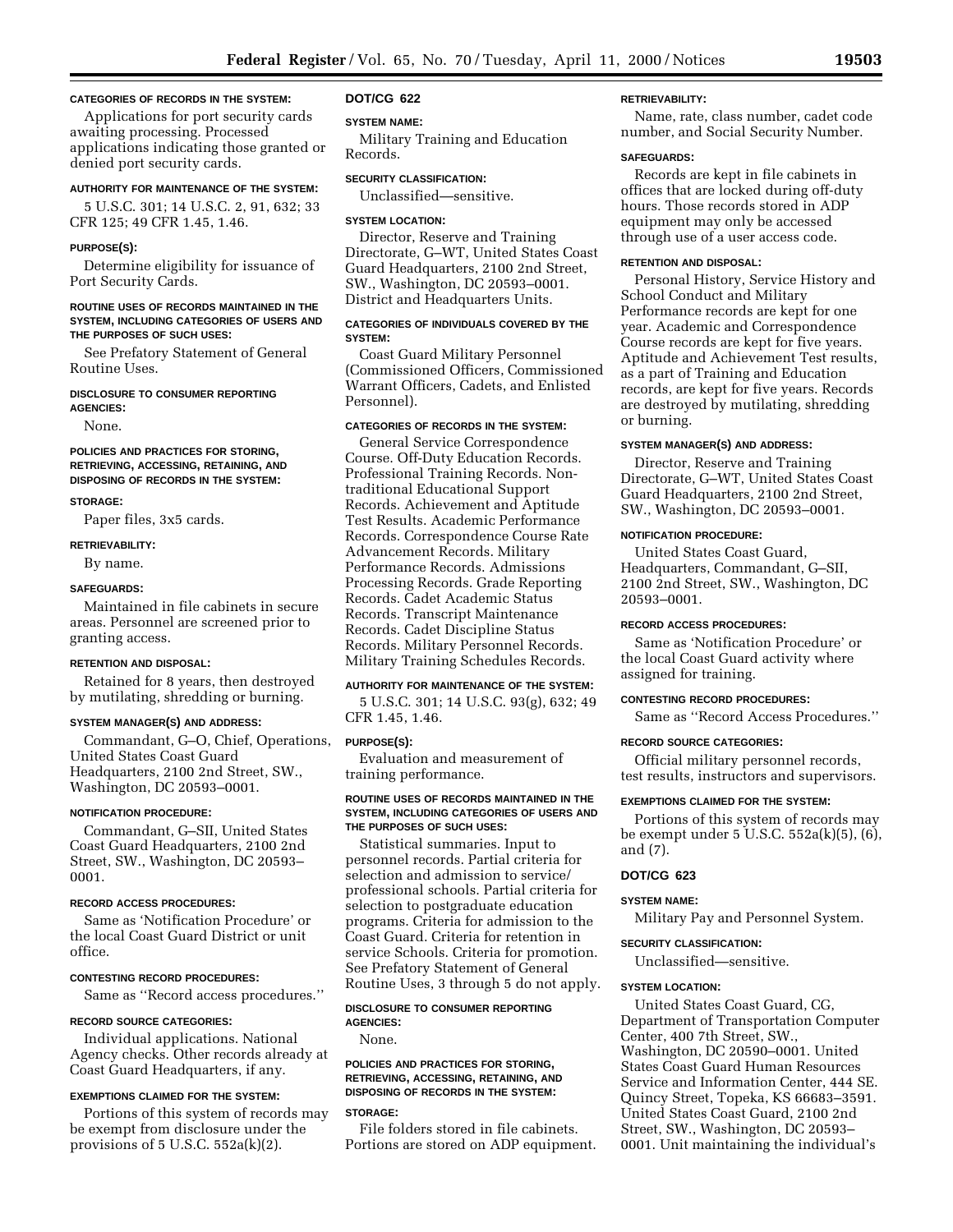# **CATEGORIES OF RECORDS IN THE SYSTEM:**

Applications for port security cards awaiting processing. Processed applications indicating those granted or denied port security cards.

# **AUTHORITY FOR MAINTENANCE OF THE SYSTEM:**

5 U.S.C. 301; 14 U.S.C. 2, 91, 632; 33 CFR 125; 49 CFR 1.45, 1.46.

#### **PURPOSE(S):**

Determine eligibility for issuance of Port Security Cards.

#### **ROUTINE USES OF RECORDS MAINTAINED IN THE SYSTEM, INCLUDING CATEGORIES OF USERS AND THE PURPOSES OF SUCH USES:**

See Prefatory Statement of General Routine Uses.

# **DISCLOSURE TO CONSUMER REPORTING**

**AGENCIES:**

None.

#### **POLICIES AND PRACTICES FOR STORING, RETRIEVING, ACCESSING, RETAINING, AND DISPOSING OF RECORDS IN THE SYSTEM:**

#### **STORAGE:**

Paper files, 3x5 cards.

#### **RETRIEVABILITY:**

By name.

#### **SAFEGUARDS:**

Maintained in file cabinets in secure areas. Personnel are screened prior to granting access.

#### **RETENTION AND DISPOSAL:**

Retained for 8 years, then destroyed by mutilating, shredding or burning.

#### **SYSTEM MANAGER(S) AND ADDRESS:**

Commandant, G–O, Chief, Operations, United States Coast Guard Headquarters, 2100 2nd Street, SW., Washington, DC 20593–0001.

#### **NOTIFICATION PROCEDURE:**

Commandant, G–SII, United States Coast Guard Headquarters, 2100 2nd Street, SW., Washington, DC 20593– 0001.

#### **RECORD ACCESS PROCEDURES:**

Same as 'Notification Procedure' or the local Coast Guard District or unit office.

#### **CONTESTING RECORD PROCEDURES:**

Same as ''Record access procedures.''

#### **RECORD SOURCE CATEGORIES:**

Individual applications. National Agency checks. Other records already at Coast Guard Headquarters, if any.

#### **EXEMPTIONS CLAIMED FOR THE SYSTEM:**

Portions of this system of records may be exempt from disclosure under the provisions of  $5$  U.S.C.  $552a(k)(2)$ .

#### **DOT/CG 622**

#### **SYSTEM NAME:**

Military Training and Education Records.

#### **SECURITY CLASSIFICATION:**

Unclassified—sensitive.

#### **SYSTEM LOCATION:**

Director, Reserve and Training Directorate, G–WT, United States Coast Guard Headquarters, 2100 2nd Street, SW., Washington, DC 20593–0001. District and Headquarters Units.

# **CATEGORIES OF INDIVIDUALS COVERED BY THE SYSTEM:**

Coast Guard Military Personnel (Commissioned Officers, Commissioned Warrant Officers, Cadets, and Enlisted Personnel).

# **CATEGORIES OF RECORDS IN THE SYSTEM:**

General Service Correspondence Course. Off-Duty Education Records. Professional Training Records. Nontraditional Educational Support Records. Achievement and Aptitude Test Results. Academic Performance Records. Correspondence Course Rate Advancement Records. Military Performance Records. Admissions Processing Records. Grade Reporting Records. Cadet Academic Status Records. Transcript Maintenance Records. Cadet Discipline Status Records. Military Personnel Records. Military Training Schedules Records.

# **AUTHORITY FOR MAINTENANCE OF THE SYSTEM:**

5 U.S.C. 301; 14 U.S.C. 93(g), 632; 49 CFR 1.45, 1.46.

# **PURPOSE(S):**

Evaluation and measurement of training performance.

#### **ROUTINE USES OF RECORDS MAINTAINED IN THE SYSTEM, INCLUDING CATEGORIES OF USERS AND THE PURPOSES OF SUCH USES:**

Statistical summaries. Input to personnel records. Partial criteria for selection and admission to service/ professional schools. Partial criteria for selection to postgraduate education programs. Criteria for admission to the Coast Guard. Criteria for retention in service Schools. Criteria for promotion. See Prefatory Statement of General Routine Uses, 3 through 5 do not apply.

#### **DISCLOSURE TO CONSUMER REPORTING AGENCIES:**

None.

#### **POLICIES AND PRACTICES FOR STORING, RETRIEVING, ACCESSING, RETAINING, AND DISPOSING OF RECORDS IN THE SYSTEM:**

#### **STORAGE:**

File folders stored in file cabinets. Portions are stored on ADP equipment.

# **RETRIEVABILITY:**

Name, rate, class number, cadet code number, and Social Security Number.

#### **SAFEGUARDS:**

Records are kept in file cabinets in offices that are locked during off-duty hours. Those records stored in ADP equipment may only be accessed through use of a user access code.

#### **RETENTION AND DISPOSAL:**

Personal History, Service History and School Conduct and Military Performance records are kept for one year. Academic and Correspondence Course records are kept for five years. Aptitude and Achievement Test results, as a part of Training and Education records, are kept for five years. Records are destroyed by mutilating, shredding or burning.

#### **SYSTEM MANAGER(S) AND ADDRESS:**

Director, Reserve and Training Directorate, G–WT, United States Coast Guard Headquarters, 2100 2nd Street, SW., Washington, DC 20593–0001.

#### **NOTIFICATION PROCEDURE:**

United States Coast Guard, Headquarters, Commandant, G–SII, 2100 2nd Street, SW., Washington, DC 20593–0001.

#### **RECORD ACCESS PROCEDURES:**

Same as 'Notification Procedure' or the local Coast Guard activity where assigned for training.

#### **CONTESTING RECORD PROCEDURES:**

Same as ''Record Access Procedures.''

# **RECORD SOURCE CATEGORIES:**

Official military personnel records, test results, instructors and supervisors.

#### **EXEMPTIONS CLAIMED FOR THE SYSTEM:**

Portions of this system of records may be exempt under 5 U.S.C. 552a(k)(5), (6), and (7).

# **DOT/CG 623**

# **SYSTEM NAME:**

Military Pay and Personnel System.

#### **SECURITY CLASSIFICATION:**

Unclassified—sensitive.

#### **SYSTEM LOCATION:**

United States Coast Guard, CG, Department of Transportation Computer Center, 400 7th Street, SW., Washington, DC 20590–0001. United States Coast Guard Human Resources Service and Information Center, 444 SE. Quincy Street, Topeka, KS 66683–3591. United States Coast Guard, 2100 2nd Street, SW., Washington, DC 20593– 0001. Unit maintaining the individual's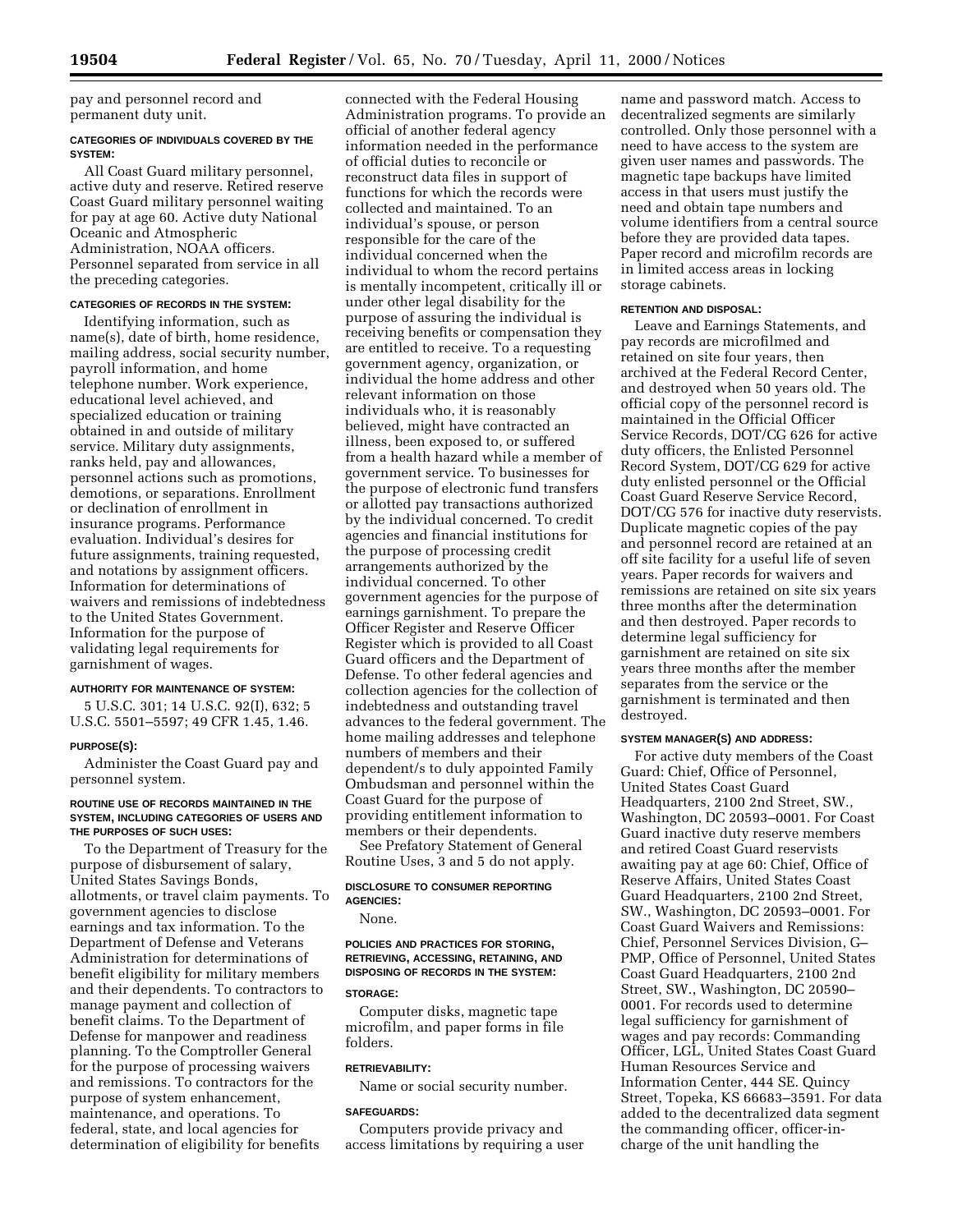pay and personnel record and permanent duty unit.

# **CATEGORIES OF INDIVIDUALS COVERED BY THE SYSTEM:**

All Coast Guard military personnel, active duty and reserve. Retired reserve Coast Guard military personnel waiting for pay at age 60. Active duty National Oceanic and Atmospheric Administration, NOAA officers. Personnel separated from service in all the preceding categories.

# **CATEGORIES OF RECORDS IN THE SYSTEM:**

Identifying information, such as name(s), date of birth, home residence, mailing address, social security number, payroll information, and home telephone number. Work experience, educational level achieved, and specialized education or training obtained in and outside of military service. Military duty assignments, ranks held, pay and allowances, personnel actions such as promotions, demotions, or separations. Enrollment or declination of enrollment in insurance programs. Performance evaluation. Individual's desires for future assignments, training requested, and notations by assignment officers. Information for determinations of waivers and remissions of indebtedness to the United States Government. Information for the purpose of validating legal requirements for garnishment of wages.

#### **AUTHORITY FOR MAINTENANCE OF SYSTEM:**

5 U.S.C. 301; 14 U.S.C. 92(I), 632; 5 U.S.C. 5501–5597; 49 CFR 1.45, 1.46.

#### **PURPOSE(S):**

Administer the Coast Guard pay and personnel system.

#### **ROUTINE USE OF RECORDS MAINTAINED IN THE SYSTEM, INCLUDING CATEGORIES OF USERS AND THE PURPOSES OF SUCH USES:**

To the Department of Treasury for the purpose of disbursement of salary, United States Savings Bonds, allotments, or travel claim payments. To government agencies to disclose earnings and tax information. To the Department of Defense and Veterans Administration for determinations of benefit eligibility for military members and their dependents. To contractors to manage payment and collection of benefit claims. To the Department of Defense for manpower and readiness planning. To the Comptroller General for the purpose of processing waivers and remissions. To contractors for the purpose of system enhancement, maintenance, and operations. To federal, state, and local agencies for determination of eligibility for benefits

connected with the Federal Housing Administration programs. To provide an official of another federal agency information needed in the performance of official duties to reconcile or reconstruct data files in support of functions for which the records were collected and maintained. To an individual's spouse, or person responsible for the care of the individual concerned when the individual to whom the record pertains is mentally incompetent, critically ill or under other legal disability for the purpose of assuring the individual is receiving benefits or compensation they are entitled to receive. To a requesting government agency, organization, or individual the home address and other relevant information on those individuals who, it is reasonably believed, might have contracted an illness, been exposed to, or suffered from a health hazard while a member of government service. To businesses for the purpose of electronic fund transfers or allotted pay transactions authorized by the individual concerned. To credit agencies and financial institutions for the purpose of processing credit arrangements authorized by the individual concerned. To other government agencies for the purpose of earnings garnishment. To prepare the Officer Register and Reserve Officer Register which is provided to all Coast Guard officers and the Department of Defense. To other federal agencies and collection agencies for the collection of indebtedness and outstanding travel advances to the federal government. The home mailing addresses and telephone numbers of members and their dependent/s to duly appointed Family Ombudsman and personnel within the Coast Guard for the purpose of providing entitlement information to members or their dependents.

See Prefatory Statement of General Routine Uses, 3 and 5 do not apply.

# **DISCLOSURE TO CONSUMER REPORTING AGENCIES:**

None.

# **POLICIES AND PRACTICES FOR STORING, RETRIEVING, ACCESSING, RETAINING, AND DISPOSING OF RECORDS IN THE SYSTEM:**

# **STORAGE:**

Computer disks, magnetic tape microfilm, and paper forms in file folders.

# **RETRIEVABILITY:**

Name or social security number.

#### **SAFEGUARDS:**

Computers provide privacy and access limitations by requiring a user

name and password match. Access to decentralized segments are similarly controlled. Only those personnel with a need to have access to the system are given user names and passwords. The magnetic tape backups have limited access in that users must justify the need and obtain tape numbers and volume identifiers from a central source before they are provided data tapes. Paper record and microfilm records are in limited access areas in locking storage cabinets.

#### **RETENTION AND DISPOSAL:**

Leave and Earnings Statements, and pay records are microfilmed and retained on site four years, then archived at the Federal Record Center, and destroyed when 50 years old. The official copy of the personnel record is maintained in the Official Officer Service Records, DOT/CG 626 for active duty officers, the Enlisted Personnel Record System, DOT/CG 629 for active duty enlisted personnel or the Official Coast Guard Reserve Service Record, DOT/CG 576 for inactive duty reservists. Duplicate magnetic copies of the pay and personnel record are retained at an off site facility for a useful life of seven years. Paper records for waivers and remissions are retained on site six years three months after the determination and then destroyed. Paper records to determine legal sufficiency for garnishment are retained on site six years three months after the member separates from the service or the garnishment is terminated and then destroyed.

#### **SYSTEM MANAGER(S) AND ADDRESS:**

For active duty members of the Coast Guard: Chief, Office of Personnel, United States Coast Guard Headquarters, 2100 2nd Street, SW., Washington, DC 20593–0001. For Coast Guard inactive duty reserve members and retired Coast Guard reservists awaiting pay at age 60: Chief, Office of Reserve Affairs, United States Coast Guard Headquarters, 2100 2nd Street, SW., Washington, DC 20593–0001. For Coast Guard Waivers and Remissions: Chief, Personnel Services Division, G– PMP, Office of Personnel, United States Coast Guard Headquarters, 2100 2nd Street, SW., Washington, DC 20590– 0001. For records used to determine legal sufficiency for garnishment of wages and pay records: Commanding Officer, LGL, United States Coast Guard Human Resources Service and Information Center, 444 SE. Quincy Street, Topeka, KS 66683–3591. For data added to the decentralized data segment the commanding officer, officer-incharge of the unit handling the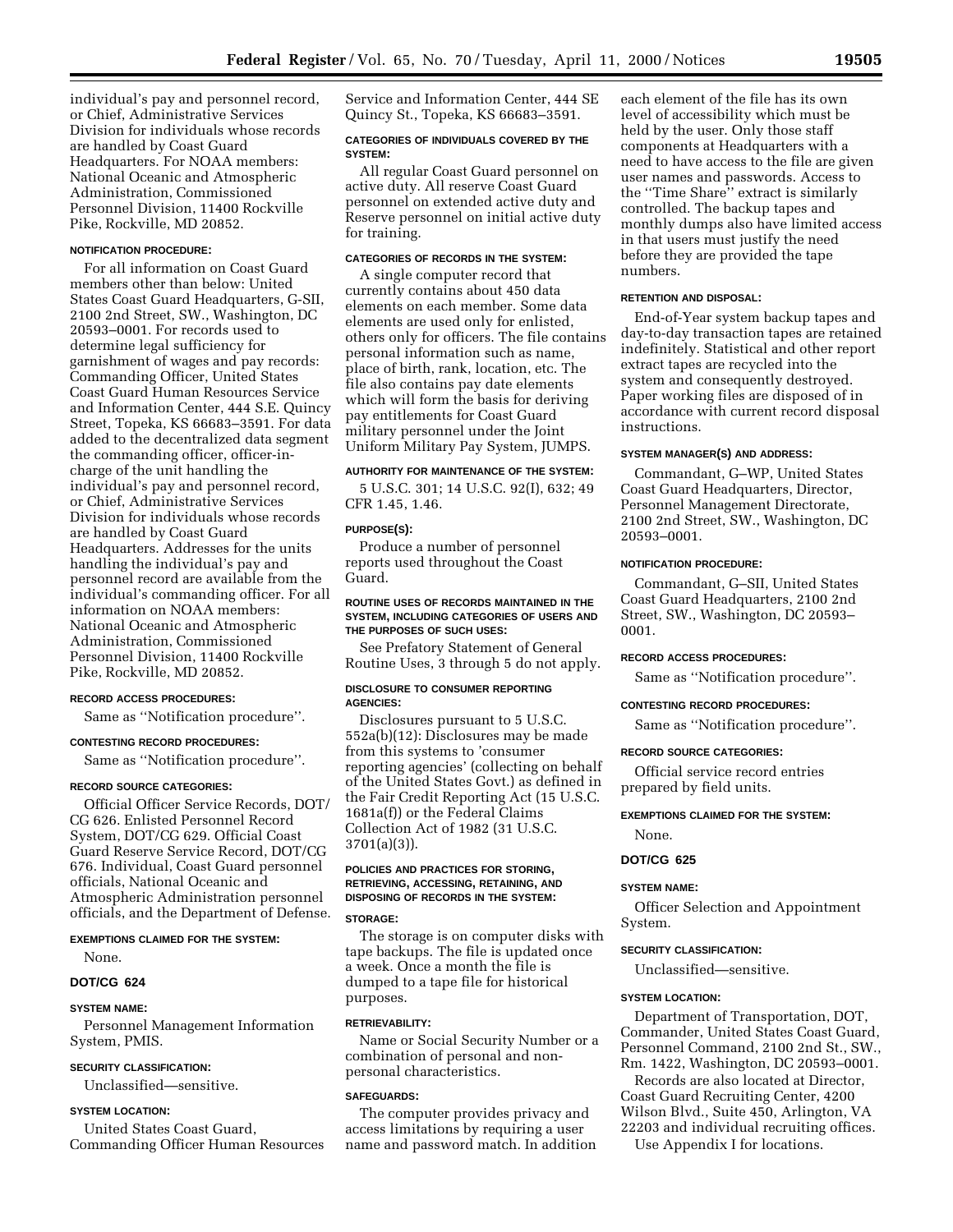individual's pay and personnel record, or Chief, Administrative Services Division for individuals whose records are handled by Coast Guard Headquarters. For NOAA members: National Oceanic and Atmospheric Administration, Commissioned Personnel Division, 11400 Rockville Pike, Rockville, MD 20852.

# **NOTIFICATION PROCEDURE:**

For all information on Coast Guard members other than below: United States Coast Guard Headquarters, G-SII, 2100 2nd Street, SW., Washington, DC 20593–0001. For records used to determine legal sufficiency for garnishment of wages and pay records: Commanding Officer, United States Coast Guard Human Resources Service and Information Center, 444 S.E. Quincy Street, Topeka, KS 66683–3591. For data added to the decentralized data segment the commanding officer, officer-incharge of the unit handling the individual's pay and personnel record, or Chief, Administrative Services Division for individuals whose records are handled by Coast Guard Headquarters. Addresses for the units handling the individual's pay and personnel record are available from the individual's commanding officer. For all information on NOAA members: National Oceanic and Atmospheric Administration, Commissioned Personnel Division, 11400 Rockville Pike, Rockville, MD 20852.

#### **RECORD ACCESS PROCEDURES:**

Same as ''Notification procedure''.

# **CONTESTING RECORD PROCEDURES:**

Same as ''Notification procedure''.

#### **RECORD SOURCE CATEGORIES:**

Official Officer Service Records, DOT/ CG 626. Enlisted Personnel Record System, DOT/CG 629. Official Coast Guard Reserve Service Record, DOT/CG 676. Individual, Coast Guard personnel officials, National Oceanic and Atmospheric Administration personnel officials, and the Department of Defense.

#### **EXEMPTIONS CLAIMED FOR THE SYSTEM:**

None.

# **DOT/CG 624**

# **SYSTEM NAME:**

Personnel Management Information System, PMIS.

#### **SECURITY CLASSIFICATION:**

Unclassified—sensitive.

#### **SYSTEM LOCATION:**

United States Coast Guard, Commanding Officer Human Resources Service and Information Center, 444 SE Quincy St., Topeka, KS 66683–3591.

# **CATEGORIES OF INDIVIDUALS COVERED BY THE SYSTEM:**

All regular Coast Guard personnel on active duty. All reserve Coast Guard personnel on extended active duty and Reserve personnel on initial active duty for training.

#### **CATEGORIES OF RECORDS IN THE SYSTEM:**

A single computer record that currently contains about 450 data elements on each member. Some data elements are used only for enlisted, others only for officers. The file contains personal information such as name, place of birth, rank, location, etc. The file also contains pay date elements which will form the basis for deriving pay entitlements for Coast Guard military personnel under the Joint Uniform Military Pay System, JUMPS.

#### **AUTHORITY FOR MAINTENANCE OF THE SYSTEM:**

5 U.S.C. 301; 14 U.S.C. 92(I), 632; 49 CFR 1.45, 1.46.

#### **PURPOSE(S):**

Produce a number of personnel reports used throughout the Coast Guard.

#### **ROUTINE USES OF RECORDS MAINTAINED IN THE SYSTEM, INCLUDING CATEGORIES OF USERS AND THE PURPOSES OF SUCH USES:**

See Prefatory Statement of General Routine Uses, 3 through 5 do not apply.

# **DISCLOSURE TO CONSUMER REPORTING AGENCIES:**

Disclosures pursuant to 5 U.S.C. 552a(b)(12): Disclosures may be made from this systems to 'consumer reporting agencies' (collecting on behalf of the United States Govt.) as defined in the Fair Credit Reporting Act (15 U.S.C. 1681a(f)) or the Federal Claims Collection Act of 1982 (31 U.S.C. 3701(a)(3)).

# **POLICIES AND PRACTICES FOR STORING, RETRIEVING, ACCESSING, RETAINING, AND DISPOSING OF RECORDS IN THE SYSTEM:**

#### **STORAGE:**

The storage is on computer disks with tape backups. The file is updated once a week. Once a month the file is dumped to a tape file for historical purposes.

#### **RETRIEVABILITY:**

Name or Social Security Number or a combination of personal and nonpersonal characteristics.

#### **SAFEGUARDS:**

The computer provides privacy and access limitations by requiring a user name and password match. In addition

each element of the file has its own level of accessibility which must be held by the user. Only those staff components at Headquarters with a need to have access to the file are given user names and passwords. Access to the ''Time Share'' extract is similarly controlled. The backup tapes and monthly dumps also have limited access in that users must justify the need before they are provided the tape numbers.

#### **RETENTION AND DISPOSAL:**

End-of-Year system backup tapes and day-to-day transaction tapes are retained indefinitely. Statistical and other report extract tapes are recycled into the system and consequently destroyed. Paper working files are disposed of in accordance with current record disposal instructions.

#### **SYSTEM MANAGER(S) AND ADDRESS:**

Commandant, G–WP, United States Coast Guard Headquarters, Director, Personnel Management Directorate, 2100 2nd Street, SW., Washington, DC 20593–0001.

#### **NOTIFICATION PROCEDURE:**

Commandant, G–SII, United States Coast Guard Headquarters, 2100 2nd Street, SW., Washington, DC 20593– 0001.

#### **RECORD ACCESS PROCEDURES:**

Same as ''Notification procedure''.

#### **CONTESTING RECORD PROCEDURES:**

Same as ''Notification procedure''.

#### **RECORD SOURCE CATEGORIES:**

Official service record entries prepared by field units.

#### **EXEMPTIONS CLAIMED FOR THE SYSTEM:**

None.

# **DOT/CG 625**

#### **SYSTEM NAME:**

Officer Selection and Appointment System.

# **SECURITY CLASSIFICATION:**

Unclassified—sensitive.

#### **SYSTEM LOCATION:**

Department of Transportation, DOT, Commander, United States Coast Guard, Personnel Command, 2100 2nd St., SW., Rm. 1422, Washington, DC 20593–0001.

Records are also located at Director, Coast Guard Recruiting Center, 4200 Wilson Blvd., Suite 450, Arlington, VA 22203 and individual recruiting offices.

Use Appendix I for locations.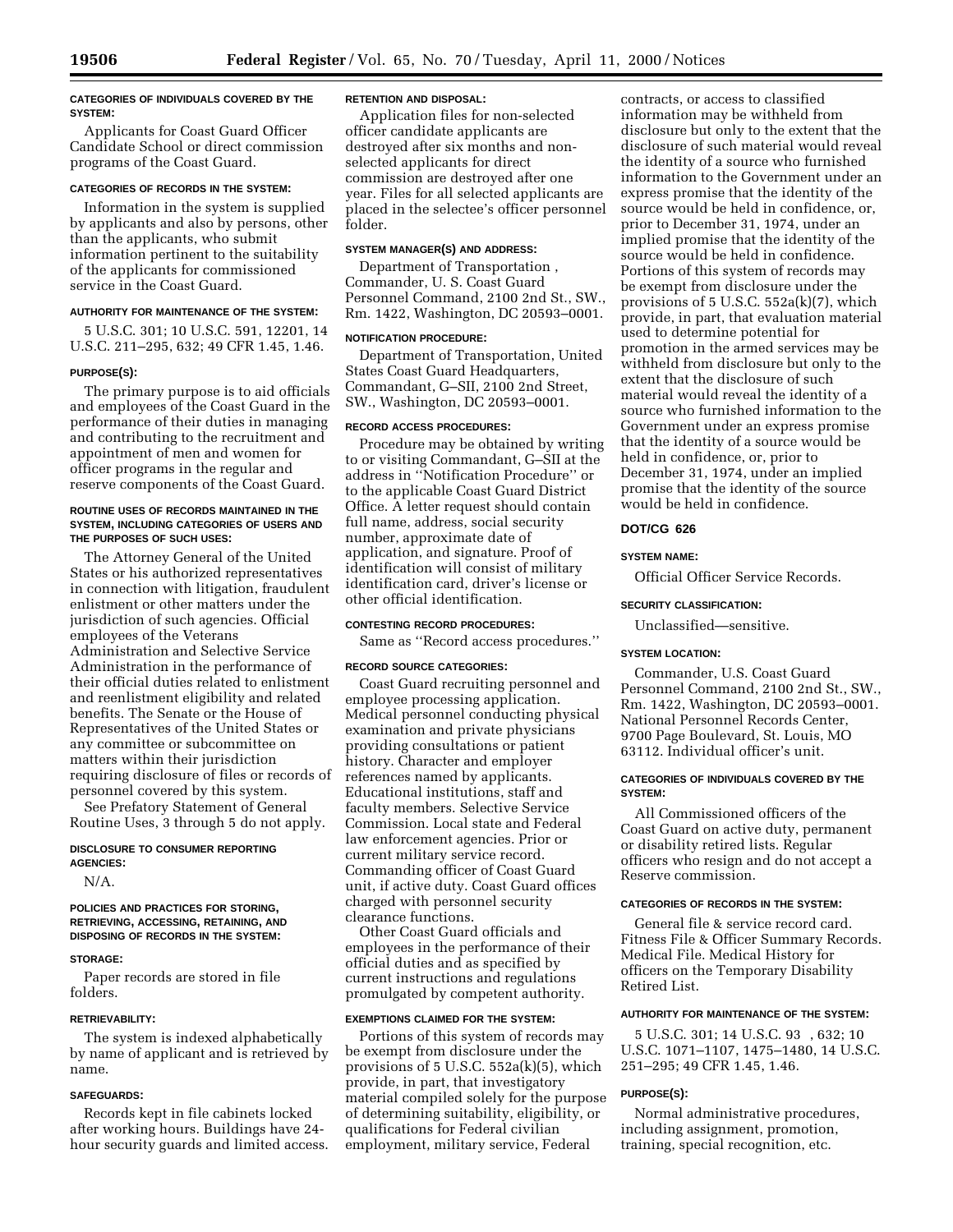#### **CATEGORIES OF INDIVIDUALS COVERED BY THE SYSTEM:**

Applicants for Coast Guard Officer Candidate School or direct commission programs of the Coast Guard.

# **CATEGORIES OF RECORDS IN THE SYSTEM:**

Information in the system is supplied by applicants and also by persons, other than the applicants, who submit information pertinent to the suitability of the applicants for commissioned service in the Coast Guard.

## **AUTHORITY FOR MAINTENANCE OF THE SYSTEM:**

5 U.S.C. 301; 10 U.S.C. 591, 12201, 14 U.S.C. 211–295, 632; 49 CFR 1.45, 1.46.

#### **PURPOSE(S):**

The primary purpose is to aid officials and employees of the Coast Guard in the performance of their duties in managing and contributing to the recruitment and appointment of men and women for officer programs in the regular and reserve components of the Coast Guard.

#### **ROUTINE USES OF RECORDS MAINTAINED IN THE SYSTEM, INCLUDING CATEGORIES OF USERS AND THE PURPOSES OF SUCH USES:**

The Attorney General of the United States or his authorized representatives in connection with litigation, fraudulent enlistment or other matters under the jurisdiction of such agencies. Official employees of the Veterans Administration and Selective Service Administration in the performance of their official duties related to enlistment and reenlistment eligibility and related benefits. The Senate or the House of Representatives of the United States or any committee or subcommittee on matters within their jurisdiction requiring disclosure of files or records of personnel covered by this system.

See Prefatory Statement of General Routine Uses, 3 through 5 do not apply.

# **DISCLOSURE TO CONSUMER REPORTING AGENCIES:**

N/A.

#### **POLICIES AND PRACTICES FOR STORING, RETRIEVING, ACCESSING, RETAINING, AND DISPOSING OF RECORDS IN THE SYSTEM:**

#### **STORAGE:**

Paper records are stored in file folders.

#### **RETRIEVABILITY:**

The system is indexed alphabetically by name of applicant and is retrieved by name.

#### **SAFEGUARDS:**

Records kept in file cabinets locked after working hours. Buildings have 24 hour security guards and limited access.

#### **RETENTION AND DISPOSAL:**

Application files for non-selected officer candidate applicants are destroyed after six months and nonselected applicants for direct commission are destroyed after one year. Files for all selected applicants are placed in the selectee's officer personnel folder.

#### **SYSTEM MANAGER(S) AND ADDRESS:**

Department of Transportation , Commander, U. S. Coast Guard Personnel Command, 2100 2nd St., SW., Rm. 1422, Washington, DC 20593–0001.

#### **NOTIFICATION PROCEDURE:**

Department of Transportation, United States Coast Guard Headquarters, Commandant, G–SII, 2100 2nd Street, SW., Washington, DC 20593–0001.

# **RECORD ACCESS PROCEDURES:**

Procedure may be obtained by writing to or visiting Commandant, G–SII at the address in ''Notification Procedure'' or to the applicable Coast Guard District Office. A letter request should contain full name, address, social security number, approximate date of application, and signature. Proof of identification will consist of military identification card, driver's license or other official identification.

#### **CONTESTING RECORD PROCEDURES:**

Same as ''Record access procedures.''

#### **RECORD SOURCE CATEGORIES:**

Coast Guard recruiting personnel and employee processing application. Medical personnel conducting physical examination and private physicians providing consultations or patient history. Character and employer references named by applicants. Educational institutions, staff and faculty members. Selective Service Commission. Local state and Federal law enforcement agencies. Prior or current military service record. Commanding officer of Coast Guard unit, if active duty. Coast Guard offices charged with personnel security clearance functions.

Other Coast Guard officials and employees in the performance of their official duties and as specified by current instructions and regulations promulgated by competent authority.

# **EXEMPTIONS CLAIMED FOR THE SYSTEM:**

Portions of this system of records may be exempt from disclosure under the provisions of 5 U.S.C. 552a(k)(5), which provide, in part, that investigatory material compiled solely for the purpose of determining suitability, eligibility, or qualifications for Federal civilian employment, military service, Federal

contracts, or access to classified information may be withheld from disclosure but only to the extent that the disclosure of such material would reveal the identity of a source who furnished information to the Government under an express promise that the identity of the source would be held in confidence, or, prior to December 31, 1974, under an implied promise that the identity of the source would be held in confidence. Portions of this system of records may be exempt from disclosure under the provisions of 5 U.S.C. 552a(k)(7), which provide, in part, that evaluation material used to determine potential for promotion in the armed services may be withheld from disclosure but only to the extent that the disclosure of such material would reveal the identity of a source who furnished information to the Government under an express promise that the identity of a source would be held in confidence, or, prior to December 31, 1974, under an implied promise that the identity of the source would be held in confidence.

#### **DOT/CG 626**

#### **SYSTEM NAME:**

Official Officer Service Records.

#### **SECURITY CLASSIFICATION:**

Unclassified—sensitive.

# **SYSTEM LOCATION:**

Commander, U.S. Coast Guard Personnel Command, 2100 2nd St., SW., Rm. 1422, Washington, DC 20593–0001. National Personnel Records Center, 9700 Page Boulevard, St. Louis, MO 63112. Individual officer's unit.

# **CATEGORIES OF INDIVIDUALS COVERED BY THE SYSTEM:**

All Commissioned officers of the Coast Guard on active duty, permanent or disability retired lists. Regular officers who resign and do not accept a Reserve commission.

#### **CATEGORIES OF RECORDS IN THE SYSTEM:**

General file & service record card. Fitness File & Officer Summary Records. Medical File. Medical History for officers on the Temporary Disability Retired List.

#### **AUTHORITY FOR MAINTENANCE OF THE SYSTEM:**

5 U.S.C. 301; 14 U.S.C. 93<sup>®</sup>, 632; 10 U.S.C. 1071–1107, 1475–1480, 14 U.S.C. 251–295; 49 CFR 1.45, 1.46.

#### **PURPOSE(S):**

Normal administrative procedures, including assignment, promotion, training, special recognition, etc.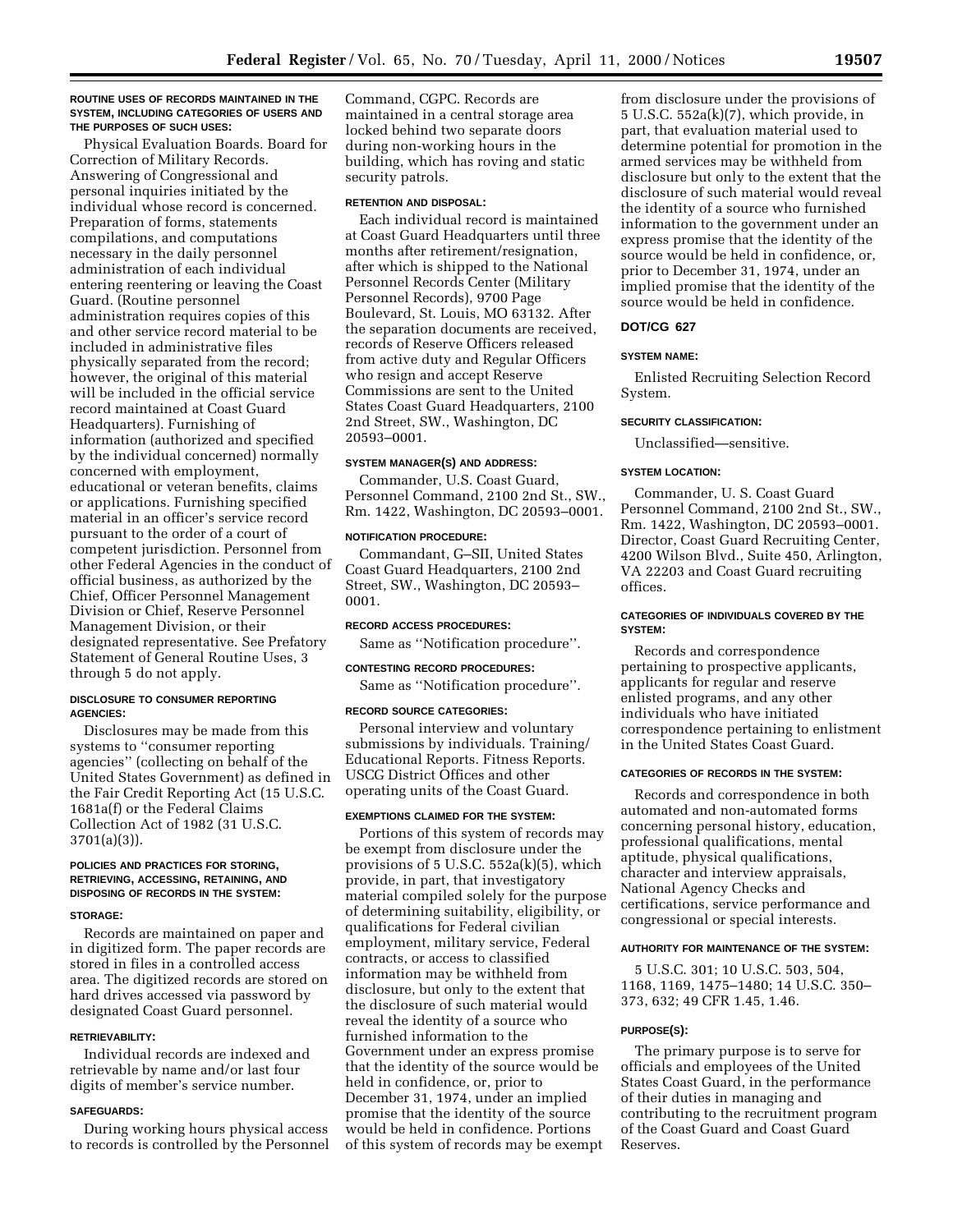#### **ROUTINE USES OF RECORDS MAINTAINED IN THE SYSTEM, INCLUDING CATEGORIES OF USERS AND THE PURPOSES OF SUCH USES:**

Physical Evaluation Boards. Board for Correction of Military Records. Answering of Congressional and personal inquiries initiated by the individual whose record is concerned. Preparation of forms, statements compilations, and computations necessary in the daily personnel administration of each individual entering reentering or leaving the Coast Guard. (Routine personnel administration requires copies of this and other service record material to be included in administrative files physically separated from the record; however, the original of this material will be included in the official service record maintained at Coast Guard Headquarters). Furnishing of information (authorized and specified by the individual concerned) normally concerned with employment, educational or veteran benefits, claims or applications. Furnishing specified material in an officer's service record pursuant to the order of a court of competent jurisdiction. Personnel from other Federal Agencies in the conduct of official business, as authorized by the Chief, Officer Personnel Management Division or Chief, Reserve Personnel Management Division, or their designated representative. See Prefatory Statement of General Routine Uses, 3 through 5 do not apply.

# **DISCLOSURE TO CONSUMER REPORTING AGENCIES:**

Disclosures may be made from this systems to ''consumer reporting agencies'' (collecting on behalf of the United States Government) as defined in the Fair Credit Reporting Act (15 U.S.C. 1681a(f) or the Federal Claims Collection Act of 1982 (31 U.S.C. 3701(a)(3)).

# **POLICIES AND PRACTICES FOR STORING, RETRIEVING, ACCESSING, RETAINING, AND DISPOSING OF RECORDS IN THE SYSTEM:**

#### **STORAGE:**

Records are maintained on paper and in digitized form. The paper records are stored in files in a controlled access area. The digitized records are stored on hard drives accessed via password by designated Coast Guard personnel.

#### **RETRIEVABILITY:**

Individual records are indexed and retrievable by name and/or last four digits of member's service number.

#### **SAFEGUARDS:**

During working hours physical access to records is controlled by the Personnel

Command, CGPC. Records are maintained in a central storage area locked behind two separate doors during non-working hours in the building, which has roving and static security patrols.

#### **RETENTION AND DISPOSAL:**

Each individual record is maintained at Coast Guard Headquarters until three months after retirement/resignation, after which is shipped to the National Personnel Records Center (Military Personnel Records), 9700 Page Boulevard, St. Louis, MO 63132. After the separation documents are received, records of Reserve Officers released from active duty and Regular Officers who resign and accept Reserve Commissions are sent to the United States Coast Guard Headquarters, 2100 2nd Street, SW., Washington, DC 20593–0001.

#### **SYSTEM MANAGER(S) AND ADDRESS:**

Commander, U.S. Coast Guard, Personnel Command, 2100 2nd St., SW., Rm. 1422, Washington, DC 20593–0001.

#### **NOTIFICATION PROCEDURE:**

Commandant, G–SII, United States Coast Guard Headquarters, 2100 2nd Street, SW., Washington, DC 20593– 0001.

# **RECORD ACCESS PROCEDURES:**

Same as ''Notification procedure''.

#### **CONTESTING RECORD PROCEDURES:**

Same as ''Notification procedure''.

# **RECORD SOURCE CATEGORIES:**

Personal interview and voluntary submissions by individuals. Training/ Educational Reports. Fitness Reports. USCG District Offices and other operating units of the Coast Guard.

#### **EXEMPTIONS CLAIMED FOR THE SYSTEM:**

Portions of this system of records may be exempt from disclosure under the provisions of 5 U.S.C. 552a(k)(5), which provide, in part, that investigatory material compiled solely for the purpose of determining suitability, eligibility, or qualifications for Federal civilian employment, military service, Federal contracts, or access to classified information may be withheld from disclosure, but only to the extent that the disclosure of such material would reveal the identity of a source who furnished information to the Government under an express promise that the identity of the source would be held in confidence, or, prior to December 31, 1974, under an implied promise that the identity of the source would be held in confidence. Portions of this system of records may be exempt

from disclosure under the provisions of 5 U.S.C. 552a(k)(7), which provide, in part, that evaluation material used to determine potential for promotion in the armed services may be withheld from disclosure but only to the extent that the disclosure of such material would reveal the identity of a source who furnished information to the government under an express promise that the identity of the source would be held in confidence, or, prior to December 31, 1974, under an implied promise that the identity of the source would be held in confidence.

#### **DOT/CG 627**

#### **SYSTEM NAME:**

Enlisted Recruiting Selection Record System.

#### **SECURITY CLASSIFICATION:**

Unclassified—sensitive.

#### **SYSTEM LOCATION:**

Commander, U. S. Coast Guard Personnel Command, 2100 2nd St., SW., Rm. 1422, Washington, DC 20593–0001. Director, Coast Guard Recruiting Center, 4200 Wilson Blvd., Suite 450, Arlington, VA 22203 and Coast Guard recruiting offices.

### **CATEGORIES OF INDIVIDUALS COVERED BY THE SYSTEM:**

Records and correspondence pertaining to prospective applicants, applicants for regular and reserve enlisted programs, and any other individuals who have initiated correspondence pertaining to enlistment in the United States Coast Guard.

#### **CATEGORIES OF RECORDS IN THE SYSTEM:**

Records and correspondence in both automated and non-automated forms concerning personal history, education, professional qualifications, mental aptitude, physical qualifications, character and interview appraisals, National Agency Checks and certifications, service performance and congressional or special interests.

#### **AUTHORITY FOR MAINTENANCE OF THE SYSTEM:**

5 U.S.C. 301; 10 U.S.C. 503, 504, 1168, 1169, 1475–1480; 14 U.S.C. 350– 373, 632; 49 CFR 1.45, 1.46.

#### **PURPOSE(S):**

The primary purpose is to serve for officials and employees of the United States Coast Guard, in the performance of their duties in managing and contributing to the recruitment program of the Coast Guard and Coast Guard Reserves.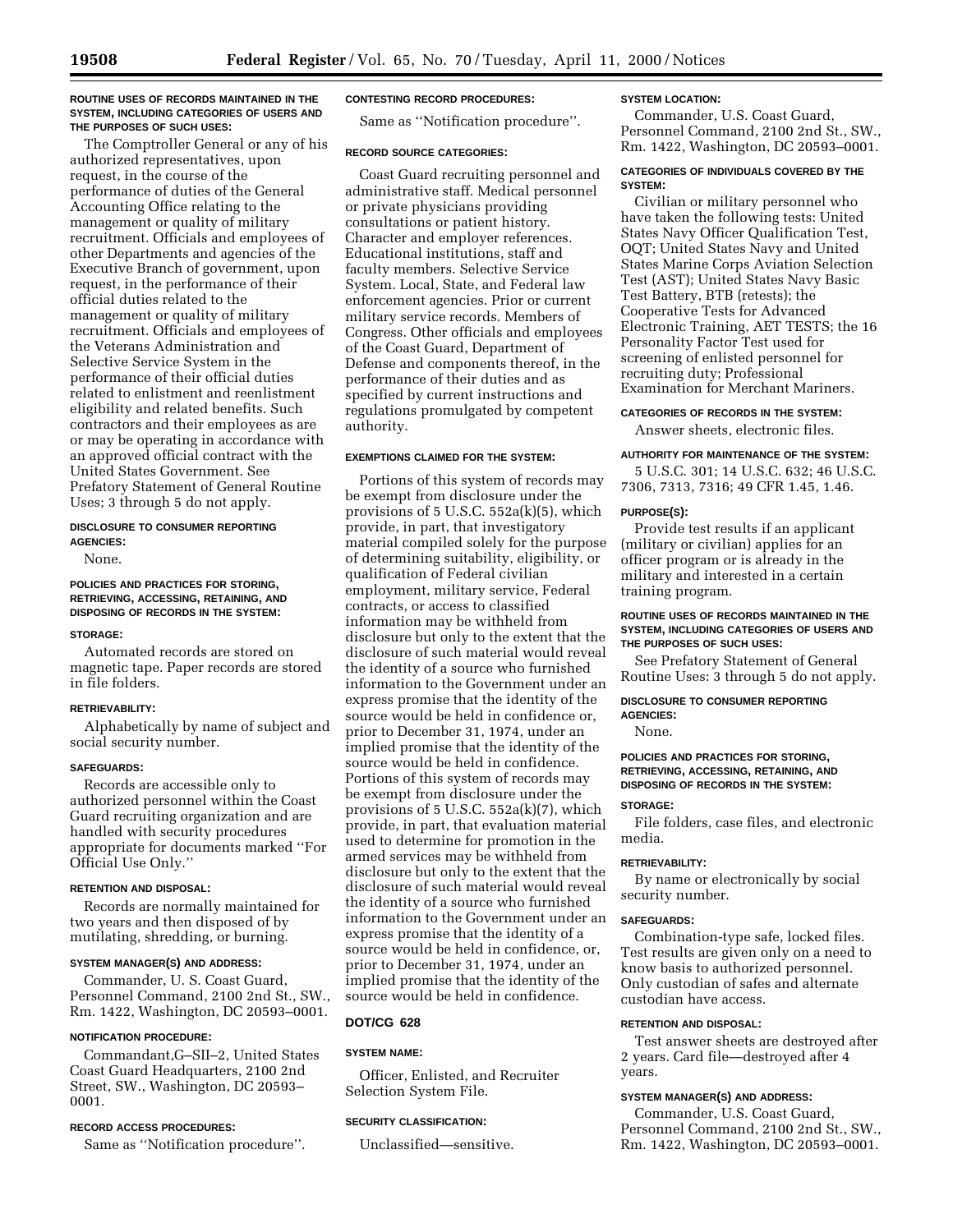#### **ROUTINE USES OF RECORDS MAINTAINED IN THE SYSTEM, INCLUDING CATEGORIES OF USERS AND THE PURPOSES OF SUCH USES:**

The Comptroller General or any of his authorized representatives, upon request, in the course of the performance of duties of the General Accounting Office relating to the management or quality of military recruitment. Officials and employees of other Departments and agencies of the Executive Branch of government, upon request, in the performance of their official duties related to the management or quality of military recruitment. Officials and employees of the Veterans Administration and Selective Service System in the performance of their official duties related to enlistment and reenlistment eligibility and related benefits. Such contractors and their employees as are or may be operating in accordance with an approved official contract with the United States Government. See Prefatory Statement of General Routine Uses; 3 through 5 do not apply.

#### **DISCLOSURE TO CONSUMER REPORTING AGENCIES:**

None.

# **POLICIES AND PRACTICES FOR STORING, RETRIEVING, ACCESSING, RETAINING, AND DISPOSING OF RECORDS IN THE SYSTEM:**

#### **STORAGE:**

Automated records are stored on magnetic tape. Paper records are stored in file folders.

# **RETRIEVABILITY:**

Alphabetically by name of subject and social security number.

# **SAFEGUARDS:**

Records are accessible only to authorized personnel within the Coast Guard recruiting organization and are handled with security procedures appropriate for documents marked ''For Official Use Only.''

# **RETENTION AND DISPOSAL:**

Records are normally maintained for two years and then disposed of by mutilating, shredding, or burning.

# **SYSTEM MANAGER(S) AND ADDRESS:**

Commander, U. S. Coast Guard, Personnel Command, 2100 2nd St., SW., Rm. 1422, Washington, DC 20593–0001.

# **NOTIFICATION PROCEDURE:**

Commandant,G–SII–2, United States Coast Guard Headquarters, 2100 2nd Street, SW., Washington, DC 20593– 0001.

# **RECORD ACCESS PROCEDURES:**

Same as ''Notification procedure''.

# **CONTESTING RECORD PROCEDURES:**

Same as ''Notification procedure''.

# **RECORD SOURCE CATEGORIES:**

Coast Guard recruiting personnel and administrative staff. Medical personnel or private physicians providing consultations or patient history. Character and employer references. Educational institutions, staff and faculty members. Selective Service System. Local, State, and Federal law enforcement agencies. Prior or current military service records. Members of Congress. Other officials and employees of the Coast Guard, Department of Defense and components thereof, in the performance of their duties and as specified by current instructions and regulations promulgated by competent authority.

# **EXEMPTIONS CLAIMED FOR THE SYSTEM:**

Portions of this system of records may be exempt from disclosure under the provisions of 5 U.S.C. 552a(k)(5), which provide, in part, that investigatory material compiled solely for the purpose of determining suitability, eligibility, or qualification of Federal civilian employment, military service, Federal contracts, or access to classified information may be withheld from disclosure but only to the extent that the disclosure of such material would reveal the identity of a source who furnished information to the Government under an express promise that the identity of the source would be held in confidence or, prior to December 31, 1974, under an implied promise that the identity of the source would be held in confidence. Portions of this system of records may be exempt from disclosure under the provisions of 5 U.S.C. 552a(k)(7), which provide, in part, that evaluation material used to determine for promotion in the armed services may be withheld from disclosure but only to the extent that the disclosure of such material would reveal the identity of a source who furnished information to the Government under an express promise that the identity of a source would be held in confidence, or, prior to December 31, 1974, under an implied promise that the identity of the source would be held in confidence.

# **DOT/CG 628**

# **SYSTEM NAME:**

Officer, Enlisted, and Recruiter Selection System File.

# **SECURITY CLASSIFICATION:**

Unclassified—sensitive.

# **SYSTEM LOCATION:**

Commander, U.S. Coast Guard, Personnel Command, 2100 2nd St., SW., Rm. 1422, Washington, DC 20593–0001.

# **CATEGORIES OF INDIVIDUALS COVERED BY THE SYSTEM:**

Civilian or military personnel who have taken the following tests: United States Navy Officer Qualification Test, OQT; United States Navy and United States Marine Corps Aviation Selection Test (AST); United States Navy Basic Test Battery, BTB (retests); the Cooperative Tests for Advanced Electronic Training, AET TESTS; the 16 Personality Factor Test used for screening of enlisted personnel for recruiting duty; Professional Examination for Merchant Mariners.

**CATEGORIES OF RECORDS IN THE SYSTEM:**

Answer sheets, electronic files.

# **AUTHORITY FOR MAINTENANCE OF THE SYSTEM:**

5 U.S.C. 301; 14 U.S.C. 632; 46 U.S.C. 7306, 7313, 7316; 49 CFR 1.45, 1.46.

# **PURPOSE(S):**

Provide test results if an applicant (military or civilian) applies for an officer program or is already in the military and interested in a certain training program.

# **ROUTINE USES OF RECORDS MAINTAINED IN THE SYSTEM, INCLUDING CATEGORIES OF USERS AND THE PURPOSES OF SUCH USES:**

See Prefatory Statement of General Routine Uses: 3 through 5 do not apply.

#### **DISCLOSURE TO CONSUMER REPORTING AGENCIES:**

None.

# **POLICIES AND PRACTICES FOR STORING, RETRIEVING, ACCESSING, RETAINING, AND DISPOSING OF RECORDS IN THE SYSTEM:**

# **STORAGE:**

File folders, case files, and electronic media.

# **RETRIEVABILITY:**

By name or electronically by social security number.

# **SAFEGUARDS:**

Combination-type safe, locked files. Test results are given only on a need to know basis to authorized personnel. Only custodian of safes and alternate custodian have access.

# **RETENTION AND DISPOSAL:**

Test answer sheets are destroyed after 2 years. Card file—destroyed after 4 years.

# **SYSTEM MANAGER(S) AND ADDRESS:**

Commander, U.S. Coast Guard, Personnel Command, 2100 2nd St., SW., Rm. 1422, Washington, DC 20593–0001.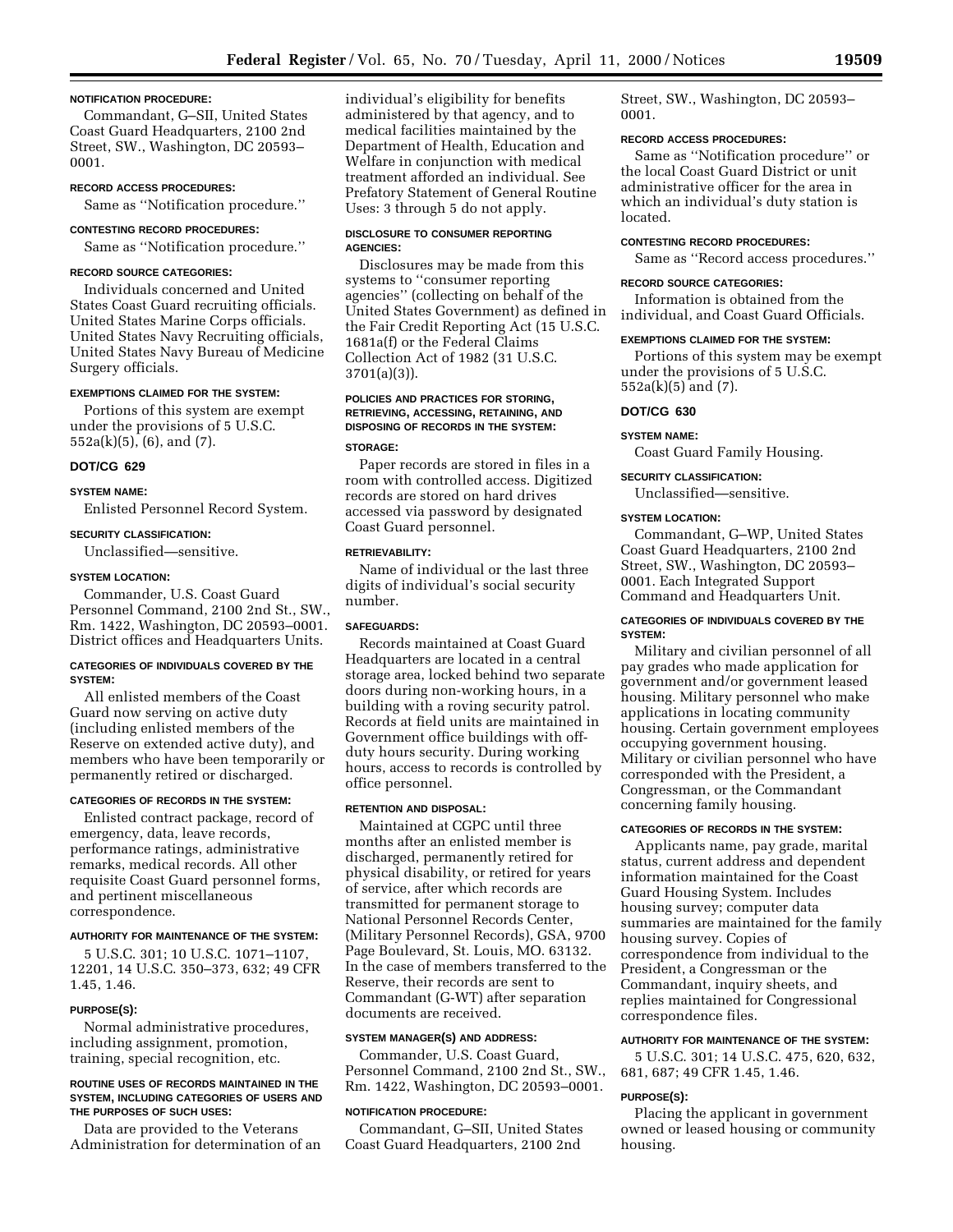#### **NOTIFICATION PROCEDURE:**

Commandant, G–SII, United States Coast Guard Headquarters, 2100 2nd Street, SW., Washington, DC 20593– 0001.

#### **RECORD ACCESS PROCEDURES:**

Same as ''Notification procedure.''

# **CONTESTING RECORD PROCEDURES:**

Same as ''Notification procedure.''

#### **RECORD SOURCE CATEGORIES:**

Individuals concerned and United States Coast Guard recruiting officials. United States Marine Corps officials. United States Navy Recruiting officials, United States Navy Bureau of Medicine Surgery officials.

#### **EXEMPTIONS CLAIMED FOR THE SYSTEM:**

Portions of this system are exempt under the provisions of 5 U.S.C. 552a(k)(5), (6), and (7).

# **DOT/CG 629**

# **SYSTEM NAME:**

Enlisted Personnel Record System.

#### **SECURITY CLASSIFICATION:**

Unclassified—sensitive.

#### **SYSTEM LOCATION:**

Commander, U.S. Coast Guard Personnel Command, 2100 2nd St., SW., Rm. 1422, Washington, DC 20593–0001. District offices and Headquarters Units.

#### **CATEGORIES OF INDIVIDUALS COVERED BY THE SYSTEM:**

All enlisted members of the Coast Guard now serving on active duty (including enlisted members of the Reserve on extended active duty), and members who have been temporarily or permanently retired or discharged.

#### **CATEGORIES OF RECORDS IN THE SYSTEM:**

Enlisted contract package, record of emergency, data, leave records, performance ratings, administrative remarks, medical records. All other requisite Coast Guard personnel forms, and pertinent miscellaneous correspondence.

#### **AUTHORITY FOR MAINTENANCE OF THE SYSTEM:**

5 U.S.C. 301; 10 U.S.C. 1071–1107, 12201, 14 U.S.C. 350–373, 632; 49 CFR 1.45, 1.46.

#### **PURPOSE(S):**

Normal administrative procedures, including assignment, promotion, training, special recognition, etc.

#### **ROUTINE USES OF RECORDS MAINTAINED IN THE SYSTEM, INCLUDING CATEGORIES OF USERS AND THE PURPOSES OF SUCH USES:**

Data are provided to the Veterans Administration for determination of an individual's eligibility for benefits administered by that agency, and to medical facilities maintained by the Department of Health, Education and Welfare in conjunction with medical treatment afforded an individual. See Prefatory Statement of General Routine Uses: 3 through 5 do not apply.

#### **DISCLOSURE TO CONSUMER REPORTING AGENCIES:**

Disclosures may be made from this systems to ''consumer reporting agencies'' (collecting on behalf of the United States Government) as defined in the Fair Credit Reporting Act (15 U.S.C. 1681a(f) or the Federal Claims Collection Act of 1982 (31 U.S.C. 3701(a)(3)).

# **POLICIES AND PRACTICES FOR STORING, RETRIEVING, ACCESSING, RETAINING, AND DISPOSING OF RECORDS IN THE SYSTEM:**

#### **STORAGE:**

Paper records are stored in files in a room with controlled access. Digitized records are stored on hard drives accessed via password by designated Coast Guard personnel.

#### **RETRIEVABILITY:**

Name of individual or the last three digits of individual's social security number.

#### **SAFEGUARDS:**

Records maintained at Coast Guard Headquarters are located in a central storage area, locked behind two separate doors during non-working hours, in a building with a roving security patrol. Records at field units are maintained in Government office buildings with offduty hours security. During working hours, access to records is controlled by office personnel.

#### **RETENTION AND DISPOSAL:**

Maintained at CGPC until three months after an enlisted member is discharged, permanently retired for physical disability, or retired for years of service, after which records are transmitted for permanent storage to National Personnel Records Center, (Military Personnel Records), GSA, 9700 Page Boulevard, St. Louis, MO. 63132. In the case of members transferred to the Reserve, their records are sent to Commandant (G-WT) after separation documents are received.

#### **SYSTEM MANAGER(S) AND ADDRESS:**

Commander, U.S. Coast Guard, Personnel Command, 2100 2nd St., SW., Rm. 1422, Washington, DC 20593–0001.

#### **NOTIFICATION PROCEDURE:**

Commandant, G–SII, United States Coast Guard Headquarters, 2100 2nd

Street, SW., Washington, DC 20593– 0001.

#### **RECORD ACCESS PROCEDURES:**

Same as ''Notification procedure'' or the local Coast Guard District or unit administrative officer for the area in which an individual's duty station is located.

#### **CONTESTING RECORD PROCEDURES:**

Same as ''Record access procedures.''

# **RECORD SOURCE CATEGORIES:**

Information is obtained from the individual, and Coast Guard Officials.

#### **EXEMPTIONS CLAIMED FOR THE SYSTEM:**

Portions of this system may be exempt under the provisions of 5 U.S.C. 552a(k)(5) and (7).

#### **DOT/CG 630**

#### **SYSTEM NAME:**

Coast Guard Family Housing.

# **SECURITY CLASSIFICATION:**

Unclassified—sensitive.

#### **SYSTEM LOCATION:**

Commandant, G–WP, United States Coast Guard Headquarters, 2100 2nd Street, SW., Washington, DC 20593– 0001. Each Integrated Support Command and Headquarters Unit.

#### **CATEGORIES OF INDIVIDUALS COVERED BY THE SYSTEM:**

Military and civilian personnel of all pay grades who made application for government and/or government leased housing. Military personnel who make applications in locating community housing. Certain government employees occupying government housing. Military or civilian personnel who have corresponded with the President, a Congressman, or the Commandant concerning family housing.

#### **CATEGORIES OF RECORDS IN THE SYSTEM:**

Applicants name, pay grade, marital status, current address and dependent information maintained for the Coast Guard Housing System. Includes housing survey; computer data summaries are maintained for the family housing survey. Copies of correspondence from individual to the President, a Congressman or the Commandant, inquiry sheets, and replies maintained for Congressional correspondence files.

#### **AUTHORITY FOR MAINTENANCE OF THE SYSTEM:**

5 U.S.C. 301; 14 U.S.C. 475, 620, 632, 681, 687; 49 CFR 1.45, 1.46.

#### **PURPOSE(S):**

Placing the applicant in government owned or leased housing or community housing.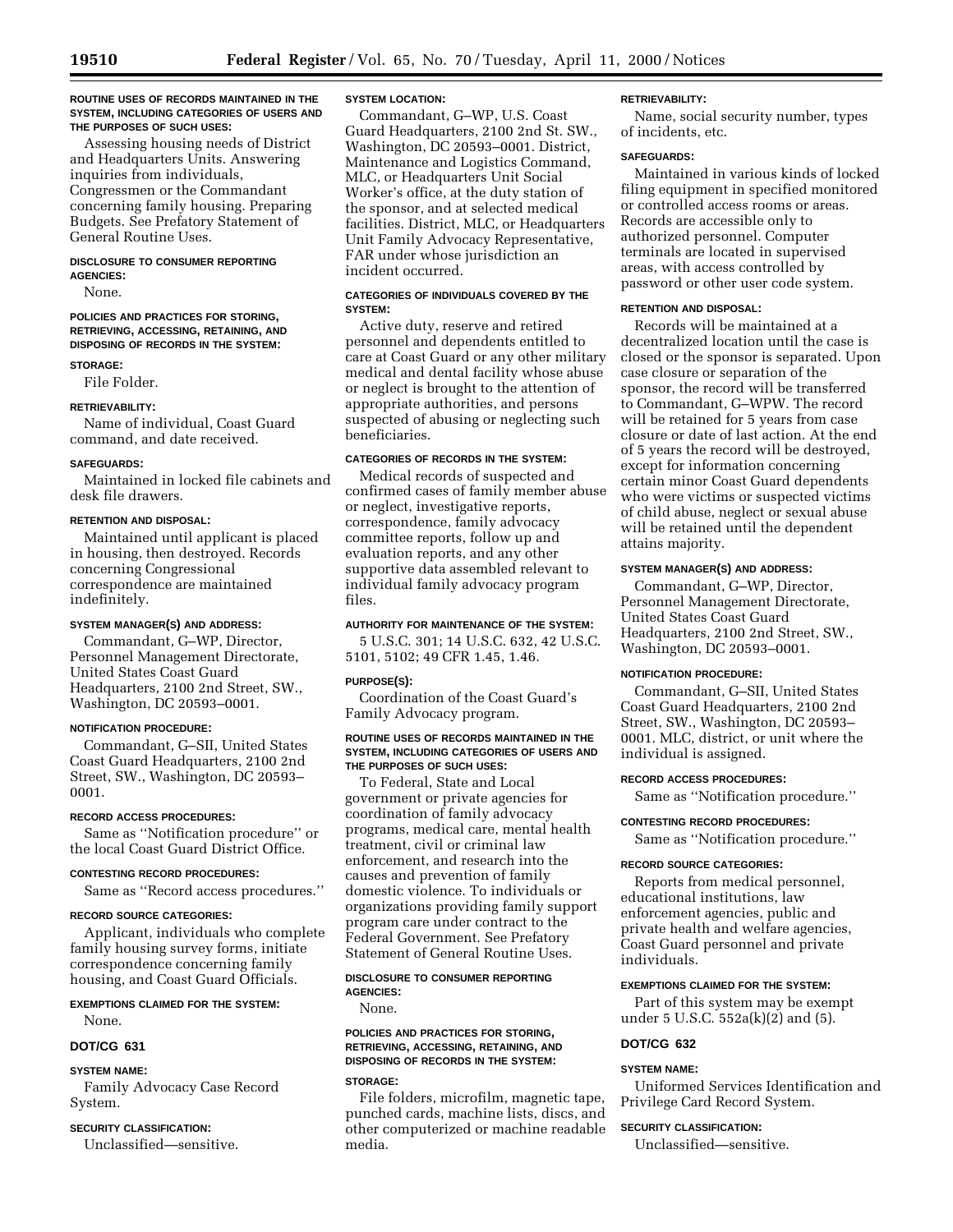#### **ROUTINE USES OF RECORDS MAINTAINED IN THE SYSTEM, INCLUDING CATEGORIES OF USERS AND THE PURPOSES OF SUCH USES:**

Assessing housing needs of District and Headquarters Units. Answering inquiries from individuals, Congressmen or the Commandant concerning family housing. Preparing Budgets. See Prefatory Statement of General Routine Uses.

#### **DISCLOSURE TO CONSUMER REPORTING AGENCIES:**

None.

# **POLICIES AND PRACTICES FOR STORING, RETRIEVING, ACCESSING, RETAINING, AND DISPOSING OF RECORDS IN THE SYSTEM:**

**STORAGE:**

File Folder.

# **RETRIEVABILITY:**

Name of individual, Coast Guard command, and date received.

# **SAFEGUARDS:**

Maintained in locked file cabinets and desk file drawers.

# **RETENTION AND DISPOSAL:**

Maintained until applicant is placed in housing, then destroyed. Records concerning Congressional correspondence are maintained indefinitely.

# **SYSTEM MANAGER(S) AND ADDRESS:**

Commandant, G–WP, Director, Personnel Management Directorate, United States Coast Guard Headquarters, 2100 2nd Street, SW., Washington, DC 20593–0001.

# **NOTIFICATION PROCEDURE:**

Commandant, G–SII, United States Coast Guard Headquarters, 2100 2nd Street, SW., Washington, DC 20593– 0001.

# **RECORD ACCESS PROCEDURES:**

Same as ''Notification procedure'' or the local Coast Guard District Office.

# **CONTESTING RECORD PROCEDURES:**

Same as ''Record access procedures.''

# **RECORD SOURCE CATEGORIES:**

Applicant, individuals who complete family housing survey forms, initiate correspondence concerning family housing, and Coast Guard Officials.

# **EXEMPTIONS CLAIMED FOR THE SYSTEM:**

None.

# **DOT/CG 631**

# **SYSTEM NAME:**

Family Advocacy Case Record System.

# **SECURITY CLASSIFICATION:**

Unclassified—sensitive.

### **SYSTEM LOCATION:**

Commandant, G–WP, U.S. Coast Guard Headquarters, 2100 2nd St. SW., Washington, DC 20593–0001. District, Maintenance and Logistics Command, MLC, or Headquarters Unit Social Worker's office, at the duty station of the sponsor, and at selected medical facilities. District, MLC, or Headquarters Unit Family Advocacy Representative, FAR under whose jurisdiction an incident occurred.

# **CATEGORIES OF INDIVIDUALS COVERED BY THE SYSTEM:**

Active duty, reserve and retired personnel and dependents entitled to care at Coast Guard or any other military medical and dental facility whose abuse or neglect is brought to the attention of appropriate authorities, and persons suspected of abusing or neglecting such beneficiaries.

# **CATEGORIES OF RECORDS IN THE SYSTEM:**

Medical records of suspected and confirmed cases of family member abuse or neglect, investigative reports, correspondence, family advocacy committee reports, follow up and evaluation reports, and any other supportive data assembled relevant to individual family advocacy program files.

# **AUTHORITY FOR MAINTENANCE OF THE SYSTEM:**

5 U.S.C. 301; 14 U.S.C. 632, 42 U.S.C. 5101, 5102; 49 CFR 1.45, 1.46.

# **PURPOSE(S):**

Coordination of the Coast Guard's Family Advocacy program.

#### **ROUTINE USES OF RECORDS MAINTAINED IN THE SYSTEM, INCLUDING CATEGORIES OF USERS AND THE PURPOSES OF SUCH USES:**

To Federal, State and Local government or private agencies for coordination of family advocacy programs, medical care, mental health treatment, civil or criminal law enforcement, and research into the causes and prevention of family domestic violence. To individuals or organizations providing family support program care under contract to the Federal Government. See Prefatory Statement of General Routine Uses.

# **DISCLOSURE TO CONSUMER REPORTING AGENCIES:**

None.

# **POLICIES AND PRACTICES FOR STORING, RETRIEVING, ACCESSING, RETAINING, AND DISPOSING OF RECORDS IN THE SYSTEM:**

# **STORAGE:**

File folders, microfilm, magnetic tape, punched cards, machine lists, discs, and other computerized or machine readable media.

#### **RETRIEVABILITY:**

Name, social security number, types of incidents, etc.

# **SAFEGUARDS:**

Maintained in various kinds of locked filing equipment in specified monitored or controlled access rooms or areas. Records are accessible only to authorized personnel. Computer terminals are located in supervised areas, with access controlled by password or other user code system.

# **RETENTION AND DISPOSAL:**

Records will be maintained at a decentralized location until the case is closed or the sponsor is separated. Upon case closure or separation of the sponsor, the record will be transferred to Commandant, G–WPW. The record will be retained for 5 years from case closure or date of last action. At the end of 5 years the record will be destroyed, except for information concerning certain minor Coast Guard dependents who were victims or suspected victims of child abuse, neglect or sexual abuse will be retained until the dependent attains majority.

# **SYSTEM MANAGER(S) AND ADDRESS:**

Commandant, G–WP, Director, Personnel Management Directorate, United States Coast Guard Headquarters, 2100 2nd Street, SW., Washington, DC 20593–0001.

#### **NOTIFICATION PROCEDURE:**

Commandant, G–SII, United States Coast Guard Headquarters, 2100 2nd Street, SW., Washington, DC 20593– 0001. MLC, district, or unit where the individual is assigned.

#### **RECORD ACCESS PROCEDURES:**

Same as ''Notification procedure.''

**CONTESTING RECORD PROCEDURES:**

Same as ''Notification procedure.''

# **RECORD SOURCE CATEGORIES:**

Reports from medical personnel, educational institutions, law enforcement agencies, public and private health and welfare agencies, Coast Guard personnel and private individuals.

# **EXEMPTIONS CLAIMED FOR THE SYSTEM:**

Part of this system may be exempt under 5 U.S.C. 552a(k)(2) and (5).

# **DOT/CG 632**

#### **SYSTEM NAME:**

Uniformed Services Identification and Privilege Card Record System.

# **SECURITY CLASSIFICATION:**

Unclassified—sensitive.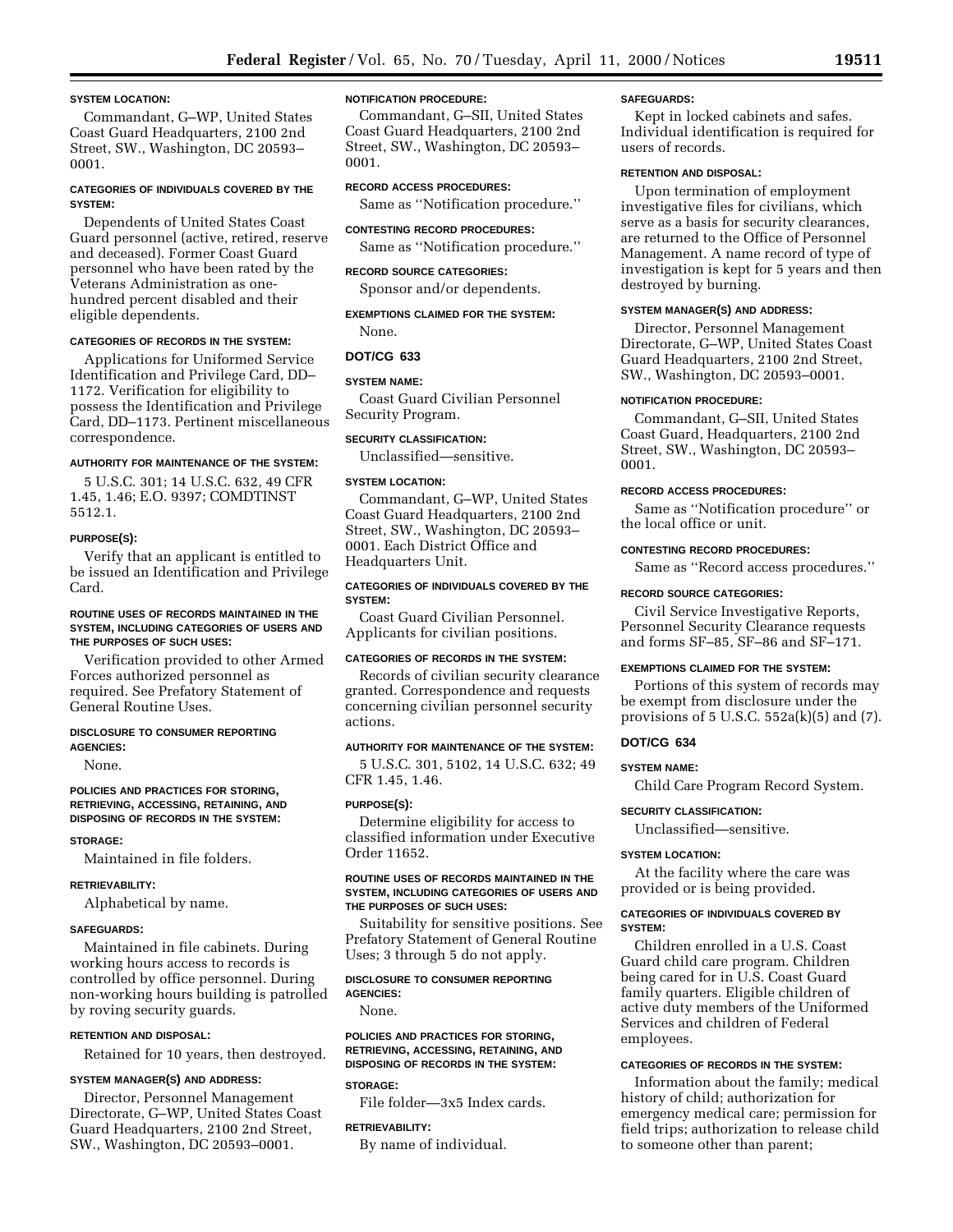### **SYSTEM LOCATION:**

Commandant, G–WP, United States Coast Guard Headquarters, 2100 2nd Street, SW., Washington, DC 20593– 0001.

## **CATEGORIES OF INDIVIDUALS COVERED BY THE SYSTEM:**

Dependents of United States Coast Guard personnel (active, retired, reserve and deceased). Former Coast Guard personnel who have been rated by the Veterans Administration as onehundred percent disabled and their eligible dependents.

## **CATEGORIES OF RECORDS IN THE SYSTEM:**

Applications for Uniformed Service Identification and Privilege Card, DD– 1172. Verification for eligibility to possess the Identification and Privilege Card, DD–1173. Pertinent miscellaneous correspondence.

## **AUTHORITY FOR MAINTENANCE OF THE SYSTEM:**

5 U.S.C. 301; 14 U.S.C. 632, 49 CFR 1.45, 1.46; E.O. 9397; COMDTINST 5512.1.

## **PURPOSE(S):**

Verify that an applicant is entitled to be issued an Identification and Privilege Card.

## **ROUTINE USES OF RECORDS MAINTAINED IN THE SYSTEM, INCLUDING CATEGORIES OF USERS AND THE PURPOSES OF SUCH USES:**

Verification provided to other Armed Forces authorized personnel as required. See Prefatory Statement of General Routine Uses.

#### **DISCLOSURE TO CONSUMER REPORTING AGENCIES:**

None.

### **POLICIES AND PRACTICES FOR STORING, RETRIEVING, ACCESSING, RETAINING, AND DISPOSING OF RECORDS IN THE SYSTEM:**

**STORAGE:**

Maintained in file folders.

## **RETRIEVABILITY:**

Alphabetical by name.

#### **SAFEGUARDS:**

Maintained in file cabinets. During working hours access to records is controlled by office personnel. During non-working hours building is patrolled by roving security guards.

## **RETENTION AND DISPOSAL:**

Retained for 10 years, then destroyed.

### **SYSTEM MANAGER(S) AND ADDRESS:**

Director, Personnel Management Directorate, G–WP, United States Coast Guard Headquarters, 2100 2nd Street, SW., Washington, DC 20593–0001.

## **NOTIFICATION PROCEDURE:**

Commandant, G–SII, United States Coast Guard Headquarters, 2100 2nd Street, SW., Washington, DC 20593– 0001.

### **RECORD ACCESS PROCEDURES:**

Same as ''Notification procedure.'' **CONTESTING RECORD PROCEDURES:**

Same as ''Notification procedure.''

## **RECORD SOURCE CATEGORIES:**

Sponsor and/or dependents.

## **EXEMPTIONS CLAIMED FOR THE SYSTEM:** None.

#### **DOT/CG 633**

#### **SYSTEM NAME:**

Coast Guard Civilian Personnel Security Program.

## **SECURITY CLASSIFICATION:**

Unclassified—sensitive.

### **SYSTEM LOCATION:**

Commandant, G–WP, United States Coast Guard Headquarters, 2100 2nd Street, SW., Washington, DC 20593– 0001. Each District Office and Headquarters Unit.

#### **CATEGORIES OF INDIVIDUALS COVERED BY THE SYSTEM:**

Coast Guard Civilian Personnel. Applicants for civilian positions.

## **CATEGORIES OF RECORDS IN THE SYSTEM:**

Records of civilian security clearance granted. Correspondence and requests concerning civilian personnel security actions.

## **AUTHORITY FOR MAINTENANCE OF THE SYSTEM:**

5 U.S.C. 301, 5102, 14 U.S.C. 632; 49 CFR 1.45, 1.46.

#### **PURPOSE(S):**

Determine eligibility for access to classified information under Executive Order 11652.

### **ROUTINE USES OF RECORDS MAINTAINED IN THE SYSTEM, INCLUDING CATEGORIES OF USERS AND THE PURPOSES OF SUCH USES:**

Suitability for sensitive positions. See Prefatory Statement of General Routine Uses; 3 through 5 do not apply.

## **DISCLOSURE TO CONSUMER REPORTING AGENCIES:**

None.

### **POLICIES AND PRACTICES FOR STORING, RETRIEVING, ACCESSING, RETAINING, AND DISPOSING OF RECORDS IN THE SYSTEM:**

## **STORAGE:**

File folder—3x5 Index cards.

### **RETRIEVABILITY:**

By name of individual.

### **SAFEGUARDS:**

Kept in locked cabinets and safes. Individual identification is required for users of records.

## **RETENTION AND DISPOSAL:**

Upon termination of employment investigative files for civilians, which serve as a basis for security clearances, are returned to the Office of Personnel Management. A name record of type of investigation is kept for 5 years and then destroyed by burning.

## **SYSTEM MANAGER(S) AND ADDRESS:**

Director, Personnel Management Directorate, G–WP, United States Coast Guard Headquarters, 2100 2nd Street, SW., Washington, DC 20593–0001.

#### **NOTIFICATION PROCEDURE:**

Commandant, G–SII, United States Coast Guard, Headquarters, 2100 2nd Street, SW., Washington, DC 20593– 0001.

#### **RECORD ACCESS PROCEDURES:**

Same as ''Notification procedure'' or the local office or unit.

### **CONTESTING RECORD PROCEDURES:**

Same as ''Record access procedures.''

#### **RECORD SOURCE CATEGORIES:**

Civil Service Investigative Reports, Personnel Security Clearance requests and forms SF–85, SF–86 and SF–171.

#### **EXEMPTIONS CLAIMED FOR THE SYSTEM:**

Portions of this system of records may be exempt from disclosure under the provisions of  $5$  U.S.C.  $552a(k)(5)$  and  $(7)$ .

#### **DOT/CG 634**

**SYSTEM NAME:**

Child Care Program Record System.

#### **SECURITY CLASSIFICATION:**

Unclassified—sensitive.

### **SYSTEM LOCATION:**

At the facility where the care was provided or is being provided.

#### **CATEGORIES OF INDIVIDUALS COVERED BY SYSTEM:**

Children enrolled in a U.S. Coast Guard child care program. Children being cared for in U.S. Coast Guard family quarters. Eligible children of active duty members of the Uniformed Services and children of Federal employees.

## **CATEGORIES OF RECORDS IN THE SYSTEM:**

Information about the family; medical history of child; authorization for emergency medical care; permission for field trips; authorization to release child to someone other than parent;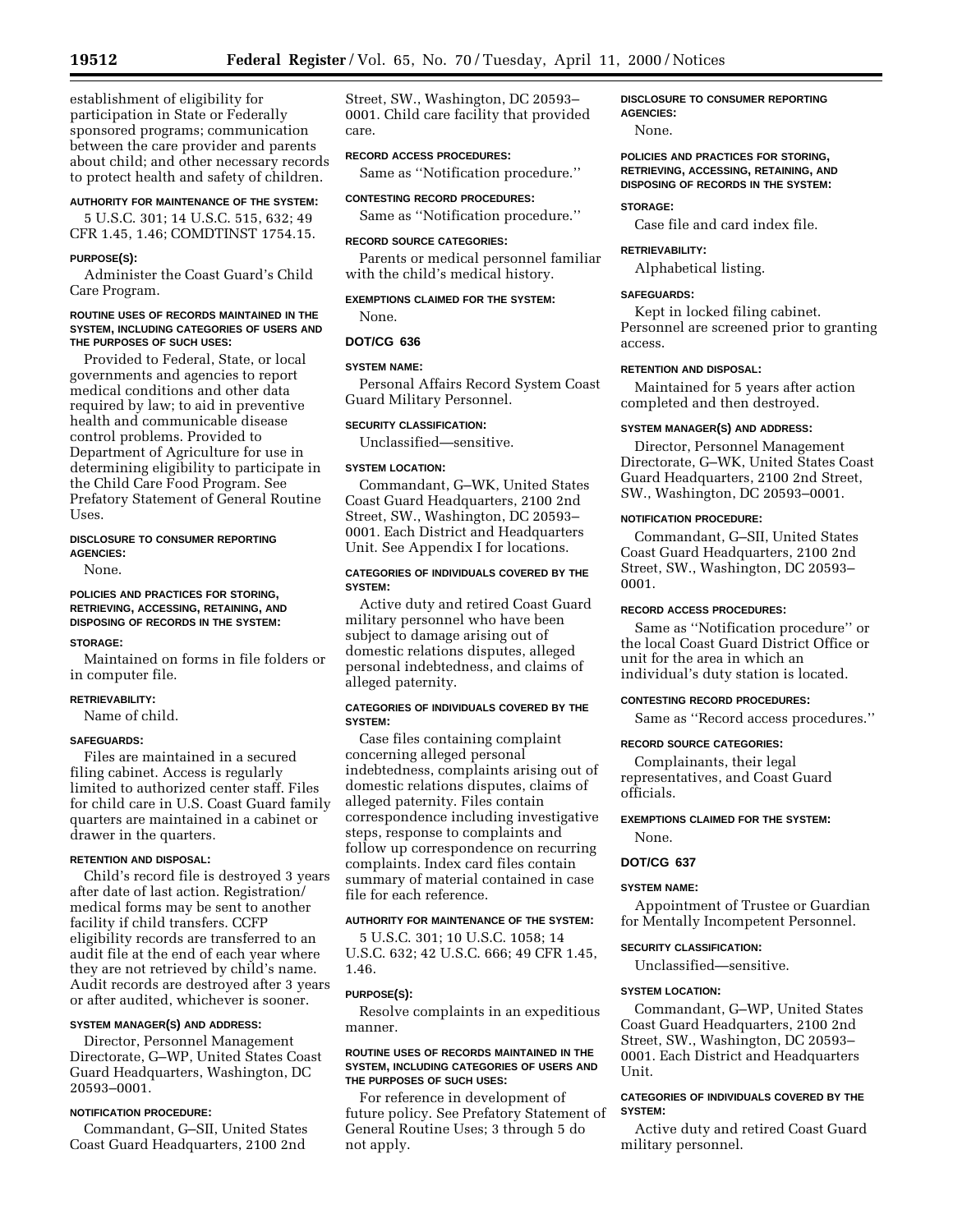establishment of eligibility for

participation in State or Federally sponsored programs; communication between the care provider and parents about child; and other necessary records to protect health and safety of children.

## **AUTHORITY FOR MAINTENANCE OF THE SYSTEM:**

5 U.S.C. 301; 14 U.S.C. 515, 632; 49 CFR 1.45, 1.46; COMDTINST 1754.15.

### **PURPOSE(S):**

Administer the Coast Guard's Child Care Program.

#### **ROUTINE USES OF RECORDS MAINTAINED IN THE SYSTEM, INCLUDING CATEGORIES OF USERS AND THE PURPOSES OF SUCH USES:**

Provided to Federal, State, or local governments and agencies to report medical conditions and other data required by law; to aid in preventive health and communicable disease control problems. Provided to Department of Agriculture for use in determining eligibility to participate in the Child Care Food Program. See Prefatory Statement of General Routine Uses.

## **DISCLOSURE TO CONSUMER REPORTING AGENCIES:**

None.

## **POLICIES AND PRACTICES FOR STORING, RETRIEVING, ACCESSING, RETAINING, AND DISPOSING OF RECORDS IN THE SYSTEM:**

### **STORAGE:**

Maintained on forms in file folders or in computer file.

## **RETRIEVABILITY:**

Name of child.

## **SAFEGUARDS:**

Files are maintained in a secured filing cabinet. Access is regularly limited to authorized center staff. Files for child care in U.S. Coast Guard family quarters are maintained in a cabinet or drawer in the quarters.

## **RETENTION AND DISPOSAL:**

Child's record file is destroyed 3 years after date of last action. Registration/ medical forms may be sent to another facility if child transfers. CCFP eligibility records are transferred to an audit file at the end of each year where they are not retrieved by child's name. Audit records are destroyed after 3 years or after audited, whichever is sooner.

## **SYSTEM MANAGER(S) AND ADDRESS:**

Director, Personnel Management Directorate, G–WP, United States Coast Guard Headquarters, Washington, DC 20593–0001.

## **NOTIFICATION PROCEDURE:**

Commandant, G–SII, United States Coast Guard Headquarters, 2100 2nd

Street, SW., Washington, DC 20593– 0001. Child care facility that provided care.

## **RECORD ACCESS PROCEDURES:**

Same as ''Notification procedure.''

# **CONTESTING RECORD PROCEDURES:**

Same as ''Notification procedure.''

#### **RECORD SOURCE CATEGORIES:**

Parents or medical personnel familiar with the child's medical history.

## **EXEMPTIONS CLAIMED FOR THE SYSTEM:**

None.

## **DOT/CG 636**

## **SYSTEM NAME:**

Personal Affairs Record System Coast Guard Military Personnel.

## **SECURITY CLASSIFICATION:**

Unclassified—sensitive.

#### **SYSTEM LOCATION:**

Commandant, G–WK, United States Coast Guard Headquarters, 2100 2nd Street, SW., Washington, DC 20593– 0001. Each District and Headquarters Unit. See Appendix I for locations.

## **CATEGORIES OF INDIVIDUALS COVERED BY THE SYSTEM:**

Active duty and retired Coast Guard military personnel who have been subject to damage arising out of domestic relations disputes, alleged personal indebtedness, and claims of alleged paternity.

## **CATEGORIES OF INDIVIDUALS COVERED BY THE SYSTEM:**

Case files containing complaint concerning alleged personal indebtedness, complaints arising out of domestic relations disputes, claims of alleged paternity. Files contain correspondence including investigative steps, response to complaints and follow up correspondence on recurring complaints. Index card files contain summary of material contained in case file for each reference.

## **AUTHORITY FOR MAINTENANCE OF THE SYSTEM:**

5 U.S.C. 301; 10 U.S.C. 1058; 14 U.S.C. 632; 42 U.S.C. 666; 49 CFR 1.45, 1.46.

## **PURPOSE(S):**

Resolve complaints in an expeditious manner.

### **ROUTINE USES OF RECORDS MAINTAINED IN THE SYSTEM, INCLUDING CATEGORIES OF USERS AND THE PURPOSES OF SUCH USES:**

For reference in development of future policy. See Prefatory Statement of General Routine Uses; 3 through 5 do not apply.

#### **DISCLOSURE TO CONSUMER REPORTING AGENCIES:**

None.

## **POLICIES AND PRACTICES FOR STORING, RETRIEVING, ACCESSING, RETAINING, AND DISPOSING OF RECORDS IN THE SYSTEM:**

## **STORAGE:** Case file and card index file.

## **RETRIEVABILITY:**

Alphabetical listing.

### **SAFEGUARDS:**

Kept in locked filing cabinet. Personnel are screened prior to granting access.

## **RETENTION AND DISPOSAL:**

Maintained for 5 years after action completed and then destroyed.

#### **SYSTEM MANAGER(S) AND ADDRESS:**

Director, Personnel Management Directorate, G–WK, United States Coast Guard Headquarters, 2100 2nd Street, SW., Washington, DC 20593–0001.

## **NOTIFICATION PROCEDURE:**

Commandant, G–SII, United States Coast Guard Headquarters, 2100 2nd Street, SW., Washington, DC 20593– 0001.

## **RECORD ACCESS PROCEDURES:**

Same as ''Notification procedure'' or the local Coast Guard District Office or unit for the area in which an individual's duty station is located.

#### **CONTESTING RECORD PROCEDURES:**

Same as ''Record access procedures.''

## **RECORD SOURCE CATEGORIES:**

Complainants, their legal representatives, and Coast Guard officials.

#### **EXEMPTIONS CLAIMED FOR THE SYSTEM:**

None.

## **DOT/CG 637**

### **SYSTEM NAME:**

Appointment of Trustee or Guardian for Mentally Incompetent Personnel.

### **SECURITY CLASSIFICATION:**

Unclassified—sensitive.

## **SYSTEM LOCATION:**

Commandant, G–WP, United States Coast Guard Headquarters, 2100 2nd Street, SW., Washington, DC 20593– 0001. Each District and Headquarters Unit.

## **CATEGORIES OF INDIVIDUALS COVERED BY THE SYSTEM:**

Active duty and retired Coast Guard military personnel.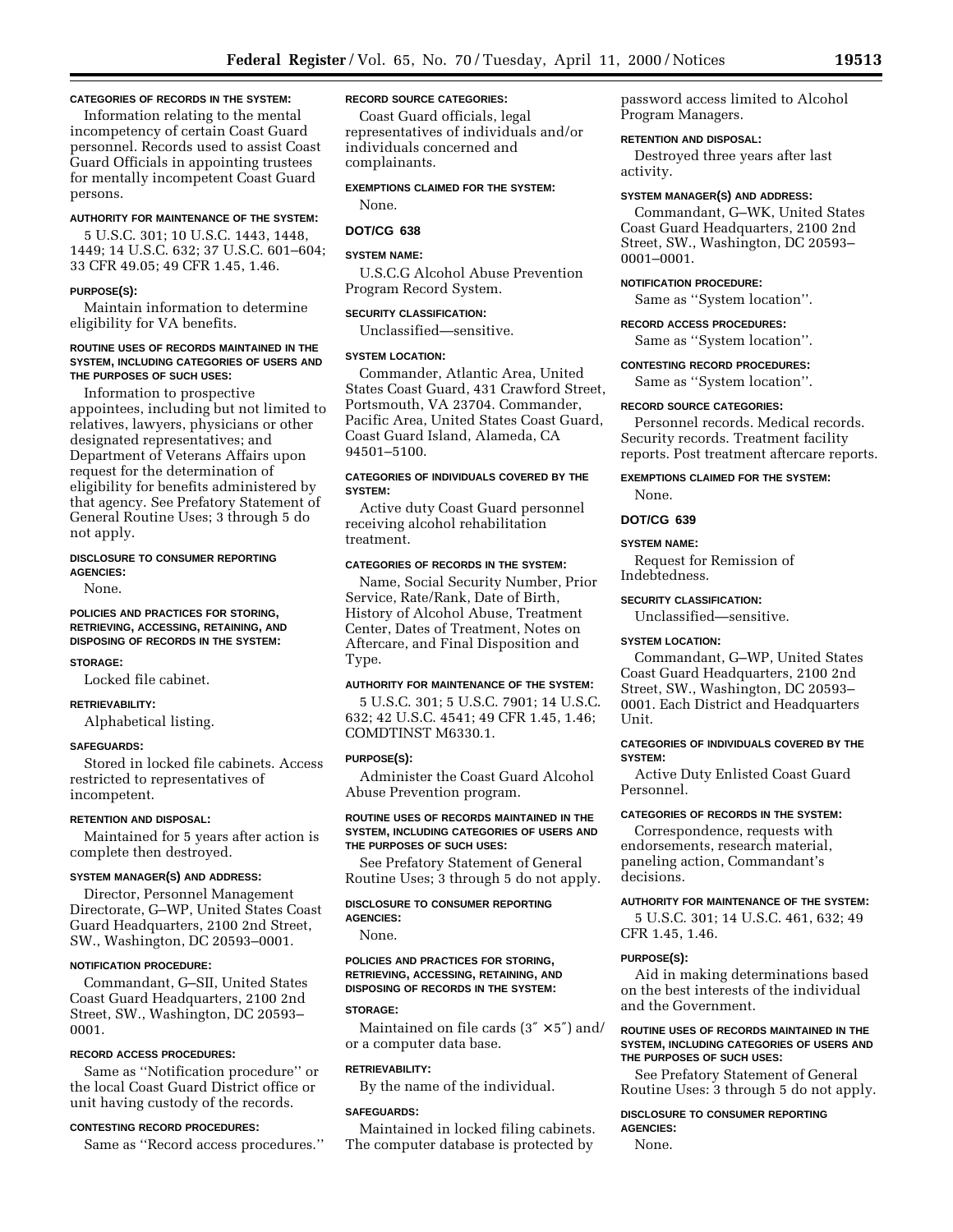## **CATEGORIES OF RECORDS IN THE SYSTEM:**

Information relating to the mental incompetency of certain Coast Guard personnel. Records used to assist Coast Guard Officials in appointing trustees for mentally incompetent Coast Guard persons.

#### **AUTHORITY FOR MAINTENANCE OF THE SYSTEM:**

5 U.S.C. 301; 10 U.S.C. 1443, 1448, 1449; 14 U.S.C. 632; 37 U.S.C. 601–604; 33 CFR 49.05; 49 CFR 1.45, 1.46.

#### **PURPOSE(S):**

Maintain information to determine eligibility for VA benefits.

## **ROUTINE USES OF RECORDS MAINTAINED IN THE SYSTEM, INCLUDING CATEGORIES OF USERS AND THE PURPOSES OF SUCH USES:**

Information to prospective appointees, including but not limited to relatives, lawyers, physicians or other designated representatives; and Department of Veterans Affairs upon request for the determination of eligibility for benefits administered by that agency. See Prefatory Statement of General Routine Uses; 3 through 5 do not apply.

## **DISCLOSURE TO CONSUMER REPORTING AGENCIES:**

None.

## **POLICIES AND PRACTICES FOR STORING, RETRIEVING, ACCESSING, RETAINING, AND DISPOSING OF RECORDS IN THE SYSTEM:**

#### **STORAGE:**

Locked file cabinet.

## **RETRIEVABILITY:**

Alphabetical listing.

#### **SAFEGUARDS:**

Stored in locked file cabinets. Access restricted to representatives of incompetent.

### **RETENTION AND DISPOSAL:**

Maintained for 5 years after action is complete then destroyed.

#### **SYSTEM MANAGER(S) AND ADDRESS:**

Director, Personnel Management Directorate, G–WP, United States Coast Guard Headquarters, 2100 2nd Street, SW., Washington, DC 20593–0001.

## **NOTIFICATION PROCEDURE:**

Commandant, G–SII, United States Coast Guard Headquarters, 2100 2nd Street, SW., Washington, DC 20593– 0001.

#### **RECORD ACCESS PROCEDURES:**

Same as ''Notification procedure'' or the local Coast Guard District office or unit having custody of the records.

### **CONTESTING RECORD PROCEDURES:**

Same as ''Record access procedures.''

## **RECORD SOURCE CATEGORIES:**

Coast Guard officials, legal representatives of individuals and/or individuals concerned and complainants.

## **EXEMPTIONS CLAIMED FOR THE SYSTEM:**

None.

# **DOT/CG 638**

## **SYSTEM NAME:**

U.S.C.G Alcohol Abuse Prevention Program Record System.

## **SECURITY CLASSIFICATION:**

Unclassified—sensitive.

## **SYSTEM LOCATION:**

Commander, Atlantic Area, United States Coast Guard, 431 Crawford Street, Portsmouth, VA 23704. Commander, Pacific Area, United States Coast Guard, Coast Guard Island, Alameda, CA 94501–5100.

## **CATEGORIES OF INDIVIDUALS COVERED BY THE SYSTEM:**

Active duty Coast Guard personnel receiving alcohol rehabilitation treatment.

## **CATEGORIES OF RECORDS IN THE SYSTEM:**

Name, Social Security Number, Prior Service, Rate/Rank, Date of Birth, History of Alcohol Abuse, Treatment Center, Dates of Treatment, Notes on Aftercare, and Final Disposition and Type.

### **AUTHORITY FOR MAINTENANCE OF THE SYSTEM:**

5 U.S.C. 301; 5 U.S.C. 7901; 14 U.S.C. 632; 42 U.S.C. 4541; 49 CFR 1.45, 1.46; COMDTINST M6330.1.

## **PURPOSE(S):**

Administer the Coast Guard Alcohol Abuse Prevention program.

## **ROUTINE USES OF RECORDS MAINTAINED IN THE SYSTEM, INCLUDING CATEGORIES OF USERS AND THE PURPOSES OF SUCH USES:**

See Prefatory Statement of General Routine Uses; 3 through 5 do not apply.

#### **DISCLOSURE TO CONSUMER REPORTING AGENCIES:**

None.

### **POLICIES AND PRACTICES FOR STORING, RETRIEVING, ACCESSING, RETAINING, AND DISPOSING OF RECORDS IN THE SYSTEM:**

#### **STORAGE:**

Maintained on file cards  $(3'' \times 5'')$  and/ or a computer data base.

## **RETRIEVABILITY:**

By the name of the individual.

#### **SAFEGUARDS:**

Maintained in locked filing cabinets. The computer database is protected by

password access limited to Alcohol Program Managers.

## **RETENTION AND DISPOSAL:**

Destroyed three years after last activity.

#### **SYSTEM MANAGER(S) AND ADDRESS:**

Commandant, G–WK, United States Coast Guard Headquarters, 2100 2nd Street, SW., Washington, DC 20593– 0001–0001.

### **NOTIFICATION PROCEDURE:**

Same as ''System location''.

### **RECORD ACCESS PROCEDURES:**

Same as ''System location''.

## **CONTESTING RECORD PROCEDURES:**

Same as ''System location''.

#### **RECORD SOURCE CATEGORIES:**

Personnel records. Medical records. Security records. Treatment facility reports. Post treatment aftercare reports.

## **EXEMPTIONS CLAIMED FOR THE SYSTEM:**

None.

# **DOT/CG 639**

#### **SYSTEM NAME:**

Request for Remission of Indebtedness.

### **SECURITY CLASSIFICATION:**

Unclassified—sensitive.

## **SYSTEM LOCATION:**

Commandant, G–WP, United States Coast Guard Headquarters, 2100 2nd Street, SW., Washington, DC 20593– 0001. Each District and Headquarters Unit.

### **CATEGORIES OF INDIVIDUALS COVERED BY THE SYSTEM:**

Active Duty Enlisted Coast Guard Personnel.

## **CATEGORIES OF RECORDS IN THE SYSTEM:**

Correspondence, requests with endorsements, research material, paneling action, Commandant's decisions.

## **AUTHORITY FOR MAINTENANCE OF THE SYSTEM:**

5 U.S.C. 301; 14 U.S.C. 461, 632; 49 CFR 1.45, 1.46.

#### **PURPOSE(S):**

Aid in making determinations based on the best interests of the individual and the Government.

## **ROUTINE USES OF RECORDS MAINTAINED IN THE SYSTEM, INCLUDING CATEGORIES OF USERS AND THE PURPOSES OF SUCH USES:**

See Prefatory Statement of General Routine Uses: 3 through 5 do not apply.

#### **DISCLOSURE TO CONSUMER REPORTING AGENCIES:**

None.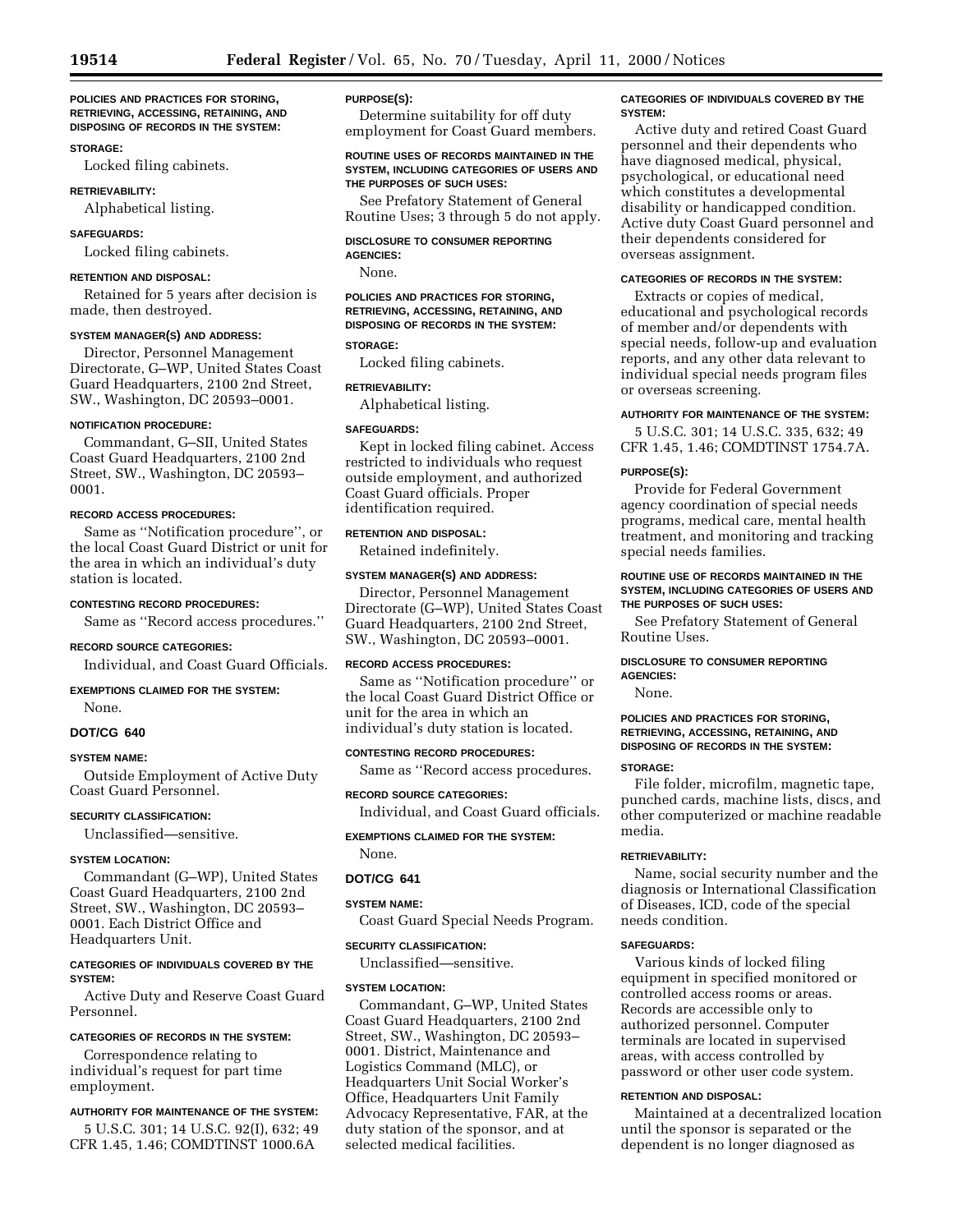### **POLICIES AND PRACTICES FOR STORING, RETRIEVING, ACCESSING, RETAINING, AND DISPOSING OF RECORDS IN THE SYSTEM:**

## **STORAGE:**

Locked filing cabinets.

### **RETRIEVABILITY:**

Alphabetical listing.

## **SAFEGUARDS:**

Locked filing cabinets.

### **RETENTION AND DISPOSAL:**

Retained for 5 years after decision is made, then destroyed.

### **SYSTEM MANAGER(S) AND ADDRESS:**

Director, Personnel Management Directorate, G–WP, United States Coast Guard Headquarters, 2100 2nd Street, SW., Washington, DC 20593–0001.

#### **NOTIFICATION PROCEDURE:**

Commandant, G–SII, United States Coast Guard Headquarters, 2100 2nd Street, SW., Washington, DC 20593– 0001.

## **RECORD ACCESS PROCEDURES:**

Same as ''Notification procedure'', or the local Coast Guard District or unit for the area in which an individual's duty station is located.

## **CONTESTING RECORD PROCEDURES:**

Same as ''Record access procedures.''

## **RECORD SOURCE CATEGORIES:**

Individual, and Coast Guard Officials.

## **EXEMPTIONS CLAIMED FOR THE SYSTEM:**

None.

## **DOT/CG 640**

#### **SYSTEM NAME:**

Outside Employment of Active Duty Coast Guard Personnel.

#### **SECURITY CLASSIFICATION:**

Unclassified—sensitive.

## **SYSTEM LOCATION:**

Commandant (G–WP), United States Coast Guard Headquarters, 2100 2nd Street, SW., Washington, DC 20593– 0001. Each District Office and Headquarters Unit.

## **CATEGORIES OF INDIVIDUALS COVERED BY THE SYSTEM:**

Active Duty and Reserve Coast Guard Personnel.

## **CATEGORIES OF RECORDS IN THE SYSTEM:**

Correspondence relating to individual's request for part time employment.

## **AUTHORITY FOR MAINTENANCE OF THE SYSTEM:**

5 U.S.C. 301; 14 U.S.C. 92(I), 632; 49 CFR 1.45, 1.46; COMDTINST 1000.6A

## **PURPOSE(S):**

Determine suitability for off duty employment for Coast Guard members.

## **ROUTINE USES OF RECORDS MAINTAINED IN THE SYSTEM, INCLUDING CATEGORIES OF USERS AND THE PURPOSES OF SUCH USES:**

See Prefatory Statement of General Routine Uses; 3 through 5 do not apply.

## **DISCLOSURE TO CONSUMER REPORTING**

**AGENCIES:** None.

## **POLICIES AND PRACTICES FOR STORING, RETRIEVING, ACCESSING, RETAINING, AND DISPOSING OF RECORDS IN THE SYSTEM:**

### **STORAGE:**

Locked filing cabinets.

#### **RETRIEVABILITY:**

Alphabetical listing.

## **SAFEGUARDS:**

Kept in locked filing cabinet. Access restricted to individuals who request outside employment, and authorized Coast Guard officials. Proper identification required.

## **RETENTION AND DISPOSAL:**

Retained indefinitely.

## **SYSTEM MANAGER(S) AND ADDRESS:**

Director, Personnel Management Directorate (G–WP), United States Coast Guard Headquarters, 2100 2nd Street, SW., Washington, DC 20593–0001.

### **RECORD ACCESS PROCEDURES:**

Same as ''Notification procedure'' or the local Coast Guard District Office or unit for the area in which an individual's duty station is located.

### **CONTESTING RECORD PROCEDURES:**

Same as ''Record access procedures.

## **RECORD SOURCE CATEGORIES:**

Individual, and Coast Guard officials.

## **EXEMPTIONS CLAIMED FOR THE SYSTEM:**

None.

## **DOT/CG 641**

#### **SYSTEM NAME:**

Coast Guard Special Needs Program.

#### **SECURITY CLASSIFICATION:**

Unclassified—sensitive.

#### **SYSTEM LOCATION:**

Commandant, G–WP, United States Coast Guard Headquarters, 2100 2nd Street, SW., Washington, DC 20593– 0001. District, Maintenance and Logistics Command (MLC), or Headquarters Unit Social Worker's Office, Headquarters Unit Family Advocacy Representative, FAR, at the duty station of the sponsor, and at selected medical facilities.

## **CATEGORIES OF INDIVIDUALS COVERED BY THE SYSTEM:**

Active duty and retired Coast Guard personnel and their dependents who have diagnosed medical, physical, psychological, or educational need which constitutes a developmental disability or handicapped condition. Active duty Coast Guard personnel and their dependents considered for overseas assignment.

## **CATEGORIES OF RECORDS IN THE SYSTEM:**

Extracts or copies of medical, educational and psychological records of member and/or dependents with special needs, follow-up and evaluation reports, and any other data relevant to individual special needs program files or overseas screening.

### **AUTHORITY FOR MAINTENANCE OF THE SYSTEM:**

5 U.S.C. 301; 14 U.S.C. 335, 632; 49 CFR 1.45, 1.46; COMDTINST 1754.7A.

#### **PURPOSE(S):**

Provide for Federal Government agency coordination of special needs programs, medical care, mental health treatment, and monitoring and tracking special needs families.

## **ROUTINE USE OF RECORDS MAINTAINED IN THE SYSTEM, INCLUDING CATEGORIES OF USERS AND THE PURPOSES OF SUCH USES:**

See Prefatory Statement of General Routine Uses.

#### **DISCLOSURE TO CONSUMER REPORTING AGENCIES:**

None.

## **POLICIES AND PRACTICES FOR STORING, RETRIEVING, ACCESSING, RETAINING, AND DISPOSING OF RECORDS IN THE SYSTEM:**

## **STORAGE:**

File folder, microfilm, magnetic tape, punched cards, machine lists, discs, and other computerized or machine readable media.

## **RETRIEVABILITY:**

Name, social security number and the diagnosis or International Classification of Diseases, ICD, code of the special needs condition.

## **SAFEGUARDS:**

Various kinds of locked filing equipment in specified monitored or controlled access rooms or areas. Records are accessible only to authorized personnel. Computer terminals are located in supervised areas, with access controlled by password or other user code system.

## **RETENTION AND DISPOSAL:**

Maintained at a decentralized location until the sponsor is separated or the dependent is no longer diagnosed as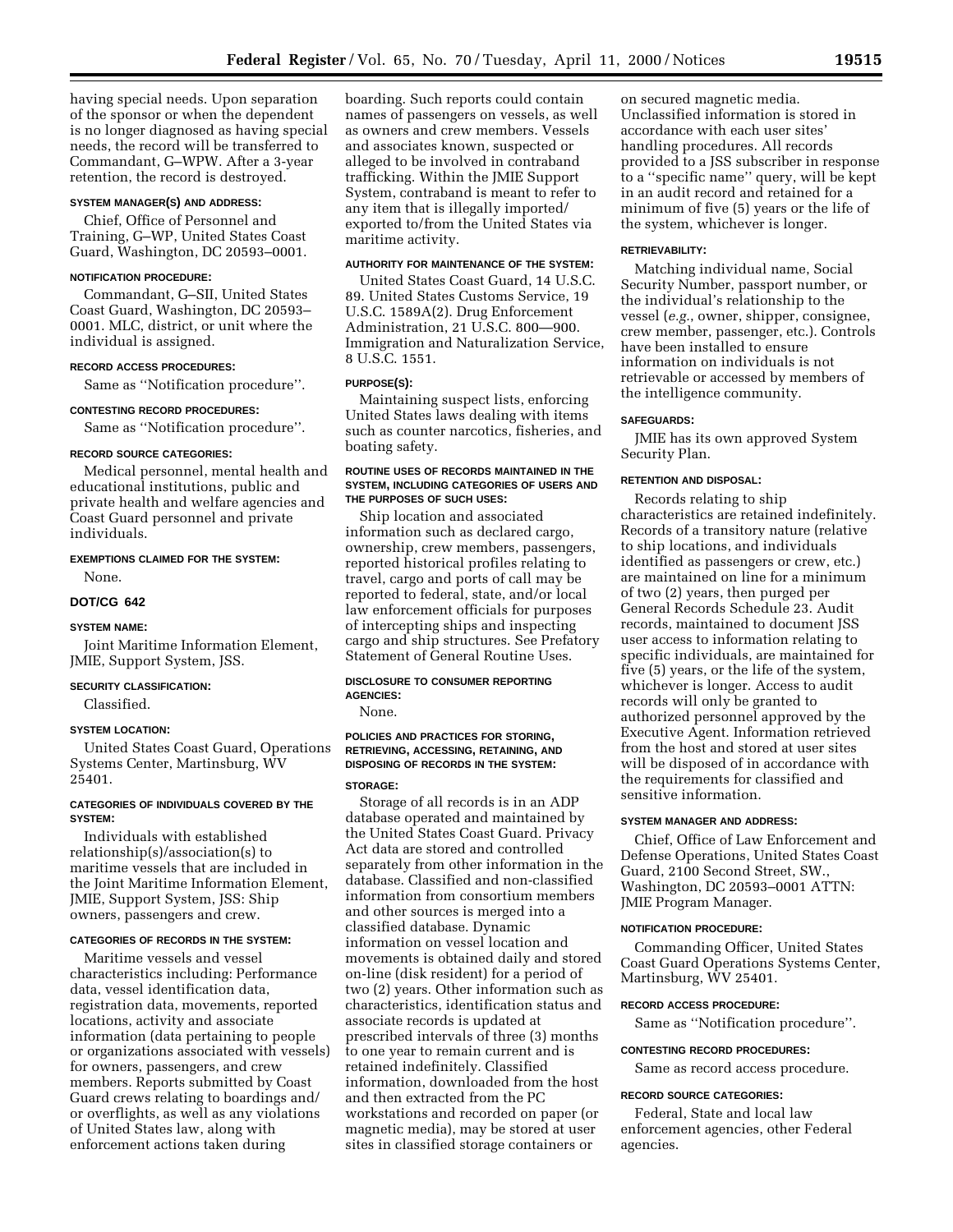having special needs. Upon separation of the sponsor or when the dependent is no longer diagnosed as having special needs, the record will be transferred to Commandant, G–WPW. After a 3-year retention, the record is destroyed.

## **SYSTEM MANAGER(S) AND ADDRESS:**

Chief, Office of Personnel and Training, G–WP, United States Coast Guard, Washington, DC 20593–0001.

#### **NOTIFICATION PROCEDURE:**

Commandant, G–SII, United States Coast Guard, Washington, DC 20593– 0001. MLC, district, or unit where the individual is assigned.

## **RECORD ACCESS PROCEDURES:**

Same as ''Notification procedure''.

## **CONTESTING RECORD PROCEDURES:**

Same as ''Notification procedure''.

#### **RECORD SOURCE CATEGORIES:**

Medical personnel, mental health and educational institutions, public and private health and welfare agencies and Coast Guard personnel and private individuals.

### **EXEMPTIONS CLAIMED FOR THE SYSTEM:**

None.

## **DOT/CG 642**

#### **SYSTEM NAME:**

Joint Maritime Information Element, JMIE, Support System, JSS.

### **SECURITY CLASSIFICATION:**

Classified.

#### **SYSTEM LOCATION:**

United States Coast Guard, Operations Systems Center, Martinsburg, WV 25401.

## **CATEGORIES OF INDIVIDUALS COVERED BY THE SYSTEM:**

Individuals with established relationship(s)/association(s) to maritime vessels that are included in the Joint Maritime Information Element, JMIE, Support System, JSS: Ship owners, passengers and crew.

## **CATEGORIES OF RECORDS IN THE SYSTEM:**

Maritime vessels and vessel characteristics including: Performance data, vessel identification data, registration data, movements, reported locations, activity and associate information (data pertaining to people or organizations associated with vessels) for owners, passengers, and crew members. Reports submitted by Coast Guard crews relating to boardings and/ or overflights, as well as any violations of United States law, along with enforcement actions taken during

boarding. Such reports could contain names of passengers on vessels, as well as owners and crew members. Vessels and associates known, suspected or alleged to be involved in contraband trafficking. Within the JMIE Support System, contraband is meant to refer to any item that is illegally imported/ exported to/from the United States via maritime activity.

## **AUTHORITY FOR MAINTENANCE OF THE SYSTEM:**

United States Coast Guard, 14 U.S.C. 89. United States Customs Service, 19 U.S.C. 1589A(2). Drug Enforcement Administration, 21 U.S.C. 800—900. Immigration and Naturalization Service, 8 U.S.C. 1551.

## **PURPOSE(S):**

Maintaining suspect lists, enforcing United States laws dealing with items such as counter narcotics, fisheries, and boating safety.

### **ROUTINE USES OF RECORDS MAINTAINED IN THE SYSTEM, INCLUDING CATEGORIES OF USERS AND THE PURPOSES OF SUCH USES:**

Ship location and associated information such as declared cargo, ownership, crew members, passengers, reported historical profiles relating to travel, cargo and ports of call may be reported to federal, state, and/or local law enforcement officials for purposes of intercepting ships and inspecting cargo and ship structures. See Prefatory Statement of General Routine Uses.

#### **DISCLOSURE TO CONSUMER REPORTING AGENCIES:**

None.

## **POLICIES AND PRACTICES FOR STORING, RETRIEVING, ACCESSING, RETAINING, AND DISPOSING OF RECORDS IN THE SYSTEM:**

## **STORAGE:**

Storage of all records is in an ADP database operated and maintained by the United States Coast Guard. Privacy Act data are stored and controlled separately from other information in the database. Classified and non-classified information from consortium members and other sources is merged into a classified database. Dynamic information on vessel location and movements is obtained daily and stored on-line (disk resident) for a period of two (2) years. Other information such as characteristics, identification status and associate records is updated at prescribed intervals of three (3) months to one year to remain current and is retained indefinitely. Classified information, downloaded from the host and then extracted from the PC workstations and recorded on paper (or magnetic media), may be stored at user sites in classified storage containers or

on secured magnetic media. Unclassified information is stored in accordance with each user sites' handling procedures. All records provided to a JSS subscriber in response to a ''specific name'' query, will be kept in an audit record and retained for a minimum of five (5) years or the life of the system, whichever is longer.

#### **RETRIEVABILITY:**

Matching individual name, Social Security Number, passport number, or the individual's relationship to the vessel (*e.g.*, owner, shipper, consignee, crew member, passenger, etc.). Controls have been installed to ensure information on individuals is not retrievable or accessed by members of the intelligence community.

## **SAFEGUARDS:**

JMIE has its own approved System Security Plan.

### **RETENTION AND DISPOSAL:**

Records relating to ship characteristics are retained indefinitely. Records of a transitory nature (relative to ship locations, and individuals identified as passengers or crew, etc.) are maintained on line for a minimum of two (2) years, then purged per General Records Schedule 23. Audit records, maintained to document JSS user access to information relating to specific individuals, are maintained for five (5) years, or the life of the system, whichever is longer. Access to audit records will only be granted to authorized personnel approved by the Executive Agent. Information retrieved from the host and stored at user sites will be disposed of in accordance with the requirements for classified and sensitive information.

### **SYSTEM MANAGER AND ADDRESS:**

Chief, Office of Law Enforcement and Defense Operations, United States Coast Guard, 2100 Second Street, SW., Washington, DC 20593–0001 ATTN: JMIE Program Manager.

#### **NOTIFICATION PROCEDURE:**

Commanding Officer, United States Coast Guard Operations Systems Center, Martinsburg, WV 25401.

#### **RECORD ACCESS PROCEDURE:**

Same as ''Notification procedure''.

### **CONTESTING RECORD PROCEDURES:**

Same as record access procedure.

#### **RECORD SOURCE CATEGORIES:**

Federal, State and local law enforcement agencies, other Federal agencies.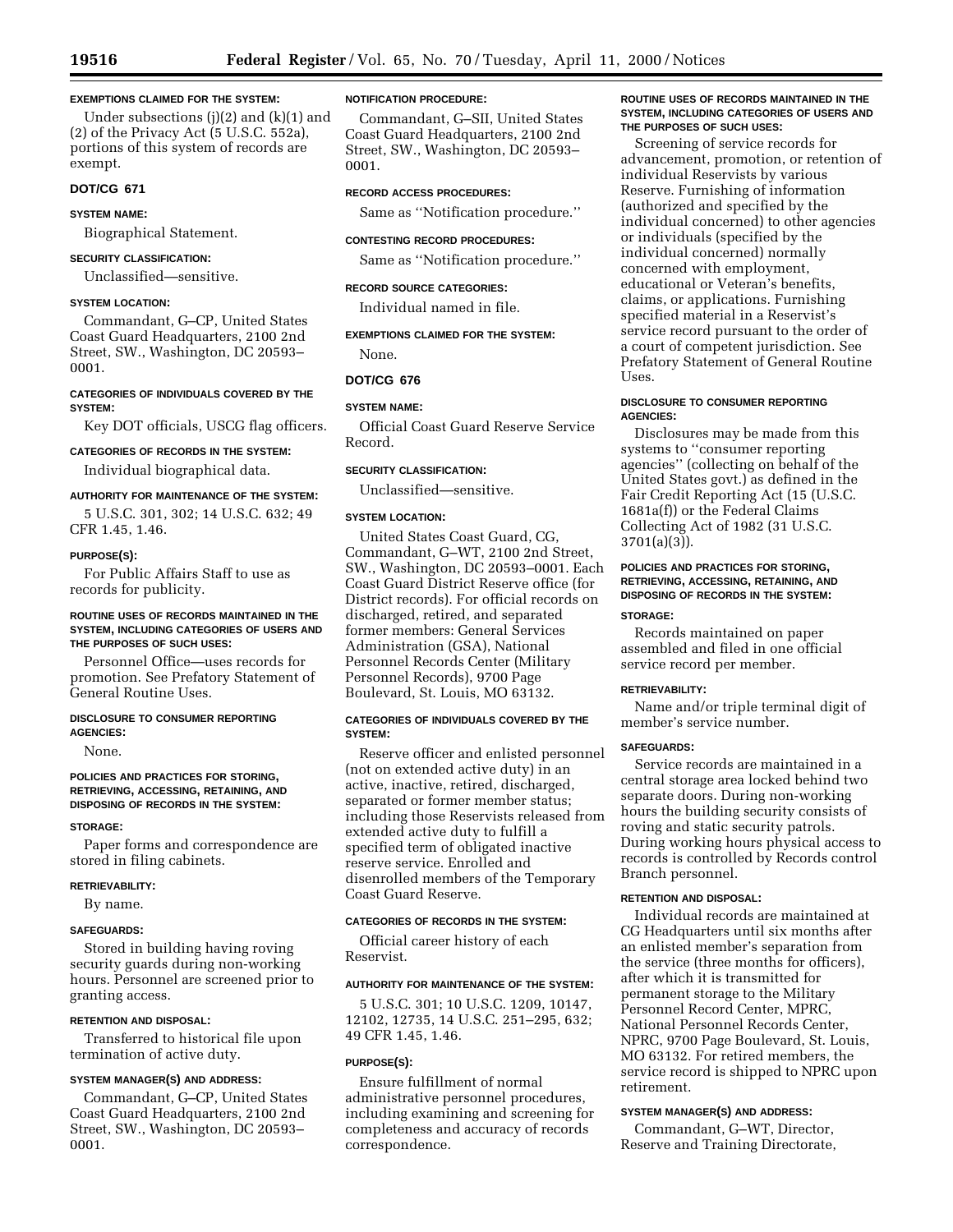## **EXEMPTIONS CLAIMED FOR THE SYSTEM:**

Under subsections  $(j)(2)$  and  $(k)(1)$  and (2) of the Privacy Act (5 U.S.C. 552a), portions of this system of records are exempt.

## **DOT/CG 671**

## **SYSTEM NAME:**

Biographical Statement.

## **SECURITY CLASSIFICATION:**

Unclassified—sensitive.

#### **SYSTEM LOCATION:**

Commandant, G–CP, United States Coast Guard Headquarters, 2100 2nd Street, SW., Washington, DC 20593– 0001.

## **CATEGORIES OF INDIVIDUALS COVERED BY THE SYSTEM:**

Key DOT officials, USCG flag officers.

## **CATEGORIES OF RECORDS IN THE SYSTEM:**

Individual biographical data.

## **AUTHORITY FOR MAINTENANCE OF THE SYSTEM:**

5 U.S.C. 301, 302; 14 U.S.C. 632; 49 CFR 1.45, 1.46.

#### **PURPOSE(S):**

For Public Affairs Staff to use as records for publicity.

### **ROUTINE USES OF RECORDS MAINTAINED IN THE SYSTEM, INCLUDING CATEGORIES OF USERS AND THE PURPOSES OF SUCH USES:**

Personnel Office—uses records for promotion. See Prefatory Statement of General Routine Uses.

## **DISCLOSURE TO CONSUMER REPORTING AGENCIES:**

None.

### **POLICIES AND PRACTICES FOR STORING, RETRIEVING, ACCESSING, RETAINING, AND DISPOSING OF RECORDS IN THE SYSTEM:**

#### **STORAGE:**

Paper forms and correspondence are stored in filing cabinets.

### **RETRIEVABILITY:**

By name.

#### **SAFEGUARDS:**

Stored in building having roving security guards during non-working hours. Personnel are screened prior to granting access.

### **RETENTION AND DISPOSAL:**

Transferred to historical file upon termination of active duty.

## **SYSTEM MANAGER(S) AND ADDRESS:**

Commandant, G–CP, United States Coast Guard Headquarters, 2100 2nd Street, SW., Washington, DC 20593– 0001.

#### **NOTIFICATION PROCEDURE:**

Commandant, G–SII, United States Coast Guard Headquarters, 2100 2nd Street, SW., Washington, DC 20593– 0001.

### **RECORD ACCESS PROCEDURES:**

Same as ''Notification procedure.''

#### **CONTESTING RECORD PROCEDURES:**

Same as ''Notification procedure.''

#### **RECORD SOURCE CATEGORIES:**

Individual named in file.

## **EXEMPTIONS CLAIMED FOR THE SYSTEM:**

None.

#### **DOT/CG 676**

## **SYSTEM NAME:**

Official Coast Guard Reserve Service Record.

## **SECURITY CLASSIFICATION:**

Unclassified—sensitive.

## **SYSTEM LOCATION:**

United States Coast Guard, CG, Commandant, G–WT, 2100 2nd Street, SW., Washington, DC 20593–0001. Each Coast Guard District Reserve office (for District records). For official records on discharged, retired, and separated former members: General Services Administration (GSA), National Personnel Records Center (Military Personnel Records), 9700 Page Boulevard, St. Louis, MO 63132.

## **CATEGORIES OF INDIVIDUALS COVERED BY THE SYSTEM:**

Reserve officer and enlisted personnel (not on extended active duty) in an active, inactive, retired, discharged, separated or former member status; including those Reservists released from extended active duty to fulfill a specified term of obligated inactive reserve service. Enrolled and disenrolled members of the Temporary Coast Guard Reserve.

## **CATEGORIES OF RECORDS IN THE SYSTEM:**

Official career history of each Reservist.

### **AUTHORITY FOR MAINTENANCE OF THE SYSTEM:**

5 U.S.C. 301; 10 U.S.C. 1209, 10147, 12102, 12735, 14 U.S.C. 251–295, 632; 49 CFR 1.45, 1.46.

### **PURPOSE(S):**

Ensure fulfillment of normal administrative personnel procedures, including examining and screening for completeness and accuracy of records correspondence.

## **ROUTINE USES OF RECORDS MAINTAINED IN THE SYSTEM, INCLUDING CATEGORIES OF USERS AND THE PURPOSES OF SUCH USES:**

Screening of service records for advancement, promotion, or retention of individual Reservists by various Reserve. Furnishing of information (authorized and specified by the individual concerned) to other agencies or individuals (specified by the individual concerned) normally concerned with employment, educational or Veteran's benefits, claims, or applications. Furnishing specified material in a Reservist's service record pursuant to the order of a court of competent jurisdiction. See Prefatory Statement of General Routine Uses.

## **DISCLOSURE TO CONSUMER REPORTING AGENCIES:**

Disclosures may be made from this systems to ''consumer reporting agencies'' (collecting on behalf of the United States govt.) as defined in the Fair Credit Reporting Act (15 (U.S.C. 1681a(f)) or the Federal Claims Collecting Act of 1982 (31 U.S.C. 3701(a)(3)).

## **POLICIES AND PRACTICES FOR STORING, RETRIEVING, ACCESSING, RETAINING, AND DISPOSING OF RECORDS IN THE SYSTEM:**

## **STORAGE:**

Records maintained on paper assembled and filed in one official service record per member.

#### **RETRIEVABILITY:**

Name and/or triple terminal digit of member's service number.

#### **SAFEGUARDS:**

Service records are maintained in a central storage area locked behind two separate doors. During non-working hours the building security consists of roving and static security patrols. During working hours physical access to records is controlled by Records control Branch personnel.

## **RETENTION AND DISPOSAL:**

Individual records are maintained at CG Headquarters until six months after an enlisted member's separation from the service (three months for officers), after which it is transmitted for permanent storage to the Military Personnel Record Center, MPRC, National Personnel Records Center, NPRC, 9700 Page Boulevard, St. Louis, MO 63132. For retired members, the service record is shipped to NPRC upon retirement.

## **SYSTEM MANAGER(S) AND ADDRESS:**

Commandant, G–WT, Director, Reserve and Training Directorate,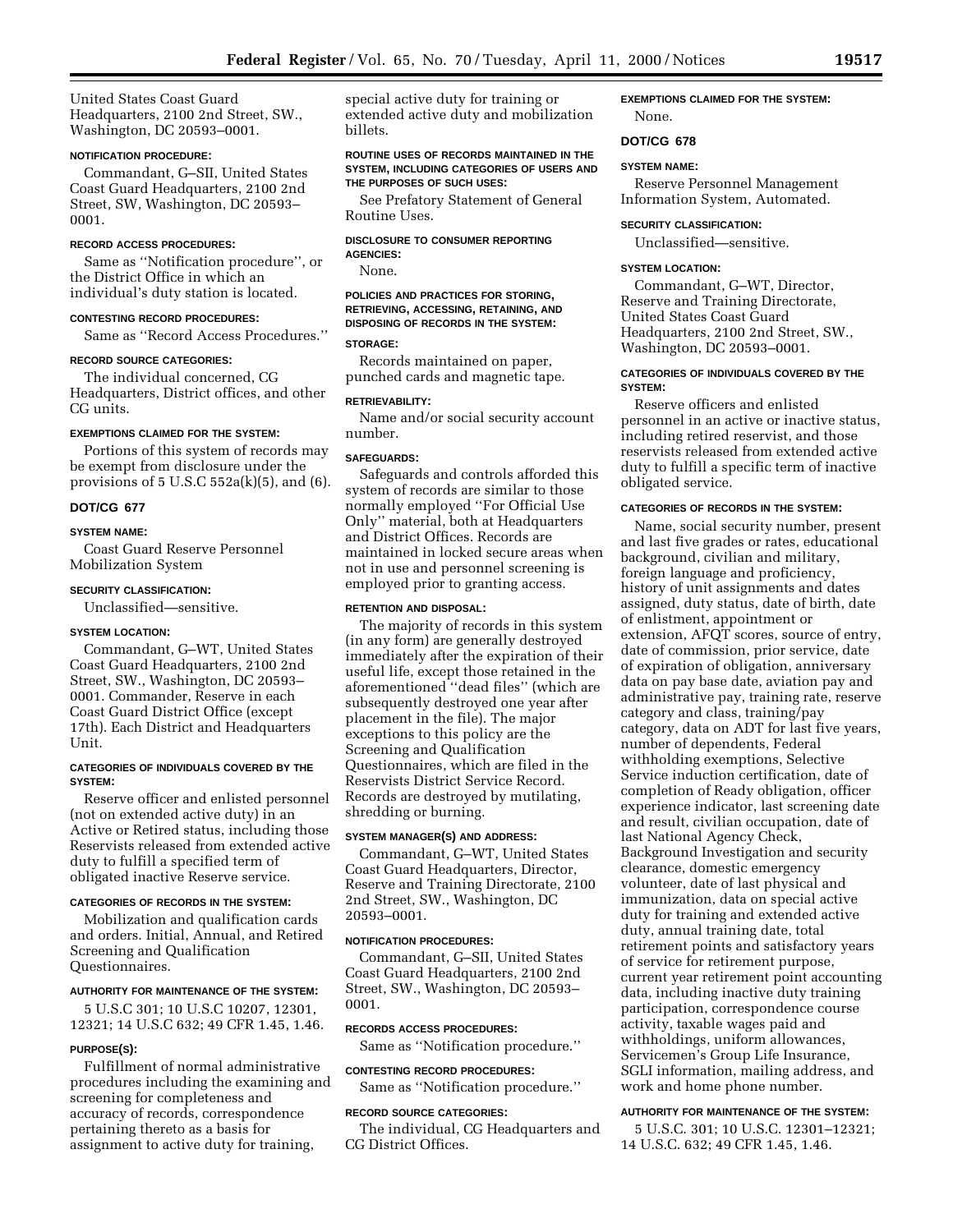United States Coast Guard Headquarters, 2100 2nd Street, SW., Washington, DC 20593–0001.

## **NOTIFICATION PROCEDURE:**

Commandant, G–SII, United States Coast Guard Headquarters, 2100 2nd Street, SW, Washington, DC 20593– 0001.

#### **RECORD ACCESS PROCEDURES:**

Same as ''Notification procedure'', or the District Office in which an individual's duty station is located.

## **CONTESTING RECORD PROCEDURES:**

Same as ''Record Access Procedures.''

#### **RECORD SOURCE CATEGORIES:**

The individual concerned, CG Headquarters, District offices, and other CG units.

## **EXEMPTIONS CLAIMED FOR THE SYSTEM:**

Portions of this system of records may be exempt from disclosure under the provisions of  $5 \text{ U.S. C } 552a(k)(5)$ , and  $(6)$ .

#### **DOT/CG 677**

### **SYSTEM NAME:**

Coast Guard Reserve Personnel Mobilization System

## **SECURITY CLASSIFICATION:**

Unclassified—sensitive.

## **SYSTEM LOCATION:**

Commandant, G–WT, United States Coast Guard Headquarters, 2100 2nd Street, SW., Washington, DC 20593– 0001. Commander, Reserve in each Coast Guard District Office (except 17th). Each District and Headquarters Unit.

## **CATEGORIES OF INDIVIDUALS COVERED BY THE SYSTEM:**

Reserve officer and enlisted personnel (not on extended active duty) in an Active or Retired status, including those Reservists released from extended active duty to fulfill a specified term of obligated inactive Reserve service.

## **CATEGORIES OF RECORDS IN THE SYSTEM:**

Mobilization and qualification cards and orders. Initial, Annual, and Retired Screening and Qualification Questionnaires.

## **AUTHORITY FOR MAINTENANCE OF THE SYSTEM:**

5 U.S.C 301; 10 U.S.C 10207, 12301, 12321; 14 U.S.C 632; 49 CFR 1.45, 1.46.

#### **PURPOSE(S):**

Fulfillment of normal administrative procedures including the examining and screening for completeness and accuracy of records, correspondence pertaining thereto as a basis for assignment to active duty for training,

special active duty for training or extended active duty and mobilization billets.

### **ROUTINE USES OF RECORDS MAINTAINED IN THE SYSTEM, INCLUDING CATEGORIES OF USERS AND THE PURPOSES OF SUCH USES:**

See Prefatory Statement of General Routine Uses.

#### **DISCLOSURE TO CONSUMER REPORTING AGENCIES:**

None.

**POLICIES AND PRACTICES FOR STORING, RETRIEVING, ACCESSING, RETAINING, AND DISPOSING OF RECORDS IN THE SYSTEM:**

#### **STORAGE:**

Records maintained on paper, punched cards and magnetic tape.

#### **RETRIEVABILITY:**

Name and/or social security account number.

### **SAFEGUARDS:**

Safeguards and controls afforded this system of records are similar to those normally employed ''For Official Use Only'' material, both at Headquarters and District Offices. Records are maintained in locked secure areas when not in use and personnel screening is employed prior to granting access.

## **RETENTION AND DISPOSAL:**

The majority of records in this system (in any form) are generally destroyed immediately after the expiration of their useful life, except those retained in the aforementioned ''dead files'' (which are subsequently destroyed one year after placement in the file). The major exceptions to this policy are the Screening and Qualification Questionnaires, which are filed in the Reservists District Service Record. Records are destroyed by mutilating, shredding or burning.

### **SYSTEM MANAGER(S) AND ADDRESS:**

Commandant, G–WT, United States Coast Guard Headquarters, Director, Reserve and Training Directorate, 2100 2nd Street, SW., Washington, DC 20593–0001.

## **NOTIFICATION PROCEDURES:**

Commandant, G–SII, United States Coast Guard Headquarters, 2100 2nd Street, SW., Washington, DC 20593– 0001.

#### **RECORDS ACCESS PROCEDURES:**

Same as ''Notification procedure.''

#### **CONTESTING RECORD PROCEDURES:**

Same as ''Notification procedure.''

#### **RECORD SOURCE CATEGORIES:**

The individual, CG Headquarters and CG District Offices.

**EXEMPTIONS CLAIMED FOR THE SYSTEM:** None.

## **DOT/CG 678**

#### **SYSTEM NAME:**

Reserve Personnel Management Information System, Automated.

#### **SECURITY CLASSIFICATION:**

Unclassified—sensitive.

## **SYSTEM LOCATION:**

Commandant, G–WT, Director, Reserve and Training Directorate, United States Coast Guard Headquarters, 2100 2nd Street, SW., Washington, DC 20593–0001.

## **CATEGORIES OF INDIVIDUALS COVERED BY THE SYSTEM:**

Reserve officers and enlisted personnel in an active or inactive status, including retired reservist, and those reservists released from extended active duty to fulfill a specific term of inactive obligated service.

#### **CATEGORIES OF RECORDS IN THE SYSTEM:**

Name, social security number, present and last five grades or rates, educational background, civilian and military, foreign language and proficiency, history of unit assignments and dates assigned, duty status, date of birth, date of enlistment, appointment or extension, AFQT scores, source of entry, date of commission, prior service, date of expiration of obligation, anniversary data on pay base date, aviation pay and administrative pay, training rate, reserve category and class, training/pay category, data on ADT for last five years, number of dependents, Federal withholding exemptions, Selective Service induction certification, date of completion of Ready obligation, officer experience indicator, last screening date and result, civilian occupation, date of last National Agency Check, Background Investigation and security clearance, domestic emergency volunteer, date of last physical and immunization, data on special active duty for training and extended active duty, annual training date, total retirement points and satisfactory years of service for retirement purpose, current year retirement point accounting data, including inactive duty training participation, correspondence course activity, taxable wages paid and withholdings, uniform allowances, Servicemen's Group Life Insurance, SGLI information, mailing address, and work and home phone number.

#### **AUTHORITY FOR MAINTENANCE OF THE SYSTEM:**

5 U.S.C. 301; 10 U.S.C. 12301–12321; 14 U.S.C. 632; 49 CFR 1.45, 1.46.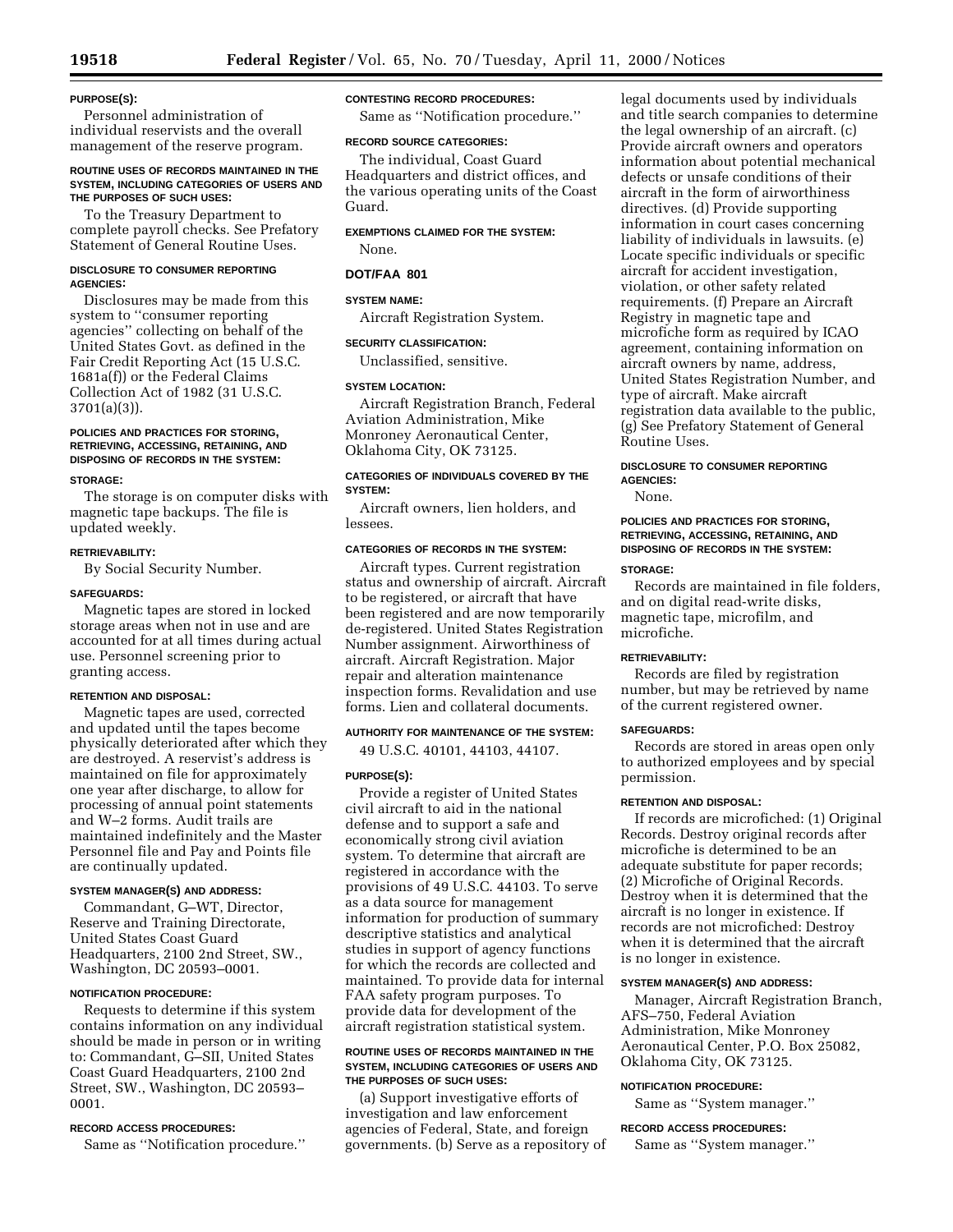## **PURPOSE(S):**

Personnel administration of individual reservists and the overall management of the reserve program.

### **ROUTINE USES OF RECORDS MAINTAINED IN THE SYSTEM, INCLUDING CATEGORIES OF USERS AND THE PURPOSES OF SUCH USES:**

To the Treasury Department to complete payroll checks. See Prefatory Statement of General Routine Uses.

#### **DISCLOSURE TO CONSUMER REPORTING AGENCIES:**

Disclosures may be made from this system to ''consumer reporting agencies'' collecting on behalf of the United States Govt. as defined in the Fair Credit Reporting Act (15 U.S.C. 1681a(f)) or the Federal Claims Collection Act of 1982 (31 U.S.C. 3701(a)(3)).

## **POLICIES AND PRACTICES FOR STORING, RETRIEVING, ACCESSING, RETAINING, AND DISPOSING OF RECORDS IN THE SYSTEM:**

### **STORAGE:**

The storage is on computer disks with magnetic tape backups. The file is updated weekly.

#### **RETRIEVABILITY:**

By Social Security Number.

### **SAFEGUARDS:**

Magnetic tapes are stored in locked storage areas when not in use and are accounted for at all times during actual use. Personnel screening prior to granting access.

#### **RETENTION AND DISPOSAL:**

Magnetic tapes are used, corrected and updated until the tapes become physically deteriorated after which they are destroyed. A reservist's address is maintained on file for approximately one year after discharge, to allow for processing of annual point statements and W–2 forms. Audit trails are maintained indefinitely and the Master Personnel file and Pay and Points file are continually updated.

## **SYSTEM MANAGER(S) AND ADDRESS:**

Commandant, G–WT, Director, Reserve and Training Directorate, United States Coast Guard Headquarters, 2100 2nd Street, SW., Washington, DC 20593–0001.

## **NOTIFICATION PROCEDURE:**

Requests to determine if this system contains information on any individual should be made in person or in writing to: Commandant, G–SII, United States Coast Guard Headquarters, 2100 2nd Street, SW., Washington, DC 20593– 0001.

## **RECORD ACCESS PROCEDURES:**

Same as ''Notification procedure.''

### **CONTESTING RECORD PROCEDURES:**

Same as ''Notification procedure.''

### **RECORD SOURCE CATEGORIES:**

The individual, Coast Guard Headquarters and district offices, and the various operating units of the Coast Guard.

## **EXEMPTIONS CLAIMED FOR THE SYSTEM:**

## None.

## **DOT/FAA 801**

## **SYSTEM NAME:**

Aircraft Registration System.

#### **SECURITY CLASSIFICATION:**

Unclassified, sensitive.

#### **SYSTEM LOCATION:**

Aircraft Registration Branch, Federal Aviation Administration, Mike Monroney Aeronautical Center, Oklahoma City, OK 73125.

## **CATEGORIES OF INDIVIDUALS COVERED BY THE SYSTEM:**

Aircraft owners, lien holders, and lessees.

## **CATEGORIES OF RECORDS IN THE SYSTEM:**

Aircraft types. Current registration status and ownership of aircraft. Aircraft to be registered, or aircraft that have been registered and are now temporarily de-registered. United States Registration Number assignment. Airworthiness of aircraft. Aircraft Registration. Major repair and alteration maintenance inspection forms. Revalidation and use forms. Lien and collateral documents.

## **AUTHORITY FOR MAINTENANCE OF THE SYSTEM:**

49 U.S.C. 40101, 44103, 44107.

#### **PURPOSE(S):**

Provide a register of United States civil aircraft to aid in the national defense and to support a safe and economically strong civil aviation system. To determine that aircraft are registered in accordance with the provisions of 49 U.S.C. 44103. To serve as a data source for management information for production of summary descriptive statistics and analytical studies in support of agency functions for which the records are collected and maintained. To provide data for internal FAA safety program purposes. To provide data for development of the aircraft registration statistical system.

### **ROUTINE USES OF RECORDS MAINTAINED IN THE SYSTEM, INCLUDING CATEGORIES OF USERS AND THE PURPOSES OF SUCH USES:**

(a) Support investigative efforts of investigation and law enforcement agencies of Federal, State, and foreign governments. (b) Serve as a repository of

legal documents used by individuals and title search companies to determine the legal ownership of an aircraft. (c) Provide aircraft owners and operators information about potential mechanical defects or unsafe conditions of their aircraft in the form of airworthiness directives. (d) Provide supporting information in court cases concerning liability of individuals in lawsuits. (e) Locate specific individuals or specific aircraft for accident investigation, violation, or other safety related requirements. (f) Prepare an Aircraft Registry in magnetic tape and microfiche form as required by ICAO agreement, containing information on aircraft owners by name, address, United States Registration Number, and type of aircraft. Make aircraft registration data available to the public, (g) See Prefatory Statement of General Routine Uses.

## **DISCLOSURE TO CONSUMER REPORTING AGENCIES:**

None.

## **POLICIES AND PRACTICES FOR STORING, RETRIEVING, ACCESSING, RETAINING, AND DISPOSING OF RECORDS IN THE SYSTEM:**

### **STORAGE:**

Records are maintained in file folders, and on digital read-write disks, magnetic tape, microfilm, and microfiche.

## **RETRIEVABILITY:**

Records are filed by registration number, but may be retrieved by name of the current registered owner.

## **SAFEGUARDS:**

Records are stored in areas open only to authorized employees and by special permission.

#### **RETENTION AND DISPOSAL:**

If records are microfiched: (1) Original Records. Destroy original records after microfiche is determined to be an adequate substitute for paper records; (2) Microfiche of Original Records. Destroy when it is determined that the aircraft is no longer in existence. If records are not microfiched: Destroy when it is determined that the aircraft is no longer in existence.

### **SYSTEM MANAGER(S) AND ADDRESS:**

Manager, Aircraft Registration Branch, AFS–750, Federal Aviation Administration, Mike Monroney Aeronautical Center, P.O. Box 25082, Oklahoma City, OK 73125.

## **NOTIFICATION PROCEDURE:**

Same as ''System manager.''

### **RECORD ACCESS PROCEDURES:**

Same as ''System manager.''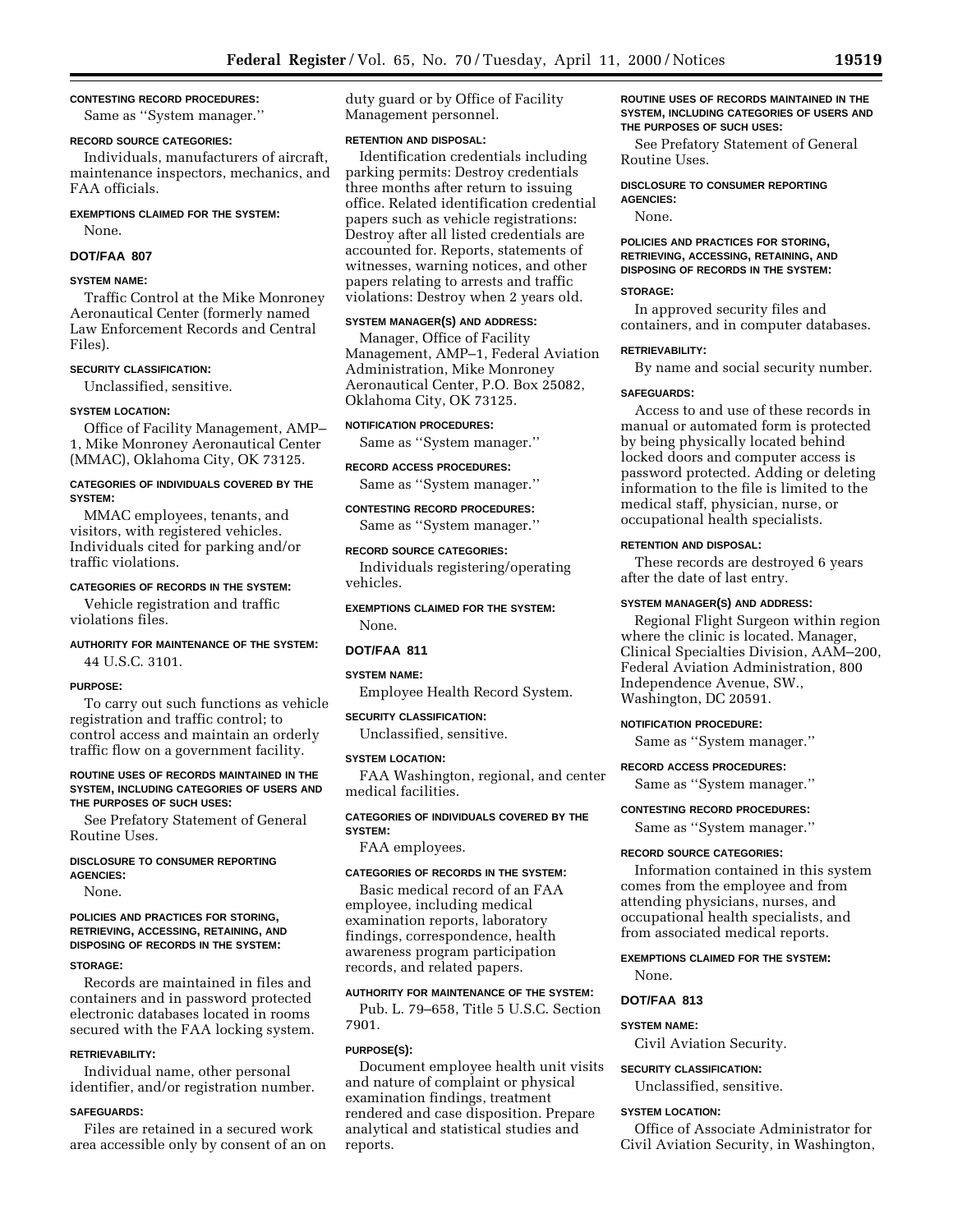## **CONTESTING RECORD PROCEDURES:**

Same as ''System manager.''

## **RECORD SOURCE CATEGORIES:**

Individuals, manufacturers of aircraft, maintenance inspectors, mechanics, and FAA officials.

## **EXEMPTIONS CLAIMED FOR THE SYSTEM:** None.

#### **DOT/FAA 807**

## **SYSTEM NAME:**

Traffic Control at the Mike Monroney Aeronautical Center (formerly named Law Enforcement Records and Central Files).

## **SECURITY CLASSIFICATION:**

Unclassified, sensitive.

## **SYSTEM LOCATION:**

Office of Facility Management, AMP– 1, Mike Monroney Aeronautical Center (MMAC), Oklahoma City, OK 73125.

## **CATEGORIES OF INDIVIDUALS COVERED BY THE SYSTEM:**

MMAC employees, tenants, and visitors, with registered vehicles. Individuals cited for parking and/or traffic violations.

## **CATEGORIES OF RECORDS IN THE SYSTEM:**

Vehicle registration and traffic violations files.

## **AUTHORITY FOR MAINTENANCE OF THE SYSTEM:** 44 U.S.C. 3101.

### **PURPOSE:**

To carry out such functions as vehicle registration and traffic control; to control access and maintain an orderly traffic flow on a government facility.

#### **ROUTINE USES OF RECORDS MAINTAINED IN THE SYSTEM, INCLUDING CATEGORIES OF USERS AND THE PURPOSES OF SUCH USES:**

See Prefatory Statement of General Routine Uses.

#### **DISCLOSURE TO CONSUMER REPORTING AGENCIES:**

None.

## **POLICIES AND PRACTICES FOR STORING, RETRIEVING, ACCESSING, RETAINING, AND DISPOSING OF RECORDS IN THE SYSTEM:**

### **STORAGE:**

Records are maintained in files and containers and in password protected electronic databases located in rooms secured with the FAA locking system.

#### **RETRIEVABILITY:**

Individual name, other personal identifier, and/or registration number.

## **SAFEGUARDS:**

Files are retained in a secured work area accessible only by consent of an on duty guard or by Office of Facility Management personnel.

## **RETENTION AND DISPOSAL:**

Identification credentials including parking permits: Destroy credentials three months after return to issuing office. Related identification credential papers such as vehicle registrations: Destroy after all listed credentials are accounted for. Reports, statements of witnesses, warning notices, and other papers relating to arrests and traffic violations: Destroy when 2 years old.

## **SYSTEM MANAGER(S) AND ADDRESS:**

Manager, Office of Facility Management, AMP–1, Federal Aviation Administration, Mike Monroney Aeronautical Center, P.O. Box 25082, Oklahoma City, OK 73125.

## **NOTIFICATION PROCEDURES:**

Same as ''System manager.''

**RECORD ACCESS PROCEDURES:**

Same as ''System manager.''

**CONTESTING RECORD PROCEDURES:**

Same as ''System manager.''

## **RECORD SOURCE CATEGORIES:**

Individuals registering/operating vehicles.

**EXEMPTIONS CLAIMED FOR THE SYSTEM:** None.

## **DOT/FAA 811**

#### **SYSTEM NAME:**

Employee Health Record System.

#### **SECURITY CLASSIFICATION:**

Unclassified, sensitive.

#### **SYSTEM LOCATION:**

FAA Washington, regional, and center medical facilities.

## **CATEGORIES OF INDIVIDUALS COVERED BY THE SYSTEM:**

FAA employees.

#### **CATEGORIES OF RECORDS IN THE SYSTEM:**

Basic medical record of an FAA employee, including medical examination reports, laboratory findings, correspondence, health awareness program participation records, and related papers.

## **AUTHORITY FOR MAINTENANCE OF THE SYSTEM:**

Pub. L. 79–658, Title 5 U.S.C. Section 7901.

## **PURPOSE(S):**

Document employee health unit visits and nature of complaint or physical examination findings, treatment rendered and case disposition. Prepare analytical and statistical studies and reports.

**ROUTINE USES OF RECORDS MAINTAINED IN THE SYSTEM, INCLUDING CATEGORIES OF USERS AND THE PURPOSES OF SUCH USES:**

See Prefatory Statement of General Routine Uses.

**DISCLOSURE TO CONSUMER REPORTING AGENCIES:**

None.

### **POLICIES AND PRACTICES FOR STORING, RETRIEVING, ACCESSING, RETAINING, AND DISPOSING OF RECORDS IN THE SYSTEM:**

#### **STORAGE:**

In approved security files and containers, and in computer databases.

### **RETRIEVABILITY:**

By name and social security number.

### **SAFEGUARDS:**

Access to and use of these records in manual or automated form is protected by being physically located behind locked doors and computer access is password protected. Adding or deleting information to the file is limited to the medical staff, physician, nurse, or occupational health specialists.

## **RETENTION AND DISPOSAL:**

These records are destroyed 6 years after the date of last entry.

### **SYSTEM MANAGER(S) AND ADDRESS:**

Regional Flight Surgeon within region where the clinic is located. Manager, Clinical Specialties Division, AAM–200, Federal Aviation Administration, 800 Independence Avenue, SW., Washington, DC 20591.

#### **NOTIFICATION PROCEDURE:**

Same as ''System manager.''

### **RECORD ACCESS PROCEDURES:**

Same as ''System manager.''

## **CONTESTING RECORD PROCEDURES:**

Same as ''System manager.''

#### **RECORD SOURCE CATEGORIES:**

Information contained in this system comes from the employee and from attending physicians, nurses, and occupational health specialists, and from associated medical reports.

**EXEMPTIONS CLAIMED FOR THE SYSTEM:** None.

### **DOT/FAA 813**

# **SYSTEM NAME:**

Civil Aviation Security.

## **SECURITY CLASSIFICATION:**

Unclassified, sensitive.

#### **SYSTEM LOCATION:**

Office of Associate Administrator for Civil Aviation Security, in Washington,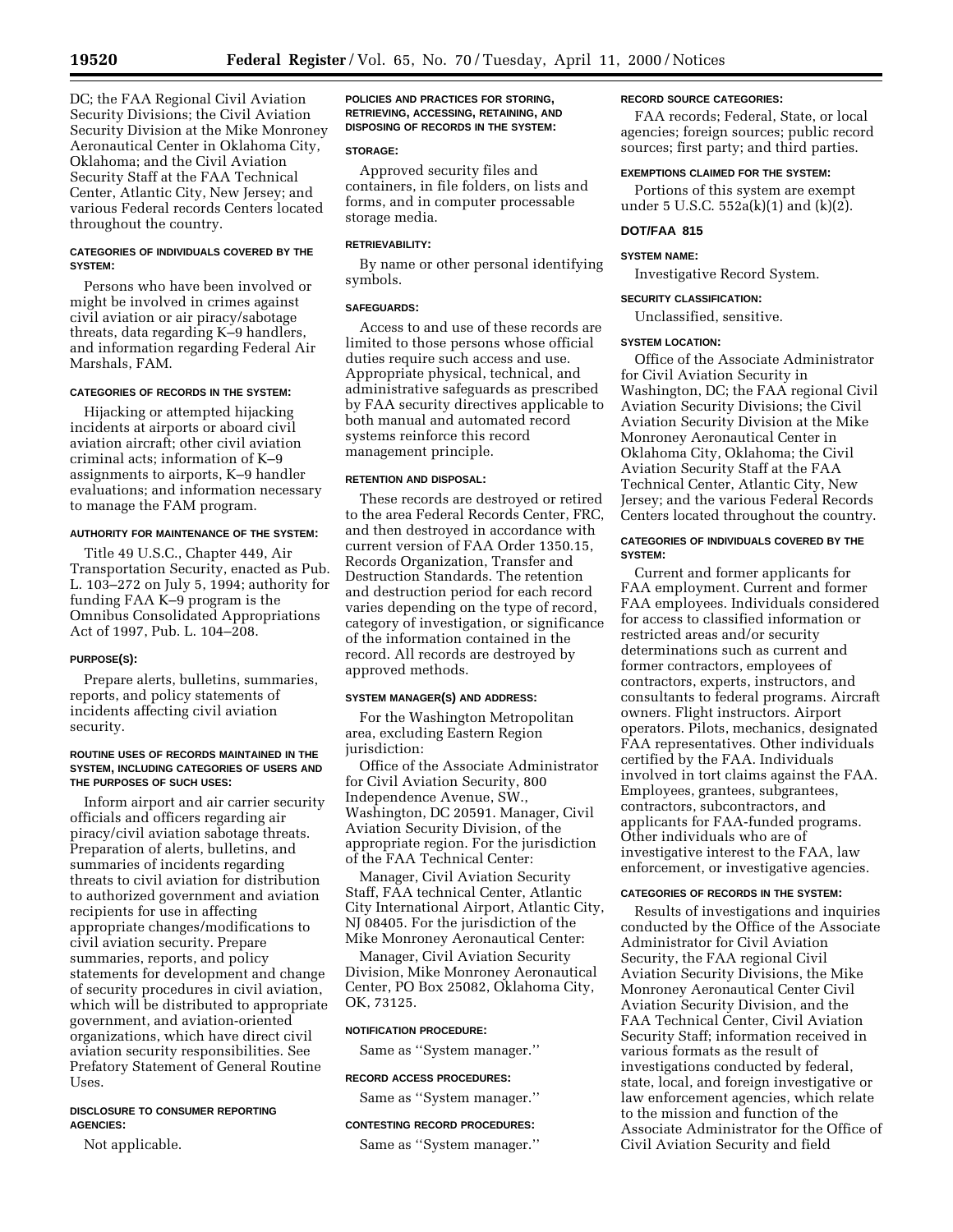DC; the FAA Regional Civil Aviation Security Divisions; the Civil Aviation Security Division at the Mike Monroney Aeronautical Center in Oklahoma City, Oklahoma; and the Civil Aviation Security Staff at the FAA Technical Center, Atlantic City, New Jersey; and various Federal records Centers located throughout the country.

## **CATEGORIES OF INDIVIDUALS COVERED BY THE SYSTEM:**

Persons who have been involved or might be involved in crimes against civil aviation or air piracy/sabotage threats, data regarding K–9 handlers, and information regarding Federal Air Marshals, FAM.

## **CATEGORIES OF RECORDS IN THE SYSTEM:**

Hijacking or attempted hijacking incidents at airports or aboard civil aviation aircraft; other civil aviation criminal acts; information of K–9 assignments to airports, K–9 handler evaluations; and information necessary to manage the FAM program.

### **AUTHORITY FOR MAINTENANCE OF THE SYSTEM:**

Title 49 U.S.C., Chapter 449, Air Transportation Security, enacted as Pub. L. 103–272 on July 5, 1994; authority for funding FAA K–9 program is the Omnibus Consolidated Appropriations Act of 1997, Pub. L. 104–208.

## **PURPOSE(S):**

Prepare alerts, bulletins, summaries, reports, and policy statements of incidents affecting civil aviation security.

### **ROUTINE USES OF RECORDS MAINTAINED IN THE SYSTEM, INCLUDING CATEGORIES OF USERS AND THE PURPOSES OF SUCH USES:**

Inform airport and air carrier security officials and officers regarding air piracy/civil aviation sabotage threats. Preparation of alerts, bulletins, and summaries of incidents regarding threats to civil aviation for distribution to authorized government and aviation recipients for use in affecting appropriate changes/modifications to civil aviation security. Prepare summaries, reports, and policy statements for development and change of security procedures in civil aviation, which will be distributed to appropriate government, and aviation-oriented organizations, which have direct civil aviation security responsibilities. See Prefatory Statement of General Routine Uses.

## **DISCLOSURE TO CONSUMER REPORTING AGENCIES:**

Not applicable.

**POLICIES AND PRACTICES FOR STORING, RETRIEVING, ACCESSING, RETAINING, AND DISPOSING OF RECORDS IN THE SYSTEM:**

### **STORAGE:**

Approved security files and containers, in file folders, on lists and forms, and in computer processable storage media.

### **RETRIEVABILITY:**

By name or other personal identifying symbols.

### **SAFEGUARDS:**

Access to and use of these records are limited to those persons whose official duties require such access and use. Appropriate physical, technical, and administrative safeguards as prescribed by FAA security directives applicable to both manual and automated record systems reinforce this record management principle.

### **RETENTION AND DISPOSAL:**

These records are destroyed or retired to the area Federal Records Center, FRC, and then destroyed in accordance with current version of FAA Order 1350.15, Records Organization, Transfer and Destruction Standards. The retention and destruction period for each record varies depending on the type of record, category of investigation, or significance of the information contained in the record. All records are destroyed by approved methods.

#### **SYSTEM MANAGER(S) AND ADDRESS:**

For the Washington Metropolitan area, excluding Eastern Region jurisdiction:

Office of the Associate Administrator for Civil Aviation Security, 800 Independence Avenue, SW., Washington, DC 20591. Manager, Civil Aviation Security Division, of the appropriate region. For the jurisdiction of the FAA Technical Center:

Manager, Civil Aviation Security Staff, FAA technical Center, Atlantic City International Airport, Atlantic City, NJ 08405. For the jurisdiction of the Mike Monroney Aeronautical Center:

Manager, Civil Aviation Security Division, Mike Monroney Aeronautical Center, PO Box 25082, Oklahoma City, OK, 73125.

### **NOTIFICATION PROCEDURE:**

Same as ''System manager.''

### **RECORD ACCESS PROCEDURES:**

Same as ''System manager.''

## **CONTESTING RECORD PROCEDURES:**

Same as ''System manager.''

## **RECORD SOURCE CATEGORIES:**

FAA records; Federal, State, or local agencies; foreign sources; public record sources; first party; and third parties.

## **EXEMPTIONS CLAIMED FOR THE SYSTEM:**

Portions of this system are exempt under 5 U.S.C. 552a(k)(1) and (k)(2).

## **DOT/FAA 815**

## **SYSTEM NAME:**

Investigative Record System.

## **SECURITY CLASSIFICATION:**

Unclassified, sensitive.

## **SYSTEM LOCATION:**

Office of the Associate Administrator for Civil Aviation Security in Washington, DC; the FAA regional Civil Aviation Security Divisions; the Civil Aviation Security Division at the Mike Monroney Aeronautical Center in Oklahoma City, Oklahoma; the Civil Aviation Security Staff at the FAA Technical Center, Atlantic City, New Jersey; and the various Federal Records Centers located throughout the country.

#### **CATEGORIES OF INDIVIDUALS COVERED BY THE SYSTEM:**

Current and former applicants for FAA employment. Current and former FAA employees. Individuals considered for access to classified information or restricted areas and/or security determinations such as current and former contractors, employees of contractors, experts, instructors, and consultants to federal programs. Aircraft owners. Flight instructors. Airport operators. Pilots, mechanics, designated FAA representatives. Other individuals certified by the FAA. Individuals involved in tort claims against the FAA. Employees, grantees, subgrantees, contractors, subcontractors, and applicants for FAA-funded programs. Other individuals who are of investigative interest to the FAA, law enforcement, or investigative agencies.

#### **CATEGORIES OF RECORDS IN THE SYSTEM:**

Results of investigations and inquiries conducted by the Office of the Associate Administrator for Civil Aviation Security, the FAA regional Civil Aviation Security Divisions, the Mike Monroney Aeronautical Center Civil Aviation Security Division, and the FAA Technical Center, Civil Aviation Security Staff; information received in various formats as the result of investigations conducted by federal, state, local, and foreign investigative or law enforcement agencies, which relate to the mission and function of the Associate Administrator for the Office of Civil Aviation Security and field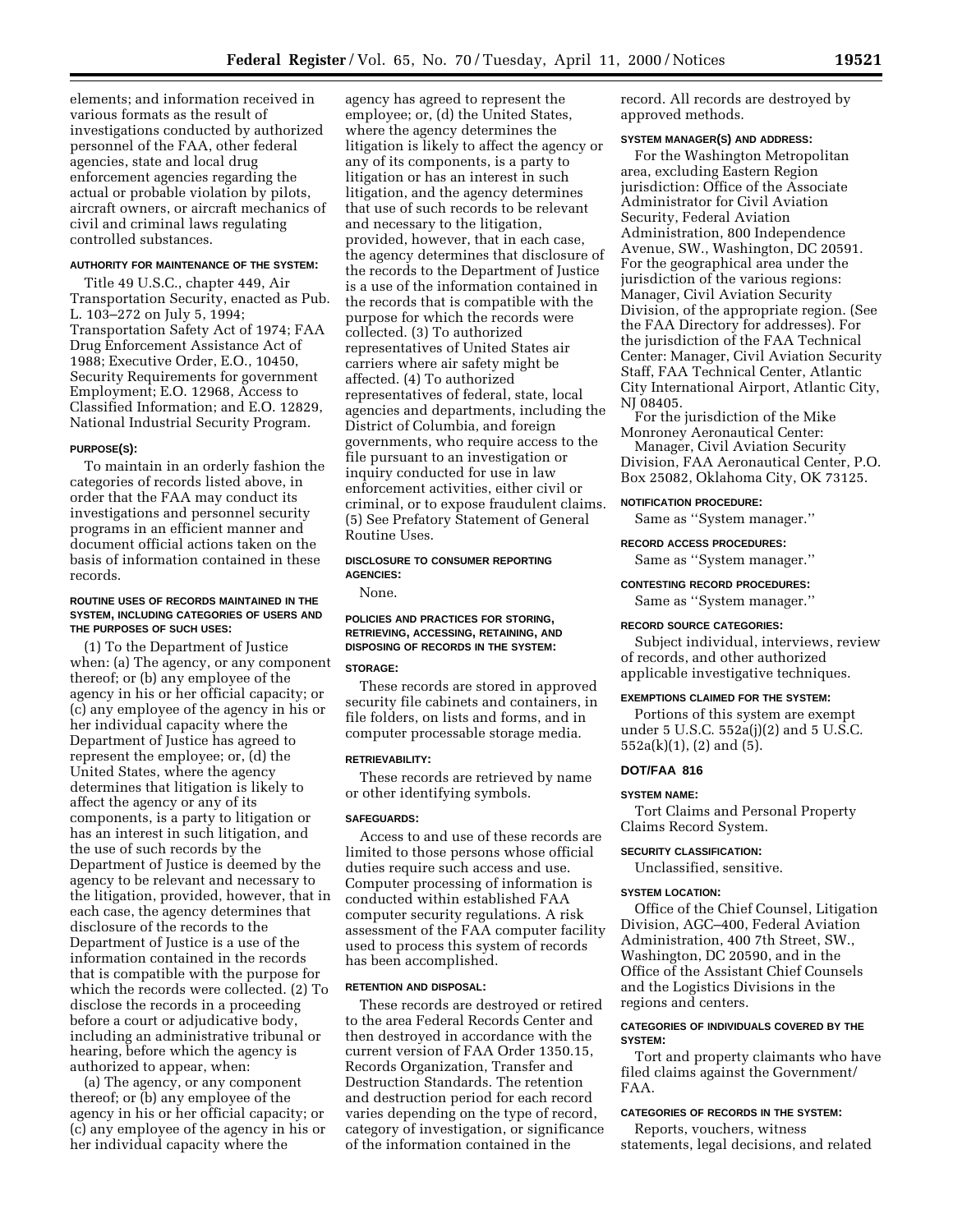elements; and information received in various formats as the result of investigations conducted by authorized personnel of the FAA, other federal agencies, state and local drug enforcement agencies regarding the actual or probable violation by pilots, aircraft owners, or aircraft mechanics of civil and criminal laws regulating controlled substances.

#### **AUTHORITY FOR MAINTENANCE OF THE SYSTEM:**

Title 49 U.S.C., chapter 449, Air Transportation Security, enacted as Pub. L. 103–272 on July 5, 1994; Transportation Safety Act of 1974; FAA Drug Enforcement Assistance Act of 1988; Executive Order, E.O., 10450, Security Requirements for government Employment; E.O. 12968, Access to Classified Information; and E.O. 12829, National Industrial Security Program.

#### **PURPOSE(S):**

To maintain in an orderly fashion the categories of records listed above, in order that the FAA may conduct its investigations and personnel security programs in an efficient manner and document official actions taken on the basis of information contained in these records.

#### **ROUTINE USES OF RECORDS MAINTAINED IN THE SYSTEM, INCLUDING CATEGORIES OF USERS AND THE PURPOSES OF SUCH USES:**

(1) To the Department of Justice when: (a) The agency, or any component thereof; or (b) any employee of the agency in his or her official capacity; or (c) any employee of the agency in his or her individual capacity where the Department of Justice has agreed to represent the employee; or, (d) the United States, where the agency determines that litigation is likely to affect the agency or any of its components, is a party to litigation or has an interest in such litigation, and the use of such records by the Department of Justice is deemed by the agency to be relevant and necessary to the litigation, provided, however, that in each case, the agency determines that disclosure of the records to the Department of Justice is a use of the information contained in the records that is compatible with the purpose for which the records were collected. (2) To disclose the records in a proceeding before a court or adjudicative body, including an administrative tribunal or hearing, before which the agency is authorized to appear, when:

(a) The agency, or any component thereof; or (b) any employee of the agency in his or her official capacity; or (c) any employee of the agency in his or her individual capacity where the

agency has agreed to represent the employee; or, (d) the United States, where the agency determines the litigation is likely to affect the agency or any of its components, is a party to litigation or has an interest in such litigation, and the agency determines that use of such records to be relevant and necessary to the litigation, provided, however, that in each case, the agency determines that disclosure of the records to the Department of Justice is a use of the information contained in the records that is compatible with the purpose for which the records were collected. (3) To authorized representatives of United States air carriers where air safety might be affected. (4) To authorized representatives of federal, state, local agencies and departments, including the District of Columbia, and foreign governments, who require access to the file pursuant to an investigation or inquiry conducted for use in law enforcement activities, either civil or criminal, or to expose fraudulent claims. (5) See Prefatory Statement of General Routine Uses.

## **DISCLOSURE TO CONSUMER REPORTING AGENCIES:**

None.

## **POLICIES AND PRACTICES FOR STORING, RETRIEVING, ACCESSING, RETAINING, AND DISPOSING OF RECORDS IN THE SYSTEM:**

## **STORAGE:**

These records are stored in approved security file cabinets and containers, in file folders, on lists and forms, and in computer processable storage media.

#### **RETRIEVABILITY:**

These records are retrieved by name or other identifying symbols.

## **SAFEGUARDS:**

Access to and use of these records are limited to those persons whose official duties require such access and use. Computer processing of information is conducted within established FAA computer security regulations. A risk assessment of the FAA computer facility used to process this system of records has been accomplished.

## **RETENTION AND DISPOSAL:**

These records are destroyed or retired to the area Federal Records Center and then destroyed in accordance with the current version of FAA Order 1350.15, Records Organization, Transfer and Destruction Standards. The retention and destruction period for each record varies depending on the type of record, category of investigation, or significance of the information contained in the

record. All records are destroyed by approved methods.

#### **SYSTEM MANAGER(S) AND ADDRESS:**

For the Washington Metropolitan area, excluding Eastern Region jurisdiction: Office of the Associate Administrator for Civil Aviation Security, Federal Aviation Administration, 800 Independence Avenue, SW., Washington, DC 20591. For the geographical area under the jurisdiction of the various regions: Manager, Civil Aviation Security Division, of the appropriate region. (See the FAA Directory for addresses). For the jurisdiction of the FAA Technical Center: Manager, Civil Aviation Security Staff, FAA Technical Center, Atlantic City International Airport, Atlantic City, NJ 08405.

For the jurisdiction of the Mike Monroney Aeronautical Center:

Manager, Civil Aviation Security Division, FAA Aeronautical Center, P.O. Box 25082, Oklahoma City, OK 73125.

### **NOTIFICATION PROCEDURE:**

Same as ''System manager.''

## **RECORD ACCESS PROCEDURES:**

Same as ''System manager.''

#### **CONTESTING RECORD PROCEDURES:**

Same as ''System manager.''

#### **RECORD SOURCE CATEGORIES:**

Subject individual, interviews, review of records, and other authorized applicable investigative techniques.

#### **EXEMPTIONS CLAIMED FOR THE SYSTEM:**

Portions of this system are exempt under 5 U.S.C. 552a(j)(2) and 5 U.S.C. 552a(k)(1), (2) and (5).

## **DOT/FAA 816**

#### **SYSTEM NAME:**

Tort Claims and Personal Property Claims Record System.

### **SECURITY CLASSIFICATION:**

Unclassified, sensitive.

## **SYSTEM LOCATION:**

Office of the Chief Counsel, Litigation Division, AGC–400, Federal Aviation Administration, 400 7th Street, SW., Washington, DC 20590, and in the Office of the Assistant Chief Counsels and the Logistics Divisions in the regions and centers.

## **CATEGORIES OF INDIVIDUALS COVERED BY THE SYSTEM:**

Tort and property claimants who have filed claims against the Government/ FAA.

## **CATEGORIES OF RECORDS IN THE SYSTEM:**

Reports, vouchers, witness statements, legal decisions, and related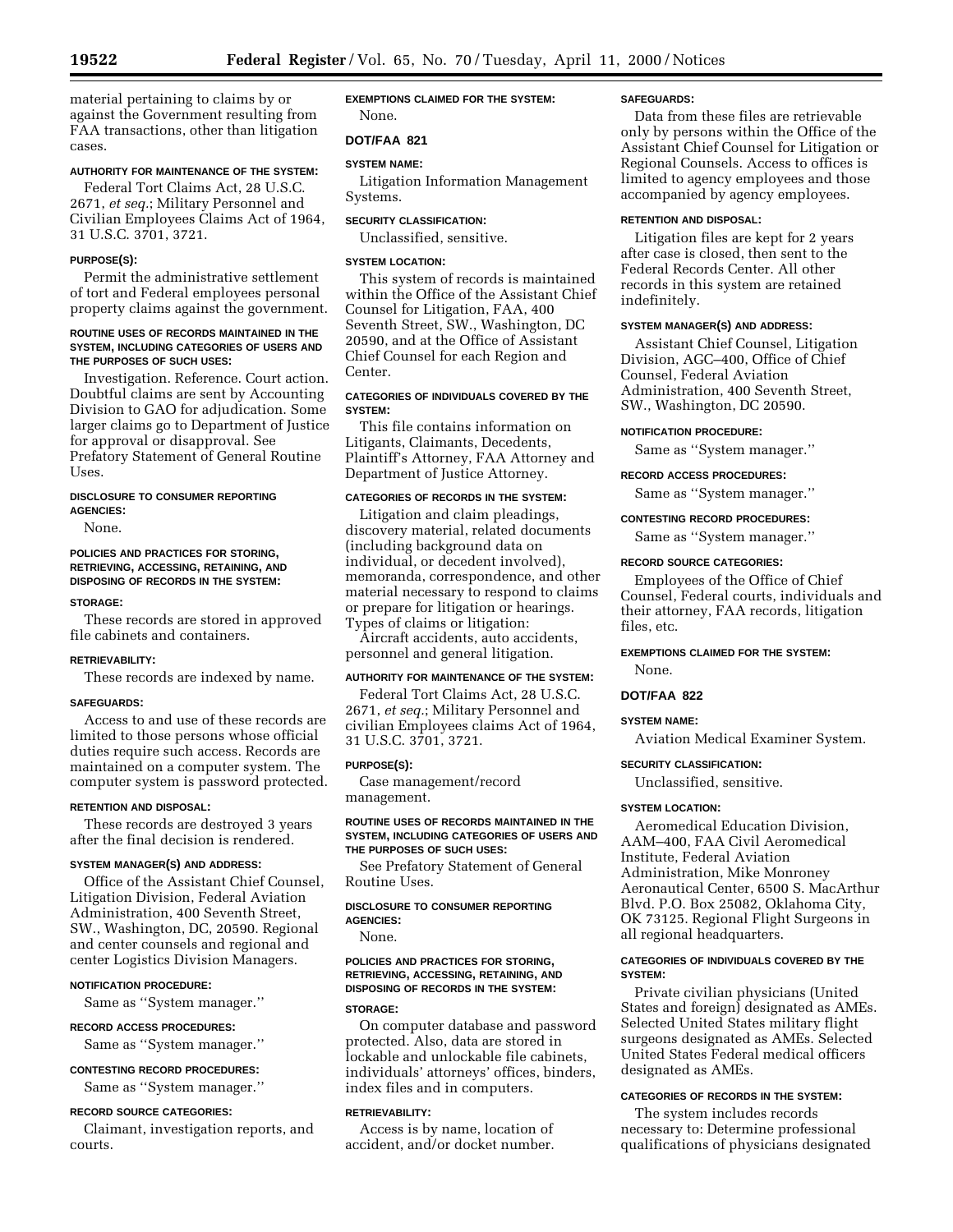material pertaining to claims by or against the Government resulting from

## **AUTHORITY FOR MAINTENANCE OF THE SYSTEM:**

FAA transactions, other than litigation

Federal Tort Claims Act, 28 U.S.C. 2671, *et seq.*; Military Personnel and Civilian Employees Claims Act of 1964, 31 U.S.C. 3701, 3721.

## **PURPOSE(S):**

Permit the administrative settlement of tort and Federal employees personal property claims against the government.

### **ROUTINE USES OF RECORDS MAINTAINED IN THE SYSTEM, INCLUDING CATEGORIES OF USERS AND THE PURPOSES OF SUCH USES:**

Investigation. Reference. Court action. Doubtful claims are sent by Accounting Division to GAO for adjudication. Some larger claims go to Department of Justice for approval or disapproval. See Prefatory Statement of General Routine Uses.

## **DISCLOSURE TO CONSUMER REPORTING AGENCIES:**

None.

## **POLICIES AND PRACTICES FOR STORING, RETRIEVING, ACCESSING, RETAINING, AND DISPOSING OF RECORDS IN THE SYSTEM:**

### **STORAGE:**

These records are stored in approved file cabinets and containers.

## **RETRIEVABILITY:**

These records are indexed by name.

## **SAFEGUARDS:**

Access to and use of these records are limited to those persons whose official duties require such access. Records are maintained on a computer system. The computer system is password protected.

## **RETENTION AND DISPOSAL:**

These records are destroyed 3 years after the final decision is rendered.

## **SYSTEM MANAGER(S) AND ADDRESS:**

Office of the Assistant Chief Counsel, Litigation Division, Federal Aviation Administration, 400 Seventh Street, SW., Washington, DC, 20590. Regional and center counsels and regional and center Logistics Division Managers.

## **NOTIFICATION PROCEDURE:**

Same as ''System manager.''

## **RECORD ACCESS PROCEDURES:**

Same as ''System manager.''

## **CONTESTING RECORD PROCEDURES:**

Same as ''System manager.''

## **RECORD SOURCE CATEGORIES:**

Claimant, investigation reports, and courts.

## **EXEMPTIONS CLAIMED FOR THE SYSTEM:** None.

## **DOT/FAA 821**

## **SYSTEM NAME:**

Litigation Information Management Systems.

## **SECURITY CLASSIFICATION:**

Unclassified, sensitive.

## **SYSTEM LOCATION:**

This system of records is maintained within the Office of the Assistant Chief Counsel for Litigation, FAA, 400 Seventh Street, SW., Washington, DC 20590, and at the Office of Assistant Chief Counsel for each Region and Center.

## **CATEGORIES OF INDIVIDUALS COVERED BY THE SYSTEM:**

This file contains information on Litigants, Claimants, Decedents, Plaintiff's Attorney, FAA Attorney and Department of Justice Attorney.

## **CATEGORIES OF RECORDS IN THE SYSTEM:**

Litigation and claim pleadings, discovery material, related documents (including background data on individual, or decedent involved), memoranda, correspondence, and other material necessary to respond to claims or prepare for litigation or hearings. Types of claims or litigation:

Aircraft accidents, auto accidents, personnel and general litigation.

## **AUTHORITY FOR MAINTENANCE OF THE SYSTEM:**

Federal Tort Claims Act, 28 U.S.C. 2671, *et seq.*; Military Personnel and civilian Employees claims Act of 1964, 31 U.S.C. 3701, 3721.

#### **PURPOSE(S):**

Case management/record management.

## **ROUTINE USES OF RECORDS MAINTAINED IN THE SYSTEM, INCLUDING CATEGORIES OF USERS AND THE PURPOSES OF SUCH USES:**

See Prefatory Statement of General Routine Uses.

#### **DISCLOSURE TO CONSUMER REPORTING AGENCIES:**

None.

## **POLICIES AND PRACTICES FOR STORING, RETRIEVING, ACCESSING, RETAINING, AND DISPOSING OF RECORDS IN THE SYSTEM:**

#### **STORAGE:**

On computer database and password protected. Also, data are stored in lockable and unlockable file cabinets, individuals' attorneys' offices, binders, index files and in computers.

## **RETRIEVABILITY:**

Access is by name, location of accident, and/or docket number.

### **SAFEGUARDS:**

Data from these files are retrievable only by persons within the Office of the Assistant Chief Counsel for Litigation or Regional Counsels. Access to offices is limited to agency employees and those accompanied by agency employees.

### **RETENTION AND DISPOSAL:**

Litigation files are kept for 2 years after case is closed, then sent to the Federal Records Center. All other records in this system are retained indefinitely.

### **SYSTEM MANAGER(S) AND ADDRESS:**

Assistant Chief Counsel, Litigation Division, AGC–400, Office of Chief Counsel, Federal Aviation Administration, 400 Seventh Street, SW., Washington, DC 20590.

### **NOTIFICATION PROCEDURE:**

Same as ''System manager.''

### **RECORD ACCESS PROCEDURES:**

Same as ''System manager.''

### **CONTESTING RECORD PROCEDURES:**

Same as ''System manager.''

## **RECORD SOURCE CATEGORIES:**

Employees of the Office of Chief Counsel, Federal courts, individuals and their attorney, FAA records, litigation files, etc.

# **EXEMPTIONS CLAIMED FOR THE SYSTEM:**

None.

## **DOT/FAA 822**

## **SYSTEM NAME:**

Aviation Medical Examiner System.

## **SECURITY CLASSIFICATION:**

Unclassified, sensitive.

## **SYSTEM LOCATION:**

Aeromedical Education Division, AAM–400, FAA Civil Aeromedical Institute, Federal Aviation Administration, Mike Monroney Aeronautical Center, 6500 S. MacArthur Blvd. P.O. Box 25082, Oklahoma City, OK 73125. Regional Flight Surgeons in all regional headquarters.

## **CATEGORIES OF INDIVIDUALS COVERED BY THE SYSTEM:**

Private civilian physicians (United States and foreign) designated as AMEs. Selected United States military flight surgeons designated as AMEs. Selected United States Federal medical officers designated as AMEs.

## **CATEGORIES OF RECORDS IN THE SYSTEM:**

The system includes records necessary to: Determine professional qualifications of physicians designated

cases.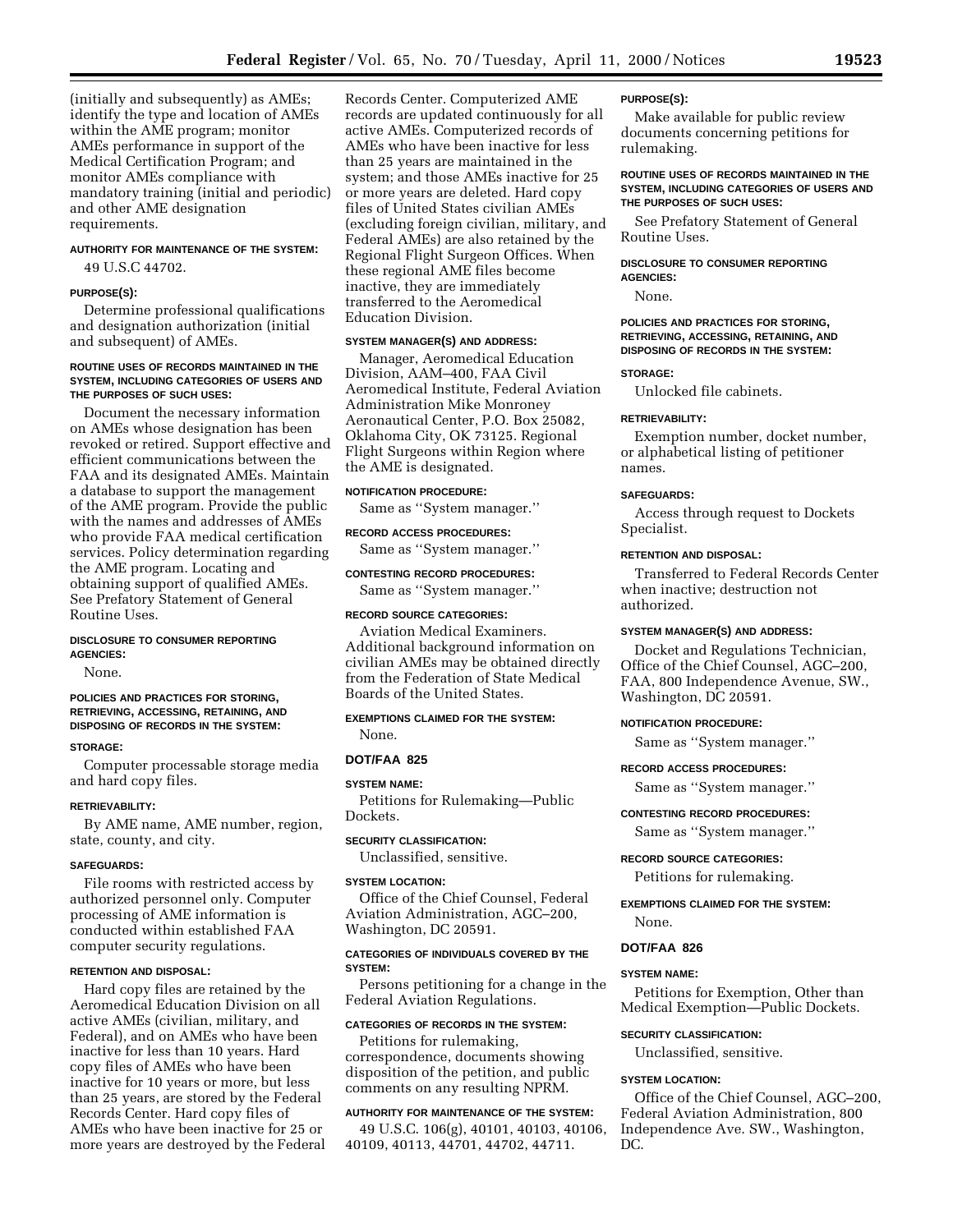(initially and subsequently) as AMEs; identify the type and location of AMEs within the AME program; monitor AMEs performance in support of the Medical Certification Program; and monitor AMEs compliance with mandatory training (initial and periodic) and other AME designation requirements.

### **AUTHORITY FOR MAINTENANCE OF THE SYSTEM:**

49 U.S.C 44702.

### **PURPOSE(S):**

Determine professional qualifications and designation authorization (initial and subsequent) of AMEs.

## **ROUTINE USES OF RECORDS MAINTAINED IN THE SYSTEM, INCLUDING CATEGORIES OF USERS AND THE PURPOSES OF SUCH USES:**

Document the necessary information on AMEs whose designation has been revoked or retired. Support effective and efficient communications between the FAA and its designated AMEs. Maintain a database to support the management of the AME program. Provide the public with the names and addresses of AMEs who provide FAA medical certification services. Policy determination regarding the AME program. Locating and obtaining support of qualified AMEs. See Prefatory Statement of General Routine Uses.

## **DISCLOSURE TO CONSUMER REPORTING AGENCIES:**

None.

### **POLICIES AND PRACTICES FOR STORING, RETRIEVING, ACCESSING, RETAINING, AND DISPOSING OF RECORDS IN THE SYSTEM:**

#### **STORAGE:**

Computer processable storage media and hard copy files.

#### **RETRIEVABILITY:**

By AME name, AME number, region, state, county, and city.

#### **SAFEGUARDS:**

File rooms with restricted access by authorized personnel only. Computer processing of AME information is conducted within established FAA computer security regulations.

#### **RETENTION AND DISPOSAL:**

Hard copy files are retained by the Aeromedical Education Division on all active AMEs (civilian, military, and Federal), and on AMEs who have been inactive for less than 10 years. Hard copy files of AMEs who have been inactive for 10 years or more, but less than 25 years, are stored by the Federal Records Center. Hard copy files of AMEs who have been inactive for 25 or more years are destroyed by the Federal Records Center. Computerized AME records are updated continuously for all active AMEs. Computerized records of AMEs who have been inactive for less than 25 years are maintained in the system; and those AMEs inactive for 25 or more years are deleted. Hard copy files of United States civilian AMEs (excluding foreign civilian, military, and Federal AMEs) are also retained by the Regional Flight Surgeon Offices. When these regional AME files become inactive, they are immediately transferred to the Aeromedical Education Division.

## **SYSTEM MANAGER(S) AND ADDRESS:**

Manager, Aeromedical Education Division, AAM–400, FAA Civil Aeromedical Institute, Federal Aviation Administration Mike Monroney Aeronautical Center, P.O. Box 25082, Oklahoma City, OK 73125. Regional Flight Surgeons within Region where the AME is designated.

#### **NOTIFICATION PROCEDURE:**

Same as ''System manager.''

#### **RECORD ACCESS PROCEDURES:**

Same as ''System manager.''

#### **CONTESTING RECORD PROCEDURES:**

Same as ''System manager.''

## **RECORD SOURCE CATEGORIES:**

Aviation Medical Examiners. Additional background information on civilian AMEs may be obtained directly from the Federation of State Medical Boards of the United States.

## **EXEMPTIONS CLAIMED FOR THE SYSTEM:**

# None. **DOT/FAA 825**

## **SYSTEM NAME:**

Petitions for Rulemaking—Public Dockets.

#### **SECURITY CLASSIFICATION:**

Unclassified, sensitive.

#### **SYSTEM LOCATION:**

Office of the Chief Counsel, Federal Aviation Administration, AGC–200, Washington, DC 20591.

## **CATEGORIES OF INDIVIDUALS COVERED BY THE SYSTEM:**

Persons petitioning for a change in the Federal Aviation Regulations.

## **CATEGORIES OF RECORDS IN THE SYSTEM:**

Petitions for rulemaking, correspondence, documents showing disposition of the petition, and public comments on any resulting NPRM.

## **AUTHORITY FOR MAINTENANCE OF THE SYSTEM:**

49 U.S.C. 106(g), 40101, 40103, 40106, 40109, 40113, 44701, 44702, 44711.

#### **PURPOSE(S):**

Make available for public review documents concerning petitions for rulemaking.

### **ROUTINE USES OF RECORDS MAINTAINED IN THE SYSTEM, INCLUDING CATEGORIES OF USERS AND THE PURPOSES OF SUCH USES:**

See Prefatory Statement of General Routine Uses.

## **DISCLOSURE TO CONSUMER REPORTING AGENCIES:**

None.

#### **POLICIES AND PRACTICES FOR STORING, RETRIEVING, ACCESSING, RETAINING, AND DISPOSING OF RECORDS IN THE SYSTEM:**

#### **STORAGE:**

Unlocked file cabinets.

## **RETRIEVABILITY:**

Exemption number, docket number, or alphabetical listing of petitioner names.

### **SAFEGUARDS:**

Access through request to Dockets Specialist.

## **RETENTION AND DISPOSAL:**

Transferred to Federal Records Center when inactive; destruction not authorized.

## **SYSTEM MANAGER(S) AND ADDRESS:**

Docket and Regulations Technician, Office of the Chief Counsel, AGC–200, FAA, 800 Independence Avenue, SW., Washington, DC 20591.

#### **NOTIFICATION PROCEDURE:**

Same as ''System manager.''

#### **RECORD ACCESS PROCEDURES:**

Same as ''System manager.''

## **CONTESTING RECORD PROCEDURES:**

Same as ''System manager.''

#### **RECORD SOURCE CATEGORIES:**

Petitions for rulemaking.

## **EXEMPTIONS CLAIMED FOR THE SYSTEM:** None.

# **DOT/FAA 826**

## **SYSTEM NAME:**

Petitions for Exemption, Other than Medical Exemption—Public Dockets.

## **SECURITY CLASSIFICATION:**

Unclassified, sensitive.

## **SYSTEM LOCATION:**

Office of the Chief Counsel, AGC–200, Federal Aviation Administration, 800 Independence Ave. SW., Washington, DC.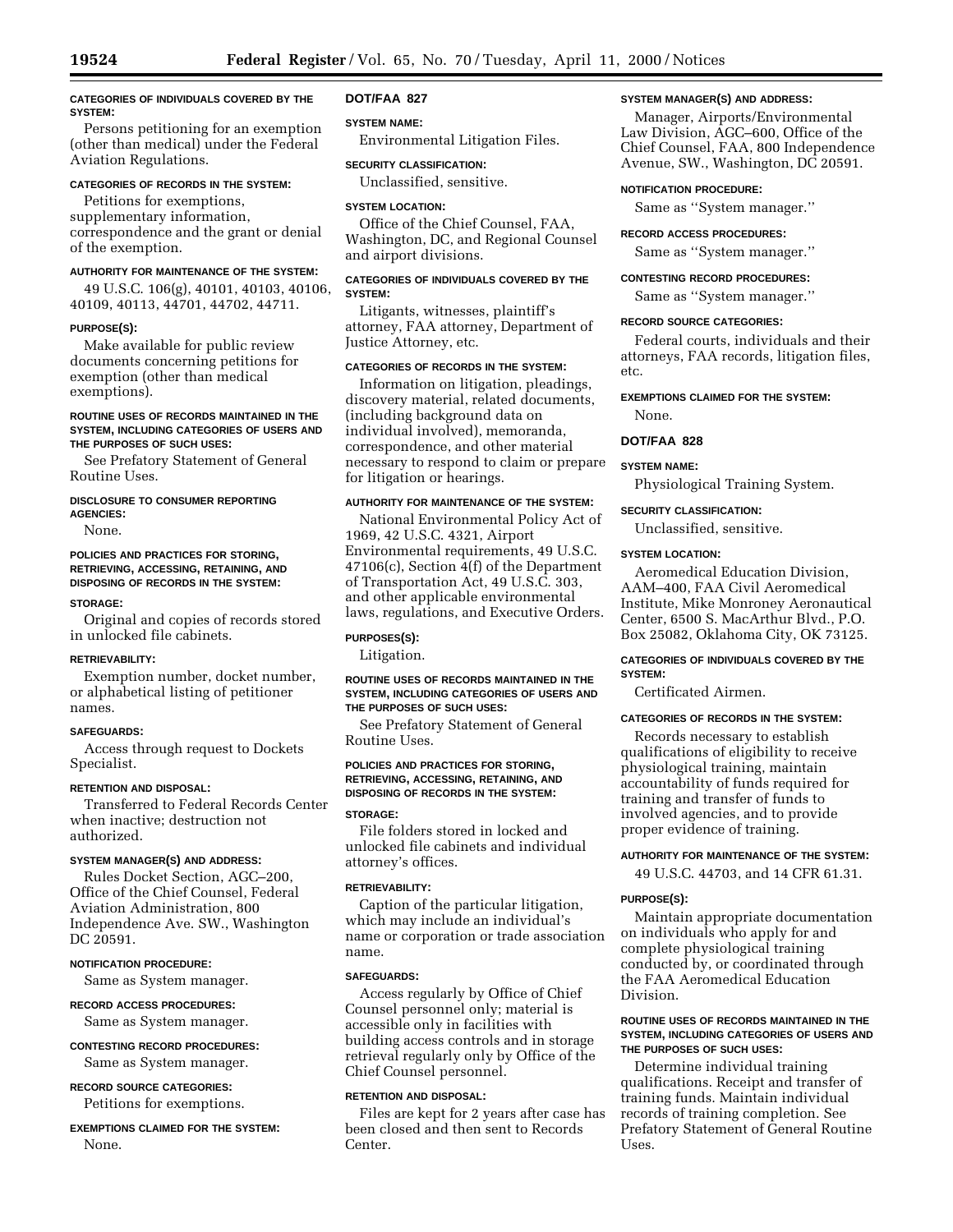## **CATEGORIES OF INDIVIDUALS COVERED BY THE SYSTEM:**

Persons petitioning for an exemption (other than medical) under the Federal Aviation Regulations.

#### **CATEGORIES OF RECORDS IN THE SYSTEM:**

Petitions for exemptions, supplementary information, correspondence and the grant or denial of the exemption.

## **AUTHORITY FOR MAINTENANCE OF THE SYSTEM:**

49 U.S.C. 106(g), 40101, 40103, 40106, 40109, 40113, 44701, 44702, 44711.

#### **PURPOSE(S):**

Make available for public review documents concerning petitions for exemption (other than medical exemptions).

### **ROUTINE USES OF RECORDS MAINTAINED IN THE SYSTEM, INCLUDING CATEGORIES OF USERS AND THE PURPOSES OF SUCH USES:**

See Prefatory Statement of General Routine Uses.

#### **DISCLOSURE TO CONSUMER REPORTING AGENCIES:**

None.

## **POLICIES AND PRACTICES FOR STORING, RETRIEVING, ACCESSING, RETAINING, AND DISPOSING OF RECORDS IN THE SYSTEM:**

#### **STORAGE:**

Original and copies of records stored in unlocked file cabinets.

#### **RETRIEVABILITY:**

Exemption number, docket number, or alphabetical listing of petitioner names.

## **SAFEGUARDS:**

Access through request to Dockets Specialist.

## **RETENTION AND DISPOSAL:**

Transferred to Federal Records Center when inactive; destruction not authorized.

## **SYSTEM MANAGER(S) AND ADDRESS:**

Rules Docket Section, AGC–200, Office of the Chief Counsel, Federal Aviation Administration, 800 Independence Ave. SW., Washington DC 20591.

## **NOTIFICATION PROCEDURE:**

Same as System manager.

# **RECORD ACCESS PROCEDURES:**

Same as System manager.

#### **CONTESTING RECORD PROCEDURES:**

Same as System manager.

## **RECORD SOURCE CATEGORIES:**

Petitions for exemptions.

## **EXEMPTIONS CLAIMED FOR THE SYSTEM:** None.

## **DOT/FAA 827**

### **SYSTEM NAME:**

Environmental Litigation Files.

## **SECURITY CLASSIFICATION:**

Unclassified, sensitive.

### **SYSTEM LOCATION:**

Office of the Chief Counsel, FAA, Washington, DC, and Regional Counsel and airport divisions.

## **CATEGORIES OF INDIVIDUALS COVERED BY THE SYSTEM:**

Litigants, witnesses, plaintiff's attorney, FAA attorney, Department of Justice Attorney, etc.

## **CATEGORIES OF RECORDS IN THE SYSTEM:**

Information on litigation, pleadings, discovery material, related documents, (including background data on individual involved), memoranda, correspondence, and other material necessary to respond to claim or prepare for litigation or hearings.

## **AUTHORITY FOR MAINTENANCE OF THE SYSTEM:**

National Environmental Policy Act of 1969, 42 U.S.C. 4321, Airport Environmental requirements, 49 U.S.C. 47106(c), Section 4(f) of the Department of Transportation Act, 49 U.S.C. 303, and other applicable environmental laws, regulations, and Executive Orders.

#### **PURPOSES(S):**

Litigation.

### **ROUTINE USES OF RECORDS MAINTAINED IN THE SYSTEM, INCLUDING CATEGORIES OF USERS AND THE PURPOSES OF SUCH USES:**

See Prefatory Statement of General Routine Uses.

## **POLICIES AND PRACTICES FOR STORING, RETRIEVING, ACCESSING, RETAINING, AND DISPOSING OF RECORDS IN THE SYSTEM:**

## **STORAGE:**

File folders stored in locked and unlocked file cabinets and individual attorney's offices.

### **RETRIEVABILITY:**

Caption of the particular litigation, which may include an individual's name or corporation or trade association name.

#### **SAFEGUARDS:**

Access regularly by Office of Chief Counsel personnel only; material is accessible only in facilities with building access controls and in storage retrieval regularly only by Office of the Chief Counsel personnel.

## **RETENTION AND DISPOSAL:**

Files are kept for 2 years after case has been closed and then sent to Records Center.

### **SYSTEM MANAGER(S) AND ADDRESS:**

Manager, Airports/Environmental Law Division, AGC–600, Office of the Chief Counsel, FAA, 800 Independence Avenue, SW., Washington, DC 20591.

### **NOTIFICATION PROCEDURE:**

Same as ''System manager.''

## **RECORD ACCESS PROCEDURES:**

Same as ''System manager.''

#### **CONTESTING RECORD PROCEDURES:**

Same as ''System manager.''

#### **RECORD SOURCE CATEGORIES:**

Federal courts, individuals and their attorneys, FAA records, litigation files, etc.

#### **EXEMPTIONS CLAIMED FOR THE SYSTEM:**

None.

## **DOT/FAA 828**

### **SYSTEM NAME:**

Physiological Training System.

### **SECURITY CLASSIFICATION:**

Unclassified, sensitive.

## **SYSTEM LOCATION:**

Aeromedical Education Division, AAM–400, FAA Civil Aeromedical Institute, Mike Monroney Aeronautical Center, 6500 S. MacArthur Blvd., P.O. Box 25082, Oklahoma City, OK 73125.

### **CATEGORIES OF INDIVIDUALS COVERED BY THE SYSTEM:**

Certificated Airmen.

## **CATEGORIES OF RECORDS IN THE SYSTEM:**

Records necessary to establish qualifications of eligibility to receive physiological training, maintain accountability of funds required for training and transfer of funds to involved agencies, and to provide proper evidence of training.

#### **AUTHORITY FOR MAINTENANCE OF THE SYSTEM:**

49 U.S.C. 44703, and 14 CFR 61.31.

#### **PURPOSE(S):**

Maintain appropriate documentation on individuals who apply for and complete physiological training conducted by, or coordinated through the FAA Aeromedical Education Division.

## **ROUTINE USES OF RECORDS MAINTAINED IN THE SYSTEM, INCLUDING CATEGORIES OF USERS AND THE PURPOSES OF SUCH USES:**

Determine individual training qualifications. Receipt and transfer of training funds. Maintain individual records of training completion. See Prefatory Statement of General Routine Uses.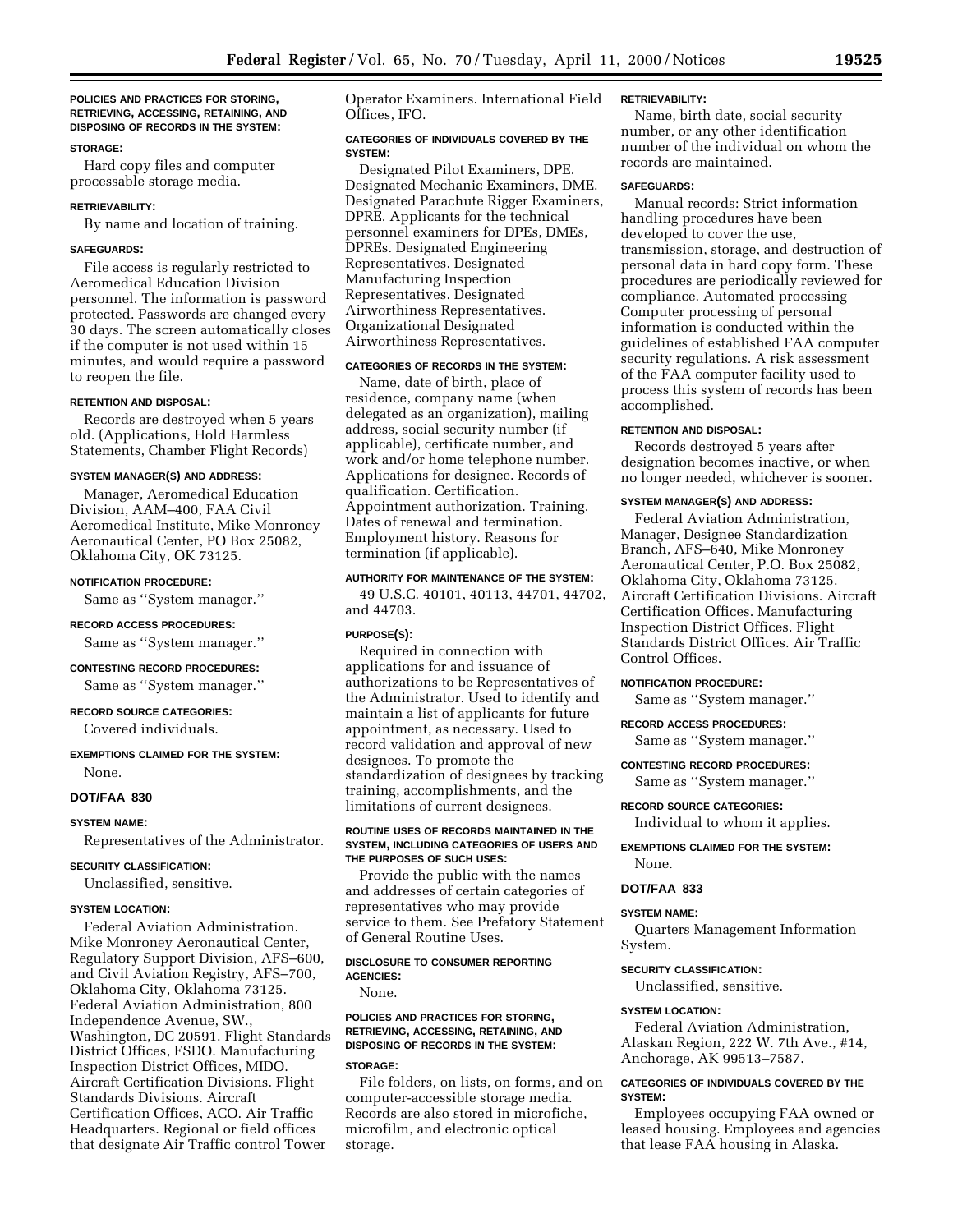### **POLICIES AND PRACTICES FOR STORING, RETRIEVING, ACCESSING, RETAINING, AND DISPOSING OF RECORDS IN THE SYSTEM:**

### **STORAGE:**

Hard copy files and computer processable storage media.

## **RETRIEVABILITY:**

By name and location of training.

## **SAFEGUARDS:**

File access is regularly restricted to Aeromedical Education Division personnel. The information is password protected. Passwords are changed every 30 days. The screen automatically closes if the computer is not used within 15 minutes, and would require a password to reopen the file.

## **RETENTION AND DISPOSAL:**

Records are destroyed when 5 years old. (Applications, Hold Harmless Statements, Chamber Flight Records)

## **SYSTEM MANAGER(S) AND ADDRESS:**

Manager, Aeromedical Education Division, AAM–400, FAA Civil Aeromedical Institute, Mike Monroney Aeronautical Center, PO Box 25082, Oklahoma City, OK 73125.

#### **NOTIFICATION PROCEDURE:**

Same as ''System manager.''

## **RECORD ACCESS PROCEDURES:**

Same as ''System manager.''

## **CONTESTING RECORD PROCEDURES:**

Same as ''System manager.''

## **RECORD SOURCE CATEGORIES:**

Covered individuals.

## **EXEMPTIONS CLAIMED FOR THE SYSTEM:** None.

#### **DOT/FAA 830**

#### **SYSTEM NAME:**

Representatives of the Administrator.

### **SECURITY CLASSIFICATION:**

Unclassified, sensitive.

## **SYSTEM LOCATION:**

Federal Aviation Administration. Mike Monroney Aeronautical Center, Regulatory Support Division, AFS–600, and Civil Aviation Registry, AFS–700, Oklahoma City, Oklahoma 73125. Federal Aviation Administration, 800 Independence Avenue, SW., Washington, DC 20591. Flight Standards District Offices, FSDO. Manufacturing Inspection District Offices, MIDO. Aircraft Certification Divisions. Flight Standards Divisions. Aircraft Certification Offices, ACO. Air Traffic Headquarters. Regional or field offices that designate Air Traffic control Tower

Operator Examiners. International Field Offices, IFO.

## **CATEGORIES OF INDIVIDUALS COVERED BY THE SYSTEM:**

Designated Pilot Examiners, DPE. Designated Mechanic Examiners, DME. Designated Parachute Rigger Examiners, DPRE. Applicants for the technical personnel examiners for DPEs, DMEs, DPREs. Designated Engineering Representatives. Designated Manufacturing Inspection Representatives. Designated Airworthiness Representatives. Organizational Designated Airworthiness Representatives.

## **CATEGORIES OF RECORDS IN THE SYSTEM:**

Name, date of birth, place of residence, company name (when delegated as an organization), mailing address, social security number (if applicable), certificate number, and work and/or home telephone number. Applications for designee. Records of qualification. Certification. Appointment authorization. Training. Dates of renewal and termination. Employment history. Reasons for termination (if applicable).

### **AUTHORITY FOR MAINTENANCE OF THE SYSTEM:**

49 U.S.C. 40101, 40113, 44701, 44702, and 44703.

## **PURPOSE(S):**

Required in connection with applications for and issuance of authorizations to be Representatives of the Administrator. Used to identify and maintain a list of applicants for future appointment, as necessary. Used to record validation and approval of new designees. To promote the standardization of designees by tracking training, accomplishments, and the limitations of current designees.

### **ROUTINE USES OF RECORDS MAINTAINED IN THE SYSTEM, INCLUDING CATEGORIES OF USERS AND THE PURPOSES OF SUCH USES:**

Provide the public with the names and addresses of certain categories of representatives who may provide service to them. See Prefatory Statement of General Routine Uses.

## **DISCLOSURE TO CONSUMER REPORTING AGENCIES:**

None.

## **POLICIES AND PRACTICES FOR STORING, RETRIEVING, ACCESSING, RETAINING, AND DISPOSING OF RECORDS IN THE SYSTEM:**

## **STORAGE:**

File folders, on lists, on forms, and on computer-accessible storage media. Records are also stored in microfiche, microfilm, and electronic optical storage.

#### **RETRIEVABILITY:**

Name, birth date, social security number, or any other identification number of the individual on whom the records are maintained.

### **SAFEGUARDS:**

Manual records: Strict information handling procedures have been developed to cover the use, transmission, storage, and destruction of personal data in hard copy form. These procedures are periodically reviewed for compliance. Automated processing Computer processing of personal information is conducted within the guidelines of established FAA computer security regulations. A risk assessment of the FAA computer facility used to process this system of records has been accomplished.

#### **RETENTION AND DISPOSAL:**

Records destroyed 5 years after designation becomes inactive, or when no longer needed, whichever is sooner.

### **SYSTEM MANAGER(S) AND ADDRESS:**

Federal Aviation Administration, Manager, Designee Standardization Branch, AFS–640, Mike Monroney Aeronautical Center, P.O. Box 25082, Oklahoma City, Oklahoma 73125. Aircraft Certification Divisions. Aircraft Certification Offices. Manufacturing Inspection District Offices. Flight Standards District Offices. Air Traffic Control Offices.

## **NOTIFICATION PROCEDURE:**

Same as ''System manager.''

**RECORD ACCESS PROCEDURES:**

Same as ''System manager.''

## **CONTESTING RECORD PROCEDURES:**

Same as ''System manager.''

#### **RECORD SOURCE CATEGORIES:**

Individual to whom it applies.

## **EXEMPTIONS CLAIMED FOR THE SYSTEM:** None.

## **DOT/FAA 833**

## **SYSTEM NAME:**

Quarters Management Information System.

## **SECURITY CLASSIFICATION:**

Unclassified, sensitive.

## **SYSTEM LOCATION:**

Federal Aviation Administration, Alaskan Region, 222 W. 7th Ave., #14, Anchorage, AK 99513–7587.

## **CATEGORIES OF INDIVIDUALS COVERED BY THE SYSTEM:**

Employees occupying FAA owned or leased housing. Employees and agencies that lease FAA housing in Alaska.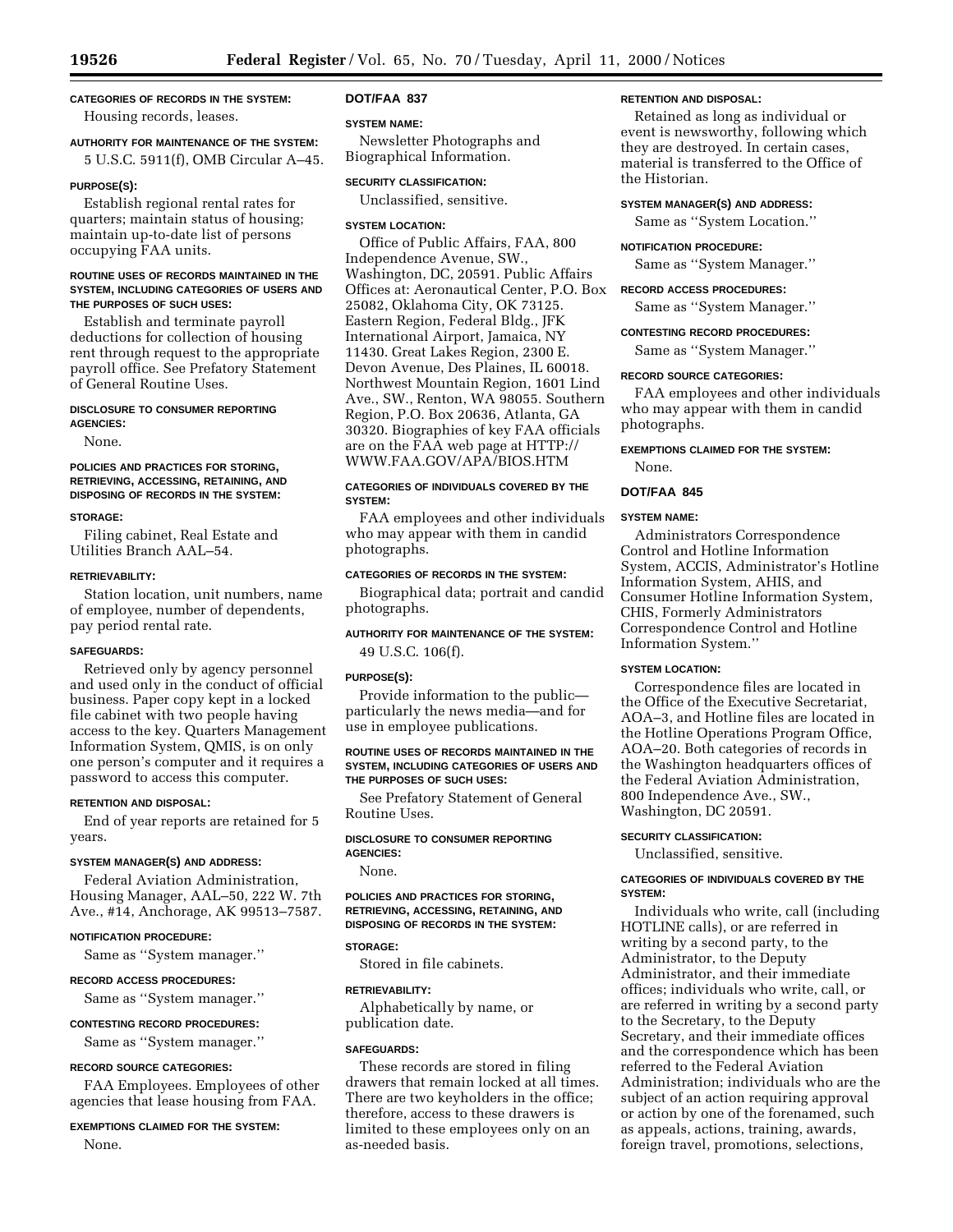# **CATEGORIES OF RECORDS IN THE SYSTEM:**

# Housing records, leases.

**AUTHORITY FOR MAINTENANCE OF THE SYSTEM:** 5 U.S.C. 5911(f), OMB Circular A–45.

## **PURPOSE(S):**

Establish regional rental rates for quarters; maintain status of housing; maintain up-to-date list of persons occupying FAA units.

## **ROUTINE USES OF RECORDS MAINTAINED IN THE SYSTEM, INCLUDING CATEGORIES OF USERS AND THE PURPOSES OF SUCH USES:**

Establish and terminate payroll deductions for collection of housing rent through request to the appropriate payroll office. See Prefatory Statement of General Routine Uses.

### **DISCLOSURE TO CONSUMER REPORTING AGENCIES:**

None.

## **POLICIES AND PRACTICES FOR STORING, RETRIEVING, ACCESSING, RETAINING, AND DISPOSING OF RECORDS IN THE SYSTEM:**

### **STORAGE:**

Filing cabinet, Real Estate and Utilities Branch AAL–54.

## **RETRIEVABILITY:**

Station location, unit numbers, name of employee, number of dependents, pay period rental rate.

## **SAFEGUARDS:**

Retrieved only by agency personnel and used only in the conduct of official business. Paper copy kept in a locked file cabinet with two people having access to the key. Quarters Management Information System, QMIS, is on only one person's computer and it requires a password to access this computer.

#### **RETENTION AND DISPOSAL:**

End of year reports are retained for 5 years.

## **SYSTEM MANAGER(S) AND ADDRESS:**

Federal Aviation Administration, Housing Manager, AAL–50, 222 W. 7th Ave., #14, Anchorage, AK 99513–7587.

## **NOTIFICATION PROCEDURE:**

Same as ''System manager.''

## **RECORD ACCESS PROCEDURES:**

Same as ''System manager.''

## **CONTESTING RECORD PROCEDURES:**

Same as ''System manager.''

#### **RECORD SOURCE CATEGORIES:**

FAA Employees. Employees of other agencies that lease housing from FAA.

## **EXEMPTIONS CLAIMED FOR THE SYSTEM:**

None.

## **DOT/FAA 837**

## **SYSTEM NAME:**

Newsletter Photographs and Biographical Information.

### **SECURITY CLASSIFICATION:**

Unclassified, sensitive.

## **SYSTEM LOCATION:**

Office of Public Affairs, FAA, 800 Independence Avenue, SW., Washington, DC, 20591. Public Affairs Offices at: Aeronautical Center, P.O. Box 25082, Oklahoma City, OK 73125. Eastern Region, Federal Bldg., JFK International Airport, Jamaica, NY 11430. Great Lakes Region, 2300 E. Devon Avenue, Des Plaines, IL 60018. Northwest Mountain Region, 1601 Lind Ave., SW., Renton, WA 98055. Southern Region, P.O. Box 20636, Atlanta, GA 30320. Biographies of key FAA officials are on the FAA web page at HTTP:// WWW.FAA.GOV/APA/BIOS.HTM

## **CATEGORIES OF INDIVIDUALS COVERED BY THE SYSTEM:**

FAA employees and other individuals who may appear with them in candid photographs.

## **CATEGORIES OF RECORDS IN THE SYSTEM:**

Biographical data; portrait and candid photographs.

## **AUTHORITY FOR MAINTENANCE OF THE SYSTEM:** 49 U.S.C. 106(f).

## **PURPOSE(S):**

Provide information to the public particularly the news media—and for use in employee publications.

## **ROUTINE USES OF RECORDS MAINTAINED IN THE SYSTEM, INCLUDING CATEGORIES OF USERS AND THE PURPOSES OF SUCH USES:**

See Prefatory Statement of General Routine Uses.

**DISCLOSURE TO CONSUMER REPORTING AGENCIES:**

None.

## **POLICIES AND PRACTICES FOR STORING, RETRIEVING, ACCESSING, RETAINING, AND DISPOSING OF RECORDS IN THE SYSTEM:**

## **STORAGE:**

Stored in file cabinets.

## **RETRIEVABILITY:**

Alphabetically by name, or publication date.

## **SAFEGUARDS:**

These records are stored in filing drawers that remain locked at all times. There are two keyholders in the office; therefore, access to these drawers is limited to these employees only on an as-needed basis.

### **RETENTION AND DISPOSAL:**

Retained as long as individual or event is newsworthy, following which they are destroyed. In certain cases, material is transferred to the Office of the Historian.

## **SYSTEM MANAGER(S) AND ADDRESS:**

Same as ''System Location.''

## **NOTIFICATION PROCEDURE:**

Same as ''System Manager.''

### **RECORD ACCESS PROCEDURES:**

Same as ''System Manager.''

## **CONTESTING RECORD PROCEDURES:**

Same as ''System Manager.''

## **RECORD SOURCE CATEGORIES:**

FAA employees and other individuals who may appear with them in candid photographs.

## **EXEMPTIONS CLAIMED FOR THE SYSTEM:**

None.

## **DOT/FAA 845**

### **SYSTEM NAME:**

Administrators Correspondence Control and Hotline Information System, ACCIS, Administrator's Hotline Information System, AHIS, and Consumer Hotline Information System, CHIS, Formerly Administrators Correspondence Control and Hotline Information System.''

## **SYSTEM LOCATION:**

Correspondence files are located in the Office of the Executive Secretariat, AOA–3, and Hotline files are located in the Hotline Operations Program Office, AOA–20. Both categories of records in the Washington headquarters offices of the Federal Aviation Administration, 800 Independence Ave., SW., Washington, DC 20591.

## **SECURITY CLASSIFICATION:**

Unclassified, sensitive.

## **CATEGORIES OF INDIVIDUALS COVERED BY THE SYSTEM:**

Individuals who write, call (including HOTLINE calls), or are referred in writing by a second party, to the Administrator, to the Deputy Administrator, and their immediate offices; individuals who write, call, or are referred in writing by a second party to the Secretary, to the Deputy Secretary, and their immediate offices and the correspondence which has been referred to the Federal Aviation Administration; individuals who are the subject of an action requiring approval or action by one of the forenamed, such as appeals, actions, training, awards, foreign travel, promotions, selections,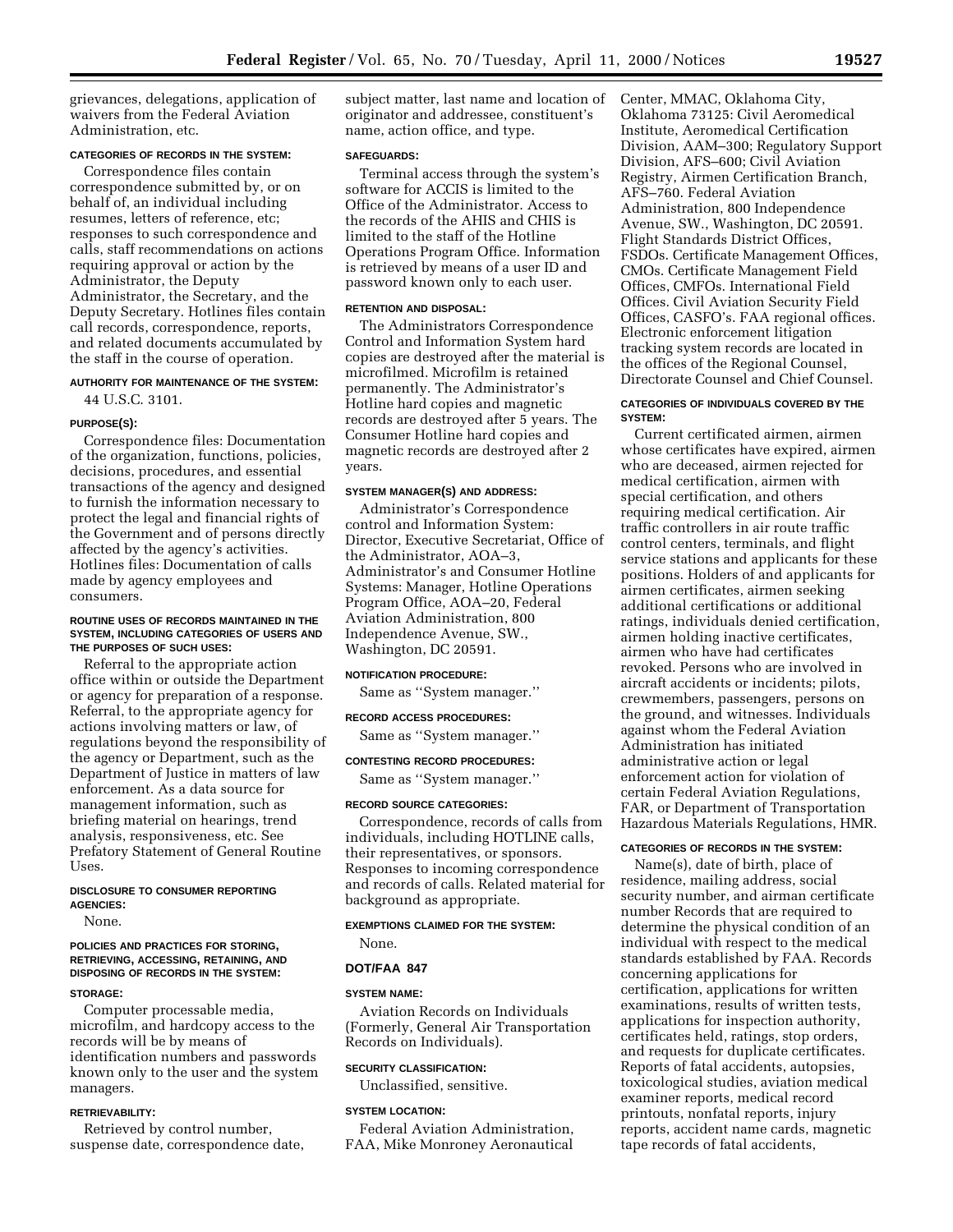grievances, delegations, application of waivers from the Federal Aviation Administration, etc.

## **CATEGORIES OF RECORDS IN THE SYSTEM:**

Correspondence files contain correspondence submitted by, or on behalf of, an individual including resumes, letters of reference, etc; responses to such correspondence and calls, staff recommendations on actions requiring approval or action by the Administrator, the Deputy Administrator, the Secretary, and the Deputy Secretary. Hotlines files contain call records, correspondence, reports, and related documents accumulated by the staff in the course of operation.

## **AUTHORITY FOR MAINTENANCE OF THE SYSTEM:** 44 U.S.C. 3101.

#### **PURPOSE(S):**

Correspondence files: Documentation of the organization, functions, policies, decisions, procedures, and essential transactions of the agency and designed to furnish the information necessary to protect the legal and financial rights of the Government and of persons directly affected by the agency's activities. Hotlines files: Documentation of calls made by agency employees and consumers.

### **ROUTINE USES OF RECORDS MAINTAINED IN THE SYSTEM, INCLUDING CATEGORIES OF USERS AND THE PURPOSES OF SUCH USES:**

Referral to the appropriate action office within or outside the Department or agency for preparation of a response. Referral, to the appropriate agency for actions involving matters or law, of regulations beyond the responsibility of the agency or Department, such as the Department of Justice in matters of law enforcement. As a data source for management information, such as briefing material on hearings, trend analysis, responsiveness, etc. See Prefatory Statement of General Routine Uses.

## **DISCLOSURE TO CONSUMER REPORTING AGENCIES:**

None.

## **POLICIES AND PRACTICES FOR STORING, RETRIEVING, ACCESSING, RETAINING, AND DISPOSING OF RECORDS IN THE SYSTEM:**

### **STORAGE:**

Computer processable media, microfilm, and hardcopy access to the records will be by means of identification numbers and passwords known only to the user and the system managers.

## **RETRIEVABILITY:**

Retrieved by control number, suspense date, correspondence date, subject matter, last name and location of originator and addressee, constituent's name, action office, and type.

#### **SAFEGUARDS:**

Terminal access through the system's software for ACCIS is limited to the Office of the Administrator. Access to the records of the AHIS and CHIS is limited to the staff of the Hotline Operations Program Office. Information is retrieved by means of a user ID and password known only to each user.

### **RETENTION AND DISPOSAL:**

The Administrators Correspondence Control and Information System hard copies are destroyed after the material is microfilmed. Microfilm is retained permanently. The Administrator's Hotline hard copies and magnetic records are destroyed after 5 years. The Consumer Hotline hard copies and magnetic records are destroyed after 2 years.

#### **SYSTEM MANAGER(S) AND ADDRESS:**

Administrator's Correspondence control and Information System: Director, Executive Secretariat, Office of the Administrator, AOA–3, Administrator's and Consumer Hotline Systems: Manager, Hotline Operations Program Office, AOA–20, Federal Aviation Administration, 800 Independence Avenue, SW., Washington, DC 20591.

#### **NOTIFICATION PROCEDURE:**

Same as ''System manager.''

#### **RECORD ACCESS PROCEDURES:**

Same as ''System manager.''

# **CONTESTING RECORD PROCEDURES:**

Same as ''System manager.''

### **RECORD SOURCE CATEGORIES:**

Correspondence, records of calls from individuals, including HOTLINE calls, their representatives, or sponsors. Responses to incoming correspondence and records of calls. Related material for background as appropriate.

## **EXEMPTIONS CLAIMED FOR THE SYSTEM:**

# None. **DOT/FAA 847**

#### **SYSTEM NAME:**

Aviation Records on Individuals (Formerly, General Air Transportation Records on Individuals).

## **SECURITY CLASSIFICATION:**

Unclassified, sensitive.

#### **SYSTEM LOCATION:**

Federal Aviation Administration, FAA, Mike Monroney Aeronautical Center, MMAC, Oklahoma City, Oklahoma 73125: Civil Aeromedical Institute, Aeromedical Certification Division, AAM–300; Regulatory Support Division, AFS–600; Civil Aviation Registry, Airmen Certification Branch, AFS–760. Federal Aviation Administration, 800 Independence Avenue, SW., Washington, DC 20591. Flight Standards District Offices, FSDOs. Certificate Management Offices, CMOs. Certificate Management Field Offices, CMFOs. International Field Offices. Civil Aviation Security Field Offices, CASFO's. FAA regional offices. Electronic enforcement litigation tracking system records are located in the offices of the Regional Counsel, Directorate Counsel and Chief Counsel.

## **CATEGORIES OF INDIVIDUALS COVERED BY THE SYSTEM:**

Current certificated airmen, airmen whose certificates have expired, airmen who are deceased, airmen rejected for medical certification, airmen with special certification, and others requiring medical certification. Air traffic controllers in air route traffic control centers, terminals, and flight service stations and applicants for these positions. Holders of and applicants for airmen certificates, airmen seeking additional certifications or additional ratings, individuals denied certification, airmen holding inactive certificates, airmen who have had certificates revoked. Persons who are involved in aircraft accidents or incidents; pilots, crewmembers, passengers, persons on the ground, and witnesses. Individuals against whom the Federal Aviation Administration has initiated administrative action or legal enforcement action for violation of certain Federal Aviation Regulations, FAR, or Department of Transportation Hazardous Materials Regulations, HMR.

## **CATEGORIES OF RECORDS IN THE SYSTEM:**

Name(s), date of birth, place of residence, mailing address, social security number, and airman certificate number Records that are required to determine the physical condition of an individual with respect to the medical standards established by FAA. Records concerning applications for certification, applications for written examinations, results of written tests, applications for inspection authority, certificates held, ratings, stop orders, and requests for duplicate certificates. Reports of fatal accidents, autopsies, toxicological studies, aviation medical examiner reports, medical record printouts, nonfatal reports, injury reports, accident name cards, magnetic tape records of fatal accidents,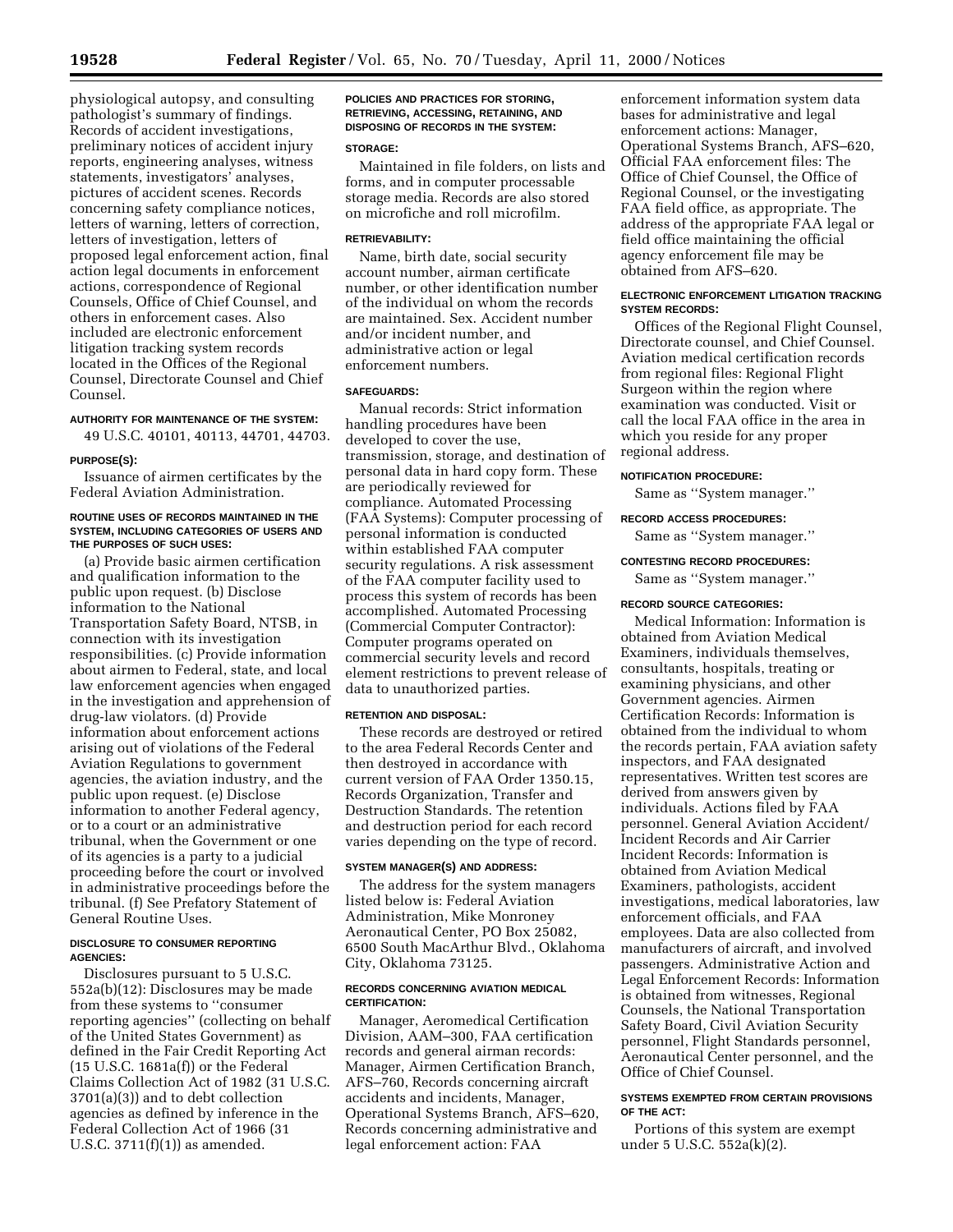physiological autopsy, and consulting pathologist's summary of findings. Records of accident investigations, preliminary notices of accident injury reports, engineering analyses, witness statements, investigators' analyses, pictures of accident scenes. Records concerning safety compliance notices, letters of warning, letters of correction, letters of investigation, letters of proposed legal enforcement action, final action legal documents in enforcement actions, correspondence of Regional Counsels, Office of Chief Counsel, and others in enforcement cases. Also included are electronic enforcement litigation tracking system records located in the Offices of the Regional Counsel, Directorate Counsel and Chief Counsel.

## **AUTHORITY FOR MAINTENANCE OF THE SYSTEM:**

49 U.S.C. 40101, 40113, 44701, 44703.

#### **PURPOSE(S):**

Issuance of airmen certificates by the Federal Aviation Administration.

#### **ROUTINE USES OF RECORDS MAINTAINED IN THE SYSTEM, INCLUDING CATEGORIES OF USERS AND THE PURPOSES OF SUCH USES:**

(a) Provide basic airmen certification and qualification information to the public upon request. (b) Disclose information to the National Transportation Safety Board, NTSB, in connection with its investigation responsibilities. (c) Provide information about airmen to Federal, state, and local law enforcement agencies when engaged in the investigation and apprehension of drug-law violators. (d) Provide information about enforcement actions arising out of violations of the Federal Aviation Regulations to government agencies, the aviation industry, and the public upon request. (e) Disclose information to another Federal agency, or to a court or an administrative tribunal, when the Government or one of its agencies is a party to a judicial proceeding before the court or involved in administrative proceedings before the tribunal. (f) See Prefatory Statement of General Routine Uses.

## **DISCLOSURE TO CONSUMER REPORTING AGENCIES:**

Disclosures pursuant to 5 U.S.C. 552a(b)(12): Disclosures may be made from these systems to ''consumer reporting agencies'' (collecting on behalf of the United States Government) as defined in the Fair Credit Reporting Act (15 U.S.C. 1681a(f)) or the Federal Claims Collection Act of 1982 (31 U.S.C. 3701(a)(3)) and to debt collection agencies as defined by inference in the Federal Collection Act of 1966 (31 U.S.C. 3711(f)(1)) as amended.

## **POLICIES AND PRACTICES FOR STORING, RETRIEVING, ACCESSING, RETAINING, AND DISPOSING OF RECORDS IN THE SYSTEM:**

### **STORAGE:**

Maintained in file folders, on lists and forms, and in computer processable storage media. Records are also stored on microfiche and roll microfilm.

## **RETRIEVABILITY:**

Name, birth date, social security account number, airman certificate number, or other identification number of the individual on whom the records are maintained. Sex. Accident number and/or incident number, and administrative action or legal enforcement numbers.

## **SAFEGUARDS:**

Manual records: Strict information handling procedures have been developed to cover the use, transmission, storage, and destination of personal data in hard copy form. These are periodically reviewed for compliance. Automated Processing (FAA Systems): Computer processing of personal information is conducted within established FAA computer security regulations. A risk assessment of the FAA computer facility used to process this system of records has been accomplished. Automated Processing (Commercial Computer Contractor): Computer programs operated on commercial security levels and record element restrictions to prevent release of data to unauthorized parties.

## **RETENTION AND DISPOSAL:**

These records are destroyed or retired to the area Federal Records Center and then destroyed in accordance with current version of FAA Order 1350.15, Records Organization, Transfer and Destruction Standards. The retention and destruction period for each record varies depending on the type of record.

## **SYSTEM MANAGER(S) AND ADDRESS:**

The address for the system managers listed below is: Federal Aviation Administration, Mike Monroney Aeronautical Center, PO Box 25082, 6500 South MacArthur Blvd., Oklahoma City, Oklahoma 73125.

#### **RECORDS CONCERNING AVIATION MEDICAL CERTIFICATION:**

Manager, Aeromedical Certification Division, AAM–300, FAA certification records and general airman records: Manager, Airmen Certification Branch, AFS–760, Records concerning aircraft accidents and incidents, Manager, Operational Systems Branch, AFS–620, Records concerning administrative and legal enforcement action: FAA

enforcement information system data bases for administrative and legal enforcement actions: Manager, Operational Systems Branch, AFS–620, Official FAA enforcement files: The Office of Chief Counsel, the Office of Regional Counsel, or the investigating FAA field office, as appropriate. The address of the appropriate FAA legal or field office maintaining the official agency enforcement file may be obtained from AFS–620.

## **ELECTRONIC ENFORCEMENT LITIGATION TRACKING SYSTEM RECORDS:**

Offices of the Regional Flight Counsel, Directorate counsel, and Chief Counsel. Aviation medical certification records from regional files: Regional Flight Surgeon within the region where examination was conducted. Visit or call the local FAA office in the area in which you reside for any proper regional address.

#### **NOTIFICATION PROCEDURE:**

Same as ''System manager.''

### **RECORD ACCESS PROCEDURES:**

Same as ''System manager.''

# **CONTESTING RECORD PROCEDURES:**

Same as ''System manager.''

## **RECORD SOURCE CATEGORIES:**

Medical Information: Information is obtained from Aviation Medical Examiners, individuals themselves, consultants, hospitals, treating or examining physicians, and other Government agencies. Airmen Certification Records: Information is obtained from the individual to whom the records pertain, FAA aviation safety inspectors, and FAA designated representatives. Written test scores are derived from answers given by individuals. Actions filed by FAA personnel. General Aviation Accident/ Incident Records and Air Carrier Incident Records: Information is obtained from Aviation Medical Examiners, pathologists, accident investigations, medical laboratories, law enforcement officials, and FAA employees. Data are also collected from manufacturers of aircraft, and involved passengers. Administrative Action and Legal Enforcement Records: Information is obtained from witnesses, Regional Counsels, the National Transportation Safety Board, Civil Aviation Security personnel, Flight Standards personnel, Aeronautical Center personnel, and the Office of Chief Counsel.

## **SYSTEMS EXEMPTED FROM CERTAIN PROVISIONS OF THE ACT:**

Portions of this system are exempt under 5 U.S.C. 552a(k)(2).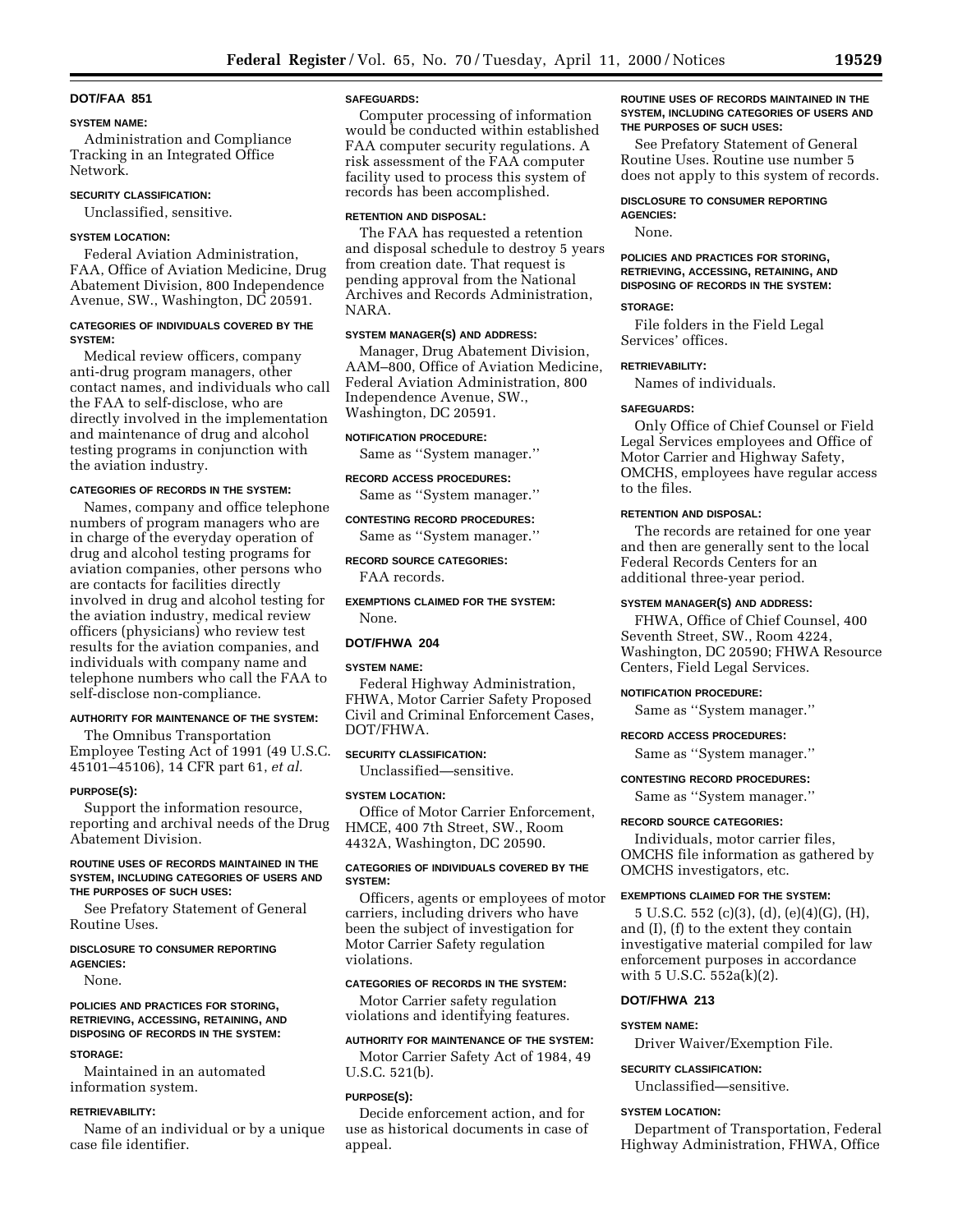## **DOT/FAA 851**

#### **SYSTEM NAME:**

Administration and Compliance Tracking in an Integrated Office Network.

## **SECURITY CLASSIFICATION:**

Unclassified, sensitive.

## **SYSTEM LOCATION:**

Federal Aviation Administration, FAA, Office of Aviation Medicine, Drug Abatement Division, 800 Independence Avenue, SW., Washington, DC 20591.

## **CATEGORIES OF INDIVIDUALS COVERED BY THE SYSTEM:**

Medical review officers, company anti-drug program managers, other contact names, and individuals who call the FAA to self-disclose, who are directly involved in the implementation and maintenance of drug and alcohol testing programs in conjunction with the aviation industry.

## **CATEGORIES OF RECORDS IN THE SYSTEM:**

Names, company and office telephone numbers of program managers who are in charge of the everyday operation of drug and alcohol testing programs for aviation companies, other persons who are contacts for facilities directly involved in drug and alcohol testing for the aviation industry, medical review officers (physicians) who review test results for the aviation companies, and individuals with company name and telephone numbers who call the FAA to self-disclose non-compliance.

## **AUTHORITY FOR MAINTENANCE OF THE SYSTEM:**

The Omnibus Transportation Employee Testing Act of 1991 (49 U.S.C. 45101–45106), 14 CFR part 61, *et al.*

#### **PURPOSE(S):**

Support the information resource, reporting and archival needs of the Drug Abatement Division.

## **ROUTINE USES OF RECORDS MAINTAINED IN THE SYSTEM, INCLUDING CATEGORIES OF USERS AND THE PURPOSES OF SUCH USES:**

See Prefatory Statement of General Routine Uses.

## **DISCLOSURE TO CONSUMER REPORTING AGENCIES:**

None.

## **POLICIES AND PRACTICES FOR STORING, RETRIEVING, ACCESSING, RETAINING, AND DISPOSING OF RECORDS IN THE SYSTEM:**

#### **STORAGE:**

Maintained in an automated information system.

#### **RETRIEVABILITY:**

Name of an individual or by a unique case file identifier.

## **SAFEGUARDS:**

Computer processing of information would be conducted within established FAA computer security regulations. A risk assessment of the FAA computer facility used to process this system of records has been accomplished.

#### **RETENTION AND DISPOSAL:**

The FAA has requested a retention and disposal schedule to destroy 5 years from creation date. That request is pending approval from the National Archives and Records Administration, NARA.

#### **SYSTEM MANAGER(S) AND ADDRESS:**

Manager, Drug Abatement Division, AAM–800, Office of Aviation Medicine, Federal Aviation Administration, 800 Independence Avenue, SW., Washington, DC 20591.

### **NOTIFICATION PROCEDURE:**

Same as ''System manager.''

#### **RECORD ACCESS PROCEDURES:**

Same as ''System manager.''

**CONTESTING RECORD PROCEDURES:**

Same as ''System manager.''

# **RECORD SOURCE CATEGORIES:**

FAA records.

**EXEMPTIONS CLAIMED FOR THE SYSTEM:** None.

## **DOT/FHWA 204**

## **SYSTEM NAME:**

Federal Highway Administration, FHWA, Motor Carrier Safety Proposed Civil and Criminal Enforcement Cases, DOT/FHWA.

## **SECURITY CLASSIFICATION:**

Unclassified—sensitive.

#### **SYSTEM LOCATION:**

Office of Motor Carrier Enforcement, HMCE, 400 7th Street, SW., Room 4432A, Washington, DC 20590.

## **CATEGORIES OF INDIVIDUALS COVERED BY THE SYSTEM:**

Officers, agents or employees of motor carriers, including drivers who have been the subject of investigation for Motor Carrier Safety regulation violations.

### **CATEGORIES OF RECORDS IN THE SYSTEM:**

Motor Carrier safety regulation violations and identifying features.

## **AUTHORITY FOR MAINTENANCE OF THE SYSTEM:**

Motor Carrier Safety Act of 1984, 49 U.S.C. 521(b).

#### **PURPOSE(S):**

Decide enforcement action, and for use as historical documents in case of appeal.

### **ROUTINE USES OF RECORDS MAINTAINED IN THE SYSTEM, INCLUDING CATEGORIES OF USERS AND THE PURPOSES OF SUCH USES:**

See Prefatory Statement of General Routine Uses. Routine use number 5 does not apply to this system of records.

#### **DISCLOSURE TO CONSUMER REPORTING**

**AGENCIES:** None.

**POLICIES AND PRACTICES FOR STORING, RETRIEVING, ACCESSING, RETAINING, AND DISPOSING OF RECORDS IN THE SYSTEM:**

### **STORAGE:**

File folders in the Field Legal Services' offices.

## **RETRIEVABILITY:**

Names of individuals.

## **SAFEGUARDS:**

Only Office of Chief Counsel or Field Legal Services employees and Office of Motor Carrier and Highway Safety, OMCHS, employees have regular access to the files.

## **RETENTION AND DISPOSAL:**

The records are retained for one year and then are generally sent to the local Federal Records Centers for an additional three-year period.

#### **SYSTEM MANAGER(S) AND ADDRESS:**

FHWA, Office of Chief Counsel, 400 Seventh Street, SW., Room 4224, Washington, DC 20590; FHWA Resource Centers, Field Legal Services.

#### **NOTIFICATION PROCEDURE:**

Same as ''System manager.''

### **RECORD ACCESS PROCEDURES:**

Same as ''System manager.''

#### **CONTESTING RECORD PROCEDURES:**

Same as ''System manager.''

#### **RECORD SOURCE CATEGORIES:**

Individuals, motor carrier files, OMCHS file information as gathered by OMCHS investigators, etc.

### **EXEMPTIONS CLAIMED FOR THE SYSTEM:**

5 U.S.C. 552 (c)(3), (d), (e)(4)(G), (H), and (I), (f) to the extent they contain investigative material compiled for law enforcement purposes in accordance with 5 U.S.C. 552a(k)(2).

### **DOT/FHWA 213**

**SYSTEM NAME:**

Driver Waiver/Exemption File.

### **SECURITY CLASSIFICATION:**

Unclassified—sensitive.

#### **SYSTEM LOCATION:**

Department of Transportation, Federal Highway Administration, FHWA, Office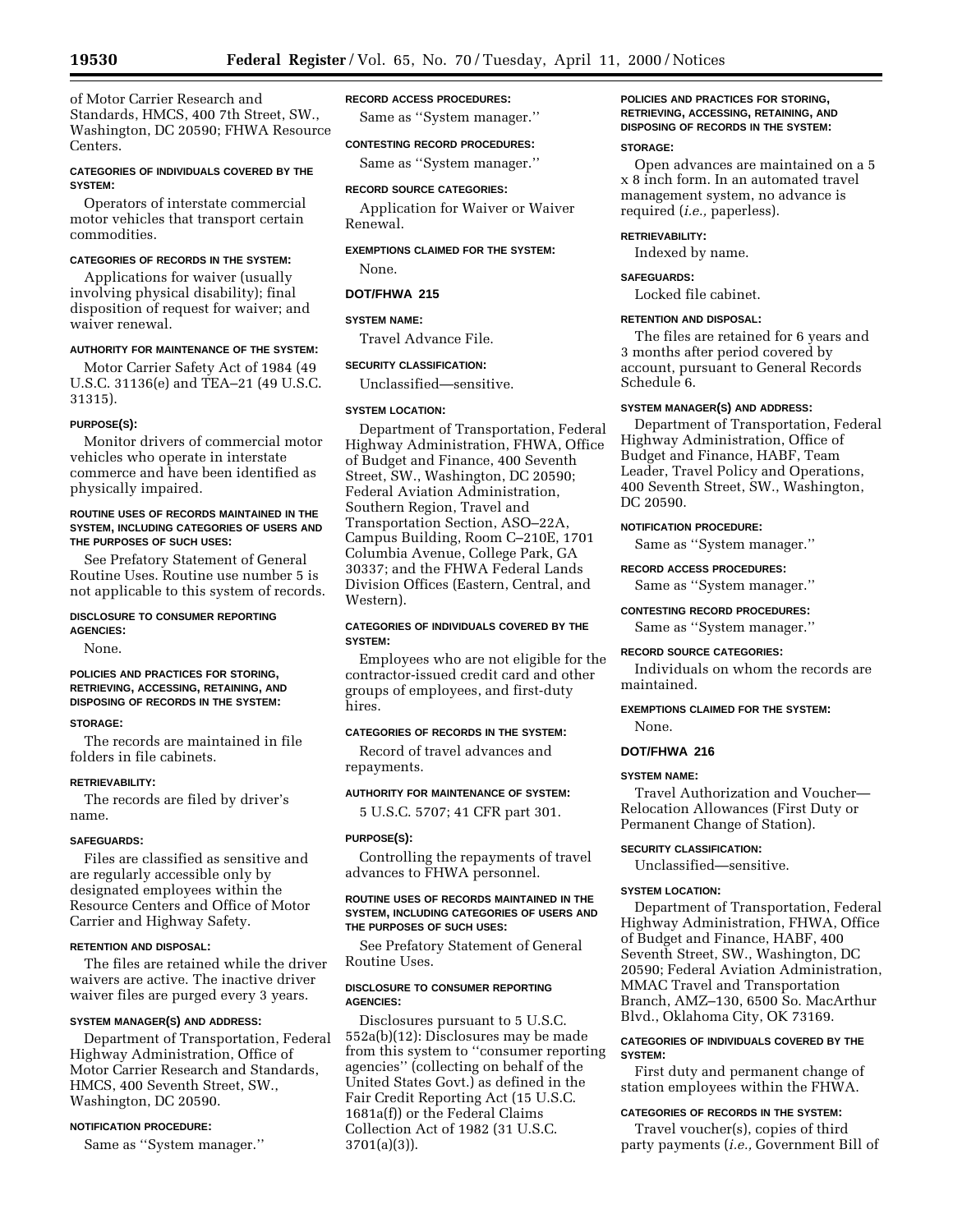of Motor Carrier Research and Standards, HMCS, 400 7th Street, SW., Washington, DC 20590; FHWA Resource Centers.

## **CATEGORIES OF INDIVIDUALS COVERED BY THE SYSTEM:**

Operators of interstate commercial motor vehicles that transport certain commodities.

## **CATEGORIES OF RECORDS IN THE SYSTEM:**

Applications for waiver (usually involving physical disability); final disposition of request for waiver; and waiver renewal.

## **AUTHORITY FOR MAINTENANCE OF THE SYSTEM:**

Motor Carrier Safety Act of 1984 (49 U.S.C. 31136(e) and TEA–21 (49 U.S.C. 31315).

### **PURPOSE(S):**

Monitor drivers of commercial motor vehicles who operate in interstate commerce and have been identified as physically impaired.

### **ROUTINE USES OF RECORDS MAINTAINED IN THE SYSTEM, INCLUDING CATEGORIES OF USERS AND THE PURPOSES OF SUCH USES:**

See Prefatory Statement of General Routine Uses. Routine use number 5 is not applicable to this system of records.

#### **DISCLOSURE TO CONSUMER REPORTING AGENCIES:**

None.

## **POLICIES AND PRACTICES FOR STORING, RETRIEVING, ACCESSING, RETAINING, AND DISPOSING OF RECORDS IN THE SYSTEM:**

#### **STORAGE:**

The records are maintained in file folders in file cabinets.

### **RETRIEVABILITY:**

The records are filed by driver's name.

#### **SAFEGUARDS:**

Files are classified as sensitive and are regularly accessible only by designated employees within the Resource Centers and Office of Motor Carrier and Highway Safety.

### **RETENTION AND DISPOSAL:**

The files are retained while the driver waivers are active. The inactive driver waiver files are purged every 3 years.

## **SYSTEM MANAGER(S) AND ADDRESS:**

Department of Transportation, Federal Highway Administration, Office of Motor Carrier Research and Standards, HMCS, 400 Seventh Street, SW., Washington, DC 20590.

## **NOTIFICATION PROCEDURE:**

Same as ''System manager.''

## **RECORD ACCESS PROCEDURES:**

Same as ''System manager.''

## **CONTESTING RECORD PROCEDURES:**

Same as ''System manager.''

## **RECORD SOURCE CATEGORIES:**

Application for Waiver or Waiver Renewal.

## **EXEMPTIONS CLAIMED FOR THE SYSTEM:**

None.

## **DOT/FHWA 215**

## **SYSTEM NAME:**

Travel Advance File.

## **SECURITY CLASSIFICATION:**

Unclassified—sensitive.

## **SYSTEM LOCATION:**

Department of Transportation, Federal Highway Administration, FHWA, Office of Budget and Finance, 400 Seventh Street, SW., Washington, DC 20590; Federal Aviation Administration, Southern Region, Travel and Transportation Section, ASO–22A, Campus Building, Room C–210E, 1701 Columbia Avenue, College Park, GA 30337; and the FHWA Federal Lands Division Offices (Eastern, Central, and Western).

## **CATEGORIES OF INDIVIDUALS COVERED BY THE SYSTEM:**

Employees who are not eligible for the contractor-issued credit card and other groups of employees, and first-duty hires.

## **CATEGORIES OF RECORDS IN THE SYSTEM:**

Record of travel advances and repayments.

### **AUTHORITY FOR MAINTENANCE OF SYSTEM:**

5 U.S.C. 5707; 41 CFR part 301.

#### **PURPOSE(S):**

Controlling the repayments of travel advances to FHWA personnel.

### **ROUTINE USES OF RECORDS MAINTAINED IN THE SYSTEM, INCLUDING CATEGORIES OF USERS AND THE PURPOSES OF SUCH USES:**

See Prefatory Statement of General Routine Uses.

## **DISCLOSURE TO CONSUMER REPORTING AGENCIES:**

Disclosures pursuant to 5 U.S.C. 552a(b)(12): Disclosures may be made from this system to ''consumer reporting agencies'' (collecting on behalf of the United States Govt.) as defined in the Fair Credit Reporting Act (15 U.S.C. 1681a(f)) or the Federal Claims Collection Act of 1982 (31 U.S.C. 3701(a)(3)).

## **POLICIES AND PRACTICES FOR STORING, RETRIEVING, ACCESSING, RETAINING, AND DISPOSING OF RECORDS IN THE SYSTEM:**

## **STORAGE:**

Open advances are maintained on a 5 x 8 inch form. In an automated travel management system, no advance is required (*i.e.,* paperless).

## **RETRIEVABILITY:**

Indexed by name.

## **SAFEGUARDS:**

Locked file cabinet.

## **RETENTION AND DISPOSAL:**

The files are retained for 6 years and 3 months after period covered by account, pursuant to General Records Schedule 6.

## **SYSTEM MANAGER(S) AND ADDRESS:**

Department of Transportation, Federal Highway Administration, Office of Budget and Finance, HABF, Team Leader, Travel Policy and Operations, 400 Seventh Street, SW., Washington, DC 20590.

## **NOTIFICATION PROCEDURE:**

Same as ''System manager.''

## **RECORD ACCESS PROCEDURES:**

Same as ''System manager.''

#### **CONTESTING RECORD PROCEDURES:**

Same as ''System manager.''

#### **RECORD SOURCE CATEGORIES:**

Individuals on whom the records are maintained.

#### **EXEMPTIONS CLAIMED FOR THE SYSTEM:**

None.

## **DOT/FHWA 216**

### **SYSTEM NAME:**

Travel Authorization and Voucher— Relocation Allowances (First Duty or Permanent Change of Station).

## **SECURITY CLASSIFICATION:**

Unclassified—sensitive.

## **SYSTEM LOCATION:**

Department of Transportation, Federal Highway Administration, FHWA, Office of Budget and Finance, HABF, 400 Seventh Street, SW., Washington, DC 20590; Federal Aviation Administration, MMAC Travel and Transportation Branch, AMZ–130, 6500 So. MacArthur Blvd., Oklahoma City, OK 73169.

## **CATEGORIES OF INDIVIDUALS COVERED BY THE SYSTEM:**

First duty and permanent change of station employees within the FHWA.

## **CATEGORIES OF RECORDS IN THE SYSTEM:**

Travel voucher(s), copies of third party payments (*i.e.,* Government Bill of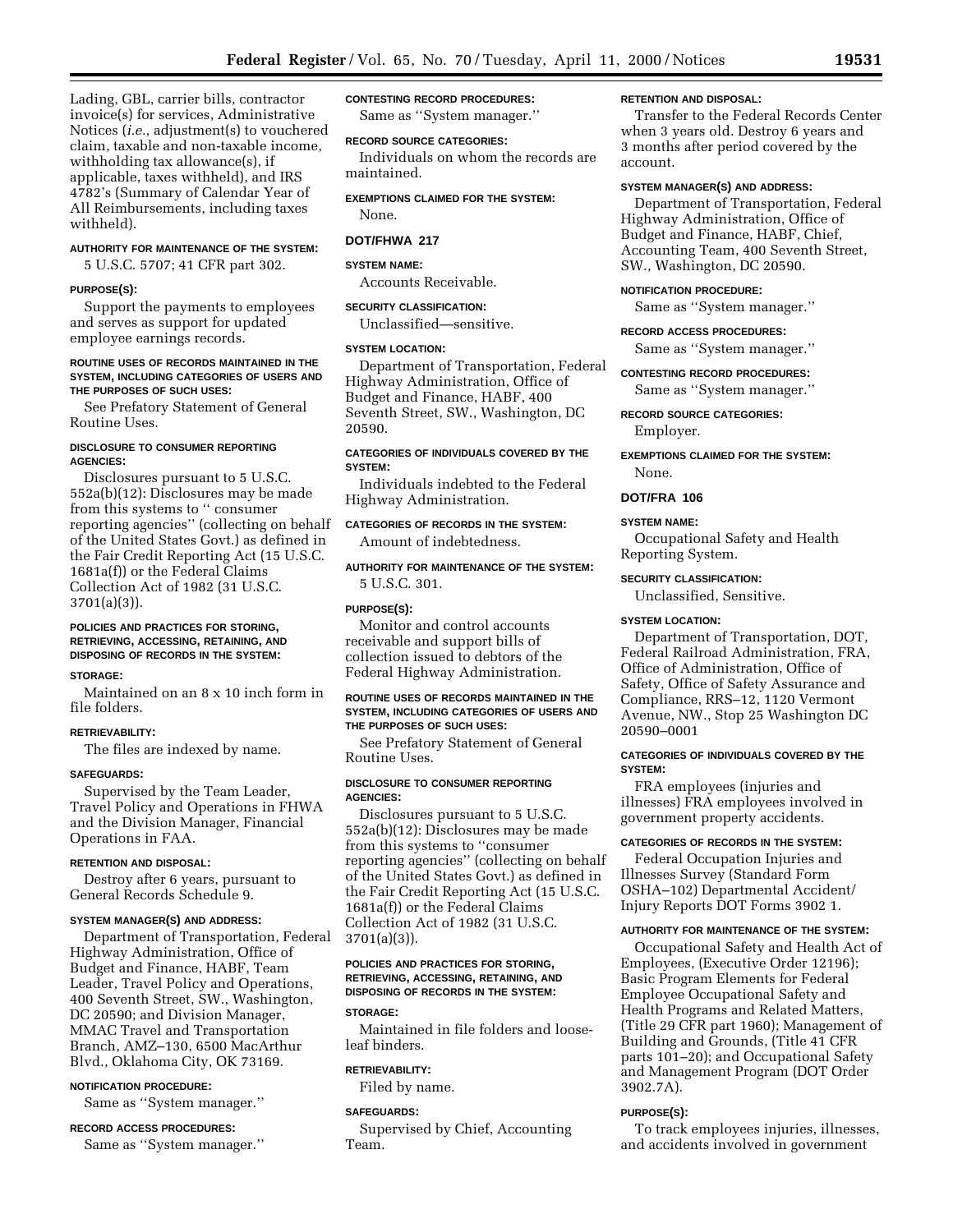Lading, GBL, carrier bills, contractor invoice(s) for services, Administrative Notices (*i.e.,* adjustment(s) to vouchered claim, taxable and non-taxable income, withholding tax allowance(s), if applicable, taxes withheld), and IRS 4782's (Summary of Calendar Year of All Reimbursements, including taxes withheld).

## **AUTHORITY FOR MAINTENANCE OF THE SYSTEM:**

5 U.S.C. 5707; 41 CFR part 302.

#### **PURPOSE(S):**

Support the payments to employees and serves as support for updated employee earnings records.

### **ROUTINE USES OF RECORDS MAINTAINED IN THE SYSTEM, INCLUDING CATEGORIES OF USERS AND THE PURPOSES OF SUCH USES:**

See Prefatory Statement of General Routine Uses.

## **DISCLOSURE TO CONSUMER REPORTING AGENCIES:**

Disclosures pursuant to 5 U.S.C. 552a(b)(12): Disclosures may be made from this systems to '' consumer reporting agencies'' (collecting on behalf of the United States Govt.) as defined in the Fair Credit Reporting Act (15 U.S.C. 1681a(f)) or the Federal Claims Collection Act of 1982 (31 U.S.C. 3701(a)(3)).

### **POLICIES AND PRACTICES FOR STORING, RETRIEVING, ACCESSING, RETAINING, AND DISPOSING OF RECORDS IN THE SYSTEM:**

#### **STORAGE:**

Maintained on an 8 x 10 inch form in file folders.

## **RETRIEVABILITY:**

The files are indexed by name.

#### **SAFEGUARDS:**

Supervised by the Team Leader, Travel Policy and Operations in FHWA and the Division Manager, Financial Operations in FAA.

## **RETENTION AND DISPOSAL:**

Destroy after 6 years, pursuant to General Records Schedule 9.

#### **SYSTEM MANAGER(S) AND ADDRESS:**

Department of Transportation, Federal Highway Administration, Office of Budget and Finance, HABF, Team Leader, Travel Policy and Operations, 400 Seventh Street, SW., Washington, DC 20590; and Division Manager, MMAC Travel and Transportation Branch, AMZ–130, 6500 MacArthur Blvd., Oklahoma City, OK 73169.

#### **NOTIFICATION PROCEDURE:**

Same as ''System manager.''

## **RECORD ACCESS PROCEDURES:**

Same as ''System manager.''

## **CONTESTING RECORD PROCEDURES:**

Same as ''System manager.''

# **RECORD SOURCE CATEGORIES:**

Individuals on whom the records are maintained.

## **EXEMPTIONS CLAIMED FOR THE SYSTEM:**

None.

## **DOT/FHWA 217**

#### **SYSTEM NAME:**

Accounts Receivable.

#### **SECURITY CLASSIFICATION:**

Unclassified—sensitive.

## **SYSTEM LOCATION:**

Department of Transportation, Federal Highway Administration, Office of Budget and Finance, HABF, 400 Seventh Street, SW., Washington, DC 20590.

## **CATEGORIES OF INDIVIDUALS COVERED BY THE SYSTEM:**

Individuals indebted to the Federal Highway Administration.

# **CATEGORIES OF RECORDS IN THE SYSTEM:**

Amount of indebtedness.

## **AUTHORITY FOR MAINTENANCE OF THE SYSTEM:** 5 U.S.C. 301.

## **PURPOSE(S):**

Monitor and control accounts receivable and support bills of collection issued to debtors of the Federal Highway Administration.

#### **ROUTINE USES OF RECORDS MAINTAINED IN THE SYSTEM, INCLUDING CATEGORIES OF USERS AND THE PURPOSES OF SUCH USES:**

See Prefatory Statement of General Routine Uses.

### **DISCLOSURE TO CONSUMER REPORTING AGENCIES:**

Disclosures pursuant to 5 U.S.C. 552a(b)(12): Disclosures may be made from this systems to ''consumer reporting agencies'' (collecting on behalf of the United States Govt.) as defined in the Fair Credit Reporting Act (15 U.S.C. 1681a(f)) or the Federal Claims Collection Act of 1982 (31 U.S.C. 3701(a)(3)).

## **POLICIES AND PRACTICES FOR STORING, RETRIEVING, ACCESSING, RETAINING, AND DISPOSING OF RECORDS IN THE SYSTEM:**

#### **STORAGE:**

Maintained in file folders and looseleaf binders.

## **RETRIEVABILITY:**

Filed by name.

#### **SAFEGUARDS:**

Supervised by Chief, Accounting Team.

#### **RETENTION AND DISPOSAL:**

Transfer to the Federal Records Center when 3 years old. Destroy 6 years and 3 months after period covered by the account.

## **SYSTEM MANAGER(S) AND ADDRESS:**

Department of Transportation, Federal Highway Administration, Office of Budget and Finance, HABF, Chief, Accounting Team, 400 Seventh Street, SW., Washington, DC 20590.

#### **NOTIFICATION PROCEDURE:**

Same as ''System manager.''

## **RECORD ACCESS PROCEDURES:**

Same as ''System manager.''

#### **CONTESTING RECORD PROCEDURES:**

Same as ''System manager.''

## **RECORD SOURCE CATEGORIES:** Employer.

**EXEMPTIONS CLAIMED FOR THE SYSTEM:** None.

## **DOT/FRA 106**

## **SYSTEM NAME:**

Occupational Safety and Health Reporting System.

### **SECURITY CLASSIFICATION:**

Unclassified, Sensitive.

### **SYSTEM LOCATION:**

Department of Transportation, DOT, Federal Railroad Administration, FRA, Office of Administration, Office of Safety, Office of Safety Assurance and Compliance, RRS–12, 1120 Vermont Avenue, NW., Stop 25 Washington DC 20590–0001

## **CATEGORIES OF INDIVIDUALS COVERED BY THE SYSTEM:**

FRA employees (injuries and illnesses) FRA employees involved in government property accidents.

## **CATEGORIES OF RECORDS IN THE SYSTEM:**

Federal Occupation Injuries and Illnesses Survey (Standard Form OSHA–102) Departmental Accident/ Injury Reports DOT Forms 3902 1.

#### **AUTHORITY FOR MAINTENANCE OF THE SYSTEM:**

Occupational Safety and Health Act of Employees, (Executive Order 12196); Basic Program Elements for Federal Employee Occupational Safety and Health Programs and Related Matters, (Title 29 CFR part 1960); Management of Building and Grounds, (Title 41 CFR parts 101–20); and Occupational Safety and Management Program (DOT Order 3902.7A).

## **PURPOSE(S):**

To track employees injuries, illnesses, and accidents involved in government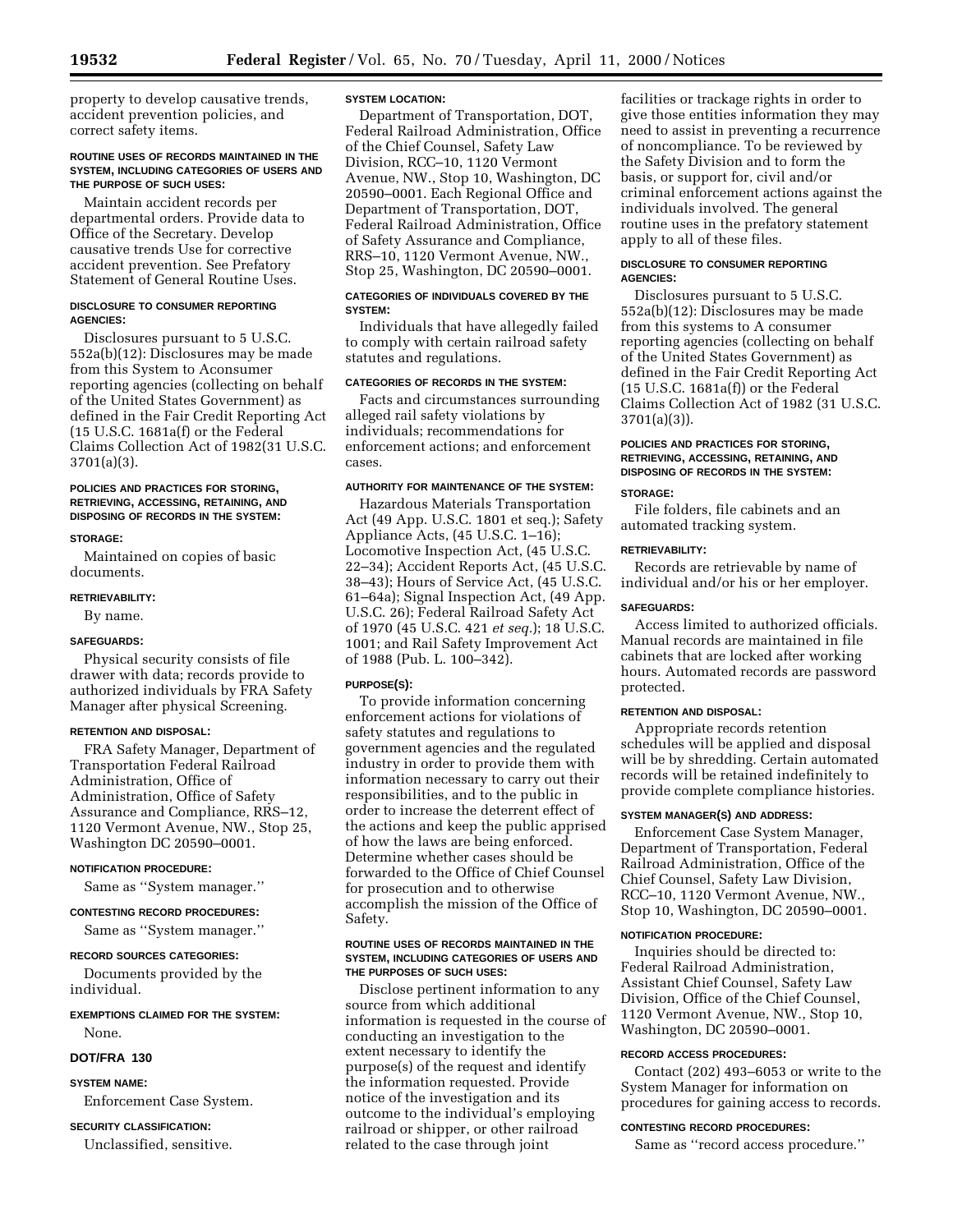property to develop causative trends, accident prevention policies, and correct safety items.

### **ROUTINE USES OF RECORDS MAINTAINED IN THE SYSTEM, INCLUDING CATEGORIES OF USERS AND THE PURPOSE OF SUCH USES:**

Maintain accident records per departmental orders. Provide data to Office of the Secretary. Develop causative trends Use for corrective accident prevention. See Prefatory Statement of General Routine Uses.

## **DISCLOSURE TO CONSUMER REPORTING AGENCIES:**

Disclosures pursuant to 5 U.S.C. 552a(b)(12): Disclosures may be made from this System to Aconsumer reporting agencies (collecting on behalf of the United States Government) as defined in the Fair Credit Reporting Act (15 U.S.C. 1681a(f) or the Federal Claims Collection Act of 1982(31 U.S.C. 3701(a)(3).

## **POLICIES AND PRACTICES FOR STORING, RETRIEVING, ACCESSING, RETAINING, AND DISPOSING OF RECORDS IN THE SYSTEM:**

## **STORAGE:**

Maintained on copies of basic documents.

#### **RETRIEVABILITY:**

By name.

## **SAFEGUARDS:**

Physical security consists of file drawer with data; records provide to authorized individuals by FRA Safety Manager after physical Screening.

## **RETENTION AND DISPOSAL:**

FRA Safety Manager, Department of Transportation Federal Railroad Administration, Office of Administration, Office of Safety Assurance and Compliance, RRS–12, 1120 Vermont Avenue, NW., Stop 25, Washington DC 20590–0001.

#### **NOTIFICATION PROCEDURE:**

Same as ''System manager.''

#### **CONTESTING RECORD PROCEDURES:**

Same as ''System manager.''

## **RECORD SOURCES CATEGORIES:**

Documents provided by the individual.

## **EXEMPTIONS CLAIMED FOR THE SYSTEM:** None.

### **DOT/FRA 130**

## **SYSTEM NAME:**

Enforcement Case System.

## **SECURITY CLASSIFICATION:**

Unclassified, sensitive.

## **SYSTEM LOCATION:**

Department of Transportation, DOT, Federal Railroad Administration, Office of the Chief Counsel, Safety Law Division, RCC–10, 1120 Vermont Avenue, NW., Stop 10, Washington, DC 20590–0001. Each Regional Office and Department of Transportation, DOT, Federal Railroad Administration, Office of Safety Assurance and Compliance, RRS–10, 1120 Vermont Avenue, NW., Stop 25, Washington, DC 20590–0001.

## **CATEGORIES OF INDIVIDUALS COVERED BY THE SYSTEM:**

Individuals that have allegedly failed to comply with certain railroad safety statutes and regulations.

## **CATEGORIES OF RECORDS IN THE SYSTEM:**

Facts and circumstances surrounding alleged rail safety violations by individuals; recommendations for enforcement actions; and enforcement cases.

### **AUTHORITY FOR MAINTENANCE OF THE SYSTEM:**

Hazardous Materials Transportation Act (49 App. U.S.C. 1801 et seq.); Safety Appliance Acts, (45 U.S.C. 1–16); Locomotive Inspection Act, (45 U.S.C. 22–34); Accident Reports Act, (45 U.S.C. 38–43); Hours of Service Act, (45 U.S.C. 61–64a); Signal Inspection Act, (49 App. U.S.C. 26); Federal Railroad Safety Act of 1970 (45 U.S.C. 421 *et seq.*); 18 U.S.C. 1001; and Rail Safety Improvement Act of 1988 (Pub. L. 100–342).

## **PURPOSE(S):**

To provide information concerning enforcement actions for violations of safety statutes and regulations to government agencies and the regulated industry in order to provide them with information necessary to carry out their responsibilities, and to the public in order to increase the deterrent effect of the actions and keep the public apprised of how the laws are being enforced. Determine whether cases should be forwarded to the Office of Chief Counsel for prosecution and to otherwise accomplish the mission of the Office of Safety.

### **ROUTINE USES OF RECORDS MAINTAINED IN THE SYSTEM, INCLUDING CATEGORIES OF USERS AND THE PURPOSES OF SUCH USES:**

Disclose pertinent information to any source from which additional information is requested in the course of conducting an investigation to the extent necessary to identify the purpose(s) of the request and identify the information requested. Provide notice of the investigation and its outcome to the individual's employing railroad or shipper, or other railroad related to the case through joint

facilities or trackage rights in order to give those entities information they may need to assist in preventing a recurrence of noncompliance. To be reviewed by the Safety Division and to form the basis, or support for, civil and/or criminal enforcement actions against the individuals involved. The general routine uses in the prefatory statement apply to all of these files.

### **DISCLOSURE TO CONSUMER REPORTING AGENCIES:**

Disclosures pursuant to 5 U.S.C. 552a(b)(12): Disclosures may be made from this systems to A consumer reporting agencies (collecting on behalf of the United States Government) as defined in the Fair Credit Reporting Act (15 U.S.C. 1681a(f)) or the Federal Claims Collection Act of 1982 (31 U.S.C. 3701(a)(3)).

## **POLICIES AND PRACTICES FOR STORING, RETRIEVING, ACCESSING, RETAINING, AND DISPOSING OF RECORDS IN THE SYSTEM:**

## **STORAGE:**

File folders, file cabinets and an automated tracking system.

#### **RETRIEVABILITY:**

Records are retrievable by name of individual and/or his or her employer.

### **SAFEGUARDS:**

Access limited to authorized officials. Manual records are maintained in file cabinets that are locked after working hours. Automated records are password protected.

## **RETENTION AND DISPOSAL:**

Appropriate records retention schedules will be applied and disposal will be by shredding. Certain automated records will be retained indefinitely to provide complete compliance histories.

### **SYSTEM MANAGER(S) AND ADDRESS:**

Enforcement Case System Manager, Department of Transportation, Federal Railroad Administration, Office of the Chief Counsel, Safety Law Division, RCC–10, 1120 Vermont Avenue, NW., Stop 10, Washington, DC 20590–0001.

#### **NOTIFICATION PROCEDURE:**

Inquiries should be directed to: Federal Railroad Administration, Assistant Chief Counsel, Safety Law Division, Office of the Chief Counsel, 1120 Vermont Avenue, NW., Stop 10, Washington, DC 20590–0001.

## **RECORD ACCESS PROCEDURES:**

Contact (202) 493–6053 or write to the System Manager for information on procedures for gaining access to records.

### **CONTESTING RECORD PROCEDURES:**

Same as ''record access procedure.''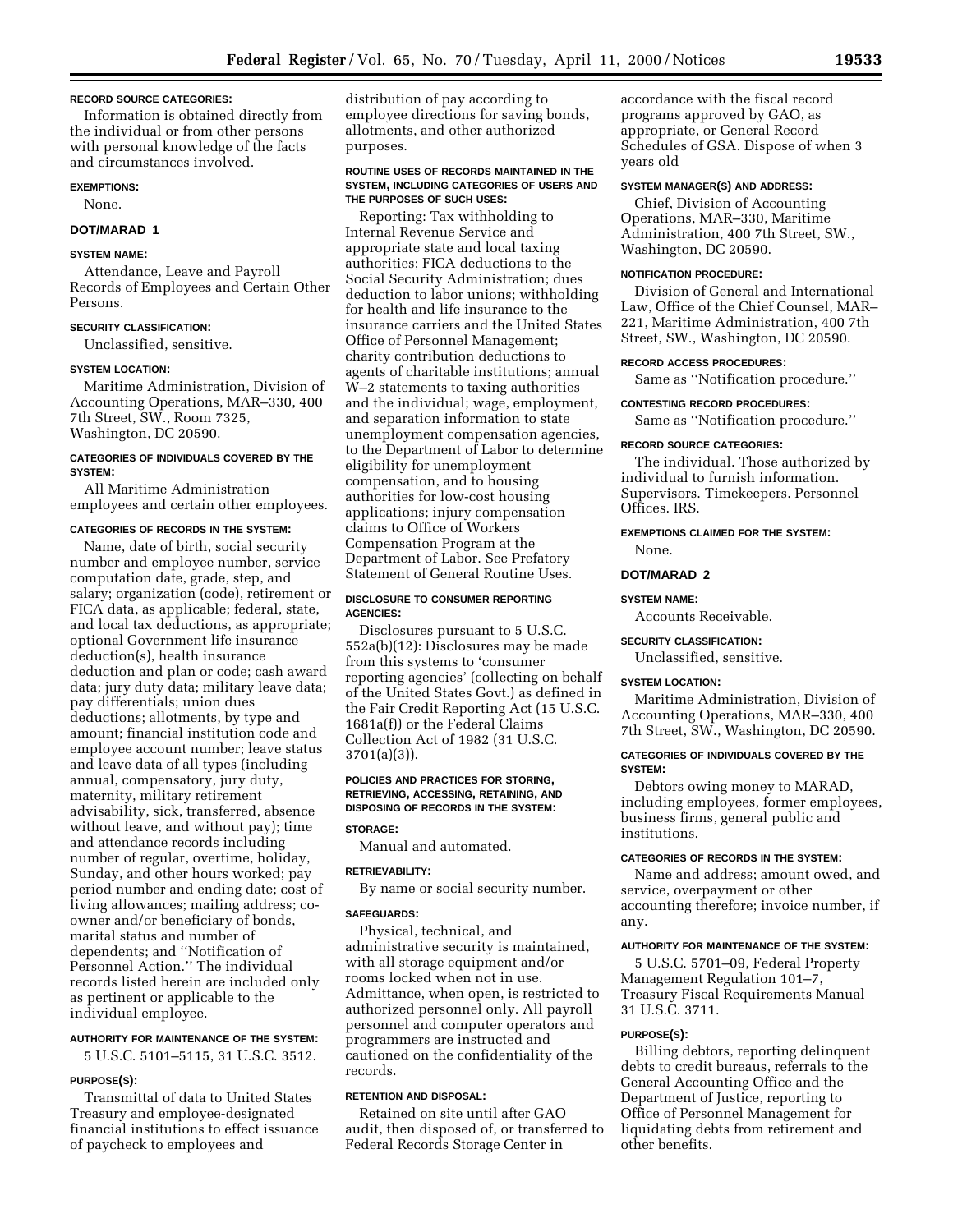### **RECORD SOURCE CATEGORIES:**

Information is obtained directly from the individual or from other persons with personal knowledge of the facts and circumstances involved.

### **EXEMPTIONS:**

None.

## **DOT/MARAD 1**

## **SYSTEM NAME:**

Attendance, Leave and Payroll Records of Employees and Certain Other Persons.

## **SECURITY CLASSIFICATION:**

Unclassified, sensitive.

## **SYSTEM LOCATION:**

Maritime Administration, Division of Accounting Operations, MAR–330, 400 7th Street, SW., Room 7325, Washington, DC 20590.

## **CATEGORIES OF INDIVIDUALS COVERED BY THE SYSTEM:**

All Maritime Administration employees and certain other employees.

## **CATEGORIES OF RECORDS IN THE SYSTEM:**

Name, date of birth, social security number and employee number, service computation date, grade, step, and salary; organization (code), retirement or FICA data, as applicable; federal, state, and local tax deductions, as appropriate; optional Government life insurance deduction(s), health insurance deduction and plan or code; cash award data; jury duty data; military leave data; pay differentials; union dues deductions; allotments, by type and amount; financial institution code and employee account number; leave status and leave data of all types (including annual, compensatory, jury duty, maternity, military retirement advisability, sick, transferred, absence without leave, and without pay); time and attendance records including number of regular, overtime, holiday, Sunday, and other hours worked; pay period number and ending date; cost of living allowances; mailing address; coowner and/or beneficiary of bonds, marital status and number of dependents; and ''Notification of Personnel Action.'' The individual records listed herein are included only as pertinent or applicable to the individual employee.

## **AUTHORITY FOR MAINTENANCE OF THE SYSTEM:**

5 U.S.C. 5101–5115, 31 U.S.C. 3512.

### **PURPOSE(S):**

Transmittal of data to United States Treasury and employee-designated financial institutions to effect issuance of paycheck to employees and

distribution of pay according to employee directions for saving bonds, allotments, and other authorized purposes.

### **ROUTINE USES OF RECORDS MAINTAINED IN THE SYSTEM, INCLUDING CATEGORIES OF USERS AND THE PURPOSES OF SUCH USES:**

Reporting: Tax withholding to Internal Revenue Service and appropriate state and local taxing authorities; FICA deductions to the Social Security Administration; dues deduction to labor unions; withholding for health and life insurance to the insurance carriers and the United States Office of Personnel Management; charity contribution deductions to agents of charitable institutions; annual W–2 statements to taxing authorities and the individual; wage, employment, and separation information to state unemployment compensation agencies, to the Department of Labor to determine eligibility for unemployment compensation, and to housing authorities for low-cost housing applications; injury compensation claims to Office of Workers Compensation Program at the Department of Labor. See Prefatory Statement of General Routine Uses.

## **DISCLOSURE TO CONSUMER REPORTING AGENCIES:**

Disclosures pursuant to 5 U.S.C. 552a(b)(12): Disclosures may be made from this systems to 'consumer reporting agencies' (collecting on behalf of the United States Govt.) as defined in the Fair Credit Reporting Act (15 U.S.C. 1681a(f)) or the Federal Claims Collection Act of 1982 (31 U.S.C. 3701(a)(3)).

## **POLICIES AND PRACTICES FOR STORING, RETRIEVING, ACCESSING, RETAINING, AND DISPOSING OF RECORDS IN THE SYSTEM:**

## **STORAGE:**

Manual and automated.

## **RETRIEVABILITY:**

By name or social security number.

#### **SAFEGUARDS:**

Physical, technical, and administrative security is maintained, with all storage equipment and/or rooms locked when not in use. Admittance, when open, is restricted to authorized personnel only. All payroll personnel and computer operators and programmers are instructed and cautioned on the confidentiality of the records.

## **RETENTION AND DISPOSAL:**

Retained on site until after GAO audit, then disposed of, or transferred to Federal Records Storage Center in

accordance with the fiscal record programs approved by GAO, as appropriate, or General Record Schedules of GSA. Dispose of when 3 years old

## **SYSTEM MANAGER(S) AND ADDRESS:**

Chief, Division of Accounting Operations, MAR–330, Maritime Administration, 400 7th Street, SW., Washington, DC 20590.

## **NOTIFICATION PROCEDURE:**

Division of General and International Law, Office of the Chief Counsel, MAR– 221, Maritime Administration, 400 7th Street, SW., Washington, DC 20590.

## **RECORD ACCESS PROCEDURES:**

Same as ''Notification procedure.''

## **CONTESTING RECORD PROCEDURES:**

Same as ''Notification procedure.''

#### **RECORD SOURCE CATEGORIES:**

The individual. Those authorized by individual to furnish information. Supervisors. Timekeepers. Personnel Offices. IRS.

## **EXEMPTIONS CLAIMED FOR THE SYSTEM:** None.

### **DOT/MARAD 2**

#### **SYSTEM NAME:**

Accounts Receivable.

### **SECURITY CLASSIFICATION:**

Unclassified, sensitive.

## **SYSTEM LOCATION:**

Maritime Administration, Division of Accounting Operations, MAR–330, 400 7th Street, SW., Washington, DC 20590.

## **CATEGORIES OF INDIVIDUALS COVERED BY THE SYSTEM:**

Debtors owing money to MARAD, including employees, former employees, business firms, general public and institutions.

## **CATEGORIES OF RECORDS IN THE SYSTEM:**

Name and address; amount owed, and service, overpayment or other accounting therefore; invoice number, if any.

## **AUTHORITY FOR MAINTENANCE OF THE SYSTEM:**

5 U.S.C. 5701–09, Federal Property Management Regulation 101–7, Treasury Fiscal Requirements Manual 31 U.S.C. 3711.

## **PURPOSE(S):**

Billing debtors, reporting delinquent debts to credit bureaus, referrals to the General Accounting Office and the Department of Justice, reporting to Office of Personnel Management for liquidating debts from retirement and other benefits.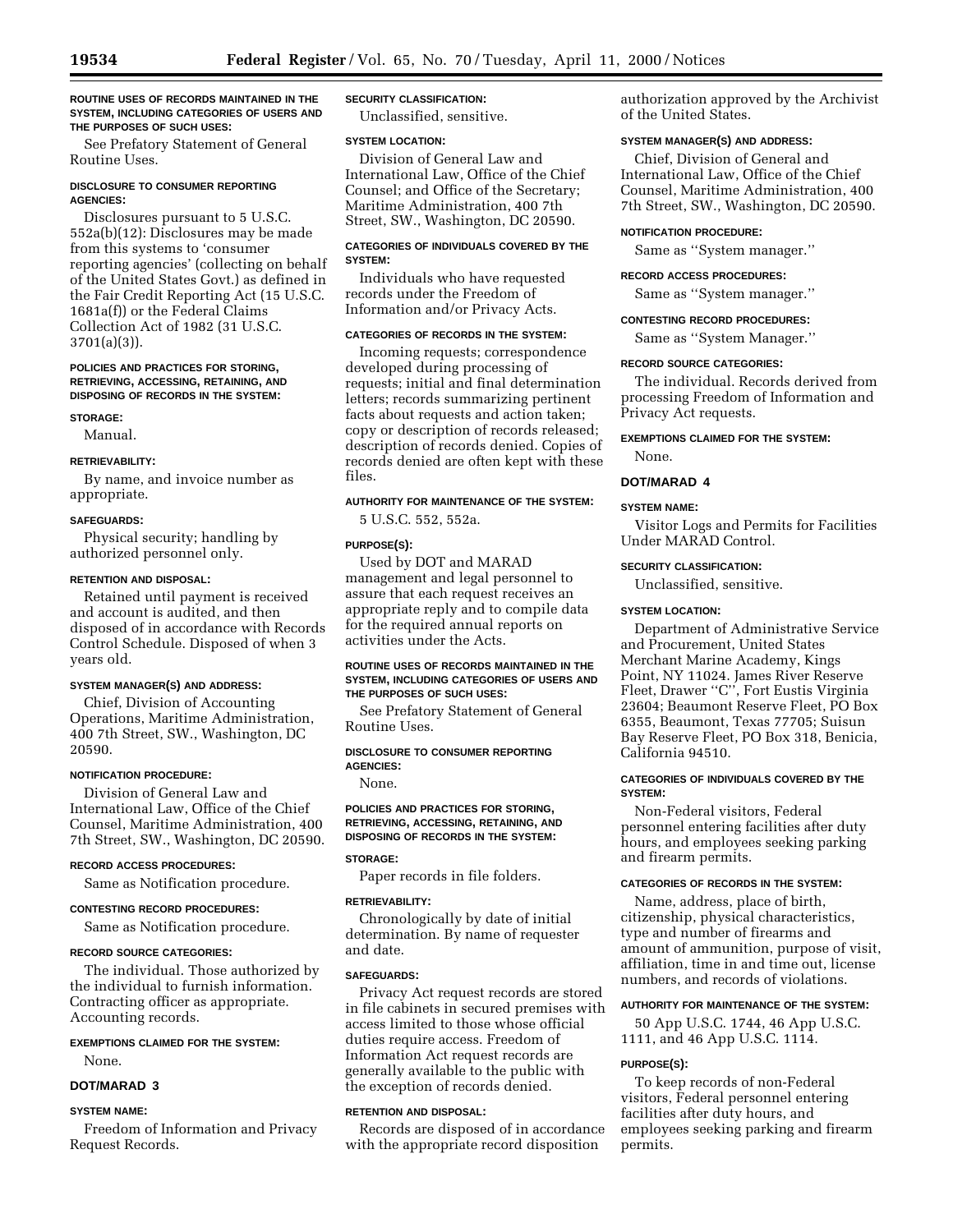#### **ROUTINE USES OF RECORDS MAINTAINED IN THE SYSTEM, INCLUDING CATEGORIES OF USERS AND THE PURPOSES OF SUCH USES:**

See Prefatory Statement of General Routine Uses.

## **DISCLOSURE TO CONSUMER REPORTING AGENCIES:**

Disclosures pursuant to 5 U.S.C. 552a(b)(12): Disclosures may be made from this systems to 'consumer reporting agencies' (collecting on behalf of the United States Govt.) as defined in the Fair Credit Reporting Act (15 U.S.C. 1681a(f)) or the Federal Claims Collection Act of 1982 (31 U.S.C. 3701(a)(3)).

#### **POLICIES AND PRACTICES FOR STORING, RETRIEVING, ACCESSING, RETAINING, AND DISPOSING OF RECORDS IN THE SYSTEM:**

### **STORAGE:**

Manual.

## **RETRIEVABILITY:**

By name, and invoice number as appropriate.

## **SAFEGUARDS:**

Physical security; handling by authorized personnel only.

## **RETENTION AND DISPOSAL:**

Retained until payment is received and account is audited, and then disposed of in accordance with Records Control Schedule. Disposed of when 3 years old.

## **SYSTEM MANAGER(S) AND ADDRESS:**

Chief, Division of Accounting Operations, Maritime Administration, 400 7th Street, SW., Washington, DC 20590.

#### **NOTIFICATION PROCEDURE:**

Division of General Law and International Law, Office of the Chief Counsel, Maritime Administration, 400 7th Street, SW., Washington, DC 20590.

#### **RECORD ACCESS PROCEDURES:**

Same as Notification procedure.

#### **CONTESTING RECORD PROCEDURES:**

Same as Notification procedure.

## **RECORD SOURCE CATEGORIES:**

The individual. Those authorized by the individual to furnish information. Contracting officer as appropriate. Accounting records.

## **EXEMPTIONS CLAIMED FOR THE SYSTEM:**

None.

## **DOT/MARAD 3**

#### **SYSTEM NAME:**

Freedom of Information and Privacy Request Records.

## **SECURITY CLASSIFICATION:**

Unclassified, sensitive.

### **SYSTEM LOCATION:**

Division of General Law and International Law, Office of the Chief Counsel; and Office of the Secretary; Maritime Administration, 400 7th Street, SW., Washington, DC 20590.

## **CATEGORIES OF INDIVIDUALS COVERED BY THE SYSTEM:**

Individuals who have requested records under the Freedom of Information and/or Privacy Acts.

## **CATEGORIES OF RECORDS IN THE SYSTEM:**

Incoming requests; correspondence developed during processing of requests; initial and final determination letters; records summarizing pertinent facts about requests and action taken; copy or description of records released; description of records denied. Copies of records denied are often kept with these files.

## **AUTHORITY FOR MAINTENANCE OF THE SYSTEM:**

5 U.S.C. 552, 552a.

### **PURPOSE(S):**

Used by DOT and MARAD management and legal personnel to assure that each request receives an appropriate reply and to compile data for the required annual reports on activities under the Acts.

## **ROUTINE USES OF RECORDS MAINTAINED IN THE SYSTEM, INCLUDING CATEGORIES OF USERS AND THE PURPOSES OF SUCH USES:**

See Prefatory Statement of General Routine Uses.

### **DISCLOSURE TO CONSUMER REPORTING AGENCIES:**

None.

## **POLICIES AND PRACTICES FOR STORING, RETRIEVING, ACCESSING, RETAINING, AND DISPOSING OF RECORDS IN THE SYSTEM:**

### **STORAGE:**

Paper records in file folders.

## **RETRIEVABILITY:**

Chronologically by date of initial determination. By name of requester and date.

## **SAFEGUARDS:**

Privacy Act request records are stored in file cabinets in secured premises with access limited to those whose official duties require access. Freedom of Information Act request records are generally available to the public with the exception of records denied.

## **RETENTION AND DISPOSAL:**

Records are disposed of in accordance with the appropriate record disposition

authorization approved by the Archivist of the United States.

## **SYSTEM MANAGER(S) AND ADDRESS:**

Chief, Division of General and International Law, Office of the Chief Counsel, Maritime Administration, 400 7th Street, SW., Washington, DC 20590.

## **NOTIFICATION PROCEDURE:**

Same as ''System manager.''

## **RECORD ACCESS PROCEDURES:**

Same as ''System manager.''

### **CONTESTING RECORD PROCEDURES:**

Same as ''System Manager.''

### **RECORD SOURCE CATEGORIES:**

The individual. Records derived from processing Freedom of Information and Privacy Act requests.

## **EXEMPTIONS CLAIMED FOR THE SYSTEM:**

None.

## **DOT/MARAD 4**

## **SYSTEM NAME:**

Visitor Logs and Permits for Facilities Under MARAD Control.

## **SECURITY CLASSIFICATION:** Unclassified, sensitive.

## **SYSTEM LOCATION:**

Department of Administrative Service and Procurement, United States Merchant Marine Academy, Kings Point, NY 11024. James River Reserve Fleet, Drawer ''C'', Fort Eustis Virginia 23604; Beaumont Reserve Fleet, PO Box 6355, Beaumont, Texas 77705; Suisun Bay Reserve Fleet, PO Box 318, Benicia, California 94510.

## **CATEGORIES OF INDIVIDUALS COVERED BY THE SYSTEM:**

Non-Federal visitors, Federal personnel entering facilities after duty hours, and employees seeking parking and firearm permits.

## **CATEGORIES OF RECORDS IN THE SYSTEM:**

Name, address, place of birth, citizenship, physical characteristics, type and number of firearms and amount of ammunition, purpose of visit, affiliation, time in and time out, license numbers, and records of violations.

#### **AUTHORITY FOR MAINTENANCE OF THE SYSTEM:**

50 App U.S.C. 1744, 46 App U.S.C. 1111, and 46 App U.S.C. 1114.

## **PURPOSE(S):**

To keep records of non-Federal visitors, Federal personnel entering facilities after duty hours, and employees seeking parking and firearm permits.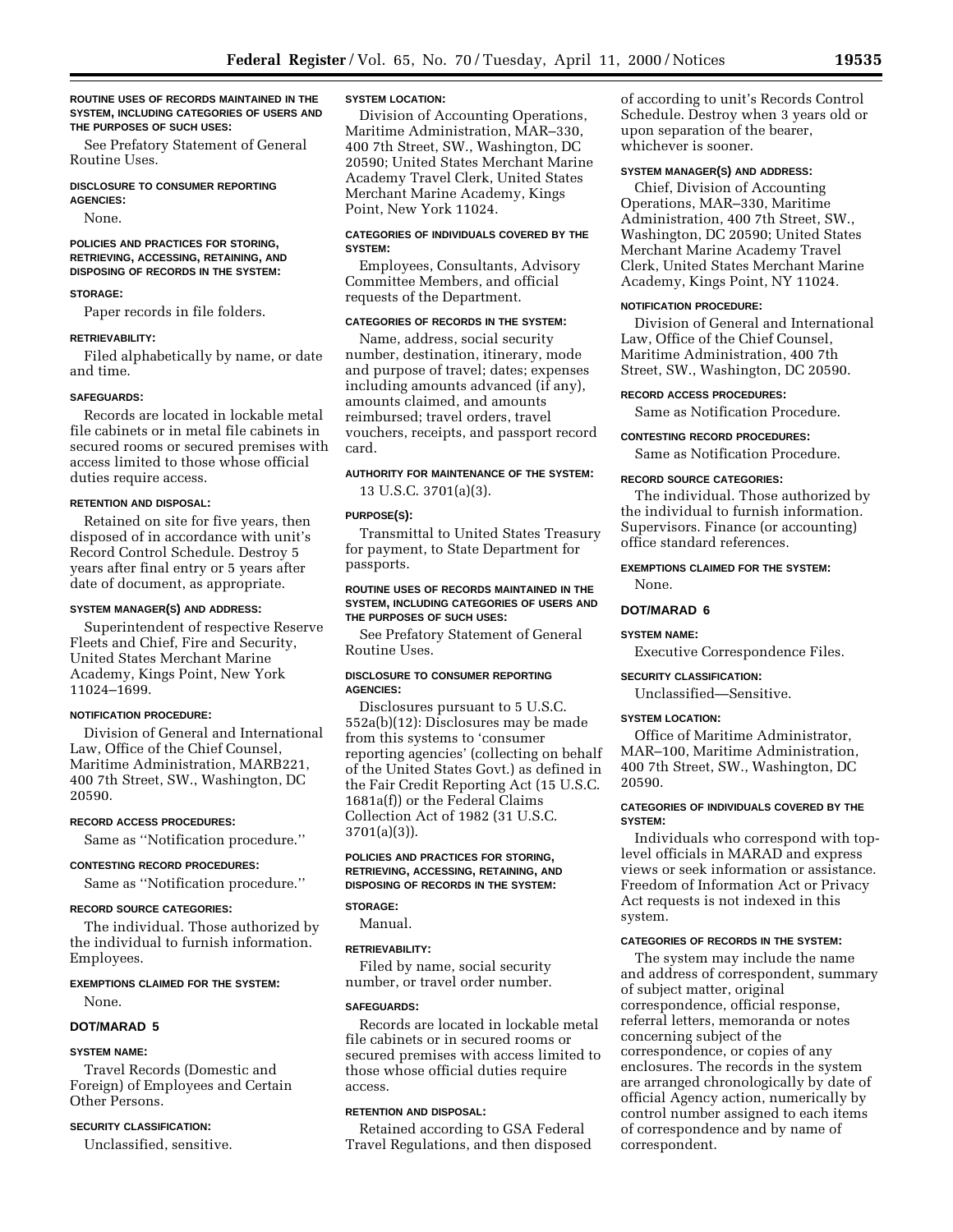**ROUTINE USES OF RECORDS MAINTAINED IN THE SYSTEM, INCLUDING CATEGORIES OF USERS AND THE PURPOSES OF SUCH USES:**

See Prefatory Statement of General Routine Uses.

#### **DISCLOSURE TO CONSUMER REPORTING AGENCIES:**

None.

## **POLICIES AND PRACTICES FOR STORING, RETRIEVING, ACCESSING, RETAINING, AND DISPOSING OF RECORDS IN THE SYSTEM:**

## **STORAGE:**

Paper records in file folders.

### **RETRIEVABILITY:**

Filed alphabetically by name, or date and time.

#### **SAFEGUARDS:**

Records are located in lockable metal file cabinets or in metal file cabinets in secured rooms or secured premises with access limited to those whose official duties require access.

#### **RETENTION AND DISPOSAL:**

Retained on site for five years, then disposed of in accordance with unit's Record Control Schedule. Destroy 5 years after final entry or 5 years after date of document, as appropriate.

#### **SYSTEM MANAGER(S) AND ADDRESS:**

Superintendent of respective Reserve Fleets and Chief, Fire and Security, United States Merchant Marine Academy, Kings Point, New York 11024–1699.

## **NOTIFICATION PROCEDURE:**

Division of General and International Law, Office of the Chief Counsel, Maritime Administration, MARB221, 400 7th Street, SW., Washington, DC 20590.

#### **RECORD ACCESS PROCEDURES:**

Same as ''Notification procedure.''

#### **CONTESTING RECORD PROCEDURES:**

Same as ''Notification procedure.''

#### **RECORD SOURCE CATEGORIES:**

The individual. Those authorized by the individual to furnish information. Employees.

## **EXEMPTIONS CLAIMED FOR THE SYSTEM:**

None.

## **DOT/MARAD 5**

## **SYSTEM NAME:**

Travel Records (Domestic and Foreign) of Employees and Certain Other Persons.

## **SECURITY CLASSIFICATION:**

Unclassified, sensitive.

## **SYSTEM LOCATION:**

Division of Accounting Operations, Maritime Administration, MAR–330, 400 7th Street, SW., Washington, DC 20590; United States Merchant Marine Academy Travel Clerk, United States Merchant Marine Academy, Kings Point, New York 11024.

## **CATEGORIES OF INDIVIDUALS COVERED BY THE SYSTEM:**

Employees, Consultants, Advisory Committee Members, and official requests of the Department.

## **CATEGORIES OF RECORDS IN THE SYSTEM:**

Name, address, social security number, destination, itinerary, mode and purpose of travel; dates; expenses including amounts advanced (if any), amounts claimed, and amounts reimbursed; travel orders, travel vouchers, receipts, and passport record card.

## **AUTHORITY FOR MAINTENANCE OF THE SYSTEM:**

13 U.S.C. 3701(a)(3).

#### **PURPOSE(S):**

Transmittal to United States Treasury for payment, to State Department for passports.

## **ROUTINE USES OF RECORDS MAINTAINED IN THE SYSTEM, INCLUDING CATEGORIES OF USERS AND THE PURPOSES OF SUCH USES:**

See Prefatory Statement of General Routine Uses.

#### **DISCLOSURE TO CONSUMER REPORTING AGENCIES:**

Disclosures pursuant to 5 U.S.C. 552a(b)(12): Disclosures may be made from this systems to 'consumer reporting agencies' (collecting on behalf of the United States Govt.) as defined in the Fair Credit Reporting Act (15 U.S.C. 1681a(f)) or the Federal Claims Collection Act of 1982 (31 U.S.C. 3701(a)(3)).

### **POLICIES AND PRACTICES FOR STORING, RETRIEVING, ACCESSING, RETAINING, AND DISPOSING OF RECORDS IN THE SYSTEM:**

## **STORAGE:**

Manual.

## **RETRIEVABILITY:**

Filed by name, social security number, or travel order number.

#### **SAFEGUARDS:**

Records are located in lockable metal file cabinets or in secured rooms or secured premises with access limited to those whose official duties require access.

## **RETENTION AND DISPOSAL:**

Retained according to GSA Federal Travel Regulations, and then disposed of according to unit's Records Control Schedule. Destroy when 3 years old or upon separation of the bearer, whichever is sooner.

## **SYSTEM MANAGER(S) AND ADDRESS:**

Chief, Division of Accounting Operations, MAR–330, Maritime Administration, 400 7th Street, SW., Washington, DC 20590; United States Merchant Marine Academy Travel Clerk, United States Merchant Marine Academy, Kings Point, NY 11024.

#### **NOTIFICATION PROCEDURE:**

Division of General and International Law, Office of the Chief Counsel, Maritime Administration, 400 7th Street, SW., Washington, DC 20590.

## **RECORD ACCESS PROCEDURES:**

Same as Notification Procedure.

## **CONTESTING RECORD PROCEDURES:**

Same as Notification Procedure.

#### **RECORD SOURCE CATEGORIES:**

The individual. Those authorized by the individual to furnish information. Supervisors. Finance (or accounting) office standard references.

### **EXEMPTIONS CLAIMED FOR THE SYSTEM:** None.

#### **DOT/MARAD 6**

## **SYSTEM NAME:**

Executive Correspondence Files.

#### **SECURITY CLASSIFICATION:**

Unclassified—Sensitive.

## **SYSTEM LOCATION:**

Office of Maritime Administrator, MAR–100, Maritime Administration, 400 7th Street, SW., Washington, DC 20590.

## **CATEGORIES OF INDIVIDUALS COVERED BY THE SYSTEM:**

Individuals who correspond with toplevel officials in MARAD and express views or seek information or assistance. Freedom of Information Act or Privacy Act requests is not indexed in this system.

## **CATEGORIES OF RECORDS IN THE SYSTEM:**

The system may include the name and address of correspondent, summary of subject matter, original correspondence, official response, referral letters, memoranda or notes concerning subject of the correspondence, or copies of any enclosures. The records in the system are arranged chronologically by date of official Agency action, numerically by control number assigned to each items of correspondence and by name of correspondent.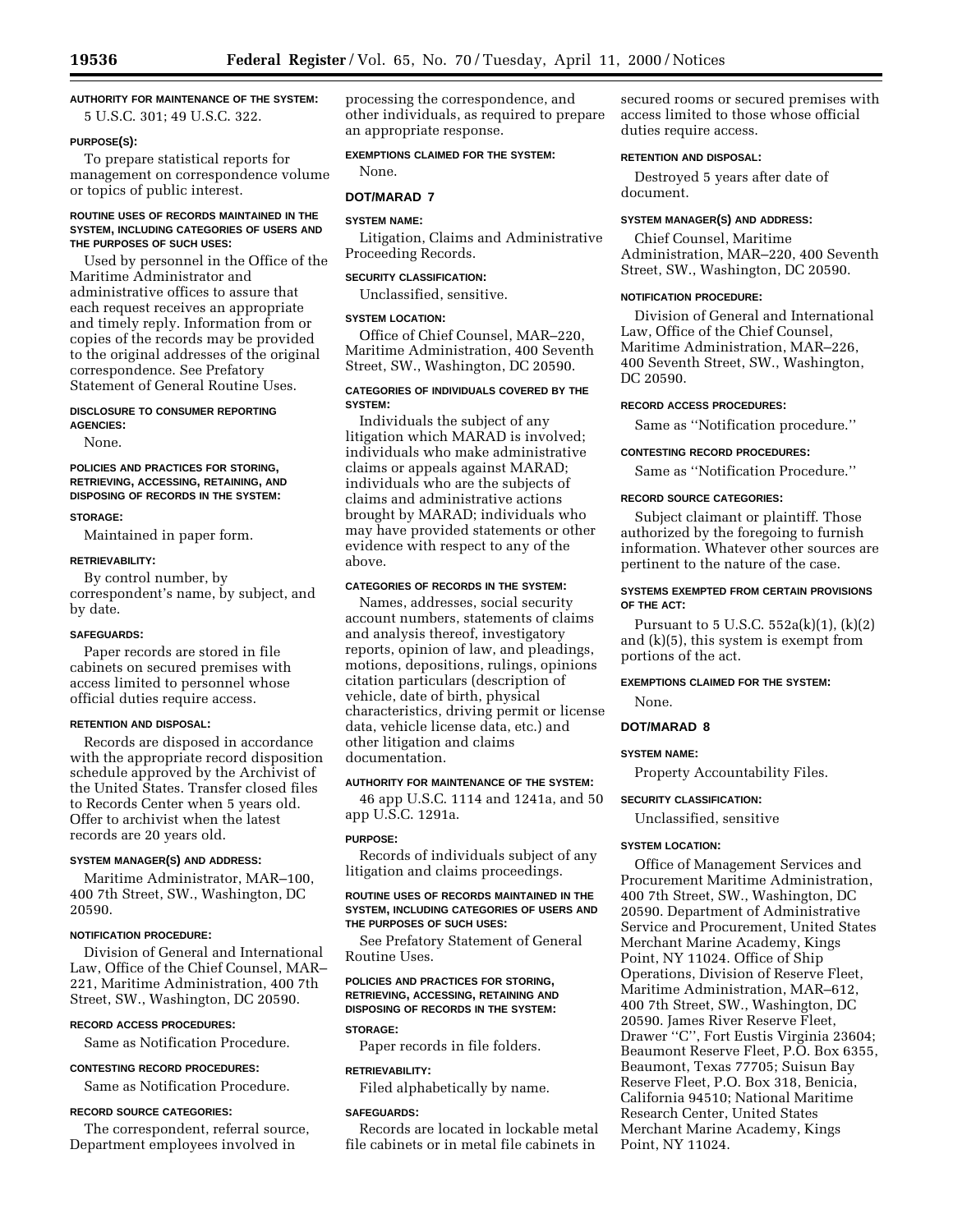## **AUTHORITY FOR MAINTENANCE OF THE SYSTEM:**

5 U.S.C. 301; 49 U.S.C. 322.

## **PURPOSE(S):**

To prepare statistical reports for management on correspondence volume or topics of public interest.

### **ROUTINE USES OF RECORDS MAINTAINED IN THE SYSTEM, INCLUDING CATEGORIES OF USERS AND THE PURPOSES OF SUCH USES:**

Used by personnel in the Office of the Maritime Administrator and administrative offices to assure that each request receives an appropriate and timely reply. Information from or copies of the records may be provided to the original addresses of the original correspondence. See Prefatory Statement of General Routine Uses.

#### **DISCLOSURE TO CONSUMER REPORTING AGENCIES:**

None.

## **POLICIES AND PRACTICES FOR STORING, RETRIEVING, ACCESSING, RETAINING, AND DISPOSING OF RECORDS IN THE SYSTEM:**

#### **STORAGE:**

Maintained in paper form.

### **RETRIEVABILITY:**

By control number, by correspondent's name, by subject, and by date.

#### **SAFEGUARDS:**

Paper records are stored in file cabinets on secured premises with access limited to personnel whose official duties require access.

### **RETENTION AND DISPOSAL:**

Records are disposed in accordance with the appropriate record disposition schedule approved by the Archivist of the United States. Transfer closed files to Records Center when 5 years old. Offer to archivist when the latest records are 20 years old.

#### **SYSTEM MANAGER(S) AND ADDRESS:**

Maritime Administrator, MAR–100, 400 7th Street, SW., Washington, DC 20590.

## **NOTIFICATION PROCEDURE:**

Division of General and International Law, Office of the Chief Counsel, MAR– 221, Maritime Administration, 400 7th Street, SW., Washington, DC 20590.

## **RECORD ACCESS PROCEDURES:**

Same as Notification Procedure.

## **CONTESTING RECORD PROCEDURES:**

Same as Notification Procedure.

## **RECORD SOURCE CATEGORIES:**

The correspondent, referral source, Department employees involved in

processing the correspondence, and other individuals, as required to prepare an appropriate response.

## **EXEMPTIONS CLAIMED FOR THE SYSTEM:**

**DOT/MARAD 7**

### **SYSTEM NAME:**

None.

Litigation, Claims and Administrative Proceeding Records.

#### **SECURITY CLASSIFICATION:**

Unclassified, sensitive.

#### **SYSTEM LOCATION:**

Office of Chief Counsel, MAR–220, Maritime Administration, 400 Seventh Street, SW., Washington, DC 20590.

## **CATEGORIES OF INDIVIDUALS COVERED BY THE SYSTEM:**

Individuals the subject of any litigation which MARAD is involved; individuals who make administrative claims or appeals against MARAD; individuals who are the subjects of claims and administrative actions brought by MARAD; individuals who may have provided statements or other evidence with respect to any of the above.

#### **CATEGORIES OF RECORDS IN THE SYSTEM:**

Names, addresses, social security account numbers, statements of claims and analysis thereof, investigatory reports, opinion of law, and pleadings, motions, depositions, rulings, opinions citation particulars (description of vehicle, date of birth, physical characteristics, driving permit or license data, vehicle license data, etc.) and other litigation and claims documentation.

## **AUTHORITY FOR MAINTENANCE OF THE SYSTEM:**

46 app U.S.C. 1114 and 1241a, and 50 app U.S.C. 1291a.

#### **PURPOSE:**

Records of individuals subject of any litigation and claims proceedings.

## **ROUTINE USES OF RECORDS MAINTAINED IN THE SYSTEM, INCLUDING CATEGORIES OF USERS AND THE PURPOSES OF SUCH USES:**

See Prefatory Statement of General Routine Uses.

## **POLICIES AND PRACTICES FOR STORING, RETRIEVING, ACCESSING, RETAINING AND DISPOSING OF RECORDS IN THE SYSTEM:**

## **STORAGE:**

Paper records in file folders.

#### **RETRIEVABILITY:**

Filed alphabetically by name.

#### **SAFEGUARDS:**

Records are located in lockable metal file cabinets or in metal file cabinets in

secured rooms or secured premises with access limited to those whose official duties require access.

#### **RETENTION AND DISPOSAL:**

Destroyed 5 years after date of document.

#### **SYSTEM MANAGER(S) AND ADDRESS:**

Chief Counsel, Maritime Administration, MAR–220, 400 Seventh Street, SW., Washington, DC 20590.

### **NOTIFICATION PROCEDURE:**

Division of General and International Law, Office of the Chief Counsel, Maritime Administration, MAR–226, 400 Seventh Street, SW., Washington, DC 20590.

#### **RECORD ACCESS PROCEDURES:**

Same as ''Notification procedure.''

### **CONTESTING RECORD PROCEDURES:**

Same as ''Notification Procedure.''

## **RECORD SOURCE CATEGORIES:**

Subject claimant or plaintiff. Those authorized by the foregoing to furnish information. Whatever other sources are pertinent to the nature of the case.

### **SYSTEMS EXEMPTED FROM CERTAIN PROVISIONS OF THE ACT:**

Pursuant to 5 U.S.C.  $552a(k)(1)$ ,  $(k)(2)$ and (k)(5), this system is exempt from portions of the act.

## **EXEMPTIONS CLAIMED FOR THE SYSTEM:**

None.

## **DOT/MARAD 8**

### **SYSTEM NAME:**

Property Accountability Files.

#### **SECURITY CLASSIFICATION:**

Unclassified, sensitive

## **SYSTEM LOCATION:**

Office of Management Services and Procurement Maritime Administration, 400 7th Street, SW., Washington, DC 20590. Department of Administrative Service and Procurement, United States Merchant Marine Academy, Kings Point, NY 11024. Office of Ship Operations, Division of Reserve Fleet, Maritime Administration, MAR–612, 400 7th Street, SW., Washington, DC 20590. James River Reserve Fleet, Drawer ''C'', Fort Eustis Virginia 23604; Beaumont Reserve Fleet, P.O. Box 6355, Beaumont, Texas 77705; Suisun Bay Reserve Fleet, P.O. Box 318, Benicia, California 94510; National Maritime Research Center, United States Merchant Marine Academy, Kings Point, NY 11024.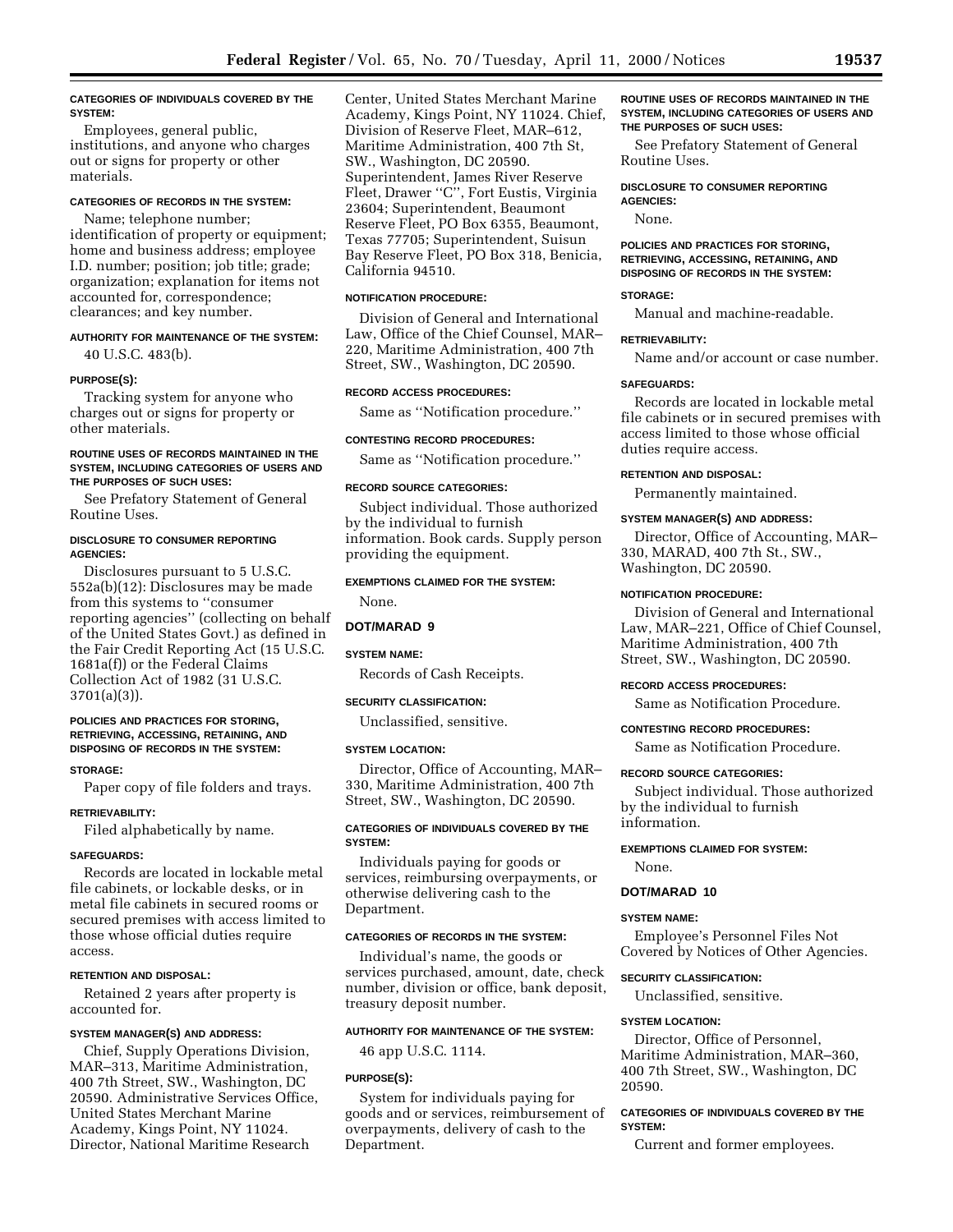### **CATEGORIES OF INDIVIDUALS COVERED BY THE SYSTEM:**

Employees, general public, institutions, and anyone who charges out or signs for property or other materials.

## **CATEGORIES OF RECORDS IN THE SYSTEM:**

Name; telephone number; identification of property or equipment; home and business address; employee I.D. number; position; job title; grade; organization; explanation for items not accounted for, correspondence; clearances; and key number.

## **AUTHORITY FOR MAINTENANCE OF THE SYSTEM:** 40 U.S.C. 483(b).

**PURPOSE(S):**

Tracking system for anyone who charges out or signs for property or other materials.

## **ROUTINE USES OF RECORDS MAINTAINED IN THE SYSTEM, INCLUDING CATEGORIES OF USERS AND THE PURPOSES OF SUCH USES:**

See Prefatory Statement of General Routine Uses.

## **DISCLOSURE TO CONSUMER REPORTING AGENCIES:**

Disclosures pursuant to 5 U.S.C. 552a(b)(12): Disclosures may be made from this systems to ''consumer reporting agencies'' (collecting on behalf of the United States Govt.) as defined in the Fair Credit Reporting Act (15 U.S.C. 1681a(f)) or the Federal Claims Collection Act of 1982 (31 U.S.C. 3701(a)(3)).

### **POLICIES AND PRACTICES FOR STORING, RETRIEVING, ACCESSING, RETAINING, AND DISPOSING OF RECORDS IN THE SYSTEM:**

### **STORAGE:**

Paper copy of file folders and trays.

## **RETRIEVABILITY:**

Filed alphabetically by name.

#### **SAFEGUARDS:**

Records are located in lockable metal file cabinets, or lockable desks, or in metal file cabinets in secured rooms or secured premises with access limited to those whose official duties require access.

## **RETENTION AND DISPOSAL:**

Retained 2 years after property is accounted for.

### **SYSTEM MANAGER(S) AND ADDRESS:**

Chief, Supply Operations Division, MAR–313, Maritime Administration, 400 7th Street, SW., Washington, DC 20590. Administrative Services Office, United States Merchant Marine Academy, Kings Point, NY 11024. Director, National Maritime Research

Center, United States Merchant Marine Academy, Kings Point, NY 11024. Chief, Division of Reserve Fleet, MAR–612, Maritime Administration, 400 7th St, SW., Washington, DC 20590. Superintendent, James River Reserve Fleet, Drawer ''C'', Fort Eustis, Virginia 23604; Superintendent, Beaumont Reserve Fleet, PO Box 6355, Beaumont, Texas 77705; Superintendent, Suisun Bay Reserve Fleet, PO Box 318, Benicia, California 94510.

## **NOTIFICATION PROCEDURE:**

Division of General and International Law, Office of the Chief Counsel, MAR– 220, Maritime Administration, 400 7th Street, SW., Washington, DC 20590.

## **RECORD ACCESS PROCEDURES:**

Same as ''Notification procedure.''

## **CONTESTING RECORD PROCEDURES:**

Same as ''Notification procedure.''

#### **RECORD SOURCE CATEGORIES:**

Subject individual. Those authorized by the individual to furnish information. Book cards. Supply person providing the equipment.

## **EXEMPTIONS CLAIMED FOR THE SYSTEM:**

None.

## **DOT/MARAD 9**

## **SYSTEM NAME:**

Records of Cash Receipts.

#### **SECURITY CLASSIFICATION:**

Unclassified, sensitive.

#### **SYSTEM LOCATION:**

Director, Office of Accounting, MAR– 330, Maritime Administration, 400 7th Street, SW., Washington, DC 20590.

### **CATEGORIES OF INDIVIDUALS COVERED BY THE SYSTEM:**

Individuals paying for goods or services, reimbursing overpayments, or otherwise delivering cash to the Department.

#### **CATEGORIES OF RECORDS IN THE SYSTEM:**

Individual's name, the goods or services purchased, amount, date, check number, division or office, bank deposit, treasury deposit number.

#### **AUTHORITY FOR MAINTENANCE OF THE SYSTEM:**

46 app U.S.C. 1114.

### **PURPOSE(S):**

System for individuals paying for goods and or services, reimbursement of overpayments, delivery of cash to the Department.

#### **ROUTINE USES OF RECORDS MAINTAINED IN THE SYSTEM, INCLUDING CATEGORIES OF USERS AND THE PURPOSES OF SUCH USES:**

See Prefatory Statement of General Routine Uses.

**DISCLOSURE TO CONSUMER REPORTING AGENCIES:**

None.

## **POLICIES AND PRACTICES FOR STORING, RETRIEVING, ACCESSING, RETAINING, AND DISPOSING OF RECORDS IN THE SYSTEM:**

### **STORAGE:**

Manual and machine-readable.

### **RETRIEVABILITY:**

Name and/or account or case number.

### **SAFEGUARDS:**

Records are located in lockable metal file cabinets or in secured premises with access limited to those whose official duties require access.

#### **RETENTION AND DISPOSAL:**

Permanently maintained.

#### **SYSTEM MANAGER(S) AND ADDRESS:**

Director, Office of Accounting, MAR– 330, MARAD, 400 7th St., SW., Washington, DC 20590.

#### **NOTIFICATION PROCEDURE:**

Division of General and International Law, MAR–221, Office of Chief Counsel, Maritime Administration, 400 7th Street, SW., Washington, DC 20590.

#### **RECORD ACCESS PROCEDURES:**

Same as Notification Procedure.

## **CONTESTING RECORD PROCEDURES:**

Same as Notification Procedure.

#### **RECORD SOURCE CATEGORIES:**

Subject individual. Those authorized by the individual to furnish information.

## **EXEMPTIONS CLAIMED FOR SYSTEM:**

None.

### **DOT/MARAD 10**

#### **SYSTEM NAME:**

Employee's Personnel Files Not Covered by Notices of Other Agencies.

## **SECURITY CLASSIFICATION:** Unclassified, sensitive.

#### **SYSTEM LOCATION:**

Director, Office of Personnel, Maritime Administration, MAR–360, 400 7th Street, SW., Washington, DC 20590.

## **CATEGORIES OF INDIVIDUALS COVERED BY THE SYSTEM:**

Current and former employees.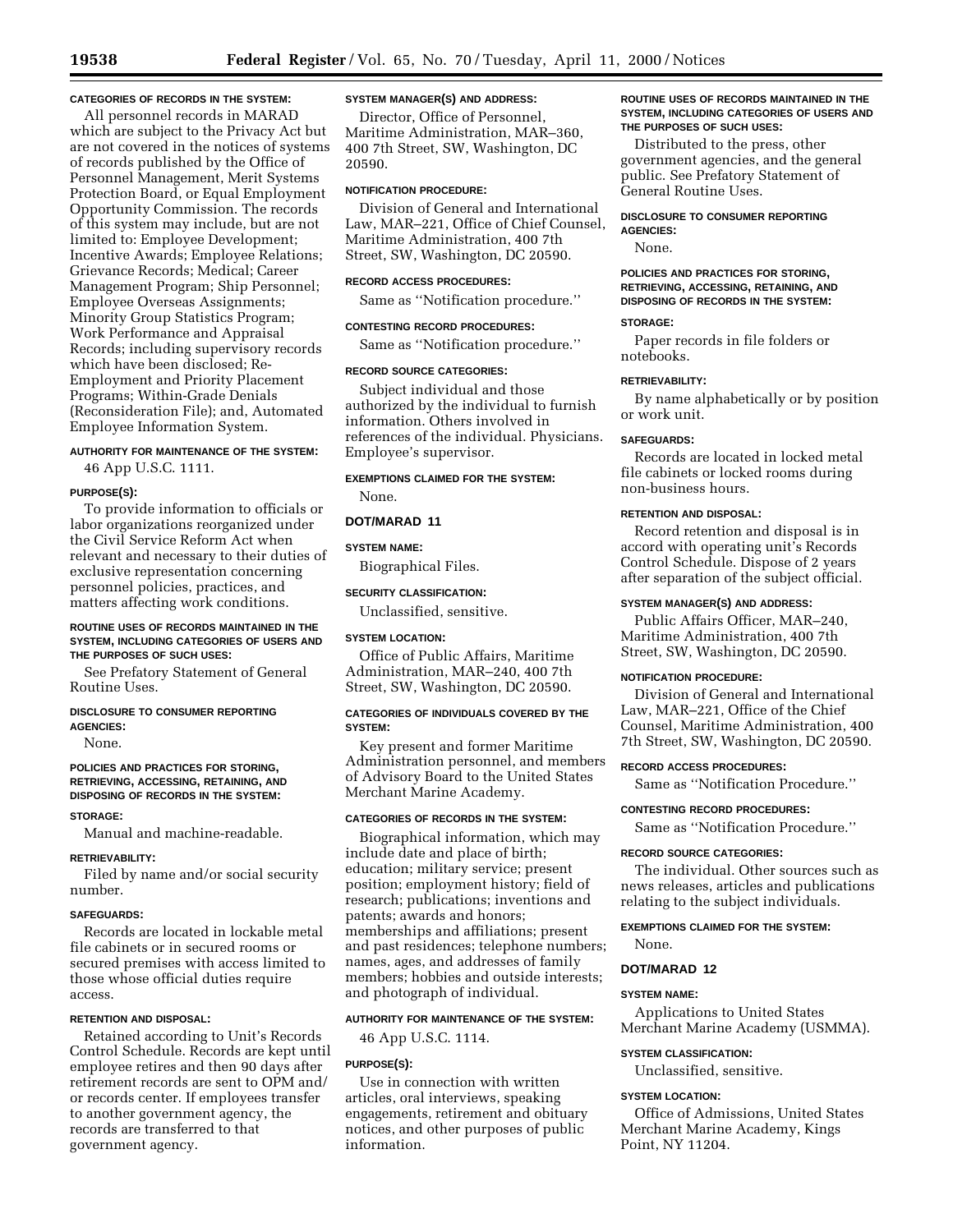## **CATEGORIES OF RECORDS IN THE SYSTEM:**

All personnel records in MARAD which are subject to the Privacy Act but are not covered in the notices of systems of records published by the Office of Personnel Management, Merit Systems Protection Board, or Equal Employment Opportunity Commission. The records of this system may include, but are not limited to: Employee Development; Incentive Awards; Employee Relations; Grievance Records; Medical; Career Management Program; Ship Personnel; Employee Overseas Assignments; Minority Group Statistics Program; Work Performance and Appraisal Records; including supervisory records which have been disclosed; Re-Employment and Priority Placement Programs; Within-Grade Denials (Reconsideration File); and, Automated Employee Information System.

## **AUTHORITY FOR MAINTENANCE OF THE SYSTEM:**

46 App U.S.C. 1111.

#### **PURPOSE(S):**

To provide information to officials or labor organizations reorganized under the Civil Service Reform Act when relevant and necessary to their duties of exclusive representation concerning personnel policies, practices, and matters affecting work conditions.

#### **ROUTINE USES OF RECORDS MAINTAINED IN THE SYSTEM, INCLUDING CATEGORIES OF USERS AND THE PURPOSES OF SUCH USES:**

See Prefatory Statement of General Routine Uses.

#### **DISCLOSURE TO CONSUMER REPORTING AGENCIES:**

None.

### **POLICIES AND PRACTICES FOR STORING, RETRIEVING, ACCESSING, RETAINING, AND DISPOSING OF RECORDS IN THE SYSTEM:**

#### **STORAGE:**

Manual and machine-readable.

#### **RETRIEVABILITY:**

Filed by name and/or social security number.

## **SAFEGUARDS:**

Records are located in lockable metal file cabinets or in secured rooms or secured premises with access limited to those whose official duties require access.

## **RETENTION AND DISPOSAL:**

Retained according to Unit's Records Control Schedule. Records are kept until employee retires and then 90 days after retirement records are sent to OPM and/ or records center. If employees transfer to another government agency, the records are transferred to that government agency.

## **SYSTEM MANAGER(S) AND ADDRESS:**

Director, Office of Personnel, Maritime Administration, MAR–360, 400 7th Street, SW, Washington, DC 20590.

## **NOTIFICATION PROCEDURE:**

Division of General and International Law, MAR–221, Office of Chief Counsel, Maritime Administration, 400 7th Street, SW, Washington, DC 20590.

#### **RECORD ACCESS PROCEDURES:**

Same as ''Notification procedure.''

## **CONTESTING RECORD PROCEDURES:**

Same as ''Notification procedure.''

#### **RECORD SOURCE CATEGORIES:**

Subject individual and those authorized by the individual to furnish information. Others involved in references of the individual. Physicians. Employee's supervisor.

## **EXEMPTIONS CLAIMED FOR THE SYSTEM:**

None.

### **DOT/MARAD 11**

#### **SYSTEM NAME:**

Biographical Files.

### **SECURITY CLASSIFICATION:**

Unclassified, sensitive.

## **SYSTEM LOCATION:**

Office of Public Affairs, Maritime Administration, MAR–240, 400 7th Street, SW, Washington, DC 20590.

### **CATEGORIES OF INDIVIDUALS COVERED BY THE SYSTEM:**

Key present and former Maritime Administration personnel, and members of Advisory Board to the United States Merchant Marine Academy.

## **CATEGORIES OF RECORDS IN THE SYSTEM:**

Biographical information, which may include date and place of birth; education; military service; present position; employment history; field of research; publications; inventions and patents; awards and honors; memberships and affiliations; present and past residences; telephone numbers; names, ages, and addresses of family members; hobbies and outside interests; and photograph of individual.

## **AUTHORITY FOR MAINTENANCE OF THE SYSTEM:**

46 App U.S.C. 1114.

#### **PURPOSE(S):**

Use in connection with written articles, oral interviews, speaking engagements, retirement and obituary notices, and other purposes of public information.

## **ROUTINE USES OF RECORDS MAINTAINED IN THE SYSTEM, INCLUDING CATEGORIES OF USERS AND THE PURPOSES OF SUCH USES:**

Distributed to the press, other government agencies, and the general public. See Prefatory Statement of General Routine Uses.

### **DISCLOSURE TO CONSUMER REPORTING AGENCIES:**

None.

## **POLICIES AND PRACTICES FOR STORING, RETRIEVING, ACCESSING, RETAINING, AND DISPOSING OF RECORDS IN THE SYSTEM:**

## **STORAGE:**

Paper records in file folders or notebooks.

#### **RETRIEVABILITY:**

By name alphabetically or by position or work unit.

## **SAFEGUARDS:**

Records are located in locked metal file cabinets or locked rooms during non-business hours.

## **RETENTION AND DISPOSAL:**

Record retention and disposal is in accord with operating unit's Records Control Schedule. Dispose of 2 years after separation of the subject official.

### **SYSTEM MANAGER(S) AND ADDRESS:**

Public Affairs Officer, MAR–240, Maritime Administration, 400 7th Street, SW, Washington, DC 20590.

#### **NOTIFICATION PROCEDURE:**

Division of General and International Law, MAR–221, Office of the Chief Counsel, Maritime Administration, 400 7th Street, SW, Washington, DC 20590.

## **RECORD ACCESS PROCEDURES:**

Same as ''Notification Procedure.''

## **CONTESTING RECORD PROCEDURES:**

Same as ''Notification Procedure.''

#### **RECORD SOURCE CATEGORIES:**

The individual. Other sources such as news releases, articles and publications relating to the subject individuals.

### **EXEMPTIONS CLAIMED FOR THE SYSTEM:** None.

## **DOT/MARAD 12**

#### **SYSTEM NAME:**

Applications to United States Merchant Marine Academy (USMMA).

## **SYSTEM CLASSIFICATION:**

Unclassified, sensitive.

#### **SYSTEM LOCATION:**

Office of Admissions, United States Merchant Marine Academy, Kings Point, NY 11204.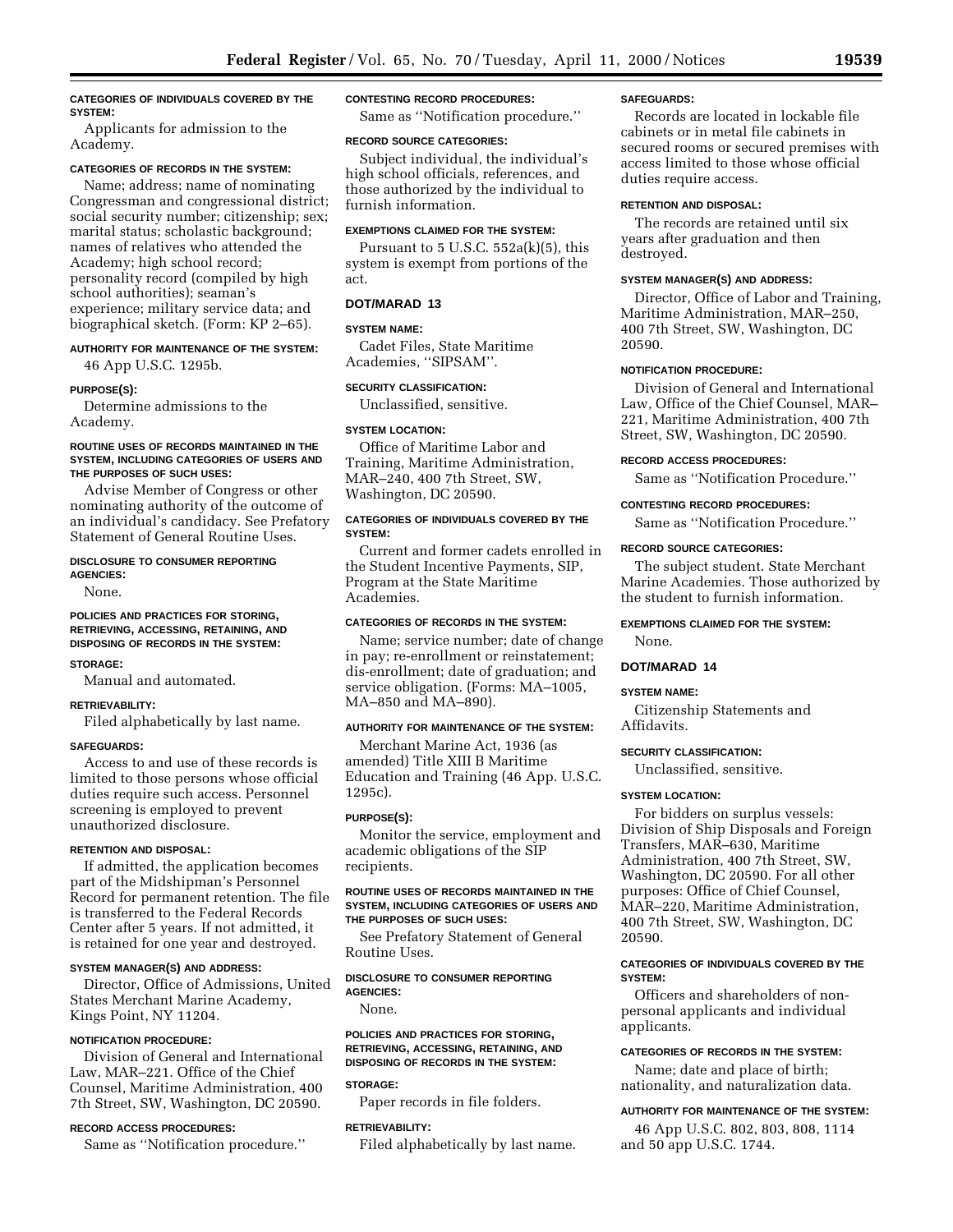## **CATEGORIES OF INDIVIDUALS COVERED BY THE SYSTEM:**

Applicants for admission to the Academy.

## **CATEGORIES OF RECORDS IN THE SYSTEM:**

Name; address; name of nominating Congressman and congressional district; social security number; citizenship; sex; marital status; scholastic background; names of relatives who attended the Academy; high school record; personality record (compiled by high school authorities); seaman's experience; military service data; and biographical sketch. (Form: KP 2–65).

## **AUTHORITY FOR MAINTENANCE OF THE SYSTEM:**

46 App U.S.C. 1295b.

## **PURPOSE(S):**

Determine admissions to the Academy.

#### **ROUTINE USES OF RECORDS MAINTAINED IN THE SYSTEM, INCLUDING CATEGORIES OF USERS AND THE PURPOSES OF SUCH USES:**

Advise Member of Congress or other nominating authority of the outcome of an individual's candidacy. See Prefatory Statement of General Routine Uses.

#### **DISCLOSURE TO CONSUMER REPORTING AGENCIES:**

None.

## **POLICIES AND PRACTICES FOR STORING, RETRIEVING, ACCESSING, RETAINING, AND DISPOSING OF RECORDS IN THE SYSTEM:**

### **STORAGE:**

Manual and automated.

## **RETRIEVABILITY:**

Filed alphabetically by last name.

## **SAFEGUARDS:**

Access to and use of these records is limited to those persons whose official duties require such access. Personnel screening is employed to prevent unauthorized disclosure.

### **RETENTION AND DISPOSAL:**

If admitted, the application becomes part of the Midshipman's Personnel Record for permanent retention. The file is transferred to the Federal Records Center after 5 years. If not admitted, it is retained for one year and destroyed.

#### **SYSTEM MANAGER(S) AND ADDRESS:**

Director, Office of Admissions, United States Merchant Marine Academy, Kings Point, NY 11204.

## **NOTIFICATION PROCEDURE:**

Division of General and International Law, MAR–221. Office of the Chief Counsel, Maritime Administration, 400 7th Street, SW, Washington, DC 20590.

# **RECORD ACCESS PROCEDURES:**

Same as ''Notification procedure.''

### **CONTESTING RECORD PROCEDURES:**

Same as ''Notification procedure.''

#### **RECORD SOURCE CATEGORIES:**

Subject individual, the individual's high school officials, references, and those authorized by the individual to furnish information.

## **EXEMPTIONS CLAIMED FOR THE SYSTEM:**

Pursuant to  $5$  U.S.C.  $552a(k)(5)$ , this system is exempt from portions of the act.

## **DOT/MARAD 13**

## **SYSTEM NAME:**

Cadet Files, State Maritime Academies, ''SIPSAM''.

## **SECURITY CLASSIFICATION:**

Unclassified, sensitive.

### **SYSTEM LOCATION:**

Office of Maritime Labor and Training, Maritime Administration, MAR–240, 400 7th Street, SW, Washington, DC 20590.

### **CATEGORIES OF INDIVIDUALS COVERED BY THE SYSTEM:**

Current and former cadets enrolled in the Student Incentive Payments, SIP, Program at the State Maritime Academies.

## **CATEGORIES OF RECORDS IN THE SYSTEM:**

Name; service number; date of change in pay; re-enrollment or reinstatement; dis-enrollment; date of graduation; and service obligation. (Forms: MA–1005, MA–850 and MA–890).

## **AUTHORITY FOR MAINTENANCE OF THE SYSTEM:**

Merchant Marine Act, 1936 (as amended) Title XIII B Maritime Education and Training (46 App. U.S.C. 1295c).

### **PURPOSE(S):**

Monitor the service, employment and academic obligations of the SIP recipients.

## **ROUTINE USES OF RECORDS MAINTAINED IN THE SYSTEM, INCLUDING CATEGORIES OF USERS AND THE PURPOSES OF SUCH USES:**

See Prefatory Statement of General Routine Uses.

## **DISCLOSURE TO CONSUMER REPORTING AGENCIES:**

None.

## **POLICIES AND PRACTICES FOR STORING, RETRIEVING, ACCESSING, RETAINING, AND DISPOSING OF RECORDS IN THE SYSTEM:**

## **STORAGE:**

Paper records in file folders.

## **RETRIEVABILITY:**

Filed alphabetically by last name.

### **SAFEGUARDS:**

Records are located in lockable file cabinets or in metal file cabinets in secured rooms or secured premises with access limited to those whose official duties require access.

### **RETENTION AND DISPOSAL:**

The records are retained until six years after graduation and then destroyed.

## **SYSTEM MANAGER(S) AND ADDRESS:**

Director, Office of Labor and Training, Maritime Administration, MAR–250, 400 7th Street, SW, Washington, DC 20590.

### **NOTIFICATION PROCEDURE:**

Division of General and International Law, Office of the Chief Counsel, MAR– 221, Maritime Administration, 400 7th Street, SW, Washington, DC 20590.

## **RECORD ACCESS PROCEDURES:**

Same as ''Notification Procedure.''

## **CONTESTING RECORD PROCEDURES:**

Same as ''Notification Procedure.''

### **RECORD SOURCE CATEGORIES:**

The subject student. State Merchant Marine Academies. Those authorized by the student to furnish information.

## **EXEMPTIONS CLAIMED FOR THE SYSTEM:**

None.

## **DOT/MARAD 14**

## **SYSTEM NAME:**

Citizenship Statements and Affidavits.

### **SECURITY CLASSIFICATION:**

Unclassified, sensitive.

## **SYSTEM LOCATION:**

For bidders on surplus vessels: Division of Ship Disposals and Foreign Transfers, MAR–630, Maritime Administration, 400 7th Street, SW, Washington, DC 20590. For all other purposes: Office of Chief Counsel, MAR–220, Maritime Administration, 400 7th Street, SW, Washington, DC 20590.

## **CATEGORIES OF INDIVIDUALS COVERED BY THE SYSTEM:**

Officers and shareholders of nonpersonal applicants and individual applicants.

## **CATEGORIES OF RECORDS IN THE SYSTEM:**

Name; date and place of birth; nationality, and naturalization data.

### **AUTHORITY FOR MAINTENANCE OF THE SYSTEM:**

46 App U.S.C. 802, 803, 808, 1114 and 50 app U.S.C. 1744.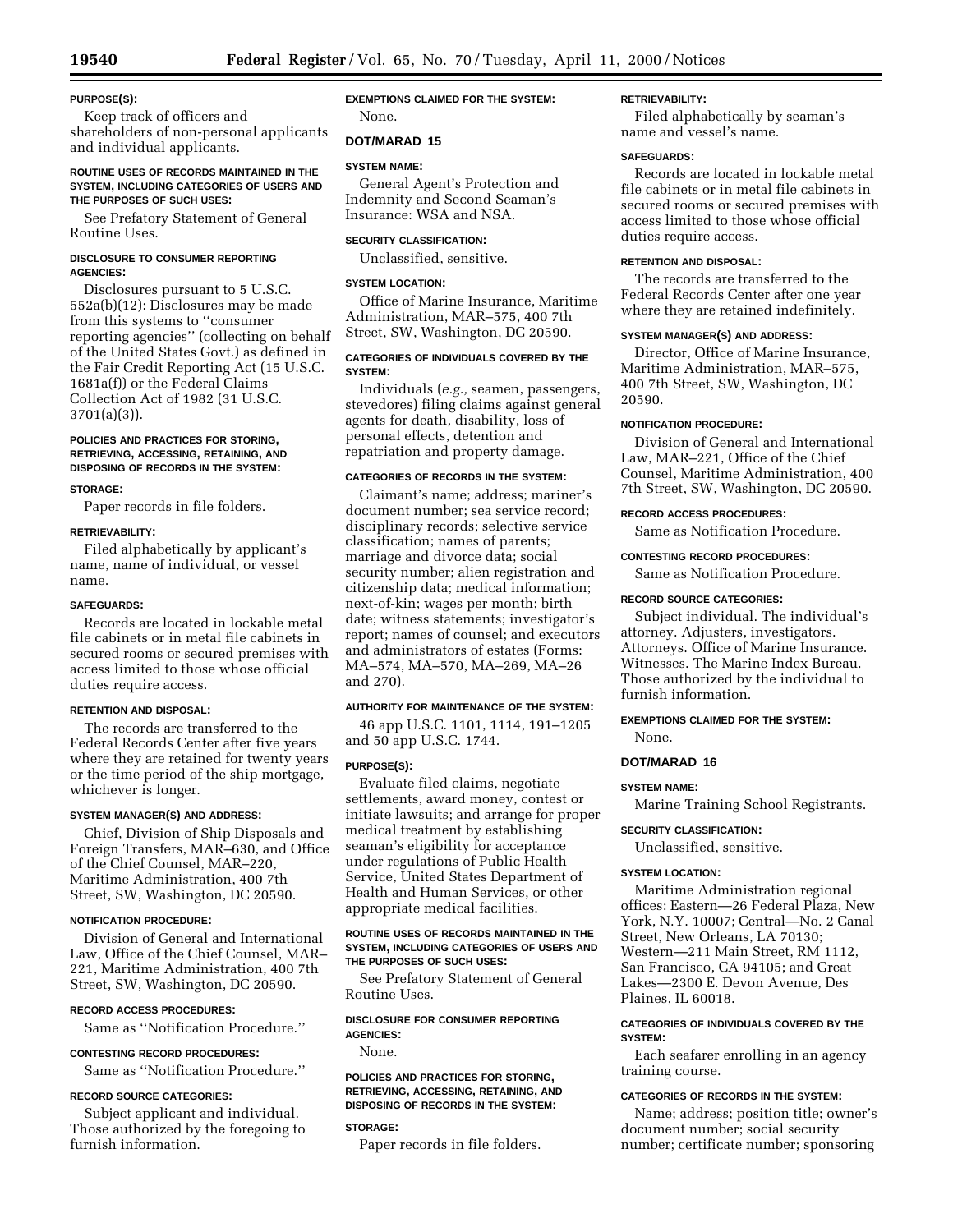## **PURPOSE(S):**

Keep track of officers and shareholders of non-personal applicants and individual applicants.

## **ROUTINE USES OF RECORDS MAINTAINED IN THE SYSTEM, INCLUDING CATEGORIES OF USERS AND THE PURPOSES OF SUCH USES:**

See Prefatory Statement of General Routine Uses.

## **DISCLOSURE TO CONSUMER REPORTING AGENCIES:**

Disclosures pursuant to 5 U.S.C. 552a(b)(12): Disclosures may be made from this systems to ''consumer reporting agencies'' (collecting on behalf of the United States Govt.) as defined in the Fair Credit Reporting Act (15 U.S.C. 1681a(f)) or the Federal Claims Collection Act of 1982 (31 U.S.C. 3701(a)(3)).

## **POLICIES AND PRACTICES FOR STORING, RETRIEVING, ACCESSING, RETAINING, AND DISPOSING OF RECORDS IN THE SYSTEM:**

## **STORAGE:**

Paper records in file folders.

## **RETRIEVABILITY:**

Filed alphabetically by applicant's name, name of individual, or vessel name.

## **SAFEGUARDS:**

Records are located in lockable metal file cabinets or in metal file cabinets in secured rooms or secured premises with access limited to those whose official duties require access.

## **RETENTION AND DISPOSAL:**

The records are transferred to the Federal Records Center after five years where they are retained for twenty years or the time period of the ship mortgage, whichever is longer.

## **SYSTEM MANAGER(S) AND ADDRESS:**

Chief, Division of Ship Disposals and Foreign Transfers, MAR–630, and Office of the Chief Counsel, MAR–220, Maritime Administration, 400 7th Street, SW, Washington, DC 20590.

## **NOTIFICATION PROCEDURE:**

Division of General and International Law, Office of the Chief Counsel, MAR– 221, Maritime Administration, 400 7th Street, SW, Washington, DC 20590.

## **RECORD ACCESS PROCEDURES:**

Same as ''Notification Procedure.''

## **CONTESTING RECORD PROCEDURES:**

Same as ''Notification Procedure.''

## **RECORD SOURCE CATEGORIES:**

Subject applicant and individual. Those authorized by the foregoing to furnish information.

## **EXEMPTIONS CLAIMED FOR THE SYSTEM:** None.

## **DOT/MARAD 15**

## **SYSTEM NAME:**

General Agent's Protection and Indemnity and Second Seaman's Insurance: WSA and NSA.

## **SECURITY CLASSIFICATION:**

Unclassified, sensitive.

## **SYSTEM LOCATION:**

Office of Marine Insurance, Maritime Administration, MAR–575, 400 7th Street, SW, Washington, DC 20590.

## **CATEGORIES OF INDIVIDUALS COVERED BY THE SYSTEM:**

Individuals (*e.g.,* seamen, passengers, stevedores) filing claims against general agents for death, disability, loss of personal effects, detention and repatriation and property damage.

## **CATEGORIES OF RECORDS IN THE SYSTEM:**

Claimant's name; address; mariner's document number; sea service record; disciplinary records; selective service classification; names of parents; marriage and divorce data; social security number; alien registration and citizenship data; medical information; next-of-kin; wages per month; birth date; witness statements; investigator's report; names of counsel; and executors and administrators of estates (Forms: MA–574, MA–570, MA–269, MA–26 and 270).

#### **AUTHORITY FOR MAINTENANCE OF THE SYSTEM:**

46 app U.S.C. 1101, 1114, 191–1205 and 50 app U.S.C. 1744.

## **PURPOSE(S):**

Evaluate filed claims, negotiate settlements, award money, contest or initiate lawsuits; and arrange for proper medical treatment by establishing seaman's eligibility for acceptance under regulations of Public Health Service, United States Department of Health and Human Services, or other appropriate medical facilities.

### **ROUTINE USES OF RECORDS MAINTAINED IN THE SYSTEM, INCLUDING CATEGORIES OF USERS AND THE PURPOSES OF SUCH USES:**

See Prefatory Statement of General Routine Uses.

## **DISCLOSURE FOR CONSUMER REPORTING AGENCIES:**

None.

## **POLICIES AND PRACTICES FOR STORING, RETRIEVING, ACCESSING, RETAINING, AND DISPOSING OF RECORDS IN THE SYSTEM:**

## **STORAGE:**

Paper records in file folders.

## **RETRIEVABILITY:**

Filed alphabetically by seaman's name and vessel's name.

## **SAFEGUARDS:**

Records are located in lockable metal file cabinets or in metal file cabinets in secured rooms or secured premises with access limited to those whose official duties require access.

## **RETENTION AND DISPOSAL:**

The records are transferred to the Federal Records Center after one year where they are retained indefinitely.

### **SYSTEM MANAGER(S) AND ADDRESS:**

Director, Office of Marine Insurance, Maritime Administration, MAR–575, 400 7th Street, SW, Washington, DC 20590.

### **NOTIFICATION PROCEDURE:**

Division of General and International Law, MAR–221, Office of the Chief Counsel, Maritime Administration, 400 7th Street, SW, Washington, DC 20590.

## **RECORD ACCESS PROCEDURES:**

Same as Notification Procedure.

## **CONTESTING RECORD PROCEDURES:**

Same as Notification Procedure.

### **RECORD SOURCE CATEGORIES:**

Subject individual. The individual's attorney. Adjusters, investigators. Attorneys. Office of Marine Insurance. Witnesses. The Marine Index Bureau. Those authorized by the individual to furnish information.

## **EXEMPTIONS CLAIMED FOR THE SYSTEM:** None.

## **DOT/MARAD 16**

## **SYSTEM NAME:**

Marine Training School Registrants.

## **SECURITY CLASSIFICATION:**

Unclassified, sensitive.

## **SYSTEM LOCATION:**

Maritime Administration regional offices: Eastern—26 Federal Plaza, New York, N.Y. 10007; Central—No. 2 Canal Street, New Orleans, LA 70130; Western—211 Main Street, RM 1112, San Francisco, CA 94105; and Great Lakes—2300 E. Devon Avenue, Des Plaines, IL 60018.

## **CATEGORIES OF INDIVIDUALS COVERED BY THE SYSTEM:**

Each seafarer enrolling in an agency training course.

## **CATEGORIES OF RECORDS IN THE SYSTEM:**

Name; address; position title; owner's document number; social security number; certificate number; sponsoring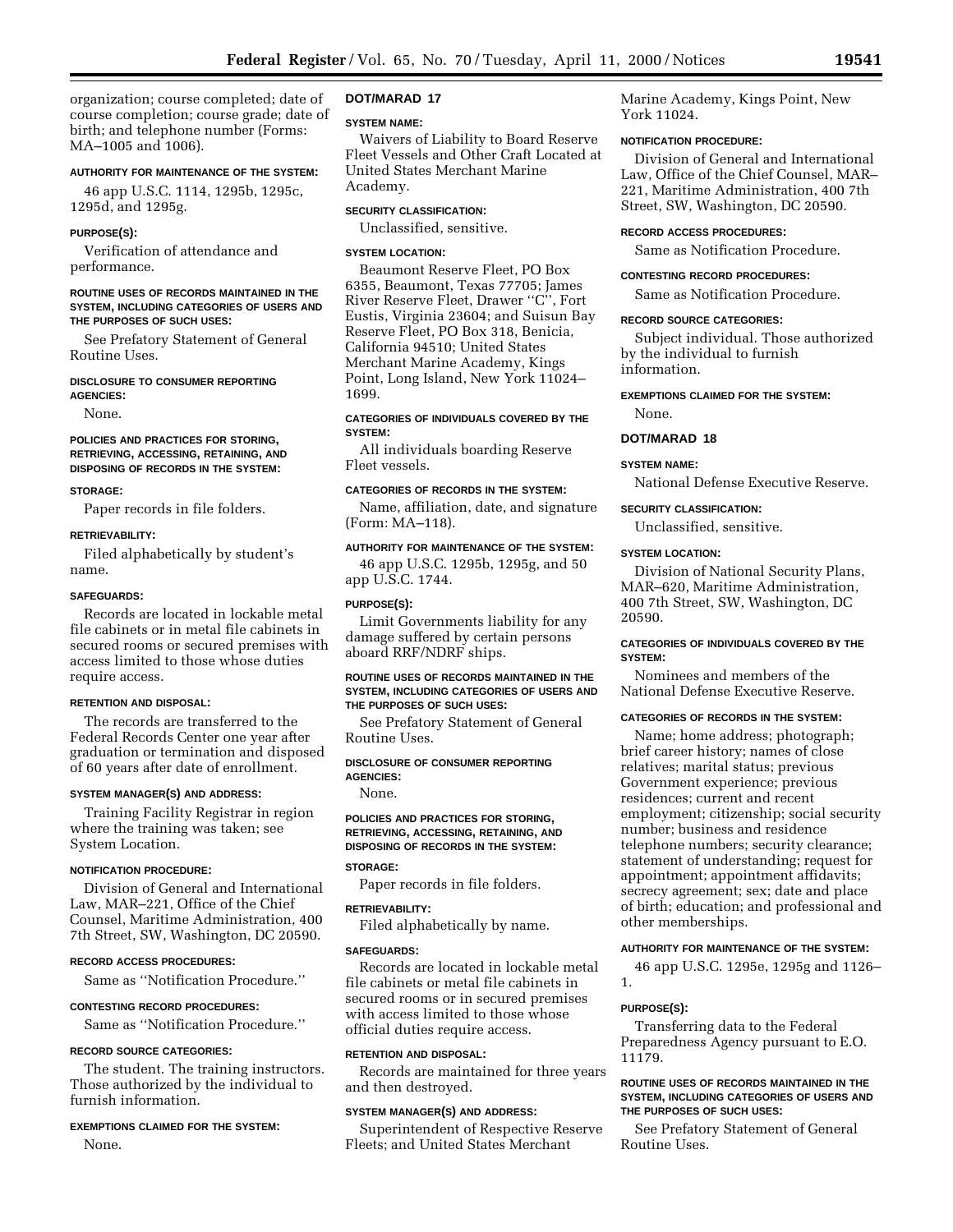organization; course completed; date of course completion; course grade; date of birth; and telephone number (Forms: MA–1005 and 1006).

### **AUTHORITY FOR MAINTENANCE OF THE SYSTEM:**

46 app U.S.C. 1114, 1295b, 1295c, 1295d, and 1295g.

#### **PURPOSE(S):**

Verification of attendance and performance.

### **ROUTINE USES OF RECORDS MAINTAINED IN THE SYSTEM, INCLUDING CATEGORIES OF USERS AND THE PURPOSES OF SUCH USES:**

See Prefatory Statement of General Routine Uses.

#### **DISCLOSURE TO CONSUMER REPORTING AGENCIES:**

None.

## **POLICIES AND PRACTICES FOR STORING, RETRIEVING, ACCESSING, RETAINING, AND DISPOSING OF RECORDS IN THE SYSTEM:**

#### **STORAGE:**

Paper records in file folders.

#### **RETRIEVABILITY:**

Filed alphabetically by student's name.

#### **SAFEGUARDS:**

Records are located in lockable metal file cabinets or in metal file cabinets in secured rooms or secured premises with access limited to those whose duties require access.

### **RETENTION AND DISPOSAL:**

The records are transferred to the Federal Records Center one year after graduation or termination and disposed of 60 years after date of enrollment.

#### **SYSTEM MANAGER(S) AND ADDRESS:**

Training Facility Registrar in region where the training was taken; see System Location.

## **NOTIFICATION PROCEDURE:**

Division of General and International Law, MAR–221, Office of the Chief Counsel, Maritime Administration, 400 7th Street, SW, Washington, DC 20590.

#### **RECORD ACCESS PROCEDURES:**

Same as ''Notification Procedure.''

## **CONTESTING RECORD PROCEDURES:**

Same as ''Notification Procedure.''

## **RECORD SOURCE CATEGORIES:**

The student. The training instructors. Those authorized by the individual to furnish information.

### **EXEMPTIONS CLAIMED FOR THE SYSTEM:**

None.

## **DOT/MARAD 17**

#### **SYSTEM NAME:**

Waivers of Liability to Board Reserve Fleet Vessels and Other Craft Located at United States Merchant Marine Academy.

## **SECURITY CLASSIFICATION:**

Unclassified, sensitive.

### **SYSTEM LOCATION:**

Beaumont Reserve Fleet, PO Box 6355, Beaumont, Texas 77705; James River Reserve Fleet, Drawer ''C'', Fort Eustis, Virginia 23604; and Suisun Bay Reserve Fleet, PO Box 318, Benicia, California 94510; United States Merchant Marine Academy, Kings Point, Long Island, New York 11024– 1699.

## **CATEGORIES OF INDIVIDUALS COVERED BY THE SYSTEM:**

All individuals boarding Reserve Fleet vessels.

## **CATEGORIES OF RECORDS IN THE SYSTEM:**

Name, affiliation, date, and signature (Form: MA–118).

## **AUTHORITY FOR MAINTENANCE OF THE SYSTEM:**

46 app U.S.C. 1295b, 1295g, and 50 app U.S.C. 1744.

## **PURPOSE(S):**

Limit Governments liability for any damage suffered by certain persons aboard RRF/NDRF ships.

### **ROUTINE USES OF RECORDS MAINTAINED IN THE SYSTEM, INCLUDING CATEGORIES OF USERS AND THE PURPOSES OF SUCH USES:**

See Prefatory Statement of General Routine Uses.

**DISCLOSURE OF CONSUMER REPORTING**

# **AGENCIES:**

None.

## **POLICIES AND PRACTICES FOR STORING, RETRIEVING, ACCESSING, RETAINING, AND DISPOSING OF RECORDS IN THE SYSTEM:**

## **STORAGE:**

Paper records in file folders.

## **RETRIEVABILITY:**

Filed alphabetically by name.

#### **SAFEGUARDS:**

Records are located in lockable metal file cabinets or metal file cabinets in secured rooms or in secured premises with access limited to those whose official duties require access.

#### **RETENTION AND DISPOSAL:**

Records are maintained for three years and then destroyed.

#### **SYSTEM MANAGER(S) AND ADDRESS:**

Superintendent of Respective Reserve Fleets; and United States Merchant

Marine Academy, Kings Point, New York 11024.

## **NOTIFICATION PROCEDURE:**

Division of General and International Law, Office of the Chief Counsel, MAR– 221, Maritime Administration, 400 7th Street, SW, Washington, DC 20590.

## **RECORD ACCESS PROCEDURES:**

Same as Notification Procedure.

### **CONTESTING RECORD PROCEDURES:**

Same as Notification Procedure.

#### **RECORD SOURCE CATEGORIES:**

Subject individual. Those authorized by the individual to furnish information.

#### **EXEMPTIONS CLAIMED FOR THE SYSTEM:**

None.

#### **DOT/MARAD 18**

### **SYSTEM NAME:**

National Defense Executive Reserve.

#### **SECURITY CLASSIFICATION:**

Unclassified, sensitive.

#### **SYSTEM LOCATION:**

Division of National Security Plans, MAR–620, Maritime Administration, 400 7th Street, SW, Washington, DC 20590.

## **CATEGORIES OF INDIVIDUALS COVERED BY THE SYSTEM:**

Nominees and members of the National Defense Executive Reserve.

### **CATEGORIES OF RECORDS IN THE SYSTEM:**

Name; home address; photograph; brief career history; names of close relatives; marital status; previous Government experience; previous residences; current and recent employment; citizenship; social security number; business and residence telephone numbers; security clearance; statement of understanding; request for appointment; appointment affidavits; secrecy agreement; sex; date and place of birth; education; and professional and other memberships.

## **AUTHORITY FOR MAINTENANCE OF THE SYSTEM:**

46 app U.S.C. 1295e, 1295g and 1126– 1.

## **PURPOSE(S):**

Transferring data to the Federal Preparedness Agency pursuant to E.O. 11179.

### **ROUTINE USES OF RECORDS MAINTAINED IN THE SYSTEM, INCLUDING CATEGORIES OF USERS AND THE PURPOSES OF SUCH USES:**

See Prefatory Statement of General Routine Uses.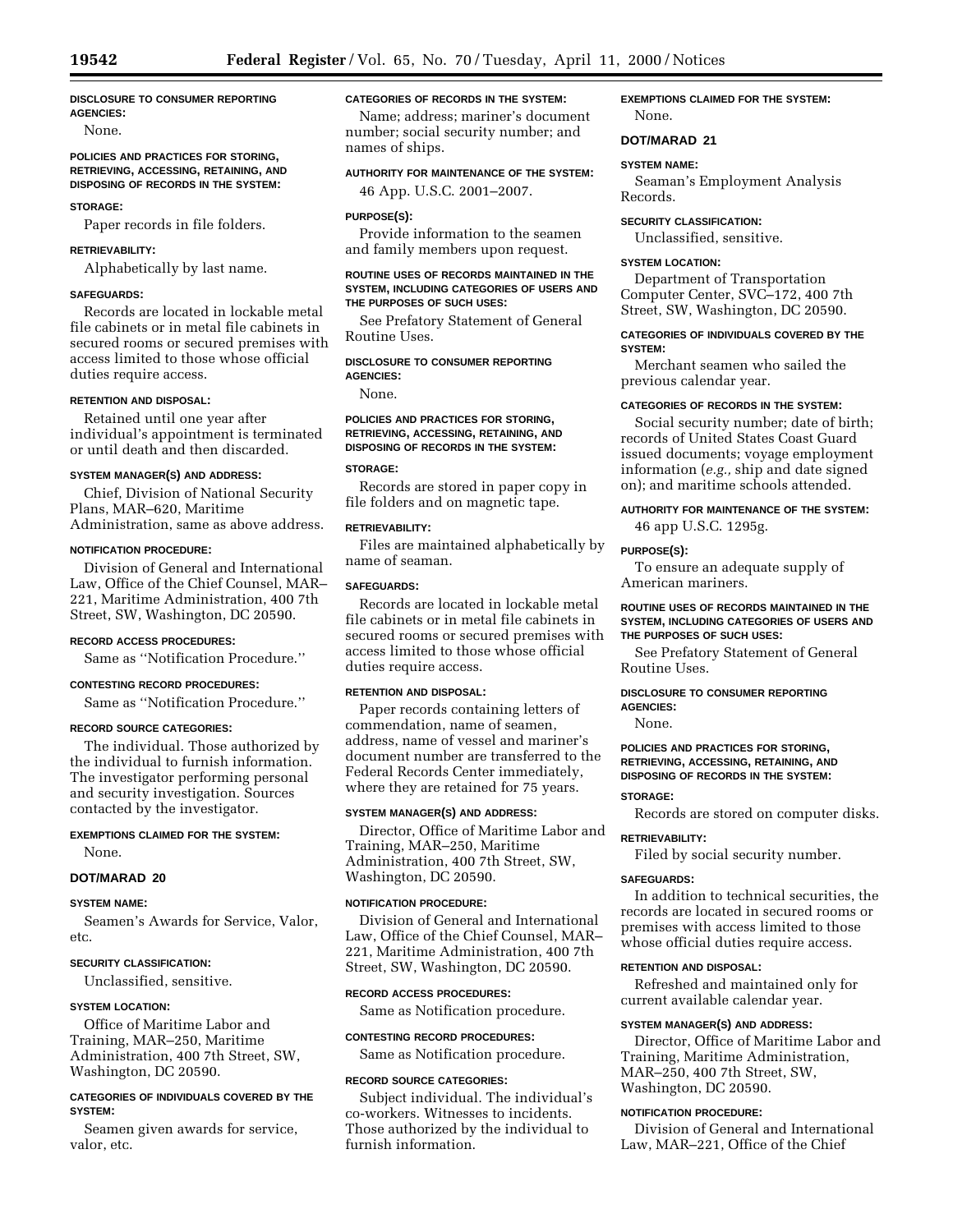#### **DISCLOSURE TO CONSUMER REPORTING AGENCIES:**

None.

## **POLICIES AND PRACTICES FOR STORING, RETRIEVING, ACCESSING, RETAINING, AND DISPOSING OF RECORDS IN THE SYSTEM:**

# **STORAGE:**

Paper records in file folders.

## **RETRIEVABILITY:**

Alphabetically by last name.

## **SAFEGUARDS:**

Records are located in lockable metal file cabinets or in metal file cabinets in secured rooms or secured premises with access limited to those whose official duties require access.

#### **RETENTION AND DISPOSAL:**

Retained until one year after individual's appointment is terminated or until death and then discarded.

## **SYSTEM MANAGER(S) AND ADDRESS:**

Chief, Division of National Security Plans, MAR–620, Maritime Administration, same as above address.

### **NOTIFICATION PROCEDURE:**

Division of General and International Law, Office of the Chief Counsel, MAR– 221, Maritime Administration, 400 7th Street, SW, Washington, DC 20590.

## **RECORD ACCESS PROCEDURES:**

Same as ''Notification Procedure.''

## **CONTESTING RECORD PROCEDURES:**

Same as ''Notification Procedure.''

## **RECORD SOURCE CATEGORIES:**

The individual. Those authorized by the individual to furnish information. The investigator performing personal and security investigation. Sources contacted by the investigator.

## **EXEMPTIONS CLAIMED FOR THE SYSTEM:**

None.

## **DOT/MARAD 20**

### **SYSTEM NAME:**

Seamen's Awards for Service, Valor, etc.

## **SECURITY CLASSIFICATION:**

Unclassified, sensitive.

## **SYSTEM LOCATION:**

Office of Maritime Labor and Training, MAR–250, Maritime Administration, 400 7th Street, SW, Washington, DC 20590.

## **CATEGORIES OF INDIVIDUALS COVERED BY THE SYSTEM:**

Seamen given awards for service, valor, etc.

## **CATEGORIES OF RECORDS IN THE SYSTEM:**

Name; address; mariner's document number; social security number; and names of ships.

## **AUTHORITY FOR MAINTENANCE OF THE SYSTEM:**

46 App. U.S.C. 2001–2007.

## **PURPOSE(S):**

Provide information to the seamen and family members upon request.

### **ROUTINE USES OF RECORDS MAINTAINED IN THE SYSTEM, INCLUDING CATEGORIES OF USERS AND THE PURPOSES OF SUCH USES:**

See Prefatory Statement of General Routine Uses.

## **DISCLOSURE TO CONSUMER REPORTING AGENCIES:**

None.

## **POLICIES AND PRACTICES FOR STORING, RETRIEVING, ACCESSING, RETAINING, AND DISPOSING OF RECORDS IN THE SYSTEM:**

## **STORAGE:**

Records are stored in paper copy in file folders and on magnetic tape.

### **RETRIEVABILITY:**

Files are maintained alphabetically by name of seaman.

## **SAFEGUARDS:**

Records are located in lockable metal file cabinets or in metal file cabinets in secured rooms or secured premises with access limited to those whose official duties require access.

## **RETENTION AND DISPOSAL:**

Paper records containing letters of commendation, name of seamen, address, name of vessel and mariner's document number are transferred to the Federal Records Center immediately, where they are retained for 75 years.

## **SYSTEM MANAGER(S) AND ADDRESS:**

Director, Office of Maritime Labor and Training, MAR–250, Maritime Administration, 400 7th Street, SW, Washington, DC 20590.

## **NOTIFICATION PROCEDURE:**

Division of General and International Law, Office of the Chief Counsel, MAR– 221, Maritime Administration, 400 7th Street, SW, Washington, DC 20590.

## **RECORD ACCESS PROCEDURES:**

Same as Notification procedure.

## **CONTESTING RECORD PROCEDURES:**

Same as Notification procedure.

#### **RECORD SOURCE CATEGORIES:**

Subject individual. The individual's co-workers. Witnesses to incidents. Those authorized by the individual to furnish information.

## **EXEMPTIONS CLAIMED FOR THE SYSTEM:** None.

## **DOT/MARAD 21**

## **SYSTEM NAME:**

Seaman's Employment Analysis Records.

### **SECURITY CLASSIFICATION:**

Unclassified, sensitive.

### **SYSTEM LOCATION:**

Department of Transportation Computer Center, SVC–172, 400 7th Street, SW, Washington, DC 20590.

### **CATEGORIES OF INDIVIDUALS COVERED BY THE SYSTEM:**

Merchant seamen who sailed the previous calendar year.

### **CATEGORIES OF RECORDS IN THE SYSTEM:**

Social security number; date of birth; records of United States Coast Guard issued documents; voyage employment information (*e.g.,* ship and date signed on); and maritime schools attended.

## **AUTHORITY FOR MAINTENANCE OF THE SYSTEM:**

46 app U.S.C. 1295g.

## **PURPOSE(S):**

To ensure an adequate supply of American mariners.

### **ROUTINE USES OF RECORDS MAINTAINED IN THE SYSTEM, INCLUDING CATEGORIES OF USERS AND THE PURPOSES OF SUCH USES:**

See Prefatory Statement of General Routine Uses.

#### **DISCLOSURE TO CONSUMER REPORTING AGENCIES:**

None.

## **POLICIES AND PRACTICES FOR STORING, RETRIEVING, ACCESSING, RETAINING, AND DISPOSING OF RECORDS IN THE SYSTEM:**

#### **STORAGE:**

Records are stored on computer disks.

## **RETRIEVABILITY:**

Filed by social security number.

## **SAFEGUARDS:**

In addition to technical securities, the records are located in secured rooms or premises with access limited to those whose official duties require access.

### **RETENTION AND DISPOSAL:**

Refreshed and maintained only for current available calendar year.

### **SYSTEM MANAGER(S) AND ADDRESS:**

Director, Office of Maritime Labor and Training, Maritime Administration, MAR–250, 400 7th Street, SW, Washington, DC 20590.

#### **NOTIFICATION PROCEDURE:**

Division of General and International Law, MAR–221, Office of the Chief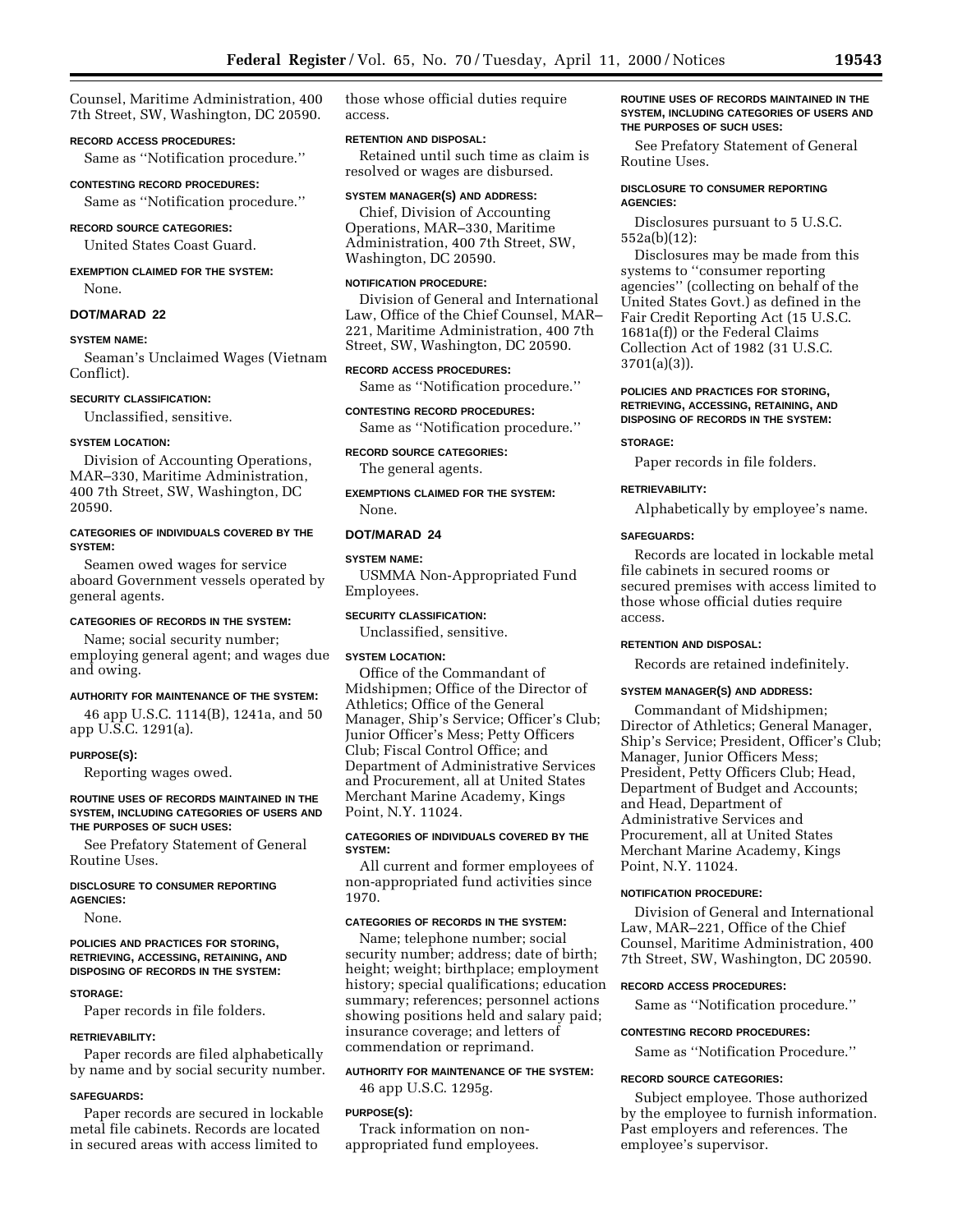Counsel, Maritime Administration, 400 7th Street, SW, Washington, DC 20590.

## **RECORD ACCESS PROCEDURES:**

Same as ''Notification procedure.''

#### **CONTESTING RECORD PROCEDURES:**

Same as ''Notification procedure.''

## **RECORD SOURCE CATEGORIES:**

United States Coast Guard.

## **EXEMPTION CLAIMED FOR THE SYSTEM:**

None.

## **DOT/MARAD 22**

## **SYSTEM NAME:**

Seaman's Unclaimed Wages (Vietnam Conflict).

### **SECURITY CLASSIFICATION:**

Unclassified, sensitive.

## **SYSTEM LOCATION:**

Division of Accounting Operations, MAR–330, Maritime Administration, 400 7th Street, SW, Washington, DC 20590.

### **CATEGORIES OF INDIVIDUALS COVERED BY THE SYSTEM:**

Seamen owed wages for service aboard Government vessels operated by general agents.

## **CATEGORIES OF RECORDS IN THE SYSTEM:**

Name; social security number; employing general agent; and wages due and owing.

## **AUTHORITY FOR MAINTENANCE OF THE SYSTEM:**

46 app U.S.C. 1114(B), 1241a, and 50 app U.S.C. 1291(a).

#### **PURPOSE(S):**

Reporting wages owed.

### **ROUTINE USES OF RECORDS MAINTAINED IN THE SYSTEM, INCLUDING CATEGORIES OF USERS AND THE PURPOSES OF SUCH USES:**

See Prefatory Statement of General Routine Uses.

#### **DISCLOSURE TO CONSUMER REPORTING AGENCIES:**

None.

### **POLICIES AND PRACTICES FOR STORING, RETRIEVING, ACCESSING, RETAINING, AND DISPOSING OF RECORDS IN THE SYSTEM:**

### **STORAGE:**

Paper records in file folders.

#### **RETRIEVABILITY:**

Paper records are filed alphabetically by name and by social security number.

### **SAFEGUARDS:**

Paper records are secured in lockable metal file cabinets. Records are located in secured areas with access limited to

those whose official duties require access.

## **RETENTION AND DISPOSAL:**

Retained until such time as claim is resolved or wages are disbursed.

#### **SYSTEM MANAGER(S) AND ADDRESS:**

Chief, Division of Accounting Operations, MAR–330, Maritime Administration, 400 7th Street, SW, Washington, DC 20590.

## **NOTIFICATION PROCEDURE:**

Division of General and International Law, Office of the Chief Counsel, MAR– 221, Maritime Administration, 400 7th Street, SW, Washington, DC 20590.

## **RECORD ACCESS PROCEDURES:**

Same as ''Notification procedure.''

## **CONTESTING RECORD PROCEDURES:** Same as ''Notification procedure.''

## **RECORD SOURCE CATEGORIES:**

The general agents.

**EXEMPTIONS CLAIMED FOR THE SYSTEM:** None.

## **DOT/MARAD 24**

## **SYSTEM NAME:**

USMMA Non-Appropriated Fund Employees.

**SECURITY CLASSIFICATION:**

Unclassified, sensitive.

## **SYSTEM LOCATION:**

Office of the Commandant of Midshipmen; Office of the Director of Athletics; Office of the General Manager, Ship's Service; Officer's Club; Junior Officer's Mess; Petty Officers Club; Fiscal Control Office; and Department of Administrative Services and Procurement, all at United States Merchant Marine Academy, Kings Point, N.Y. 11024.

## **CATEGORIES OF INDIVIDUALS COVERED BY THE SYSTEM:**

All current and former employees of non-appropriated fund activities since 1970.

## **CATEGORIES OF RECORDS IN THE SYSTEM:**

Name; telephone number; social security number; address; date of birth; height; weight; birthplace; employment history; special qualifications; education summary; references; personnel actions showing positions held and salary paid; insurance coverage; and letters of commendation or reprimand.

### **AUTHORITY FOR MAINTENANCE OF THE SYSTEM:**

46 app U.S.C. 1295g.

## **PURPOSE(S):**

Track information on nonappropriated fund employees.

### **ROUTINE USES OF RECORDS MAINTAINED IN THE SYSTEM, INCLUDING CATEGORIES OF USERS AND THE PURPOSES OF SUCH USES:**

See Prefatory Statement of General Routine Uses.

## **DISCLOSURE TO CONSUMER REPORTING AGENCIES:**

Disclosures pursuant to 5 U.S.C. 552a(b)(12):

Disclosures may be made from this systems to ''consumer reporting agencies'' (collecting on behalf of the United States Govt.) as defined in the Fair Credit Reporting Act (15 U.S.C. 1681a(f)) or the Federal Claims Collection Act of 1982 (31 U.S.C. 3701(a)(3)).

## **POLICIES AND PRACTICES FOR STORING, RETRIEVING, ACCESSING, RETAINING, AND DISPOSING OF RECORDS IN THE SYSTEM:**

#### **STORAGE:**

Paper records in file folders.

## **RETRIEVABILITY:**

Alphabetically by employee's name.

#### **SAFEGUARDS:**

Records are located in lockable metal file cabinets in secured rooms or secured premises with access limited to those whose official duties require access.

### **RETENTION AND DISPOSAL:**

Records are retained indefinitely.

## **SYSTEM MANAGER(S) AND ADDRESS:**

Commandant of Midshipmen; Director of Athletics; General Manager, Ship's Service; President, Officer's Club; Manager, Junior Officers Mess; President, Petty Officers Club; Head, Department of Budget and Accounts; and Head, Department of Administrative Services and Procurement, all at United States Merchant Marine Academy, Kings Point, N.Y. 11024.

### **NOTIFICATION PROCEDURE:**

Division of General and International Law, MAR–221, Office of the Chief Counsel, Maritime Administration, 400 7th Street, SW, Washington, DC 20590.

#### **RECORD ACCESS PROCEDURES:**

Same as ''Notification procedure.''

### **CONTESTING RECORD PROCEDURES:**

Same as ''Notification Procedure.''

#### **RECORD SOURCE CATEGORIES:**

Subject employee. Those authorized by the employee to furnish information. Past employers and references. The employee's supervisor.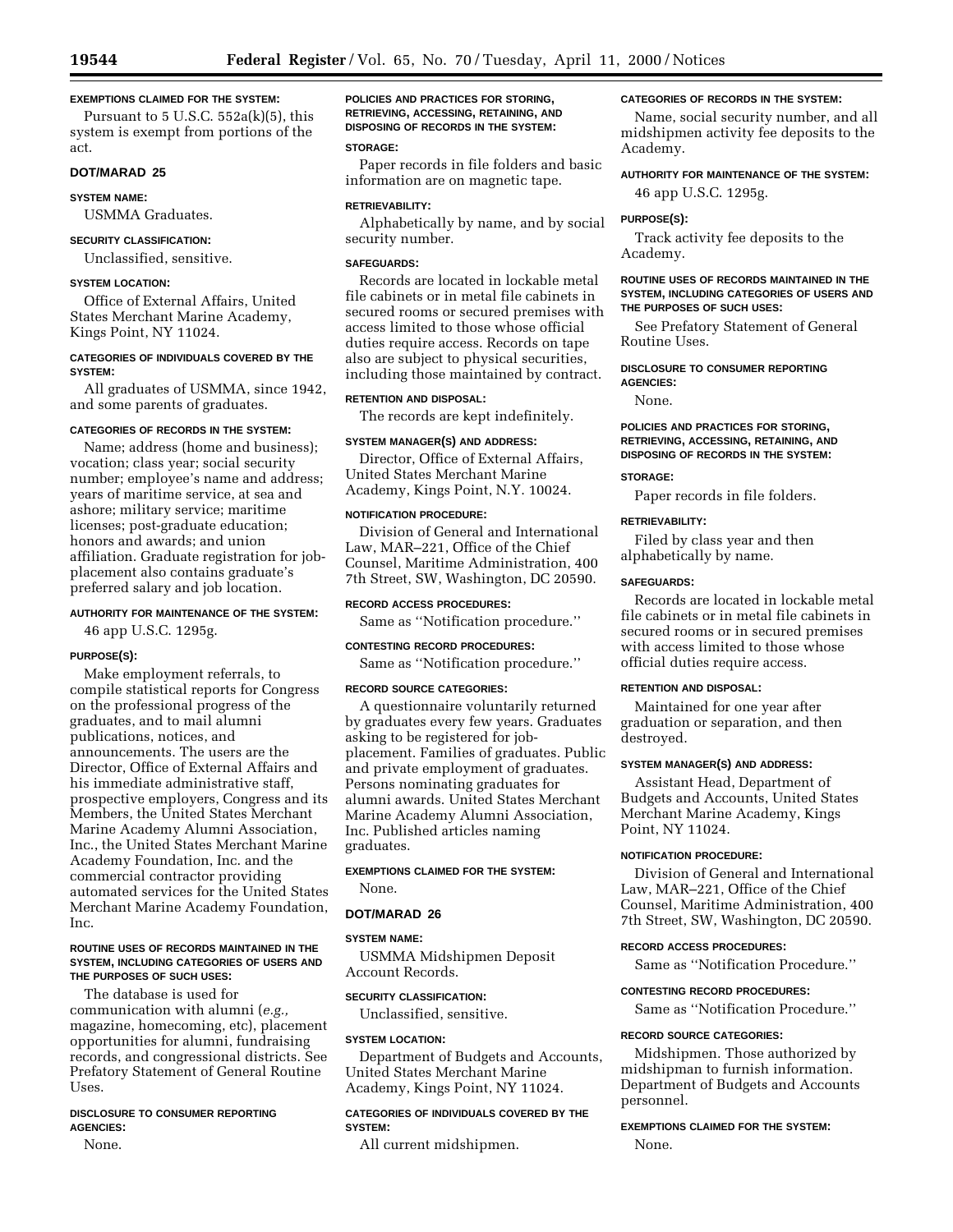#### **EXEMPTIONS CLAIMED FOR THE SYSTEM:**

Pursuant to  $5$  U.S.C.  $552a(k)(5)$ , this system is exempt from portions of the act.

## **DOT/MARAD 25**

## **SYSTEM NAME:**

USMMA Graduates.

### **SECURITY CLASSIFICATION:**

Unclassified, sensitive.

## **SYSTEM LOCATION:**

Office of External Affairs, United States Merchant Marine Academy, Kings Point, NY 11024.

## **CATEGORIES OF INDIVIDUALS COVERED BY THE SYSTEM:**

All graduates of USMMA, since 1942, and some parents of graduates.

#### **CATEGORIES OF RECORDS IN THE SYSTEM:**

Name; address (home and business); vocation; class year; social security number; employee's name and address; years of maritime service, at sea and ashore; military service; maritime licenses; post-graduate education; honors and awards; and union affiliation. Graduate registration for jobplacement also contains graduate's preferred salary and job location.

## **AUTHORITY FOR MAINTENANCE OF THE SYSTEM:**

46 app U.S.C. 1295g.

## **PURPOSE(S):**

Make employment referrals, to compile statistical reports for Congress on the professional progress of the graduates, and to mail alumni publications, notices, and announcements. The users are the Director, Office of External Affairs and his immediate administrative staff, prospective employers, Congress and its Members, the United States Merchant Marine Academy Alumni Association, Inc., the United States Merchant Marine Academy Foundation, Inc. and the commercial contractor providing automated services for the United States Merchant Marine Academy Foundation, Inc.

### **ROUTINE USES OF RECORDS MAINTAINED IN THE SYSTEM, INCLUDING CATEGORIES OF USERS AND THE PURPOSES OF SUCH USES:**

The database is used for communication with alumni (*e.g.,* magazine, homecoming, etc), placement opportunities for alumni, fundraising records, and congressional districts. See Prefatory Statement of General Routine Uses.

## **DISCLOSURE TO CONSUMER REPORTING AGENCIES:**

None.

**POLICIES AND PRACTICES FOR STORING, RETRIEVING, ACCESSING, RETAINING, AND DISPOSING OF RECORDS IN THE SYSTEM:**

## **STORAGE:**

Paper records in file folders and basic information are on magnetic tape.

### **RETRIEVABILITY:**

Alphabetically by name, and by social security number.

## **SAFEGUARDS:**

Records are located in lockable metal file cabinets or in metal file cabinets in secured rooms or secured premises with access limited to those whose official duties require access. Records on tape also are subject to physical securities, including those maintained by contract.

## **RETENTION AND DISPOSAL:**

The records are kept indefinitely.

## **SYSTEM MANAGER(S) AND ADDRESS:**

Director, Office of External Affairs, United States Merchant Marine Academy, Kings Point, N.Y. 10024.

## **NOTIFICATION PROCEDURE:**

Division of General and International Law, MAR–221, Office of the Chief Counsel, Maritime Administration, 400 7th Street, SW, Washington, DC 20590.

## **RECORD ACCESS PROCEDURES:**

Same as ''Notification procedure.''

## **CONTESTING RECORD PROCEDURES:**

Same as ''Notification procedure.''

## **RECORD SOURCE CATEGORIES:**

A questionnaire voluntarily returned by graduates every few years. Graduates asking to be registered for jobplacement. Families of graduates. Public and private employment of graduates. Persons nominating graduates for alumni awards. United States Merchant Marine Academy Alumni Association, Inc. Published articles naming graduates.

## **EXEMPTIONS CLAIMED FOR THE SYSTEM:**

# **DOT/MARAD 26**

## **SYSTEM NAME:**

None.

USMMA Midshipmen Deposit Account Records.

## **SECURITY CLASSIFICATION:**

Unclassified, sensitive.

#### **SYSTEM LOCATION:**

Department of Budgets and Accounts, United States Merchant Marine Academy, Kings Point, NY 11024.

## **CATEGORIES OF INDIVIDUALS COVERED BY THE SYSTEM:**

All current midshipmen.

## **CATEGORIES OF RECORDS IN THE SYSTEM:**

Name, social security number, and all midshipmen activity fee deposits to the Academy.

## **AUTHORITY FOR MAINTENANCE OF THE SYSTEM:**

46 app U.S.C. 1295g.

#### **PURPOSE(S):**

Track activity fee deposits to the Academy.

## **ROUTINE USES OF RECORDS MAINTAINED IN THE SYSTEM, INCLUDING CATEGORIES OF USERS AND THE PURPOSES OF SUCH USES:**

See Prefatory Statement of General Routine Uses.

### **DISCLOSURE TO CONSUMER REPORTING AGENCIES:**

None.

## **POLICIES AND PRACTICES FOR STORING, RETRIEVING, ACCESSING, RETAINING, AND DISPOSING OF RECORDS IN THE SYSTEM:**

## **STORAGE:**

Paper records in file folders.

### **RETRIEVABILITY:**

Filed by class year and then alphabetically by name.

## **SAFEGUARDS:**

Records are located in lockable metal file cabinets or in metal file cabinets in secured rooms or in secured premises with access limited to those whose official duties require access.

## **RETENTION AND DISPOSAL:**

Maintained for one year after graduation or separation, and then destroyed.

## **SYSTEM MANAGER(S) AND ADDRESS:**

Assistant Head, Department of Budgets and Accounts, United States Merchant Marine Academy, Kings Point, NY 11024.

#### **NOTIFICATION PROCEDURE:**

Division of General and International Law, MAR–221, Office of the Chief Counsel, Maritime Administration, 400 7th Street, SW, Washington, DC 20590.

## **RECORD ACCESS PROCEDURES:**

Same as ''Notification Procedure.''

### **CONTESTING RECORD PROCEDURES:**

Same as ''Notification Procedure.''

## **RECORD SOURCE CATEGORIES:**

Midshipmen. Those authorized by midshipman to furnish information. Department of Budgets and Accounts personnel.

## **EXEMPTIONS CLAIMED FOR THE SYSTEM:**

None.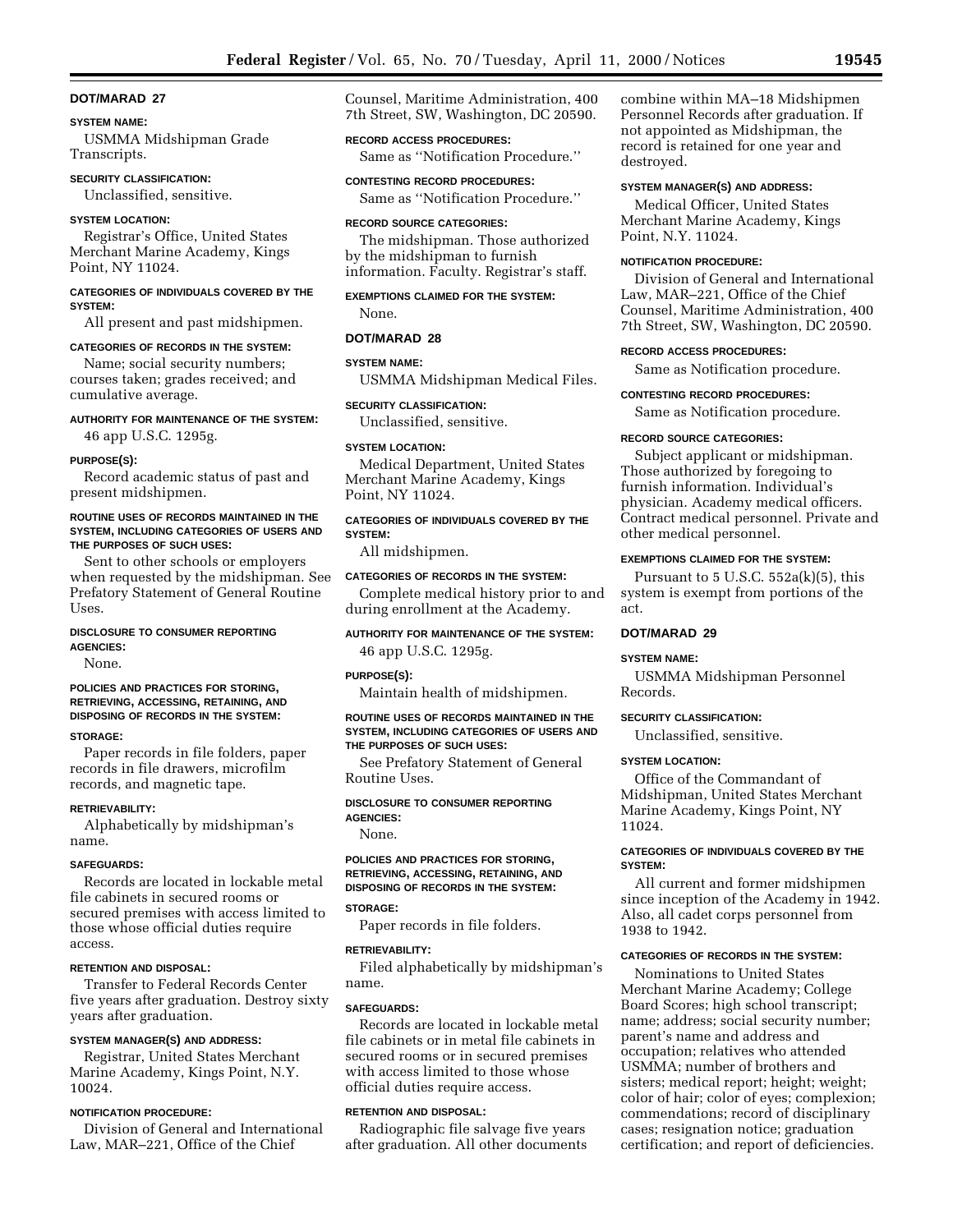#### **SYSTEM NAME:**

USMMA Midshipman Grade Transcripts.

## **SECURITY CLASSIFICATION:**

Unclassified, sensitive.

### **SYSTEM LOCATION:**

Registrar's Office, United States Merchant Marine Academy, Kings Point, NY 11024.

## **CATEGORIES OF INDIVIDUALS COVERED BY THE SYSTEM:**

All present and past midshipmen.

#### **CATEGORIES OF RECORDS IN THE SYSTEM:**

Name; social security numbers; courses taken; grades received; and cumulative average.

# **AUTHORITY FOR MAINTENANCE OF THE SYSTEM:**

46 app U.S.C. 1295g.

## **PURPOSE(S):**

Record academic status of past and present midshipmen.

#### **ROUTINE USES OF RECORDS MAINTAINED IN THE SYSTEM, INCLUDING CATEGORIES OF USERS AND THE PURPOSES OF SUCH USES:**

Sent to other schools or employers when requested by the midshipman. See Prefatory Statement of General Routine Uses.

## **DISCLOSURE TO CONSUMER REPORTING AGENCIES:**

None.

## **POLICIES AND PRACTICES FOR STORING, RETRIEVING, ACCESSING, RETAINING, AND DISPOSING OF RECORDS IN THE SYSTEM:**

## **STORAGE:**

Paper records in file folders, paper records in file drawers, microfilm records, and magnetic tape.

### **RETRIEVABILITY:**

Alphabetically by midshipman's name.

#### **SAFEGUARDS:**

Records are located in lockable metal file cabinets in secured rooms or secured premises with access limited to those whose official duties require access.

## **RETENTION AND DISPOSAL:**

Transfer to Federal Records Center five years after graduation. Destroy sixty years after graduation.

## **SYSTEM MANAGER(S) AND ADDRESS:**

Registrar, United States Merchant Marine Academy, Kings Point, N.Y. 10024.

## **NOTIFICATION PROCEDURE:**

Division of General and International Law, MAR–221, Office of the Chief

Counsel, Maritime Administration, 400 7th Street, SW, Washington, DC 20590.

## **RECORD ACCESS PROCEDURES:**

Same as ''Notification Procedure.''

**CONTESTING RECORD PROCEDURES:** Same as ''Notification Procedure.''

#### **RECORD SOURCE CATEGORIES:**

The midshipman. Those authorized by the midshipman to furnish information. Faculty. Registrar's staff.

## **EXEMPTIONS CLAIMED FOR THE SYSTEM:**

None.

# **DOT/MARAD 28 SYSTEM NAME:**

### USMMA Midshipman Medical Files.

### **SECURITY CLASSIFICATION:**

Unclassified, sensitive.

#### **SYSTEM LOCATION:**

Medical Department, United States Merchant Marine Academy, Kings Point, NY 11024.

## **CATEGORIES OF INDIVIDUALS COVERED BY THE SYSTEM:**

All midshipmen.

## **CATEGORIES OF RECORDS IN THE SYSTEM:**

Complete medical history prior to and during enrollment at the Academy.

**AUTHORITY FOR MAINTENANCE OF THE SYSTEM:** 46 app U.S.C. 1295g.

#### **PURPOSE(S):**

Maintain health of midshipmen.

### **ROUTINE USES OF RECORDS MAINTAINED IN THE SYSTEM, INCLUDING CATEGORIES OF USERS AND THE PURPOSES OF SUCH USES:**

See Prefatory Statement of General Routine Uses.

#### **DISCLOSURE TO CONSUMER REPORTING AGENCIES:**

None.

### **POLICIES AND PRACTICES FOR STORING, RETRIEVING, ACCESSING, RETAINING, AND DISPOSING OF RECORDS IN THE SYSTEM:**

### **STORAGE:**

Paper records in file folders.

## **RETRIEVABILITY:**

Filed alphabetically by midshipman's name.

## **SAFEGUARDS:**

Records are located in lockable metal file cabinets or in metal file cabinets in secured rooms or in secured premises with access limited to those whose official duties require access.

## **RETENTION AND DISPOSAL:**

Radiographic file salvage five years after graduation. All other documents

combine within MA–18 Midshipmen Personnel Records after graduation. If not appointed as Midshipman, the record is retained for one year and destroyed.

### **SYSTEM MANAGER(S) AND ADDRESS:**

Medical Officer, United States Merchant Marine Academy, Kings Point, N.Y. 11024.

#### **NOTIFICATION PROCEDURE:**

Division of General and International Law, MAR–221, Office of the Chief Counsel, Maritime Administration, 400 7th Street, SW, Washington, DC 20590.

#### **RECORD ACCESS PROCEDURES:**

Same as Notification procedure.

### **CONTESTING RECORD PROCEDURES:**

Same as Notification procedure.

#### **RECORD SOURCE CATEGORIES:**

Subject applicant or midshipman. Those authorized by foregoing to furnish information. Individual's physician. Academy medical officers. Contract medical personnel. Private and other medical personnel.

### **EXEMPTIONS CLAIMED FOR THE SYSTEM:**

Pursuant to  $5 \text{ U.S.C. } 552a(k)(5)$ , this system is exempt from portions of the act.

## **DOT/MARAD 29**

#### **SYSTEM NAME:**

USMMA Midshipman Personnel Records.

#### **SECURITY CLASSIFICATION:**

Unclassified, sensitive.

## **SYSTEM LOCATION:**

Office of the Commandant of Midshipman, United States Merchant Marine Academy, Kings Point, NY 11024.

## **CATEGORIES OF INDIVIDUALS COVERED BY THE SYSTEM:**

All current and former midshipmen since inception of the Academy in 1942. Also, all cadet corps personnel from 1938 to 1942.

## **CATEGORIES OF RECORDS IN THE SYSTEM:**

Nominations to United States Merchant Marine Academy; College Board Scores; high school transcript; name; address; social security number; parent's name and address and occupation; relatives who attended USMMA; number of brothers and sisters; medical report; height; weight; color of hair; color of eyes; complexion; commendations; record of disciplinary cases; resignation notice; graduation certification; and report of deficiencies.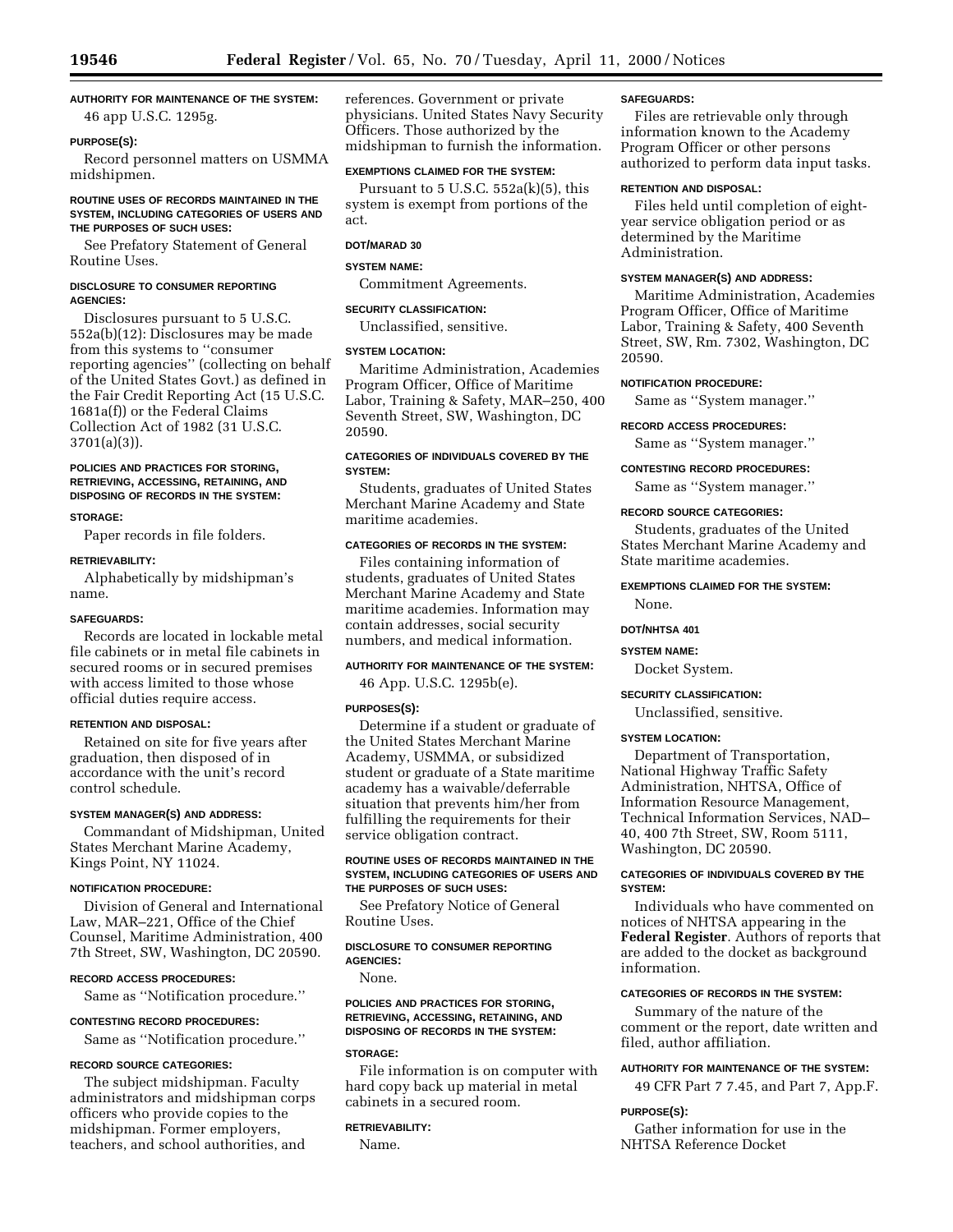## **AUTHORITY FOR MAINTENANCE OF THE SYSTEM:**

46 app U.S.C. 1295g.

## **PURPOSE(S):**

Record personnel matters on USMMA midshipmen.

## **ROUTINE USES OF RECORDS MAINTAINED IN THE SYSTEM, INCLUDING CATEGORIES OF USERS AND THE PURPOSES OF SUCH USES:**

See Prefatory Statement of General Routine Uses.

### **DISCLOSURE TO CONSUMER REPORTING AGENCIES:**

Disclosures pursuant to 5 U.S.C. 552a(b)(12): Disclosures may be made from this systems to ''consumer reporting agencies'' (collecting on behalf of the United States Govt.) as defined in the Fair Credit Reporting Act (15 U.S.C. 1681a(f)) or the Federal Claims Collection Act of 1982 (31 U.S.C. 3701(a)(3)).

## **POLICIES AND PRACTICES FOR STORING, RETRIEVING, ACCESSING, RETAINING, AND DISPOSING OF RECORDS IN THE SYSTEM:**

### **STORAGE:**

Paper records in file folders.

#### **RETRIEVABILITY:**

Alphabetically by midshipman's name.

### **SAFEGUARDS:**

Records are located in lockable metal file cabinets or in metal file cabinets in secured rooms or in secured premises with access limited to those whose official duties require access.

## **RETENTION AND DISPOSAL:**

Retained on site for five years after graduation, then disposed of in accordance with the unit's record control schedule.

## **SYSTEM MANAGER(S) AND ADDRESS:**

Commandant of Midshipman, United States Merchant Marine Academy, Kings Point, NY 11024.

## **NOTIFICATION PROCEDURE:**

Division of General and International Law, MAR–221, Office of the Chief Counsel, Maritime Administration, 400 7th Street, SW, Washington, DC 20590.

# **RECORD ACCESS PROCEDURES:**

Same as ''Notification procedure.''

#### **CONTESTING RECORD PROCEDURES:**

Same as ''Notification procedure.''

## **RECORD SOURCE CATEGORIES:**

The subject midshipman. Faculty administrators and midshipman corps officers who provide copies to the midshipman. Former employers, teachers, and school authorities, and

references. Government or private physicians. United States Navy Security Officers. Those authorized by the midshipman to furnish the information.

### **EXEMPTIONS CLAIMED FOR THE SYSTEM:**

Pursuant to  $5$  U.S.C.  $552a(k)(5)$ , this system is exempt from portions of the act.

## **DOT/MARAD 30**

## **SYSTEM NAME:**

Commitment Agreements.

### **SECURITY CLASSIFICATION:**

Unclassified, sensitive.

#### **SYSTEM LOCATION:**

Maritime Administration, Academies Program Officer, Office of Maritime Labor, Training & Safety, MAR–250, 400 Seventh Street, SW, Washington, DC 20590.

## **CATEGORIES OF INDIVIDUALS COVERED BY THE SYSTEM:**

Students, graduates of United States Merchant Marine Academy and State maritime academies.

## **CATEGORIES OF RECORDS IN THE SYSTEM:**

Files containing information of students, graduates of United States Merchant Marine Academy and State maritime academies. Information may contain addresses, social security numbers, and medical information.

## **AUTHORITY FOR MAINTENANCE OF THE SYSTEM:**

46 App. U.S.C. 1295b(e).

## **PURPOSES(S):**

Determine if a student or graduate of the United States Merchant Marine Academy, USMMA, or subsidized student or graduate of a State maritime academy has a waivable/deferrable situation that prevents him/her from fulfilling the requirements for their service obligation contract.

## **ROUTINE USES OF RECORDS MAINTAINED IN THE SYSTEM, INCLUDING CATEGORIES OF USERS AND THE PURPOSES OF SUCH USES:**

See Prefatory Notice of General Routine Uses.

## **DISCLOSURE TO CONSUMER REPORTING AGENCIES:**

None.

## **POLICIES AND PRACTICES FOR STORING, RETRIEVING, ACCESSING, RETAINING, AND DISPOSING OF RECORDS IN THE SYSTEM:**

## **STORAGE:**

File information is on computer with hard copy back up material in metal cabinets in a secured room.

#### **RETRIEVABILITY:**

Name.

#### **SAFEGUARDS:**

Files are retrievable only through information known to the Academy Program Officer or other persons authorized to perform data input tasks.

## **RETENTION AND DISPOSAL:**

Files held until completion of eightyear service obligation period or as determined by the Maritime Administration.

#### **SYSTEM MANAGER(S) AND ADDRESS:**

Maritime Administration, Academies Program Officer, Office of Maritime Labor, Training & Safety, 400 Seventh Street, SW, Rm. 7302, Washington, DC 20590.

## **NOTIFICATION PROCEDURE:**

Same as ''System manager.''

#### **RECORD ACCESS PROCEDURES:**

Same as ''System manager.''

#### **CONTESTING RECORD PROCEDURES:**

Same as ''System manager.''

## **RECORD SOURCE CATEGORIES:**

Students, graduates of the United States Merchant Marine Academy and State maritime academies.

#### **EXEMPTIONS CLAIMED FOR THE SYSTEM:**

None.

## **DOT/NHTSA 401**

#### **SYSTEM NAME:**

Docket System.

#### **SECURITY CLASSIFICATION:**

Unclassified, sensitive.

#### **SYSTEM LOCATION:**

Department of Transportation, National Highway Traffic Safety Administration, NHTSA, Office of Information Resource Management, Technical Information Services, NAD– 40, 400 7th Street, SW, Room 5111, Washington, DC 20590.

## **CATEGORIES OF INDIVIDUALS COVERED BY THE SYSTEM:**

Individuals who have commented on notices of NHTSA appearing in the **Federal Register**. Authors of reports that are added to the docket as background information.

## **CATEGORIES OF RECORDS IN THE SYSTEM:**

Summary of the nature of the comment or the report, date written and filed, author affiliation.

## **AUTHORITY FOR MAINTENANCE OF THE SYSTEM:**

49 CFR Part 7 7.45, and Part 7, App.F.

#### **PURPOSE(S):**

Gather information for use in the NHTSA Reference Docket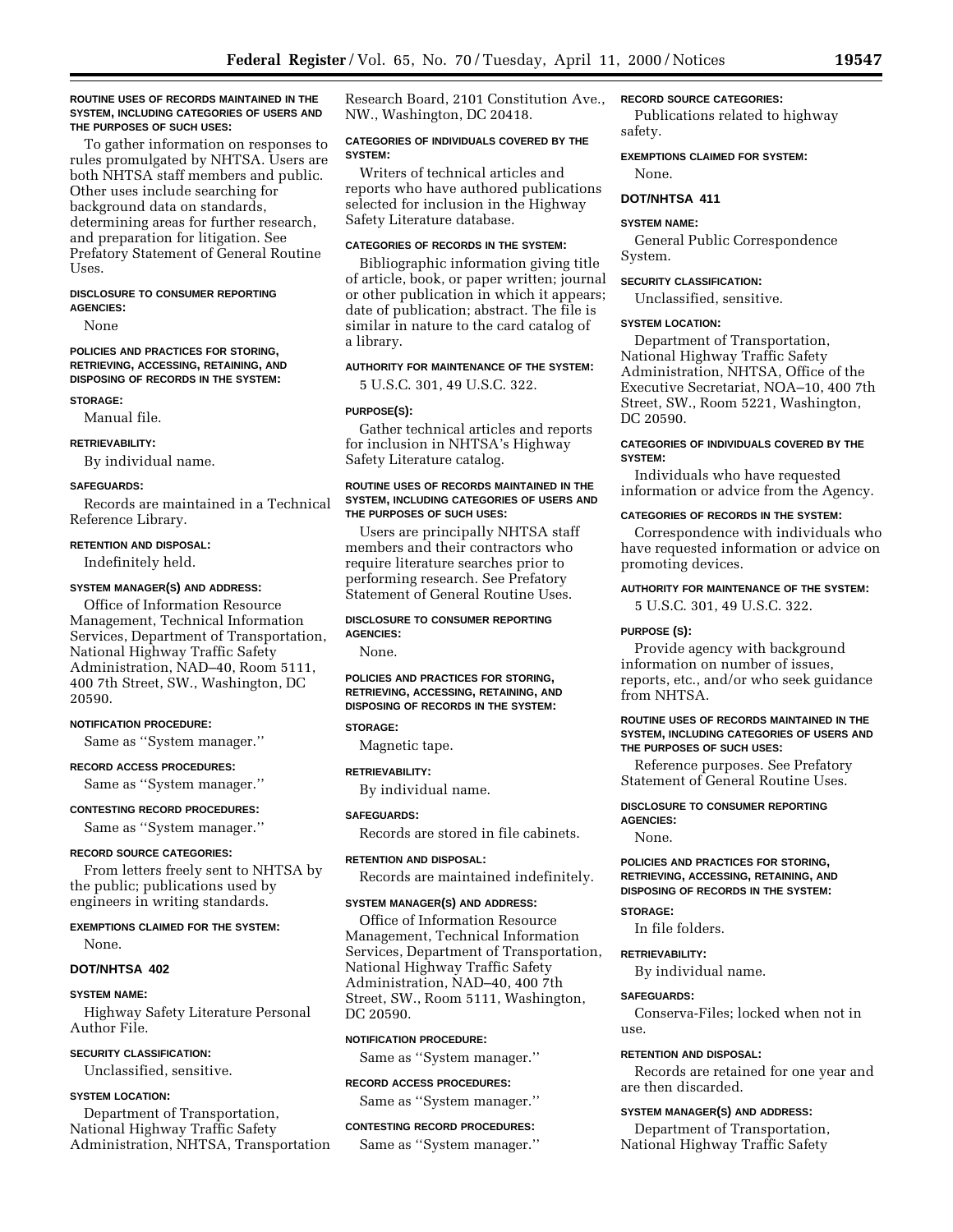### **ROUTINE USES OF RECORDS MAINTAINED IN THE SYSTEM, INCLUDING CATEGORIES OF USERS AND THE PURPOSES OF SUCH USES:**

To gather information on responses to rules promulgated by NHTSA. Users are both NHTSA staff members and public. Other uses include searching for background data on standards, determining areas for further research, and preparation for litigation. See Prefatory Statement of General Routine Uses.

#### **DISCLOSURE TO CONSUMER REPORTING AGENCIES:**

None

#### **POLICIES AND PRACTICES FOR STORING, RETRIEVING, ACCESSING, RETAINING, AND DISPOSING OF RECORDS IN THE SYSTEM:**

#### **STORAGE:**

Manual file.

### **RETRIEVABILITY:**

By individual name.

### **SAFEGUARDS:**

Records are maintained in a Technical Reference Library.

#### **RETENTION AND DISPOSAL:**

Indefinitely held.

### **SYSTEM MANAGER(S) AND ADDRESS:**

Office of Information Resource Management, Technical Information Services, Department of Transportation, National Highway Traffic Safety Administration, NAD–40, Room 5111, 400 7th Street, SW., Washington, DC 20590.

#### **NOTIFICATION PROCEDURE:**

Same as ''System manager.''

## **RECORD ACCESS PROCEDURES:**

Same as ''System manager.''

### **CONTESTING RECORD PROCEDURES:**

Same as ''System manager.''

### **RECORD SOURCE CATEGORIES:**

From letters freely sent to NHTSA by the public; publications used by engineers in writing standards.

### **EXEMPTIONS CLAIMED FOR THE SYSTEM:** None.

## **DOT/NHTSA 402**

### **SYSTEM NAME:**

Highway Safety Literature Personal Author File.

#### **SECURITY CLASSIFICATION:**

Unclassified, sensitive.

### **SYSTEM LOCATION:**

Department of Transportation, National Highway Traffic Safety Administration, NHTSA, Transportation

Research Board, 2101 Constitution Ave., NW., Washington, DC 20418.

### **CATEGORIES OF INDIVIDUALS COVERED BY THE SYSTEM:**

Writers of technical articles and reports who have authored publications selected for inclusion in the Highway Safety Literature database.

### **CATEGORIES OF RECORDS IN THE SYSTEM:**

Bibliographic information giving title of article, book, or paper written; journal or other publication in which it appears; date of publication; abstract. The file is similar in nature to the card catalog of a library.

### **AUTHORITY FOR MAINTENANCE OF THE SYSTEM:**

5 U.S.C. 301, 49 U.S.C. 322.

### **PURPOSE(S):**

Gather technical articles and reports for inclusion in NHTSA's Highway Safety Literature catalog.

### **ROUTINE USES OF RECORDS MAINTAINED IN THE SYSTEM, INCLUDING CATEGORIES OF USERS AND THE PURPOSES OF SUCH USES:**

Users are principally NHTSA staff members and their contractors who require literature searches prior to performing research. See Prefatory Statement of General Routine Uses.

#### **DISCLOSURE TO CONSUMER REPORTING AGENCIES:**

None.

### **POLICIES AND PRACTICES FOR STORING, RETRIEVING, ACCESSING, RETAINING, AND DISPOSING OF RECORDS IN THE SYSTEM:**

### **STORAGE:**

Magnetic tape.

# **RETRIEVABILITY:**

By individual name.

### **SAFEGUARDS:**

Records are stored in file cabinets.

### **RETENTION AND DISPOSAL:**

Records are maintained indefinitely.

#### **SYSTEM MANAGER(S) AND ADDRESS:**

Office of Information Resource Management, Technical Information Services, Department of Transportation, National Highway Traffic Safety Administration, NAD–40, 400 7th Street, SW., Room 5111, Washington, DC 20590.

#### **NOTIFICATION PROCEDURE:**

Same as ''System manager.''

#### **RECORD ACCESS PROCEDURES:**

Same as ''System manager.''

## **CONTESTING RECORD PROCEDURES:**

Same as ''System manager.''

### **RECORD SOURCE CATEGORIES:**

Publications related to highway safety.

**EXEMPTIONS CLAIMED FOR SYSTEM:** None.

### **DOT/NHTSA 411**

#### **SYSTEM NAME:**

General Public Correspondence System.

#### **SECURITY CLASSIFICATION:**

Unclassified, sensitive.

### **SYSTEM LOCATION:**

Department of Transportation, National Highway Traffic Safety Administration, NHTSA, Office of the Executive Secretariat, NOA–10, 400 7th Street, SW., Room 5221, Washington, DC 20590.

### **CATEGORIES OF INDIVIDUALS COVERED BY THE SYSTEM:**

Individuals who have requested information or advice from the Agency.

### **CATEGORIES OF RECORDS IN THE SYSTEM:**

Correspondence with individuals who have requested information or advice on promoting devices.

### **AUTHORITY FOR MAINTENANCE OF THE SYSTEM:**

5 U.S.C. 301, 49 U.S.C. 322.

#### **PURPOSE (S):**

Provide agency with background information on number of issues, reports, etc., and/or who seek guidance from NHTSA.

### **ROUTINE USES OF RECORDS MAINTAINED IN THE SYSTEM, INCLUDING CATEGORIES OF USERS AND THE PURPOSES OF SUCH USES:**

Reference purposes. See Prefatory Statement of General Routine Uses.

### **DISCLOSURE TO CONSUMER REPORTING**

**AGENCIES:**

## None.

**POLICIES AND PRACTICES FOR STORING, RETRIEVING, ACCESSING, RETAINING, AND DISPOSING OF RECORDS IN THE SYSTEM:**

#### **STORAGE:**

In file folders.

### **RETRIEVABILITY:**

By individual name.

#### **SAFEGUARDS:**

Conserva-Files; locked when not in use.

#### **RETENTION AND DISPOSAL:**

Records are retained for one year and are then discarded.

### **SYSTEM MANAGER(S) AND ADDRESS:**

Department of Transportation, National Highway Traffic Safety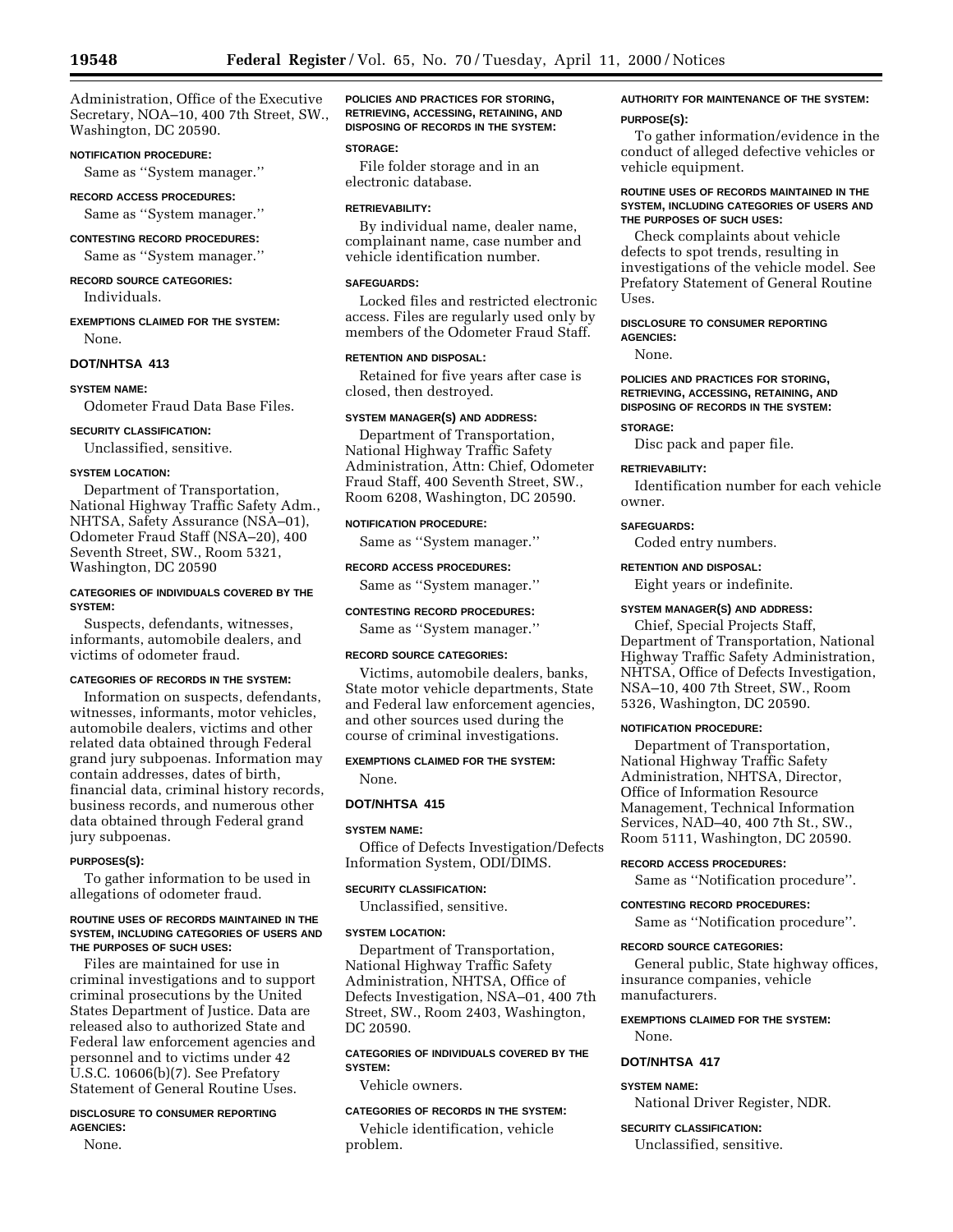Administration, Office of the Executive Secretary, NOA–10, 400 7th Street, SW., Washington, DC 20590.

### **NOTIFICATION PROCEDURE:**

Same as ''System manager.''

## **RECORD ACCESS PROCEDURES:**

Same as ''System manager.''

#### **CONTESTING RECORD PROCEDURES:**

Same as ''System manager.''

### **RECORD SOURCE CATEGORIES:** Individuals.

### **EXEMPTIONS CLAIMED FOR THE SYSTEM:** None.

**DOT/NHTSA 413**

#### **SYSTEM NAME:**

Odometer Fraud Data Base Files.

#### **SECURITY CLASSIFICATION:**

Unclassified, sensitive.

### **SYSTEM LOCATION:**

Department of Transportation, National Highway Traffic Safety Adm., NHTSA, Safety Assurance (NSA–01), Odometer Fraud Staff (NSA–20), 400 Seventh Street, SW., Room 5321, Washington, DC 20590

### **CATEGORIES OF INDIVIDUALS COVERED BY THE SYSTEM:**

Suspects, defendants, witnesses, informants, automobile dealers, and victims of odometer fraud.

### **CATEGORIES OF RECORDS IN THE SYSTEM:**

Information on suspects, defendants, witnesses, informants, motor vehicles, automobile dealers, victims and other related data obtained through Federal grand jury subpoenas. Information may contain addresses, dates of birth, financial data, criminal history records, business records, and numerous other data obtained through Federal grand jury subpoenas.

### **PURPOSES(S):**

To gather information to be used in allegations of odometer fraud.

#### **ROUTINE USES OF RECORDS MAINTAINED IN THE SYSTEM, INCLUDING CATEGORIES OF USERS AND THE PURPOSES OF SUCH USES:**

Files are maintained for use in criminal investigations and to support criminal prosecutions by the United States Department of Justice. Data are released also to authorized State and Federal law enforcement agencies and personnel and to victims under 42 U.S.C. 10606(b)(7). See Prefatory Statement of General Routine Uses.

### **DISCLOSURE TO CONSUMER REPORTING AGENCIES:**

None.

**POLICIES AND PRACTICES FOR STORING, RETRIEVING, ACCESSING, RETAINING, AND DISPOSING OF RECORDS IN THE SYSTEM:**

#### **STORAGE:**

File folder storage and in an electronic database.

#### **RETRIEVABILITY:**

By individual name, dealer name, complainant name, case number and vehicle identification number.

### **SAFEGUARDS:**

Locked files and restricted electronic access. Files are regularly used only by members of the Odometer Fraud Staff.

### **RETENTION AND DISPOSAL:**

Retained for five years after case is closed, then destroyed.

#### **SYSTEM MANAGER(S) AND ADDRESS:**

Department of Transportation, National Highway Traffic Safety Administration, Attn: Chief, Odometer Fraud Staff, 400 Seventh Street, SW., Room 6208, Washington, DC 20590.

### **NOTIFICATION PROCEDURE:**

Same as ''System manager.''

### **RECORD ACCESS PROCEDURES:**

Same as ''System manager.''

## **CONTESTING RECORD PROCEDURES:**

Same as ''System manager.''

#### **RECORD SOURCE CATEGORIES:**

Victims, automobile dealers, banks, State motor vehicle departments, State and Federal law enforcement agencies, and other sources used during the course of criminal investigations.

#### **EXEMPTIONS CLAIMED FOR THE SYSTEM:**

None.

#### **DOT/NHTSA 415**

#### **SYSTEM NAME:**

Office of Defects Investigation/Defects Information System, ODI/DIMS.

### **SECURITY CLASSIFICATION:**

Unclassified, sensitive.

#### **SYSTEM LOCATION:**

Department of Transportation, National Highway Traffic Safety Administration, NHTSA, Office of Defects Investigation, NSA–01, 400 7th Street, SW., Room 2403, Washington, DC 20590.

### **CATEGORIES OF INDIVIDUALS COVERED BY THE SYSTEM:**

Vehicle owners.

#### **CATEGORIES OF RECORDS IN THE SYSTEM:**

Vehicle identification, vehicle problem.

### **AUTHORITY FOR MAINTENANCE OF THE SYSTEM: PURPOSE(S):**

To gather information/evidence in the conduct of alleged defective vehicles or vehicle equipment.

#### **ROUTINE USES OF RECORDS MAINTAINED IN THE SYSTEM, INCLUDING CATEGORIES OF USERS AND THE PURPOSES OF SUCH USES:**

Check complaints about vehicle defects to spot trends, resulting in investigations of the vehicle model. See Prefatory Statement of General Routine Uses.

### **DISCLOSURE TO CONSUMER REPORTING AGENCIES:**

None.

### **POLICIES AND PRACTICES FOR STORING, RETRIEVING, ACCESSING, RETAINING, AND DISPOSING OF RECORDS IN THE SYSTEM:**

#### **STORAGE:**

Disc pack and paper file.

#### **RETRIEVABILITY:**

Identification number for each vehicle owner.

#### **SAFEGUARDS:**

Coded entry numbers.

#### **RETENTION AND DISPOSAL:**

Eight years or indefinite.

### **SYSTEM MANAGER(S) AND ADDRESS:**

Chief, Special Projects Staff, Department of Transportation, National Highway Traffic Safety Administration, NHTSA, Office of Defects Investigation, NSA–10, 400 7th Street, SW., Room 5326, Washington, DC 20590.

#### **NOTIFICATION PROCEDURE:**

Department of Transportation, National Highway Traffic Safety Administration, NHTSA, Director, Office of Information Resource Management, Technical Information Services, NAD–40, 400 7th St., SW., Room 5111, Washington, DC 20590.

### **RECORD ACCESS PROCEDURES:**

Same as ''Notification procedure''.

### **CONTESTING RECORD PROCEDURES:**

Same as ''Notification procedure''.

#### **RECORD SOURCE CATEGORIES:**

General public, State highway offices, insurance companies, vehicle manufacturers.

#### **EXEMPTIONS CLAIMED FOR THE SYSTEM:**

None.

### **DOT/NHTSA 417**

### **SYSTEM NAME:**

National Driver Register, NDR.

### **SECURITY CLASSIFICATION:** Unclassified, sensitive.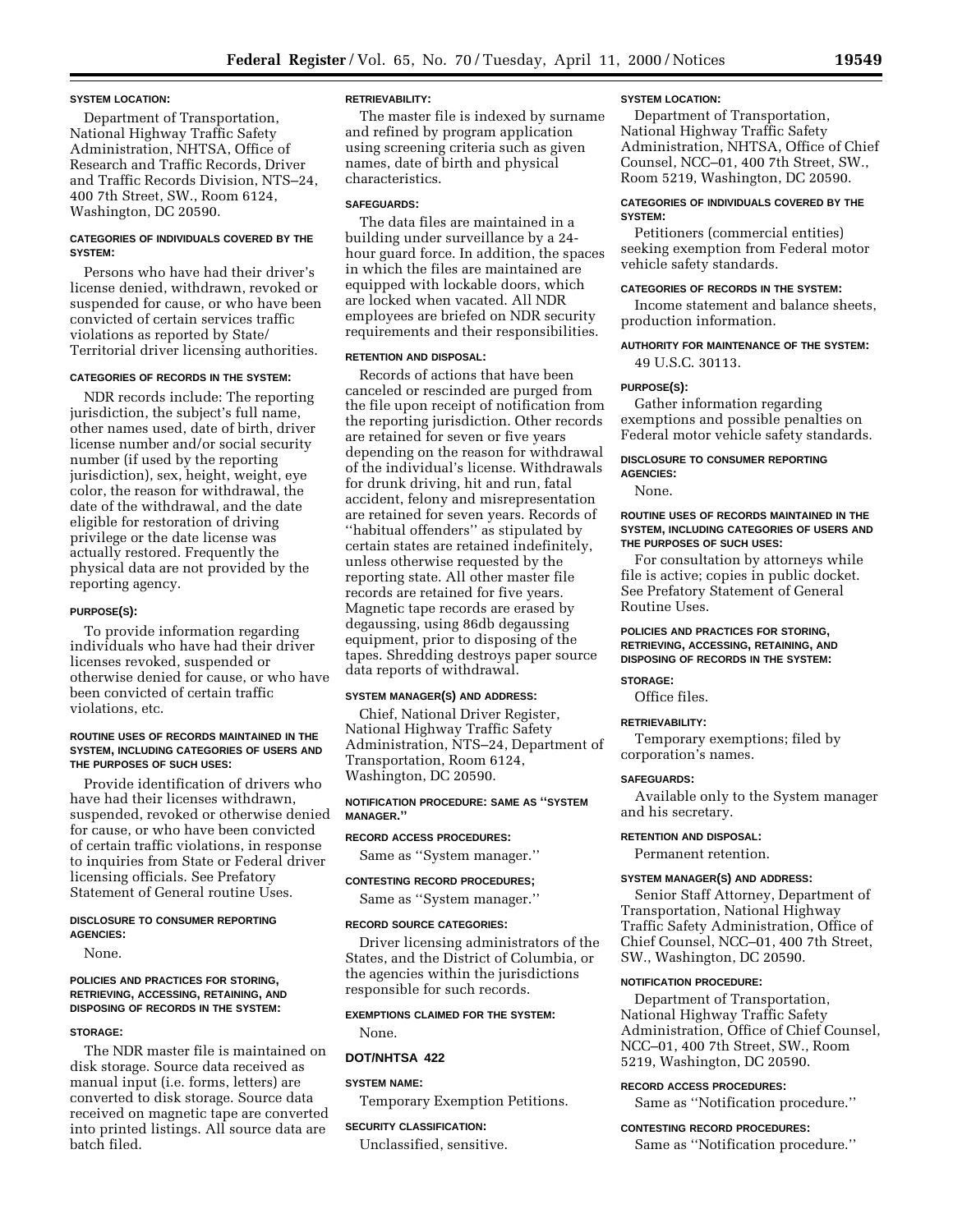#### **SYSTEM LOCATION:**

Department of Transportation, National Highway Traffic Safety Administration, NHTSA, Office of Research and Traffic Records, Driver and Traffic Records Division, NTS–24, 400 7th Street, SW., Room 6124, Washington, DC 20590.

### **CATEGORIES OF INDIVIDUALS COVERED BY THE SYSTEM:**

Persons who have had their driver's license denied, withdrawn, revoked or suspended for cause, or who have been convicted of certain services traffic violations as reported by State/ Territorial driver licensing authorities.

### **CATEGORIES OF RECORDS IN THE SYSTEM:**

NDR records include: The reporting jurisdiction, the subject's full name, other names used, date of birth, driver license number and/or social security number (if used by the reporting jurisdiction), sex, height, weight, eye color, the reason for withdrawal, the date of the withdrawal, and the date eligible for restoration of driving privilege or the date license was actually restored. Frequently the physical data are not provided by the reporting agency.

#### **PURPOSE(S):**

To provide information regarding individuals who have had their driver licenses revoked, suspended or otherwise denied for cause, or who have been convicted of certain traffic violations, etc.

#### **ROUTINE USES OF RECORDS MAINTAINED IN THE SYSTEM, INCLUDING CATEGORIES OF USERS AND THE PURPOSES OF SUCH USES:**

Provide identification of drivers who have had their licenses withdrawn, suspended, revoked or otherwise denied for cause, or who have been convicted of certain traffic violations, in response to inquiries from State or Federal driver licensing officials. See Prefatory Statement of General routine Uses.

### **DISCLOSURE TO CONSUMER REPORTING AGENCIES:**

None.

#### **POLICIES AND PRACTICES FOR STORING, RETRIEVING, ACCESSING, RETAINING, AND DISPOSING OF RECORDS IN THE SYSTEM:**

### **STORAGE:**

The NDR master file is maintained on disk storage. Source data received as manual input (i.e. forms, letters) are converted to disk storage. Source data received on magnetic tape are converted into printed listings. All source data are batch filed.

### **RETRIEVABILITY:**

The master file is indexed by surname and refined by program application using screening criteria such as given names, date of birth and physical characteristics.

### **SAFEGUARDS:**

The data files are maintained in a building under surveillance by a 24 hour guard force. In addition, the spaces in which the files are maintained are equipped with lockable doors, which are locked when vacated. All NDR employees are briefed on NDR security requirements and their responsibilities.

### **RETENTION AND DISPOSAL:**

Records of actions that have been canceled or rescinded are purged from the file upon receipt of notification from the reporting jurisdiction. Other records are retained for seven or five years depending on the reason for withdrawal of the individual's license. Withdrawals for drunk driving, hit and run, fatal accident, felony and misrepresentation are retained for seven years. Records of ''habitual offenders'' as stipulated by certain states are retained indefinitely, unless otherwise requested by the reporting state. All other master file records are retained for five years. Magnetic tape records are erased by degaussing, using 86db degaussing equipment, prior to disposing of the tapes. Shredding destroys paper source data reports of withdrawal.

#### **SYSTEM MANAGER(S) AND ADDRESS:**

Chief, National Driver Register, National Highway Traffic Safety Administration, NTS–24, Department of Transportation, Room 6124, Washington, DC 20590.

### **NOTIFICATION PROCEDURE: SAME AS ''SYSTEM MANAGER.''**

### **RECORD ACCESS PROCEDURES:**

Same as ''System manager.''

#### **CONTESTING RECORD PROCEDURES;**

Same as ''System manager.''

#### **RECORD SOURCE CATEGORIES:**

Driver licensing administrators of the States, and the District of Columbia, or the agencies within the jurisdictions responsible for such records.

### **EXEMPTIONS CLAIMED FOR THE SYSTEM:**

None.

### **DOT/NHTSA 422**

#### **SYSTEM NAME:**

Temporary Exemption Petitions.

### **SECURITY CLASSIFICATION:**

Unclassified, sensitive.

### **SYSTEM LOCATION:**

Department of Transportation, National Highway Traffic Safety Administration, NHTSA, Office of Chief Counsel, NCC–01, 400 7th Street, SW., Room 5219, Washington, DC 20590.

### **CATEGORIES OF INDIVIDUALS COVERED BY THE SYSTEM:**

Petitioners (commercial entities) seeking exemption from Federal motor vehicle safety standards.

### **CATEGORIES OF RECORDS IN THE SYSTEM:**

Income statement and balance sheets, production information.

### **AUTHORITY FOR MAINTENANCE OF THE SYSTEM:** 49 U.S.C. 30113.

### **PURPOSE(S):**

Gather information regarding exemptions and possible penalties on Federal motor vehicle safety standards.

#### **DISCLOSURE TO CONSUMER REPORTING AGENCIES:**

None.

### **ROUTINE USES OF RECORDS MAINTAINED IN THE SYSTEM, INCLUDING CATEGORIES OF USERS AND THE PURPOSES OF SUCH USES:**

For consultation by attorneys while file is active; copies in public docket. See Prefatory Statement of General Routine Uses.

### **POLICIES AND PRACTICES FOR STORING, RETRIEVING, ACCESSING, RETAINING, AND DISPOSING OF RECORDS IN THE SYSTEM:**

#### **STORAGE:**

Office files.

#### **RETRIEVABILITY:**

Temporary exemptions; filed by corporation's names.

#### **SAFEGUARDS:**

Available only to the System manager and his secretary.

### **RETENTION AND DISPOSAL:**

Permanent retention.

### **SYSTEM MANAGER(S) AND ADDRESS:**

Senior Staff Attorney, Department of Transportation, National Highway Traffic Safety Administration, Office of Chief Counsel, NCC–01, 400 7th Street, SW., Washington, DC 20590.

#### **NOTIFICATION PROCEDURE:**

Department of Transportation, National Highway Traffic Safety Administration, Office of Chief Counsel, NCC–01, 400 7th Street, SW., Room 5219, Washington, DC 20590.

#### **RECORD ACCESS PROCEDURES:**

Same as ''Notification procedure.''

#### **CONTESTING RECORD PROCEDURES:**

Same as ''Notification procedure.''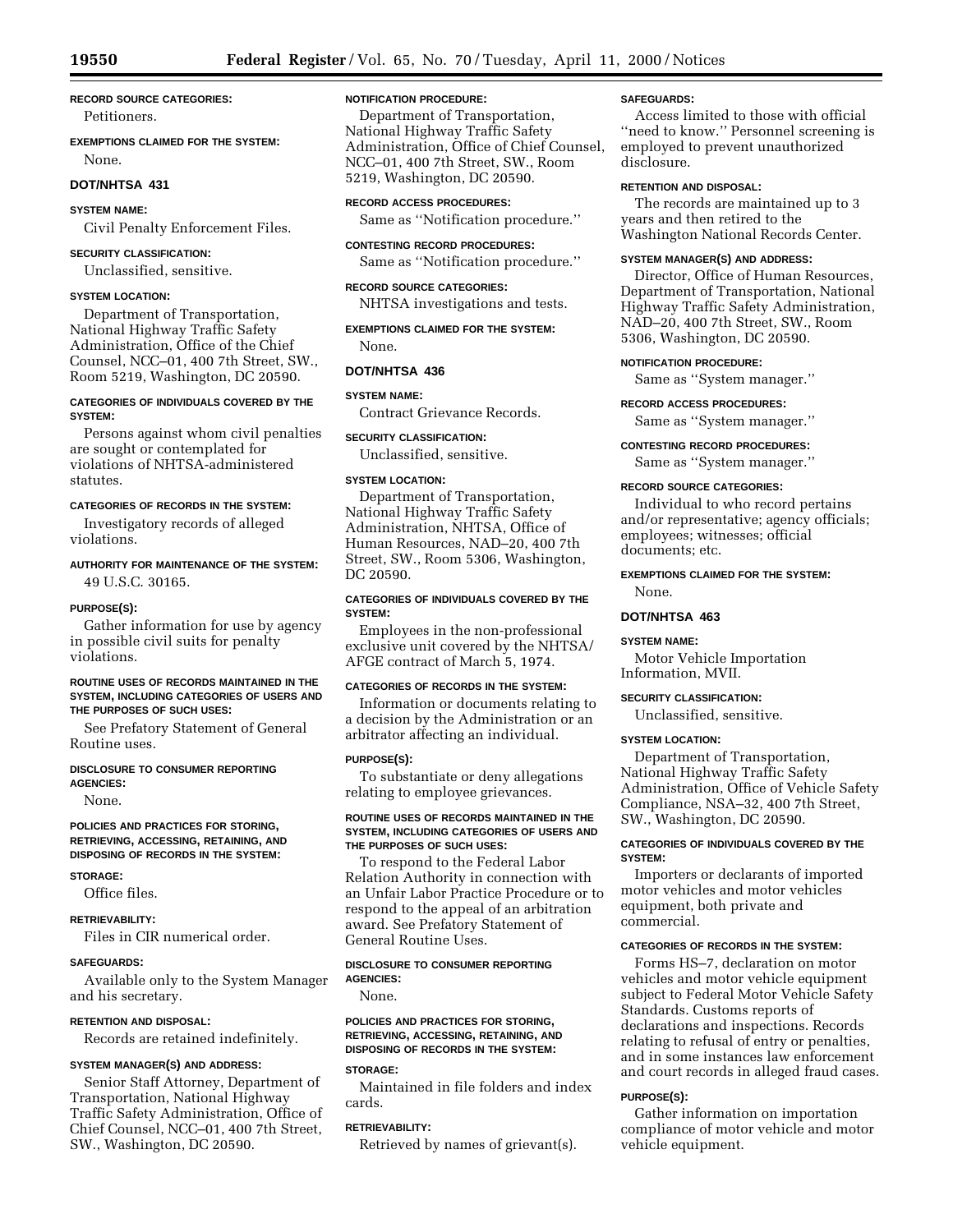**RECORD SOURCE CATEGORIES:** Petitioners.

**EXEMPTIONS CLAIMED FOR THE SYSTEM:** None.

### **DOT/NHTSA 431**

### **SYSTEM NAME:**

Civil Penalty Enforcement Files.

## **SECURITY CLASSIFICATION:**

Unclassified, sensitive.

### **SYSTEM LOCATION:**

Department of Transportation, National Highway Traffic Safety Administration, Office of the Chief Counsel, NCC–01, 400 7th Street, SW., Room 5219, Washington, DC 20590.

### **CATEGORIES OF INDIVIDUALS COVERED BY THE SYSTEM:**

Persons against whom civil penalties are sought or contemplated for violations of NHTSA-administered statutes.

### **CATEGORIES OF RECORDS IN THE SYSTEM:**

Investigatory records of alleged violations.

### **AUTHORITY FOR MAINTENANCE OF THE SYSTEM:** 49 U.S.C. 30165.

### **PURPOSE(S):**

Gather information for use by agency in possible civil suits for penalty violations.

### **ROUTINE USES OF RECORDS MAINTAINED IN THE SYSTEM, INCLUDING CATEGORIES OF USERS AND THE PURPOSES OF SUCH USES:**

See Prefatory Statement of General Routine uses.

#### **DISCLOSURE TO CONSUMER REPORTING AGENCIES:**

None.

#### **POLICIES AND PRACTICES FOR STORING, RETRIEVING, ACCESSING, RETAINING, AND DISPOSING OF RECORDS IN THE SYSTEM:**

#### **STORAGE:**

Office files.

**RETRIEVABILITY:**

Files in CIR numerical order.

#### **SAFEGUARDS:**

Available only to the System Manager and his secretary.

#### **RETENTION AND DISPOSAL:**

Records are retained indefinitely.

### **SYSTEM MANAGER(S) AND ADDRESS:**

Senior Staff Attorney, Department of Transportation, National Highway Traffic Safety Administration, Office of Chief Counsel, NCC–01, 400 7th Street, SW., Washington, DC 20590.

### **NOTIFICATION PROCEDURE:**

Department of Transportation, National Highway Traffic Safety Administration, Office of Chief Counsel, NCC–01, 400 7th Street, SW., Room 5219, Washington, DC 20590.

### **RECORD ACCESS PROCEDURES:**

Same as ''Notification procedure.''

### **CONTESTING RECORD PROCEDURES:**

Same as ''Notification procedure.''

### **RECORD SOURCE CATEGORIES:**

NHTSA investigations and tests.

**EXEMPTIONS CLAIMED FOR THE SYSTEM:** None.

### **DOT/NHTSA 436**

### **SYSTEM NAME:**

Contract Grievance Records.

### **SECURITY CLASSIFICATION:**

Unclassified, sensitive.

### **SYSTEM LOCATION:**

Department of Transportation, National Highway Traffic Safety Administration, NHTSA, Office of Human Resources, NAD–20, 400 7th Street, SW., Room 5306, Washington, DC 20590.

### **CATEGORIES OF INDIVIDUALS COVERED BY THE SYSTEM:**

Employees in the non-professional exclusive unit covered by the NHTSA/ AFGE contract of March 5, 1974.

### **CATEGORIES OF RECORDS IN THE SYSTEM:**

Information or documents relating to a decision by the Administration or an arbitrator affecting an individual.

### **PURPOSE(S):**

To substantiate or deny allegations relating to employee grievances.

### **ROUTINE USES OF RECORDS MAINTAINED IN THE SYSTEM, INCLUDING CATEGORIES OF USERS AND THE PURPOSES OF SUCH USES:**

To respond to the Federal Labor Relation Authority in connection with an Unfair Labor Practice Procedure or to respond to the appeal of an arbitration award. See Prefatory Statement of General Routine Uses.

### **DISCLOSURE TO CONSUMER REPORTING AGENCIES:**

None.

### **POLICIES AND PRACTICES FOR STORING, RETRIEVING, ACCESSING, RETAINING, AND DISPOSING OF RECORDS IN THE SYSTEM:**

#### **STORAGE:**

Maintained in file folders and index cards.

### **RETRIEVABILITY:**

Retrieved by names of grievant(s).

#### **SAFEGUARDS:**

Access limited to those with official ''need to know.'' Personnel screening is employed to prevent unauthorized disclosure.

### **RETENTION AND DISPOSAL:**

The records are maintained up to 3 years and then retired to the Washington National Records Center.

### **SYSTEM MANAGER(S) AND ADDRESS:**

Director, Office of Human Resources, Department of Transportation, National Highway Traffic Safety Administration, NAD–20, 400 7th Street, SW., Room 5306, Washington, DC 20590.

#### **NOTIFICATION PROCEDURE:**

Same as ''System manager.''

#### **RECORD ACCESS PROCEDURES:**

Same as ''System manager.''

### **CONTESTING RECORD PROCEDURES:**

Same as ''System manager.''

### **RECORD SOURCE CATEGORIES:**

Individual to who record pertains and/or representative; agency officials; employees; witnesses; official documents; etc.

### **EXEMPTIONS CLAIMED FOR THE SYSTEM:** None.

### **DOT/NHTSA 463**

### **SYSTEM NAME:**

Motor Vehicle Importation Information, MVII.

#### **SECURITY CLASSIFICATION:**

Unclassified, sensitive.

#### **SYSTEM LOCATION:**

Department of Transportation, National Highway Traffic Safety Administration, Office of Vehicle Safety Compliance, NSA–32, 400 7th Street, SW., Washington, DC 20590.

### **CATEGORIES OF INDIVIDUALS COVERED BY THE SYSTEM:**

Importers or declarants of imported motor vehicles and motor vehicles equipment, both private and commercial.

### **CATEGORIES OF RECORDS IN THE SYSTEM:**

Forms HS–7, declaration on motor vehicles and motor vehicle equipment subject to Federal Motor Vehicle Safety Standards. Customs reports of declarations and inspections. Records relating to refusal of entry or penalties, and in some instances law enforcement and court records in alleged fraud cases.

#### **PURPOSE(S):**

Gather information on importation compliance of motor vehicle and motor vehicle equipment.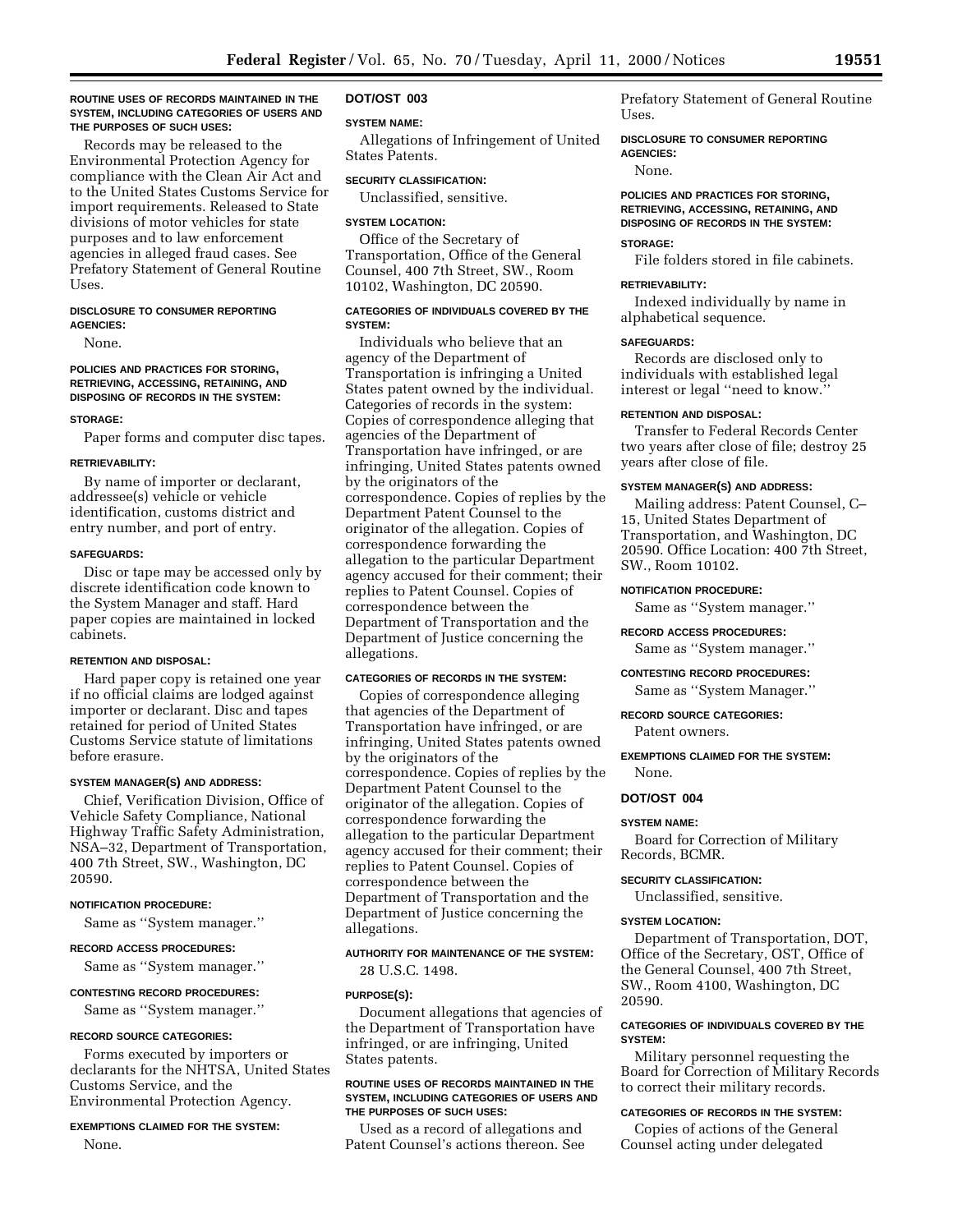### **ROUTINE USES OF RECORDS MAINTAINED IN THE SYSTEM, INCLUDING CATEGORIES OF USERS AND THE PURPOSES OF SUCH USES:**

Records may be released to the Environmental Protection Agency for compliance with the Clean Air Act and to the United States Customs Service for import requirements. Released to State divisions of motor vehicles for state purposes and to law enforcement agencies in alleged fraud cases. See Prefatory Statement of General Routine Uses.

#### **DISCLOSURE TO CONSUMER REPORTING AGENCIES:**

None.

#### **POLICIES AND PRACTICES FOR STORING, RETRIEVING, ACCESSING, RETAINING, AND DISPOSING OF RECORDS IN THE SYSTEM:**

#### **STORAGE:**

Paper forms and computer disc tapes.

### **RETRIEVABILITY:**

By name of importer or declarant, addressee(s) vehicle or vehicle identification, customs district and entry number, and port of entry.

### **SAFEGUARDS:**

Disc or tape may be accessed only by discrete identification code known to the System Manager and staff. Hard paper copies are maintained in locked cabinets.

#### **RETENTION AND DISPOSAL:**

Hard paper copy is retained one year if no official claims are lodged against importer or declarant. Disc and tapes retained for period of United States Customs Service statute of limitations before erasure.

#### **SYSTEM MANAGER(S) AND ADDRESS:**

Chief, Verification Division, Office of Vehicle Safety Compliance, National Highway Traffic Safety Administration, NSA–32, Department of Transportation, 400 7th Street, SW., Washington, DC 20590.

#### **NOTIFICATION PROCEDURE:**

Same as ''System manager.''

### **RECORD ACCESS PROCEDURES:**

Same as ''System manager.''

#### **CONTESTING RECORD PROCEDURES:**

Same as ''System manager.''

#### **RECORD SOURCE CATEGORIES:**

Forms executed by importers or declarants for the NHTSA, United States Customs Service, and the Environmental Protection Agency.

#### **EXEMPTIONS CLAIMED FOR THE SYSTEM:**

None.

### **DOT/OST 003**

### **SYSTEM NAME:**

Allegations of Infringement of United States Patents.

### **SECURITY CLASSIFICATION:**

Unclassified, sensitive.

### **SYSTEM LOCATION:**

Office of the Secretary of Transportation, Office of the General Counsel, 400 7th Street, SW., Room 10102, Washington, DC 20590.

### **CATEGORIES OF INDIVIDUALS COVERED BY THE SYSTEM:**

Individuals who believe that an agency of the Department of Transportation is infringing a United States patent owned by the individual. Categories of records in the system: Copies of correspondence alleging that agencies of the Department of Transportation have infringed, or are infringing, United States patents owned by the originators of the correspondence. Copies of replies by the Department Patent Counsel to the originator of the allegation. Copies of correspondence forwarding the allegation to the particular Department agency accused for their comment; their replies to Patent Counsel. Copies of correspondence between the Department of Transportation and the Department of Justice concerning the allegations.

### **CATEGORIES OF RECORDS IN THE SYSTEM:**

Copies of correspondence alleging that agencies of the Department of Transportation have infringed, or are infringing, United States patents owned by the originators of the correspondence. Copies of replies by the Department Patent Counsel to the originator of the allegation. Copies of correspondence forwarding the allegation to the particular Department agency accused for their comment; their replies to Patent Counsel. Copies of correspondence between the Department of Transportation and the Department of Justice concerning the allegations.

### **AUTHORITY FOR MAINTENANCE OF THE SYSTEM:** 28 U.S.C. 1498.

#### **PURPOSE(S):**

Document allegations that agencies of the Department of Transportation have infringed, or are infringing, United States patents.

### **ROUTINE USES OF RECORDS MAINTAINED IN THE SYSTEM, INCLUDING CATEGORIES OF USERS AND THE PURPOSES OF SUCH USES:**

Used as a record of allegations and Patent Counsel's actions thereon. See Prefatory Statement of General Routine Uses.

**DISCLOSURE TO CONSUMER REPORTING AGENCIES:**

None.

### **POLICIES AND PRACTICES FOR STORING, RETRIEVING, ACCESSING, RETAINING, AND DISPOSING OF RECORDS IN THE SYSTEM:**

### **STORAGE:**

File folders stored in file cabinets.

### **RETRIEVABILITY:**

Indexed individually by name in alphabetical sequence.

### **SAFEGUARDS:**

Records are disclosed only to individuals with established legal interest or legal ''need to know.''

### **RETENTION AND DISPOSAL:**

Transfer to Federal Records Center two years after close of file; destroy 25 years after close of file.

### **SYSTEM MANAGER(S) AND ADDRESS:**

Mailing address: Patent Counsel, C– 15, United States Department of Transportation, and Washington, DC 20590. Office Location: 400 7th Street, SW., Room 10102.

### **NOTIFICATION PROCEDURE:**

Same as ''System manager.''

### **RECORD ACCESS PROCEDURES:**

Same as ''System manager.''

**CONTESTING RECORD PROCEDURES:**

Same as ''System Manager.''

## **RECORD SOURCE CATEGORIES:**

Patent owners.

**EXEMPTIONS CLAIMED FOR THE SYSTEM:** None.

### **DOT/OST 004**

#### **SYSTEM NAME:**

Board for Correction of Military Records, BCMR.

### **SECURITY CLASSIFICATION:**

Unclassified, sensitive.

### **SYSTEM LOCATION:**

Department of Transportation, DOT, Office of the Secretary, OST, Office of the General Counsel, 400 7th Street, SW., Room 4100, Washington, DC 20590.

### **CATEGORIES OF INDIVIDUALS COVERED BY THE SYSTEM:**

Military personnel requesting the Board for Correction of Military Records to correct their military records.

### **CATEGORIES OF RECORDS IN THE SYSTEM:**

Copies of actions of the General Counsel acting under delegated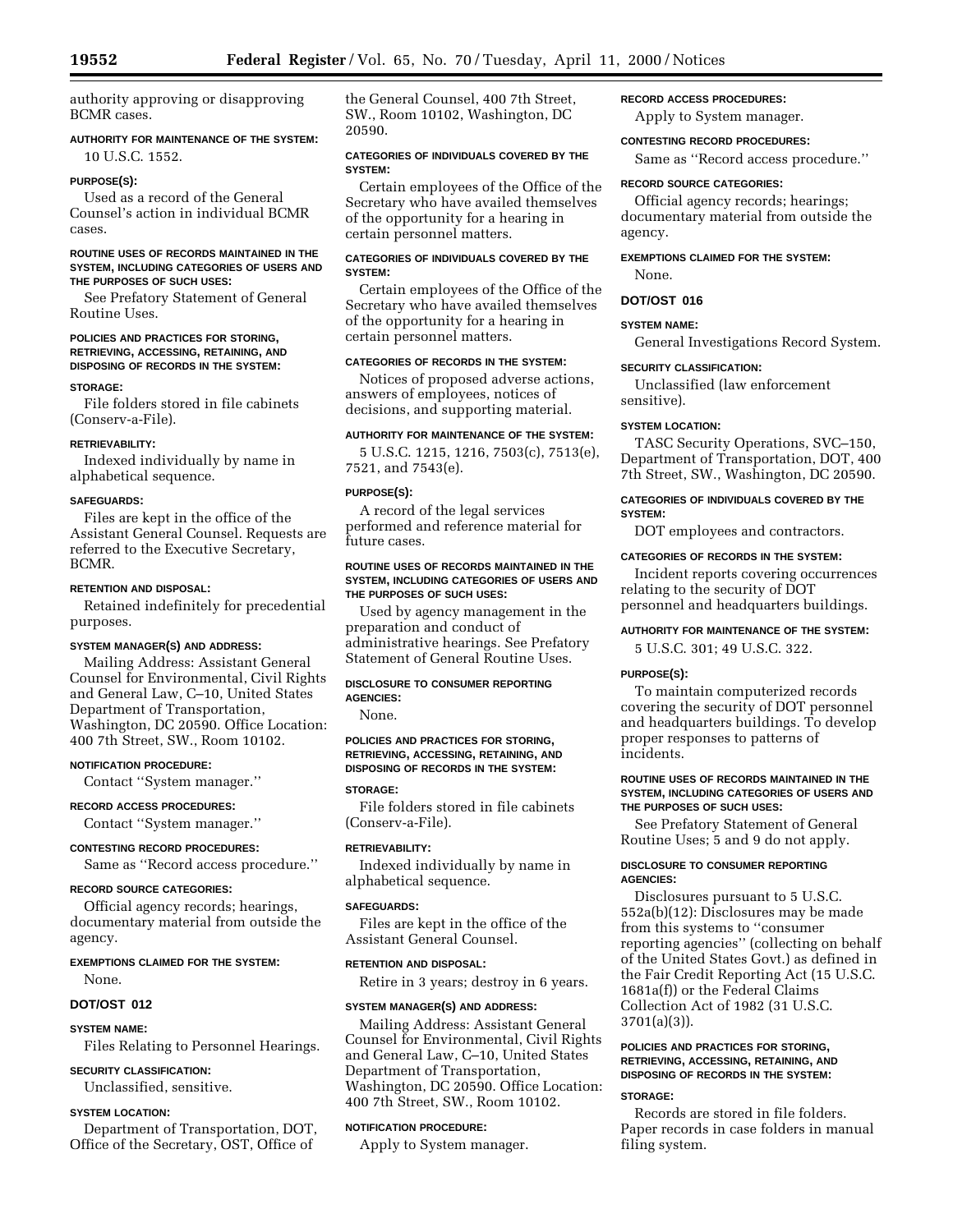authority approving or disapproving BCMR cases.

### **AUTHORITY FOR MAINTENANCE OF THE SYSTEM:** 10 U.S.C. 1552.

### **PURPOSE(S):**

Used as a record of the General Counsel's action in individual BCMR cases.

### **ROUTINE USES OF RECORDS MAINTAINED IN THE SYSTEM, INCLUDING CATEGORIES OF USERS AND THE PURPOSES OF SUCH USES:**

See Prefatory Statement of General Routine Uses.

#### **POLICIES AND PRACTICES FOR STORING, RETRIEVING, ACCESSING, RETAINING, AND DISPOSING OF RECORDS IN THE SYSTEM:**

#### **STORAGE:**

File folders stored in file cabinets (Conserv-a-File).

### **RETRIEVABILITY:**

Indexed individually by name in alphabetical sequence.

### **SAFEGUARDS:**

Files are kept in the office of the Assistant General Counsel. Requests are referred to the Executive Secretary, BCMR.

### **RETENTION AND DISPOSAL:**

Retained indefinitely for precedential purposes.

### **SYSTEM MANAGER(S) AND ADDRESS:**

Mailing Address: Assistant General Counsel for Environmental, Civil Rights and General Law, C–10, United States Department of Transportation, Washington, DC 20590. Office Location: 400 7th Street, SW., Room 10102.

### **NOTIFICATION PROCEDURE:**

Contact ''System manager.''

#### **RECORD ACCESS PROCEDURES:**

Contact ''System manager.''

### **CONTESTING RECORD PROCEDURES:**

Same as ''Record access procedure.''

### **RECORD SOURCE CATEGORIES:**

Official agency records; hearings, documentary material from outside the agency.

### **EXEMPTIONS CLAIMED FOR THE SYSTEM:** None.

#### **DOT/OST 012**

### **SYSTEM NAME:**

Files Relating to Personnel Hearings.

#### **SECURITY CLASSIFICATION:**

Unclassified, sensitive.

### **SYSTEM LOCATION:**

Department of Transportation, DOT, Office of the Secretary, OST, Office of

the General Counsel, 400 7th Street, SW., Room 10102, Washington, DC 20590.

### **CATEGORIES OF INDIVIDUALS COVERED BY THE SYSTEM:**

Certain employees of the Office of the Secretary who have availed themselves of the opportunity for a hearing in certain personnel matters.

### **CATEGORIES OF INDIVIDUALS COVERED BY THE SYSTEM:**

Certain employees of the Office of the Secretary who have availed themselves of the opportunity for a hearing in certain personnel matters.

### **CATEGORIES OF RECORDS IN THE SYSTEM:**

Notices of proposed adverse actions, answers of employees, notices of decisions, and supporting material.

### **AUTHORITY FOR MAINTENANCE OF THE SYSTEM:**

5 U.S.C. 1215, 1216, 7503(c), 7513(e), 7521, and 7543(e).

#### **PURPOSE(S):**

A record of the legal services performed and reference material for future cases.

### **ROUTINE USES OF RECORDS MAINTAINED IN THE SYSTEM, INCLUDING CATEGORIES OF USERS AND THE PURPOSES OF SUCH USES:**

Used by agency management in the preparation and conduct of administrative hearings. See Prefatory Statement of General Routine Uses.

### **DISCLOSURE TO CONSUMER REPORTING AGENCIES:**

None.

### **POLICIES AND PRACTICES FOR STORING, RETRIEVING, ACCESSING, RETAINING, AND DISPOSING OF RECORDS IN THE SYSTEM:**

### **STORAGE:**

File folders stored in file cabinets (Conserv-a-File).

### **RETRIEVABILITY:**

Indexed individually by name in alphabetical sequence.

#### **SAFEGUARDS:**

Files are kept in the office of the Assistant General Counsel.

#### **RETENTION AND DISPOSAL:**

Retire in 3 years; destroy in 6 years.

### **SYSTEM MANAGER(S) AND ADDRESS:**

Mailing Address: Assistant General Counsel for Environmental, Civil Rights and General Law, C–10, United States Department of Transportation, Washington, DC 20590. Office Location: 400 7th Street, SW., Room 10102.

### **NOTIFICATION PROCEDURE:**

Apply to System manager.

### **RECORD ACCESS PROCEDURES:**

Apply to System manager.

#### **CONTESTING RECORD PROCEDURES:**

Same as ''Record access procedure.''

#### **RECORD SOURCE CATEGORIES:**

Official agency records; hearings; documentary material from outside the agency.

### **EXEMPTIONS CLAIMED FOR THE SYSTEM:** None.

### **DOT/OST 016**

#### **SYSTEM NAME:**

General Investigations Record System.

### **SECURITY CLASSIFICATION:**

Unclassified (law enforcement sensitive).

### **SYSTEM LOCATION:**

TASC Security Operations, SVC–150, Department of Transportation, DOT, 400 7th Street, SW., Washington, DC 20590.

### **CATEGORIES OF INDIVIDUALS COVERED BY THE SYSTEM:**

DOT employees and contractors.

#### **CATEGORIES OF RECORDS IN THE SYSTEM:**

Incident reports covering occurrences relating to the security of DOT personnel and headquarters buildings.

### **AUTHORITY FOR MAINTENANCE OF THE SYSTEM:**

5 U.S.C. 301; 49 U.S.C. 322.

### **PURPOSE(S):**

To maintain computerized records covering the security of DOT personnel and headquarters buildings. To develop proper responses to patterns of incidents.

### **ROUTINE USES OF RECORDS MAINTAINED IN THE SYSTEM, INCLUDING CATEGORIES OF USERS AND THE PURPOSES OF SUCH USES:**

See Prefatory Statement of General Routine Uses; 5 and 9 do not apply.

#### **DISCLOSURE TO CONSUMER REPORTING AGENCIES:**

Disclosures pursuant to 5 U.S.C. 552a(b)(12): Disclosures may be made from this systems to ''consumer reporting agencies'' (collecting on behalf of the United States Govt.) as defined in the Fair Credit Reporting Act (15 U.S.C. 1681a(f)) or the Federal Claims Collection Act of 1982 (31 U.S.C. 3701(a)(3)).

### **POLICIES AND PRACTICES FOR STORING, RETRIEVING, ACCESSING, RETAINING, AND DISPOSING OF RECORDS IN THE SYSTEM:**

### **STORAGE:**

Records are stored in file folders. Paper records in case folders in manual filing system.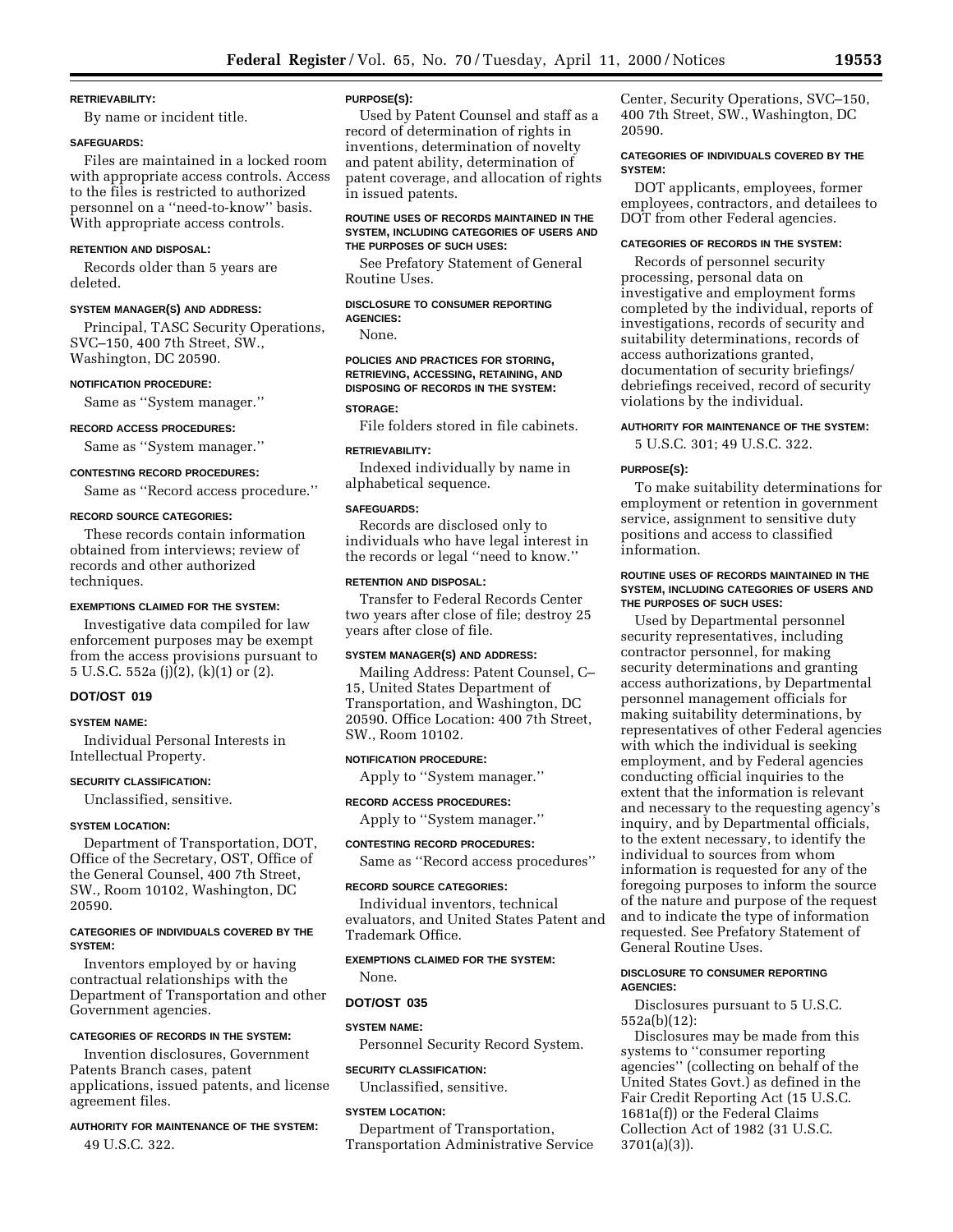### **RETRIEVABILITY:**

By name or incident title.

#### **SAFEGUARDS:**

Files are maintained in a locked room with appropriate access controls. Access to the files is restricted to authorized personnel on a ''need-to-know'' basis. With appropriate access controls.

#### **RETENTION AND DISPOSAL:**

Records older than 5 years are deleted.

### **SYSTEM MANAGER(S) AND ADDRESS:**

Principal, TASC Security Operations, SVC–150, 400 7th Street, SW., Washington, DC 20590.

#### **NOTIFICATION PROCEDURE:**

Same as ''System manager.''

### **RECORD ACCESS PROCEDURES:**

Same as ''System manager.''

### **CONTESTING RECORD PROCEDURES:**

Same as ''Record access procedure.''

#### **RECORD SOURCE CATEGORIES:**

These records contain information obtained from interviews; review of records and other authorized techniques.

### **EXEMPTIONS CLAIMED FOR THE SYSTEM:**

Investigative data compiled for law enforcement purposes may be exempt from the access provisions pursuant to 5 U.S.C. 552a (j)(2), (k)(1) or (2).

#### **DOT/OST 019**

#### **SYSTEM NAME:**

Individual Personal Interests in Intellectual Property.

### **SECURITY CLASSIFICATION:**

Unclassified, sensitive.

#### **SYSTEM LOCATION:**

Department of Transportation, DOT, Office of the Secretary, OST, Office of the General Counsel, 400 7th Street, SW., Room 10102, Washington, DC 20590.

### **CATEGORIES OF INDIVIDUALS COVERED BY THE SYSTEM:**

Inventors employed by or having contractual relationships with the Department of Transportation and other Government agencies.

### **CATEGORIES OF RECORDS IN THE SYSTEM:**

Invention disclosures, Government Patents Branch cases, patent applications, issued patents, and license agreement files.

### **AUTHORITY FOR MAINTENANCE OF THE SYSTEM:**

49 U.S.C. 322.

### **PURPOSE(S):**

Used by Patent Counsel and staff as a record of determination of rights in inventions, determination of novelty and patent ability, determination of patent coverage, and allocation of rights in issued patents.

### **ROUTINE USES OF RECORDS MAINTAINED IN THE SYSTEM, INCLUDING CATEGORIES OF USERS AND THE PURPOSES OF SUCH USES:**

See Prefatory Statement of General Routine Uses.

#### **DISCLOSURE TO CONSUMER REPORTING AGENCIES:**

None.

**POLICIES AND PRACTICES FOR STORING, RETRIEVING, ACCESSING, RETAINING, AND DISPOSING OF RECORDS IN THE SYSTEM:**

### **STORAGE:**

File folders stored in file cabinets.

#### **RETRIEVABILITY:**

Indexed individually by name in alphabetical sequence.

#### **SAFEGUARDS:**

Records are disclosed only to individuals who have legal interest in the records or legal ''need to know.''

#### **RETENTION AND DISPOSAL:**

Transfer to Federal Records Center two years after close of file; destroy 25 years after close of file.

#### **SYSTEM MANAGER(S) AND ADDRESS:**

Mailing Address: Patent Counsel, C– 15, United States Department of Transportation, and Washington, DC 20590. Office Location: 400 7th Street, SW., Room 10102.

### **NOTIFICATION PROCEDURE:**

Apply to ''System manager.''

### **RECORD ACCESS PROCEDURES:**

Apply to ''System manager.'' **CONTESTING RECORD PROCEDURES:**

Same as ''Record access procedures''

### **RECORD SOURCE CATEGORIES:**

Individual inventors, technical evaluators, and United States Patent and Trademark Office.

### **EXEMPTIONS CLAIMED FOR THE SYSTEM:**

None.

### **DOT/OST 035**

**SYSTEM NAME:**

Personnel Security Record System.

#### **SECURITY CLASSIFICATION:**

Unclassified, sensitive.

#### **SYSTEM LOCATION:**

Department of Transportation, Transportation Administrative Service Center, Security Operations, SVC–150, 400 7th Street, SW., Washington, DC 20590.

### **CATEGORIES OF INDIVIDUALS COVERED BY THE SYSTEM:**

DOT applicants, employees, former employees, contractors, and detailees to DOT from other Federal agencies.

#### **CATEGORIES OF RECORDS IN THE SYSTEM:**

Records of personnel security processing, personal data on investigative and employment forms completed by the individual, reports of investigations, records of security and suitability determinations, records of access authorizations granted, documentation of security briefings/ debriefings received, record of security violations by the individual.

### **AUTHORITY FOR MAINTENANCE OF THE SYSTEM:**

5 U.S.C. 301; 49 U.S.C. 322.

#### **PURPOSE(S):**

To make suitability determinations for employment or retention in government service, assignment to sensitive duty positions and access to classified information.

### **ROUTINE USES OF RECORDS MAINTAINED IN THE SYSTEM, INCLUDING CATEGORIES OF USERS AND THE PURPOSES OF SUCH USES:**

Used by Departmental personnel security representatives, including contractor personnel, for making security determinations and granting access authorizations, by Departmental personnel management officials for making suitability determinations, by representatives of other Federal agencies with which the individual is seeking employment, and by Federal agencies conducting official inquiries to the extent that the information is relevant and necessary to the requesting agency's inquiry, and by Departmental officials, to the extent necessary, to identify the individual to sources from whom information is requested for any of the foregoing purposes to inform the source of the nature and purpose of the request and to indicate the type of information requested. See Prefatory Statement of General Routine Uses.

### **DISCLOSURE TO CONSUMER REPORTING AGENCIES:**

Disclosures pursuant to 5 U.S.C. 552a(b)(12):

Disclosures may be made from this systems to ''consumer reporting agencies'' (collecting on behalf of the United States Govt.) as defined in the Fair Credit Reporting Act (15 U.S.C. 1681a(f)) or the Federal Claims Collection Act of 1982 (31 U.S.C. 3701(a)(3)).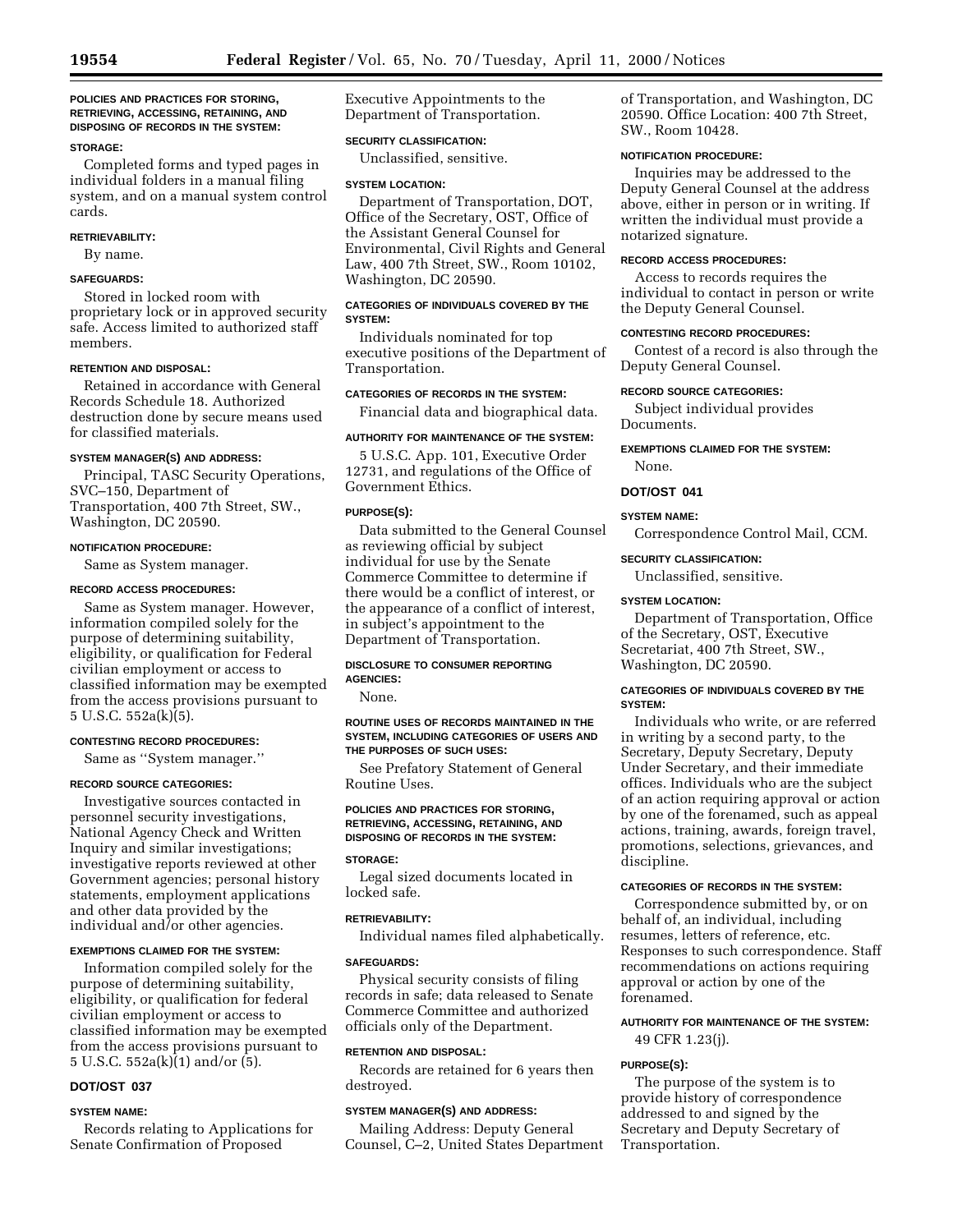### **POLICIES AND PRACTICES FOR STORING, RETRIEVING, ACCESSING, RETAINING, AND DISPOSING OF RECORDS IN THE SYSTEM:**

### **STORAGE:**

Completed forms and typed pages in individual folders in a manual filing system, and on a manual system control cards.

#### **RETRIEVABILITY:**

By name.

## **SAFEGUARDS:**

Stored in locked room with proprietary lock or in approved security safe. Access limited to authorized staff members.

### **RETENTION AND DISPOSAL:**

Retained in accordance with General Records Schedule 18. Authorized destruction done by secure means used for classified materials.

#### **SYSTEM MANAGER(S) AND ADDRESS:**

Principal, TASC Security Operations, SVC–150, Department of Transportation, 400 7th Street, SW., Washington, DC 20590.

#### **NOTIFICATION PROCEDURE:**

Same as System manager.

### **RECORD ACCESS PROCEDURES:**

Same as System manager. However, information compiled solely for the purpose of determining suitability, eligibility, or qualification for Federal civilian employment or access to classified information may be exempted from the access provisions pursuant to 5 U.S.C. 552a(k)(5).

### **CONTESTING RECORD PROCEDURES:**

Same as ''System manager.''

#### **RECORD SOURCE CATEGORIES:**

Investigative sources contacted in personnel security investigations, National Agency Check and Written Inquiry and similar investigations; investigative reports reviewed at other Government agencies; personal history statements, employment applications and other data provided by the individual and/or other agencies.

#### **EXEMPTIONS CLAIMED FOR THE SYSTEM:**

Information compiled solely for the purpose of determining suitability, eligibility, or qualification for federal civilian employment or access to classified information may be exempted from the access provisions pursuant to 5 U.S.C. 552a(k)(1) and/or (5).

### **DOT/OST 037**

#### **SYSTEM NAME:**

Records relating to Applications for Senate Confirmation of Proposed

Executive Appointments to the Department of Transportation.

### **SECURITY CLASSIFICATION:**

Unclassified, sensitive.

#### **SYSTEM LOCATION:**

Department of Transportation, DOT, Office of the Secretary, OST, Office of the Assistant General Counsel for Environmental, Civil Rights and General Law, 400 7th Street, SW., Room 10102, Washington, DC 20590.

### **CATEGORIES OF INDIVIDUALS COVERED BY THE SYSTEM:**

Individuals nominated for top executive positions of the Department of Transportation.

### **CATEGORIES OF RECORDS IN THE SYSTEM:**

Financial data and biographical data.

### **AUTHORITY FOR MAINTENANCE OF THE SYSTEM:**

5 U.S.C. App. 101, Executive Order 12731, and regulations of the Office of Government Ethics.

### **PURPOSE(S):**

Data submitted to the General Counsel as reviewing official by subject individual for use by the Senate Commerce Committee to determine if there would be a conflict of interest, or the appearance of a conflict of interest, in subject's appointment to the Department of Transportation.

### **DISCLOSURE TO CONSUMER REPORTING AGENCIES:**

None.

#### **ROUTINE USES OF RECORDS MAINTAINED IN THE SYSTEM, INCLUDING CATEGORIES OF USERS AND THE PURPOSES OF SUCH USES:**

See Prefatory Statement of General Routine Uses.

### **POLICIES AND PRACTICES FOR STORING, RETRIEVING, ACCESSING, RETAINING, AND DISPOSING OF RECORDS IN THE SYSTEM:**

#### **STORAGE:**

Legal sized documents located in locked safe.

#### **RETRIEVABILITY:**

Individual names filed alphabetically.

#### **SAFEGUARDS:**

Physical security consists of filing records in safe; data released to Senate Commerce Committee and authorized officials only of the Department.

### **RETENTION AND DISPOSAL:**

Records are retained for 6 years then destroyed.

#### **SYSTEM MANAGER(S) AND ADDRESS:**

Mailing Address: Deputy General Counsel, C–2, United States Department of Transportation, and Washington, DC 20590. Office Location: 400 7th Street, SW., Room 10428.

### **NOTIFICATION PROCEDURE:**

Inquiries may be addressed to the Deputy General Counsel at the address above, either in person or in writing. If written the individual must provide a notarized signature.

### **RECORD ACCESS PROCEDURES:**

Access to records requires the individual to contact in person or write the Deputy General Counsel.

### **CONTESTING RECORD PROCEDURES:**

Contest of a record is also through the Deputy General Counsel.

### **RECORD SOURCE CATEGORIES:**

Subject individual provides Documents.

**EXEMPTIONS CLAIMED FOR THE SYSTEM:** None.

#### **DOT/OST 041**

#### **SYSTEM NAME:**

Correspondence Control Mail, CCM.

### **SECURITY CLASSIFICATION:**

Unclassified, sensitive.

#### **SYSTEM LOCATION:**

Department of Transportation, Office of the Secretary, OST, Executive Secretariat, 400 7th Street, SW., Washington, DC 20590.

### **CATEGORIES OF INDIVIDUALS COVERED BY THE SYSTEM:**

Individuals who write, or are referred in writing by a second party, to the Secretary, Deputy Secretary, Deputy Under Secretary, and their immediate offices. Individuals who are the subject of an action requiring approval or action by one of the forenamed, such as appeal actions, training, awards, foreign travel, promotions, selections, grievances, and discipline.

#### **CATEGORIES OF RECORDS IN THE SYSTEM:**

Correspondence submitted by, or on behalf of, an individual, including resumes, letters of reference, etc. Responses to such correspondence. Staff recommendations on actions requiring approval or action by one of the forenamed.

### **AUTHORITY FOR MAINTENANCE OF THE SYSTEM:** 49 CFR 1.23(j).

### **PURPOSE(S):**

The purpose of the system is to provide history of correspondence addressed to and signed by the Secretary and Deputy Secretary of Transportation.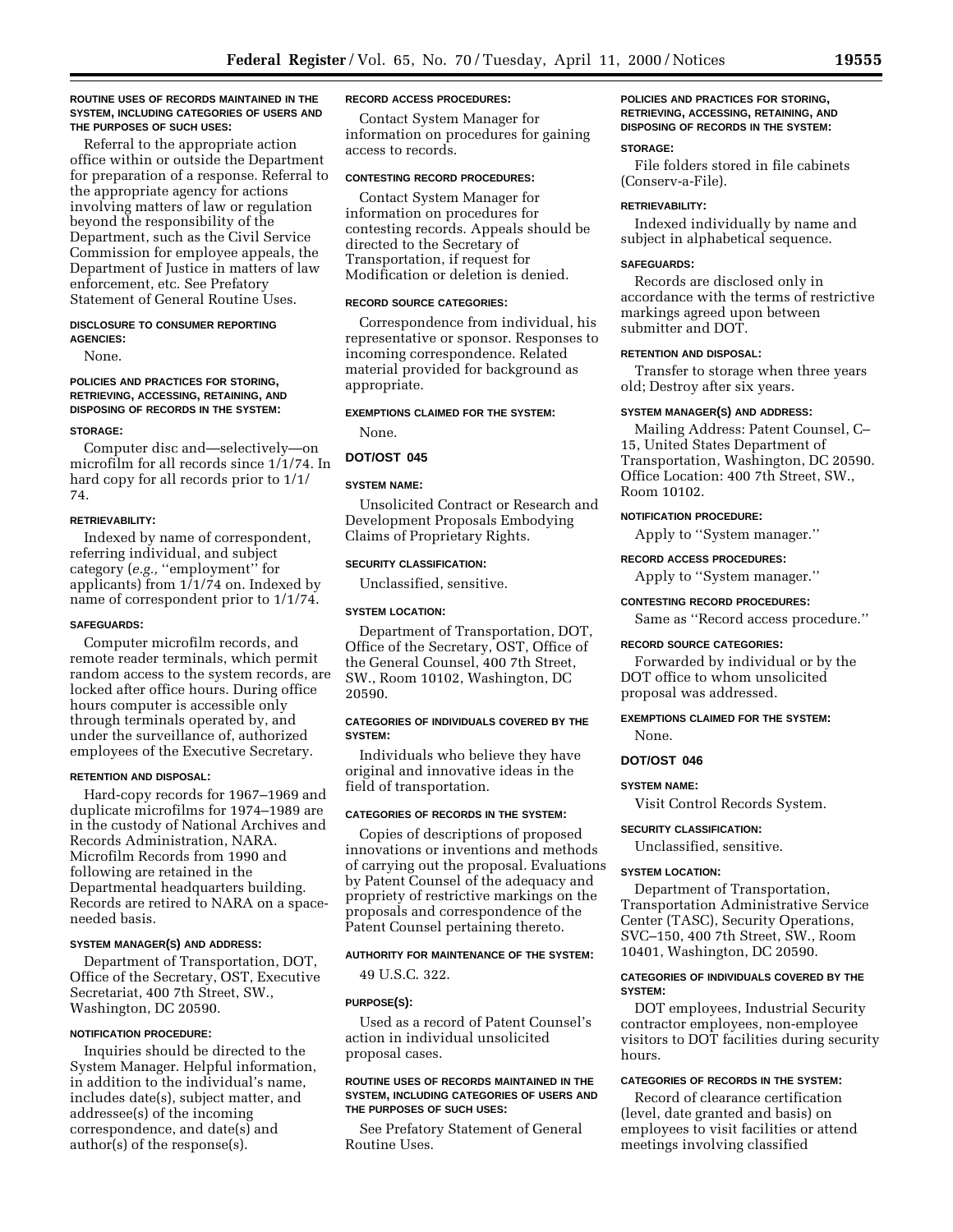#### **ROUTINE USES OF RECORDS MAINTAINED IN THE SYSTEM, INCLUDING CATEGORIES OF USERS AND THE PURPOSES OF SUCH USES:**

Referral to the appropriate action office within or outside the Department for preparation of a response. Referral to the appropriate agency for actions involving matters of law or regulation beyond the responsibility of the Department, such as the Civil Service Commission for employee appeals, the Department of Justice in matters of law enforcement, etc. See Prefatory Statement of General Routine Uses.

#### **DISCLOSURE TO CONSUMER REPORTING AGENCIES:**

None.

### **POLICIES AND PRACTICES FOR STORING, RETRIEVING, ACCESSING, RETAINING, AND DISPOSING OF RECORDS IN THE SYSTEM:**

#### **STORAGE:**

Computer disc and—selectively—on microfilm for all records since 1/1/74. In hard copy for all records prior to 1/1/ 74.

#### **RETRIEVABILITY:**

Indexed by name of correspondent, referring individual, and subject category (*e.g.,* ''employment'' for applicants) from  $1/1/74$  on. Indexed by name of correspondent prior to 1/1/74.

#### **SAFEGUARDS:**

Computer microfilm records, and remote reader terminals, which permit random access to the system records, are locked after office hours. During office hours computer is accessible only through terminals operated by, and under the surveillance of, authorized employees of the Executive Secretary.

#### **RETENTION AND DISPOSAL:**

Hard-copy records for 1967–1969 and duplicate microfilms for 1974–1989 are in the custody of National Archives and Records Administration, NARA. Microfilm Records from 1990 and following are retained in the Departmental headquarters building. Records are retired to NARA on a spaceneeded basis.

#### **SYSTEM MANAGER(S) AND ADDRESS:**

Department of Transportation, DOT, Office of the Secretary, OST, Executive Secretariat, 400 7th Street, SW., Washington, DC 20590.

### **NOTIFICATION PROCEDURE:**

Inquiries should be directed to the System Manager. Helpful information, in addition to the individual's name, includes date(s), subject matter, and addressee(s) of the incoming correspondence, and date(s) and author(s) of the response(s).

#### **RECORD ACCESS PROCEDURES:**

Contact System Manager for information on procedures for gaining access to records.

### **CONTESTING RECORD PROCEDURES:**

Contact System Manager for information on procedures for contesting records. Appeals should be directed to the Secretary of Transportation, if request for Modification or deletion is denied.

#### **RECORD SOURCE CATEGORIES:**

Correspondence from individual, his representative or sponsor. Responses to incoming correspondence. Related material provided for background as appropriate.

### **EXEMPTIONS CLAIMED FOR THE SYSTEM:**

None.

#### **DOT/OST 045**

### **SYSTEM NAME:**

Unsolicited Contract or Research and Development Proposals Embodying Claims of Proprietary Rights.

#### **SECURITY CLASSIFICATION:**

Unclassified, sensitive.

### **SYSTEM LOCATION:**

Department of Transportation, DOT, Office of the Secretary, OST, Office of the General Counsel, 400 7th Street, SW., Room 10102, Washington, DC 20590.

#### **CATEGORIES OF INDIVIDUALS COVERED BY THE SYSTEM:**

Individuals who believe they have original and innovative ideas in the field of transportation.

### **CATEGORIES OF RECORDS IN THE SYSTEM:**

Copies of descriptions of proposed innovations or inventions and methods of carrying out the proposal. Evaluations by Patent Counsel of the adequacy and propriety of restrictive markings on the proposals and correspondence of the Patent Counsel pertaining thereto.

#### **AUTHORITY FOR MAINTENANCE OF THE SYSTEM:**

49 U.S.C. 322.

#### **PURPOSE(S):**

Used as a record of Patent Counsel's action in individual unsolicited proposal cases.

#### **ROUTINE USES OF RECORDS MAINTAINED IN THE SYSTEM, INCLUDING CATEGORIES OF USERS AND THE PURPOSES OF SUCH USES:**

See Prefatory Statement of General Routine Uses.

### **POLICIES AND PRACTICES FOR STORING, RETRIEVING, ACCESSING, RETAINING, AND DISPOSING OF RECORDS IN THE SYSTEM:**

#### **STORAGE:**

File folders stored in file cabinets (Conserv-a-File).

### **RETRIEVABILITY:**

Indexed individually by name and subject in alphabetical sequence.

#### **SAFEGUARDS:**

Records are disclosed only in accordance with the terms of restrictive markings agreed upon between submitter and DOT.

### **RETENTION AND DISPOSAL:**

Transfer to storage when three years old; Destroy after six years.

### **SYSTEM MANAGER(S) AND ADDRESS:**

Mailing Address: Patent Counsel, C– 15, United States Department of Transportation, Washington, DC 20590. Office Location: 400 7th Street, SW., Room 10102.

### **NOTIFICATION PROCEDURE:**

Apply to ''System manager.''

### **RECORD ACCESS PROCEDURES:**

Apply to ''System manager.''

#### **CONTESTING RECORD PROCEDURES:**

Same as ''Record access procedure.''

#### **RECORD SOURCE CATEGORIES:**

Forwarded by individual or by the DOT office to whom unsolicited proposal was addressed.

### **EXEMPTIONS CLAIMED FOR THE SYSTEM:** None.

### **DOT/OST 046**

#### **SYSTEM NAME:**

Visit Control Records System.

#### **SECURITY CLASSIFICATION:**

Unclassified, sensitive.

### **SYSTEM LOCATION:**

Department of Transportation, Transportation Administrative Service Center (TASC), Security Operations, SVC–150, 400 7th Street, SW., Room 10401, Washington, DC 20590.

### **CATEGORIES OF INDIVIDUALS COVERED BY THE SYSTEM:**

DOT employees, Industrial Security contractor employees, non-employee visitors to DOT facilities during security hours.

### **CATEGORIES OF RECORDS IN THE SYSTEM:**

Record of clearance certification (level, date granted and basis) on employees to visit facilities or attend meetings involving classified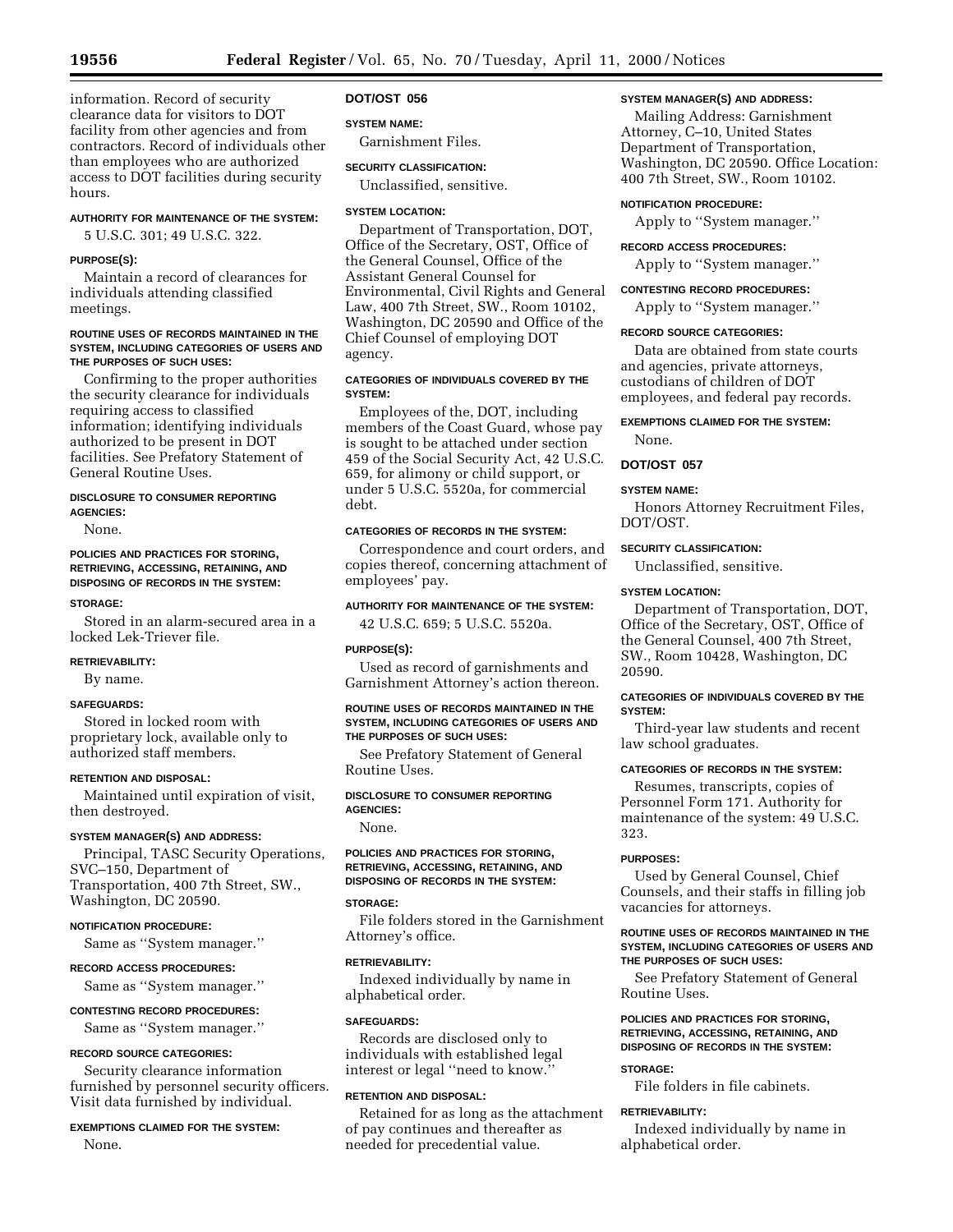information. Record of security clearance data for visitors to DOT facility from other agencies and from contractors. Record of individuals other than employees who are authorized access to DOT facilities during security hours.

### **AUTHORITY FOR MAINTENANCE OF THE SYSTEM:**

5 U.S.C. 301; 49 U.S.C. 322.

#### **PURPOSE(S):**

Maintain a record of clearances for individuals attending classified meetings.

### **ROUTINE USES OF RECORDS MAINTAINED IN THE SYSTEM, INCLUDING CATEGORIES OF USERS AND THE PURPOSES OF SUCH USES:**

Confirming to the proper authorities the security clearance for individuals requiring access to classified information; identifying individuals authorized to be present in DOT facilities. See Prefatory Statement of General Routine Uses.

### **DISCLOSURE TO CONSUMER REPORTING AGENCIES:**

None.

### **POLICIES AND PRACTICES FOR STORING, RETRIEVING, ACCESSING, RETAINING, AND DISPOSING OF RECORDS IN THE SYSTEM:**

#### **STORAGE:**

Stored in an alarm-secured area in a locked Lek-Triever file.

### **RETRIEVABILITY:**

By name.

### **SAFEGUARDS:**

Stored in locked room with proprietary lock, available only to authorized staff members.

### **RETENTION AND DISPOSAL:**

Maintained until expiration of visit, then destroyed.

### **SYSTEM MANAGER(S) AND ADDRESS:**

Principal, TASC Security Operations, SVC–150, Department of Transportation, 400 7th Street, SW., Washington, DC 20590.

### **NOTIFICATION PROCEDURE:**

Same as ''System manager.''

#### **RECORD ACCESS PROCEDURES:**

Same as ''System manager.''

### **CONTESTING RECORD PROCEDURES:**

Same as ''System manager.''

#### **RECORD SOURCE CATEGORIES:**

Security clearance information furnished by personnel security officers. Visit data furnished by individual.

### **EXEMPTIONS CLAIMED FOR THE SYSTEM:** None.

### **DOT/OST 056**

### **SYSTEM NAME:**

Garnishment Files.

### **SECURITY CLASSIFICATION:**

Unclassified, sensitive.

### **SYSTEM LOCATION:**

Department of Transportation, DOT, Office of the Secretary, OST, Office of the General Counsel, Office of the Assistant General Counsel for Environmental, Civil Rights and General Law, 400 7th Street, SW., Room 10102, Washington, DC 20590 and Office of the Chief Counsel of employing DOT agency.

### **CATEGORIES OF INDIVIDUALS COVERED BY THE SYSTEM:**

Employees of the, DOT, including members of the Coast Guard, whose pay is sought to be attached under section 459 of the Social Security Act, 42 U.S.C. 659, for alimony or child support, or under 5 U.S.C. 5520a, for commercial debt.

### **CATEGORIES OF RECORDS IN THE SYSTEM:**

Correspondence and court orders, and copies thereof, concerning attachment of employees' pay.

### **AUTHORITY FOR MAINTENANCE OF THE SYSTEM:**

42 U.S.C. 659; 5 U.S.C. 5520a.

### **PURPOSE(S):**

Used as record of garnishments and Garnishment Attorney's action thereon.

#### **ROUTINE USES OF RECORDS MAINTAINED IN THE SYSTEM, INCLUDING CATEGORIES OF USERS AND THE PURPOSES OF SUCH USES:**

See Prefatory Statement of General Routine Uses.

### **DISCLOSURE TO CONSUMER REPORTING AGENCIES:**

None.

### **POLICIES AND PRACTICES FOR STORING, RETRIEVING, ACCESSING, RETAINING, AND DISPOSING OF RECORDS IN THE SYSTEM:**

### **STORAGE:**

File folders stored in the Garnishment Attorney's office.

#### **RETRIEVABILITY:**

Indexed individually by name in alphabetical order.

### **SAFEGUARDS:**

Records are disclosed only to individuals with established legal interest or legal ''need to know.''

### **RETENTION AND DISPOSAL:**

Retained for as long as the attachment of pay continues and thereafter as needed for precedential value.

### **SYSTEM MANAGER(S) AND ADDRESS:**

Mailing Address: Garnishment Attorney, C–10, United States Department of Transportation, Washington, DC 20590. Office Location: 400 7th Street, SW., Room 10102.

### **NOTIFICATION PROCEDURE:**

Apply to ''System manager.''

### **RECORD ACCESS PROCEDURES:**

Apply to ''System manager.''

### **CONTESTING RECORD PROCEDURES:**

Apply to ''System manager.''

### **RECORD SOURCE CATEGORIES:**

Data are obtained from state courts and agencies, private attorneys, custodians of children of DOT employees, and federal pay records.

### **EXEMPTIONS CLAIMED FOR THE SYSTEM:** None.

## **DOT/OST 057**

### **SYSTEM NAME:**

Honors Attorney Recruitment Files, DOT/OST.

### **SECURITY CLASSIFICATION:**

Unclassified, sensitive.

#### **SYSTEM LOCATION:**

Department of Transportation, DOT, Office of the Secretary, OST, Office of the General Counsel, 400 7th Street, SW., Room 10428, Washington, DC 20590.

#### **CATEGORIES OF INDIVIDUALS COVERED BY THE SYSTEM:**

Third-year law students and recent law school graduates.

#### **CATEGORIES OF RECORDS IN THE SYSTEM:**

Resumes, transcripts, copies of Personnel Form 171. Authority for maintenance of the system: 49 U.S.C. 323.

### **PURPOSES:**

Used by General Counsel, Chief Counsels, and their staffs in filling job vacancies for attorneys.

### **ROUTINE USES OF RECORDS MAINTAINED IN THE SYSTEM, INCLUDING CATEGORIES OF USERS AND THE PURPOSES OF SUCH USES:**

See Prefatory Statement of General Routine Uses.

### **POLICIES AND PRACTICES FOR STORING, RETRIEVING, ACCESSING, RETAINING, AND DISPOSING OF RECORDS IN THE SYSTEM:**

### **STORAGE:**

File folders in file cabinets.

#### **RETRIEVABILITY:**

Indexed individually by name in alphabetical order.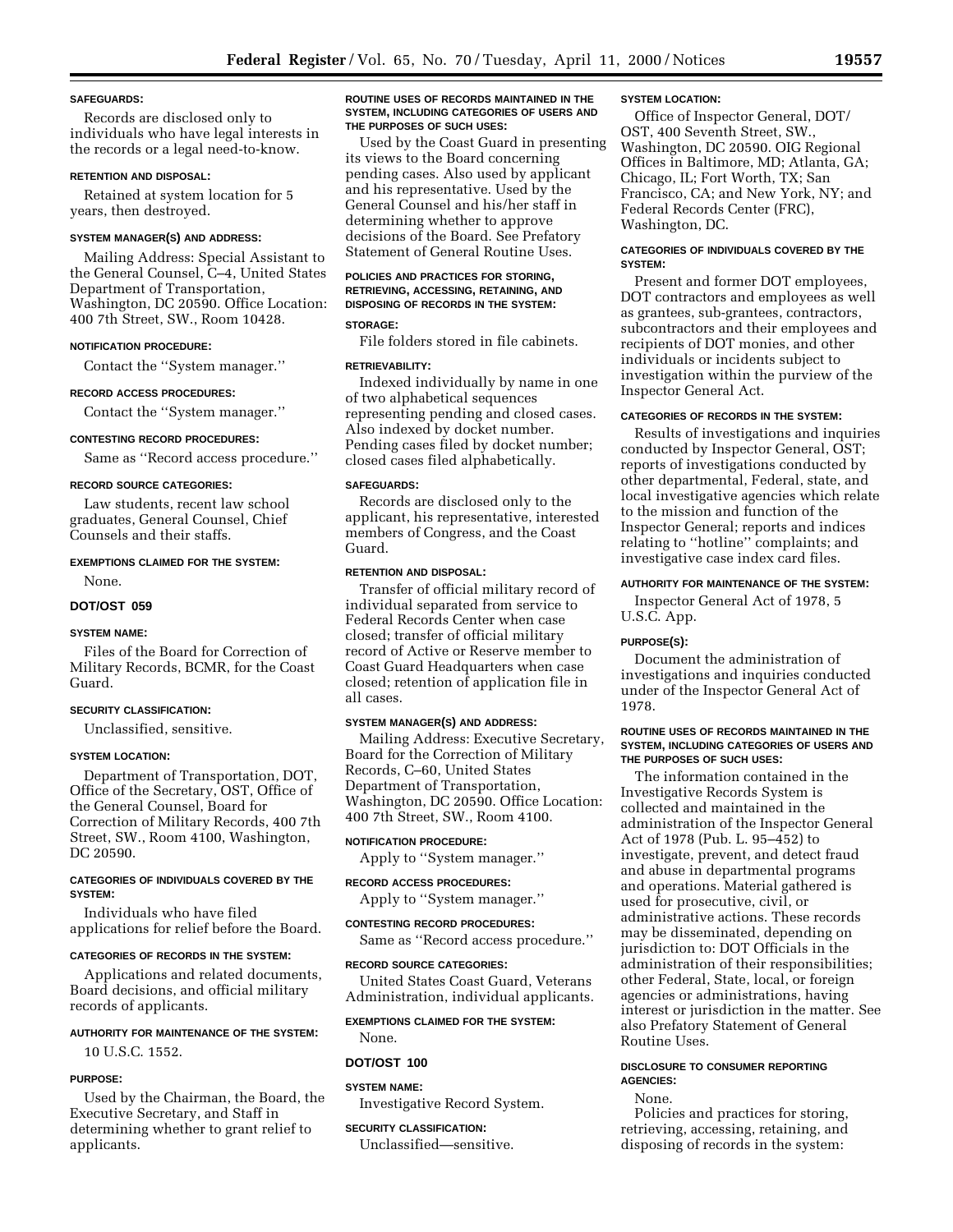#### **SAFEGUARDS:**

Records are disclosed only to individuals who have legal interests in the records or a legal need-to-know.

#### **RETENTION AND DISPOSAL:**

Retained at system location for 5 years, then destroyed.

### **SYSTEM MANAGER(S) AND ADDRESS:**

Mailing Address: Special Assistant to the General Counsel, C–4, United States Department of Transportation, Washington, DC 20590. Office Location: 400 7th Street, SW., Room 10428.

#### **NOTIFICATION PROCEDURE:**

Contact the ''System manager.''

### **RECORD ACCESS PROCEDURES:**

Contact the ''System manager.''

#### **CONTESTING RECORD PROCEDURES:**

Same as ''Record access procedure.''

### **RECORD SOURCE CATEGORIES:**

Law students, recent law school graduates, General Counsel, Chief Counsels and their staffs.

### **EXEMPTIONS CLAIMED FOR THE SYSTEM:**

None.

#### **DOT/OST 059**

### **SYSTEM NAME:**

Files of the Board for Correction of Military Records, BCMR, for the Coast Guard.

### **SECURITY CLASSIFICATION:**

Unclassified, sensitive.

### **SYSTEM LOCATION:**

Department of Transportation, DOT, Office of the Secretary, OST, Office of the General Counsel, Board for Correction of Military Records, 400 7th Street, SW., Room 4100, Washington, DC 20590.

### **CATEGORIES OF INDIVIDUALS COVERED BY THE SYSTEM:**

Individuals who have filed applications for relief before the Board.

#### **CATEGORIES OF RECORDS IN THE SYSTEM:**

Applications and related documents, Board decisions, and official military records of applicants.

### **AUTHORITY FOR MAINTENANCE OF THE SYSTEM:**

10 U.S.C. 1552.

#### **PURPOSE:**

Used by the Chairman, the Board, the Executive Secretary, and Staff in determining whether to grant relief to applicants.

#### **ROUTINE USES OF RECORDS MAINTAINED IN THE SYSTEM, INCLUDING CATEGORIES OF USERS AND THE PURPOSES OF SUCH USES:**

Used by the Coast Guard in presenting its views to the Board concerning pending cases. Also used by applicant and his representative. Used by the General Counsel and his/her staff in determining whether to approve decisions of the Board. See Prefatory Statement of General Routine Uses.

### **POLICIES AND PRACTICES FOR STORING, RETRIEVING, ACCESSING, RETAINING, AND DISPOSING OF RECORDS IN THE SYSTEM:**

### **STORAGE:**

File folders stored in file cabinets.

### **RETRIEVABILITY:**

Indexed individually by name in one of two alphabetical sequences representing pending and closed cases. Also indexed by docket number. Pending cases filed by docket number; closed cases filed alphabetically.

### **SAFEGUARDS:**

Records are disclosed only to the applicant, his representative, interested members of Congress, and the Coast Guard.

### **RETENTION AND DISPOSAL:**

Transfer of official military record of individual separated from service to Federal Records Center when case closed; transfer of official military record of Active or Reserve member to Coast Guard Headquarters when case closed; retention of application file in all cases.

#### **SYSTEM MANAGER(S) AND ADDRESS:**

Mailing Address: Executive Secretary, Board for the Correction of Military Records, C–60, United States Department of Transportation, Washington, DC 20590. Office Location: 400 7th Street, SW., Room 4100.

#### **NOTIFICATION PROCEDURE:**

Apply to ''System manager.''

### **RECORD ACCESS PROCEDURES:**

Apply to ''System manager.''

### **CONTESTING RECORD PROCEDURES:**

Same as ''Record access procedure.''

#### **RECORD SOURCE CATEGORIES:**

United States Coast Guard, Veterans Administration, individual applicants.

#### **EXEMPTIONS CLAIMED FOR THE SYSTEM:**

None.

### **DOT/OST 100**

### **SYSTEM NAME:**

Investigative Record System.

### **SECURITY CLASSIFICATION:**

Unclassified—sensitive.

#### **SYSTEM LOCATION:**

Office of Inspector General, DOT/ OST, 400 Seventh Street, SW., Washington, DC 20590. OIG Regional Offices in Baltimore, MD; Atlanta, GA; Chicago, IL; Fort Worth, TX; San Francisco, CA; and New York, NY; and Federal Records Center (FRC), Washington, DC.

### **CATEGORIES OF INDIVIDUALS COVERED BY THE SYSTEM:**

Present and former DOT employees, DOT contractors and employees as well as grantees, sub-grantees, contractors, subcontractors and their employees and recipients of DOT monies, and other individuals or incidents subject to investigation within the purview of the Inspector General Act.

### **CATEGORIES OF RECORDS IN THE SYSTEM:**

Results of investigations and inquiries conducted by Inspector General, OST; reports of investigations conducted by other departmental, Federal, state, and local investigative agencies which relate to the mission and function of the Inspector General; reports and indices relating to ''hotline'' complaints; and investigative case index card files.

### **AUTHORITY FOR MAINTENANCE OF THE SYSTEM:**

Inspector General Act of 1978, 5 U.S.C. App.

### **PURPOSE(S):**

Document the administration of investigations and inquiries conducted under of the Inspector General Act of 1978.

### **ROUTINE USES OF RECORDS MAINTAINED IN THE SYSTEM, INCLUDING CATEGORIES OF USERS AND THE PURPOSES OF SUCH USES:**

The information contained in the Investigative Records System is collected and maintained in the administration of the Inspector General Act of 1978 (Pub. L. 95–452) to investigate, prevent, and detect fraud and abuse in departmental programs and operations. Material gathered is used for prosecutive, civil, or administrative actions. These records may be disseminated, depending on jurisdiction to: DOT Officials in the administration of their responsibilities; other Federal, State, local, or foreign agencies or administrations, having interest or jurisdiction in the matter. See also Prefatory Statement of General Routine Uses.

### **DISCLOSURE TO CONSUMER REPORTING AGENCIES:**

None.

Policies and practices for storing, retrieving, accessing, retaining, and disposing of records in the system: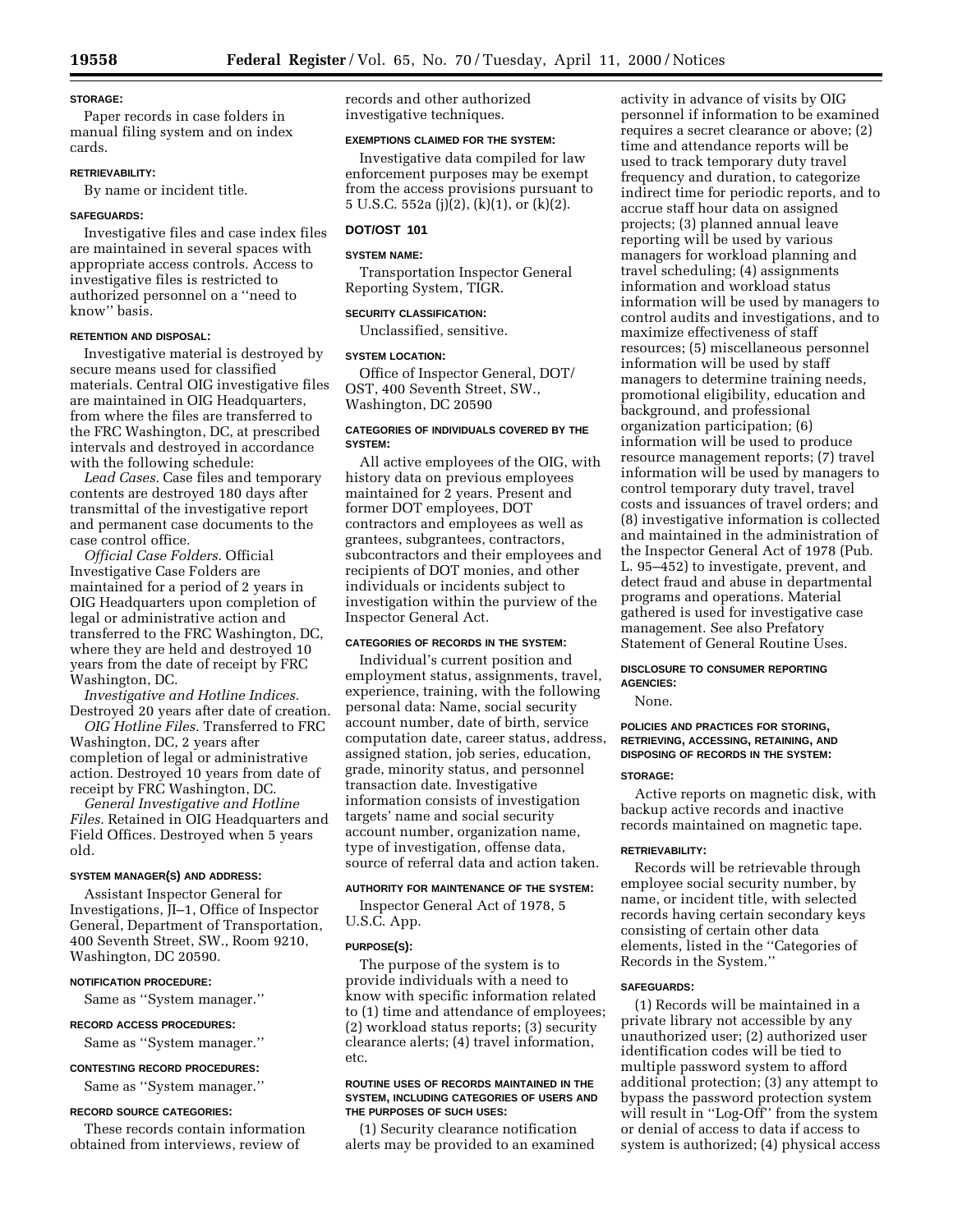### **STORAGE:**

Paper records in case folders in manual filing system and on index cards.

### **RETRIEVABILITY:**

By name or incident title.

### **SAFEGUARDS:**

Investigative files and case index files are maintained in several spaces with appropriate access controls. Access to investigative files is restricted to authorized personnel on a ''need to know'' basis.

### **RETENTION AND DISPOSAL:**

Investigative material is destroyed by secure means used for classified materials. Central OIG investigative files are maintained in OIG Headquarters, from where the files are transferred to the FRC Washington, DC, at prescribed intervals and destroyed in accordance with the following schedule:

*Lead Cases.* Case files and temporary contents are destroyed 180 days after transmittal of the investigative report and permanent case documents to the case control office.

*Official Case Folders.* Official Investigative Case Folders are maintained for a period of 2 years in OIG Headquarters upon completion of legal or administrative action and transferred to the FRC Washington, DC, where they are held and destroyed 10 years from the date of receipt by FRC Washington, DC.

*Investigative and Hotline Indices.* Destroyed 20 years after date of creation.

*OIG Hotline Files.* Transferred to FRC Washington, DC, 2 years after completion of legal or administrative action. Destroyed 10 years from date of receipt by FRC Washington, DC.

*General Investigative and Hotline Files.* Retained in OIG Headquarters and Field Offices. Destroyed when 5 years old.

#### **SYSTEM MANAGER(S) AND ADDRESS:**

Assistant Inspector General for Investigations, JI–1, Office of Inspector General, Department of Transportation, 400 Seventh Street, SW., Room 9210, Washington, DC 20590.

#### **NOTIFICATION PROCEDURE:**

Same as ''System manager.''

### **RECORD ACCESS PROCEDURES:**

Same as ''System manager.''

#### **CONTESTING RECORD PROCEDURES:**

Same as ''System manager.''

#### **RECORD SOURCE CATEGORIES:**

These records contain information obtained from interviews, review of

records and other authorized investigative techniques.

### **EXEMPTIONS CLAIMED FOR THE SYSTEM:**

Investigative data compiled for law enforcement purposes may be exempt from the access provisions pursuant to 5 U.S.C. 552a (j)(2), (k)(1), or (k)(2).

### **DOT/OST 101**

### **SYSTEM NAME:**

Transportation Inspector General Reporting System, TIGR.

### **SECURITY CLASSIFICATION:**

Unclassified, sensitive.

### **SYSTEM LOCATION:**

Office of Inspector General, DOT/ OST, 400 Seventh Street, SW., Washington, DC 20590

### **CATEGORIES OF INDIVIDUALS COVERED BY THE SYSTEM:**

All active employees of the OIG, with history data on previous employees maintained for 2 years. Present and former DOT employees, DOT contractors and employees as well as grantees, subgrantees, contractors, subcontractors and their employees and recipients of DOT monies, and other individuals or incidents subject to investigation within the purview of the Inspector General Act.

### **CATEGORIES OF RECORDS IN THE SYSTEM:**

Individual's current position and employment status, assignments, travel, experience, training, with the following personal data: Name, social security account number, date of birth, service computation date, career status, address, assigned station, job series, education, grade, minority status, and personnel transaction date. Investigative information consists of investigation targets' name and social security account number, organization name, type of investigation, offense data, source of referral data and action taken.

### **AUTHORITY FOR MAINTENANCE OF THE SYSTEM:**

Inspector General Act of 1978, 5 U.S.C. App.

### **PURPOSE(S):**

The purpose of the system is to provide individuals with a need to know with specific information related to (1) time and attendance of employees; (2) workload status reports; (3) security clearance alerts; (4) travel information, etc.

#### **ROUTINE USES OF RECORDS MAINTAINED IN THE SYSTEM, INCLUDING CATEGORIES OF USERS AND THE PURPOSES OF SUCH USES:**

(1) Security clearance notification alerts may be provided to an examined

activity in advance of visits by OIG personnel if information to be examined requires a secret clearance or above; (2) time and attendance reports will be used to track temporary duty travel frequency and duration, to categorize indirect time for periodic reports, and to accrue staff hour data on assigned projects; (3) planned annual leave reporting will be used by various managers for workload planning and travel scheduling; (4) assignments information and workload status information will be used by managers to control audits and investigations, and to maximize effectiveness of staff resources; (5) miscellaneous personnel information will be used by staff managers to determine training needs, promotional eligibility, education and background, and professional organization participation; (6) information will be used to produce resource management reports; (7) travel information will be used by managers to control temporary duty travel, travel costs and issuances of travel orders; and (8) investigative information is collected and maintained in the administration of the Inspector General Act of 1978 (Pub. L. 95–452) to investigate, prevent, and detect fraud and abuse in departmental programs and operations. Material gathered is used for investigative case management. See also Prefatory Statement of General Routine Uses.

### **DISCLOSURE TO CONSUMER REPORTING AGENCIES:**

None.

### **POLICIES AND PRACTICES FOR STORING, RETRIEVING, ACCESSING, RETAINING, AND DISPOSING OF RECORDS IN THE SYSTEM:**

### **STORAGE:**

Active reports on magnetic disk, with backup active records and inactive records maintained on magnetic tape.

#### **RETRIEVABILITY:**

Records will be retrievable through employee social security number, by name, or incident title, with selected records having certain secondary keys consisting of certain other data elements, listed in the ''Categories of Records in the System.''

#### **SAFEGUARDS:**

(1) Records will be maintained in a private library not accessible by any unauthorized user; (2) authorized user identification codes will be tied to multiple password system to afford additional protection; (3) any attempt to bypass the password protection system will result in ''Log-Off'' from the system or denial of access to data if access to system is authorized; (4) physical access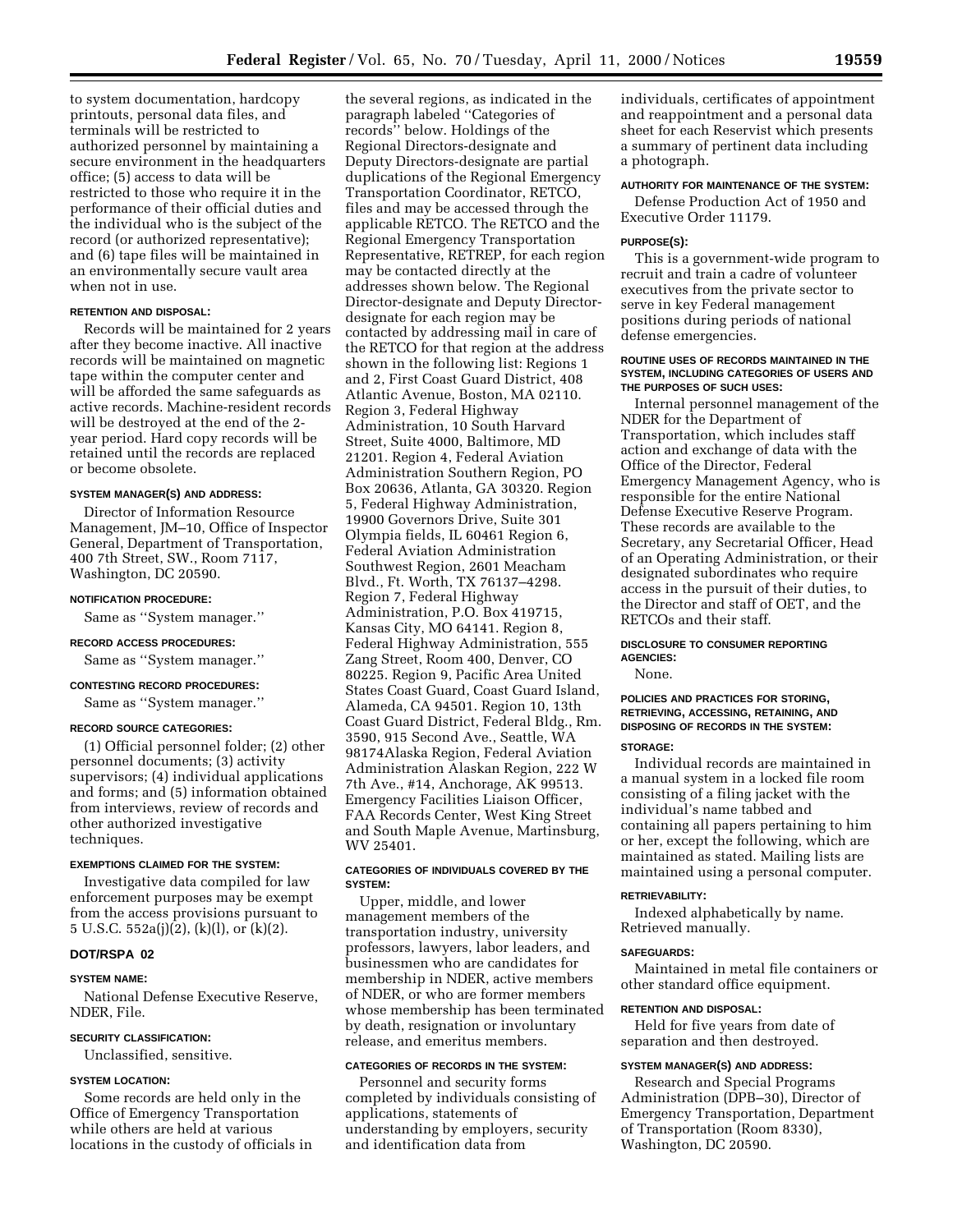to system documentation, hardcopy printouts, personal data files, and terminals will be restricted to authorized personnel by maintaining a secure environment in the headquarters office; (5) access to data will be restricted to those who require it in the performance of their official duties and the individual who is the subject of the record (or authorized representative); and (6) tape files will be maintained in an environmentally secure vault area when not in use.

#### **RETENTION AND DISPOSAL:**

Records will be maintained for 2 years after they become inactive. All inactive records will be maintained on magnetic tape within the computer center and will be afforded the same safeguards as active records. Machine-resident records will be destroyed at the end of the 2 year period. Hard copy records will be retained until the records are replaced or become obsolete.

### **SYSTEM MANAGER(S) AND ADDRESS:**

Director of Information Resource Management, JM–10, Office of Inspector General, Department of Transportation, 400 7th Street, SW., Room 7117, Washington, DC 20590.

#### **NOTIFICATION PROCEDURE:**

Same as ''System manager.''

### **RECORD ACCESS PROCEDURES:**

Same as ''System manager.''

### **CONTESTING RECORD PROCEDURES:**

Same as ''System manager.''

#### **RECORD SOURCE CATEGORIES:**

(1) Official personnel folder; (2) other personnel documents; (3) activity supervisors; (4) individual applications and forms; and (5) information obtained from interviews, review of records and other authorized investigative techniques.

#### **EXEMPTIONS CLAIMED FOR THE SYSTEM:**

Investigative data compiled for law enforcement purposes may be exempt from the access provisions pursuant to 5 U.S.C. 552a(j)(2), (k)(l), or (k)(2).

### **DOT/RSPA 02**

#### **SYSTEM NAME:**

National Defense Executive Reserve, NDER, File.

#### **SECURITY CLASSIFICATION:**

Unclassified, sensitive.

### **SYSTEM LOCATION:**

Some records are held only in the Office of Emergency Transportation while others are held at various locations in the custody of officials in

the several regions, as indicated in the paragraph labeled ''Categories of records'' below. Holdings of the Regional Directors-designate and Deputy Directors-designate are partial duplications of the Regional Emergency Transportation Coordinator, RETCO, files and may be accessed through the applicable RETCO. The RETCO and the Regional Emergency Transportation Representative, RETREP, for each region may be contacted directly at the addresses shown below. The Regional Director-designate and Deputy Directordesignate for each region may be contacted by addressing mail in care of the RETCO for that region at the address shown in the following list: Regions 1 and 2, First Coast Guard District, 408 Atlantic Avenue, Boston, MA 02110. Region 3, Federal Highway Administration, 10 South Harvard Street, Suite 4000, Baltimore, MD 21201. Region 4, Federal Aviation Administration Southern Region, PO Box 20636, Atlanta, GA 30320. Region 5, Federal Highway Administration, 19900 Governors Drive, Suite 301 Olympia fields, IL 60461 Region 6, Federal Aviation Administration Southwest Region, 2601 Meacham Blvd., Ft. Worth, TX 76137–4298. Region 7, Federal Highway Administration, P.O. Box 419715, Kansas City, MO 64141. Region 8, Federal Highway Administration, 555 Zang Street, Room 400, Denver, CO 80225. Region 9, Pacific Area United States Coast Guard, Coast Guard Island, Alameda, CA 94501. Region 10, 13th Coast Guard District, Federal Bldg., Rm. 3590, 915 Second Ave., Seattle, WA 98174Alaska Region, Federal Aviation Administration Alaskan Region, 222 W 7th Ave., #14, Anchorage, AK 99513. Emergency Facilities Liaison Officer, FAA Records Center, West King Street and South Maple Avenue, Martinsburg, WV 25401.

### **CATEGORIES OF INDIVIDUALS COVERED BY THE SYSTEM:**

Upper, middle, and lower management members of the transportation industry, university professors, lawyers, labor leaders, and businessmen who are candidates for membership in NDER, active members of NDER, or who are former members whose membership has been terminated by death, resignation or involuntary release, and emeritus members.

### **CATEGORIES OF RECORDS IN THE SYSTEM:**

Personnel and security forms completed by individuals consisting of applications, statements of understanding by employers, security and identification data from

individuals, certificates of appointment and reappointment and a personal data sheet for each Reservist which presents a summary of pertinent data including a photograph.

### **AUTHORITY FOR MAINTENANCE OF THE SYSTEM:** Defense Production Act of 1950 and

Executive Order 11179.

### **PURPOSE(S):**

This is a government-wide program to recruit and train a cadre of volunteer executives from the private sector to serve in key Federal management positions during periods of national defense emergencies.

#### **ROUTINE USES OF RECORDS MAINTAINED IN THE SYSTEM, INCLUDING CATEGORIES OF USERS AND THE PURPOSES OF SUCH USES:**

Internal personnel management of the NDER for the Department of Transportation, which includes staff action and exchange of data with the Office of the Director, Federal Emergency Management Agency, who is responsible for the entire National Defense Executive Reserve Program. These records are available to the Secretary, any Secretarial Officer, Head of an Operating Administration, or their designated subordinates who require access in the pursuit of their duties, to the Director and staff of OET, and the RETCOs and their staff.

### **DISCLOSURE TO CONSUMER REPORTING AGENCIES:**

None.

### **POLICIES AND PRACTICES FOR STORING, RETRIEVING, ACCESSING, RETAINING, AND DISPOSING OF RECORDS IN THE SYSTEM:**

#### **STORAGE:**

Individual records are maintained in a manual system in a locked file room consisting of a filing jacket with the individual's name tabbed and containing all papers pertaining to him or her, except the following, which are maintained as stated. Mailing lists are maintained using a personal computer.

### **RETRIEVABILITY:**

Indexed alphabetically by name. Retrieved manually.

#### **SAFEGUARDS:**

Maintained in metal file containers or other standard office equipment.

#### **RETENTION AND DISPOSAL:**

Held for five years from date of separation and then destroyed.

### **SYSTEM MANAGER(S) AND ADDRESS:**

Research and Special Programs Administration (DPB–30), Director of Emergency Transportation, Department of Transportation (Room 8330), Washington, DC 20590.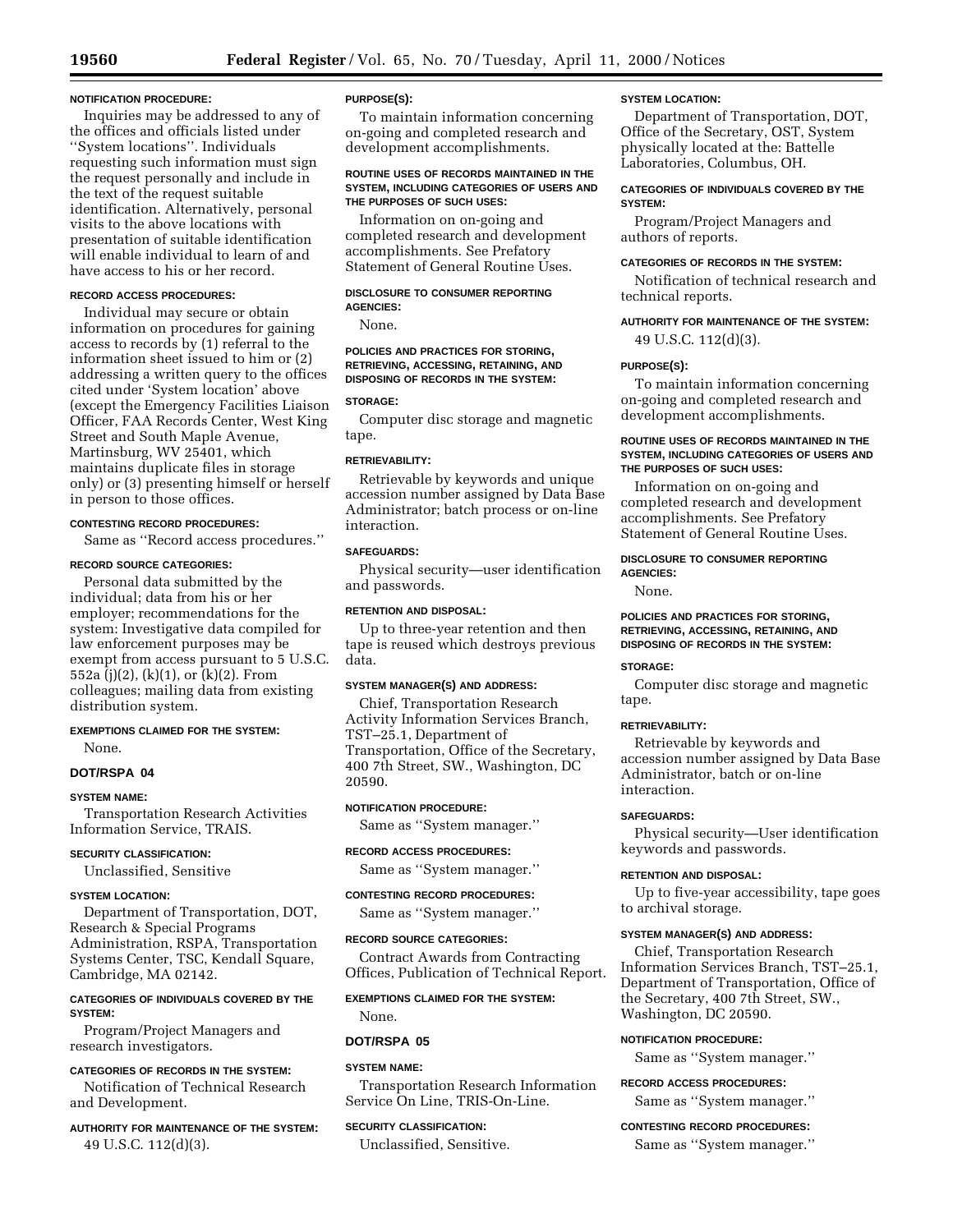#### **NOTIFICATION PROCEDURE:**

Inquiries may be addressed to any of the offices and officials listed under ''System locations''. Individuals requesting such information must sign the request personally and include in the text of the request suitable identification. Alternatively, personal visits to the above locations with presentation of suitable identification will enable individual to learn of and have access to his or her record.

### **RECORD ACCESS PROCEDURES:**

Individual may secure or obtain information on procedures for gaining access to records by (1) referral to the information sheet issued to him or (2) addressing a written query to the offices cited under 'System location' above (except the Emergency Facilities Liaison Officer, FAA Records Center, West King Street and South Maple Avenue, Martinsburg, WV 25401, which maintains duplicate files in storage only) or (3) presenting himself or herself in person to those offices.

### **CONTESTING RECORD PROCEDURES:**

Same as ''Record access procedures.''

#### **RECORD SOURCE CATEGORIES:**

Personal data submitted by the individual; data from his or her employer; recommendations for the system: Investigative data compiled for law enforcement purposes may be exempt from access pursuant to 5 U.S.C. 552a (j)(2), (k)(1), or (k)(2). From colleagues; mailing data from existing distribution system.

### **EXEMPTIONS CLAIMED FOR THE SYSTEM:** None.

**DOT/RSPA 04**

### **SYSTEM NAME:**

Transportation Research Activities Information Service, TRAIS.

#### **SECURITY CLASSIFICATION:**

Unclassified, Sensitive

### **SYSTEM LOCATION:**

Department of Transportation, DOT, Research & Special Programs Administration, RSPA, Transportation Systems Center, TSC, Kendall Square, Cambridge, MA 02142.

### **CATEGORIES OF INDIVIDUALS COVERED BY THE SYSTEM:**

Program/Project Managers and research investigators.

#### **CATEGORIES OF RECORDS IN THE SYSTEM:**

Notification of Technical Research and Development.

### **AUTHORITY FOR MAINTENANCE OF THE SYSTEM:** 49 U.S.C. 112(d)(3).

### **PURPOSE(S):**

To maintain information concerning on-going and completed research and development accomplishments.

#### **ROUTINE USES OF RECORDS MAINTAINED IN THE SYSTEM, INCLUDING CATEGORIES OF USERS AND THE PURPOSES OF SUCH USES:**

Information on on-going and completed research and development accomplishments. See Prefatory Statement of General Routine Uses.

#### **DISCLOSURE TO CONSUMER REPORTING AGENCIES:**

None.

### **POLICIES AND PRACTICES FOR STORING, RETRIEVING, ACCESSING, RETAINING, AND DISPOSING OF RECORDS IN THE SYSTEM:**

#### **STORAGE:**

Computer disc storage and magnetic tape.

### **RETRIEVABILITY:**

Retrievable by keywords and unique accession number assigned by Data Base Administrator; batch process or on-line interaction.

### **SAFEGUARDS:**

Physical security—user identification and passwords.

#### **RETENTION AND DISPOSAL:**

Up to three-year retention and then tape is reused which destroys previous data.

### **SYSTEM MANAGER(S) AND ADDRESS:**

Chief, Transportation Research Activity Information Services Branch, TST–25.1, Department of Transportation, Office of the Secretary, 400 7th Street, SW., Washington, DC 20590.

#### **NOTIFICATION PROCEDURE:**

Same as ''System manager.''

### **RECORD ACCESS PROCEDURES:**

Same as ''System manager.''

### **CONTESTING RECORD PROCEDURES:**

Same as ''System manager.''

### **RECORD SOURCE CATEGORIES:**

Contract Awards from Contracting Offices, Publication of Technical Report.

#### **EXEMPTIONS CLAIMED FOR THE SYSTEM:**

None.

#### **DOT/RSPA 05**

### **SYSTEM NAME:**

Transportation Research Information Service On Line, TRIS-On-Line.

### **SECURITY CLASSIFICATION:**

Unclassified, Sensitive.

#### **SYSTEM LOCATION:**

Department of Transportation, DOT, Office of the Secretary, OST, System physically located at the: Battelle Laboratories, Columbus, OH.

### **CATEGORIES OF INDIVIDUALS COVERED BY THE SYSTEM:**

Program/Project Managers and authors of reports.

### **CATEGORIES OF RECORDS IN THE SYSTEM:**

Notification of technical research and technical reports.

### **AUTHORITY FOR MAINTENANCE OF THE SYSTEM:**

49 U.S.C. 112(d)(3).

### **PURPOSE(S):**

To maintain information concerning on-going and completed research and development accomplishments.

### **ROUTINE USES OF RECORDS MAINTAINED IN THE SYSTEM, INCLUDING CATEGORIES OF USERS AND THE PURPOSES OF SUCH USES:**

Information on on-going and completed research and development accomplishments. See Prefatory Statement of General Routine Uses.

#### **DISCLOSURE TO CONSUMER REPORTING AGENCIES:**

None.

#### **POLICIES AND PRACTICES FOR STORING, RETRIEVING, ACCESSING, RETAINING, AND DISPOSING OF RECORDS IN THE SYSTEM:**

#### **STORAGE:**

Computer disc storage and magnetic tape.

#### **RETRIEVABILITY:**

Retrievable by keywords and accession number assigned by Data Base Administrator, batch or on-line interaction.

#### **SAFEGUARDS:**

Physical security—User identification keywords and passwords.

### **RETENTION AND DISPOSAL:**

Up to five-year accessibility, tape goes to archival storage.

#### **SYSTEM MANAGER(S) AND ADDRESS:**

Chief, Transportation Research Information Services Branch, TST–25.1, Department of Transportation, Office of the Secretary, 400 7th Street, SW., Washington, DC 20590.

#### **NOTIFICATION PROCEDURE:**

Same as ''System manager.''

### **RECORD ACCESS PROCEDURES:**

Same as ''System manager.''

### **CONTESTING RECORD PROCEDURES:**

Same as ''System manager.''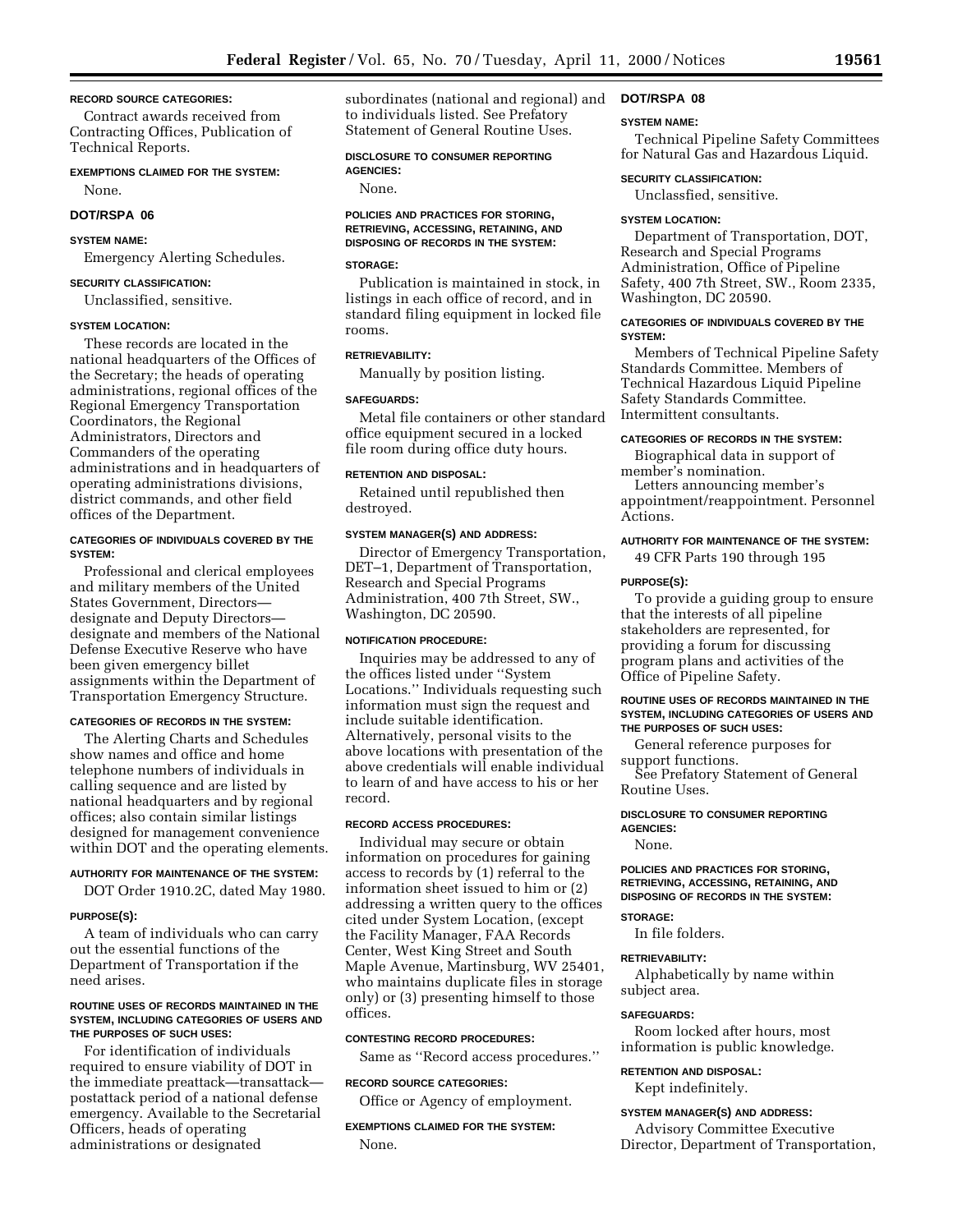### **RECORD SOURCE CATEGORIES:**

Contract awards received from Contracting Offices, Publication of Technical Reports.

### **EXEMPTIONS CLAIMED FOR THE SYSTEM:**

None.

## **DOT/RSPA 06**

### **SYSTEM NAME:**

Emergency Alerting Schedules.

### **SECURITY CLASSIFICATION:**

Unclassified, sensitive.

### **SYSTEM LOCATION:**

These records are located in the national headquarters of the Offices of the Secretary; the heads of operating administrations, regional offices of the Regional Emergency Transportation Coordinators, the Regional Administrators, Directors and Commanders of the operating administrations and in headquarters of operating administrations divisions, district commands, and other field offices of the Department.

### **CATEGORIES OF INDIVIDUALS COVERED BY THE SYSTEM:**

Professional and clerical employees and military members of the United States Government, Directors designate and Deputy Directors designate and members of the National Defense Executive Reserve who have been given emergency billet assignments within the Department of Transportation Emergency Structure.

#### **CATEGORIES OF RECORDS IN THE SYSTEM:**

The Alerting Charts and Schedules show names and office and home telephone numbers of individuals in calling sequence and are listed by national headquarters and by regional offices; also contain similar listings designed for management convenience within DOT and the operating elements.

### **AUTHORITY FOR MAINTENANCE OF THE SYSTEM:**

DOT Order 1910.2C, dated May 1980.

#### **PURPOSE(S):**

A team of individuals who can carry out the essential functions of the Department of Transportation if the need arises.

### **ROUTINE USES OF RECORDS MAINTAINED IN THE SYSTEM, INCLUDING CATEGORIES OF USERS AND THE PURPOSES OF SUCH USES:**

For identification of individuals required to ensure viability of DOT in the immediate preattack—transattack postattack period of a national defense emergency. Available to the Secretarial Officers, heads of operating administrations or designated

subordinates (national and regional) and to individuals listed. See Prefatory Statement of General Routine Uses.

### **DISCLOSURE TO CONSUMER REPORTING AGENCIES:**

None.

### **POLICIES AND PRACTICES FOR STORING, RETRIEVING, ACCESSING, RETAINING, AND DISPOSING OF RECORDS IN THE SYSTEM:**

### **STORAGE:**

Publication is maintained in stock, in listings in each office of record, and in standard filing equipment in locked file rooms.

### **RETRIEVABILITY:**

Manually by position listing.

### **SAFEGUARDS:**

Metal file containers or other standard office equipment secured in a locked file room during office duty hours.

#### **RETENTION AND DISPOSAL:**

Retained until republished then destroyed.

#### **SYSTEM MANAGER(S) AND ADDRESS:**

Director of Emergency Transportation, DET–1, Department of Transportation, Research and Special Programs Administration, 400 7th Street, SW., Washington, DC 20590.

### **NOTIFICATION PROCEDURE:**

Inquiries may be addressed to any of the offices listed under ''System Locations.'' Individuals requesting such information must sign the request and include suitable identification. Alternatively, personal visits to the above locations with presentation of the above credentials will enable individual to learn of and have access to his or her record.

#### **RECORD ACCESS PROCEDURES:**

Individual may secure or obtain information on procedures for gaining access to records by (1) referral to the information sheet issued to him or (2) addressing a written query to the offices cited under System Location, (except the Facility Manager, FAA Records Center, West King Street and South Maple Avenue, Martinsburg, WV 25401, who maintains duplicate files in storage only) or (3) presenting himself to those offices.

#### **CONTESTING RECORD PROCEDURES:**

Same as ''Record access procedures.''

#### **RECORD SOURCE CATEGORIES:**

Office or Agency of employment.

**EXEMPTIONS CLAIMED FOR THE SYSTEM:** None.

### **DOT/RSPA 08**

#### **SYSTEM NAME:**

Technical Pipeline Safety Committees for Natural Gas and Hazardous Liquid.

#### **SECURITY CLASSIFICATION:**

Unclassfied, sensitive.

#### **SYSTEM LOCATION:**

Department of Transportation, DOT, Research and Special Programs Administration, Office of Pipeline Safety, 400 7th Street, SW., Room 2335, Washington, DC 20590.

### **CATEGORIES OF INDIVIDUALS COVERED BY THE SYSTEM:**

Members of Technical Pipeline Safety Standards Committee. Members of Technical Hazardous Liquid Pipeline Safety Standards Committee. Intermittent consultants.

### **CATEGORIES OF RECORDS IN THE SYSTEM:**

Biographical data in support of member's nomination.

Letters announcing member's appointment/reappointment. Personnel Actions.

### **AUTHORITY FOR MAINTENANCE OF THE SYSTEM:** 49 CFR Parts 190 through 195

#### **PURPOSE(S):**

To provide a guiding group to ensure that the interests of all pipeline stakeholders are represented, for providing a forum for discussing program plans and activities of the Office of Pipeline Safety.

#### **ROUTINE USES OF RECORDS MAINTAINED IN THE SYSTEM, INCLUDING CATEGORIES OF USERS AND THE PURPOSES OF SUCH USES:**

General reference purposes for support functions.

See Prefatory Statement of General Routine Uses.

### **DISCLOSURE TO CONSUMER REPORTING AGENCIES:**

None.

#### **POLICIES AND PRACTICES FOR STORING, RETRIEVING, ACCESSING, RETAINING, AND DISPOSING OF RECORDS IN THE SYSTEM:**

### **STORAGE:**

In file folders.

#### **RETRIEVABILITY:**

Alphabetically by name within subject area.

#### **SAFEGUARDS:**

Room locked after hours, most information is public knowledge.

### **RETENTION AND DISPOSAL:**

Kept indefinitely.

### **SYSTEM MANAGER(S) AND ADDRESS:**

Advisory Committee Executive Director, Department of Transportation,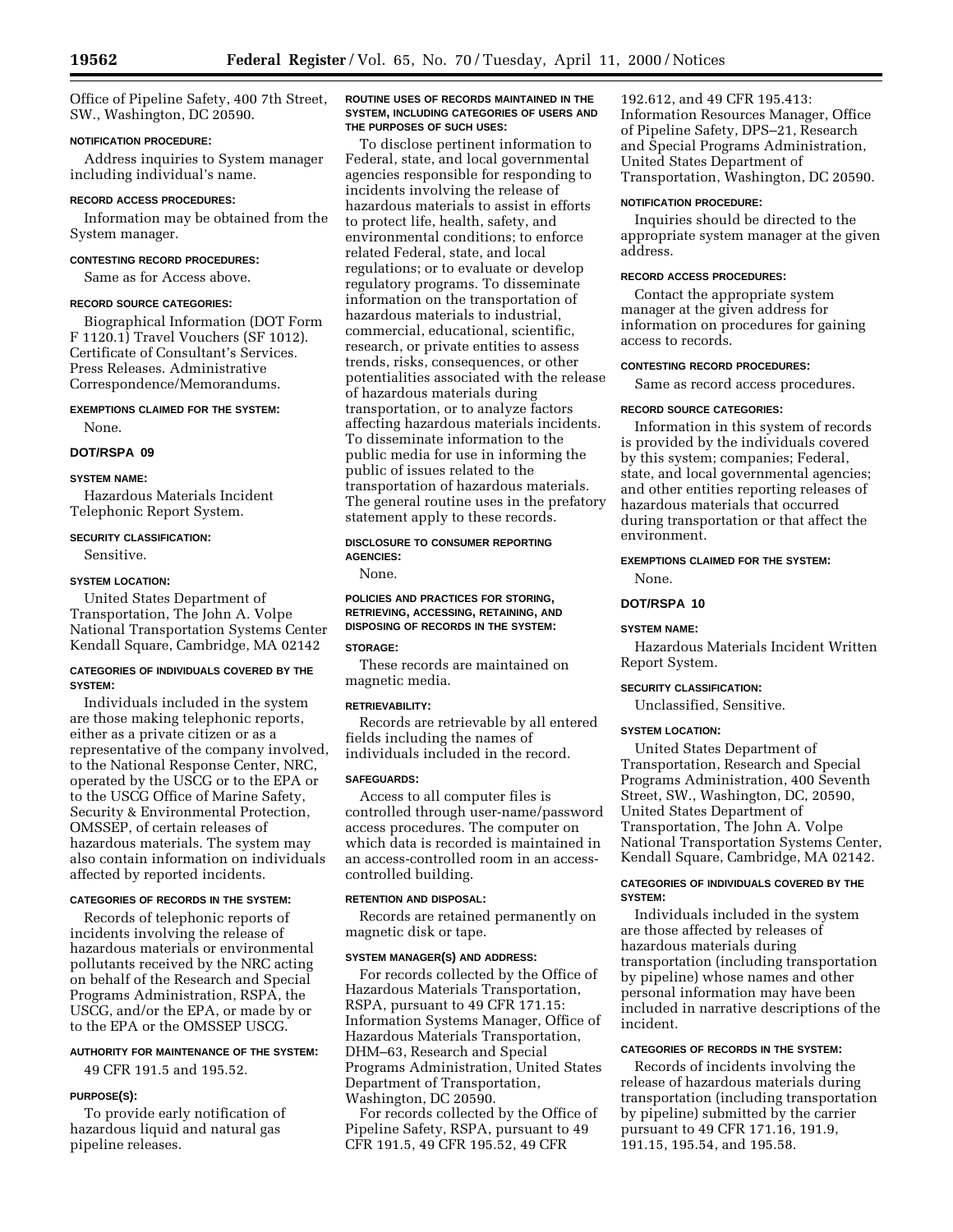Office of Pipeline Safety, 400 7th Street, SW., Washington, DC 20590.

### **NOTIFICATION PROCEDURE:**

Address inquiries to System manager including individual's name.

#### **RECORD ACCESS PROCEDURES:**

Information may be obtained from the System manager.

### **CONTESTING RECORD PROCEDURES:**

Same as for Access above.

#### **RECORD SOURCE CATEGORIES:**

Biographical Information (DOT Form F 1120.1) Travel Vouchers (SF 1012). Certificate of Consultant's Services. Press Releases. Administrative Correspondence/Memorandums.

## **EXEMPTIONS CLAIMED FOR THE SYSTEM:**

None.

### **DOT/RSPA 09**

### **SYSTEM NAME:**

Hazardous Materials Incident Telephonic Report System.

### **SECURITY CLASSIFICATION:**

Sensitive.

### **SYSTEM LOCATION:**

United States Department of Transportation, The John A. Volpe National Transportation Systems Center Kendall Square, Cambridge, MA 02142

#### **CATEGORIES OF INDIVIDUALS COVERED BY THE SYSTEM:**

Individuals included in the system are those making telephonic reports, either as a private citizen or as a representative of the company involved, to the National Response Center, NRC, operated by the USCG or to the EPA or to the USCG Office of Marine Safety, Security & Environmental Protection, OMSSEP, of certain releases of hazardous materials. The system may also contain information on individuals affected by reported incidents.

### **CATEGORIES OF RECORDS IN THE SYSTEM:**

Records of telephonic reports of incidents involving the release of hazardous materials or environmental pollutants received by the NRC acting on behalf of the Research and Special Programs Administration, RSPA, the USCG, and/or the EPA, or made by or to the EPA or the OMSSEP USCG.

## **AUTHORITY FOR MAINTENANCE OF THE SYSTEM:**

49 CFR 191.5 and 195.52.

### **PURPOSE(S):**

To provide early notification of hazardous liquid and natural gas pipeline releases.

### **ROUTINE USES OF RECORDS MAINTAINED IN THE SYSTEM, INCLUDING CATEGORIES OF USERS AND THE PURPOSES OF SUCH USES:**

To disclose pertinent information to Federal, state, and local governmental agencies responsible for responding to incidents involving the release of hazardous materials to assist in efforts to protect life, health, safety, and environmental conditions; to enforce related Federal, state, and local regulations; or to evaluate or develop regulatory programs. To disseminate information on the transportation of hazardous materials to industrial, commercial, educational, scientific, research, or private entities to assess trends, risks, consequences, or other potentialities associated with the release of hazardous materials during transportation, or to analyze factors affecting hazardous materials incidents. To disseminate information to the public media for use in informing the public of issues related to the transportation of hazardous materials. The general routine uses in the prefatory statement apply to these records.

### **DISCLOSURE TO CONSUMER REPORTING AGENCIES:**

None.

### **POLICIES AND PRACTICES FOR STORING, RETRIEVING, ACCESSING, RETAINING, AND DISPOSING OF RECORDS IN THE SYSTEM:**

### **STORAGE:**

These records are maintained on magnetic media.

#### **RETRIEVABILITY:**

Records are retrievable by all entered fields including the names of individuals included in the record.

#### **SAFEGUARDS:**

Access to all computer files is controlled through user-name/password access procedures. The computer on which data is recorded is maintained in an access-controlled room in an accesscontrolled building.

### **RETENTION AND DISPOSAL:**

Records are retained permanently on magnetic disk or tape.

### **SYSTEM MANAGER(S) AND ADDRESS:**

For records collected by the Office of Hazardous Materials Transportation, RSPA, pursuant to 49 CFR 171.15: Information Systems Manager, Office of Hazardous Materials Transportation, DHM–63, Research and Special Programs Administration, United States Department of Transportation, Washington, DC 20590.

For records collected by the Office of Pipeline Safety, RSPA, pursuant to 49 CFR 191.5, 49 CFR 195.52, 49 CFR

192.612, and 49 CFR 195.413: Information Resources Manager, Office of Pipeline Safety, DPS–21, Research and Special Programs Administration, United States Department of Transportation, Washington, DC 20590.

### **NOTIFICATION PROCEDURE:**

Inquiries should be directed to the appropriate system manager at the given address.

#### **RECORD ACCESS PROCEDURES:**

Contact the appropriate system manager at the given address for information on procedures for gaining access to records.

### **CONTESTING RECORD PROCEDURES:**

Same as record access procedures.

#### **RECORD SOURCE CATEGORIES:**

Information in this system of records is provided by the individuals covered by this system; companies; Federal, state, and local governmental agencies; and other entities reporting releases of hazardous materials that occurred during transportation or that affect the environment.

#### **EXEMPTIONS CLAIMED FOR THE SYSTEM:**

None.

### **DOT/RSPA 10**

### **SYSTEM NAME:**

Hazardous Materials Incident Written Report System.

### **SECURITY CLASSIFICATION:**

Unclassified, Sensitive.

#### **SYSTEM LOCATION:**

United States Department of Transportation, Research and Special Programs Administration, 400 Seventh Street, SW., Washington, DC, 20590, United States Department of Transportation, The John A. Volpe National Transportation Systems Center, Kendall Square, Cambridge, MA 02142.

### **CATEGORIES OF INDIVIDUALS COVERED BY THE SYSTEM:**

Individuals included in the system are those affected by releases of hazardous materials during transportation (including transportation by pipeline) whose names and other personal information may have been included in narrative descriptions of the incident.

### **CATEGORIES OF RECORDS IN THE SYSTEM:**

Records of incidents involving the release of hazardous materials during transportation (including transportation by pipeline) submitted by the carrier pursuant to 49 CFR 171.16, 191.9, 191.15, 195.54, and 195.58.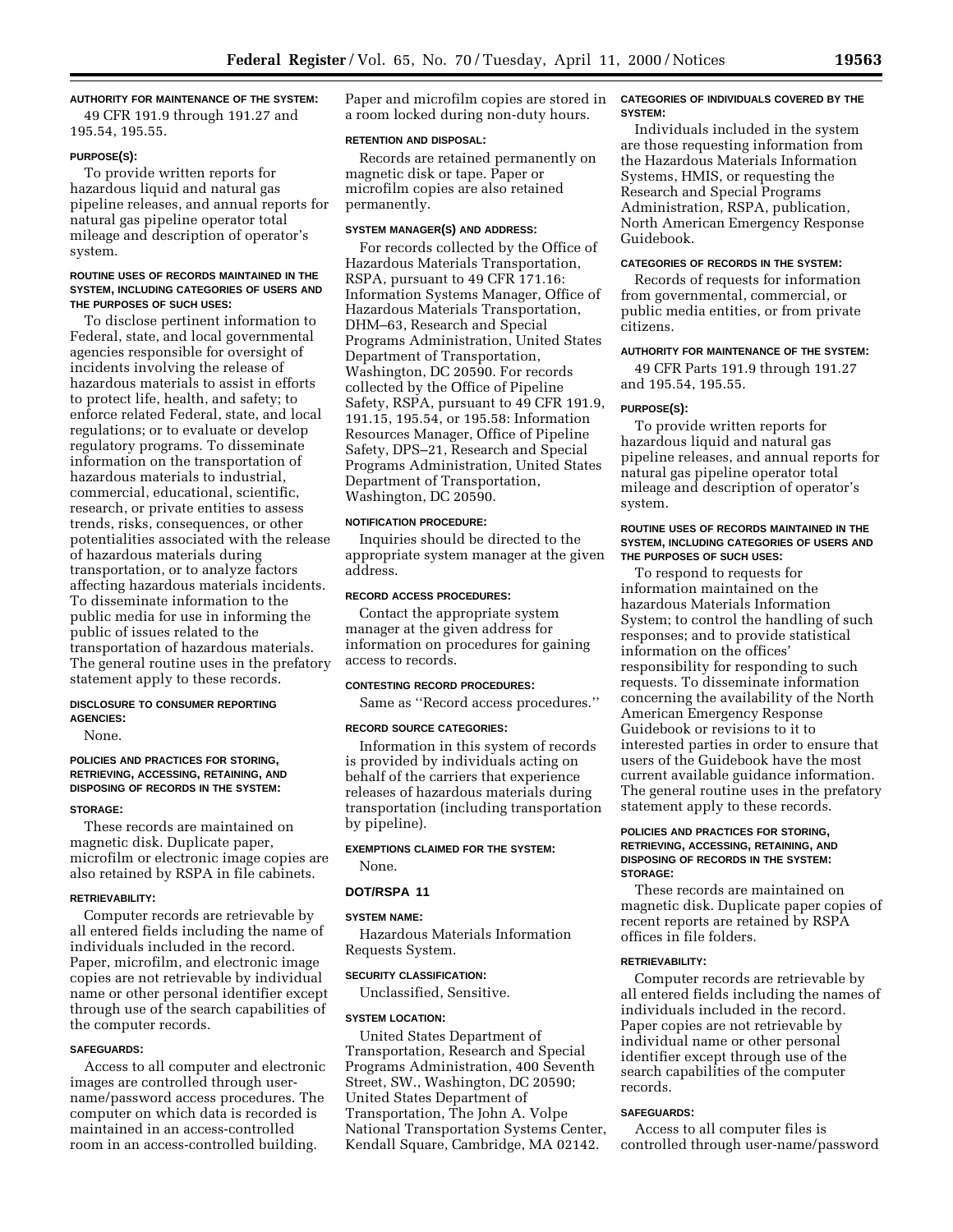### **AUTHORITY FOR MAINTENANCE OF THE SYSTEM:**

49 CFR 191.9 through 191.27 and 195.54, 195.55.

#### **PURPOSE(S):**

To provide written reports for hazardous liquid and natural gas pipeline releases, and annual reports for natural gas pipeline operator total mileage and description of operator's system.

### **ROUTINE USES OF RECORDS MAINTAINED IN THE SYSTEM, INCLUDING CATEGORIES OF USERS AND THE PURPOSES OF SUCH USES:**

To disclose pertinent information to Federal, state, and local governmental agencies responsible for oversight of incidents involving the release of hazardous materials to assist in efforts to protect life, health, and safety; to enforce related Federal, state, and local regulations; or to evaluate or develop regulatory programs. To disseminate information on the transportation of hazardous materials to industrial, commercial, educational, scientific, research, or private entities to assess trends, risks, consequences, or other potentialities associated with the release of hazardous materials during transportation, or to analyze factors affecting hazardous materials incidents. To disseminate information to the public media for use in informing the public of issues related to the transportation of hazardous materials. The general routine uses in the prefatory statement apply to these records.

#### **DISCLOSURE TO CONSUMER REPORTING AGENCIES:**

None.

### **POLICIES AND PRACTICES FOR STORING, RETRIEVING, ACCESSING, RETAINING, AND DISPOSING OF RECORDS IN THE SYSTEM:**

#### **STORAGE:**

These records are maintained on magnetic disk. Duplicate paper, microfilm or electronic image copies are also retained by RSPA in file cabinets.

#### **RETRIEVABILITY:**

Computer records are retrievable by all entered fields including the name of individuals included in the record. Paper, microfilm, and electronic image copies are not retrievable by individual name or other personal identifier except through use of the search capabilities of the computer records.

### **SAFEGUARDS:**

Access to all computer and electronic images are controlled through username/password access procedures. The computer on which data is recorded is maintained in an access-controlled room in an access-controlled building.

Paper and microfilm copies are stored in a room locked during non-duty hours.

#### **RETENTION AND DISPOSAL:**

Records are retained permanently on magnetic disk or tape. Paper or microfilm copies are also retained permanently.

### **SYSTEM MANAGER(S) AND ADDRESS:**

For records collected by the Office of Hazardous Materials Transportation, RSPA, pursuant to 49 CFR 171.16: Information Systems Manager, Office of Hazardous Materials Transportation, DHM–63, Research and Special Programs Administration, United States Department of Transportation, Washington, DC 20590. For records collected by the Office of Pipeline Safety, RSPA, pursuant to 49 CFR 191.9, 191.15, 195.54, or 195.58: Information Resources Manager, Office of Pipeline Safety, DPS–21, Research and Special Programs Administration, United States Department of Transportation, Washington, DC 20590.

### **NOTIFICATION PROCEDURE:**

Inquiries should be directed to the appropriate system manager at the given address.

#### **RECORD ACCESS PROCEDURES:**

Contact the appropriate system manager at the given address for information on procedures for gaining access to records.

### **CONTESTING RECORD PROCEDURES:**

Same as ''Record access procedures.''

#### **RECORD SOURCE CATEGORIES:**

Information in this system of records is provided by individuals acting on behalf of the carriers that experience releases of hazardous materials during transportation (including transportation by pipeline).

### **EXEMPTIONS CLAIMED FOR THE SYSTEM:**

None.

### **DOT/RSPA 11**

#### **SYSTEM NAME:**

Hazardous Materials Information Requests System.

#### **SECURITY CLASSIFICATION:**

Unclassified, Sensitive.

### **SYSTEM LOCATION:**

United States Department of Transportation, Research and Special Programs Administration, 400 Seventh Street, SW., Washington, DC 20590; United States Department of Transportation, The John A. Volpe National Transportation Systems Center, Kendall Square, Cambridge, MA 02142.

#### **CATEGORIES OF INDIVIDUALS COVERED BY THE SYSTEM:**

Individuals included in the system are those requesting information from the Hazardous Materials Information Systems, HMIS, or requesting the Research and Special Programs Administration, RSPA, publication, North American Emergency Response Guidebook.

### **CATEGORIES OF RECORDS IN THE SYSTEM:**

Records of requests for information from governmental, commercial, or public media entities, or from private citizens.

#### **AUTHORITY FOR MAINTENANCE OF THE SYSTEM:**

49 CFR Parts 191.9 through 191.27 and 195.54, 195.55.

#### **PURPOSE(S):**

To provide written reports for hazardous liquid and natural gas pipeline releases, and annual reports for natural gas pipeline operator total mileage and description of operator's system.

### **ROUTINE USES OF RECORDS MAINTAINED IN THE SYSTEM, INCLUDING CATEGORIES OF USERS AND THE PURPOSES OF SUCH USES:**

To respond to requests for information maintained on the hazardous Materials Information System; to control the handling of such responses; and to provide statistical information on the offices' responsibility for responding to such requests. To disseminate information concerning the availability of the North American Emergency Response Guidebook or revisions to it to interested parties in order to ensure that users of the Guidebook have the most current available guidance information. The general routine uses in the prefatory statement apply to these records.

### **POLICIES AND PRACTICES FOR STORING, RETRIEVING, ACCESSING, RETAINING, AND DISPOSING OF RECORDS IN THE SYSTEM: STORAGE:**

These records are maintained on magnetic disk. Duplicate paper copies of recent reports are retained by RSPA offices in file folders.

### **RETRIEVABILITY:**

Computer records are retrievable by all entered fields including the names of individuals included in the record. Paper copies are not retrievable by individual name or other personal identifier except through use of the search capabilities of the computer records.

### **SAFEGUARDS:**

Access to all computer files is controlled through user-name/password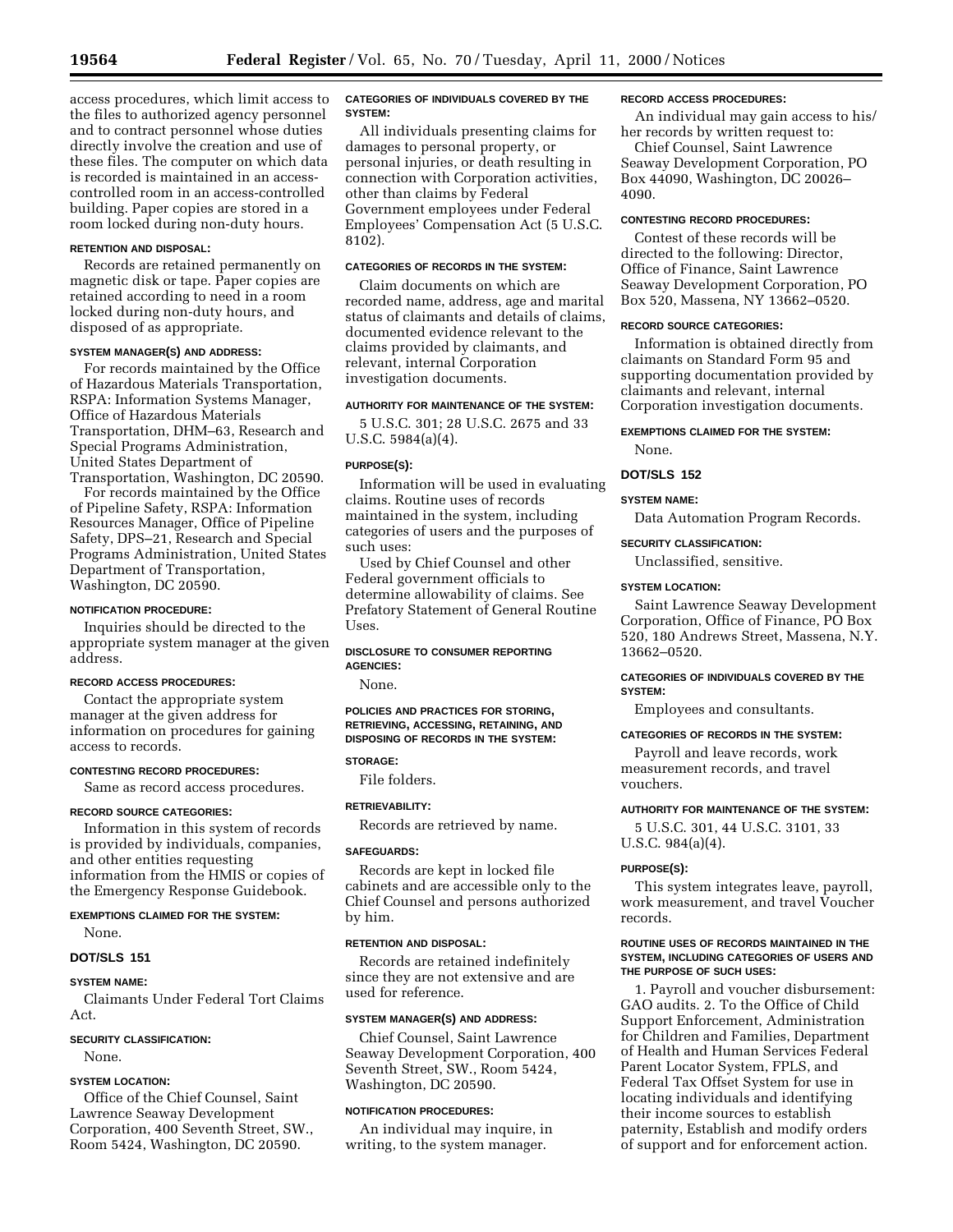access procedures, which limit access to the files to authorized agency personnel and to contract personnel whose duties directly involve the creation and use of these files. The computer on which data is recorded is maintained in an accesscontrolled room in an access-controlled building. Paper copies are stored in a room locked during non-duty hours.

### **RETENTION AND DISPOSAL:**

Records are retained permanently on magnetic disk or tape. Paper copies are retained according to need in a room locked during non-duty hours, and disposed of as appropriate.

### **SYSTEM MANAGER(S) AND ADDRESS:**

For records maintained by the Office of Hazardous Materials Transportation, RSPA: Information Systems Manager, Office of Hazardous Materials Transportation, DHM–63, Research and Special Programs Administration, United States Department of Transportation, Washington, DC 20590.

For records maintained by the Office of Pipeline Safety, RSPA: Information Resources Manager, Office of Pipeline Safety, DPS–21, Research and Special Programs Administration, United States Department of Transportation, Washington, DC 20590.

#### **NOTIFICATION PROCEDURE:**

Inquiries should be directed to the appropriate system manager at the given address.

### **RECORD ACCESS PROCEDURES:**

Contact the appropriate system manager at the given address for information on procedures for gaining access to records.

#### **CONTESTING RECORD PROCEDURES:**

Same as record access procedures.

#### **RECORD SOURCE CATEGORIES:**

Information in this system of records is provided by individuals, companies, and other entities requesting information from the HMIS or copies of the Emergency Response Guidebook.

**EXEMPTIONS CLAIMED FOR THE SYSTEM:** None.

### **DOT/SLS 151**

#### **SYSTEM NAME:**

Claimants Under Federal Tort Claims Act.

### **SECURITY CLASSIFICATION:**

None.

### **SYSTEM LOCATION:**

Office of the Chief Counsel, Saint Lawrence Seaway Development Corporation, 400 Seventh Street, SW., Room 5424, Washington, DC 20590.

### **CATEGORIES OF INDIVIDUALS COVERED BY THE SYSTEM:**

All individuals presenting claims for damages to personal property, or personal injuries, or death resulting in connection with Corporation activities, other than claims by Federal Government employees under Federal Employees' Compensation Act (5 U.S.C. 8102).

### **CATEGORIES OF RECORDS IN THE SYSTEM:**

Claim documents on which are recorded name, address, age and marital status of claimants and details of claims, documented evidence relevant to the claims provided by claimants, and relevant, internal Corporation investigation documents.

#### **AUTHORITY FOR MAINTENANCE OF THE SYSTEM:**

5 U.S.C. 301; 28 U.S.C. 2675 and 33 U.S.C. 5984(a)(4).

#### **PURPOSE(S):**

Information will be used in evaluating claims. Routine uses of records maintained in the system, including categories of users and the purposes of such uses:

Used by Chief Counsel and other Federal government officials to determine allowability of claims. See Prefatory Statement of General Routine Uses.

### **DISCLOSURE TO CONSUMER REPORTING AGENCIES:**

None.

**POLICIES AND PRACTICES FOR STORING, RETRIEVING, ACCESSING, RETAINING, AND DISPOSING OF RECORDS IN THE SYSTEM:**

### **STORAGE:**

File folders.

### **RETRIEVABILITY:**

Records are retrieved by name.

### **SAFEGUARDS:**

Records are kept in locked file cabinets and are accessible only to the Chief Counsel and persons authorized by him.

#### **RETENTION AND DISPOSAL:**

Records are retained indefinitely since they are not extensive and are used for reference.

### **SYSTEM MANAGER(S) AND ADDRESS:**

Chief Counsel, Saint Lawrence Seaway Development Corporation, 400 Seventh Street, SW., Room 5424, Washington, DC 20590.

### **NOTIFICATION PROCEDURES:**

An individual may inquire, in writing, to the system manager.

### **RECORD ACCESS PROCEDURES:**

An individual may gain access to his/ her records by written request to:

Chief Counsel, Saint Lawrence Seaway Development Corporation, PO Box 44090, Washington, DC 20026– 4090.

### **CONTESTING RECORD PROCEDURES:**

Contest of these records will be directed to the following: Director, Office of Finance, Saint Lawrence Seaway Development Corporation, PO Box 520, Massena, NY 13662–0520.

### **RECORD SOURCE CATEGORIES:**

Information is obtained directly from claimants on Standard Form 95 and supporting documentation provided by claimants and relevant, internal Corporation investigation documents.

#### **EXEMPTIONS CLAIMED FOR THE SYSTEM:**

None.

### **DOT/SLS 152**

#### **SYSTEM NAME:**

Data Automation Program Records.

### **SECURITY CLASSIFICATION:**

Unclassified, sensitive.

### **SYSTEM LOCATION:**

Saint Lawrence Seaway Development Corporation, Office of Finance, PO Box 520, 180 Andrews Street, Massena, N.Y. 13662–0520.

### **CATEGORIES OF INDIVIDUALS COVERED BY THE SYSTEM:**

Employees and consultants.

#### **CATEGORIES OF RECORDS IN THE SYSTEM:**

Payroll and leave records, work measurement records, and travel vouchers.

#### **AUTHORITY FOR MAINTENANCE OF THE SYSTEM:**

5 U.S.C. 301, 44 U.S.C. 3101, 33 U.S.C. 984(a)(4).

#### **PURPOSE(S):**

This system integrates leave, payroll, work measurement, and travel Voucher records.

#### **ROUTINE USES OF RECORDS MAINTAINED IN THE SYSTEM, INCLUDING CATEGORIES OF USERS AND THE PURPOSE OF SUCH USES:**

1. Payroll and voucher disbursement: GAO audits. 2. To the Office of Child Support Enforcement, Administration for Children and Families, Department of Health and Human Services Federal Parent Locator System, FPLS, and Federal Tax Offset System for use in locating individuals and identifying their income sources to establish paternity, Establish and modify orders of support and for enforcement action.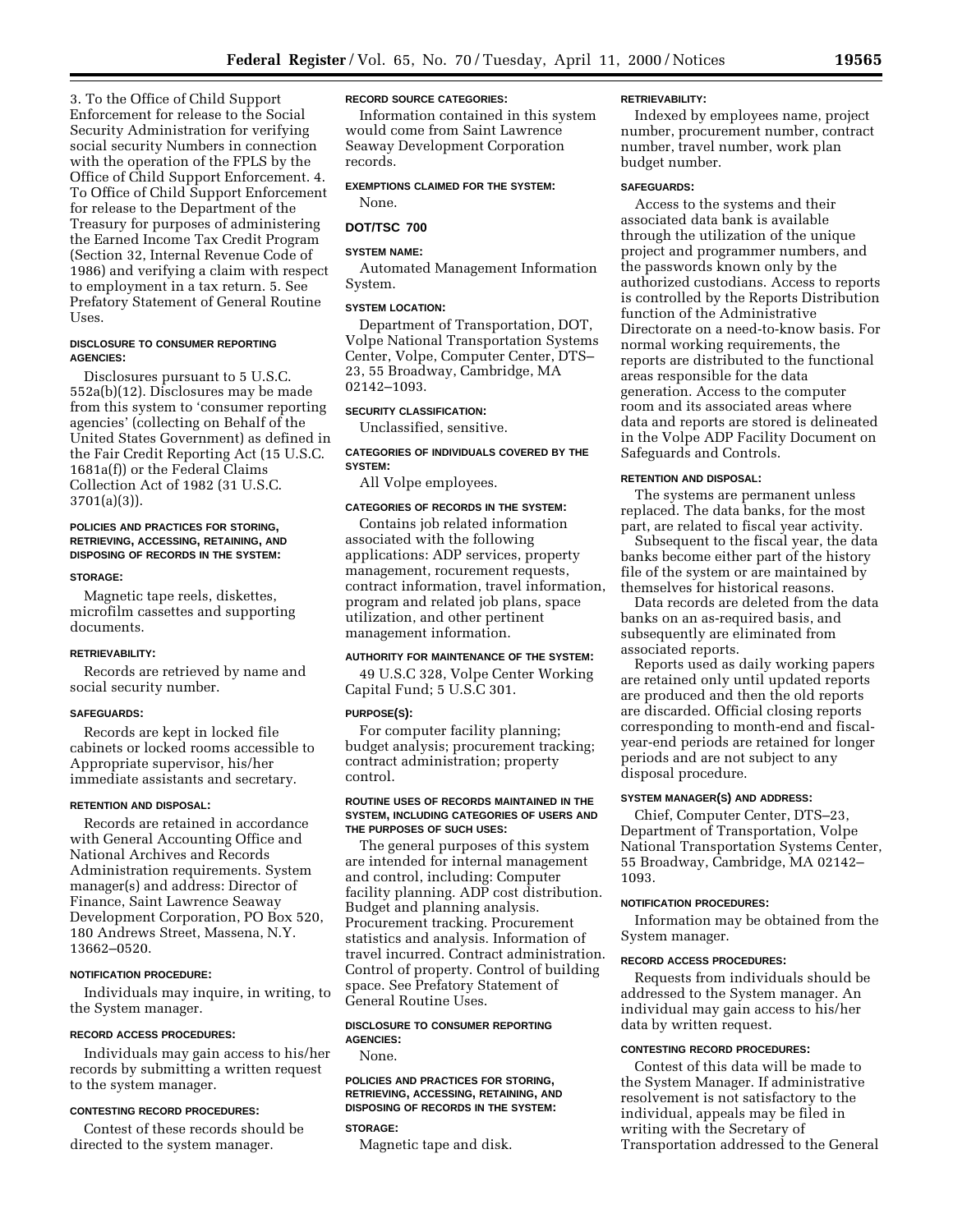3. To the Office of Child Support Enforcement for release to the Social Security Administration for verifying social security Numbers in connection with the operation of the FPLS by the Office of Child Support Enforcement. 4. To Office of Child Support Enforcement for release to the Department of the Treasury for purposes of administering the Earned Income Tax Credit Program (Section 32, Internal Revenue Code of 1986) and verifying a claim with respect to employment in a tax return. 5. See Prefatory Statement of General Routine Uses.

### **DISCLOSURE TO CONSUMER REPORTING AGENCIES:**

Disclosures pursuant to 5 U.S.C. 552a(b)(12). Disclosures may be made from this system to 'consumer reporting agencies' (collecting on Behalf of the United States Government) as defined in the Fair Credit Reporting Act (15 U.S.C. 1681a(f)) or the Federal Claims Collection Act of 1982 (31 U.S.C. 3701(a)(3)).

### **POLICIES AND PRACTICES FOR STORING, RETRIEVING, ACCESSING, RETAINING, AND DISPOSING OF RECORDS IN THE SYSTEM:**

#### **STORAGE:**

Magnetic tape reels, diskettes, microfilm cassettes and supporting documents.

#### **RETRIEVABILITY:**

Records are retrieved by name and social security number.

### **SAFEGUARDS:**

Records are kept in locked file cabinets or locked rooms accessible to Appropriate supervisor, his/her immediate assistants and secretary.

### **RETENTION AND DISPOSAL:**

Records are retained in accordance with General Accounting Office and National Archives and Records Administration requirements. System manager(s) and address: Director of Finance, Saint Lawrence Seaway Development Corporation, PO Box 520, 180 Andrews Street, Massena, N.Y. 13662–0520.

### **NOTIFICATION PROCEDURE:**

Individuals may inquire, in writing, to the System manager.

#### **RECORD ACCESS PROCEDURES:**

Individuals may gain access to his/her records by submitting a written request to the system manager.

### **CONTESTING RECORD PROCEDURES:**

Contest of these records should be directed to the system manager.

### **RECORD SOURCE CATEGORIES:**

Information contained in this system would come from Saint Lawrence Seaway Development Corporation records.

**EXEMPTIONS CLAIMED FOR THE SYSTEM:**

## None. **DOT/TSC 700**

### **SYSTEM NAME:**

Automated Management Information System.

### **SYSTEM LOCATION:**

Department of Transportation, DOT, Volpe National Transportation Systems Center, Volpe, Computer Center, DTS– 23, 55 Broadway, Cambridge, MA 02142–1093.

### **SECURITY CLASSIFICATION:**

Unclassified, sensitive.

### **CATEGORIES OF INDIVIDUALS COVERED BY THE SYSTEM:**

All Volpe employees.

### **CATEGORIES OF RECORDS IN THE SYSTEM:**

Contains job related information associated with the following applications: ADP services, property management, rocurement requests, contract information, travel information, program and related job plans, space utilization, and other pertinent management information.

### **AUTHORITY FOR MAINTENANCE OF THE SYSTEM:**

49 U.S.C 328, Volpe Center Working Capital Fund; 5 U.S.C 301.

### **PURPOSE(S):**

For computer facility planning; budget analysis; procurement tracking; contract administration; property control.

#### **ROUTINE USES OF RECORDS MAINTAINED IN THE SYSTEM, INCLUDING CATEGORIES OF USERS AND THE PURPOSES OF SUCH USES:**

The general purposes of this system are intended for internal management and control, including: Computer facility planning. ADP cost distribution. Budget and planning analysis. Procurement tracking. Procurement statistics and analysis. Information of travel incurred. Contract administration. Control of property. Control of building space. See Prefatory Statement of General Routine Uses.

### **DISCLOSURE TO CONSUMER REPORTING AGENCIES:**

None.

### **POLICIES AND PRACTICES FOR STORING, RETRIEVING, ACCESSING, RETAINING, AND DISPOSING OF RECORDS IN THE SYSTEM:**

### **STORAGE:**

Magnetic tape and disk.

#### **RETRIEVABILITY:**

Indexed by employees name, project number, procurement number, contract number, travel number, work plan budget number.

#### **SAFEGUARDS:**

Access to the systems and their associated data bank is available through the utilization of the unique project and programmer numbers, and the passwords known only by the authorized custodians. Access to reports is controlled by the Reports Distribution function of the Administrative Directorate on a need-to-know basis. For normal working requirements, the reports are distributed to the functional areas responsible for the data generation. Access to the computer room and its associated areas where data and reports are stored is delineated in the Volpe ADP Facility Document on Safeguards and Controls.

### **RETENTION AND DISPOSAL:**

The systems are permanent unless replaced. The data banks, for the most part, are related to fiscal year activity.

Subsequent to the fiscal year, the data banks become either part of the history file of the system or are maintained by themselves for historical reasons.

Data records are deleted from the data banks on an as-required basis, and subsequently are eliminated from associated reports.

Reports used as daily working papers are retained only until updated reports are produced and then the old reports are discarded. Official closing reports corresponding to month-end and fiscalyear-end periods are retained for longer periods and are not subject to any disposal procedure.

### **SYSTEM MANAGER(S) AND ADDRESS:**

Chief, Computer Center, DTS–23, Department of Transportation, Volpe National Transportation Systems Center, 55 Broadway, Cambridge, MA 02142– 1093.

#### **NOTIFICATION PROCEDURES:**

Information may be obtained from the System manager.

#### **RECORD ACCESS PROCEDURES:**

Requests from individuals should be addressed to the System manager. An individual may gain access to his/her data by written request.

### **CONTESTING RECORD PROCEDURES:**

Contest of this data will be made to the System Manager. If administrative resolvement is not satisfactory to the individual, appeals may be filed in writing with the Secretary of Transportation addressed to the General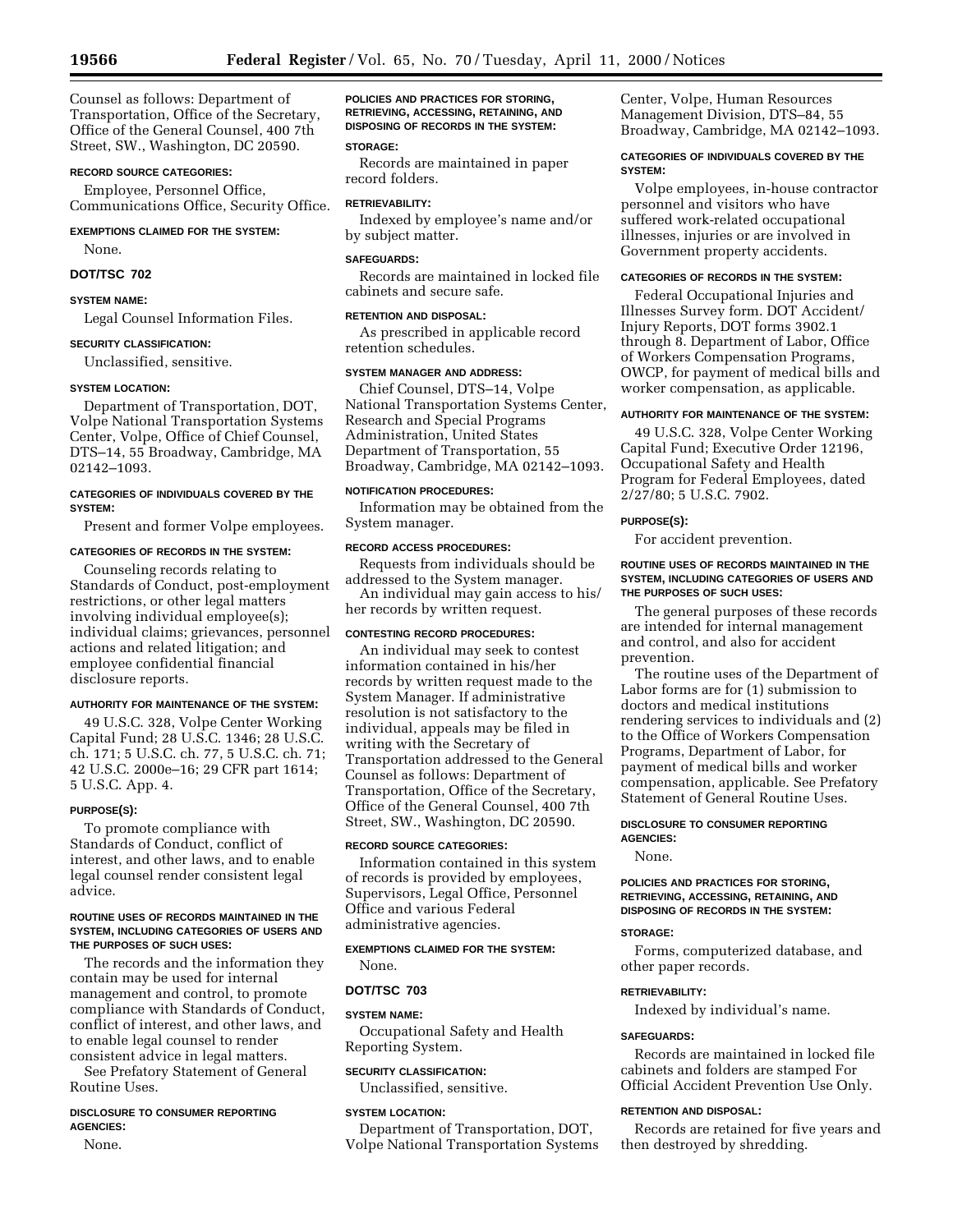Counsel as follows: Department of Transportation, Office of the Secretary, Office of the General Counsel, 400 7th Street, SW., Washington, DC 20590.

### **RECORD SOURCE CATEGORIES:**

Employee, Personnel Office, Communications Office, Security Office.

### **EXEMPTIONS CLAIMED FOR THE SYSTEM:**

None.

### **DOT/TSC 702**

### **SYSTEM NAME:**

Legal Counsel Information Files.

### **SECURITY CLASSIFICATION:**

Unclassified, sensitive.

### **SYSTEM LOCATION:**

Department of Transportation, DOT, Volpe National Transportation Systems Center, Volpe, Office of Chief Counsel, DTS–14, 55 Broadway, Cambridge, MA 02142–1093.

### **CATEGORIES OF INDIVIDUALS COVERED BY THE SYSTEM:**

Present and former Volpe employees.

### **CATEGORIES OF RECORDS IN THE SYSTEM:**

Counseling records relating to Standards of Conduct, post-employment restrictions, or other legal matters involving individual employee(s); individual claims; grievances, personnel actions and related litigation; and employee confidential financial disclosure reports.

#### **AUTHORITY FOR MAINTENANCE OF THE SYSTEM:**

49 U.S.C. 328, Volpe Center Working Capital Fund; 28 U.S.C. 1346; 28 U.S.C. ch. 171; 5 U.S.C. ch. 77, 5 U.S.C. ch. 71; 42 U.S.C. 2000e–16; 29 CFR part 1614; 5 U.S.C. App. 4.

### **PURPOSE(S):**

To promote compliance with Standards of Conduct, conflict of interest, and other laws, and to enable legal counsel render consistent legal advice.

### **ROUTINE USES OF RECORDS MAINTAINED IN THE SYSTEM, INCLUDING CATEGORIES OF USERS AND THE PURPOSES OF SUCH USES:**

The records and the information they contain may be used for internal management and control, to promote compliance with Standards of Conduct, conflict of interest, and other laws, and to enable legal counsel to render consistent advice in legal matters.

See Prefatory Statement of General Routine Uses.

### **DISCLOSURE TO CONSUMER REPORTING AGENCIES:**

None.

### **POLICIES AND PRACTICES FOR STORING, RETRIEVING, ACCESSING, RETAINING, AND DISPOSING OF RECORDS IN THE SYSTEM:**

### **STORAGE:**

Records are maintained in paper record folders.

### **RETRIEVABILITY:**

Indexed by employee's name and/or by subject matter.

### **SAFEGUARDS:**

Records are maintained in locked file cabinets and secure safe.

### **RETENTION AND DISPOSAL:**

As prescribed in applicable record retention schedules.

#### **SYSTEM MANAGER AND ADDRESS:**

Chief Counsel, DTS–14, Volpe National Transportation Systems Center, Research and Special Programs Administration, United States Department of Transportation, 55 Broadway, Cambridge, MA 02142–1093.

### **NOTIFICATION PROCEDURES:**

Information may be obtained from the System manager.

### **RECORD ACCESS PROCEDURES:**

Requests from individuals should be addressed to the System manager.

An individual may gain access to his/ her records by written request.

### **CONTESTING RECORD PROCEDURES:**

An individual may seek to contest information contained in his/her records by written request made to the System Manager. If administrative resolution is not satisfactory to the individual, appeals may be filed in writing with the Secretary of Transportation addressed to the General Counsel as follows: Department of Transportation, Office of the Secretary, Office of the General Counsel, 400 7th Street, SW., Washington, DC 20590.

### **RECORD SOURCE CATEGORIES:**

Information contained in this system of records is provided by employees, Supervisors, Legal Office, Personnel Office and various Federal administrative agencies.

### **EXEMPTIONS CLAIMED FOR THE SYSTEM:**

None.

### **DOT/TSC 703**

#### **SYSTEM NAME:**

Occupational Safety and Health Reporting System.

### **SECURITY CLASSIFICATION:**

Unclassified, sensitive.

### **SYSTEM LOCATION:**

Department of Transportation, DOT, Volpe National Transportation Systems Center, Volpe, Human Resources Management Division, DTS–84, 55 Broadway, Cambridge, MA 02142–1093.

### **CATEGORIES OF INDIVIDUALS COVERED BY THE SYSTEM:**

Volpe employees, in-house contractor personnel and visitors who have suffered work-related occupational illnesses, injuries or are involved in Government property accidents.

#### **CATEGORIES OF RECORDS IN THE SYSTEM:**

Federal Occupational Injuries and Illnesses Survey form. DOT Accident/ Injury Reports, DOT forms 3902.1 through 8. Department of Labor, Office of Workers Compensation Programs, OWCP, for payment of medical bills and worker compensation, as applicable.

### **AUTHORITY FOR MAINTENANCE OF THE SYSTEM:**

49 U.S.C. 328, Volpe Center Working Capital Fund; Executive Order 12196, Occupational Safety and Health Program for Federal Employees, dated 2/27/80; 5 U.S.C. 7902.

### **PURPOSE(S):**

For accident prevention.

#### **ROUTINE USES OF RECORDS MAINTAINED IN THE SYSTEM, INCLUDING CATEGORIES OF USERS AND THE PURPOSES OF SUCH USES:**

The general purposes of these records are intended for internal management and control, and also for accident prevention.

The routine uses of the Department of Labor forms are for (1) submission to doctors and medical institutions rendering services to individuals and (2) to the Office of Workers Compensation Programs, Department of Labor, for payment of medical bills and worker compensation, applicable. See Prefatory Statement of General Routine Uses.

#### **DISCLOSURE TO CONSUMER REPORTING AGENCIES:**

None.

### **POLICIES AND PRACTICES FOR STORING, RETRIEVING, ACCESSING, RETAINING, AND DISPOSING OF RECORDS IN THE SYSTEM:**

### **STORAGE:**

Forms, computerized database, and other paper records.

#### **RETRIEVABILITY:**

Indexed by individual's name.

#### **SAFEGUARDS:**

Records are maintained in locked file cabinets and folders are stamped For Official Accident Prevention Use Only.

#### **RETENTION AND DISPOSAL:**

Records are retained for five years and then destroyed by shredding.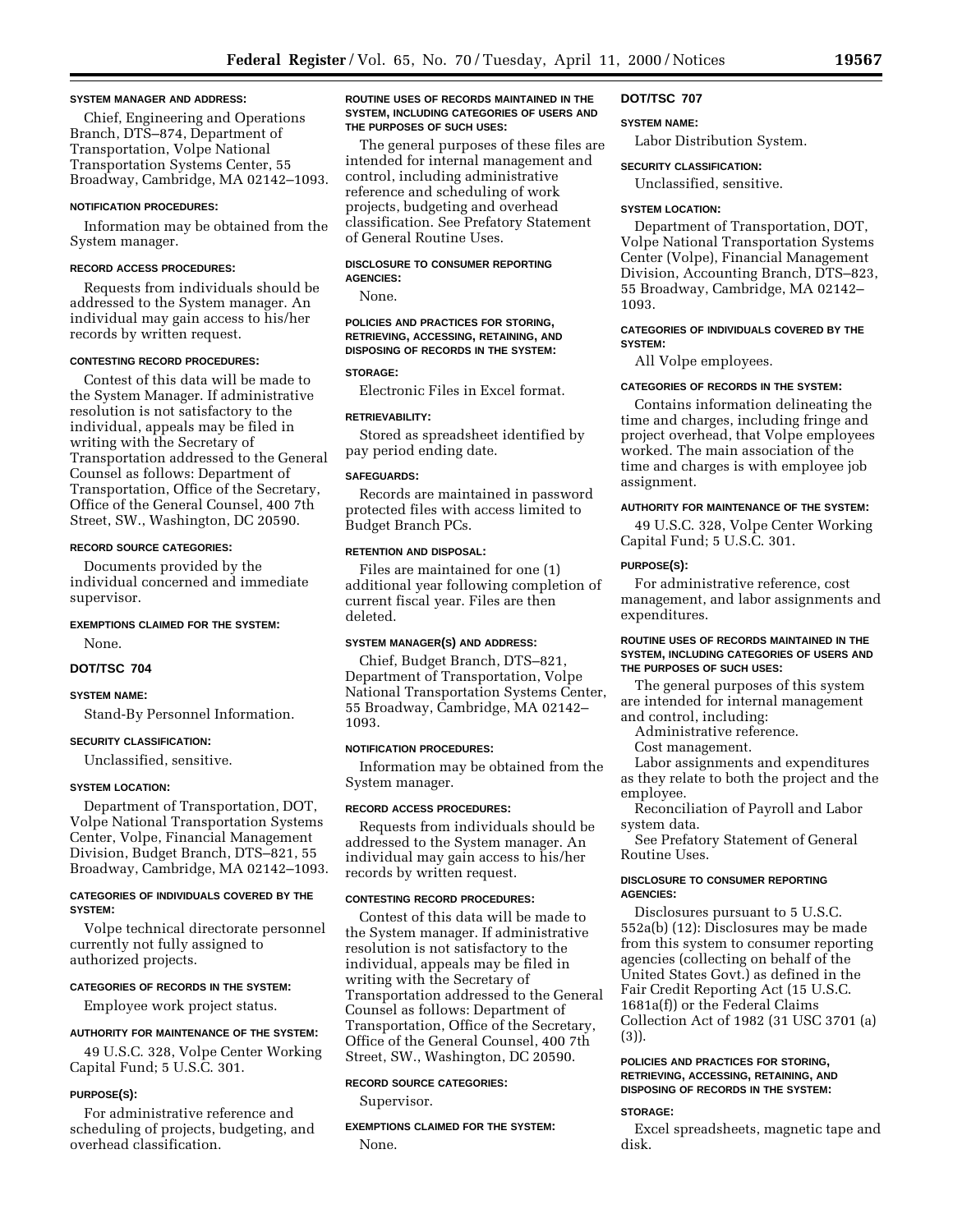### **SYSTEM MANAGER AND ADDRESS:**

Chief, Engineering and Operations Branch, DTS–874, Department of Transportation, Volpe National Transportation Systems Center, 55 Broadway, Cambridge, MA 02142–1093.

#### **NOTIFICATION PROCEDURES:**

Information may be obtained from the System manager.

#### **RECORD ACCESS PROCEDURES:**

Requests from individuals should be addressed to the System manager. An individual may gain access to his/her records by written request.

### **CONTESTING RECORD PROCEDURES:**

Contest of this data will be made to the System Manager. If administrative resolution is not satisfactory to the individual, appeals may be filed in writing with the Secretary of Transportation addressed to the General Counsel as follows: Department of Transportation, Office of the Secretary, Office of the General Counsel, 400 7th Street, SW., Washington, DC 20590.

#### **RECORD SOURCE CATEGORIES:**

Documents provided by the individual concerned and immediate supervisor.

### **EXEMPTIONS CLAIMED FOR THE SYSTEM:**

None.

### **DOT/TSC 704**

### **SYSTEM NAME:**

Stand-By Personnel Information.

### **SECURITY CLASSIFICATION:**

Unclassified, sensitive.

#### **SYSTEM LOCATION:**

Department of Transportation, DOT, Volpe National Transportation Systems Center, Volpe, Financial Management Division, Budget Branch, DTS–821, 55 Broadway, Cambridge, MA 02142–1093.

### **CATEGORIES OF INDIVIDUALS COVERED BY THE SYSTEM:**

Volpe technical directorate personnel currently not fully assigned to authorized projects.

### **CATEGORIES OF RECORDS IN THE SYSTEM:**

Employee work project status.

#### **AUTHORITY FOR MAINTENANCE OF THE SYSTEM:**

49 U.S.C. 328, Volpe Center Working Capital Fund; 5 U.S.C. 301.

#### **PURPOSE(S):**

For administrative reference and scheduling of projects, budgeting, and overhead classification.

#### **ROUTINE USES OF RECORDS MAINTAINED IN THE SYSTEM, INCLUDING CATEGORIES OF USERS AND THE PURPOSES OF SUCH USES:**

The general purposes of these files are intended for internal management and control, including administrative reference and scheduling of work projects, budgeting and overhead classification. See Prefatory Statement of General Routine Uses.

#### **DISCLOSURE TO CONSUMER REPORTING AGENCIES:**

None.

### **POLICIES AND PRACTICES FOR STORING, RETRIEVING, ACCESSING, RETAINING, AND DISPOSING OF RECORDS IN THE SYSTEM:**

#### **STORAGE:**

Electronic Files in Excel format.

### **RETRIEVABILITY:**

Stored as spreadsheet identified by pay period ending date.

#### **SAFEGUARDS:**

Records are maintained in password protected files with access limited to Budget Branch PCs.

### **RETENTION AND DISPOSAL:**

Files are maintained for one (1) additional year following completion of current fiscal year. Files are then deleted.

## **SYSTEM MANAGER(S) AND ADDRESS:**

Chief, Budget Branch, DTS–821, Department of Transportation, Volpe National Transportation Systems Center, 55 Broadway, Cambridge, MA 02142– 1093.

### **NOTIFICATION PROCEDURES:**

Information may be obtained from the System manager.

#### **RECORD ACCESS PROCEDURES:**

Requests from individuals should be addressed to the System manager. An individual may gain access to his/her records by written request.

### **CONTESTING RECORD PROCEDURES:**

Contest of this data will be made to the System manager. If administrative resolution is not satisfactory to the individual, appeals may be filed in writing with the Secretary of Transportation addressed to the General Counsel as follows: Department of Transportation, Office of the Secretary, Office of the General Counsel, 400 7th Street, SW., Washington, DC 20590.

### **RECORD SOURCE CATEGORIES:**

Supervisor.

**EXEMPTIONS CLAIMED FOR THE SYSTEM:** None.

#### **DOT/TSC 707**

#### **SYSTEM NAME:**

Labor Distribution System.

### **SECURITY CLASSIFICATION:**

Unclassified, sensitive.

#### **SYSTEM LOCATION:**

Department of Transportation, DOT, Volpe National Transportation Systems Center (Volpe), Financial Management Division, Accounting Branch, DTS–823, 55 Broadway, Cambridge, MA 02142– 1093.

### **CATEGORIES OF INDIVIDUALS COVERED BY THE SYSTEM:**

All Volpe employees.

### **CATEGORIES OF RECORDS IN THE SYSTEM:**

Contains information delineating the time and charges, including fringe and project overhead, that Volpe employees worked. The main association of the time and charges is with employee job assignment.

#### **AUTHORITY FOR MAINTENANCE OF THE SYSTEM:**

49 U.S.C. 328, Volpe Center Working Capital Fund; 5 U.S.C. 301.

#### **PURPOSE(S):**

For administrative reference, cost management, and labor assignments and expenditures.

### **ROUTINE USES OF RECORDS MAINTAINED IN THE SYSTEM, INCLUDING CATEGORIES OF USERS AND THE PURPOSES OF SUCH USES:**

The general purposes of this system are intended for internal management and control, including:

Administrative reference.

Cost management.

Labor assignments and expenditures as they relate to both the project and the employee.

Reconciliation of Payroll and Labor system data.

See Prefatory Statement of General Routine Uses.

### **DISCLOSURE TO CONSUMER REPORTING AGENCIES:**

Disclosures pursuant to 5 U.S.C. 552a(b) (12): Disclosures may be made from this system to consumer reporting agencies (collecting on behalf of the United States Govt.) as defined in the Fair Credit Reporting Act (15 U.S.C. 1681a(f)) or the Federal Claims Collection Act of 1982 (31 USC 3701 (a) (3)).

### **POLICIES AND PRACTICES FOR STORING, RETRIEVING, ACCESSING, RETAINING, AND DISPOSING OF RECORDS IN THE SYSTEM:**

#### **STORAGE:**

Excel spreadsheets, magnetic tape and disk.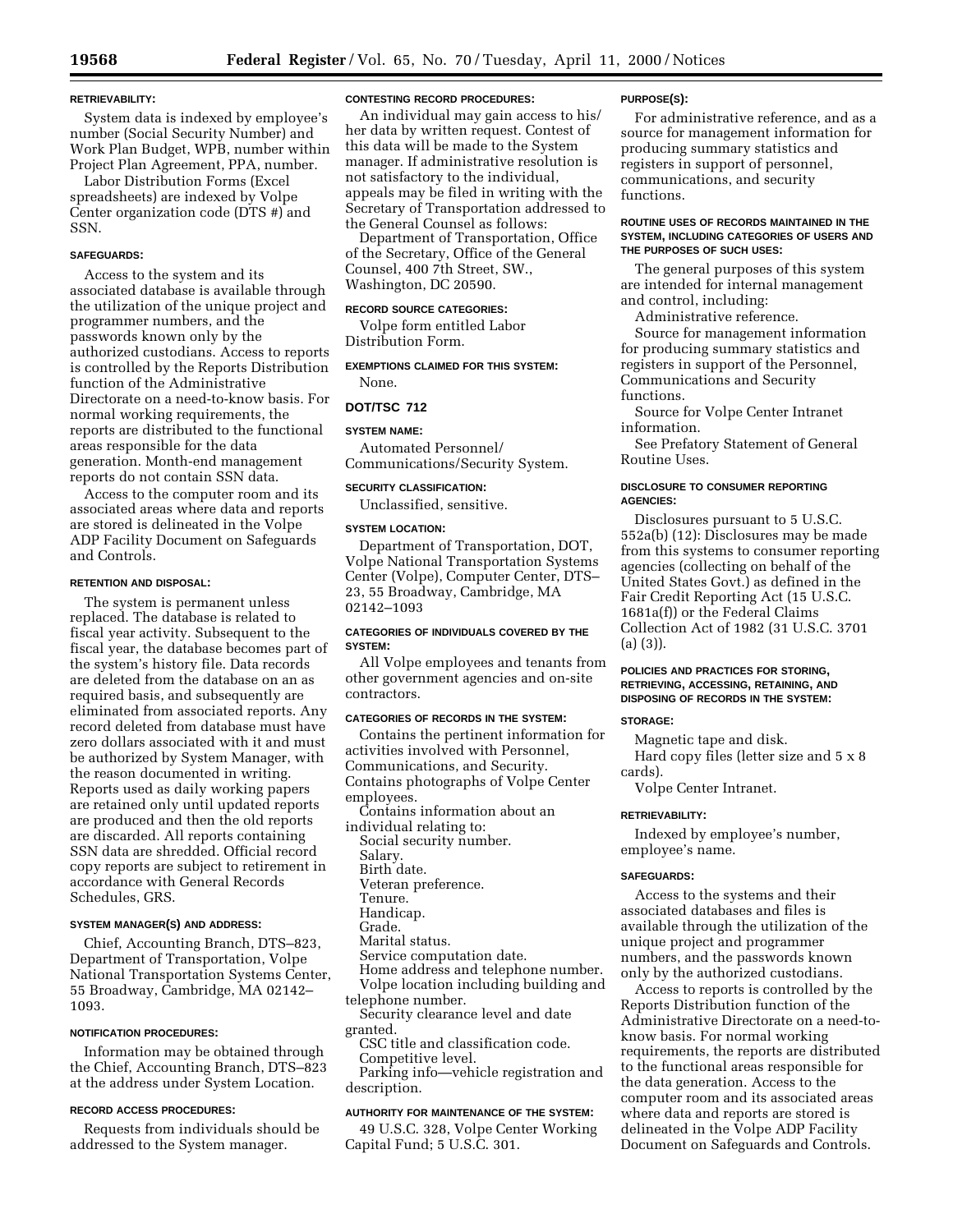### **RETRIEVABILITY:**

System data is indexed by employee's number (Social Security Number) and Work Plan Budget, WPB, number within Project Plan Agreement, PPA, number.

Labor Distribution Forms (Excel spreadsheets) are indexed by Volpe Center organization code (DTS #) and SSN.

### **SAFEGUARDS:**

Access to the system and its associated database is available through the utilization of the unique project and programmer numbers, and the passwords known only by the authorized custodians. Access to reports is controlled by the Reports Distribution function of the Administrative Directorate on a need-to-know basis. For normal working requirements, the reports are distributed to the functional areas responsible for the data generation. Month-end management reports do not contain SSN data.

Access to the computer room and its associated areas where data and reports are stored is delineated in the Volpe ADP Facility Document on Safeguards and Controls.

### **RETENTION AND DISPOSAL:**

The system is permanent unless replaced. The database is related to fiscal year activity. Subsequent to the fiscal year, the database becomes part of the system's history file. Data records are deleted from the database on an as required basis, and subsequently are eliminated from associated reports. Any record deleted from database must have zero dollars associated with it and must be authorized by System Manager, with the reason documented in writing. Reports used as daily working papers are retained only until updated reports are produced and then the old reports are discarded. All reports containing SSN data are shredded. Official record copy reports are subject to retirement in accordance with General Records Schedules, GRS.

### **SYSTEM MANAGER(S) AND ADDRESS:**

Chief, Accounting Branch, DTS–823, Department of Transportation, Volpe National Transportation Systems Center, 55 Broadway, Cambridge, MA 02142– 1093.

#### **NOTIFICATION PROCEDURES:**

Information may be obtained through the Chief, Accounting Branch, DTS–823 at the address under System Location.

### **RECORD ACCESS PROCEDURES:**

Requests from individuals should be addressed to the System manager.

### **CONTESTING RECORD PROCEDURES:**

An individual may gain access to his/ her data by written request. Contest of this data will be made to the System manager. If administrative resolution is not satisfactory to the individual, appeals may be filed in writing with the Secretary of Transportation addressed to the General Counsel as follows:

Department of Transportation, Office of the Secretary, Office of the General Counsel, 400 7th Street, SW., Washington, DC 20590.

### **RECORD SOURCE CATEGORIES:**

Volpe form entitled Labor Distribution Form.

**EXEMPTIONS CLAIMED FOR THIS SYSTEM:** None.

#### **DOT/TSC 712**

### **SYSTEM NAME:**

Automated Personnel/ Communications/Security System.

### **SECURITY CLASSIFICATION:**

Unclassified, sensitive.

### **SYSTEM LOCATION:**

Department of Transportation, DOT, Volpe National Transportation Systems Center (Volpe), Computer Center, DTS– 23, 55 Broadway, Cambridge, MA 02142–1093

### **CATEGORIES OF INDIVIDUALS COVERED BY THE SYSTEM:**

All Volpe employees and tenants from other government agencies and on-site contractors.

### **CATEGORIES OF RECORDS IN THE SYSTEM:**

Contains the pertinent information for activities involved with Personnel, Communications, and Security. Contains photographs of Volpe Center employees.

- Contains information about an
- individual relating to:
- Social security number.
- Salary. Birth date.
- Veteran preference.
- Tenure.
- Handicap.
- Grade.
- Marital status.
- Service computation date.
- Home address and telephone number.
- Volpe location including building and
- telephone number.
- Security clearance level and date granted.
- CSC title and classification code. Competitive level.

Parking info—vehicle registration and description.

### **AUTHORITY FOR MAINTENANCE OF THE SYSTEM:**

49 U.S.C. 328, Volpe Center Working Capital Fund; 5 U.S.C. 301.

#### **PURPOSE(S):**

For administrative reference, and as a source for management information for producing summary statistics and registers in support of personnel, communications, and security functions.

### **ROUTINE USES OF RECORDS MAINTAINED IN THE SYSTEM, INCLUDING CATEGORIES OF USERS AND THE PURPOSES OF SUCH USES:**

The general purposes of this system are intended for internal management and control, including:

Administrative reference.

Source for management information for producing summary statistics and registers in support of the Personnel, Communications and Security functions.

Source for Volpe Center Intranet information.

See Prefatory Statement of General Routine Uses.

### **DISCLOSURE TO CONSUMER REPORTING AGENCIES:**

Disclosures pursuant to 5 U.S.C. 552a(b) (12): Disclosures may be made from this systems to consumer reporting agencies (collecting on behalf of the United States Govt.) as defined in the Fair Credit Reporting Act (15 U.S.C. 1681a(f)) or the Federal Claims Collection Act of 1982 (31 U.S.C. 3701 (a) (3)).

### **POLICIES AND PRACTICES FOR STORING, RETRIEVING, ACCESSING, RETAINING, AND DISPOSING OF RECORDS IN THE SYSTEM:**

#### **STORAGE:**

Magnetic tape and disk.

Hard copy files (letter size and 5 x 8 cards).

Volpe Center Intranet.

### **RETRIEVABILITY:**

Indexed by employee's number, employee's name.

### **SAFEGUARDS:**

Access to the systems and their associated databases and files is available through the utilization of the unique project and programmer numbers, and the passwords known only by the authorized custodians.

Access to reports is controlled by the Reports Distribution function of the Administrative Directorate on a need-toknow basis. For normal working requirements, the reports are distributed to the functional areas responsible for the data generation. Access to the computer room and its associated areas where data and reports are stored is delineated in the Volpe ADP Facility Document on Safeguards and Controls.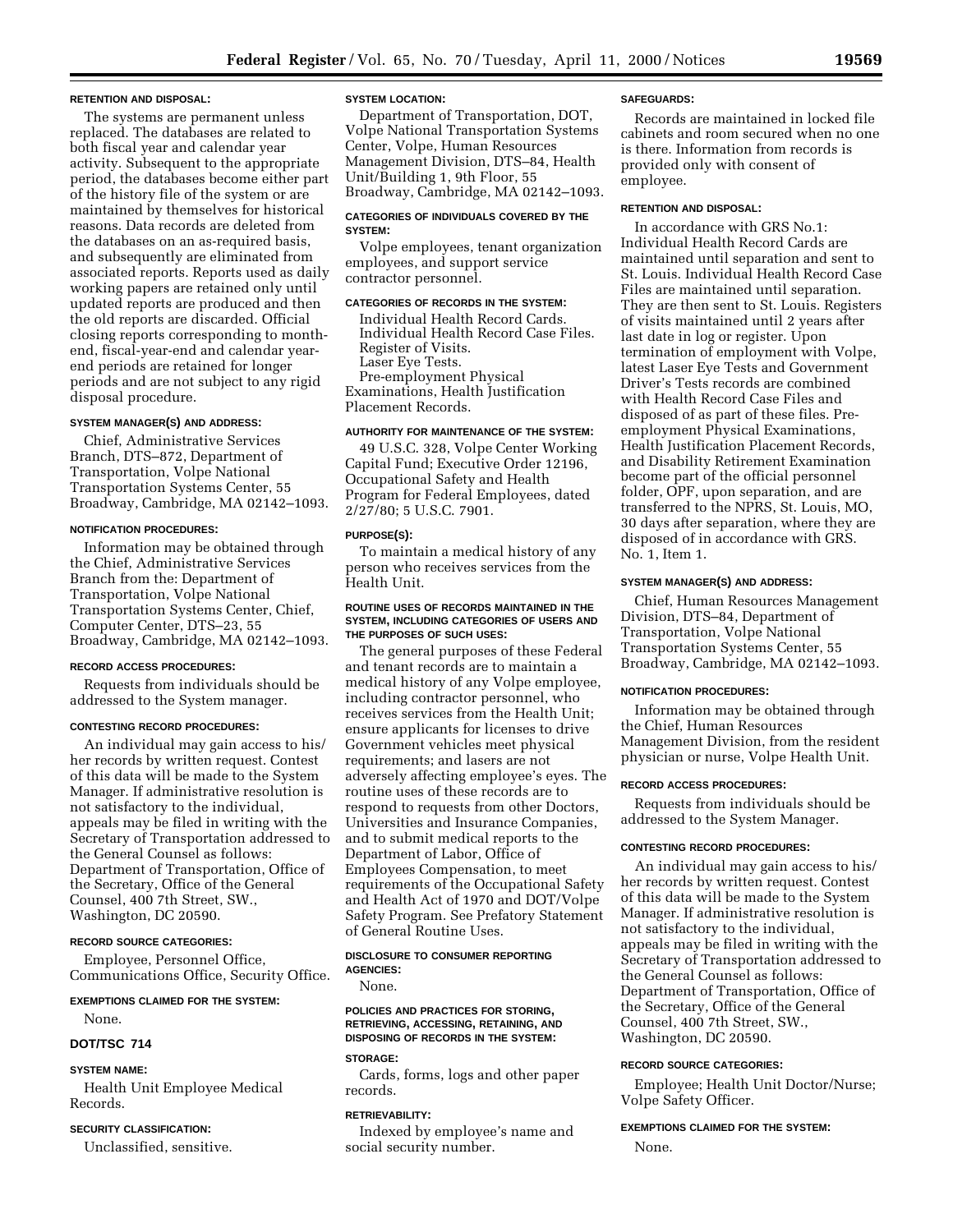#### **RETENTION AND DISPOSAL:**

The systems are permanent unless replaced. The databases are related to both fiscal year and calendar year activity. Subsequent to the appropriate period, the databases become either part of the history file of the system or are maintained by themselves for historical reasons. Data records are deleted from the databases on an as-required basis, and subsequently are eliminated from associated reports. Reports used as daily working papers are retained only until updated reports are produced and then the old reports are discarded. Official closing reports corresponding to monthend, fiscal-year-end and calendar yearend periods are retained for longer periods and are not subject to any rigid disposal procedure.

### **SYSTEM MANAGER(S) AND ADDRESS:**

Chief, Administrative Services Branch, DTS–872, Department of Transportation, Volpe National Transportation Systems Center, 55 Broadway, Cambridge, MA 02142–1093.

### **NOTIFICATION PROCEDURES:**

Information may be obtained through the Chief, Administrative Services Branch from the: Department of Transportation, Volpe National Transportation Systems Center, Chief, Computer Center, DTS–23, 55 Broadway, Cambridge, MA 02142–1093.

#### **RECORD ACCESS PROCEDURES:**

Requests from individuals should be addressed to the System manager.

#### **CONTESTING RECORD PROCEDURES:**

An individual may gain access to his/ her records by written request. Contest of this data will be made to the System Manager. If administrative resolution is not satisfactory to the individual, appeals may be filed in writing with the Secretary of Transportation addressed to the General Counsel as follows: Department of Transportation, Office of the Secretary, Office of the General Counsel, 400 7th Street, SW., Washington, DC 20590.

### **RECORD SOURCE CATEGORIES:**

Employee, Personnel Office, Communications Office, Security Office.

#### **EXEMPTIONS CLAIMED FOR THE SYSTEM:**

None.

### **DOT/TSC 714**

#### **SYSTEM NAME:**

Health Unit Employee Medical Records.

#### **SECURITY CLASSIFICATION:**

Unclassified, sensitive.

### **SYSTEM LOCATION:**

Department of Transportation, DOT, Volpe National Transportation Systems Center, Volpe, Human Resources Management Division, DTS–84, Health Unit/Building 1, 9th Floor, 55 Broadway, Cambridge, MA 02142–1093.

#### **CATEGORIES OF INDIVIDUALS COVERED BY THE SYSTEM:**

Volpe employees, tenant organization employees, and support service contractor personnel.

### **CATEGORIES OF RECORDS IN THE SYSTEM:**

Individual Health Record Cards. Individual Health Record Case Files. Register of Visits. Laser Eye Tests. Pre-employment Physical Examinations, Health Justification Placement Records.

### **AUTHORITY FOR MAINTENANCE OF THE SYSTEM:**

49 U.S.C. 328, Volpe Center Working Capital Fund; Executive Order 12196, Occupational Safety and Health Program for Federal Employees, dated 2/27/80; 5 U.S.C. 7901.

### **PURPOSE(S):**

To maintain a medical history of any person who receives services from the Health Unit.

### **ROUTINE USES OF RECORDS MAINTAINED IN THE SYSTEM, INCLUDING CATEGORIES OF USERS AND THE PURPOSES OF SUCH USES:**

The general purposes of these Federal and tenant records are to maintain a medical history of any Volpe employee, including contractor personnel, who receives services from the Health Unit; ensure applicants for licenses to drive Government vehicles meet physical requirements; and lasers are not adversely affecting employee's eyes. The routine uses of these records are to respond to requests from other Doctors, Universities and Insurance Companies, and to submit medical reports to the Department of Labor, Office of Employees Compensation, to meet requirements of the Occupational Safety and Health Act of 1970 and DOT/Volpe Safety Program. See Prefatory Statement of General Routine Uses.

### **DISCLOSURE TO CONSUMER REPORTING AGENCIES:**

None.

### **POLICIES AND PRACTICES FOR STORING, RETRIEVING, ACCESSING, RETAINING, AND DISPOSING OF RECORDS IN THE SYSTEM:**

### **STORAGE:**

Cards, forms, logs and other paper records.

#### **RETRIEVABILITY:**

Indexed by employee's name and social security number.

#### **SAFEGUARDS:**

Records are maintained in locked file cabinets and room secured when no one is there. Information from records is provided only with consent of employee.

#### **RETENTION AND DISPOSAL:**

In accordance with GRS No.1: Individual Health Record Cards are maintained until separation and sent to St. Louis. Individual Health Record Case Files are maintained until separation. They are then sent to St. Louis. Registers of visits maintained until 2 years after last date in log or register. Upon termination of employment with Volpe, latest Laser Eye Tests and Government Driver's Tests records are combined with Health Record Case Files and disposed of as part of these files. Preemployment Physical Examinations, Health Justification Placement Records, and Disability Retirement Examination become part of the official personnel folder, OPF, upon separation, and are transferred to the NPRS, St. Louis, MO, 30 days after separation, where they are disposed of in accordance with GRS. No. 1, Item 1.

#### **SYSTEM MANAGER(S) AND ADDRESS:**

Chief, Human Resources Management Division, DTS–84, Department of Transportation, Volpe National Transportation Systems Center, 55 Broadway, Cambridge, MA 02142–1093.

### **NOTIFICATION PROCEDURES:**

Information may be obtained through the Chief, Human Resources Management Division, from the resident physician or nurse, Volpe Health Unit.

#### **RECORD ACCESS PROCEDURES:**

Requests from individuals should be addressed to the System Manager.

### **CONTESTING RECORD PROCEDURES:**

An individual may gain access to his/ her records by written request. Contest of this data will be made to the System Manager. If administrative resolution is not satisfactory to the individual, appeals may be filed in writing with the Secretary of Transportation addressed to the General Counsel as follows: Department of Transportation, Office of the Secretary, Office of the General Counsel, 400 7th Street, SW., Washington, DC 20590.

### **RECORD SOURCE CATEGORIES:**

Employee; Health Unit Doctor/Nurse; Volpe Safety Officer.

### **EXEMPTIONS CLAIMED FOR THE SYSTEM:**